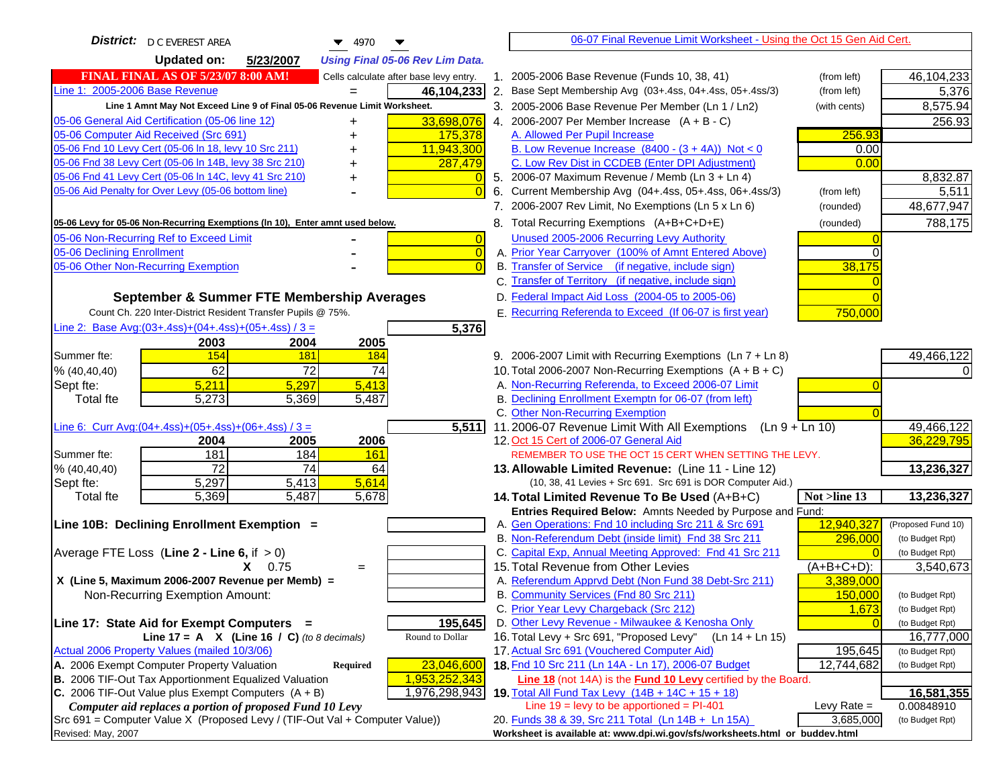| District:   D C EVEREST AREA<br>$\blacktriangledown$ 4970                                                                               | 06-07 Final Revenue Limit Worksheet - Using the Oct 15 Gen Aid Cert.                                                            |                               |
|-----------------------------------------------------------------------------------------------------------------------------------------|---------------------------------------------------------------------------------------------------------------------------------|-------------------------------|
| <b>Updated on:</b><br>5/23/2007<br><b>Using Final 05-06 Rev Lim Data.</b>                                                               |                                                                                                                                 |                               |
| <b>FINAL FINAL AS OF 5/23/07 8:00 AM!</b><br>Cells calculate after base levy entry.                                                     | 1. 2005-2006 Base Revenue (Funds 10, 38, 41)<br>(from left)                                                                     | 46,104,233                    |
| Line 1: 2005-2006 Base Revenue<br>46,104,233                                                                                            | 2. Base Sept Membership Avg (03+.4ss, 04+.4ss, 05+.4ss/3)<br>(from left)                                                        | 5,376                         |
| Line 1 Amnt May Not Exceed Line 9 of Final 05-06 Revenue Limit Worksheet.                                                               | 3. 2005-2006 Base Revenue Per Member (Ln 1 / Ln2)<br>(with cents)                                                               | 8,575.94                      |
| 33,698,076<br>05-06 General Aid Certification (05-06 line 12)                                                                           | 4. 2006-2007 Per Member Increase $(A + B - C)$                                                                                  | 256.93                        |
| 05-06 Computer Aid Received (Src 691)<br>175,378                                                                                        | 256.93<br>A. Allowed Per Pupil Increase                                                                                         |                               |
| 05-06 Fnd 10 Levy Cert (05-06 In 18, levy 10 Src 211)<br>11,943,300                                                                     | B. Low Revenue Increase $(8400 - (3 + 4A))$ Not < 0<br>0.00                                                                     |                               |
| 05-06 Fnd 38 Levy Cert (05-06 In 14B, levy 38 Src 210)<br>287,479                                                                       | C. Low Rev Dist in CCDEB (Enter DPI Adjustment)<br>0.00                                                                         |                               |
| 05-06 Fnd 41 Levy Cert (05-06 In 14C, levy 41 Src 210)<br>+                                                                             | 5. 2006-07 Maximum Revenue / Memb (Ln 3 + Ln 4)                                                                                 | 8,832.87                      |
| 05-06 Aid Penalty for Over Levy (05-06 bottom line)<br>$\overline{0}$                                                                   | Current Membership Avg (04+.4ss, 05+.4ss, 06+.4ss/3)<br>6.<br>(from left)                                                       | 5,511                         |
|                                                                                                                                         | 7. 2006-2007 Rev Limit, No Exemptions (Ln 5 x Ln 6)<br>(rounded)                                                                | 48,677,947                    |
| 05-06 Levy for 05-06 Non-Recurring Exemptions (In 10), Enter amnt used below.                                                           | 8. Total Recurring Exemptions (A+B+C+D+E)<br>(rounded)                                                                          | 788,175                       |
| 05-06 Non-Recurring Ref to Exceed Limit<br>$\overline{0}$                                                                               | Unused 2005-2006 Recurring Levy Authority                                                                                       |                               |
| $\overline{0}$<br>05-06 Declining Enrollment                                                                                            | A. Prior Year Carryover (100% of Amnt Entered Above)<br>∩                                                                       |                               |
| 05-06 Other Non-Recurring Exemption<br>$\Omega$                                                                                         | B. Transfer of Service (if negative, include sign)<br>38,175                                                                    |                               |
|                                                                                                                                         | C. Transfer of Territory (if negative, include sign)                                                                            |                               |
| September & Summer FTE Membership Averages                                                                                              | D. Federal Impact Aid Loss (2004-05 to 2005-06)                                                                                 |                               |
| Count Ch. 220 Inter-District Resident Transfer Pupils @ 75%.                                                                            | E. Recurring Referenda to Exceed (If 06-07 is first year)<br>750,000                                                            |                               |
| Line 2: Base Avg: (03+.4ss) + (04+.4ss) + (05+.4ss) / 3 =<br>5,376                                                                      |                                                                                                                                 |                               |
| 2003<br>2004<br>2005                                                                                                                    |                                                                                                                                 |                               |
| 154<br>Summer fte:<br><b>181</b><br><b>184</b>                                                                                          | 9. 2006-2007 Limit with Recurring Exemptions (Ln 7 + Ln 8)                                                                      | 49,466,122                    |
| 62<br>72<br>74<br>% (40, 40, 40)                                                                                                        | 10. Total 2006-2007 Non-Recurring Exemptions $(A + B + C)$                                                                      |                               |
| 5,211<br>5,297<br>5,413<br>Sept fte:                                                                                                    | A. Non-Recurring Referenda, to Exceed 2006-07 Limit                                                                             |                               |
| Total fte<br>5,273<br>5,369<br>5,487                                                                                                    | B. Declining Enrollment Exemptn for 06-07 (from left)                                                                           |                               |
|                                                                                                                                         | C. Other Non-Recurring Exemption                                                                                                |                               |
| 5,511<br>Line 6: Curr Avg: $(04+.4ss)+(05+.4ss)+(06+.4ss)/3 =$                                                                          | 11.2006-07 Revenue Limit With All Exemptions<br>$(Ln 9 + Ln 10)$                                                                | 49,466,122                    |
| 2005<br>2006<br>2004                                                                                                                    | 12. Oct 15 Cert of 2006-07 General Aid                                                                                          | 36,229,795                    |
| 181<br>184<br>Summer fte:<br><b>161</b><br>72<br>74                                                                                     | REMEMBER TO USE THE OCT 15 CERT WHEN SETTING THE LEVY.                                                                          |                               |
| % (40, 40, 40)<br>64<br>5,297<br>5,614<br>5,413<br>Sept fte:                                                                            | 13. Allowable Limited Revenue: (Line 11 - Line 12)<br>(10, 38, 41 Levies + Src 691. Src 691 is DOR Computer Aid.)               | 13,236,327                    |
| 5,487<br>5,678<br><b>Total fte</b><br>5,369                                                                                             | 14. Total Limited Revenue To Be Used (A+B+C)<br>Not >line 13                                                                    | 13,236,327                    |
|                                                                                                                                         | Entries Required Below: Amnts Needed by Purpose and Fund:                                                                       |                               |
| Line 10B: Declining Enrollment Exemption =                                                                                              | 12,940,327<br>A. Gen Operations: Fnd 10 including Src 211 & Src 691                                                             | (Proposed Fund 10)            |
|                                                                                                                                         | B. Non-Referendum Debt (inside limit) Fnd 38 Src 211<br>296,000                                                                 | (to Budget Rpt)               |
| Average FTE Loss (Line $2 -$ Line 6, if $> 0$ )                                                                                         | C. Capital Exp, Annual Meeting Approved: Fnd 41 Src 211                                                                         | (to Budget Rpt)               |
| $X = 0.75$<br>$=$                                                                                                                       | 15. Total Revenue from Other Levies<br>$(A+B+C+D)$ :                                                                            | 3,540,673                     |
| X (Line 5, Maximum 2006-2007 Revenue per Memb) =                                                                                        | A. Referendum Apprvd Debt (Non Fund 38 Debt-Src 211)<br>3,389,000                                                               |                               |
| Non-Recurring Exemption Amount:                                                                                                         | B. Community Services (Fnd 80 Src 211)<br>150,000                                                                               | (to Budget Rpt)               |
|                                                                                                                                         | C. Prior Year Levy Chargeback (Src 212)<br>1,673                                                                                | (to Budget Rpt)               |
| Line 17: State Aid for Exempt Computers =<br>195,645                                                                                    | D. Other Levy Revenue - Milwaukee & Kenosha Only                                                                                | (to Budget Rpt)               |
| Round to Dollar<br>Line 17 = A $X$ (Line 16 / C) (to 8 decimals)                                                                        | 16. Total Levy + Src 691, "Proposed Levy"<br>$(Ln 14 + Ln 15)$                                                                  | 16,777,000                    |
| Actual 2006 Property Values (mailed 10/3/06)                                                                                            | 17. Actual Src 691 (Vouchered Computer Aid)<br>195,645                                                                          | (to Budget Rpt)               |
| 23,046,600<br>A. 2006 Exempt Computer Property Valuation<br><b>Required</b>                                                             | 18. Fnd 10 Src 211 (Ln 14A - Ln 17), 2006-07 Budget<br>12,744,682                                                               | (to Budget Rpt)               |
| B. 2006 TIF-Out Tax Apportionment Equalized Valuation<br>1,953,252,343                                                                  | Line 18 (not 14A) is the Fund 10 Levy certified by the Board.                                                                   |                               |
| C. 2006 TIF-Out Value plus Exempt Computers $(A + B)$<br>1,976,298,943                                                                  | 19. Total All Fund Tax Levy (14B + 14C + 15 + 18)                                                                               | 16,581,355                    |
| Computer aid replaces a portion of proposed Fund 10 Levy<br>Src 691 = Computer Value X (Proposed Levy / (TIF-Out Val + Computer Value)) | Line $19$ = levy to be apportioned = PI-401<br>Levy Rate $=$<br>20. Funds 38 & 39, Src 211 Total (Ln 14B + Ln 15A)<br>3,685,000 | 0.00848910<br>(to Budget Rpt) |
| Revised: May, 2007                                                                                                                      | Worksheet is available at: www.dpi.wi.gov/sfs/worksheets.html or buddev.html                                                    |                               |
|                                                                                                                                         |                                                                                                                                 |                               |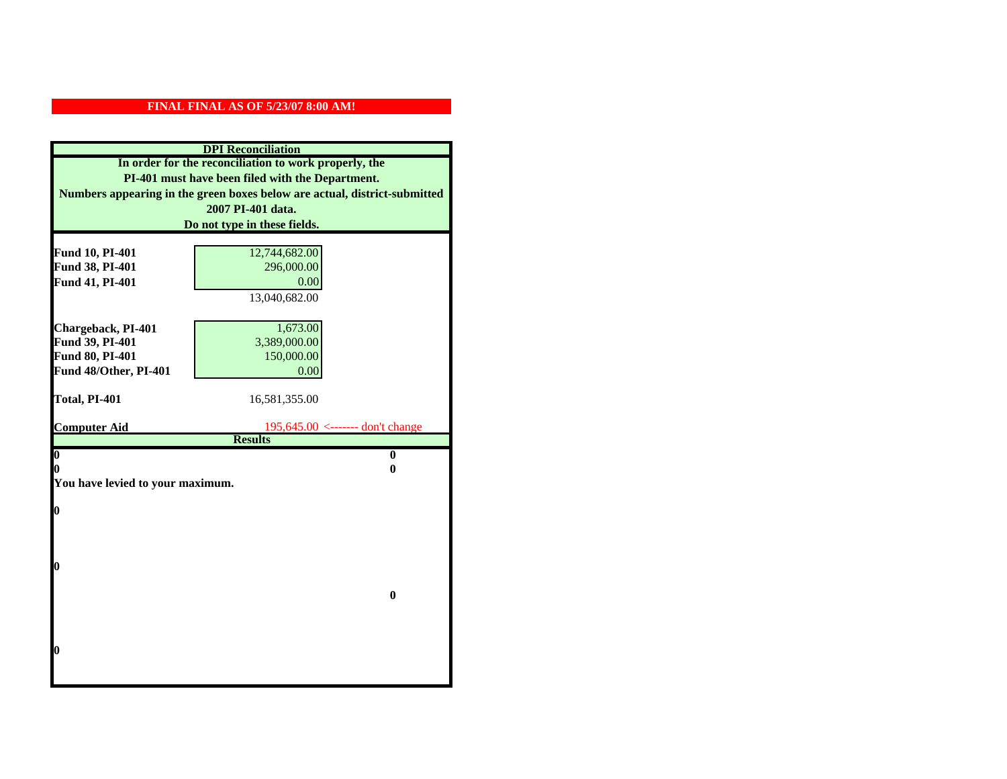|                                  | <b>DPI</b> Reconciliation                                                 |
|----------------------------------|---------------------------------------------------------------------------|
|                                  | In order for the reconciliation to work properly, the                     |
|                                  | PI-401 must have been filed with the Department.                          |
|                                  | Numbers appearing in the green boxes below are actual, district-submitted |
|                                  | 2007 PI-401 data.                                                         |
|                                  | Do not type in these fields.                                              |
|                                  |                                                                           |
| Fund 10, PI-401                  | 12,744,682.00                                                             |
| Fund 38, PI-401                  | 296,000.00                                                                |
| Fund 41, PI-401                  | 0.00                                                                      |
|                                  | 13,040,682.00                                                             |
|                                  |                                                                           |
| Chargeback, PI-401               | 1,673.00                                                                  |
| Fund 39, PI-401                  | 3,389,000.00                                                              |
| Fund 80, PI-401                  | 150,000.00                                                                |
| Fund 48/Other, PI-401            | 0.00                                                                      |
| Total, PI-401                    | 16,581,355.00                                                             |
|                                  |                                                                           |
| <b>Computer Aid</b>              |                                                                           |
|                                  | $195,645.00$ <------- don't change                                        |
|                                  | <b>Results</b>                                                            |
| $\overline{\mathbf{0}}$          | $\bf{0}$                                                                  |
| 0                                | 0                                                                         |
| You have levied to your maximum. |                                                                           |
|                                  |                                                                           |
| $\bf{0}$                         |                                                                           |
|                                  |                                                                           |
|                                  |                                                                           |
| l0                               |                                                                           |
|                                  |                                                                           |
|                                  | $\bf{0}$                                                                  |
|                                  |                                                                           |
|                                  |                                                                           |
|                                  |                                                                           |
| l0                               |                                                                           |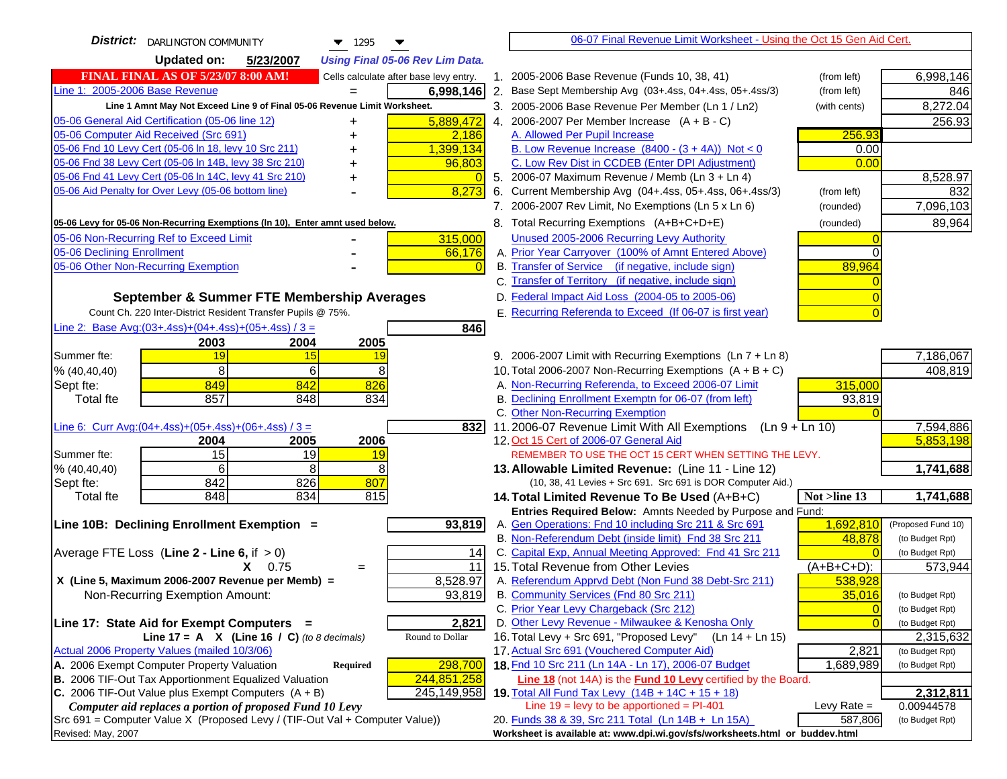| <b>District:</b> DARLINGTON COMMUNITY<br>$\blacktriangledown$ 1295                                                            |    | 06-07 Final Revenue Limit Worksheet - Using the Oct 15 Gen Aid Cert.                                              |                |                         |
|-------------------------------------------------------------------------------------------------------------------------------|----|-------------------------------------------------------------------------------------------------------------------|----------------|-------------------------|
| <b>Updated on:</b><br>5/23/2007<br><b>Using Final 05-06 Rev Lim Data.</b>                                                     |    |                                                                                                                   |                |                         |
| <b>FINAL FINAL AS OF 5/23/07 8:00 AM!</b><br>Cells calculate after base levy entry.                                           |    | 1. 2005-2006 Base Revenue (Funds 10, 38, 41)                                                                      | (from left)    | 6,998,146               |
| Line 1: 2005-2006 Base Revenue<br>6,998,146                                                                                   |    | 2. Base Sept Membership Avg (03+.4ss, 04+.4ss, 05+.4ss/3)                                                         | (from left)    | 846                     |
| Line 1 Amnt May Not Exceed Line 9 of Final 05-06 Revenue Limit Worksheet.                                                     |    | 3. 2005-2006 Base Revenue Per Member (Ln 1 / Ln2)                                                                 | (with cents)   | 8,272.04                |
| 5,889,472<br>05-06 General Aid Certification (05-06 line 12)<br>+                                                             |    | 4. 2006-2007 Per Member Increase $(A + B - C)$                                                                    |                | 256.93                  |
| 05-06 Computer Aid Received (Src 691)<br>2.186<br>+                                                                           |    | A. Allowed Per Pupil Increase                                                                                     | 256.93         |                         |
| 1,399,134<br>05-06 Fnd 10 Levy Cert (05-06 In 18, levy 10 Src 211)<br>+                                                       |    | B. Low Revenue Increase $(8400 - (3 + 4A))$ Not < 0                                                               | 0.00           |                         |
| 05-06 Fnd 38 Levy Cert (05-06 In 14B, levy 38 Src 210)<br>96,803<br>+                                                         |    | C. Low Rev Dist in CCDEB (Enter DPI Adjustment)                                                                   | 0.00           |                         |
| 05-06 Fnd 41 Levy Cert (05-06 In 14C, levy 41 Src 210)<br>+                                                                   | 0  | 5. 2006-07 Maximum Revenue / Memb (Ln 3 + Ln 4)                                                                   |                | 8,528.97                |
| 05-06 Aid Penalty for Over Levy (05-06 bottom line)<br>8,273                                                                  |    | 6. Current Membership Avg (04+.4ss, 05+.4ss, 06+.4ss/3)                                                           | (from left)    | 832                     |
|                                                                                                                               |    | 7. 2006-2007 Rev Limit, No Exemptions (Ln 5 x Ln 6)                                                               | (rounded)      | 7,096,103               |
| 05-06 Levy for 05-06 Non-Recurring Exemptions (In 10), Enter amnt used below.                                                 |    | 8. Total Recurring Exemptions (A+B+C+D+E)                                                                         | (rounded)      | 89,964                  |
| 05-06 Non-Recurring Ref to Exceed Limit<br>315,000                                                                            |    | Unused 2005-2006 Recurring Levy Authority                                                                         |                |                         |
| 05-06 Declining Enrollment<br>66,176                                                                                          |    | A. Prior Year Carryover (100% of Amnt Entered Above)                                                              |                |                         |
| 05-06 Other Non-Recurring Exemption                                                                                           |    | B. Transfer of Service (if negative, include sign)                                                                | 89,964         |                         |
|                                                                                                                               |    | C. Transfer of Territory (if negative, include sign)                                                              |                |                         |
| September & Summer FTE Membership Averages                                                                                    |    | D. Federal Impact Aid Loss (2004-05 to 2005-06)                                                                   |                |                         |
| Count Ch. 220 Inter-District Resident Transfer Pupils @ 75%.                                                                  |    | E. Recurring Referenda to Exceed (If 06-07 is first year)                                                         |                |                         |
| Line 2: Base Avg: (03+.4ss) + (04+.4ss) + (05+.4ss) / 3 =<br>846                                                              |    |                                                                                                                   |                |                         |
| 2003<br>2004<br>2005                                                                                                          |    |                                                                                                                   |                |                         |
| Summer fte:<br>19<br>15<br>19                                                                                                 |    | 9. 2006-2007 Limit with Recurring Exemptions (Ln 7 + Ln 8)                                                        |                | 7,186,067               |
| 8<br>6<br>8<br>% (40, 40, 40)                                                                                                 |    | 10. Total 2006-2007 Non-Recurring Exemptions $(A + B + C)$                                                        |                | 408,819                 |
| 849<br>842<br>826<br>Sept fte:                                                                                                |    | A. Non-Recurring Referenda, to Exceed 2006-07 Limit                                                               | 315,000        |                         |
| 857<br>848<br>834<br>Total fte                                                                                                |    | B. Declining Enrollment Exemptn for 06-07 (from left)                                                             | 93,819         |                         |
|                                                                                                                               |    | C. Other Non-Recurring Exemption                                                                                  |                |                         |
| Line 6: Curr Avg: $(04+.4ss)+(05+.4ss)+(06+.4ss)/3 =$<br>8321                                                                 |    | 11.2006-07 Revenue Limit With All Exemptions (Ln 9 + Ln 10)                                                       |                | 7,594,886               |
| 2004<br>2005<br>2006                                                                                                          |    | 12. Oct 15 Cert of 2006-07 General Aid                                                                            |                | 5,853,198               |
| 15<br>19<br>Summer fte:<br><u> 19</u><br>6<br>8                                                                               |    | REMEMBER TO USE THE OCT 15 CERT WHEN SETTING THE LEVY.                                                            |                |                         |
| 8<br>% (40,40,40)<br>842<br>807<br>826<br>Sept fte:                                                                           |    | 13. Allowable Limited Revenue: (Line 11 - Line 12)<br>(10, 38, 41 Levies + Src 691. Src 691 is DOR Computer Aid.) |                | 1,741,688               |
| 834<br>815<br>848<br>Total fte                                                                                                |    | 14. Total Limited Revenue To Be Used (A+B+C)                                                                      | Not >line 13   | 1,741,688               |
|                                                                                                                               |    | Entries Required Below: Amnts Needed by Purpose and Fund:                                                         |                |                         |
| 93,819<br>Line 10B: Declining Enrollment Exemption =                                                                          |    | A. Gen Operations: Fnd 10 including Src 211 & Src 691                                                             | 1,692,810      | (Proposed Fund 10)      |
|                                                                                                                               |    | B. Non-Referendum Debt (inside limit) Fnd 38 Src 211                                                              | 48,878         | (to Budget Rpt)         |
| Average FTE Loss (Line $2 -$ Line 6, if $> 0$ )                                                                               | 14 | C. Capital Exp, Annual Meeting Approved: Fnd 41 Src 211                                                           | $\Omega$       | (to Budget Rpt)         |
| 11<br>0.75<br>X.<br>$=$                                                                                                       |    | 15. Total Revenue from Other Levies                                                                               | $(A+B+C+D)$ :  | 573,944                 |
| X (Line 5, Maximum 2006-2007 Revenue per Memb) =<br>8,528.97                                                                  |    | A. Referendum Apprvd Debt (Non Fund 38 Debt-Src 211)                                                              | 538,928        |                         |
| 93,819<br>Non-Recurring Exemption Amount:                                                                                     |    | B. Community Services (Fnd 80 Src 211)                                                                            | 35,016         | (to Budget Rpt)         |
|                                                                                                                               |    | C. Prior Year Levy Chargeback (Src 212)                                                                           | $\overline{0}$ | (to Budget Rpt)         |
| Line 17: State Aid for Exempt Computers =<br>2,821                                                                            |    | D. Other Levy Revenue - Milwaukee & Kenosha Only                                                                  | $\Omega$       | (to Budget Rpt)         |
| Line 17 = A $X$ (Line 16 / C) (to 8 decimals)<br>Round to Dollar                                                              |    | 16. Total Levy + Src 691, "Proposed Levy"<br>(Ln 14 + Ln 15)                                                      |                | 2,315,632               |
| Actual 2006 Property Values (mailed 10/3/06)                                                                                  |    | 17. Actual Src 691 (Vouchered Computer Aid)                                                                       | 2,821          | (to Budget Rpt)         |
| 298,700<br>A. 2006 Exempt Computer Property Valuation<br><b>Required</b>                                                      |    | 18. Fnd 10 Src 211 (Ln 14A - Ln 17), 2006-07 Budget                                                               | 1,689,989      | (to Budget Rpt)         |
| B. 2006 TIF-Out Tax Apportionment Equalized Valuation<br>244,851,258<br>C. 2006 TIF-Out Value plus Exempt Computers $(A + B)$ |    | Line 18 (not 14A) is the Fund 10 Levy certified by the Board.                                                     |                |                         |
| 245,149,958<br>Computer aid replaces a portion of proposed Fund 10 Levy                                                       |    | 19. Total All Fund Tax Levy (14B + 14C + 15 + 18)<br>Line $19$ = levy to be apportioned = PI-401                  | Levy Rate $=$  | 2,312,811<br>0.00944578 |
| Src 691 = Computer Value X (Proposed Levy / (TIF-Out Val + Computer Value))                                                   |    | 20. Funds 38 & 39, Src 211 Total (Ln 14B + Ln 15A)                                                                | 587,806        | (to Budget Rpt)         |
| Revised: May, 2007                                                                                                            |    | Worksheet is available at: www.dpi.wi.gov/sfs/worksheets.html or buddev.html                                      |                |                         |
|                                                                                                                               |    |                                                                                                                   |                |                         |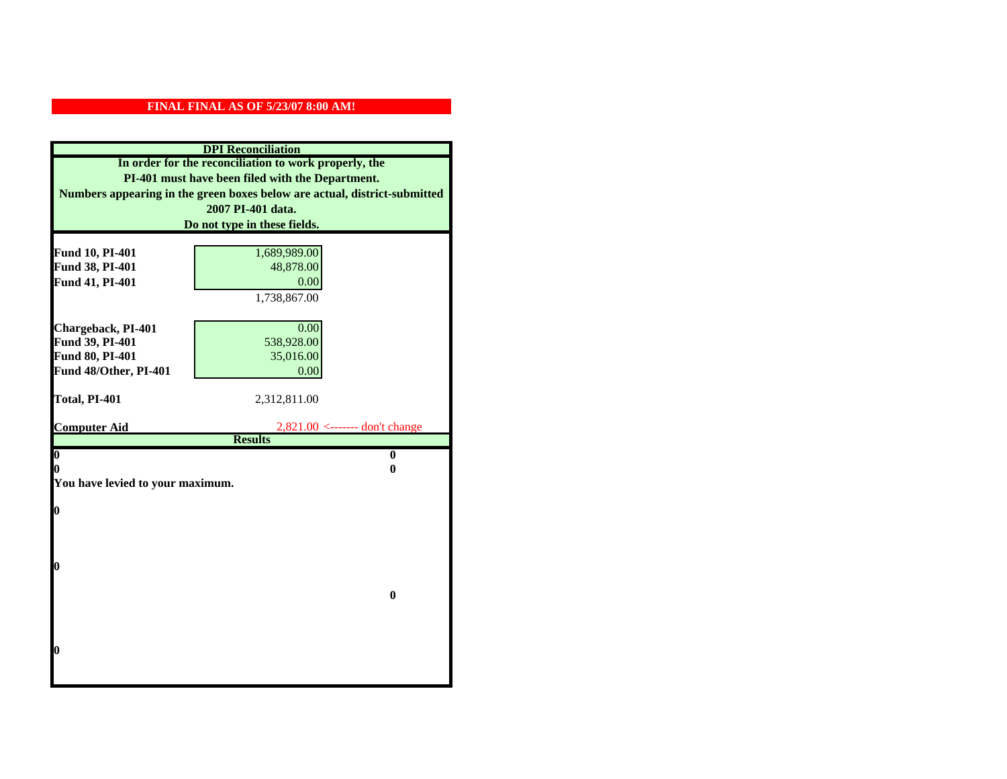|                                  | <b>DPI</b> Reconciliation                                                 |
|----------------------------------|---------------------------------------------------------------------------|
|                                  | In order for the reconciliation to work properly, the                     |
|                                  | PI-401 must have been filed with the Department.                          |
|                                  | Numbers appearing in the green boxes below are actual, district-submitted |
|                                  | 2007 PI-401 data.                                                         |
|                                  | Do not type in these fields.                                              |
|                                  |                                                                           |
| Fund 10, PI-401                  | 1,689,989.00                                                              |
| Fund 38, PI-401                  | 48,878.00                                                                 |
| Fund 41, PI-401                  | 0.00                                                                      |
|                                  | 1,738,867.00                                                              |
|                                  |                                                                           |
| Chargeback, PI-401               | 0.00                                                                      |
| Fund 39, PI-401                  | 538,928.00                                                                |
| Fund 80, PI-401                  | 35,016.00                                                                 |
| Fund 48/Other, PI-401            | 0.00                                                                      |
| Total, PI-401                    | 2,312,811.00                                                              |
|                                  |                                                                           |
|                                  |                                                                           |
| <b>Computer Aid</b>              | $2,821.00 \le$ ------- don't change                                       |
|                                  | <b>Results</b>                                                            |
| $\boldsymbol{0}$                 | $\mathbf{0}$                                                              |
| 0                                | 0                                                                         |
| You have levied to your maximum. |                                                                           |
|                                  |                                                                           |
| $\bf{0}$                         |                                                                           |
|                                  |                                                                           |
|                                  |                                                                           |
| 0                                |                                                                           |
|                                  |                                                                           |
|                                  | $\bf{0}$                                                                  |
|                                  |                                                                           |
|                                  |                                                                           |
|                                  |                                                                           |
| 0                                |                                                                           |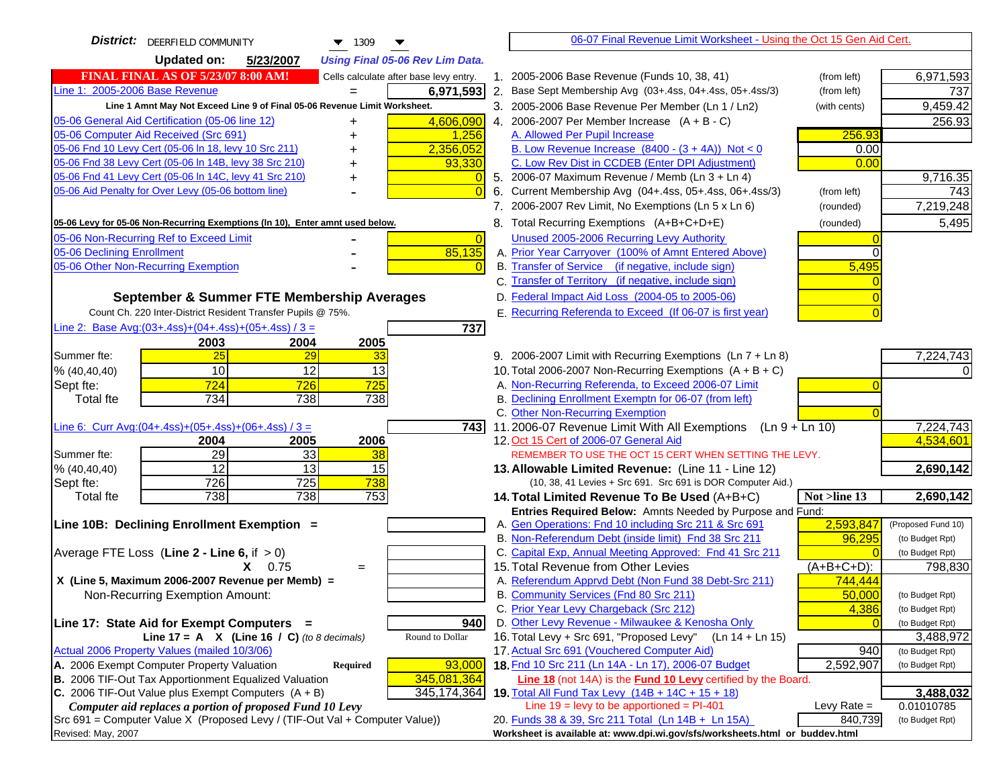| <b>District:</b> DEERFIELD COMMUNITY<br>$\blacktriangledown$ 1309<br>▼              | 06-07 Final Revenue Limit Worksheet - Using the Oct 15 Gen Aid Cert.                                                            |                    |
|-------------------------------------------------------------------------------------|---------------------------------------------------------------------------------------------------------------------------------|--------------------|
| <b>Updated on:</b><br>5/23/2007<br><b>Using Final 05-06 Rev Lim Data.</b>           |                                                                                                                                 |                    |
| <b>FINAL FINAL AS OF 5/23/07 8:00 AM!</b><br>Cells calculate after base levy entry. | 1. 2005-2006 Base Revenue (Funds 10, 38, 41)<br>(from left)                                                                     | 6,971,593          |
| Line 1: 2005-2006 Base Revenue<br>6,971,593                                         | 2. Base Sept Membership Avg (03+.4ss, 04+.4ss, 05+.4ss/3)<br>(from left)                                                        | 737                |
| Line 1 Amnt May Not Exceed Line 9 of Final 05-06 Revenue Limit Worksheet.           | 3. 2005-2006 Base Revenue Per Member (Ln 1 / Ln2)<br>(with cents)                                                               | 9,459.42           |
| 4,606,090<br>05-06 General Aid Certification (05-06 line 12)<br>+                   | 4. 2006-2007 Per Member Increase $(A + B - C)$                                                                                  | 256.93             |
| 05-06 Computer Aid Received (Src 691)<br>1,256                                      | 256.93<br>A. Allowed Per Pupil Increase                                                                                         |                    |
| 05-06 Fnd 10 Levy Cert (05-06 In 18, levy 10 Src 211)<br>2,356,052                  | B. Low Revenue Increase $(8400 - (3 + 4A))$ Not < 0<br>0.00                                                                     |                    |
| 05-06 Fnd 38 Levy Cert (05-06 In 14B, levy 38 Src 210)<br>93,330                    | C. Low Rev Dist in CCDEB (Enter DPI Adjustment)<br>0.00                                                                         |                    |
| 05-06 Fnd 41 Levy Cert (05-06 In 14C, levy 41 Src 210)<br>$\Omega$<br>+             | 5. 2006-07 Maximum Revenue / Memb (Ln 3 + Ln 4)                                                                                 | 9,716.35           |
| 05-06 Aid Penalty for Over Levy (05-06 bottom line)<br>$\overline{0}$               | 6. Current Membership Avg (04+.4ss, 05+.4ss, 06+.4ss/3)<br>(from left)                                                          | 743                |
|                                                                                     | 7. 2006-2007 Rev Limit, No Exemptions (Ln 5 x Ln 6)<br>(rounded)                                                                | 7,219,248          |
| 05-06 Levy for 05-06 Non-Recurring Exemptions (In 10), Enter amnt used below.       | 8. Total Recurring Exemptions (A+B+C+D+E)<br>(rounded)                                                                          | 5,495              |
| 05-06 Non-Recurring Ref to Exceed Limit<br>$\overline{0}$                           | Unused 2005-2006 Recurring Levy Authority                                                                                       |                    |
| 85,135<br>05-06 Declining Enrollment                                                | A. Prior Year Carryover (100% of Amnt Entered Above)                                                                            |                    |
| 05-06 Other Non-Recurring Exemption<br>$\Omega$                                     | B. Transfer of Service (if negative, include sign)<br>5,495                                                                     |                    |
|                                                                                     | C. Transfer of Territory (if negative, include sign)                                                                            |                    |
| September & Summer FTE Membership Averages                                          | D. Federal Impact Aid Loss (2004-05 to 2005-06)                                                                                 |                    |
| Count Ch. 220 Inter-District Resident Transfer Pupils @ 75%.                        | E. Recurring Referenda to Exceed (If 06-07 is first year)                                                                       |                    |
| Line 2: Base Avg: (03+.4ss) + (04+.4ss) + (05+.4ss) / 3 =<br>737                    |                                                                                                                                 |                    |
| 2003<br>2004<br>2005                                                                |                                                                                                                                 |                    |
| 25<br>Summer fte:<br>29<br>33                                                       | 9. 2006-2007 Limit with Recurring Exemptions (Ln 7 + Ln 8)                                                                      | 7,224,743          |
| 10<br>12<br>13<br>% (40, 40, 40)                                                    | 10. Total 2006-2007 Non-Recurring Exemptions $(A + B + C)$                                                                      |                    |
| 725<br>Sept fte:<br>724<br>726                                                      | A. Non-Recurring Referenda, to Exceed 2006-07 Limit                                                                             |                    |
| 734<br>738<br><b>Total fte</b><br>738                                               | B. Declining Enrollment Exemptn for 06-07 (from left)                                                                           |                    |
|                                                                                     | C. Other Non-Recurring Exemption                                                                                                |                    |
| Line 6: Curr Avg: $(04+.4ss)+(05+.4ss)+(06+.4ss)/3 =$<br>743                        | 11.2006-07 Revenue Limit With All Exemptions (Ln $9 + \overline{\text{Ln }10}$ )                                                | 7,224,743          |
| 2006<br>2005<br>2004                                                                | 12. Oct 15 Cert of 2006-07 General Aid                                                                                          | 4,534,601          |
| 29<br>33<br>Summer fte:<br>38                                                       | REMEMBER TO USE THE OCT 15 CERT WHEN SETTING THE LEVY.                                                                          |                    |
| $\overline{12}$<br>$\overline{13}$<br>15<br>% (40, 40, 40)                          | 13. Allowable Limited Revenue: (Line 11 - Line 12)                                                                              | 2,690,142          |
| 726<br>725<br>738<br>Sept fte:                                                      | (10, 38, 41 Levies + Src 691. Src 691 is DOR Computer Aid.)                                                                     |                    |
| 738<br>738<br>753<br><b>Total fte</b>                                               | 14. Total Limited Revenue To Be Used (A+B+C)<br>Not >line 13                                                                    | 2,690,142          |
| Line 10B: Declining Enrollment Exemption =                                          | Entries Required Below: Amnts Needed by Purpose and Fund:<br>2,593,847<br>A. Gen Operations: Fnd 10 including Src 211 & Src 691 | (Proposed Fund 10) |
|                                                                                     | B. Non-Referendum Debt (inside limit) Fnd 38 Src 211<br>96,295                                                                  | (to Budget Rpt)    |
| Average FTE Loss (Line $2 -$ Line 6, if $> 0$ )                                     | C. Capital Exp, Annual Meeting Approved: Fnd 41 Src 211                                                                         | (to Budget Rpt)    |
| $X = 0.75$<br>$=$                                                                   | 15. Total Revenue from Other Levies<br>$(A+B+C+D)$ :                                                                            | 798,830            |
| X (Line 5, Maximum 2006-2007 Revenue per Memb) =                                    | A. Referendum Apprvd Debt (Non Fund 38 Debt-Src 211)<br>744,444                                                                 |                    |
| Non-Recurring Exemption Amount:                                                     | B. Community Services (Fnd 80 Src 211)<br>50,000                                                                                | (to Budget Rpt)    |
|                                                                                     | C. Prior Year Levy Chargeback (Src 212)<br>4,386                                                                                | (to Budget Rpt)    |
| Line 17: State Aid for Exempt Computers =<br>940                                    | D. Other Levy Revenue - Milwaukee & Kenosha Only                                                                                | (to Budget Rpt)    |
| Line 17 = A $X$ (Line 16 / C) (to 8 decimals)<br>Round to Dollar                    | 16. Total Levy + Src 691, "Proposed Levy"<br>(Ln 14 + Ln 15)                                                                    | 3,488,972          |
| Actual 2006 Property Values (mailed 10/3/06)                                        | 17. Actual Src 691 (Vouchered Computer Aid)<br>940                                                                              | (to Budget Rpt)    |
| A. 2006 Exempt Computer Property Valuation<br>93,000<br><b>Required</b>             | 18. Fnd 10 Src 211 (Ln 14A - Ln 17), 2006-07 Budget<br>2,592,907                                                                | (to Budget Rpt)    |
| B. 2006 TIF-Out Tax Apportionment Equalized Valuation<br>345,081,364                | Line 18 (not 14A) is the <b>Fund 10 Levy</b> certified by the Board.                                                            |                    |
| C. 2006 TIF-Out Value plus Exempt Computers $(A + B)$<br>345, 174, 364              | 19. Total All Fund Tax Levy (14B + 14C + 15 + 18)                                                                               | 3,488,032          |
| Computer aid replaces a portion of proposed Fund 10 Levy                            | Line $19 = \text{levy}$ to be apportioned = PI-401<br>Levy Rate $=$                                                             | 0.01010785         |
| Src 691 = Computer Value X (Proposed Levy / (TIF-Out Val + Computer Value))         | 20. Funds 38 & 39, Src 211 Total (Ln 14B + Ln 15A)<br>840,739                                                                   | (to Budget Rpt)    |
| Revised: May, 2007                                                                  | Worksheet is available at: www.dpi.wi.gov/sfs/worksheets.html or buddev.html                                                    |                    |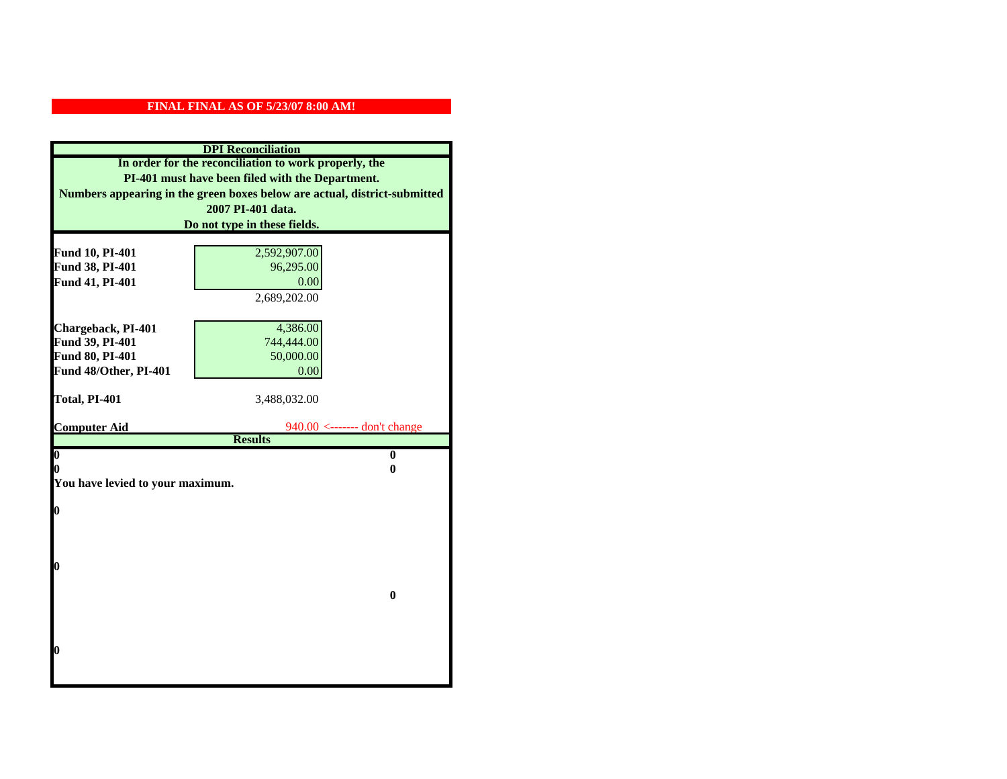|                                       | <b>DPI</b> Reconciliation                                                 |
|---------------------------------------|---------------------------------------------------------------------------|
|                                       | In order for the reconciliation to work properly, the                     |
|                                       | PI-401 must have been filed with the Department.                          |
|                                       | Numbers appearing in the green boxes below are actual, district-submitted |
|                                       | 2007 PI-401 data.                                                         |
|                                       | Do not type in these fields.                                              |
|                                       |                                                                           |
| Fund 10, PI-401                       | 2,592,907.00                                                              |
| Fund 38, PI-401                       | 96,295.00                                                                 |
| Fund 41, PI-401                       | 0.00                                                                      |
|                                       | 2,689,202.00                                                              |
|                                       |                                                                           |
| Chargeback, PI-401<br>Fund 39, PI-401 | 4,386.00<br>744,444.00                                                    |
| Fund 80, PI-401                       | 50,000.00                                                                 |
| Fund 48/Other, PI-401                 | 0.00                                                                      |
|                                       |                                                                           |
| Total, PI-401                         | 3,488,032.00                                                              |
|                                       |                                                                           |
| <b>Computer Aid</b>                   | $940.00$ <------- don't change                                            |
|                                       | <b>Results</b>                                                            |
| $\overline{\mathbf{0}}$<br>0          | $\bf{0}$<br>0                                                             |
| You have levied to your maximum.      |                                                                           |
|                                       |                                                                           |
| $\bf{0}$                              |                                                                           |
|                                       |                                                                           |
|                                       |                                                                           |
|                                       |                                                                           |
| l0                                    |                                                                           |
|                                       |                                                                           |
|                                       | $\bf{0}$                                                                  |
|                                       |                                                                           |
|                                       |                                                                           |
| $\boldsymbol{0}$                      |                                                                           |
|                                       |                                                                           |
|                                       |                                                                           |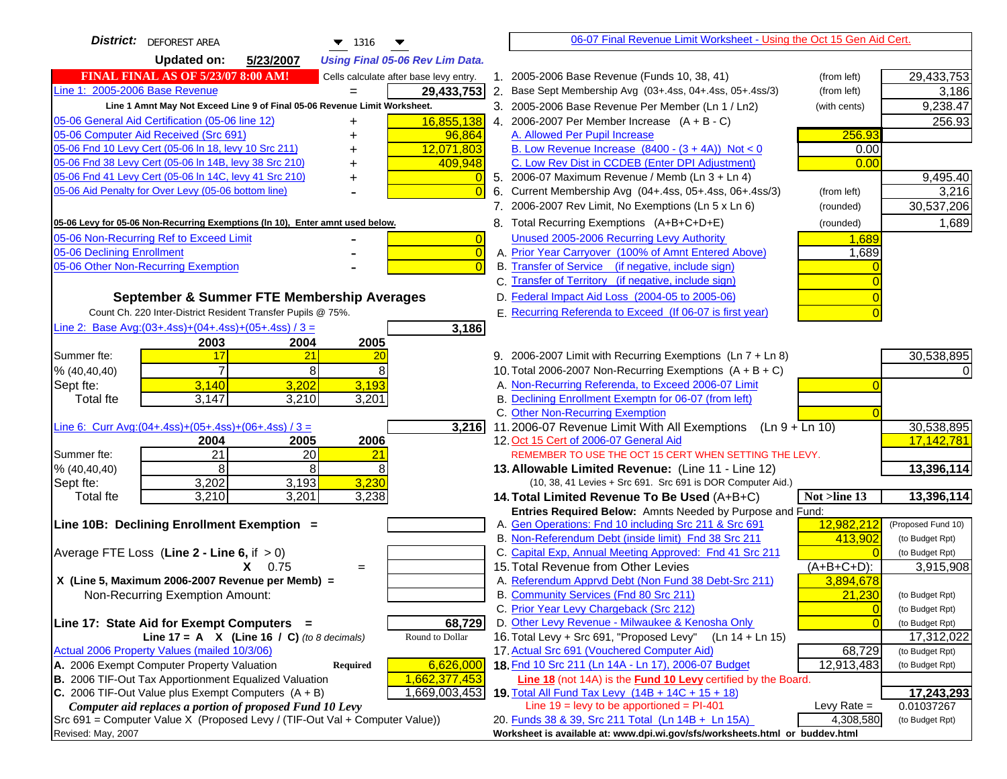| <b>District:</b> DEFOREST AREA<br>$\blacktriangledown$ 1316                         | 06-07 Final Revenue Limit Worksheet - Using the Oct 15 Gen Aid Cert.                                                             |                    |
|-------------------------------------------------------------------------------------|----------------------------------------------------------------------------------------------------------------------------------|--------------------|
| <b>Updated on:</b><br>5/23/2007<br><b>Using Final 05-06 Rev Lim Data.</b>           |                                                                                                                                  |                    |
| <b>FINAL FINAL AS OF 5/23/07 8:00 AM!</b><br>Cells calculate after base levy entry. | 1. 2005-2006 Base Revenue (Funds 10, 38, 41)<br>(from left)                                                                      | 29,433,753         |
| Line 1: 2005-2006 Base Revenue<br>29,433,753                                        | 2. Base Sept Membership Avg (03+.4ss, 04+.4ss, 05+.4ss/3)<br>(from left)                                                         | 3,186              |
| Line 1 Amnt May Not Exceed Line 9 of Final 05-06 Revenue Limit Worksheet.           | 3. 2005-2006 Base Revenue Per Member (Ln 1 / Ln2)<br>(with cents)                                                                | 9,238.47           |
| 05-06 General Aid Certification (05-06 line 12)<br>16,855,138<br>+                  | 4. 2006-2007 Per Member Increase $(A + B - C)$                                                                                   | 256.93             |
| 05-06 Computer Aid Received (Src 691)<br>96,864                                     | 256.93<br>A. Allowed Per Pupil Increase                                                                                          |                    |
| 05-06 Fnd 10 Levy Cert (05-06 In 18, levy 10 Src 211)<br>12,071,803                 | B. Low Revenue Increase $(8400 - (3 + 4A))$ Not < 0<br>0.00                                                                      |                    |
| 05-06 Fnd 38 Levy Cert (05-06 In 14B, levy 38 Src 210)<br>409,948                   | C. Low Rev Dist in CCDEB (Enter DPI Adjustment)<br>0.00                                                                          |                    |
| 05-06 Fnd 41 Levy Cert (05-06 In 14C, levy 41 Src 210)                              | 5. 2006-07 Maximum Revenue / Memb (Ln 3 + Ln 4)                                                                                  | 9,495.40           |
| 05-06 Aid Penalty for Over Levy (05-06 bottom line)<br>$\Omega$                     | Current Membership Avg (04+.4ss, 05+.4ss, 06+.4ss/3)<br>6.<br>(from left)                                                        | 3,216              |
|                                                                                     | 7. 2006-2007 Rev Limit, No Exemptions (Ln 5 x Ln 6)<br>(rounded)                                                                 | 30,537,206         |
| 05-06 Levy for 05-06 Non-Recurring Exemptions (In 10), Enter amnt used below.       | 8. Total Recurring Exemptions (A+B+C+D+E)<br>(rounded)                                                                           | 1,689              |
| 05-06 Non-Recurring Ref to Exceed Limit<br>$\overline{0}$                           | Unused 2005-2006 Recurring Levy Authority<br>1,689                                                                               |                    |
| 05-06 Declining Enrollment<br>$\overline{0}$                                        | A. Prior Year Carryover (100% of Amnt Entered Above)<br>1,689                                                                    |                    |
| 05-06 Other Non-Recurring Exemption<br>$\Omega$                                     | B. Transfer of Service (if negative, include sign)                                                                               |                    |
|                                                                                     | C. Transfer of Territory (if negative, include sign)                                                                             |                    |
| September & Summer FTE Membership Averages                                          | D. Federal Impact Aid Loss (2004-05 to 2005-06)                                                                                  |                    |
| Count Ch. 220 Inter-District Resident Transfer Pupils @ 75%.                        | E. Recurring Referenda to Exceed (If 06-07 is first year)                                                                        |                    |
| Line 2: Base Avg:(03+.4ss)+(04+.4ss)+(05+.4ss) / 3 =<br>3,186                       |                                                                                                                                  |                    |
| 2003<br>2004<br>2005                                                                |                                                                                                                                  |                    |
| 21<br>Summer fte:<br>17<br>20                                                       | 9. 2006-2007 Limit with Recurring Exemptions (Ln 7 + Ln 8)                                                                       | 30,538,895         |
| 8<br>8<br>% (40, 40, 40)                                                            | 10. Total 2006-2007 Non-Recurring Exemptions $(A + B + C)$                                                                       |                    |
| 3,202<br>3,193<br>3,140<br>Sept fte:                                                | A. Non-Recurring Referenda, to Exceed 2006-07 Limit                                                                              |                    |
| 3,147<br>3,210<br>3,201<br><b>Total fte</b>                                         | B. Declining Enrollment Exemptn for 06-07 (from left)                                                                            |                    |
|                                                                                     | C. Other Non-Recurring Exemption                                                                                                 |                    |
| Line 6: Curr Avg: $(04+.4ss)+(05+.4ss)+(06+.4ss)/3=$<br>3,216                       | 11.2006-07 Revenue Limit With All Exemptions<br>$(Ln 9 + Ln 10)$                                                                 | 30,538,895         |
| 2005<br>2006<br>2004                                                                | 12. Oct 15 Cert of 2006-07 General Aid                                                                                           | 17,142,781         |
| $\overline{21}$<br>$\overline{20}$<br>21<br>Summer fte:                             | REMEMBER TO USE THE OCT 15 CERT WHEN SETTING THE LEVY.                                                                           |                    |
| 8<br>8<br>8<br>% (40, 40, 40)                                                       | 13. Allowable Limited Revenue: (Line 11 - Line 12)                                                                               | 13,396,114         |
| 3,230<br>3,202<br>3,193<br>Sept fte:                                                | (10, 38, 41 Levies + Src 691. Src 691 is DOR Computer Aid.)                                                                      |                    |
| 3,201<br>3,210<br>3,238<br><b>Total fte</b>                                         | 14. Total Limited Revenue To Be Used (A+B+C)<br>Not >line 13                                                                     | 13,396,114         |
| Line 10B: Declining Enrollment Exemption =                                          | Entries Required Below: Amnts Needed by Purpose and Fund:<br>12,982,212<br>A. Gen Operations: Fnd 10 including Src 211 & Src 691 | (Proposed Fund 10) |
|                                                                                     | B. Non-Referendum Debt (inside limit) Fnd 38 Src 211<br>413,902                                                                  | (to Budget Rpt)    |
| Average FTE Loss (Line $2 -$ Line 6, if $> 0$ )                                     | C. Capital Exp, Annual Meeting Approved: Fnd 41 Src 211                                                                          | (to Budget Rpt)    |
| $X = 0.75$<br>$=$                                                                   | 15. Total Revenue from Other Levies<br>$(A+B+C+D)$ :                                                                             | 3,915,908          |
| X (Line 5, Maximum 2006-2007 Revenue per Memb) =                                    | A. Referendum Apprvd Debt (Non Fund 38 Debt-Src 211)<br>3,894,678                                                                |                    |
| Non-Recurring Exemption Amount:                                                     | B. Community Services (Fnd 80 Src 211)<br>21,230                                                                                 | (to Budget Rpt)    |
|                                                                                     | C. Prior Year Levy Chargeback (Src 212)<br>$\overline{0}$                                                                        | (to Budget Rpt)    |
| 68,729<br>Line 17: State Aid for Exempt Computers =                                 | D. Other Levy Revenue - Milwaukee & Kenosha Only<br>$\Omega$                                                                     | (to Budget Rpt)    |
| Round to Dollar<br>Line 17 = A $X$ (Line 16 / C) (to 8 decimals)                    | 16. Total Levy + Src 691, "Proposed Levy"<br>$(Ln 14 + Ln 15)$                                                                   | 17,312,022         |
| Actual 2006 Property Values (mailed 10/3/06)                                        | 17. Actual Src 691 (Vouchered Computer Aid)<br>68,729                                                                            | (to Budget Rpt)    |
| A. 2006 Exempt Computer Property Valuation<br>6,626,000<br><b>Required</b>          | 18. Fnd 10 Src 211 (Ln 14A - Ln 17), 2006-07 Budget<br>12,913,483                                                                | (to Budget Rpt)    |
| B. 2006 TIF-Out Tax Apportionment Equalized Valuation<br>1,662,377,453              | Line 18 (not 14A) is the <b>Fund 10 Levy</b> certified by the Board.                                                             |                    |
| C. 2006 TIF-Out Value plus Exempt Computers $(A + B)$<br>1,669,003,453              | 19. Total All Fund Tax Levy (14B + 14C + 15 + 18)                                                                                | 17,243,293         |
| Computer aid replaces a portion of proposed Fund 10 Levy                            | Line $19 = \text{levy}$ to be apportioned = PI-401<br>Levy Rate $=$                                                              | 0.01037267         |
| Src 691 = Computer Value X (Proposed Levy / (TIF-Out Val + Computer Value))         | 20. Funds 38 & 39, Src 211 Total (Ln 14B + Ln 15A)<br>4,308,580                                                                  | (to Budget Rpt)    |
| Revised: May, 2007                                                                  | Worksheet is available at: www.dpi.wi.gov/sfs/worksheets.html or buddev.html                                                     |                    |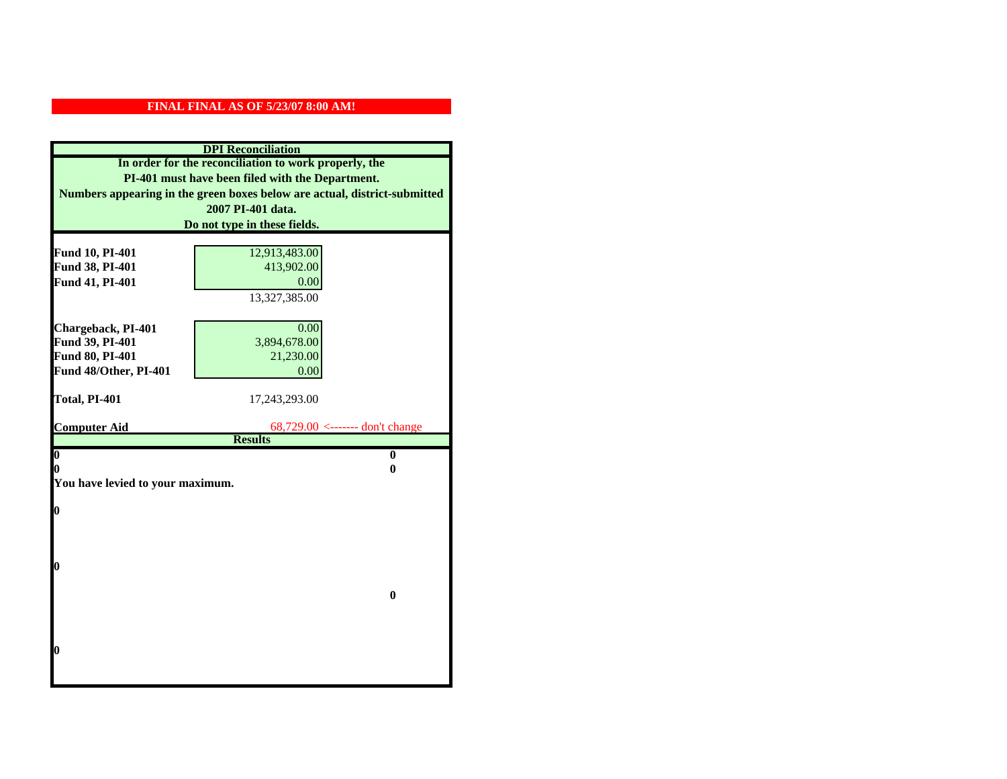|                                  | <b>DPI</b> Reconciliation                                                 |
|----------------------------------|---------------------------------------------------------------------------|
|                                  | In order for the reconciliation to work properly, the                     |
|                                  | PI-401 must have been filed with the Department.                          |
|                                  | Numbers appearing in the green boxes below are actual, district-submitted |
|                                  | 2007 PI-401 data.                                                         |
|                                  | Do not type in these fields.                                              |
|                                  |                                                                           |
| Fund 10, PI-401                  | 12,913,483.00                                                             |
| Fund 38, PI-401                  | 413,902.00                                                                |
| Fund 41, PI-401                  | 0.00                                                                      |
|                                  | 13,327,385.00                                                             |
|                                  |                                                                           |
| Chargeback, PI-401               | 0.00                                                                      |
| Fund 39, PI-401                  | 3,894,678.00                                                              |
| Fund 80, PI-401                  | 21,230.00                                                                 |
| Fund 48/Other, PI-401            | 0.00                                                                      |
|                                  |                                                                           |
| Total, PI-401                    | 17,243,293.00                                                             |
| <b>Computer Aid</b>              | $68,729.00 \le$ ------- don't change                                      |
|                                  | <b>Results</b>                                                            |
| $\overline{\mathbf{0}}$          | $\bf{0}$                                                                  |
| 0                                | 0                                                                         |
| You have levied to your maximum. |                                                                           |
|                                  |                                                                           |
| $\bf{0}$                         |                                                                           |
|                                  |                                                                           |
|                                  |                                                                           |
| l0                               |                                                                           |
|                                  |                                                                           |
|                                  | $\bf{0}$                                                                  |
|                                  |                                                                           |
|                                  |                                                                           |
|                                  |                                                                           |
| $\boldsymbol{0}$                 |                                                                           |
|                                  |                                                                           |
|                                  |                                                                           |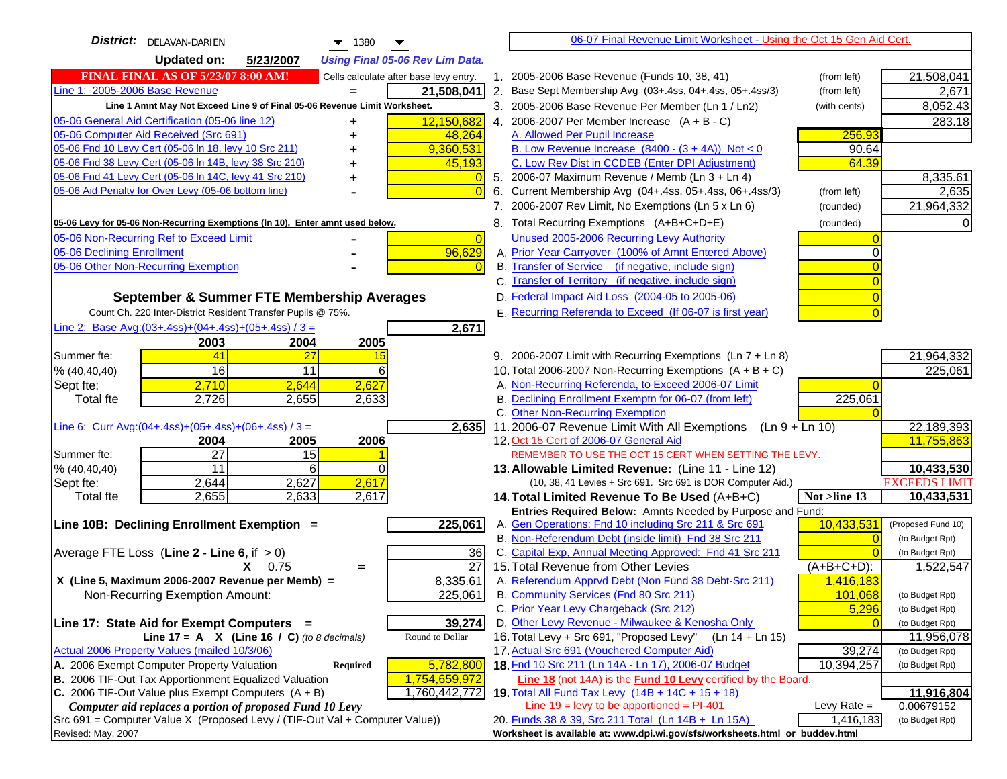| <b>District:</b> DELAVAN-DARIEN<br>$\blacktriangledown$ 1380                                           | 06-07 Final Revenue Limit Worksheet - Using the Oct 15 Gen Aid Cert.                                                               |                      |
|--------------------------------------------------------------------------------------------------------|------------------------------------------------------------------------------------------------------------------------------------|----------------------|
| <b>Updated on:</b><br>5/23/2007<br><b>Using Final 05-06 Rev Lim Data.</b>                              |                                                                                                                                    |                      |
| <b>FINAL FINAL AS OF 5/23/07 8:00 AM!</b><br>Cells calculate after base levy entry.                    | 1. 2005-2006 Base Revenue (Funds 10, 38, 41)<br>(from left)                                                                        | 21,508,041           |
| Line 1: 2005-2006 Base Revenue<br>21,508,041                                                           | 2. Base Sept Membership Avg (03+.4ss, 04+.4ss, 05+.4ss/3)<br>(from left)                                                           | 2,671                |
| Line 1 Amnt May Not Exceed Line 9 of Final 05-06 Revenue Limit Worksheet.                              | 3. 2005-2006 Base Revenue Per Member (Ln 1 / Ln2)<br>(with cents)                                                                  | 8,052.43             |
| 12,150,682<br>05-06 General Aid Certification (05-06 line 12)                                          | 4. 2006-2007 Per Member Increase $(A + B - C)$                                                                                     | 283.18               |
| 05-06 Computer Aid Received (Src 691)<br>48,264                                                        | 256.93<br>A. Allowed Per Pupil Increase                                                                                            |                      |
| 05-06 Fnd 10 Levy Cert (05-06 ln 18, levy 10 Src 211)<br>9,360,531                                     | B. Low Revenue Increase $(8400 - (3 + 4A))$ Not < 0<br>90.64                                                                       |                      |
| 05-06 Fnd 38 Levy Cert (05-06 In 14B, levy 38 Src 210)<br>45,193                                       | C. Low Rev Dist in CCDEB (Enter DPI Adjustment)<br>64.39                                                                           |                      |
| 05-06 Fnd 41 Levy Cert (05-06 In 14C, levy 41 Src 210)<br>+                                            | 5. 2006-07 Maximum Revenue / Memb (Ln $3 + \text{Ln } 4$ )                                                                         | 8,335.61             |
| 05-06 Aid Penalty for Over Levy (05-06 bottom line)                                                    | Current Membership Avg (04+.4ss, 05+.4ss, 06+.4ss/3)<br>6.<br>(from left)                                                          | 2,635                |
|                                                                                                        | 7. 2006-2007 Rev Limit, No Exemptions (Ln 5 x Ln 6)<br>(rounded)                                                                   | 21,964,332           |
| 05-06 Levy for 05-06 Non-Recurring Exemptions (In 10), Enter amnt used below.                          | 8. Total Recurring Exemptions (A+B+C+D+E)<br>(rounded)                                                                             |                      |
| 05-06 Non-Recurring Ref to Exceed Limit<br>$\overline{0}$                                              | Unused 2005-2006 Recurring Levy Authority                                                                                          |                      |
| 96,629<br>05-06 Declining Enrollment                                                                   | A. Prior Year Carryover (100% of Amnt Entered Above)                                                                               |                      |
| 05-06 Other Non-Recurring Exemption                                                                    | B. Transfer of Service (if negative, include sign)                                                                                 |                      |
|                                                                                                        | C. Transfer of Territory (if negative, include sign)                                                                               |                      |
| September & Summer FTE Membership Averages                                                             | D. Federal Impact Aid Loss (2004-05 to 2005-06)                                                                                    |                      |
| Count Ch. 220 Inter-District Resident Transfer Pupils @ 75%.                                           | E. Recurring Referenda to Exceed (If 06-07 is first year)                                                                          |                      |
| Line 2: Base Avg:(03+.4ss)+(04+.4ss)+(05+.4ss) / 3 =<br>2,671                                          |                                                                                                                                    |                      |
| 2003<br>2004<br>2005                                                                                   |                                                                                                                                    |                      |
| 41<br>Summer fte:<br>27<br>15                                                                          | 9. 2006-2007 Limit with Recurring Exemptions (Ln 7 + Ln 8)                                                                         | 21,964,332           |
| 16<br>11<br>6<br>% (40, 40, 40)                                                                        | 10. Total 2006-2007 Non-Recurring Exemptions $(A + B + C)$                                                                         | 225,061              |
| 2,627<br>2,710<br>2,644<br>Sept fte:                                                                   | A. Non-Recurring Referenda, to Exceed 2006-07 Limit                                                                                |                      |
| <b>Total fte</b><br>2,726<br>2,655<br>2,633                                                            | B. Declining Enrollment Exemptn for 06-07 (from left)<br>225,061                                                                   |                      |
|                                                                                                        | C. Other Non-Recurring Exemption                                                                                                   |                      |
| Line 6: Curr Avg: $(04+.4ss)+(05+.4ss)+(06+.4ss)/3 =$<br>$\overline{2,635}$                            | 11.2006-07 Revenue Limit With All Exemptions (Ln $9 + \overline{\text{Ln }10}$ )                                                   | 22,189,393           |
| 2006<br>2005<br>2004<br>$\overline{27}$<br>Summer fte:<br>15                                           | 12. Oct 15 Cert of 2006-07 General Aid<br>REMEMBER TO USE THE OCT 15 CERT WHEN SETTING THE LEVY.                                   | 11,755,863           |
| 6<br>11<br>% (40, 40, 40)                                                                              | 13. Allowable Limited Revenue: (Line 11 - Line 12)                                                                                 | 10,433,530           |
| 2,627<br>2,617<br>2,644<br>Sept fte:                                                                   | (10, 38, 41 Levies + Src 691. Src 691 is DOR Computer Aid.)                                                                        | <b>EXCEEDS LIMIT</b> |
| 2,617<br>2,655<br>2,633<br><b>Total fte</b>                                                            | Not >line 13<br>14. Total Limited Revenue To Be Used $(A+B+C)$                                                                     | 10,433,531           |
|                                                                                                        | Entries Required Below: Amnts Needed by Purpose and Fund:                                                                          |                      |
| 225,061<br>Line 10B: Declining Enrollment Exemption =                                                  | 10,433,531<br>A. Gen Operations: Fnd 10 including Src 211 & Src 691                                                                | (Proposed Fund 10)   |
|                                                                                                        | B. Non-Referendum Debt (inside limit) Fnd 38 Src 211                                                                               | (to Budget Rpt)      |
| Average FTE Loss (Line $2 -$ Line 6, if $> 0$ )<br>36                                                  | C. Capital Exp, Annual Meeting Approved: Fnd 41 Src 211                                                                            | (to Budget Rpt)      |
| 27<br>$X = 0.75$<br>$=$                                                                                | 15. Total Revenue from Other Levies<br>$(A+B+C+D)$ :                                                                               | 1,522,547            |
| X (Line 5, Maximum 2006-2007 Revenue per Memb) =<br>8,335.61                                           | A. Referendum Apprvd Debt (Non Fund 38 Debt-Src 211)<br>1,416,183                                                                  |                      |
| 225,061<br>Non-Recurring Exemption Amount:                                                             | B. Community Services (Fnd 80 Src 211)<br>101.068                                                                                  | (to Budget Rpt)      |
|                                                                                                        | C. Prior Year Levy Chargeback (Src 212)<br>5,296                                                                                   | (to Budget Rpt)      |
| 39,274<br>Line 17: State Aid for Exempt Computers =                                                    | D. Other Levy Revenue - Milwaukee & Kenosha Only                                                                                   | (to Budget Rpt)      |
| Round to Dollar<br>Line 17 = A $X$ (Line 16 / C) (to 8 decimals)                                       | 16. Total Levy + Src 691, "Proposed Levy" (Ln 14 + Ln 15)                                                                          | 11,956,078           |
| Actual 2006 Property Values (mailed 10/3/06)<br>A. 2006 Exempt Computer Property Valuation             | 17. Actual Src 691 (Vouchered Computer Aid)<br>39,274                                                                              | (to Budget Rpt)      |
| 5,782,800<br><b>Required</b><br>B. 2006 TIF-Out Tax Apportionment Equalized Valuation<br>1,754,659,972 | 18. Fnd 10 Src 211 (Ln 14A - Ln 17), 2006-07 Budget<br>10,394,257<br>Line 18 (not 14A) is the Fund 10 Levy certified by the Board. | (to Budget Rpt)      |
| C. 2006 TIF-Out Value plus Exempt Computers $(A + B)$<br>1,760,442,772                                 | 19. Total All Fund Tax Levy (14B + 14C + 15 + 18)                                                                                  | 11,916,804           |
| Computer aid replaces a portion of proposed Fund 10 Levy                                               | Line $19 = \text{levy}$ to be apportioned = PI-401<br>Levy Rate $=$                                                                | 0.00679152           |
| Src 691 = Computer Value X (Proposed Levy / (TIF-Out Val + Computer Value))                            | 20. Funds 38 & 39, Src 211 Total (Ln 14B + Ln 15A)<br>1,416,183                                                                    | (to Budget Rpt)      |
| Revised: May, 2007                                                                                     | Worksheet is available at: www.dpi.wi.gov/sfs/worksheets.html or buddev.html                                                       |                      |
|                                                                                                        |                                                                                                                                    |                      |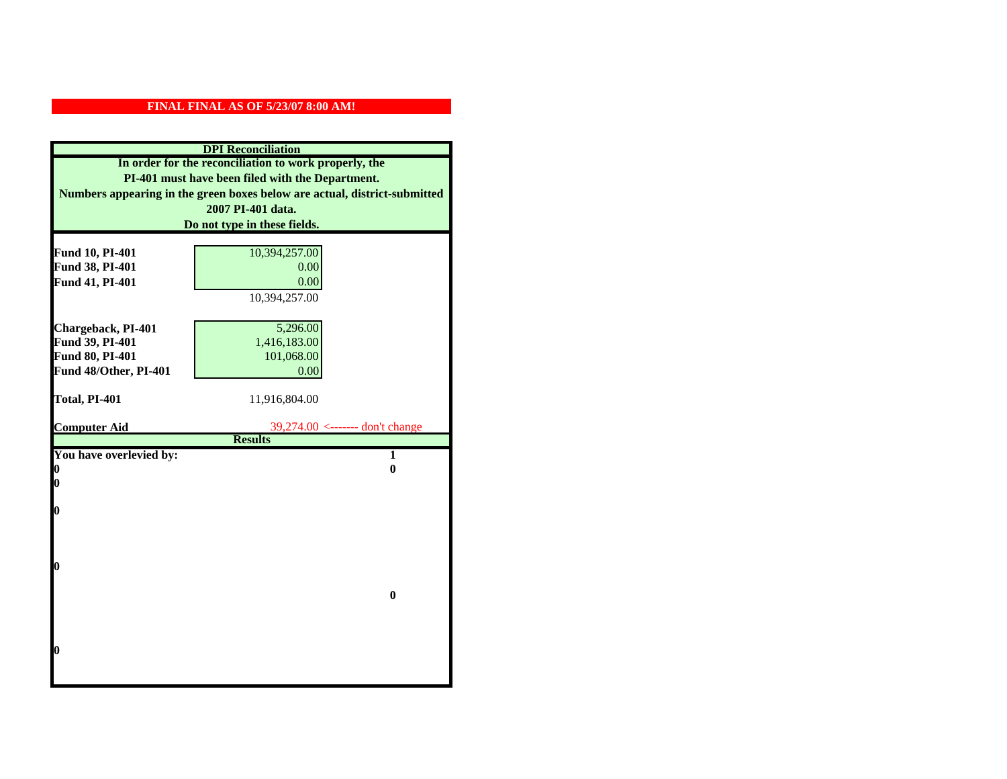|                         | <b>DPI</b> Reconciliation                                                 |
|-------------------------|---------------------------------------------------------------------------|
|                         | In order for the reconciliation to work properly, the                     |
|                         | PI-401 must have been filed with the Department.                          |
|                         | Numbers appearing in the green boxes below are actual, district-submitted |
|                         | 2007 PI-401 data.                                                         |
|                         | Do not type in these fields.                                              |
|                         |                                                                           |
| Fund 10, PI-401         | 10,394,257.00                                                             |
| Fund 38, PI-401         | 0.00                                                                      |
| Fund 41, PI-401         | 0.00                                                                      |
|                         | 10,394,257.00                                                             |
|                         |                                                                           |
| Chargeback, PI-401      | 5,296.00                                                                  |
| Fund 39, PI-401         | 1,416,183.00                                                              |
| Fund 80, PI-401         | 101,068.00                                                                |
| Fund 48/Other, PI-401   | 0.00                                                                      |
|                         |                                                                           |
| Total, PI-401           | 11,916,804.00                                                             |
|                         |                                                                           |
| <b>Computer Aid</b>     | 39,274.00 <------- don't change<br><b>Results</b>                         |
| You have overlevied by: | $\overline{1}$                                                            |
| 0                       | $\bf{0}$                                                                  |
| 0                       |                                                                           |
|                         |                                                                           |
| 0                       |                                                                           |
|                         |                                                                           |
|                         |                                                                           |
|                         |                                                                           |
| 0                       |                                                                           |
|                         |                                                                           |
|                         | $\bf{0}$                                                                  |
|                         |                                                                           |
|                         |                                                                           |
| O                       |                                                                           |
|                         |                                                                           |
|                         |                                                                           |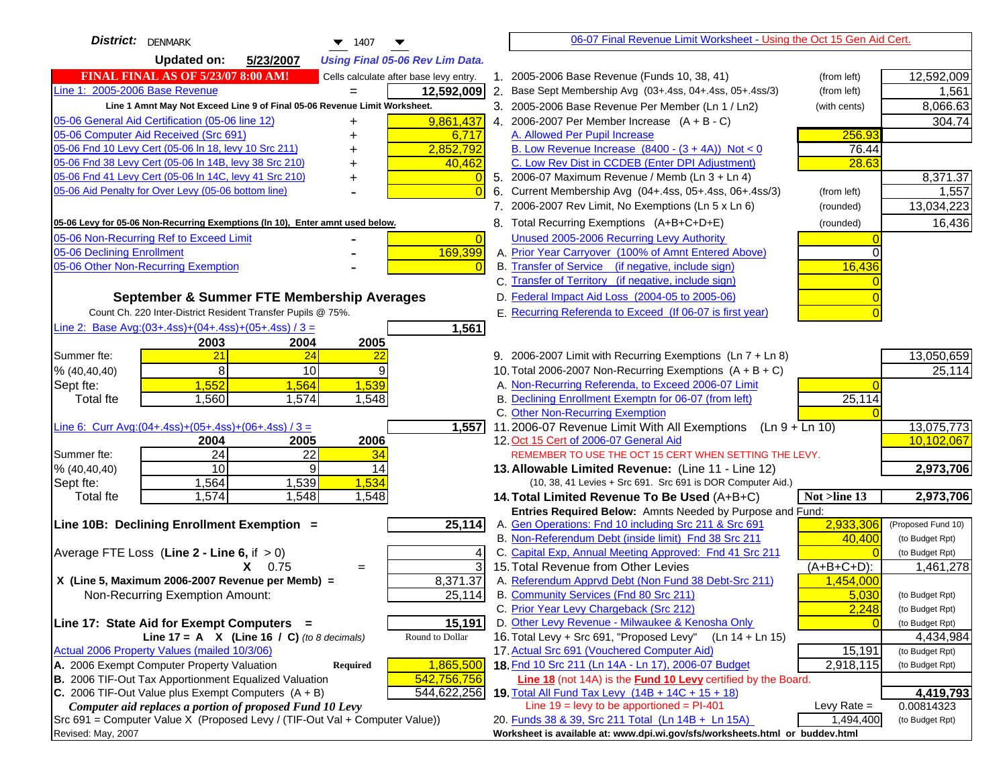| <b>District:</b> DENMARK<br>$\blacktriangledown$ 1407                                         |    | 06-07 Final Revenue Limit Worksheet - Using the Oct 15 Gen Aid Cert.                                          |                 |                              |
|-----------------------------------------------------------------------------------------------|----|---------------------------------------------------------------------------------------------------------------|-----------------|------------------------------|
| <b>Updated on:</b><br>5/23/2007<br><b>Using Final 05-06 Rev Lim Data.</b>                     |    |                                                                                                               |                 |                              |
| <b>FINAL FINAL AS OF 5/23/07 8:00 AM!</b><br>Cells calculate after base levy entry.           |    | 1. 2005-2006 Base Revenue (Funds 10, 38, 41)                                                                  | (from left)     | 12,592,009                   |
| Line 1: 2005-2006 Base Revenue<br>12,592,009                                                  | 2. | Base Sept Membership Avg (03+.4ss, 04+.4ss, 05+.4ss/3)                                                        | (from left)     | 1,561                        |
| Line 1 Amnt May Not Exceed Line 9 of Final 05-06 Revenue Limit Worksheet.                     |    | 3. 2005-2006 Base Revenue Per Member (Ln 1 / Ln2)                                                             | (with cents)    | 8,066.63                     |
| 9,861,437<br>05-06 General Aid Certification (05-06 line 12)<br>+                             |    | 4. 2006-2007 Per Member Increase $(A + B - C)$                                                                |                 | 304.74                       |
| 05-06 Computer Aid Received (Src 691)<br>6,717                                                |    | A. Allowed Per Pupil Increase                                                                                 | 256.93          |                              |
| 05-06 Fnd 10 Levy Cert (05-06 In 18, levy 10 Src 211)<br>2,852,792                            |    | B. Low Revenue Increase $(8400 - (3 + 4A))$ Not < 0                                                           | 76.44           |                              |
| 05-06 Fnd 38 Levy Cert (05-06 In 14B, levy 38 Src 210)<br>40,462                              |    | C. Low Rev Dist in CCDEB (Enter DPI Adjustment)                                                               | 28.63           |                              |
| 05-06 Fnd 41 Levy Cert (05-06 In 14C, levy 41 Src 210)                                        |    | 5. 2006-07 Maximum Revenue / Memb (Ln 3 + Ln 4)                                                               |                 | 8,371.37                     |
| 05-06 Aid Penalty for Over Levy (05-06 bottom line)<br>$\Omega$                               |    | 6. Current Membership Avg (04+.4ss, 05+.4ss, 06+.4ss/3)                                                       | (from left)     | 1,557                        |
|                                                                                               |    | 7. 2006-2007 Rev Limit, No Exemptions (Ln 5 x Ln 6)                                                           | (rounded)       | 13,034,223                   |
| 05-06 Levy for 05-06 Non-Recurring Exemptions (In 10), Enter amnt used below.                 |    | 8. Total Recurring Exemptions (A+B+C+D+E)                                                                     | (rounded)       | 16,436                       |
| 05-06 Non-Recurring Ref to Exceed Limit<br>$\Omega$                                           |    | Unused 2005-2006 Recurring Levy Authority                                                                     |                 |                              |
| 169,399<br>05-06 Declining Enrollment                                                         |    | A. Prior Year Carryover (100% of Amnt Entered Above)                                                          |                 |                              |
| 05-06 Other Non-Recurring Exemption<br>$\Omega$                                               |    | B. Transfer of Service (if negative, include sign)                                                            | 16,436          |                              |
|                                                                                               |    | C. Transfer of Territory (if negative, include sign)                                                          |                 |                              |
| September & Summer FTE Membership Averages                                                    |    | D. Federal Impact Aid Loss (2004-05 to 2005-06)                                                               |                 |                              |
| Count Ch. 220 Inter-District Resident Transfer Pupils @ 75%.                                  |    | E. Recurring Referenda to Exceed (If 06-07 is first year)                                                     |                 |                              |
| Line 2: Base Avg: (03+.4ss) + (04+.4ss) + (05+.4ss) / 3 =<br>1,561                            |    |                                                                                                               |                 |                              |
| 2003<br>2004<br>2005                                                                          |    |                                                                                                               |                 |                              |
| 21<br>Summer fte:<br>24<br>22                                                                 |    | 9. 2006-2007 Limit with Recurring Exemptions $(ln 7 + Ln 8)$                                                  |                 | 13,050,659                   |
| 9<br>8<br>10<br>% (40, 40, 40)                                                                |    | 10. Total 2006-2007 Non-Recurring Exemptions $(A + B + C)$                                                    |                 | 25,114                       |
| 1,552<br>1,564<br>1,539<br>Sept fte:                                                          |    | A. Non-Recurring Referenda, to Exceed 2006-07 Limit                                                           |                 |                              |
| 1,560<br>1,574<br>1,548<br><b>Total</b> fte                                                   |    | B. Declining Enrollment Exemptn for 06-07 (from left)                                                         | 25,114          |                              |
|                                                                                               |    | C. Other Non-Recurring Exemption<br>$(Ln 9 + Ln 10)$                                                          |                 | 13,075,773                   |
| Line 6: Curr Avg: $(04+.4ss)+(05+.4ss)+(06+.4ss)/3 =$<br>1,557<br>2006<br>2004<br>2005        |    | 11.2006-07 Revenue Limit With All Exemptions<br>12. Oct 15 Cert of 2006-07 General Aid                        |                 | 10,102,067                   |
| $\overline{24}$<br>$\overline{22}$<br>Summer fte:<br>34                                       |    | REMEMBER TO USE THE OCT 15 CERT WHEN SETTING THE LEVY.                                                        |                 |                              |
| $\overline{10}$<br>9<br>14<br>% (40, 40, 40)                                                  |    | 13. Allowable Limited Revenue: (Line 11 - Line 12)                                                            |                 | 2,973,706                    |
| 1,564<br>1,539<br>1,534<br>Sept fte:                                                          |    | (10, 38, 41 Levies + Src 691. Src 691 is DOR Computer Aid.)                                                   |                 |                              |
| 1,548<br>1,574<br>1,548<br>Total fte                                                          |    | 14. Total Limited Revenue To Be Used (A+B+C)                                                                  | Not $>$ line 13 | 2,973,706                    |
|                                                                                               |    | Entries Required Below: Amnts Needed by Purpose and Fund:                                                     |                 |                              |
| 25,114<br>Line 10B: Declining Enrollment Exemption =                                          |    | A. Gen Operations: Fnd 10 including Src 211 & Src 691                                                         | 2,933,306       | (Proposed Fund 10)           |
|                                                                                               |    | B. Non-Referendum Debt (inside limit) Fnd 38 Src 211                                                          | 40,400          | (to Budget Rpt)              |
| Average FTE Loss (Line $2 -$ Line 6, if $> 0$ )<br>4                                          |    | C. Capital Exp, Annual Meeting Approved: Fnd 41 Src 211                                                       |                 | (to Budget Rpt)              |
| 3<br>$X = 0.75$<br>$=$                                                                        |    | 15. Total Revenue from Other Levies                                                                           | $(A+B+C+D)$ :   | 1,461,278                    |
| X (Line 5, Maximum 2006-2007 Revenue per Memb) =<br>8,371.37                                  |    | A. Referendum Apprvd Debt (Non Fund 38 Debt-Src 211)                                                          | 1,454,000       |                              |
| Non-Recurring Exemption Amount:<br>25,114                                                     |    | B. Community Services (Fnd 80 Src 211)                                                                        | 5,030           | (to Budget Rpt)              |
|                                                                                               |    | C. Prior Year Levy Chargeback (Src 212)                                                                       | 2,248           | (to Budget Rpt)              |
| 15,191<br>Line 17: State Aid for Exempt Computers =<br>Round to Dollar                        |    | D. Other Levy Revenue - Milwaukee & Kenosha Only<br>16. Total Levy + Src 691, "Proposed Levy" (Ln 14 + Ln 15) |                 | (to Budget Rpt)              |
| Line 17 = A $X$ (Line 16 / C) (to 8 decimals)<br>Actual 2006 Property Values (mailed 10/3/06) |    | 17. Actual Src 691 (Vouchered Computer Aid)                                                                   | 15,191          | 4,434,984<br>(to Budget Rpt) |
| 1,865,500<br>A. 2006 Exempt Computer Property Valuation<br><b>Required</b>                    |    | 18. Fnd 10 Src 211 (Ln 14A - Ln 17), 2006-07 Budget                                                           | 2,918,115       | (to Budget Rpt)              |
| B. 2006 TIF-Out Tax Apportionment Equalized Valuation<br>542,756,756                          |    | Line 18 (not 14A) is the <b>Fund 10 Levy</b> certified by the Board.                                          |                 |                              |
| C. 2006 TIF-Out Value plus Exempt Computers $(A + B)$<br>544,622,256                          |    | 19. Total All Fund Tax Levy (14B + 14C + 15 + 18)                                                             |                 | 4,419,793                    |
| Computer aid replaces a portion of proposed Fund 10 Levy                                      |    | Line $19$ = levy to be apportioned = PI-401                                                                   | Levy Rate $=$   | 0.00814323                   |
| Src 691 = Computer Value X (Proposed Levy / (TIF-Out Val + Computer Value))                   |    | 20. Funds 38 & 39, Src 211 Total (Ln 14B + Ln 15A)                                                            | 1,494,400       | (to Budget Rpt)              |
| Revised: May, 2007                                                                            |    | Worksheet is available at: www.dpi.wi.gov/sfs/worksheets.html or buddev.html                                  |                 |                              |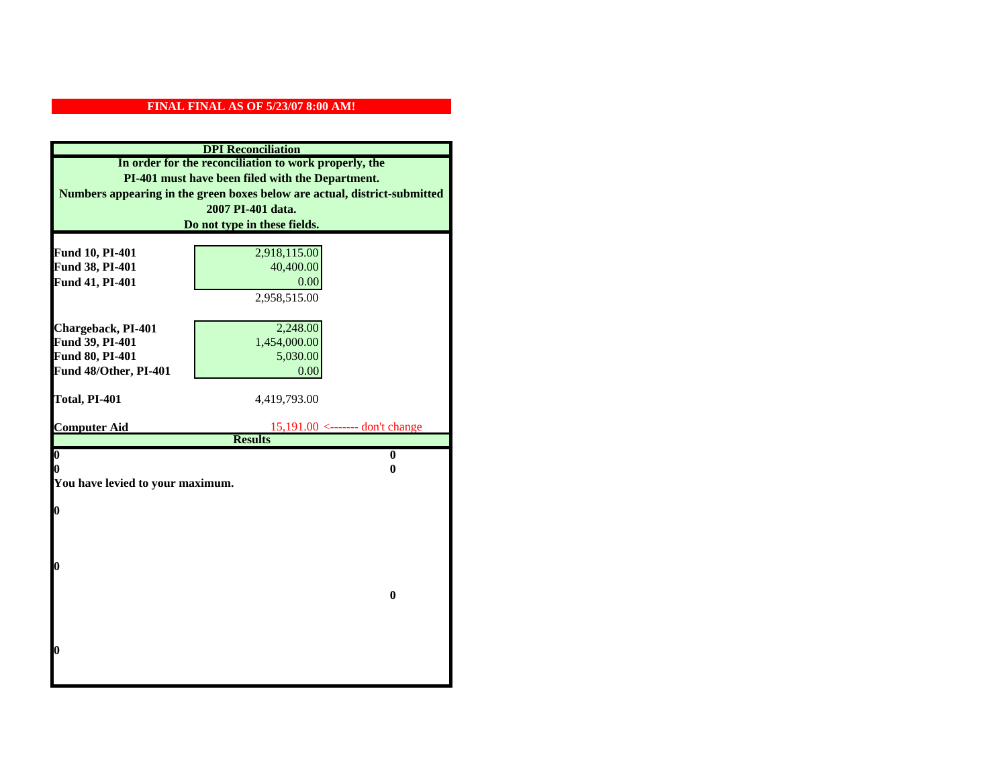|                                    | <b>DPI</b> Reconciliation                                                 |
|------------------------------------|---------------------------------------------------------------------------|
|                                    | In order for the reconciliation to work properly, the                     |
|                                    | PI-401 must have been filed with the Department.                          |
|                                    | Numbers appearing in the green boxes below are actual, district-submitted |
|                                    | 2007 PI-401 data.                                                         |
|                                    | Do not type in these fields.                                              |
|                                    |                                                                           |
| Fund 10, PI-401                    | 2,918,115.00                                                              |
| Fund 38, PI-401                    | 40,400.00                                                                 |
| Fund 41, PI-401                    | 0.00                                                                      |
|                                    | 2,958,515.00                                                              |
|                                    |                                                                           |
| Chargeback, PI-401                 | 2,248.00                                                                  |
| Fund 39, PI-401<br>Fund 80, PI-401 | 1,454,000.00<br>5,030.00                                                  |
| Fund 48/Other, PI-401              | 0.00                                                                      |
|                                    |                                                                           |
| Total, PI-401                      | 4,419,793.00                                                              |
|                                    |                                                                           |
|                                    |                                                                           |
| <b>Computer Aid</b>                | $15,191.00 \le$ ------- don't change                                      |
|                                    | <b>Results</b>                                                            |
| $\overline{\mathbf{0}}$            | $\bf{0}$                                                                  |
| 0                                  | 0                                                                         |
| You have levied to your maximum.   |                                                                           |
|                                    |                                                                           |
| 0                                  |                                                                           |
|                                    |                                                                           |
|                                    |                                                                           |
| 0                                  |                                                                           |
|                                    |                                                                           |
|                                    | $\bf{0}$                                                                  |
|                                    |                                                                           |
|                                    |                                                                           |
|                                    |                                                                           |
| 0                                  |                                                                           |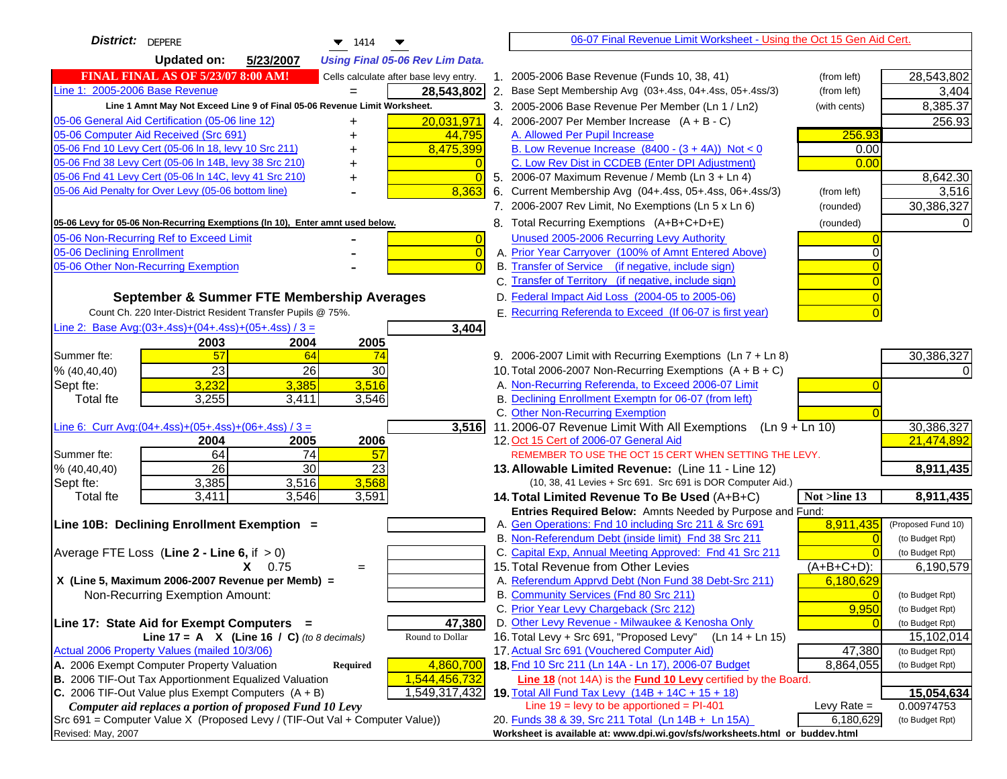| <b>District:</b> DEPERE<br>1414                                                                                                                      | 06-07 Final Revenue Limit Worksheet - Using the Oct 15 Gen Aid Cert.                                                                     |                          |
|------------------------------------------------------------------------------------------------------------------------------------------------------|------------------------------------------------------------------------------------------------------------------------------------------|--------------------------|
| <b>Updated on:</b><br>5/23/2007<br><b>Using Final 05-06 Rev Lim Data.</b>                                                                            |                                                                                                                                          |                          |
| <b>FINAL FINAL AS OF 5/23/07 8:00 AM!</b><br>Cells calculate after base levy entry.                                                                  | 1. 2005-2006 Base Revenue (Funds 10, 38, 41)<br>(from left)                                                                              | 28,543,802               |
| Line 1: 2005-2006 Base Revenue<br>28,543,802                                                                                                         | 2.<br>Base Sept Membership Avg (03+.4ss, 04+.4ss, 05+.4ss/3)<br>(from left)                                                              | 3,404                    |
| Line 1 Amnt May Not Exceed Line 9 of Final 05-06 Revenue Limit Worksheet.                                                                            | 3. 2005-2006 Base Revenue Per Member (Ln 1 / Ln2)<br>(with cents)                                                                        | 8,385.37                 |
| 20,031,971<br>05-06 General Aid Certification (05-06 line 12)<br>+                                                                                   | 4. 2006-2007 Per Member Increase $(A + B - C)$                                                                                           | 256.93                   |
| 05-06 Computer Aid Received (Src 691)<br>44,795                                                                                                      | A. Allowed Per Pupil Increase<br>256.93                                                                                                  |                          |
| 05-06 Fnd 10 Levy Cert (05-06 In 18, levy 10 Src 211)<br>8,475,399                                                                                   | B. Low Revenue Increase $(8400 - (3 + 4A))$ Not < 0<br>0.00                                                                              |                          |
| 05-06 Fnd 38 Levy Cert (05-06 In 14B, levy 38 Src 210)                                                                                               | C. Low Rev Dist in CCDEB (Enter DPI Adjustment)<br>0.00                                                                                  |                          |
| 05-06 Fnd 41 Levy Cert (05-06 In 14C, levy 41 Src 210)<br>$\Omega$                                                                                   | 5. 2006-07 Maximum Revenue / Memb (Ln 3 + Ln 4)                                                                                          | 8,642.30                 |
| 05-06 Aid Penalty for Over Levy (05-06 bottom line)<br>8,363                                                                                         | 6. Current Membership Avg (04+.4ss, 05+.4ss, 06+.4ss/3)<br>(from left)                                                                   | 3,516                    |
|                                                                                                                                                      | 7. 2006-2007 Rev Limit, No Exemptions (Ln 5 x Ln 6)<br>(rounded)                                                                         | 30,386,327               |
| 05-06 Levy for 05-06 Non-Recurring Exemptions (In 10), Enter amnt used below.                                                                        | 8. Total Recurring Exemptions (A+B+C+D+E)<br>(rounded)                                                                                   |                          |
| 05-06 Non-Recurring Ref to Exceed Limit<br>$\overline{0}$                                                                                            | Unused 2005-2006 Recurring Levy Authority                                                                                                |                          |
| 05-06 Declining Enrollment<br>$\overline{0}$                                                                                                         | A. Prior Year Carryover (100% of Amnt Entered Above)                                                                                     |                          |
| 05-06 Other Non-Recurring Exemption<br>$\Omega$                                                                                                      | B. Transfer of Service (if negative, include sign)                                                                                       |                          |
|                                                                                                                                                      | C. Transfer of Territory (if negative, include sign)                                                                                     |                          |
| September & Summer FTE Membership Averages                                                                                                           | D. Federal Impact Aid Loss (2004-05 to 2005-06)                                                                                          |                          |
| Count Ch. 220 Inter-District Resident Transfer Pupils @ 75%.                                                                                         | E. Recurring Referenda to Exceed (If 06-07 is first year)                                                                                |                          |
| Line 2: Base Avg: (03+.4ss) + (04+.4ss) + (05+.4ss) / 3 =<br>3,404                                                                                   |                                                                                                                                          |                          |
| 2003<br>2004<br>2005                                                                                                                                 |                                                                                                                                          |                          |
| 57<br>Summer fte:<br>64<br>74                                                                                                                        | 9. 2006-2007 Limit with Recurring Exemptions (Ln 7 + Ln 8)                                                                               | 30,386,327               |
| $\overline{23}$<br>26<br>30<br>% (40, 40, 40)                                                                                                        | 10. Total 2006-2007 Non-Recurring Exemptions $(A + B + C)$                                                                               |                          |
| 3,232<br>3,516<br>3,385<br>Sept fte:                                                                                                                 | A. Non-Recurring Referenda, to Exceed 2006-07 Limit                                                                                      |                          |
| 3,255<br>3,546<br><b>Total fte</b><br>3,411                                                                                                          | B. Declining Enrollment Exemptn for 06-07 (from left)                                                                                    |                          |
|                                                                                                                                                      | C. Other Non-Recurring Exemption                                                                                                         |                          |
| Line 6: Curr Avg: $(04+.4ss)+(05+.4ss)+(06+.4ss)/3 =$<br>3,516<br>2006                                                                               | 11.2006-07 Revenue Limit With All Exemptions (Ln 9 + Ln 10)<br>12. Oct 15 Cert of 2006-07 General Aid                                    | 30,386,327<br>21,474,892 |
| 2004<br>2005<br>$\overline{74}$<br>64<br>57<br>Summer fte:                                                                                           | REMEMBER TO USE THE OCT 15 CERT WHEN SETTING THE LEVY.                                                                                   |                          |
| $\overline{26}$<br>$\overline{30}$<br>23<br>% (40, 40, 40)                                                                                           | 13. Allowable Limited Revenue: (Line 11 - Line 12)                                                                                       | 8,911,435                |
| 3,568<br>3,385<br>3,516<br>Sept fte:                                                                                                                 | (10, 38, 41 Levies + Src 691. Src 691 is DOR Computer Aid.)                                                                              |                          |
| 3,411<br>3,546<br>3,591<br>Total fte                                                                                                                 | Not $>$ line 13<br>14. Total Limited Revenue To Be Used (A+B+C)                                                                          | 8,911,435                |
|                                                                                                                                                      | Entries Required Below: Amnts Needed by Purpose and Fund:                                                                                |                          |
| Line 10B: Declining Enrollment Exemption =                                                                                                           | A. Gen Operations: Fnd 10 including Src 211 & Src 691<br>8,911,435                                                                       | (Proposed Fund 10)       |
|                                                                                                                                                      | B. Non-Referendum Debt (inside limit) Fnd 38 Src 211                                                                                     | (to Budget Rpt)          |
| Average FTE Loss (Line $2 -$ Line 6, if $> 0$ )                                                                                                      | C. Capital Exp, Annual Meeting Approved: Fnd 41 Src 211                                                                                  | (to Budget Rpt)          |
| $X = 0.75$<br>$=$                                                                                                                                    | 15. Total Revenue from Other Levies<br>$(A+B+C+D)$ :                                                                                     | 6,190,579                |
| X (Line 5, Maximum 2006-2007 Revenue per Memb) =                                                                                                     | A. Referendum Apprvd Debt (Non Fund 38 Debt-Src 211)<br>6,180,629                                                                        |                          |
| Non-Recurring Exemption Amount:                                                                                                                      | B. Community Services (Fnd 80 Src 211)                                                                                                   | (to Budget Rpt)          |
|                                                                                                                                                      | C. Prior Year Levy Chargeback (Src 212)<br>9,950                                                                                         | (to Budget Rpt)          |
| 47,380<br>Line 17: State Aid for Exempt Computers =                                                                                                  | D. Other Levy Revenue - Milwaukee & Kenosha Only                                                                                         | (to Budget Rpt)          |
| Round to Dollar<br>Line 17 = A $X$ (Line 16 / C) (to 8 decimals)                                                                                     | 16. Total Levy + Src 691, "Proposed Levy" (Ln 14 + Ln 15)                                                                                | 15,102,014               |
| Actual 2006 Property Values (mailed 10/3/06)                                                                                                         | 17. Actual Src 691 (Vouchered Computer Aid)<br>47,380                                                                                    | (to Budget Rpt)          |
| 4,860,700<br>A. 2006 Exempt Computer Property Valuation<br><b>Required</b><br>1,544,456,732<br>B. 2006 TIF-Out Tax Apportionment Equalized Valuation | 18. Fnd 10 Src 211 (Ln 14A - Ln 17), 2006-07 Budget<br>8,864,055<br>Line 18 (not 14A) is the <b>Fund 10 Levy</b> certified by the Board. | (to Budget Rpt)          |
| C. 2006 TIF-Out Value plus Exempt Computers $(A + B)$<br>1,549,317,432                                                                               | 19. Total All Fund Tax Levy (14B + 14C + 15 + 18)                                                                                        | 15,054,634               |
| Computer aid replaces a portion of proposed Fund 10 Levy                                                                                             | Line $19$ = levy to be apportioned = PI-401<br>Levy Rate $=$                                                                             | 0.00974753               |
| Src 691 = Computer Value X (Proposed Levy / (TIF-Out Val + Computer Value))                                                                          | 20. Funds 38 & 39, Src 211 Total (Ln 14B + Ln 15A)<br>6,180,629                                                                          | (to Budget Rpt)          |
| Revised: May, 2007                                                                                                                                   | Worksheet is available at: www.dpi.wi.gov/sfs/worksheets.html or buddev.html                                                             |                          |
|                                                                                                                                                      |                                                                                                                                          |                          |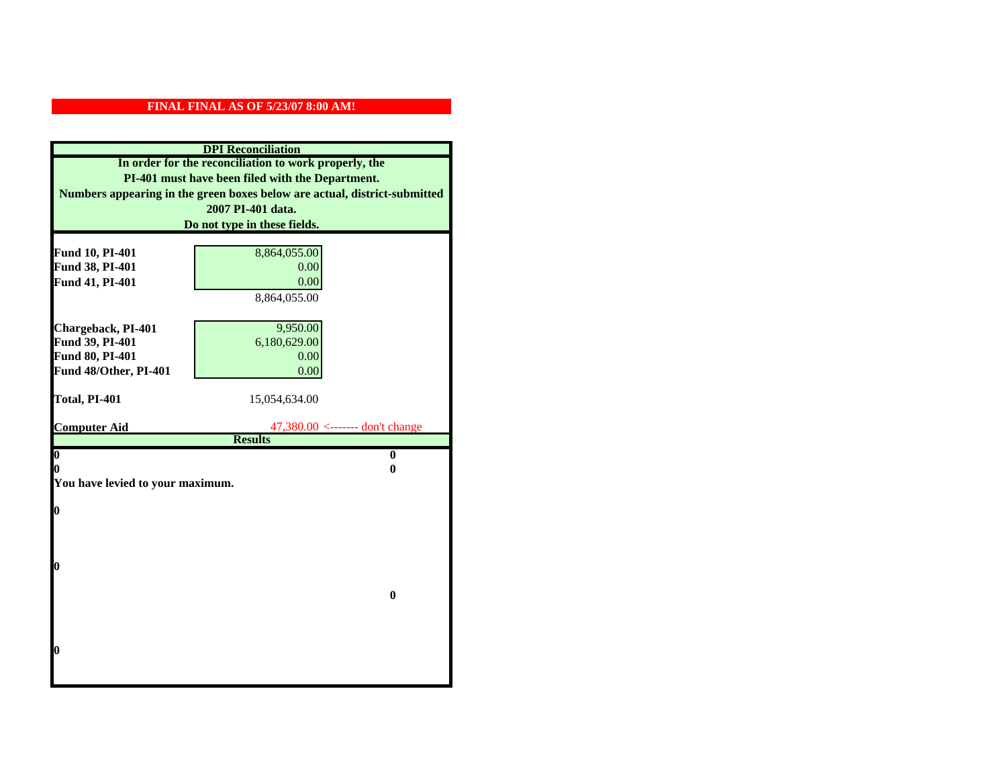| <b>DPI</b> Reconciliation                             |                                                                           |  |
|-------------------------------------------------------|---------------------------------------------------------------------------|--|
| In order for the reconciliation to work properly, the |                                                                           |  |
|                                                       | PI-401 must have been filed with the Department.                          |  |
|                                                       | Numbers appearing in the green boxes below are actual, district-submitted |  |
|                                                       | 2007 PI-401 data.                                                         |  |
|                                                       | Do not type in these fields.                                              |  |
|                                                       |                                                                           |  |
| Fund 10, PI-401                                       | 8,864,055.00                                                              |  |
| Fund 38, PI-401                                       | 0.00                                                                      |  |
| Fund 41, PI-401                                       | 0.00                                                                      |  |
|                                                       | 8,864,055.00                                                              |  |
| Chargeback, PI-401                                    | 9,950.00                                                                  |  |
| Fund 39, PI-401                                       | 6,180,629.00                                                              |  |
| Fund 80, PI-401                                       | 0.00                                                                      |  |
| Fund 48/Other, PI-401                                 | 0.00                                                                      |  |
|                                                       |                                                                           |  |
| Total, PI-401                                         | 15,054,634.00                                                             |  |
|                                                       |                                                                           |  |
| <b>Computer Aid</b>                                   | $47,380.00 \le$ ------- don't change<br><b>Results</b>                    |  |
| $\boldsymbol{0}$                                      | $\bf{0}$                                                                  |  |
| 0                                                     | 0                                                                         |  |
| You have levied to your maximum.                      |                                                                           |  |
|                                                       |                                                                           |  |
| $\bf{0}$                                              |                                                                           |  |
|                                                       |                                                                           |  |
|                                                       |                                                                           |  |
| l0                                                    |                                                                           |  |
|                                                       |                                                                           |  |
| $\bf{0}$                                              |                                                                           |  |
|                                                       |                                                                           |  |
|                                                       |                                                                           |  |
|                                                       |                                                                           |  |
| $\boldsymbol{0}$                                      |                                                                           |  |
|                                                       |                                                                           |  |
|                                                       |                                                                           |  |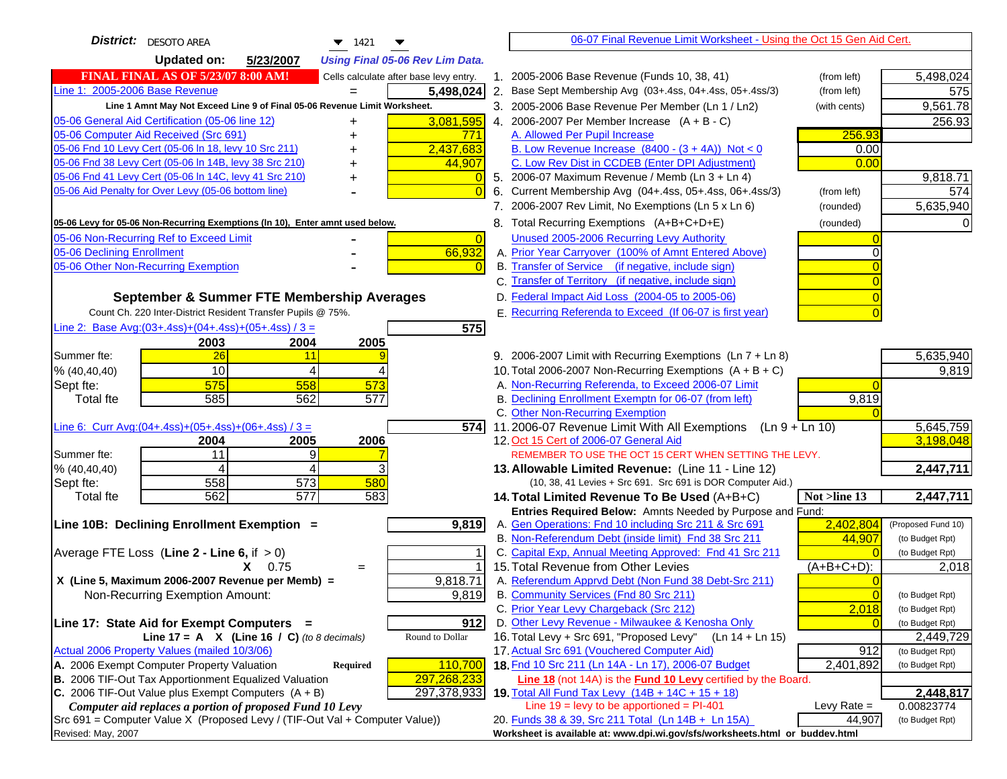| <b>District:</b>   DESOTO AREA<br>$\blacktriangledown$ 1421<br>▼                                                              |                | 06-07 Final Revenue Limit Worksheet - Using the Oct 15 Gen Aid Cert.                                                      |               |                         |
|-------------------------------------------------------------------------------------------------------------------------------|----------------|---------------------------------------------------------------------------------------------------------------------------|---------------|-------------------------|
| <b>Updated on:</b><br>5/23/2007<br><b>Using Final 05-06 Rev Lim Data.</b>                                                     |                |                                                                                                                           |               |                         |
| <b>FINAL FINAL AS OF 5/23/07 8:00 AM!</b><br>Cells calculate after base levy entry.                                           |                | 1. 2005-2006 Base Revenue (Funds 10, 38, 41)                                                                              | (from left)   | 5,498,024               |
| Line 1: 2005-2006 Base Revenue<br>5,498,024                                                                                   |                | 2. Base Sept Membership Avg (03+.4ss, 04+.4ss, 05+.4ss/3)                                                                 | (from left)   | 575                     |
| Line 1 Amnt May Not Exceed Line 9 of Final 05-06 Revenue Limit Worksheet.                                                     |                | 3. 2005-2006 Base Revenue Per Member (Ln 1 / Ln2)                                                                         | (with cents)  | 9,561.78                |
| 05-06 General Aid Certification (05-06 line 12)<br>3,081,595<br>+                                                             |                | 4. 2006-2007 Per Member Increase $(A + B - C)$                                                                            |               | 256.93                  |
| 05-06 Computer Aid Received (Src 691)<br><u>771</u>                                                                           |                | A. Allowed Per Pupil Increase                                                                                             | 256.93        |                         |
| 2,437,683<br>05-06 Fnd 10 Levy Cert (05-06 In 18, levy 10 Src 211)                                                            |                | B. Low Revenue Increase $(8400 - (3 + 4A))$ Not < 0                                                                       | 0.00          |                         |
| 05-06 Fnd 38 Levy Cert (05-06 In 14B, levy 38 Src 210)<br>44,907                                                              |                | C. Low Rev Dist in CCDEB (Enter DPI Adjustment)                                                                           | 0.00          |                         |
| 05-06 Fnd 41 Levy Cert (05-06 In 14C, levy 41 Src 210)                                                                        |                | 5. 2006-07 Maximum Revenue / Memb (Ln $3 + \text{Ln } 4$ )                                                                |               | 9,818.71                |
| 05-06 Aid Penalty for Over Levy (05-06 bottom line)                                                                           |                | 6. Current Membership Avg (04+.4ss, 05+.4ss, 06+.4ss/3)                                                                   | (from left)   | 574                     |
|                                                                                                                               |                | 7. 2006-2007 Rev Limit, No Exemptions (Ln 5 x Ln 6)                                                                       | (rounded)     | 5,635,940               |
| 05-06 Levy for 05-06 Non-Recurring Exemptions (In 10), Enter amnt used below.                                                 |                | 8. Total Recurring Exemptions (A+B+C+D+E)                                                                                 | (rounded)     |                         |
| 05-06 Non-Recurring Ref to Exceed Limit                                                                                       | $\overline{0}$ | Unused 2005-2006 Recurring Levy Authority                                                                                 |               |                         |
| 66,932<br>05-06 Declining Enrollment                                                                                          |                | A. Prior Year Carryover (100% of Amnt Entered Above)                                                                      |               |                         |
| 05-06 Other Non-Recurring Exemption                                                                                           |                | B. Transfer of Service (if negative, include sign)                                                                        |               |                         |
|                                                                                                                               |                | C. Transfer of Territory (if negative, include sign)                                                                      |               |                         |
| September & Summer FTE Membership Averages                                                                                    |                | D. Federal Impact Aid Loss (2004-05 to 2005-06)                                                                           |               |                         |
| Count Ch. 220 Inter-District Resident Transfer Pupils @ 75%.                                                                  |                | E. Recurring Referenda to Exceed (If 06-07 is first year)                                                                 |               |                         |
| Line 2: Base Avg:(03+.4ss)+(04+.4ss)+(05+.4ss) / 3 =                                                                          | 575            |                                                                                                                           |               |                         |
| 2003<br>2004<br>2005                                                                                                          |                |                                                                                                                           |               |                         |
| 26<br>Summer fte:<br>11                                                                                                       |                | 9. 2006-2007 Limit with Recurring Exemptions (Ln 7 + Ln 8)                                                                |               | 5,635,940               |
| 10<br>% (40, 40, 40)<br>4                                                                                                     |                | 10. Total 2006-2007 Non-Recurring Exemptions (A + B + C)                                                                  |               | 9,819                   |
| 575<br>558<br>573<br>Sept fte:                                                                                                |                | A. Non-Recurring Referenda, to Exceed 2006-07 Limit                                                                       |               |                         |
| 585<br>562<br>577<br><b>Total fte</b>                                                                                         |                | B. Declining Enrollment Exemptn for 06-07 (from left)                                                                     | 9,819         |                         |
|                                                                                                                               |                | C. Other Non-Recurring Exemption                                                                                          |               |                         |
| Line 6: Curr Avg: $(04+.4ss)+(05+.4ss)+(06+.4ss)/3 =$                                                                         | 574I           | 11.2006-07 Revenue Limit With All Exemptions (Ln 9 + Ln 10)                                                               |               | 5,645,759               |
| 2005<br>2006<br>2004<br>11<br>9<br>Summer fte:                                                                                |                | 12. Oct 15 Cert of 2006-07 General Aid<br>REMEMBER TO USE THE OCT 15 CERT WHEN SETTING THE LEVY.                          |               | 3,198,048               |
| % (40, 40, 40)<br>4<br>4                                                                                                      |                | 13. Allowable Limited Revenue: (Line 11 - Line 12)                                                                        |               | 2,447,711               |
| 558<br>573<br>580<br>Sept fte:                                                                                                |                | (10, 38, 41 Levies + Src 691. Src 691 is DOR Computer Aid.)                                                               |               |                         |
| 577<br>562<br>583<br><b>Total fte</b>                                                                                         |                | 14. Total Limited Revenue To Be Used (A+B+C)                                                                              | Not >line 13  | 2,447,711               |
|                                                                                                                               |                | Entries Required Below: Amnts Needed by Purpose and Fund:                                                                 |               |                         |
| Line 10B: Declining Enrollment Exemption =<br>9,819                                                                           |                | A. Gen Operations: Fnd 10 including Src 211 & Src 691                                                                     | 2,402,804     | (Proposed Fund 10)      |
|                                                                                                                               |                | B. Non-Referendum Debt (inside limit) Fnd 38 Src 211                                                                      | 44,907        | (to Budget Rpt)         |
| Average FTE Loss (Line $2 -$ Line 6, if $> 0$ )                                                                               |                | C. Capital Exp, Annual Meeting Approved: Fnd 41 Src 211                                                                   |               | (to Budget Rpt)         |
| $X = 0.75$<br>$=$                                                                                                             |                | 15. Total Revenue from Other Levies                                                                                       | (A+B+C+D):    | 2,018                   |
| X (Line 5, Maximum 2006-2007 Revenue per Memb) =<br>9,818.71                                                                  |                | A. Referendum Apprvd Debt (Non Fund 38 Debt-Src 211)                                                                      |               |                         |
| 9,819<br>Non-Recurring Exemption Amount:                                                                                      |                | B. Community Services (Fnd 80 Src 211)                                                                                    |               | (to Budget Rpt)         |
|                                                                                                                               |                | C. Prior Year Levy Chargeback (Src 212)                                                                                   | 2,018         | (to Budget Rpt)         |
| Line 17: State Aid for Exempt Computers =                                                                                     | 912            | D. Other Levy Revenue - Milwaukee & Kenosha Only                                                                          |               | (to Budget Rpt)         |
| Line 17 = A $X$ (Line 16 / C) (to 8 decimals)<br>Round to Dollar                                                              |                | 16. Total Levy + Src 691, "Proposed Levy"<br>$(Ln 14 + Ln 15)$                                                            |               | 2,449,729               |
| Actual 2006 Property Values (mailed 10/3/06)                                                                                  |                | 17. Actual Src 691 (Vouchered Computer Aid)                                                                               | 912           | (to Budget Rpt)         |
| A. 2006 Exempt Computer Property Valuation<br>110,700<br><b>Required</b>                                                      |                | 18. Fnd 10 Src 211 (Ln 14A - Ln 17), 2006-07 Budget                                                                       | 2,401,892     | (to Budget Rpt)         |
| B. 2006 TIF-Out Tax Apportionment Equalized Valuation<br>297,268,233<br>C. 2006 TIF-Out Value plus Exempt Computers $(A + B)$ |                | Line 18 (not 14A) is the <b>Fund 10 Levy</b> certified by the Board.<br>19. Total All Fund Tax Levy (14B + 14C + 15 + 18) |               |                         |
| 297,378,933<br>Computer aid replaces a portion of proposed Fund 10 Levy                                                       |                | Line $19 = \text{levy}$ to be apportioned = PI-401                                                                        | Levy Rate $=$ | 2,448,817<br>0.00823774 |
| Src 691 = Computer Value X (Proposed Levy / (TIF-Out Val + Computer Value))                                                   |                | 20. Funds 38 & 39, Src 211 Total (Ln 14B + Ln 15A)                                                                        | 44,907        | (to Budget Rpt)         |
| Revised: May, 2007                                                                                                            |                | Worksheet is available at: www.dpi.wi.gov/sfs/worksheets.html or buddev.html                                              |               |                         |
|                                                                                                                               |                |                                                                                                                           |               |                         |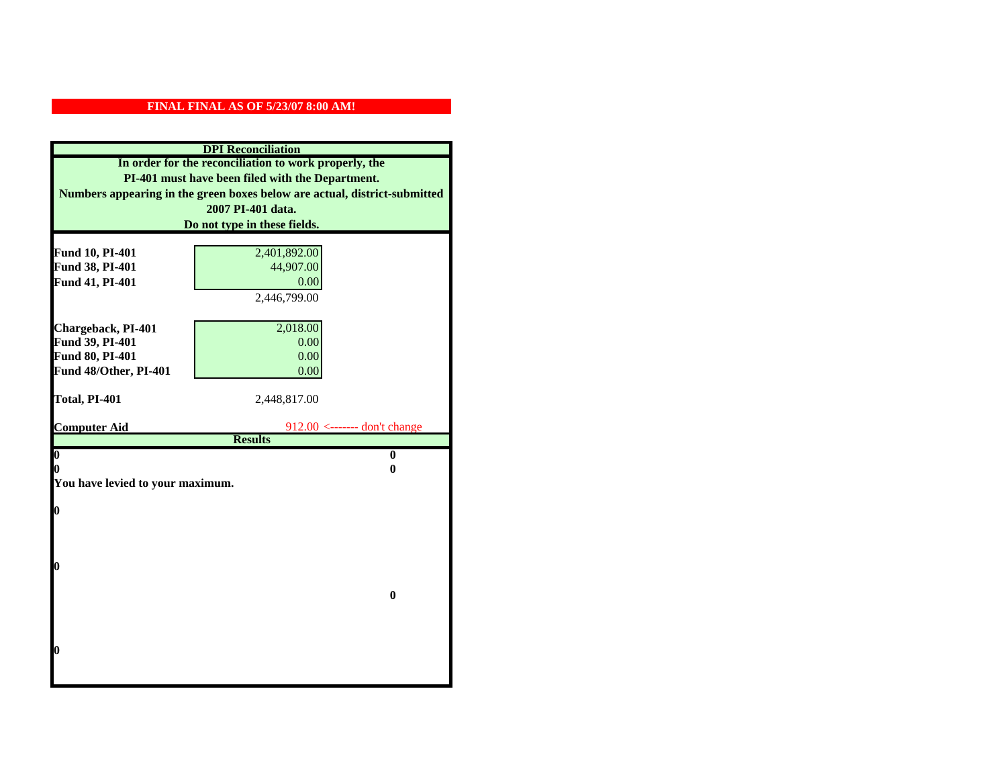| <b>DPI</b> Reconciliation<br>In order for the reconciliation to work properly, the |                                                                           |  |
|------------------------------------------------------------------------------------|---------------------------------------------------------------------------|--|
|                                                                                    |                                                                           |  |
|                                                                                    | Numbers appearing in the green boxes below are actual, district-submitted |  |
|                                                                                    | 2007 PI-401 data.                                                         |  |
|                                                                                    | Do not type in these fields.                                              |  |
|                                                                                    |                                                                           |  |
| Fund 10, PI-401<br>Fund 38, PI-401                                                 | 2,401,892.00<br>44,907.00                                                 |  |
| Fund 41, PI-401                                                                    | 0.00                                                                      |  |
|                                                                                    | 2,446,799.00                                                              |  |
|                                                                                    |                                                                           |  |
| Chargeback, PI-401                                                                 | 2,018.00                                                                  |  |
| Fund 39, PI-401                                                                    | 0.00                                                                      |  |
| Fund 80, PI-401                                                                    | 0.00                                                                      |  |
| Fund 48/Other, PI-401                                                              | 0.00                                                                      |  |
|                                                                                    |                                                                           |  |
| Total, PI-401                                                                      | 2,448,817.00                                                              |  |
|                                                                                    |                                                                           |  |
| <b>Computer Aid</b>                                                                | $912.00$ <------- don't change<br><b>Results</b>                          |  |
| $\boldsymbol{0}$                                                                   | $\bf{0}$                                                                  |  |
| 0<br>0                                                                             |                                                                           |  |
| You have levied to your maximum.                                                   |                                                                           |  |
|                                                                                    |                                                                           |  |
| $\bf{0}$                                                                           |                                                                           |  |
|                                                                                    |                                                                           |  |
|                                                                                    |                                                                           |  |
| 0                                                                                  |                                                                           |  |
|                                                                                    |                                                                           |  |
| $\bf{0}$                                                                           |                                                                           |  |
|                                                                                    |                                                                           |  |
|                                                                                    |                                                                           |  |
|                                                                                    |                                                                           |  |
| 0                                                                                  |                                                                           |  |
|                                                                                    |                                                                           |  |
|                                                                                    |                                                                           |  |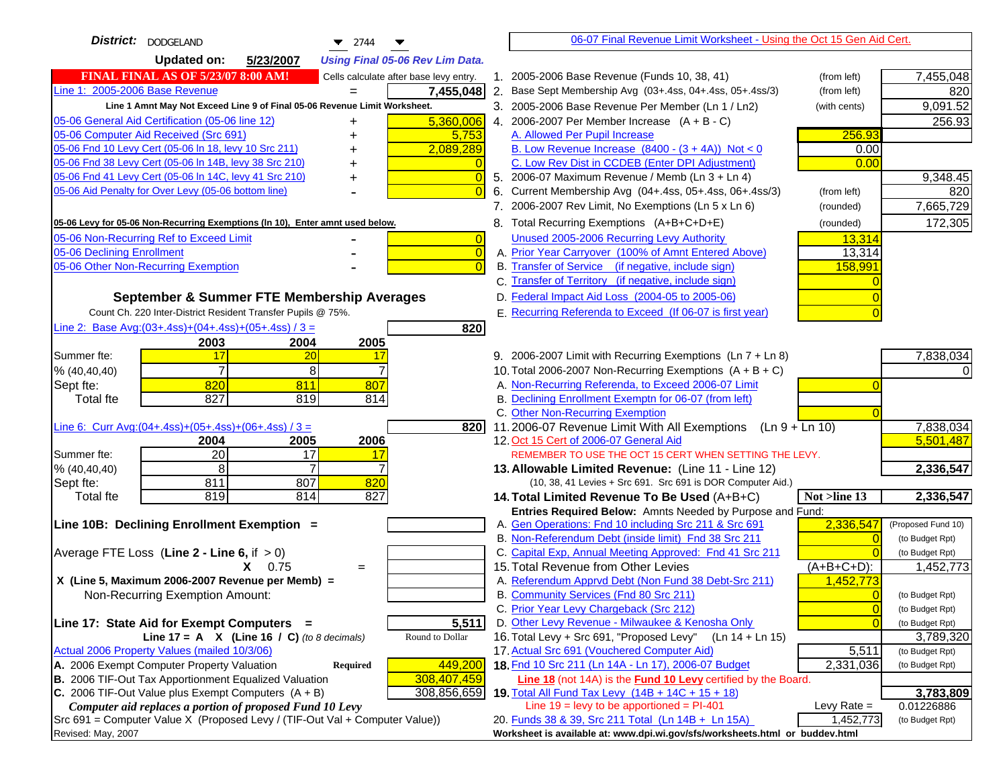| District:   DODGELAND<br>$\blacktriangledown$ 2744                                            | 06-07 Final Revenue Limit Worksheet - Using the Oct 15 Gen Aid Cert.                                                       |                              |
|-----------------------------------------------------------------------------------------------|----------------------------------------------------------------------------------------------------------------------------|------------------------------|
| <b>Updated on:</b><br>5/23/2007<br><b>Using Final 05-06 Rev Lim Data.</b>                     |                                                                                                                            |                              |
| <b>FINAL FINAL AS OF 5/23/07 8:00 AM!</b><br>Cells calculate after base levy entry.           | 1. 2005-2006 Base Revenue (Funds 10, 38, 41)<br>(from left)                                                                | 7,455,048                    |
| Line 1: 2005-2006 Base Revenue<br>7,455,048<br>$=$                                            | 2. Base Sept Membership Avg (03+.4ss, 04+.4ss, 05+.4ss/3)<br>(from left)                                                   | 820                          |
| Line 1 Amnt May Not Exceed Line 9 of Final 05-06 Revenue Limit Worksheet.                     | 3. 2005-2006 Base Revenue Per Member (Ln 1 / Ln2)<br>(with cents)                                                          | 9,091.52                     |
| 05-06 General Aid Certification (05-06 line 12)<br>5,360,006                                  | 4. 2006-2007 Per Member Increase $(A + B - C)$                                                                             | 256.93                       |
| 05-06 Computer Aid Received (Src 691)<br>5,753                                                | A. Allowed Per Pupil Increase<br>256.93                                                                                    |                              |
| 05-06 Fnd 10 Levy Cert (05-06 In 18, levy 10 Src 211)<br>2,089,289                            | B. Low Revenue Increase $(8400 - (3 + 4A))$ Not < 0<br>0.00                                                                |                              |
| 05-06 Fnd 38 Levy Cert (05-06 In 14B, levy 38 Src 210)                                        | C. Low Rev Dist in CCDEB (Enter DPI Adjustment)<br>0.00                                                                    |                              |
| 05-06 Fnd 41 Levy Cert (05-06 In 14C, levy 41 Src 210)<br>0<br>+                              | 5. 2006-07 Maximum Revenue / Memb (Ln 3 + Ln 4)                                                                            | 9,348.45                     |
| 05-06 Aid Penalty for Over Levy (05-06 bottom line)                                           | 6. Current Membership Avg (04+.4ss, 05+.4ss, 06+.4ss/3)<br>(from left)                                                     | 820                          |
|                                                                                               | 7. 2006-2007 Rev Limit, No Exemptions (Ln 5 x Ln 6)<br>(rounded)                                                           | 7,665,729                    |
| 05-06 Levy for 05-06 Non-Recurring Exemptions (In 10), Enter amnt used below.                 | 8. Total Recurring Exemptions (A+B+C+D+E)<br>(rounded)                                                                     | 172,305                      |
| 05-06 Non-Recurring Ref to Exceed Limit<br>$\overline{0}$                                     | Unused 2005-2006 Recurring Levy Authority<br>13,314                                                                        |                              |
| 05-06 Declining Enrollment<br>$\overline{0}$                                                  | A. Prior Year Carryover (100% of Amnt Entered Above)<br>13,314                                                             |                              |
| 05-06 Other Non-Recurring Exemption<br>$\sqrt{ }$                                             | B. Transfer of Service (if negative, include sign)<br>158,991                                                              |                              |
|                                                                                               | C. Transfer of Territory (if negative, include sign)                                                                       |                              |
| September & Summer FTE Membership Averages                                                    | D. Federal Impact Aid Loss (2004-05 to 2005-06)                                                                            |                              |
| Count Ch. 220 Inter-District Resident Transfer Pupils @ 75%.                                  | E. Recurring Referenda to Exceed (If 06-07 is first year)                                                                  |                              |
| Line 2: Base Avg: $(03+.4ss)+(04+.4ss)+(05+.4ss)/3 =$<br>820                                  |                                                                                                                            |                              |
| 2003<br>2004<br>2005                                                                          |                                                                                                                            |                              |
| 17<br>Summer fte:<br>20<br>17                                                                 | 9. 2006-2007 Limit with Recurring Exemptions (Ln 7 + Ln 8)                                                                 | 7,838,034                    |
| $\overline{7}$<br>8<br>% (40, 40, 40)                                                         | 10. Total 2006-2007 Non-Recurring Exemptions $(A + B + C)$                                                                 |                              |
| 820<br>811<br>807<br>Sept fte:                                                                | A. Non-Recurring Referenda, to Exceed 2006-07 Limit                                                                        |                              |
| 827<br><b>Total fte</b><br>819<br>814                                                         | B. Declining Enrollment Exemptn for 06-07 (from left)                                                                      |                              |
| Line 6: Curr Avg: $(04+.4ss)+(05+.4ss)+(06+.4ss)/3 =$                                         | C. Other Non-Recurring Exemption                                                                                           | 7,838,034                    |
| 8201<br>2006<br>2004<br>2005                                                                  | 11.2006-07 Revenue Limit With All Exemptions (Ln $9 + \overline{\text{Ln }10}$ )<br>12. Oct 15 Cert of 2006-07 General Aid | 5,501,487                    |
| 20<br>17<br>Summer fte:<br><u> 17</u>                                                         | REMEMBER TO USE THE OCT 15 CERT WHEN SETTING THE LEVY.                                                                     |                              |
| 8<br>% (40, 40, 40)                                                                           | 13. Allowable Limited Revenue: (Line 11 - Line 12)                                                                         | 2,336,547                    |
| 811<br>807<br>820<br>Sept fte:                                                                | (10, 38, 41 Levies + Src 691. Src 691 is DOR Computer Aid.)                                                                |                              |
| 819<br>814<br>827<br><b>Total fte</b>                                                         | 14. Total Limited Revenue To Be Used (A+B+C)<br>Not >line 13                                                               | 2,336,547                    |
|                                                                                               | Entries Required Below: Amnts Needed by Purpose and Fund:                                                                  |                              |
| Line 10B: Declining Enrollment Exemption =                                                    | A. Gen Operations: Fnd 10 including Src 211 & Src 691<br>2,336,547                                                         | (Proposed Fund 10)           |
|                                                                                               | B. Non-Referendum Debt (inside limit) Fnd 38 Src 211                                                                       | (to Budget Rpt)              |
| Average FTE Loss (Line $2 -$ Line 6, if $> 0$ )                                               | C. Capital Exp, Annual Meeting Approved: Fnd 41 Src 211                                                                    | (to Budget Rpt)              |
| $X = 0.75$<br>$=$                                                                             | 15. Total Revenue from Other Levies<br>(A+B+C+D):                                                                          | 1,452,773                    |
| X (Line 5, Maximum 2006-2007 Revenue per Memb) =                                              | A. Referendum Apprvd Debt (Non Fund 38 Debt-Src 211)<br>1,452,773                                                          |                              |
| Non-Recurring Exemption Amount:                                                               | B. Community Services (Fnd 80 Src 211)                                                                                     | (to Budget Rpt)              |
|                                                                                               | C. Prior Year Levy Chargeback (Src 212)<br>$\overline{0}$                                                                  | (to Budget Rpt)              |
| 5,511<br>Line 17: State Aid for Exempt Computers =<br>Round to Dollar                         | D. Other Levy Revenue - Milwaukee & Kenosha Only<br>16. Total Levy + Src 691, "Proposed Levy"<br>$(Ln 14 + Ln 15)$         | (to Budget Rpt)              |
| Line 17 = A $X$ (Line 16 / C) (to 8 decimals)<br>Actual 2006 Property Values (mailed 10/3/06) | 17. Actual Src 691 (Vouchered Computer Aid)<br>5,511                                                                       | 3,789,320<br>(to Budget Rpt) |
| A. 2006 Exempt Computer Property Valuation<br>449,200<br>Required                             | 18. Fnd 10 Src 211 (Ln 14A - Ln 17), 2006-07 Budget<br>2,331,036                                                           | (to Budget Rpt)              |
| B. 2006 TIF-Out Tax Apportionment Equalized Valuation<br>308,407,459                          | <b>Line 18</b> (not 14A) is the <b>Fund 10 Levy</b> certified by the Board.                                                |                              |
| C. 2006 TIF-Out Value plus Exempt Computers $(A + B)$<br>308,856,659                          | 19. Total All Fund Tax Levy $(14B + 14C + 15 + 18)$                                                                        | 3,783,809                    |
| Computer aid replaces a portion of proposed Fund 10 Levy                                      | Line $19 = \text{levy}$ to be apportioned = PI-401<br>Levy Rate $=$                                                        | 0.01226886                   |
| Src 691 = Computer Value X (Proposed Levy / (TIF-Out Val + Computer Value))                   | 20. Funds 38 & 39, Src 211 Total (Ln 14B + Ln 15A)<br>1,452,773                                                            | (to Budget Rpt)              |
| Revised: May, 2007                                                                            | Worksheet is available at: www.dpi.wi.gov/sfs/worksheets.html or buddev.html                                               |                              |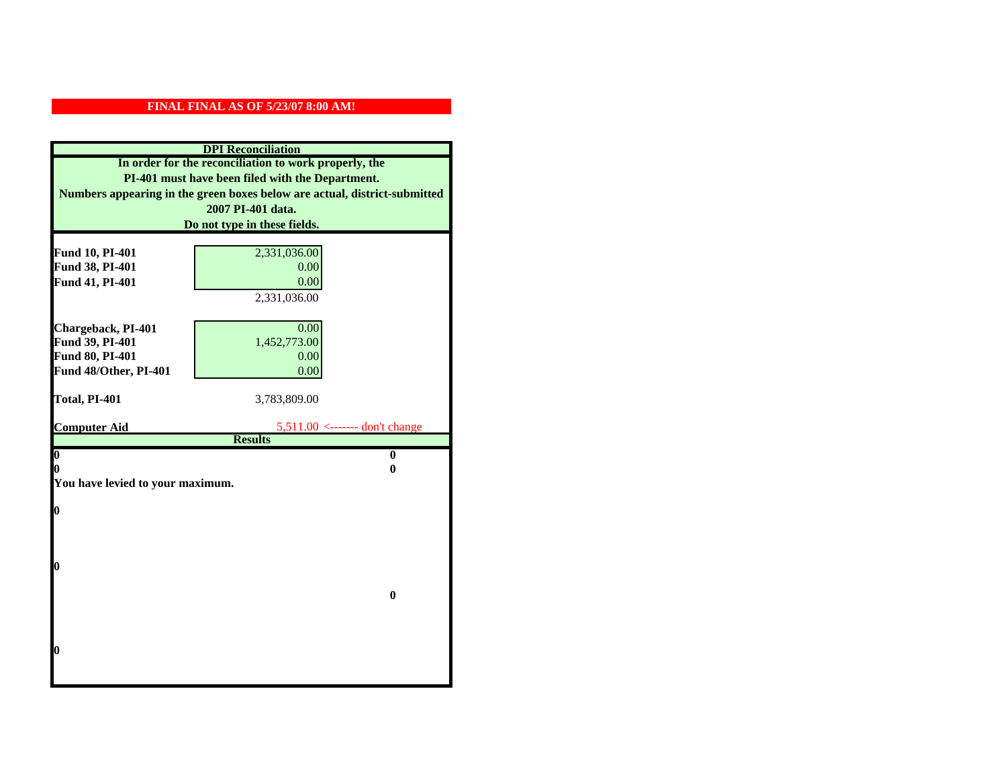| <b>DPI</b> Reconciliation                             |                                                                           |  |
|-------------------------------------------------------|---------------------------------------------------------------------------|--|
| In order for the reconciliation to work properly, the |                                                                           |  |
| PI-401 must have been filed with the Department.      |                                                                           |  |
|                                                       | Numbers appearing in the green boxes below are actual, district-submitted |  |
|                                                       | 2007 PI-401 data.                                                         |  |
|                                                       | Do not type in these fields.                                              |  |
|                                                       |                                                                           |  |
| Fund 10, PI-401                                       | 2,331,036.00                                                              |  |
| Fund 38, PI-401                                       | 0.00                                                                      |  |
| Fund 41, PI-401                                       | 0.00                                                                      |  |
|                                                       | 2,331,036.00                                                              |  |
| Chargeback, PI-401                                    | 0.00                                                                      |  |
| Fund 39, PI-401                                       | 1,452,773.00                                                              |  |
| Fund 80, PI-401                                       | 0.00                                                                      |  |
| Fund 48/Other, PI-401                                 | 0.00                                                                      |  |
|                                                       |                                                                           |  |
| Total, PI-401                                         | 3,783,809.00                                                              |  |
|                                                       |                                                                           |  |
| <b>Computer Aid</b>                                   | $5,511.00$ <------- don't change<br><b>Results</b>                        |  |
| $\boldsymbol{0}$                                      |                                                                           |  |
| $\bf{0}$<br>0<br>0                                    |                                                                           |  |
| You have levied to your maximum.                      |                                                                           |  |
|                                                       |                                                                           |  |
| 0                                                     |                                                                           |  |
|                                                       |                                                                           |  |
|                                                       |                                                                           |  |
|                                                       |                                                                           |  |
| 0                                                     |                                                                           |  |
| $\bf{0}$                                              |                                                                           |  |
|                                                       |                                                                           |  |
|                                                       |                                                                           |  |
|                                                       |                                                                           |  |
| 0                                                     |                                                                           |  |
|                                                       |                                                                           |  |
|                                                       |                                                                           |  |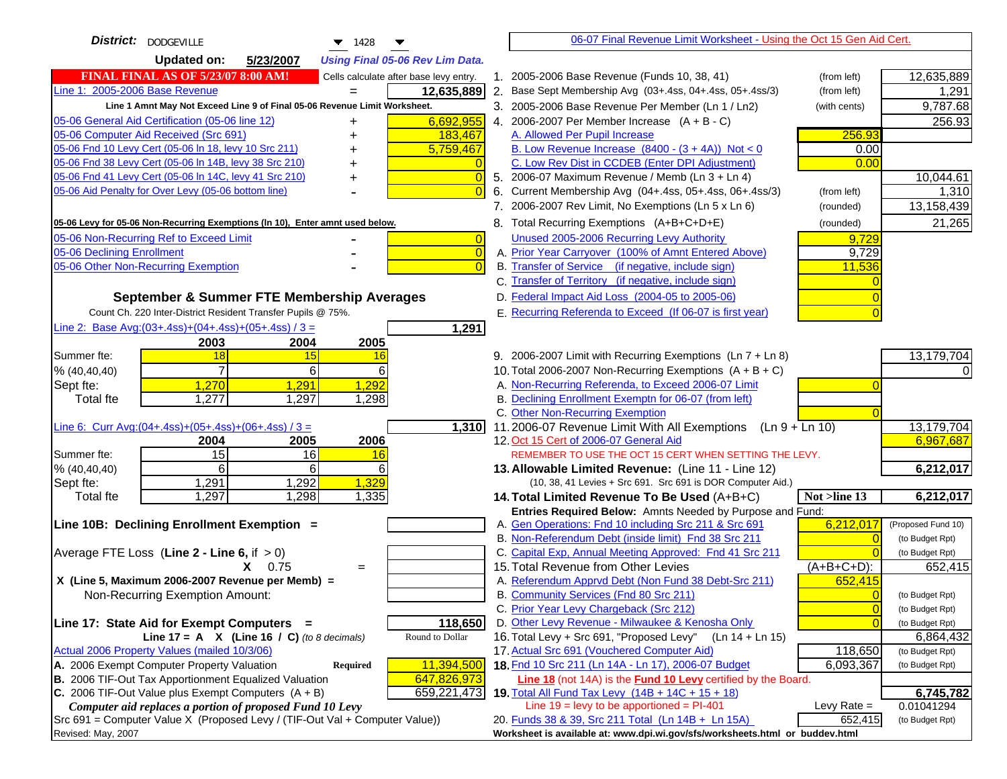| <b>District:</b> DODGEVILLE<br>$\blacktriangledown$ 1428                            |    | 06-07 Final Revenue Limit Worksheet - Using the Oct 15 Gen Aid Cert.                                          |                |                                       |
|-------------------------------------------------------------------------------------|----|---------------------------------------------------------------------------------------------------------------|----------------|---------------------------------------|
| <b>Updated on:</b><br>5/23/2007<br><b>Using Final 05-06 Rev Lim Data.</b>           |    |                                                                                                               |                |                                       |
| <b>FINAL FINAL AS OF 5/23/07 8:00 AM!</b><br>Cells calculate after base levy entry. |    | 1. 2005-2006 Base Revenue (Funds 10, 38, 41)                                                                  | (from left)    | 12,635,889                            |
| Line 1: 2005-2006 Base Revenue<br>12,635,889                                        |    | 2. Base Sept Membership Avg (03+.4ss, 04+.4ss, 05+.4ss/3)                                                     | (from left)    | 1,291                                 |
| Line 1 Amnt May Not Exceed Line 9 of Final 05-06 Revenue Limit Worksheet.           |    | 3. 2005-2006 Base Revenue Per Member (Ln 1 / Ln2)                                                             | (with cents)   | 9,787.68                              |
| 05-06 General Aid Certification (05-06 line 12)<br>6,692,955<br>+                   |    | 4. 2006-2007 Per Member Increase $(A + B - C)$                                                                |                | 256.93                                |
| 05-06 Computer Aid Received (Src 691)<br>183,467                                    |    | A. Allowed Per Pupil Increase                                                                                 | 256.93         |                                       |
| 05-06 Fnd 10 Levy Cert (05-06 In 18, levy 10 Src 211)<br>5,759,467                  |    | B. Low Revenue Increase $(8400 - (3 + 4A))$ Not < 0                                                           | 0.00           |                                       |
| 05-06 Fnd 38 Levy Cert (05-06 In 14B, levy 38 Src 210)                              |    | C. Low Rev Dist in CCDEB (Enter DPI Adjustment)                                                               | 0.00           |                                       |
| 05-06 Fnd 41 Levy Cert (05-06 In 14C, levy 41 Src 210)<br>$\overline{0}$            |    | 5. 2006-07 Maximum Revenue / Memb (Ln 3 + Ln 4)                                                               |                | 10,044.61                             |
| 05-06 Aid Penalty for Over Levy (05-06 bottom line)<br>$\Omega$                     | 6. | Current Membership Avg (04+.4ss, 05+.4ss, 06+.4ss/3)                                                          | (from left)    | 1,310                                 |
|                                                                                     |    | 7. 2006-2007 Rev Limit, No Exemptions (Ln 5 x Ln 6)                                                           | (rounded)      | 13,158,439                            |
| 05-06 Levy for 05-06 Non-Recurring Exemptions (In 10), Enter amnt used below.       |    | 8. Total Recurring Exemptions (A+B+C+D+E)                                                                     | (rounded)      | 21,265                                |
| 05-06 Non-Recurring Ref to Exceed Limit<br>$\overline{0}$                           |    | Unused 2005-2006 Recurring Levy Authority                                                                     | 9,729          |                                       |
| 05-06 Declining Enrollment<br>$\overline{0}$                                        |    | A. Prior Year Carryover (100% of Amnt Entered Above)                                                          | 9,729          |                                       |
| 05-06 Other Non-Recurring Exemption<br>$\Omega$                                     |    | B. Transfer of Service (if negative, include sign)                                                            | 11,536         |                                       |
|                                                                                     |    | C. Transfer of Territory (if negative, include sign)                                                          |                |                                       |
| September & Summer FTE Membership Averages                                          |    | D. Federal Impact Aid Loss (2004-05 to 2005-06)                                                               |                |                                       |
| Count Ch. 220 Inter-District Resident Transfer Pupils @ 75%.                        |    | E. Recurring Referenda to Exceed (If 06-07 is first year)                                                     |                |                                       |
| Line 2: Base Avg: $(03+.4ss)+(04+.4ss)+(05+.4ss)/3 =$<br>1,291                      |    |                                                                                                               |                |                                       |
| 2003<br>2004<br>2005                                                                |    |                                                                                                               |                |                                       |
| 15<br>Summer fte:<br>18<br>16                                                       |    | 9. 2006-2007 Limit with Recurring Exemptions (Ln 7 + Ln 8)                                                    |                | 13,179,704                            |
| 6<br>6<br>% (40, 40, 40)                                                            |    | 10. Total 2006-2007 Non-Recurring Exemptions $(A + B + C)$                                                    |                |                                       |
| 1,291<br>1,292<br>1,270<br>Sept fte:                                                |    | A. Non-Recurring Referenda, to Exceed 2006-07 Limit                                                           |                |                                       |
| 1,277<br>1,297<br>1,298<br><b>Total fte</b>                                         |    | B. Declining Enrollment Exemptn for 06-07 (from left)                                                         |                |                                       |
|                                                                                     |    | C. Other Non-Recurring Exemption                                                                              |                |                                       |
| Line 6: Curr Avg: $(04+.4ss)+(05+.4ss)+(06+.4ss)/3=$<br>1,310                       |    | 11.2006-07 Revenue Limit With All Exemptions<br>$(Ln 9 + Ln 10)$                                              |                | 13,179,704                            |
| 2005<br>2006<br>2004                                                                |    | 12. Oct 15 Cert of 2006-07 General Aid                                                                        |                | 6,967,687                             |
| 15<br>16<br>Summer fte:<br>16                                                       |    | REMEMBER TO USE THE OCT 15 CERT WHEN SETTING THE LEVY.                                                        |                |                                       |
| 6<br>% (40, 40, 40)<br>6<br>6                                                       |    | 13. Allowable Limited Revenue: (Line 11 - Line 12)                                                            |                | 6,212,017                             |
| 1,329<br>1,291<br>1,292<br>Sept fte:                                                |    | (10, 38, 41 Levies + Src 691. Src 691 is DOR Computer Aid.)                                                   |                |                                       |
| 1,297<br>1,298<br>1,335<br><b>Total fte</b>                                         |    | 14. Total Limited Revenue To Be Used (A+B+C)                                                                  | Not >line 13   | 6,212,017                             |
|                                                                                     |    | Entries Required Below: Amnts Needed by Purpose and Fund:                                                     |                |                                       |
| Line 10B: Declining Enrollment Exemption =                                          |    | A. Gen Operations: Fnd 10 including Src 211 & Src 691<br>B. Non-Referendum Debt (inside limit) Fnd 38 Src 211 | 6,212,017      | (Proposed Fund 10)<br>(to Budget Rpt) |
| Average FTE Loss (Line $2 -$ Line 6, if $> 0$ )                                     |    | C. Capital Exp, Annual Meeting Approved: Fnd 41 Src 211                                                       | $\Omega$       | (to Budget Rpt)                       |
| $X = 0.75$<br>$=$                                                                   |    | 15. Total Revenue from Other Levies                                                                           | $(A+B+C+D)$ :  | 652,415                               |
| X (Line 5, Maximum 2006-2007 Revenue per Memb) =                                    |    | A. Referendum Apprvd Debt (Non Fund 38 Debt-Src 211)                                                          | 652,415        |                                       |
| Non-Recurring Exemption Amount:                                                     |    | B. Community Services (Fnd 80 Src 211)                                                                        | $\Omega$       | (to Budget Rpt)                       |
|                                                                                     |    | C. Prior Year Levy Chargeback (Src 212)                                                                       | $\overline{0}$ | (to Budget Rpt)                       |
| 118,650<br>Line 17: State Aid for Exempt Computers =                                |    | D. Other Levy Revenue - Milwaukee & Kenosha Only                                                              | $\Omega$       | (to Budget Rpt)                       |
| Round to Dollar<br>Line 17 = A $X$ (Line 16 / C) (to 8 decimals)                    |    | 16. Total Levy + Src 691, "Proposed Levy"<br>$(Ln 14 + Ln 15)$                                                |                | 6,864,432                             |
| Actual 2006 Property Values (mailed 10/3/06)                                        |    | 17. Actual Src 691 (Vouchered Computer Aid)                                                                   | 118,650        | (to Budget Rpt)                       |
| A. 2006 Exempt Computer Property Valuation<br>11,394,500<br><b>Required</b>         |    | 18. Fnd 10 Src 211 (Ln 14A - Ln 17), 2006-07 Budget                                                           | 6,093,367      | (to Budget Rpt)                       |
| B. 2006 TIF-Out Tax Apportionment Equalized Valuation<br>647,826,973                |    | Line 18 (not 14A) is the Fund 10 Levy certified by the Board.                                                 |                |                                       |
| C. 2006 TIF-Out Value plus Exempt Computers $(A + B)$<br>659,221,473                |    | 19. Total All Fund Tax Levy (14B + 14C + 15 + 18)                                                             |                | 6,745,782                             |
| Computer aid replaces a portion of proposed Fund 10 Levy                            |    | Line $19 = \text{levy}$ to be apportioned = PI-401                                                            | Levy Rate $=$  | 0.01041294                            |
| Src 691 = Computer Value X (Proposed Levy / (TIF-Out Val + Computer Value))         |    | 20. Funds 38 & 39, Src 211 Total (Ln 14B + Ln 15A)                                                            | 652,415        | (to Budget Rpt)                       |
| Revised: May, 2007                                                                  |    | Worksheet is available at: www.dpi.wi.gov/sfs/worksheets.html or buddev.html                                  |                |                                       |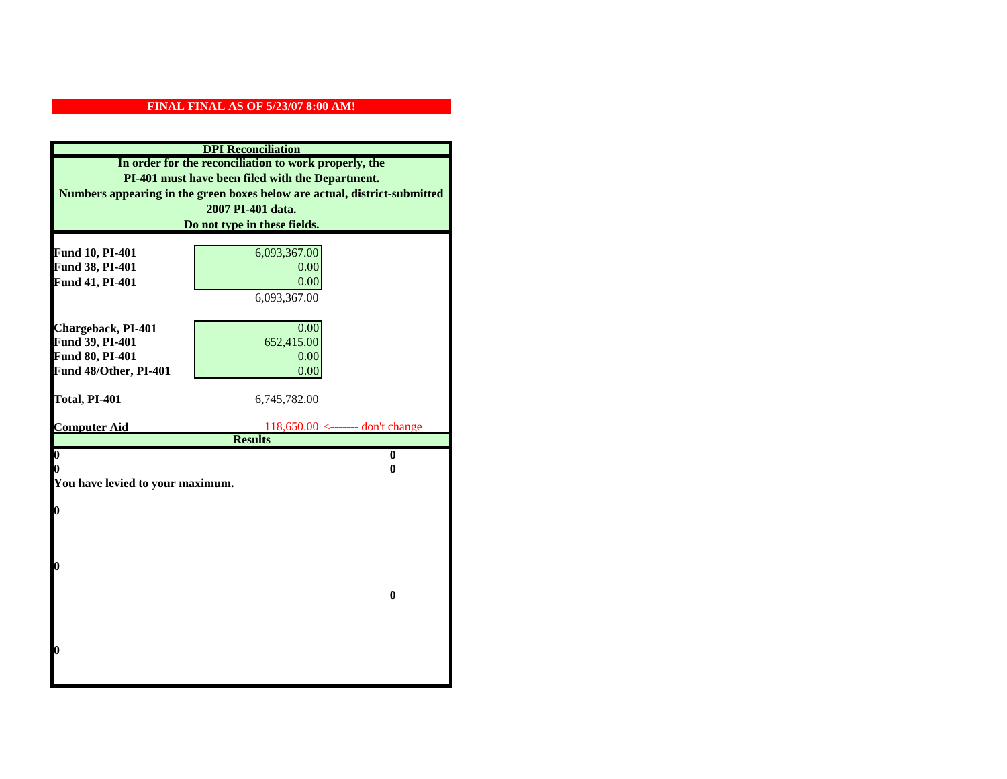| <b>DPI</b> Reconciliation                             |                                                                           |  |
|-------------------------------------------------------|---------------------------------------------------------------------------|--|
| In order for the reconciliation to work properly, the |                                                                           |  |
|                                                       | PI-401 must have been filed with the Department.                          |  |
|                                                       | Numbers appearing in the green boxes below are actual, district-submitted |  |
|                                                       | 2007 PI-401 data.                                                         |  |
|                                                       | Do not type in these fields.                                              |  |
|                                                       |                                                                           |  |
| Fund 10, PI-401                                       | 6,093,367.00<br>0.00                                                      |  |
| Fund 38, PI-401<br>Fund 41, PI-401                    | 0.00                                                                      |  |
|                                                       | 6,093,367.00                                                              |  |
|                                                       |                                                                           |  |
| Chargeback, PI-401                                    | 0.00                                                                      |  |
| Fund 39, PI-401                                       | 652,415.00                                                                |  |
| Fund 80, PI-401                                       | 0.00                                                                      |  |
| Fund 48/Other, PI-401                                 | 0.00                                                                      |  |
|                                                       |                                                                           |  |
| Total, PI-401                                         | 6,745,782.00                                                              |  |
|                                                       |                                                                           |  |
| <b>Computer Aid</b>                                   | $118,650.00$ <------- don't change<br><b>Results</b>                      |  |
| $\overline{\mathbf{0}}$                               | $\mathbf{0}$                                                              |  |
| 0                                                     | 0                                                                         |  |
| You have levied to your maximum.                      |                                                                           |  |
|                                                       |                                                                           |  |
| $\bf{0}$                                              |                                                                           |  |
|                                                       |                                                                           |  |
|                                                       |                                                                           |  |
| l0                                                    |                                                                           |  |
|                                                       |                                                                           |  |
| $\bf{0}$                                              |                                                                           |  |
|                                                       |                                                                           |  |
|                                                       |                                                                           |  |
|                                                       |                                                                           |  |
| l0                                                    |                                                                           |  |
|                                                       |                                                                           |  |
|                                                       |                                                                           |  |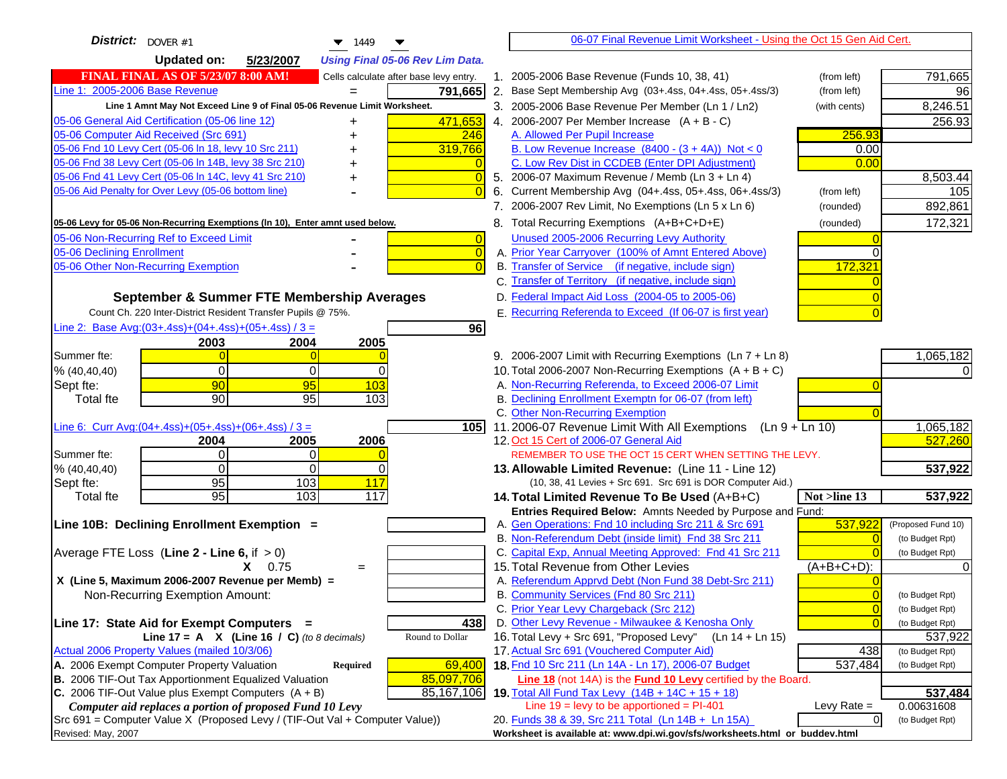| District: $ _{\text{DOVER }\#1}$<br>$\blacktriangledown$ 1449                                                    | 06-07 Final Revenue Limit Worksheet - Using the Oct 15 Gen Aid Cert.                                        |                                    |
|------------------------------------------------------------------------------------------------------------------|-------------------------------------------------------------------------------------------------------------|------------------------------------|
| <b>Updated on:</b><br>5/23/2007<br><b>Using Final 05-06 Rev Lim Data.</b>                                        |                                                                                                             |                                    |
| <b>FINAL FINAL AS OF 5/23/07 8:00 AM!</b><br>Cells calculate after base levy entry.                              | 1. 2005-2006 Base Revenue (Funds 10, 38, 41)<br>(from left)                                                 | 791,665                            |
| Line 1: 2005-2006 Base Revenue<br>791,665                                                                        | 2. Base Sept Membership Avg (03+.4ss, 04+.4ss, 05+.4ss/3)<br>(from left)                                    | 96                                 |
| Line 1 Amnt May Not Exceed Line 9 of Final 05-06 Revenue Limit Worksheet.                                        | 3. 2005-2006 Base Revenue Per Member (Ln 1 / Ln2)<br>(with cents)                                           | 8,246.51                           |
| 05-06 General Aid Certification (05-06 line 12)<br>471,653                                                       | 4. 2006-2007 Per Member Increase $(A + B - C)$                                                              | 256.93                             |
| 05-06 Computer Aid Received (Src 691)<br>246                                                                     | A. Allowed Per Pupil Increase<br>256.93                                                                     |                                    |
| 05-06 Fnd 10 Levy Cert (05-06 In 18, levy 10 Src 211)<br>319,766                                                 | B. Low Revenue Increase $(8400 - (3 + 4A))$ Not < 0<br>0.00                                                 |                                    |
| 05-06 Fnd 38 Levy Cert (05-06 In 14B, levy 38 Src 210)                                                           | C. Low Rev Dist in CCDEB (Enter DPI Adjustment)<br>0.00                                                     |                                    |
| 05-06 Fnd 41 Levy Cert (05-06 In 14C, levy 41 Src 210)<br>0<br>+                                                 | 5. 2006-07 Maximum Revenue / Memb (Ln 3 + Ln 4)                                                             | 8,503.44                           |
| 05-06 Aid Penalty for Over Levy (05-06 bottom line)                                                              | 6. Current Membership Avg (04+.4ss, 05+.4ss, 06+.4ss/3)<br>(from left)                                      | 105                                |
|                                                                                                                  | 7. 2006-2007 Rev Limit, No Exemptions (Ln 5 x Ln 6)<br>(rounded)                                            | 892,861                            |
| 05-06 Levy for 05-06 Non-Recurring Exemptions (In 10), Enter amnt used below.                                    | 8. Total Recurring Exemptions (A+B+C+D+E)<br>(rounded)                                                      | 172,321                            |
| 05-06 Non-Recurring Ref to Exceed Limit<br>$\overline{0}$                                                        | Unused 2005-2006 Recurring Levy Authority                                                                   |                                    |
| 05-06 Declining Enrollment<br>$\overline{0}$                                                                     | A. Prior Year Carryover (100% of Amnt Entered Above)                                                        |                                    |
| 05-06 Other Non-Recurring Exemption                                                                              | B. Transfer of Service (if negative, include sign)<br>172,321                                               |                                    |
|                                                                                                                  | C. Transfer of Territory (if negative, include sign)                                                        |                                    |
| September & Summer FTE Membership Averages                                                                       | D. Federal Impact Aid Loss (2004-05 to 2005-06)                                                             |                                    |
| Count Ch. 220 Inter-District Resident Transfer Pupils @ 75%.                                                     | E. Recurring Referenda to Exceed (If 06-07 is first year)                                                   |                                    |
| Line 2: Base Avg: $(03+.4ss)+(04+.4ss)+(05+.4ss)/3 =$<br>96                                                      |                                                                                                             |                                    |
| 2003<br>2004<br>2005                                                                                             |                                                                                                             |                                    |
| Summer fte:                                                                                                      | 9. 2006-2007 Limit with Recurring Exemptions (Ln 7 + Ln 8)                                                  | 1,065,182                          |
| $\Omega$<br>0<br>$\Omega$<br>% (40, 40, 40)                                                                      | 10. Total 2006-2007 Non-Recurring Exemptions $(A + B + C)$                                                  |                                    |
| 90<br>103<br>95<br>Sept fte:                                                                                     | A. Non-Recurring Referenda, to Exceed 2006-07 Limit                                                         |                                    |
| 90<br>95<br>103<br><b>Total fte</b>                                                                              | B. Declining Enrollment Exemptn for 06-07 (from left)                                                       |                                    |
|                                                                                                                  | C. Other Non-Recurring Exemption                                                                            |                                    |
| Line 6: Curr Avg: $(04+.4ss)+(05+.4ss)+(06+.4ss)/3 =$<br>105I                                                    | 11.2006-07 Revenue Limit With All Exemptions (Ln $9 + \overline{\text{Ln }10}$ )                            | 1,065,182                          |
| 2006<br>2004<br>2005<br>$\Omega$<br>Summer fte:<br>0                                                             | 12. Oct 15 Cert of 2006-07 General Aid<br>REMEMBER TO USE THE OCT 15 CERT WHEN SETTING THE LEVY.            | 527,260                            |
| % (40, 40, 40)<br>$\Omega$<br>$\Omega$<br><sup>0</sup>                                                           | 13. Allowable Limited Revenue: (Line 11 - Line 12)                                                          | 537,922                            |
| 95<br>117<br>103<br>Sept fte:                                                                                    | (10, 38, 41 Levies + Src 691. Src 691 is DOR Computer Aid.)                                                 |                                    |
| 95<br>103<br>117<br><b>Total fte</b>                                                                             | 14. Total Limited Revenue To Be Used (A+B+C)<br>Not >line 13                                                | 537,922                            |
|                                                                                                                  | Entries Required Below: Amnts Needed by Purpose and Fund:                                                   |                                    |
| Line 10B: Declining Enrollment Exemption =                                                                       | 537,922<br>A. Gen Operations: Fnd 10 including Src 211 & Src 691                                            | (Proposed Fund 10)                 |
|                                                                                                                  | B. Non-Referendum Debt (inside limit) Fnd 38 Src 211                                                        | (to Budget Rpt)                    |
| Average FTE Loss (Line $2 -$ Line 6, if $> 0$ )                                                                  | C. Capital Exp, Annual Meeting Approved: Fnd 41 Src 211                                                     | (to Budget Rpt)                    |
| $X = 0.75$<br>$=$                                                                                                | 15. Total Revenue from Other Levies<br>(A+B+C+D):                                                           |                                    |
| X (Line 5, Maximum 2006-2007 Revenue per Memb) =                                                                 | A. Referendum Apprvd Debt (Non Fund 38 Debt-Src 211)                                                        |                                    |
| Non-Recurring Exemption Amount:                                                                                  | B. Community Services (Fnd 80 Src 211)                                                                      | (to Budget Rpt)                    |
|                                                                                                                  | C. Prior Year Levy Chargeback (Src 212)<br>$\overline{0}$                                                   | (to Budget Rpt)                    |
| Line 17: State Aid for Exempt Computers =<br>438                                                                 | D. Other Levy Revenue - Milwaukee & Kenosha Only                                                            | (to Budget Rpt)                    |
| Round to Dollar<br>Line 17 = A $X$ (Line 16 / C) (to 8 decimals)<br>Actual 2006 Property Values (mailed 10/3/06) | 16. Total Levy + Src 691, "Proposed Levy"<br>(Ln 14 + Ln 15)<br>17. Actual Src 691 (Vouchered Computer Aid) | 537,922                            |
| A. 2006 Exempt Computer Property Valuation<br>69,400<br>Required                                                 | 438<br>18. Fnd 10 Src 211 (Ln 14A - Ln 17), 2006-07 Budget<br>537,484                                       | (to Budget Rpt)<br>(to Budget Rpt) |
| B. 2006 TIF-Out Tax Apportionment Equalized Valuation<br>85,097,706                                              | <b>Line 18</b> (not 14A) is the <b>Fund 10 Levy</b> certified by the Board.                                 |                                    |
| C. 2006 TIF-Out Value plus Exempt Computers $(A + B)$<br>85,167,106                                              | 19. Total All Fund Tax Levy $(14B + 14C + 15 + 18)$                                                         | 537,484                            |
| Computer aid replaces a portion of proposed Fund 10 Levy                                                         | Line $19 = \text{levy}$ to be apportioned = PI-401<br>Levy Rate $=$                                         | 0.00631608                         |
| Src 691 = Computer Value X (Proposed Levy / (TIF-Out Val + Computer Value))                                      | $\overline{0}$<br>20. Funds 38 & 39, Src 211 Total (Ln 14B + Ln 15A)                                        | (to Budget Rpt)                    |
| Revised: May, 2007                                                                                               | Worksheet is available at: www.dpi.wi.gov/sfs/worksheets.html or buddev.html                                |                                    |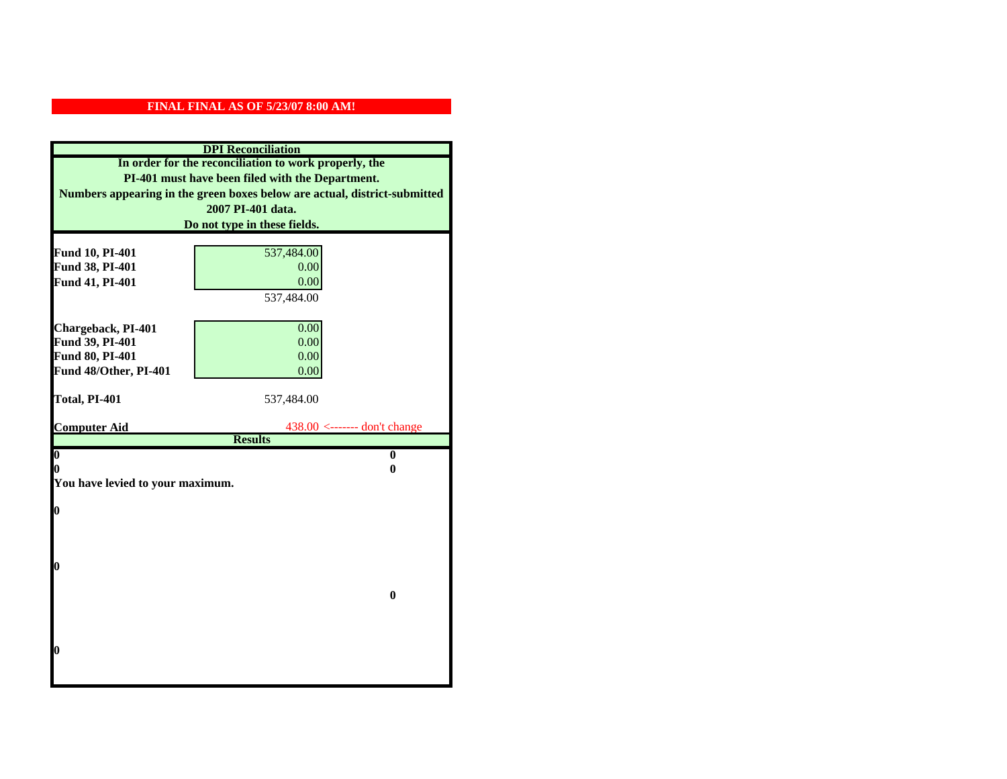| <b>DPI</b> Reconciliation                             |                                                                           |  |
|-------------------------------------------------------|---------------------------------------------------------------------------|--|
| In order for the reconciliation to work properly, the |                                                                           |  |
| PI-401 must have been filed with the Department.      |                                                                           |  |
|                                                       | Numbers appearing in the green boxes below are actual, district-submitted |  |
|                                                       | 2007 PI-401 data.                                                         |  |
|                                                       | Do not type in these fields.                                              |  |
|                                                       |                                                                           |  |
| Fund 10, PI-401                                       | 537,484.00                                                                |  |
| Fund 38, PI-401                                       | 0.00                                                                      |  |
| Fund 41, PI-401                                       | 0.00                                                                      |  |
|                                                       | 537,484.00                                                                |  |
|                                                       |                                                                           |  |
| Chargeback, PI-401                                    | 0.00                                                                      |  |
| Fund 39, PI-401                                       | 0.00                                                                      |  |
| Fund 80, PI-401                                       | 0.00                                                                      |  |
| Fund 48/Other, PI-401                                 | 0.00                                                                      |  |
| Total, PI-401                                         | 537,484.00                                                                |  |
|                                                       |                                                                           |  |
| <b>Computer Aid</b>                                   | $438.00$ <------- don't change                                            |  |
|                                                       | <b>Results</b>                                                            |  |
| $\boldsymbol{0}$                                      | $\bf{0}$                                                                  |  |
| 0<br>0                                                |                                                                           |  |
| You have levied to your maximum.                      |                                                                           |  |
| $\bf{0}$                                              |                                                                           |  |
|                                                       |                                                                           |  |
|                                                       |                                                                           |  |
|                                                       |                                                                           |  |
| 0                                                     |                                                                           |  |
|                                                       |                                                                           |  |
| $\bf{0}$                                              |                                                                           |  |
|                                                       |                                                                           |  |
|                                                       |                                                                           |  |
| 0                                                     |                                                                           |  |
|                                                       |                                                                           |  |
|                                                       |                                                                           |  |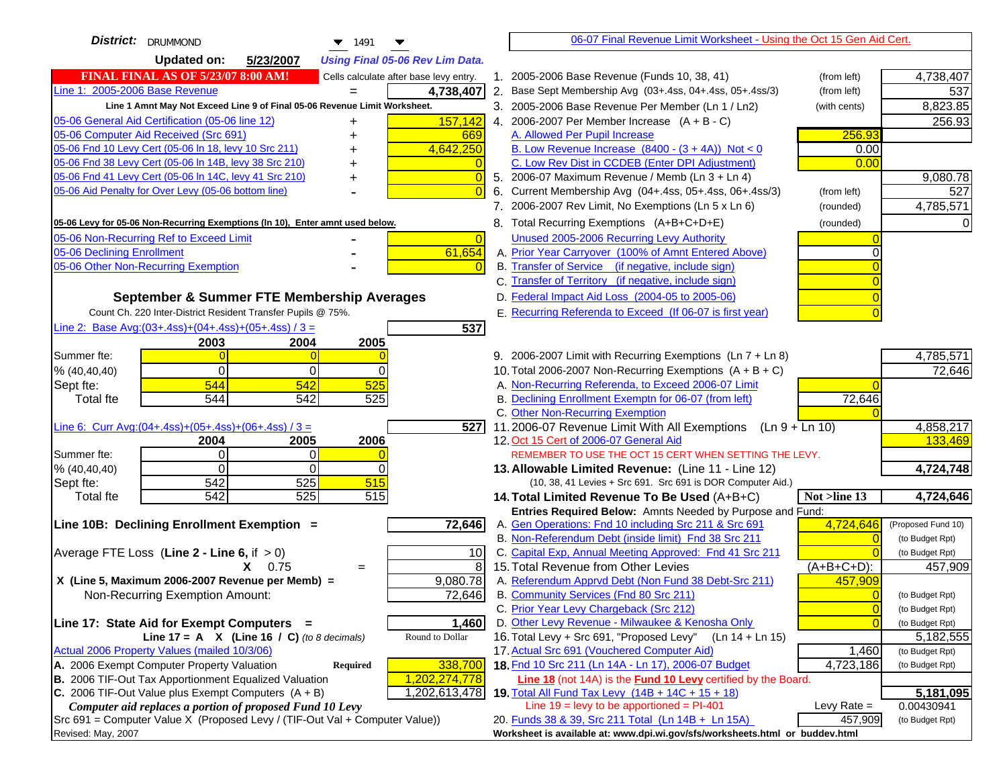| District:   DRUMMOND<br><b>Updated on:</b><br>5/23/2007<br><b>Using Final 05-06 Rev Lim Data.</b><br><b>FINAL FINAL AS OF 5/23/07 8:00 AM!</b><br>1. 2005-2006 Base Revenue (Funds 10, 38, 41)<br>4,738,407<br>Cells calculate after base levy entry.<br>(from left)<br>Line 1: 2005-2006 Base Revenue<br>2. Base Sept Membership Avg (03+.4ss, 04+.4ss, 05+.4ss/3)<br>537<br>4,738,407<br>(from left)<br>Line 1 Amnt May Not Exceed Line 9 of Final 05-06 Revenue Limit Worksheet.<br>8,823.85<br>3. 2005-2006 Base Revenue Per Member (Ln 1 / Ln2)<br>(with cents)<br>05-06 General Aid Certification (05-06 line 12)<br>157,142<br>4. 2006-2007 Per Member Increase $(A + B - C)$<br>256.93<br>+<br>05-06 Computer Aid Received (Src 691)<br>256.93<br>A. Allowed Per Pupil Increase<br>669<br>05-06 Fnd 10 Levy Cert (05-06 In 18, levy 10 Src 211)<br>4,642,250<br>B. Low Revenue Increase $(8400 - (3 + 4A))$ Not < 0<br>0.00<br>05-06 Fnd 38 Levy Cert (05-06 In 14B, levy 38 Src 210)<br>C. Low Rev Dist in CCDEB (Enter DPI Adjustment)<br>0.00<br>05-06 Fnd 41 Levy Cert (05-06 In 14C, levy 41 Src 210)<br>9,080.78<br>5. 2006-07 Maximum Revenue / Memb (Ln 3 + Ln 4)<br>$\sqrt{ }$<br>05-06 Aid Penalty for Over Levy (05-06 bottom line)<br>Current Membership Avg (04+.4ss, 05+.4ss, 06+.4ss/3)<br>(from left)<br>527<br>6.<br>7. 2006-2007 Rev Limit, No Exemptions (Ln 5 x Ln 6)<br>4,785,571<br>(rounded)<br>8. Total Recurring Exemptions (A+B+C+D+E)<br>05-06 Levy for 05-06 Non-Recurring Exemptions (In 10), Enter amnt used below.<br>(rounded)<br>05-06 Non-Recurring Ref to Exceed Limit<br>Unused 2005-2006 Recurring Levy Authority<br>$\Omega$<br>61,654<br>05-06 Declining Enrollment<br>A. Prior Year Carryover (100% of Amnt Entered Above)<br>05-06 Other Non-Recurring Exemption<br>B. Transfer of Service (if negative, include sign)<br>C. Transfer of Territory (if negative, include sign)<br>D. Federal Impact Aid Loss (2004-05 to 2005-06)<br>September & Summer FTE Membership Averages<br>E. Recurring Referenda to Exceed (If 06-07 is first year)<br>Count Ch. 220 Inter-District Resident Transfer Pupils @ 75%.<br>Line 2: Base Avg: $(03+.4ss)+(04+.4ss)+(05+.4ss)/3 =$<br>537<br>2003<br>2004<br>2005<br>4,785,571<br>9. 2006-2007 Limit with Recurring Exemptions (Ln 7 + Ln 8)<br>Summer fte:<br>$\Omega$<br>$\Omega$<br>72,646<br>10. Total 2006-2007 Non-Recurring Exemptions (A + B + C)<br>% (40, 40, 40)<br>0<br>$\Omega$<br>A. Non-Recurring Referenda, to Exceed 2006-07 Limit<br>Sept fte:<br>544<br>542<br>525<br>B. Declining Enrollment Exemptn for 06-07 (from left)<br>544<br>542<br>525<br>72,646<br><b>Total fte</b><br>C. Other Non-Recurring Exemption<br>4,858,217<br>Line 6: Curr Avg: $(04+.4ss)+(05+.4ss)+(06+.4ss)/3 =$<br>5271<br>11.2006-07 Revenue Limit With All Exemptions $(Ln 9 + Ln 10)$<br>2006<br>12. Oct 15 Cert of 2006-07 General Aid<br>133,469<br>2005<br>2004<br>$\overline{0}$<br>Summer fte:<br>REMEMBER TO USE THE OCT 15 CERT WHEN SETTING THE LEVY.<br>0<br>$\Omega$<br>$\Omega$<br>4,724,748<br>% (40, 40, 40)<br>0<br>13. Allowable Limited Revenue: (Line 11 - Line 12)<br>542<br>525<br>515<br>Sept fte:<br>(10, 38, 41 Levies + Src 691. Src 691 is DOR Computer Aid.)<br>525<br>542<br>515<br>4,724,646<br><b>Total fte</b><br>14. Total Limited Revenue To Be Used (A+B+C)<br>Not >line 13<br>Entries Required Below: Amnts Needed by Purpose and Fund:<br>72,646<br>A. Gen Operations: Fnd 10 including Src 211 & Src 691<br>4,724,646<br>Line 10B: Declining Enrollment Exemption =<br>(Proposed Fund 10)<br>B. Non-Referendum Debt (inside limit) Fnd 38 Src 211<br>(to Budget Rpt)<br>C. Capital Exp, Annual Meeting Approved: Fnd 41 Src 211<br>Average FTE Loss (Line $2 -$ Line 6, if $> 0$ )<br>10<br>(to Budget Rpt)<br>8<br>15. Total Revenue from Other Levies<br>$(A+B+C+D)$ :<br>$X = 0.75$<br>457,909<br>$=$<br>A. Referendum Apprvd Debt (Non Fund 38 Debt-Src 211)<br>X (Line 5, Maximum 2006-2007 Revenue per Memb) =<br>9,080.78<br>457,909<br>B. Community Services (Fnd 80 Src 211) |
|-------------------------------------------------------------------------------------------------------------------------------------------------------------------------------------------------------------------------------------------------------------------------------------------------------------------------------------------------------------------------------------------------------------------------------------------------------------------------------------------------------------------------------------------------------------------------------------------------------------------------------------------------------------------------------------------------------------------------------------------------------------------------------------------------------------------------------------------------------------------------------------------------------------------------------------------------------------------------------------------------------------------------------------------------------------------------------------------------------------------------------------------------------------------------------------------------------------------------------------------------------------------------------------------------------------------------------------------------------------------------------------------------------------------------------------------------------------------------------------------------------------------------------------------------------------------------------------------------------------------------------------------------------------------------------------------------------------------------------------------------------------------------------------------------------------------------------------------------------------------------------------------------------------------------------------------------------------------------------------------------------------------------------------------------------------------------------------------------------------------------------------------------------------------------------------------------------------------------------------------------------------------------------------------------------------------------------------------------------------------------------------------------------------------------------------------------------------------------------------------------------------------------------------------------------------------------------------------------------------------------------------------------------------------------------------------------------------------------------------------------------------------------------------------------------------------------------------------------------------------------------------------------------------------------------------------------------------------------------------------------------------------------------------------------------------------------------------------------------------------------------------------------------------------------------------------------------------------------------------------------------------------------------------------------------------------------------------------------------------------------------------------------------------------------------------------------------------------------------------------------------------------------------------------------------------------------------------------------------------------------------------------------------------------------------------------------------------------------------------------------------------------------------------------------------------------------------------------------------------------------------------------------------------------------------------------------------------------------------------------------------------------------------------------------------------------------------------------------------------|
|                                                                                                                                                                                                                                                                                                                                                                                                                                                                                                                                                                                                                                                                                                                                                                                                                                                                                                                                                                                                                                                                                                                                                                                                                                                                                                                                                                                                                                                                                                                                                                                                                                                                                                                                                                                                                                                                                                                                                                                                                                                                                                                                                                                                                                                                                                                                                                                                                                                                                                                                                                                                                                                                                                                                                                                                                                                                                                                                                                                                                                                                                                                                                                                                                                                                                                                                                                                                                                                                                                                                                                                                                                                                                                                                                                                                                                                                                                                                                                                                                                                                                                             |
|                                                                                                                                                                                                                                                                                                                                                                                                                                                                                                                                                                                                                                                                                                                                                                                                                                                                                                                                                                                                                                                                                                                                                                                                                                                                                                                                                                                                                                                                                                                                                                                                                                                                                                                                                                                                                                                                                                                                                                                                                                                                                                                                                                                                                                                                                                                                                                                                                                                                                                                                                                                                                                                                                                                                                                                                                                                                                                                                                                                                                                                                                                                                                                                                                                                                                                                                                                                                                                                                                                                                                                                                                                                                                                                                                                                                                                                                                                                                                                                                                                                                                                             |
|                                                                                                                                                                                                                                                                                                                                                                                                                                                                                                                                                                                                                                                                                                                                                                                                                                                                                                                                                                                                                                                                                                                                                                                                                                                                                                                                                                                                                                                                                                                                                                                                                                                                                                                                                                                                                                                                                                                                                                                                                                                                                                                                                                                                                                                                                                                                                                                                                                                                                                                                                                                                                                                                                                                                                                                                                                                                                                                                                                                                                                                                                                                                                                                                                                                                                                                                                                                                                                                                                                                                                                                                                                                                                                                                                                                                                                                                                                                                                                                                                                                                                                             |
|                                                                                                                                                                                                                                                                                                                                                                                                                                                                                                                                                                                                                                                                                                                                                                                                                                                                                                                                                                                                                                                                                                                                                                                                                                                                                                                                                                                                                                                                                                                                                                                                                                                                                                                                                                                                                                                                                                                                                                                                                                                                                                                                                                                                                                                                                                                                                                                                                                                                                                                                                                                                                                                                                                                                                                                                                                                                                                                                                                                                                                                                                                                                                                                                                                                                                                                                                                                                                                                                                                                                                                                                                                                                                                                                                                                                                                                                                                                                                                                                                                                                                                             |
|                                                                                                                                                                                                                                                                                                                                                                                                                                                                                                                                                                                                                                                                                                                                                                                                                                                                                                                                                                                                                                                                                                                                                                                                                                                                                                                                                                                                                                                                                                                                                                                                                                                                                                                                                                                                                                                                                                                                                                                                                                                                                                                                                                                                                                                                                                                                                                                                                                                                                                                                                                                                                                                                                                                                                                                                                                                                                                                                                                                                                                                                                                                                                                                                                                                                                                                                                                                                                                                                                                                                                                                                                                                                                                                                                                                                                                                                                                                                                                                                                                                                                                             |
|                                                                                                                                                                                                                                                                                                                                                                                                                                                                                                                                                                                                                                                                                                                                                                                                                                                                                                                                                                                                                                                                                                                                                                                                                                                                                                                                                                                                                                                                                                                                                                                                                                                                                                                                                                                                                                                                                                                                                                                                                                                                                                                                                                                                                                                                                                                                                                                                                                                                                                                                                                                                                                                                                                                                                                                                                                                                                                                                                                                                                                                                                                                                                                                                                                                                                                                                                                                                                                                                                                                                                                                                                                                                                                                                                                                                                                                                                                                                                                                                                                                                                                             |
|                                                                                                                                                                                                                                                                                                                                                                                                                                                                                                                                                                                                                                                                                                                                                                                                                                                                                                                                                                                                                                                                                                                                                                                                                                                                                                                                                                                                                                                                                                                                                                                                                                                                                                                                                                                                                                                                                                                                                                                                                                                                                                                                                                                                                                                                                                                                                                                                                                                                                                                                                                                                                                                                                                                                                                                                                                                                                                                                                                                                                                                                                                                                                                                                                                                                                                                                                                                                                                                                                                                                                                                                                                                                                                                                                                                                                                                                                                                                                                                                                                                                                                             |
|                                                                                                                                                                                                                                                                                                                                                                                                                                                                                                                                                                                                                                                                                                                                                                                                                                                                                                                                                                                                                                                                                                                                                                                                                                                                                                                                                                                                                                                                                                                                                                                                                                                                                                                                                                                                                                                                                                                                                                                                                                                                                                                                                                                                                                                                                                                                                                                                                                                                                                                                                                                                                                                                                                                                                                                                                                                                                                                                                                                                                                                                                                                                                                                                                                                                                                                                                                                                                                                                                                                                                                                                                                                                                                                                                                                                                                                                                                                                                                                                                                                                                                             |
|                                                                                                                                                                                                                                                                                                                                                                                                                                                                                                                                                                                                                                                                                                                                                                                                                                                                                                                                                                                                                                                                                                                                                                                                                                                                                                                                                                                                                                                                                                                                                                                                                                                                                                                                                                                                                                                                                                                                                                                                                                                                                                                                                                                                                                                                                                                                                                                                                                                                                                                                                                                                                                                                                                                                                                                                                                                                                                                                                                                                                                                                                                                                                                                                                                                                                                                                                                                                                                                                                                                                                                                                                                                                                                                                                                                                                                                                                                                                                                                                                                                                                                             |
|                                                                                                                                                                                                                                                                                                                                                                                                                                                                                                                                                                                                                                                                                                                                                                                                                                                                                                                                                                                                                                                                                                                                                                                                                                                                                                                                                                                                                                                                                                                                                                                                                                                                                                                                                                                                                                                                                                                                                                                                                                                                                                                                                                                                                                                                                                                                                                                                                                                                                                                                                                                                                                                                                                                                                                                                                                                                                                                                                                                                                                                                                                                                                                                                                                                                                                                                                                                                                                                                                                                                                                                                                                                                                                                                                                                                                                                                                                                                                                                                                                                                                                             |
|                                                                                                                                                                                                                                                                                                                                                                                                                                                                                                                                                                                                                                                                                                                                                                                                                                                                                                                                                                                                                                                                                                                                                                                                                                                                                                                                                                                                                                                                                                                                                                                                                                                                                                                                                                                                                                                                                                                                                                                                                                                                                                                                                                                                                                                                                                                                                                                                                                                                                                                                                                                                                                                                                                                                                                                                                                                                                                                                                                                                                                                                                                                                                                                                                                                                                                                                                                                                                                                                                                                                                                                                                                                                                                                                                                                                                                                                                                                                                                                                                                                                                                             |
|                                                                                                                                                                                                                                                                                                                                                                                                                                                                                                                                                                                                                                                                                                                                                                                                                                                                                                                                                                                                                                                                                                                                                                                                                                                                                                                                                                                                                                                                                                                                                                                                                                                                                                                                                                                                                                                                                                                                                                                                                                                                                                                                                                                                                                                                                                                                                                                                                                                                                                                                                                                                                                                                                                                                                                                                                                                                                                                                                                                                                                                                                                                                                                                                                                                                                                                                                                                                                                                                                                                                                                                                                                                                                                                                                                                                                                                                                                                                                                                                                                                                                                             |
|                                                                                                                                                                                                                                                                                                                                                                                                                                                                                                                                                                                                                                                                                                                                                                                                                                                                                                                                                                                                                                                                                                                                                                                                                                                                                                                                                                                                                                                                                                                                                                                                                                                                                                                                                                                                                                                                                                                                                                                                                                                                                                                                                                                                                                                                                                                                                                                                                                                                                                                                                                                                                                                                                                                                                                                                                                                                                                                                                                                                                                                                                                                                                                                                                                                                                                                                                                                                                                                                                                                                                                                                                                                                                                                                                                                                                                                                                                                                                                                                                                                                                                             |
|                                                                                                                                                                                                                                                                                                                                                                                                                                                                                                                                                                                                                                                                                                                                                                                                                                                                                                                                                                                                                                                                                                                                                                                                                                                                                                                                                                                                                                                                                                                                                                                                                                                                                                                                                                                                                                                                                                                                                                                                                                                                                                                                                                                                                                                                                                                                                                                                                                                                                                                                                                                                                                                                                                                                                                                                                                                                                                                                                                                                                                                                                                                                                                                                                                                                                                                                                                                                                                                                                                                                                                                                                                                                                                                                                                                                                                                                                                                                                                                                                                                                                                             |
|                                                                                                                                                                                                                                                                                                                                                                                                                                                                                                                                                                                                                                                                                                                                                                                                                                                                                                                                                                                                                                                                                                                                                                                                                                                                                                                                                                                                                                                                                                                                                                                                                                                                                                                                                                                                                                                                                                                                                                                                                                                                                                                                                                                                                                                                                                                                                                                                                                                                                                                                                                                                                                                                                                                                                                                                                                                                                                                                                                                                                                                                                                                                                                                                                                                                                                                                                                                                                                                                                                                                                                                                                                                                                                                                                                                                                                                                                                                                                                                                                                                                                                             |
|                                                                                                                                                                                                                                                                                                                                                                                                                                                                                                                                                                                                                                                                                                                                                                                                                                                                                                                                                                                                                                                                                                                                                                                                                                                                                                                                                                                                                                                                                                                                                                                                                                                                                                                                                                                                                                                                                                                                                                                                                                                                                                                                                                                                                                                                                                                                                                                                                                                                                                                                                                                                                                                                                                                                                                                                                                                                                                                                                                                                                                                                                                                                                                                                                                                                                                                                                                                                                                                                                                                                                                                                                                                                                                                                                                                                                                                                                                                                                                                                                                                                                                             |
|                                                                                                                                                                                                                                                                                                                                                                                                                                                                                                                                                                                                                                                                                                                                                                                                                                                                                                                                                                                                                                                                                                                                                                                                                                                                                                                                                                                                                                                                                                                                                                                                                                                                                                                                                                                                                                                                                                                                                                                                                                                                                                                                                                                                                                                                                                                                                                                                                                                                                                                                                                                                                                                                                                                                                                                                                                                                                                                                                                                                                                                                                                                                                                                                                                                                                                                                                                                                                                                                                                                                                                                                                                                                                                                                                                                                                                                                                                                                                                                                                                                                                                             |
|                                                                                                                                                                                                                                                                                                                                                                                                                                                                                                                                                                                                                                                                                                                                                                                                                                                                                                                                                                                                                                                                                                                                                                                                                                                                                                                                                                                                                                                                                                                                                                                                                                                                                                                                                                                                                                                                                                                                                                                                                                                                                                                                                                                                                                                                                                                                                                                                                                                                                                                                                                                                                                                                                                                                                                                                                                                                                                                                                                                                                                                                                                                                                                                                                                                                                                                                                                                                                                                                                                                                                                                                                                                                                                                                                                                                                                                                                                                                                                                                                                                                                                             |
|                                                                                                                                                                                                                                                                                                                                                                                                                                                                                                                                                                                                                                                                                                                                                                                                                                                                                                                                                                                                                                                                                                                                                                                                                                                                                                                                                                                                                                                                                                                                                                                                                                                                                                                                                                                                                                                                                                                                                                                                                                                                                                                                                                                                                                                                                                                                                                                                                                                                                                                                                                                                                                                                                                                                                                                                                                                                                                                                                                                                                                                                                                                                                                                                                                                                                                                                                                                                                                                                                                                                                                                                                                                                                                                                                                                                                                                                                                                                                                                                                                                                                                             |
|                                                                                                                                                                                                                                                                                                                                                                                                                                                                                                                                                                                                                                                                                                                                                                                                                                                                                                                                                                                                                                                                                                                                                                                                                                                                                                                                                                                                                                                                                                                                                                                                                                                                                                                                                                                                                                                                                                                                                                                                                                                                                                                                                                                                                                                                                                                                                                                                                                                                                                                                                                                                                                                                                                                                                                                                                                                                                                                                                                                                                                                                                                                                                                                                                                                                                                                                                                                                                                                                                                                                                                                                                                                                                                                                                                                                                                                                                                                                                                                                                                                                                                             |
|                                                                                                                                                                                                                                                                                                                                                                                                                                                                                                                                                                                                                                                                                                                                                                                                                                                                                                                                                                                                                                                                                                                                                                                                                                                                                                                                                                                                                                                                                                                                                                                                                                                                                                                                                                                                                                                                                                                                                                                                                                                                                                                                                                                                                                                                                                                                                                                                                                                                                                                                                                                                                                                                                                                                                                                                                                                                                                                                                                                                                                                                                                                                                                                                                                                                                                                                                                                                                                                                                                                                                                                                                                                                                                                                                                                                                                                                                                                                                                                                                                                                                                             |
|                                                                                                                                                                                                                                                                                                                                                                                                                                                                                                                                                                                                                                                                                                                                                                                                                                                                                                                                                                                                                                                                                                                                                                                                                                                                                                                                                                                                                                                                                                                                                                                                                                                                                                                                                                                                                                                                                                                                                                                                                                                                                                                                                                                                                                                                                                                                                                                                                                                                                                                                                                                                                                                                                                                                                                                                                                                                                                                                                                                                                                                                                                                                                                                                                                                                                                                                                                                                                                                                                                                                                                                                                                                                                                                                                                                                                                                                                                                                                                                                                                                                                                             |
|                                                                                                                                                                                                                                                                                                                                                                                                                                                                                                                                                                                                                                                                                                                                                                                                                                                                                                                                                                                                                                                                                                                                                                                                                                                                                                                                                                                                                                                                                                                                                                                                                                                                                                                                                                                                                                                                                                                                                                                                                                                                                                                                                                                                                                                                                                                                                                                                                                                                                                                                                                                                                                                                                                                                                                                                                                                                                                                                                                                                                                                                                                                                                                                                                                                                                                                                                                                                                                                                                                                                                                                                                                                                                                                                                                                                                                                                                                                                                                                                                                                                                                             |
|                                                                                                                                                                                                                                                                                                                                                                                                                                                                                                                                                                                                                                                                                                                                                                                                                                                                                                                                                                                                                                                                                                                                                                                                                                                                                                                                                                                                                                                                                                                                                                                                                                                                                                                                                                                                                                                                                                                                                                                                                                                                                                                                                                                                                                                                                                                                                                                                                                                                                                                                                                                                                                                                                                                                                                                                                                                                                                                                                                                                                                                                                                                                                                                                                                                                                                                                                                                                                                                                                                                                                                                                                                                                                                                                                                                                                                                                                                                                                                                                                                                                                                             |
|                                                                                                                                                                                                                                                                                                                                                                                                                                                                                                                                                                                                                                                                                                                                                                                                                                                                                                                                                                                                                                                                                                                                                                                                                                                                                                                                                                                                                                                                                                                                                                                                                                                                                                                                                                                                                                                                                                                                                                                                                                                                                                                                                                                                                                                                                                                                                                                                                                                                                                                                                                                                                                                                                                                                                                                                                                                                                                                                                                                                                                                                                                                                                                                                                                                                                                                                                                                                                                                                                                                                                                                                                                                                                                                                                                                                                                                                                                                                                                                                                                                                                                             |
|                                                                                                                                                                                                                                                                                                                                                                                                                                                                                                                                                                                                                                                                                                                                                                                                                                                                                                                                                                                                                                                                                                                                                                                                                                                                                                                                                                                                                                                                                                                                                                                                                                                                                                                                                                                                                                                                                                                                                                                                                                                                                                                                                                                                                                                                                                                                                                                                                                                                                                                                                                                                                                                                                                                                                                                                                                                                                                                                                                                                                                                                                                                                                                                                                                                                                                                                                                                                                                                                                                                                                                                                                                                                                                                                                                                                                                                                                                                                                                                                                                                                                                             |
|                                                                                                                                                                                                                                                                                                                                                                                                                                                                                                                                                                                                                                                                                                                                                                                                                                                                                                                                                                                                                                                                                                                                                                                                                                                                                                                                                                                                                                                                                                                                                                                                                                                                                                                                                                                                                                                                                                                                                                                                                                                                                                                                                                                                                                                                                                                                                                                                                                                                                                                                                                                                                                                                                                                                                                                                                                                                                                                                                                                                                                                                                                                                                                                                                                                                                                                                                                                                                                                                                                                                                                                                                                                                                                                                                                                                                                                                                                                                                                                                                                                                                                             |
|                                                                                                                                                                                                                                                                                                                                                                                                                                                                                                                                                                                                                                                                                                                                                                                                                                                                                                                                                                                                                                                                                                                                                                                                                                                                                                                                                                                                                                                                                                                                                                                                                                                                                                                                                                                                                                                                                                                                                                                                                                                                                                                                                                                                                                                                                                                                                                                                                                                                                                                                                                                                                                                                                                                                                                                                                                                                                                                                                                                                                                                                                                                                                                                                                                                                                                                                                                                                                                                                                                                                                                                                                                                                                                                                                                                                                                                                                                                                                                                                                                                                                                             |
|                                                                                                                                                                                                                                                                                                                                                                                                                                                                                                                                                                                                                                                                                                                                                                                                                                                                                                                                                                                                                                                                                                                                                                                                                                                                                                                                                                                                                                                                                                                                                                                                                                                                                                                                                                                                                                                                                                                                                                                                                                                                                                                                                                                                                                                                                                                                                                                                                                                                                                                                                                                                                                                                                                                                                                                                                                                                                                                                                                                                                                                                                                                                                                                                                                                                                                                                                                                                                                                                                                                                                                                                                                                                                                                                                                                                                                                                                                                                                                                                                                                                                                             |
|                                                                                                                                                                                                                                                                                                                                                                                                                                                                                                                                                                                                                                                                                                                                                                                                                                                                                                                                                                                                                                                                                                                                                                                                                                                                                                                                                                                                                                                                                                                                                                                                                                                                                                                                                                                                                                                                                                                                                                                                                                                                                                                                                                                                                                                                                                                                                                                                                                                                                                                                                                                                                                                                                                                                                                                                                                                                                                                                                                                                                                                                                                                                                                                                                                                                                                                                                                                                                                                                                                                                                                                                                                                                                                                                                                                                                                                                                                                                                                                                                                                                                                             |
|                                                                                                                                                                                                                                                                                                                                                                                                                                                                                                                                                                                                                                                                                                                                                                                                                                                                                                                                                                                                                                                                                                                                                                                                                                                                                                                                                                                                                                                                                                                                                                                                                                                                                                                                                                                                                                                                                                                                                                                                                                                                                                                                                                                                                                                                                                                                                                                                                                                                                                                                                                                                                                                                                                                                                                                                                                                                                                                                                                                                                                                                                                                                                                                                                                                                                                                                                                                                                                                                                                                                                                                                                                                                                                                                                                                                                                                                                                                                                                                                                                                                                                             |
|                                                                                                                                                                                                                                                                                                                                                                                                                                                                                                                                                                                                                                                                                                                                                                                                                                                                                                                                                                                                                                                                                                                                                                                                                                                                                                                                                                                                                                                                                                                                                                                                                                                                                                                                                                                                                                                                                                                                                                                                                                                                                                                                                                                                                                                                                                                                                                                                                                                                                                                                                                                                                                                                                                                                                                                                                                                                                                                                                                                                                                                                                                                                                                                                                                                                                                                                                                                                                                                                                                                                                                                                                                                                                                                                                                                                                                                                                                                                                                                                                                                                                                             |
|                                                                                                                                                                                                                                                                                                                                                                                                                                                                                                                                                                                                                                                                                                                                                                                                                                                                                                                                                                                                                                                                                                                                                                                                                                                                                                                                                                                                                                                                                                                                                                                                                                                                                                                                                                                                                                                                                                                                                                                                                                                                                                                                                                                                                                                                                                                                                                                                                                                                                                                                                                                                                                                                                                                                                                                                                                                                                                                                                                                                                                                                                                                                                                                                                                                                                                                                                                                                                                                                                                                                                                                                                                                                                                                                                                                                                                                                                                                                                                                                                                                                                                             |
|                                                                                                                                                                                                                                                                                                                                                                                                                                                                                                                                                                                                                                                                                                                                                                                                                                                                                                                                                                                                                                                                                                                                                                                                                                                                                                                                                                                                                                                                                                                                                                                                                                                                                                                                                                                                                                                                                                                                                                                                                                                                                                                                                                                                                                                                                                                                                                                                                                                                                                                                                                                                                                                                                                                                                                                                                                                                                                                                                                                                                                                                                                                                                                                                                                                                                                                                                                                                                                                                                                                                                                                                                                                                                                                                                                                                                                                                                                                                                                                                                                                                                                             |
|                                                                                                                                                                                                                                                                                                                                                                                                                                                                                                                                                                                                                                                                                                                                                                                                                                                                                                                                                                                                                                                                                                                                                                                                                                                                                                                                                                                                                                                                                                                                                                                                                                                                                                                                                                                                                                                                                                                                                                                                                                                                                                                                                                                                                                                                                                                                                                                                                                                                                                                                                                                                                                                                                                                                                                                                                                                                                                                                                                                                                                                                                                                                                                                                                                                                                                                                                                                                                                                                                                                                                                                                                                                                                                                                                                                                                                                                                                                                                                                                                                                                                                             |
|                                                                                                                                                                                                                                                                                                                                                                                                                                                                                                                                                                                                                                                                                                                                                                                                                                                                                                                                                                                                                                                                                                                                                                                                                                                                                                                                                                                                                                                                                                                                                                                                                                                                                                                                                                                                                                                                                                                                                                                                                                                                                                                                                                                                                                                                                                                                                                                                                                                                                                                                                                                                                                                                                                                                                                                                                                                                                                                                                                                                                                                                                                                                                                                                                                                                                                                                                                                                                                                                                                                                                                                                                                                                                                                                                                                                                                                                                                                                                                                                                                                                                                             |
| 72,646<br>Non-Recurring Exemption Amount:<br>(to Budget Rpt)                                                                                                                                                                                                                                                                                                                                                                                                                                                                                                                                                                                                                                                                                                                                                                                                                                                                                                                                                                                                                                                                                                                                                                                                                                                                                                                                                                                                                                                                                                                                                                                                                                                                                                                                                                                                                                                                                                                                                                                                                                                                                                                                                                                                                                                                                                                                                                                                                                                                                                                                                                                                                                                                                                                                                                                                                                                                                                                                                                                                                                                                                                                                                                                                                                                                                                                                                                                                                                                                                                                                                                                                                                                                                                                                                                                                                                                                                                                                                                                                                                                |
| C. Prior Year Levy Chargeback (Src 212)<br>$\overline{0}$<br>(to Budget Rpt)                                                                                                                                                                                                                                                                                                                                                                                                                                                                                                                                                                                                                                                                                                                                                                                                                                                                                                                                                                                                                                                                                                                                                                                                                                                                                                                                                                                                                                                                                                                                                                                                                                                                                                                                                                                                                                                                                                                                                                                                                                                                                                                                                                                                                                                                                                                                                                                                                                                                                                                                                                                                                                                                                                                                                                                                                                                                                                                                                                                                                                                                                                                                                                                                                                                                                                                                                                                                                                                                                                                                                                                                                                                                                                                                                                                                                                                                                                                                                                                                                                |
| D. Other Levy Revenue - Milwaukee & Kenosha Only<br>Line 17: State Aid for Exempt Computers =<br>1,460<br>(to Budget Rpt)                                                                                                                                                                                                                                                                                                                                                                                                                                                                                                                                                                                                                                                                                                                                                                                                                                                                                                                                                                                                                                                                                                                                                                                                                                                                                                                                                                                                                                                                                                                                                                                                                                                                                                                                                                                                                                                                                                                                                                                                                                                                                                                                                                                                                                                                                                                                                                                                                                                                                                                                                                                                                                                                                                                                                                                                                                                                                                                                                                                                                                                                                                                                                                                                                                                                                                                                                                                                                                                                                                                                                                                                                                                                                                                                                                                                                                                                                                                                                                                   |
| 16. Total Levy + Src 691, "Proposed Levy"<br>Round to Dollar<br>(Ln 14 + Ln 15)<br>Line 17 = A $X$ (Line 16 / C) (to 8 decimals)<br>5,182,555                                                                                                                                                                                                                                                                                                                                                                                                                                                                                                                                                                                                                                                                                                                                                                                                                                                                                                                                                                                                                                                                                                                                                                                                                                                                                                                                                                                                                                                                                                                                                                                                                                                                                                                                                                                                                                                                                                                                                                                                                                                                                                                                                                                                                                                                                                                                                                                                                                                                                                                                                                                                                                                                                                                                                                                                                                                                                                                                                                                                                                                                                                                                                                                                                                                                                                                                                                                                                                                                                                                                                                                                                                                                                                                                                                                                                                                                                                                                                               |
| Actual 2006 Property Values (mailed 10/3/06)<br>17. Actual Src 691 (Vouchered Computer Aid)<br>1,460<br>(to Budget Rpt)<br>18. Fnd 10 Src 211 (Ln 14A - Ln 17), 2006-07 Budget<br>A. 2006 Exempt Computer Property Valuation<br>338,700<br>4,723,186                                                                                                                                                                                                                                                                                                                                                                                                                                                                                                                                                                                                                                                                                                                                                                                                                                                                                                                                                                                                                                                                                                                                                                                                                                                                                                                                                                                                                                                                                                                                                                                                                                                                                                                                                                                                                                                                                                                                                                                                                                                                                                                                                                                                                                                                                                                                                                                                                                                                                                                                                                                                                                                                                                                                                                                                                                                                                                                                                                                                                                                                                                                                                                                                                                                                                                                                                                                                                                                                                                                                                                                                                                                                                                                                                                                                                                                        |
| Required<br>(to Budget Rpt)<br>B. 2006 TIF-Out Tax Apportionment Equalized Valuation<br>1,202,274,778<br>Line 18 (not 14A) is the <b>Fund 10 Levy</b> certified by the Board.                                                                                                                                                                                                                                                                                                                                                                                                                                                                                                                                                                                                                                                                                                                                                                                                                                                                                                                                                                                                                                                                                                                                                                                                                                                                                                                                                                                                                                                                                                                                                                                                                                                                                                                                                                                                                                                                                                                                                                                                                                                                                                                                                                                                                                                                                                                                                                                                                                                                                                                                                                                                                                                                                                                                                                                                                                                                                                                                                                                                                                                                                                                                                                                                                                                                                                                                                                                                                                                                                                                                                                                                                                                                                                                                                                                                                                                                                                                               |
| C. 2006 TIF-Out Value plus Exempt Computers $(A + B)$<br>1,202,613,478<br>19. Total All Fund Tax Levy (14B + 14C + 15 + 18)<br>5,181,095                                                                                                                                                                                                                                                                                                                                                                                                                                                                                                                                                                                                                                                                                                                                                                                                                                                                                                                                                                                                                                                                                                                                                                                                                                                                                                                                                                                                                                                                                                                                                                                                                                                                                                                                                                                                                                                                                                                                                                                                                                                                                                                                                                                                                                                                                                                                                                                                                                                                                                                                                                                                                                                                                                                                                                                                                                                                                                                                                                                                                                                                                                                                                                                                                                                                                                                                                                                                                                                                                                                                                                                                                                                                                                                                                                                                                                                                                                                                                                    |
| Line $19 = \text{levy}$ to be apportioned = PI-401<br>Computer aid replaces a portion of proposed Fund 10 Levy<br>Levy Rate $=$<br>0.00430941                                                                                                                                                                                                                                                                                                                                                                                                                                                                                                                                                                                                                                                                                                                                                                                                                                                                                                                                                                                                                                                                                                                                                                                                                                                                                                                                                                                                                                                                                                                                                                                                                                                                                                                                                                                                                                                                                                                                                                                                                                                                                                                                                                                                                                                                                                                                                                                                                                                                                                                                                                                                                                                                                                                                                                                                                                                                                                                                                                                                                                                                                                                                                                                                                                                                                                                                                                                                                                                                                                                                                                                                                                                                                                                                                                                                                                                                                                                                                               |
| Src 691 = Computer Value X (Proposed Levy / (TIF-Out Val + Computer Value))<br>20. Funds 38 & 39, Src 211 Total (Ln 14B + Ln 15A)<br>457,909<br>(to Budget Rpt)                                                                                                                                                                                                                                                                                                                                                                                                                                                                                                                                                                                                                                                                                                                                                                                                                                                                                                                                                                                                                                                                                                                                                                                                                                                                                                                                                                                                                                                                                                                                                                                                                                                                                                                                                                                                                                                                                                                                                                                                                                                                                                                                                                                                                                                                                                                                                                                                                                                                                                                                                                                                                                                                                                                                                                                                                                                                                                                                                                                                                                                                                                                                                                                                                                                                                                                                                                                                                                                                                                                                                                                                                                                                                                                                                                                                                                                                                                                                             |
| Revised: May, 2007<br>Worksheet is available at: www.dpi.wi.gov/sfs/worksheets.html or buddev.html                                                                                                                                                                                                                                                                                                                                                                                                                                                                                                                                                                                                                                                                                                                                                                                                                                                                                                                                                                                                                                                                                                                                                                                                                                                                                                                                                                                                                                                                                                                                                                                                                                                                                                                                                                                                                                                                                                                                                                                                                                                                                                                                                                                                                                                                                                                                                                                                                                                                                                                                                                                                                                                                                                                                                                                                                                                                                                                                                                                                                                                                                                                                                                                                                                                                                                                                                                                                                                                                                                                                                                                                                                                                                                                                                                                                                                                                                                                                                                                                          |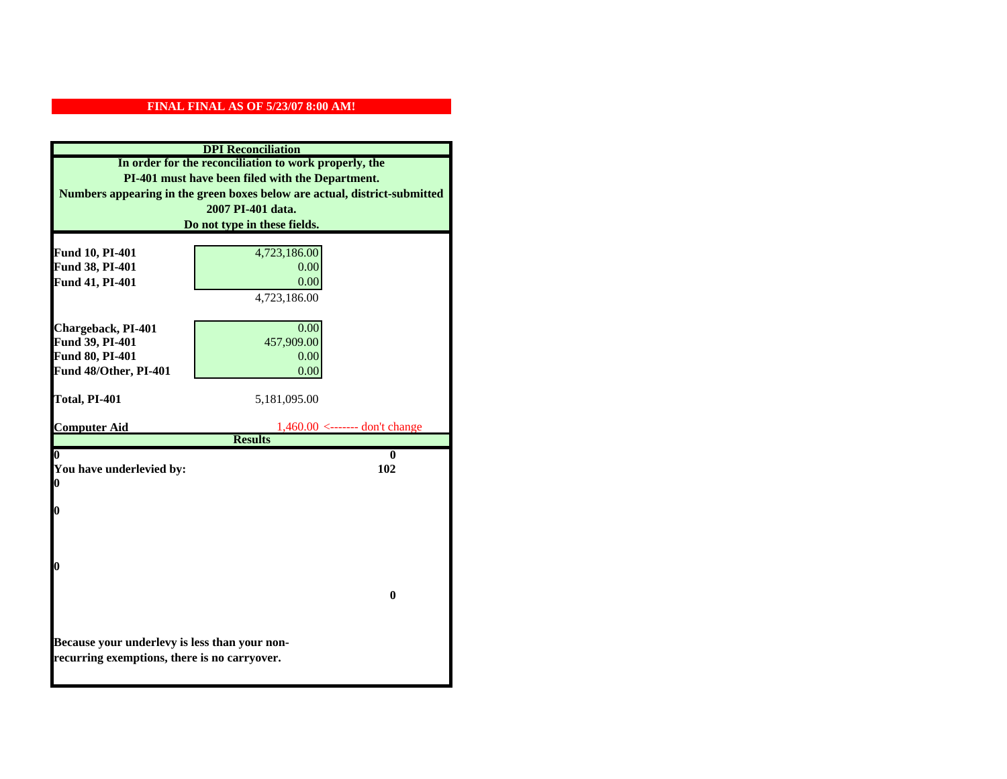| <b>DPI</b> Reconciliation                     |                                                                           |  |
|-----------------------------------------------|---------------------------------------------------------------------------|--|
|                                               | In order for the reconciliation to work properly, the                     |  |
|                                               | PI-401 must have been filed with the Department.                          |  |
|                                               | Numbers appearing in the green boxes below are actual, district-submitted |  |
|                                               | 2007 PI-401 data.                                                         |  |
|                                               | Do not type in these fields.                                              |  |
|                                               |                                                                           |  |
| Fund 10, PI-401                               | 4,723,186.00                                                              |  |
| Fund 38, PI-401                               | 0.00                                                                      |  |
| Fund 41, PI-401                               | 0.00                                                                      |  |
|                                               | 4,723,186.00                                                              |  |
|                                               | 0.00                                                                      |  |
| Chargeback, PI-401<br>Fund 39, PI-401         | 457,909.00                                                                |  |
| Fund 80, PI-401                               | 0.00                                                                      |  |
| Fund 48/Other, PI-401                         | 0.00                                                                      |  |
|                                               |                                                                           |  |
| Total, PI-401                                 | 5,181,095.00                                                              |  |
|                                               |                                                                           |  |
| <b>Computer Aid</b>                           | $1,460.00 \le$ ------- don't change                                       |  |
|                                               | <b>Results</b>                                                            |  |
| 0<br>0                                        |                                                                           |  |
| You have underlevied by:<br>102<br>$\bf{0}$   |                                                                           |  |
|                                               |                                                                           |  |
| 0                                             |                                                                           |  |
|                                               |                                                                           |  |
|                                               |                                                                           |  |
|                                               |                                                                           |  |
| 0                                             |                                                                           |  |
|                                               |                                                                           |  |
| $\bf{0}$                                      |                                                                           |  |
|                                               |                                                                           |  |
|                                               |                                                                           |  |
| Because your underlevy is less than your non- |                                                                           |  |
| recurring exemptions, there is no carryover.  |                                                                           |  |
|                                               |                                                                           |  |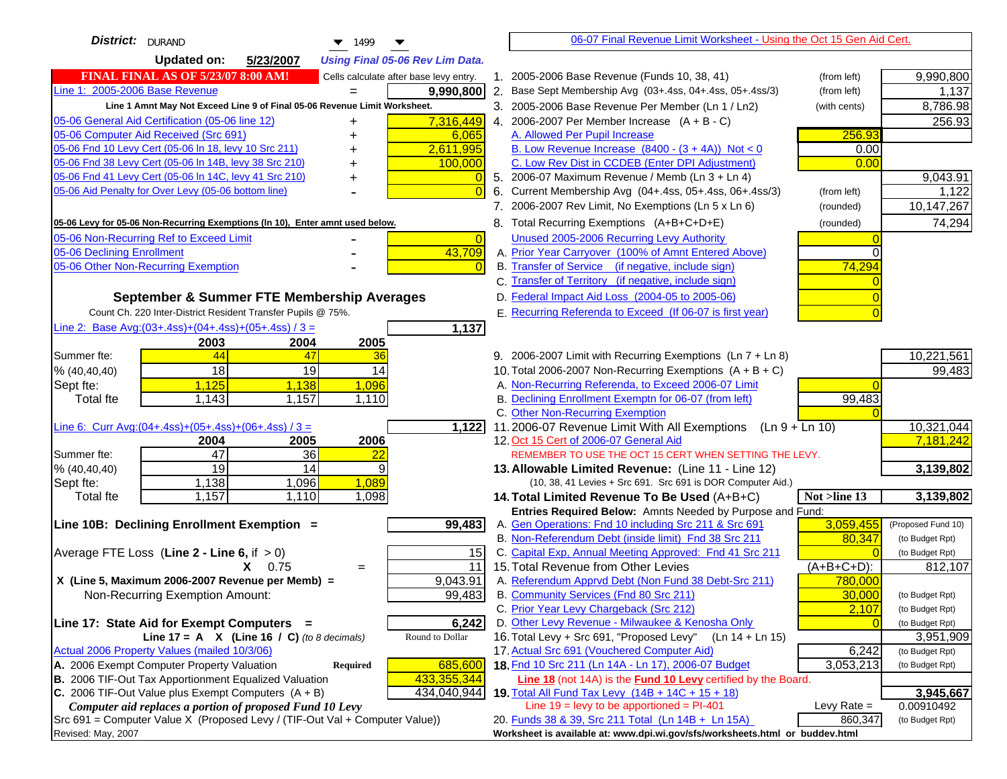| <b>District:</b> DURAND<br>$\blacktriangledown$ 1499                                |                | 06-07 Final Revenue Limit Worksheet - Using the Oct 15 Gen Aid Cert.                                               |               |                    |
|-------------------------------------------------------------------------------------|----------------|--------------------------------------------------------------------------------------------------------------------|---------------|--------------------|
| <b>Updated on:</b><br>5/23/2007<br><b>Using Final 05-06 Rev Lim Data.</b>           |                |                                                                                                                    |               |                    |
| <b>FINAL FINAL AS OF 5/23/07 8:00 AM!</b><br>Cells calculate after base levy entry. |                | 1. 2005-2006 Base Revenue (Funds 10, 38, 41)                                                                       | (from left)   | 9,990,800          |
| Line 1: 2005-2006 Base Revenue<br>9,990,800<br>$=$                                  |                | 2. Base Sept Membership Avg (03+.4ss, 04+.4ss, 05+.4ss/3)                                                          | (from left)   | 1,137              |
| Line 1 Amnt May Not Exceed Line 9 of Final 05-06 Revenue Limit Worksheet.           |                | 3. 2005-2006 Base Revenue Per Member (Ln 1 / Ln2)                                                                  | (with cents)  | 8,786.98           |
| 7,316,449<br>05-06 General Aid Certification (05-06 line 12)<br>+                   |                | 4. 2006-2007 Per Member Increase $(A + B - C)$                                                                     |               | 256.93             |
| 05-06 Computer Aid Received (Src 691)<br>6,065                                      |                | A. Allowed Per Pupil Increase                                                                                      | 256.93        |                    |
| 2,611,995<br>05-06 Fnd 10 Levy Cert (05-06 In 18, levy 10 Src 211)                  |                | B. Low Revenue Increase $(8400 - (3 + 4A))$ Not < 0                                                                | 0.00          |                    |
| 05-06 Fnd 38 Levy Cert (05-06 In 14B, levy 38 Src 210)<br>100,000                   |                | C. Low Rev Dist in CCDEB (Enter DPI Adjustment)                                                                    | 0.00          |                    |
| 05-06 Fnd 41 Levy Cert (05-06 In 14C, levy 41 Src 210)<br>+                         |                | 5. 2006-07 Maximum Revenue / Memb (Ln $3 + \text{Ln } 4$ )                                                         |               | 9,043.91           |
| 05-06 Aid Penalty for Over Levy (05-06 bottom line)                                 | $\Omega$<br>6. | Current Membership Avg (04+.4ss, 05+.4ss, 06+.4ss/3)                                                               | (from left)   | 1,122              |
|                                                                                     |                | 7. 2006-2007 Rev Limit, No Exemptions (Ln 5 x Ln 6)                                                                | (rounded)     | 10,147,267         |
| 05-06 Levy for 05-06 Non-Recurring Exemptions (In 10), Enter amnt used below.       |                | 8. Total Recurring Exemptions (A+B+C+D+E)                                                                          | (rounded)     | 74,294             |
| 05-06 Non-Recurring Ref to Exceed Limit                                             | $\overline{0}$ | Unused 2005-2006 Recurring Levy Authority                                                                          |               |                    |
| 43,709<br>05-06 Declining Enrollment                                                |                | A. Prior Year Carryover (100% of Amnt Entered Above)                                                               | $\Omega$      |                    |
| 05-06 Other Non-Recurring Exemption                                                 |                | B. Transfer of Service (if negative, include sign)                                                                 | 74,294        |                    |
|                                                                                     |                | C. Transfer of Territory (if negative, include sign)                                                               |               |                    |
| September & Summer FTE Membership Averages                                          |                | D. Federal Impact Aid Loss (2004-05 to 2005-06)                                                                    |               |                    |
| Count Ch. 220 Inter-District Resident Transfer Pupils @ 75%.                        |                | E. Recurring Referenda to Exceed (If 06-07 is first year)                                                          |               |                    |
| Line 2: Base Avg: $(03+.4ss)+(04+.4ss)+(05+.4ss)/3 =$<br>1,137                      |                |                                                                                                                    |               |                    |
| 2003<br>2004<br>2005                                                                |                |                                                                                                                    |               |                    |
| Summer fte:<br>44<br>47<br>36                                                       |                | 9. 2006-2007 Limit with Recurring Exemptions (Ln 7 + Ln 8)                                                         |               | 10,221,561         |
| 19<br>18<br>14<br>% (40, 40, 40)                                                    |                | 10. Total 2006-2007 Non-Recurring Exemptions $(A + B + C)$                                                         |               | 99,483             |
| 1,125<br>1,138<br>1,096<br>Sept fte:                                                |                | A. Non-Recurring Referenda, to Exceed 2006-07 Limit                                                                |               |                    |
| 1,143<br>1,157<br>Total fte<br>1,110                                                |                | B. Declining Enrollment Exemptn for 06-07 (from left)                                                              | 99,483        |                    |
|                                                                                     |                | C. Other Non-Recurring Exemption                                                                                   |               |                    |
| Line 6: Curr Avg: $(04+.4ss)+(05+.4ss)+(06+.4ss)/3 =$<br>1,122                      |                | 11.2006-07 Revenue Limit With All Exemptions<br>(Ln 9 + Ln 10)                                                     |               | 10,321,044         |
| 2005<br>2006<br>2004                                                                |                | 12. Oct 15 Cert of 2006-07 General Aid                                                                             |               | 7,181,242          |
| 47<br>$\overline{36}$<br>Summer fte:<br>22                                          |                | REMEMBER TO USE THE OCT 15 CERT WHEN SETTING THE LEVY.                                                             |               |                    |
| $\overline{19}$<br>14<br>9<br>% (40, 40, 40)                                        |                | 13. Allowable Limited Revenue: (Line 11 - Line 12)                                                                 |               | 3,139,802          |
| 1,089<br>1,138<br>1,096<br>Sept fte:                                                |                | (10, 38, 41 Levies + Src 691. Src 691 is DOR Computer Aid.)                                                        |               |                    |
| 1,157<br>1,110<br>1,098<br><b>Total fte</b>                                         |                | 14. Total Limited Revenue To Be Used (A+B+C)                                                                       | Not >line 13  | 3,139,802          |
| Line 10B: Declining Enrollment Exemption =<br>99,483                                |                | Entries Required Below: Amnts Needed by Purpose and Fund:<br>A. Gen Operations: Fnd 10 including Src 211 & Src 691 | 3,059,455     | (Proposed Fund 10) |
|                                                                                     |                | B. Non-Referendum Debt (inside limit) Fnd 38 Src 211                                                               | 80,347        | (to Budget Rpt)    |
| 15<br>Average FTE Loss (Line $2 -$ Line 6, if $> 0$ )                               |                | C. Capital Exp, Annual Meeting Approved: Fnd 41 Src 211                                                            |               | (to Budget Rpt)    |
| 11<br>$X = 0.75$<br>$\qquad \qquad =$                                               |                | 15. Total Revenue from Other Levies                                                                                | $(A+B+C+D)$ : | 812,107            |
| X (Line 5, Maximum 2006-2007 Revenue per Memb) =<br>9,043.91                        |                | A. Referendum Apprvd Debt (Non Fund 38 Debt-Src 211)                                                               | 780,000       |                    |
| 99,483<br>Non-Recurring Exemption Amount:                                           |                | B. Community Services (Fnd 80 Src 211)                                                                             | 30,000        | (to Budget Rpt)    |
|                                                                                     |                | C. Prior Year Levy Chargeback (Src 212)                                                                            | 2,107         | (to Budget Rpt)    |
| Line 17: State Aid for Exempt Computers =<br>6,242                                  |                | D. Other Levy Revenue - Milwaukee & Kenosha Only                                                                   |               | (to Budget Rpt)    |
| Line 17 = A $X$ (Line 16 / C) (to 8 decimals)<br>Round to Dollar                    |                | 16. Total Levy + Src 691, "Proposed Levy"<br>(Ln 14 + Ln 15)                                                       |               | 3,951,909          |
| Actual 2006 Property Values (mailed 10/3/06)                                        |                | 17. Actual Src 691 (Vouchered Computer Aid)                                                                        | 6,242         | (to Budget Rpt)    |
| A. 2006 Exempt Computer Property Valuation<br>685,600<br><b>Required</b>            |                | 18. Fnd 10 Src 211 (Ln 14A - Ln 17), 2006-07 Budget                                                                | 3,053,213     | (to Budget Rpt)    |
| B. 2006 TIF-Out Tax Apportionment Equalized Valuation<br>433,355,344                |                | Line 18 (not 14A) is the Fund 10 Levy certified by the Board.                                                      |               |                    |
| C. 2006 TIF-Out Value plus Exempt Computers $(A + B)$<br>434,040,944                |                | 19. Total All Fund Tax Levy (14B + 14C + 15 + 18)                                                                  |               | 3,945,667          |
| Computer aid replaces a portion of proposed Fund 10 Levy                            |                | Line $19 = \text{levy}$ to be apportioned = PI-401                                                                 | Levy Rate $=$ | 0.00910492         |
| Src 691 = Computer Value X (Proposed Levy / (TIF-Out Val + Computer Value))         |                | 20. Funds 38 & 39, Src 211 Total (Ln 14B + Ln 15A)                                                                 | 860,347       | (to Budget Rpt)    |
| Revised: May, 2007                                                                  |                | Worksheet is available at: www.dpi.wi.gov/sfs/worksheets.html or buddev.html                                       |               |                    |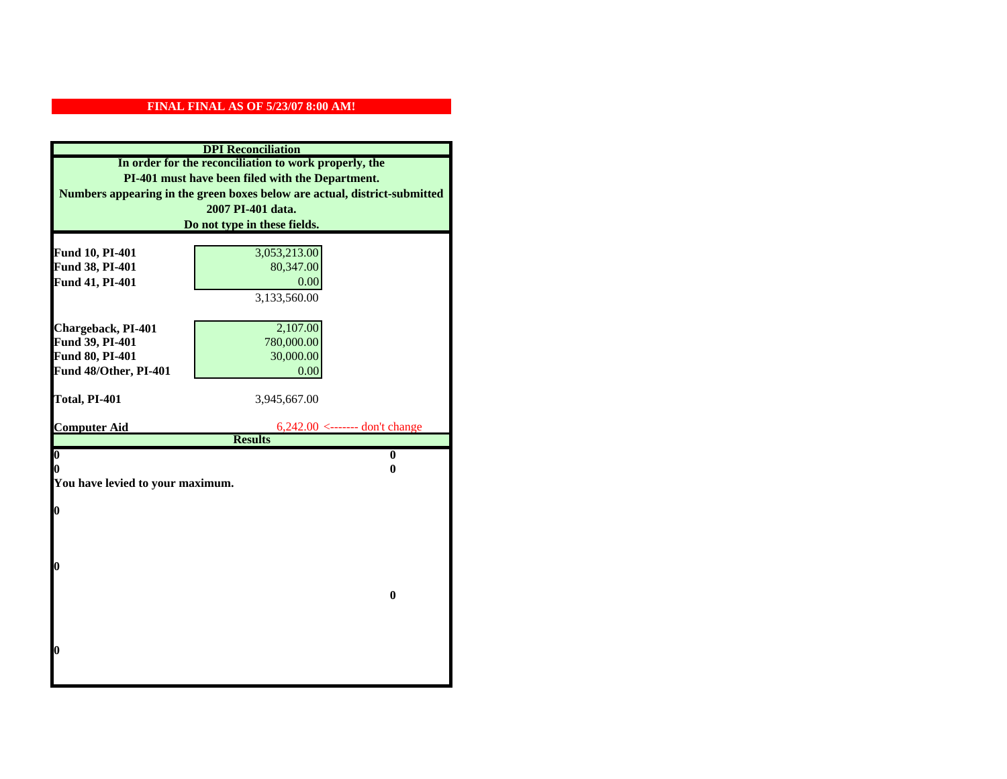| <b>DPI</b> Reconciliation                             |                                                                           |  |  |
|-------------------------------------------------------|---------------------------------------------------------------------------|--|--|
| In order for the reconciliation to work properly, the |                                                                           |  |  |
| PI-401 must have been filed with the Department.      |                                                                           |  |  |
|                                                       | Numbers appearing in the green boxes below are actual, district-submitted |  |  |
|                                                       | 2007 PI-401 data.                                                         |  |  |
|                                                       | Do not type in these fields.                                              |  |  |
|                                                       |                                                                           |  |  |
| Fund 10, PI-401                                       | 3,053,213.00                                                              |  |  |
| Fund 38, PI-401                                       | 80,347.00                                                                 |  |  |
| Fund 41, PI-401                                       | 0.00                                                                      |  |  |
|                                                       | 3,133,560.00                                                              |  |  |
|                                                       |                                                                           |  |  |
| Chargeback, PI-401                                    | 2,107.00                                                                  |  |  |
| Fund 39, PI-401                                       | 780,000.00                                                                |  |  |
| Fund 80, PI-401                                       | 30,000.00                                                                 |  |  |
| Fund 48/Other, PI-401                                 | 0.00                                                                      |  |  |
| Total, PI-401                                         | 3,945,667.00                                                              |  |  |
|                                                       |                                                                           |  |  |
| <b>Computer Aid</b>                                   | 6,242.00 <------- don't change                                            |  |  |
|                                                       | <b>Results</b>                                                            |  |  |
| $\overline{\mathbf{0}}$                               | $\bf{0}$                                                                  |  |  |
| 0                                                     | 0                                                                         |  |  |
| You have levied to your maximum.                      |                                                                           |  |  |
| $\bf{0}$                                              |                                                                           |  |  |
|                                                       |                                                                           |  |  |
|                                                       |                                                                           |  |  |
|                                                       |                                                                           |  |  |
| l0                                                    |                                                                           |  |  |
|                                                       |                                                                           |  |  |
|                                                       | $\bf{0}$                                                                  |  |  |
|                                                       |                                                                           |  |  |
|                                                       |                                                                           |  |  |
|                                                       |                                                                           |  |  |
| l0                                                    |                                                                           |  |  |
|                                                       |                                                                           |  |  |
|                                                       |                                                                           |  |  |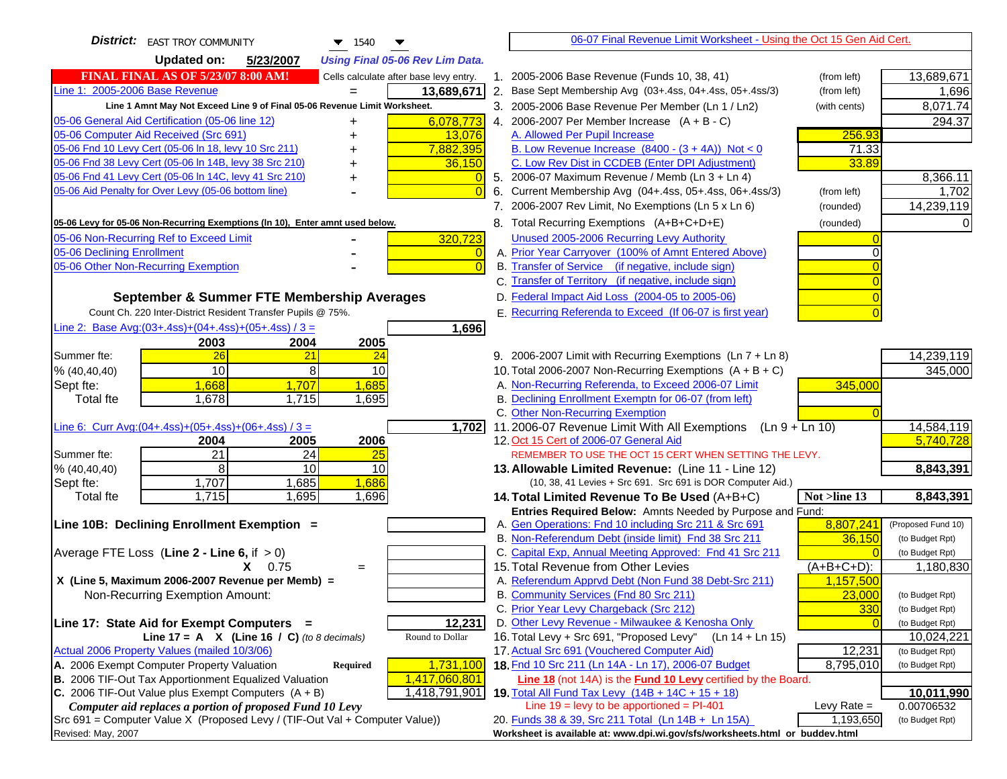| <b>District:</b> EAST TROY COMMUNITY<br>$\blacktriangledown$ 1540                                                | 06-07 Final Revenue Limit Worksheet - Using the Oct 15 Gen Aid Cert.                                        |                                    |
|------------------------------------------------------------------------------------------------------------------|-------------------------------------------------------------------------------------------------------------|------------------------------------|
| <b>Updated on:</b><br>5/23/2007<br><b>Using Final 05-06 Rev Lim Data.</b>                                        |                                                                                                             |                                    |
| <b>FINAL FINAL AS OF 5/23/07 8:00 AM!</b><br>Cells calculate after base levy entry.                              | 1. 2005-2006 Base Revenue (Funds 10, 38, 41)<br>(from left)                                                 | 13,689,671                         |
| Line 1: 2005-2006 Base Revenue<br>13,689,671                                                                     | 2. Base Sept Membership Avg (03+.4ss, 04+.4ss, 05+.4ss/3)<br>(from left)                                    | 1,696                              |
| Line 1 Amnt May Not Exceed Line 9 of Final 05-06 Revenue Limit Worksheet.                                        | 3. 2005-2006 Base Revenue Per Member (Ln 1 / Ln2)<br>(with cents)                                           | 8,071.74                           |
| 6,078,773<br>05-06 General Aid Certification (05-06 line 12)                                                     | 4. 2006-2007 Per Member Increase $(A + B - C)$                                                              | 294.37                             |
| 05-06 Computer Aid Received (Src 691)<br>13,076                                                                  | 256.93<br>A. Allowed Per Pupil Increase                                                                     |                                    |
| 05-06 Fnd 10 Levy Cert (05-06 In 18, levy 10 Src 211)<br>7,882,395                                               | B. Low Revenue Increase $(8400 - (3 + 4A))$ Not < 0<br>71.33                                                |                                    |
| 05-06 Fnd 38 Levy Cert (05-06 In 14B, levy 38 Src 210)<br>36,150                                                 | C. Low Rev Dist in CCDEB (Enter DPI Adjustment)<br>33.89                                                    |                                    |
| 05-06 Fnd 41 Levy Cert (05-06 In 14C, levy 41 Src 210)<br>$\overline{0}$<br>+                                    | 5. 2006-07 Maximum Revenue / Memb (Ln 3 + Ln 4)                                                             | 8,366.11                           |
| 05-06 Aid Penalty for Over Levy (05-06 bottom line)<br>$\overline{0}$                                            | 6. Current Membership Avg (04+.4ss, 05+.4ss, 06+.4ss/3)<br>(from left)                                      | 1,702                              |
|                                                                                                                  | 7. 2006-2007 Rev Limit, No Exemptions (Ln 5 x Ln 6)<br>(rounded)                                            | 14,239,119                         |
| 05-06 Levy for 05-06 Non-Recurring Exemptions (In 10), Enter amnt used below.                                    | 8. Total Recurring Exemptions (A+B+C+D+E)<br>(rounded)                                                      |                                    |
| 05-06 Non-Recurring Ref to Exceed Limit<br>320,723                                                               | Unused 2005-2006 Recurring Levy Authority                                                                   |                                    |
| 05-06 Declining Enrollment<br>$\overline{0}$                                                                     | A. Prior Year Carryover (100% of Amnt Entered Above)                                                        |                                    |
| 05-06 Other Non-Recurring Exemption<br>$\Omega$                                                                  | B. Transfer of Service (if negative, include sign)                                                          |                                    |
|                                                                                                                  | C. Transfer of Territory (if negative, include sign)                                                        |                                    |
| September & Summer FTE Membership Averages                                                                       | D. Federal Impact Aid Loss (2004-05 to 2005-06)                                                             |                                    |
| Count Ch. 220 Inter-District Resident Transfer Pupils @ 75%.                                                     | E. Recurring Referenda to Exceed (If 06-07 is first year)                                                   |                                    |
| Line 2: Base Avg: (03+.4ss) + (04+.4ss) + (05+.4ss) / 3 =<br>1,696                                               |                                                                                                             |                                    |
| 2003<br>2004<br>2005                                                                                             |                                                                                                             |                                    |
| 26<br>Summer fte:<br>21<br>24                                                                                    | 9. 2006-2007 Limit with Recurring Exemptions (Ln 7 + Ln 8)                                                  | 14,239,119                         |
| 10<br>8<br>10<br>% (40, 40, 40)                                                                                  | 10. Total 2006-2007 Non-Recurring Exemptions $(A + B + C)$                                                  | 345,000                            |
| Sept fte:<br>1,668<br>1,685<br>1,707                                                                             | A. Non-Recurring Referenda, to Exceed 2006-07 Limit<br>345,000                                              |                                    |
| Total fte<br>1,678<br>1,715<br>1,695                                                                             | B. Declining Enrollment Exemptn for 06-07 (from left)                                                       |                                    |
|                                                                                                                  | C. Other Non-Recurring Exemption                                                                            |                                    |
| Line 6: Curr Avg: $(04+.4ss)+(05+.4ss)+(06+.4ss)/3 =$<br>1,702                                                   | 11.2006-07 Revenue Limit With All Exemptions (Ln $9 + \overline{\text{Ln }10}$ )                            | 14,584,119                         |
| 2006<br>2004<br>2005<br>21<br>Summer fte:<br>24<br>25                                                            | 12. Oct 15 Cert of 2006-07 General Aid<br>REMEMBER TO USE THE OCT 15 CERT WHEN SETTING THE LEVY.            | 5,740,728                          |
| 8<br>10<br>10<br>% (40,40,40)                                                                                    | 13. Allowable Limited Revenue: (Line 11 - Line 12)                                                          | 8,843,391                          |
| 1,707<br>1,685<br>1,686<br>Sept fte:                                                                             | (10, 38, 41 Levies + Src 691. Src 691 is DOR Computer Aid.)                                                 |                                    |
| 1,715<br>1,695<br>1,696<br>Total fte                                                                             | 14. Total Limited Revenue To Be Used (A+B+C)<br>Not >line 13                                                | 8,843,391                          |
|                                                                                                                  | Entries Required Below: Amnts Needed by Purpose and Fund:                                                   |                                    |
| Line 10B: Declining Enrollment Exemption =                                                                       | 8,807,241<br>A. Gen Operations: Fnd 10 including Src 211 & Src 691                                          | (Proposed Fund 10)                 |
|                                                                                                                  | B. Non-Referendum Debt (inside limit) Fnd 38 Src 211<br>36,150                                              | (to Budget Rpt)                    |
| Average FTE Loss (Line $2 -$ Line 6, if $> 0$ )                                                                  | C. Capital Exp, Annual Meeting Approved: Fnd 41 Src 211                                                     | (to Budget Rpt)                    |
| 0.75<br>$=$                                                                                                      | 15. Total Revenue from Other Levies<br>$(A+B+C+D)$ :                                                        | 1,180,830                          |
| X (Line 5, Maximum 2006-2007 Revenue per Memb) =                                                                 | A. Referendum Apprvd Debt (Non Fund 38 Debt-Src 211)<br>1,157,500                                           |                                    |
| Non-Recurring Exemption Amount:                                                                                  | B. Community Services (Fnd 80 Src 211)<br>23,000                                                            | (to Budget Rpt)                    |
|                                                                                                                  | C. Prior Year Levy Chargeback (Src 212)<br>330                                                              | (to Budget Rpt)                    |
| 12,231<br>Line 17: State Aid for Exempt Computers =                                                              | D. Other Levy Revenue - Milwaukee & Kenosha Only                                                            | (to Budget Rpt)                    |
| Line 17 = A $X$ (Line 16 / C) (to 8 decimals)<br>Round to Dollar<br>Actual 2006 Property Values (mailed 10/3/06) | 16. Total Levy + Src 691, "Proposed Levy"<br>(Ln 14 + Ln 15)<br>17. Actual Src 691 (Vouchered Computer Aid) | 10,024,221                         |
| A. 2006 Exempt Computer Property Valuation<br>1,731,100<br>Required                                              | 12,231<br>18. Fnd 10 Src 211 (Ln 14A - Ln 17), 2006-07 Budget<br>8,795,010                                  | (to Budget Rpt)<br>(to Budget Rpt) |
| B. 2006 TIF-Out Tax Apportionment Equalized Valuation<br>1,417,060,801                                           | Line 18 (not 14A) is the <b>Fund 10 Levy</b> certified by the Board.                                        |                                    |
| 1,418,791,901<br>C. 2006 TIF-Out Value plus Exempt Computers $(A + B)$                                           | 19. Total All Fund Tax Levy (14B + 14C + 15 + 18)                                                           | 10,011,990                         |
| Computer aid replaces a portion of proposed Fund 10 Levy                                                         | Line $19 = \text{levy}$ to be apportioned = PI-401<br>Levy Rate $=$                                         | 0.00706532                         |
| Src 691 = Computer Value X (Proposed Levy / (TIF-Out Val + Computer Value))                                      | 20. Funds 38 & 39, Src 211 Total (Ln 14B + Ln 15A)<br>1,193,650                                             | (to Budget Rpt)                    |
| Revised: May, 2007                                                                                               | Worksheet is available at: www.dpi.wi.gov/sfs/worksheets.html or buddev.html                                |                                    |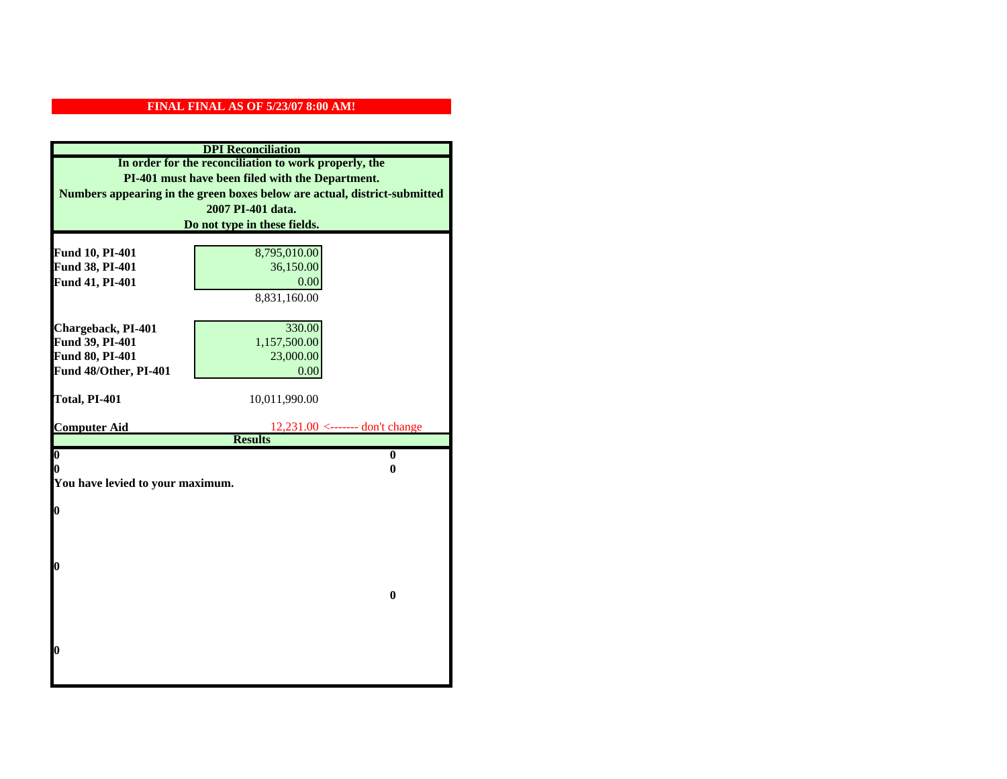| <b>DPI</b> Reconciliation                             |                                                                           |  |  |
|-------------------------------------------------------|---------------------------------------------------------------------------|--|--|
| In order for the reconciliation to work properly, the |                                                                           |  |  |
| PI-401 must have been filed with the Department.      |                                                                           |  |  |
|                                                       | Numbers appearing in the green boxes below are actual, district-submitted |  |  |
|                                                       | 2007 PI-401 data.                                                         |  |  |
|                                                       | Do not type in these fields.                                              |  |  |
|                                                       |                                                                           |  |  |
| Fund 10, PI-401                                       | 8,795,010.00                                                              |  |  |
| Fund 38, PI-401                                       | 36,150.00                                                                 |  |  |
| Fund 41, PI-401                                       | 0.00                                                                      |  |  |
|                                                       | 8,831,160.00                                                              |  |  |
|                                                       |                                                                           |  |  |
| Chargeback, PI-401                                    | 330.00                                                                    |  |  |
| Fund 39, PI-401                                       | 1,157,500.00                                                              |  |  |
| Fund 80, PI-401                                       | 23,000.00                                                                 |  |  |
| Fund 48/Other, PI-401                                 | 0.00                                                                      |  |  |
| Total, PI-401                                         | 10,011,990.00                                                             |  |  |
|                                                       |                                                                           |  |  |
| <b>Computer Aid</b>                                   | $12,231.00$ <------- don't change                                         |  |  |
|                                                       | <b>Results</b>                                                            |  |  |
| $\overline{\mathbf{0}}$                               | $\mathbf{0}$                                                              |  |  |
| 0<br>0                                                |                                                                           |  |  |
| You have levied to your maximum.                      |                                                                           |  |  |
| $\bf{0}$                                              |                                                                           |  |  |
|                                                       |                                                                           |  |  |
|                                                       |                                                                           |  |  |
|                                                       |                                                                           |  |  |
| 0                                                     |                                                                           |  |  |
|                                                       |                                                                           |  |  |
|                                                       | $\bf{0}$                                                                  |  |  |
|                                                       |                                                                           |  |  |
|                                                       |                                                                           |  |  |
|                                                       |                                                                           |  |  |
| 0                                                     |                                                                           |  |  |
|                                                       |                                                                           |  |  |
|                                                       |                                                                           |  |  |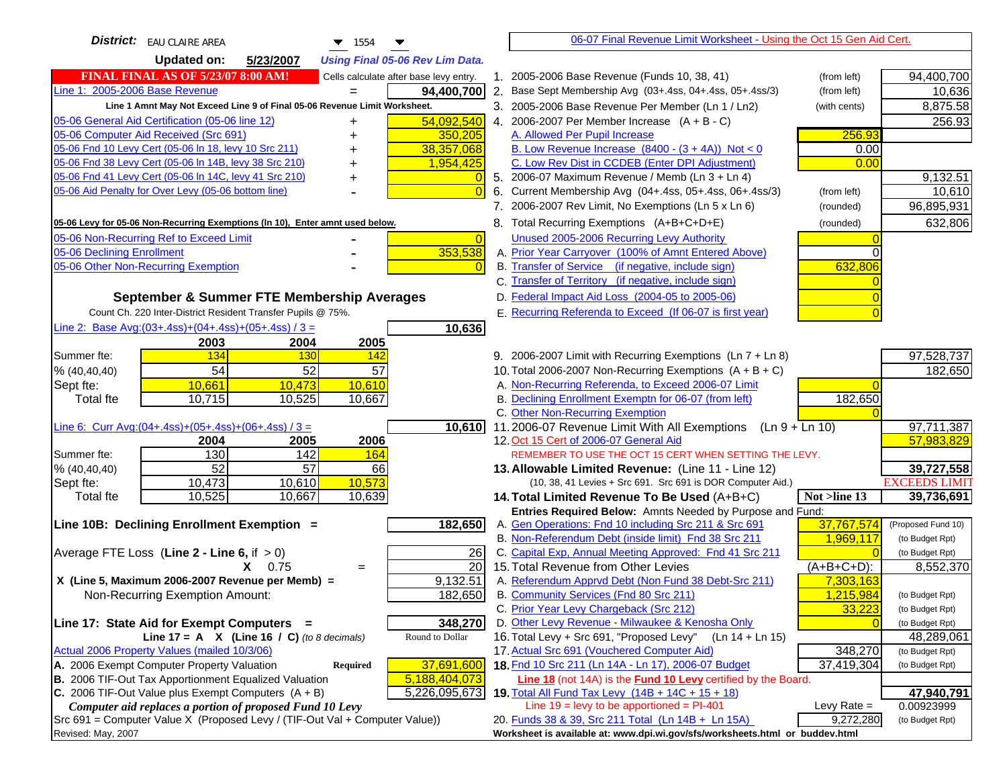| <b>District:</b> EAU CLAIRE AREA<br>1554                                                                                                         |    | 06-07 Final Revenue Limit Worksheet - Using the Oct 15 Gen Aid Cert.                                               |               |                          |
|--------------------------------------------------------------------------------------------------------------------------------------------------|----|--------------------------------------------------------------------------------------------------------------------|---------------|--------------------------|
| <b>Updated on:</b><br>5/23/2007<br><b>Using Final 05-06 Rev Lim Data.</b>                                                                        |    |                                                                                                                    |               |                          |
| <b>FINAL FINAL AS OF 5/23/07 8:00 AM!</b><br>Cells calculate after base levy entry.                                                              |    | 1. 2005-2006 Base Revenue (Funds 10, 38, 41)                                                                       | (from left)   | 94,400,700               |
| Line 1: 2005-2006 Base Revenue<br>94,400,700                                                                                                     |    | 2. Base Sept Membership Avg (03+.4ss, 04+.4ss, 05+.4ss/3)                                                          | (from left)   | 10,636                   |
| Line 1 Amnt May Not Exceed Line 9 of Final 05-06 Revenue Limit Worksheet.                                                                        |    | 3. 2005-2006 Base Revenue Per Member (Ln 1 / Ln2)                                                                  | (with cents)  | 8,875.58                 |
| 54,092,540<br>05-06 General Aid Certification (05-06 line 12)<br>+                                                                               |    | 4. 2006-2007 Per Member Increase $(A + B - C)$                                                                     |               | 256.93                   |
| 05-06 Computer Aid Received (Src 691)<br>350,205                                                                                                 |    | A. Allowed Per Pupil Increase                                                                                      | 256.93        |                          |
| 05-06 Fnd 10 Levy Cert (05-06 In 18, levy 10 Src 211)<br>38,357,068                                                                              |    | B. Low Revenue Increase $(8400 - (3 + 4A))$ Not < 0                                                                | 0.00          |                          |
| 05-06 Fnd 38 Levy Cert (05-06 In 14B, levy 38 Src 210)<br>1,954,425                                                                              |    | C. Low Rev Dist in CCDEB (Enter DPI Adjustment)                                                                    | 0.00          |                          |
| 05-06 Fnd 41 Levy Cert (05-06 In 14C, levy 41 Src 210)                                                                                           |    | 5. 2006-07 Maximum Revenue / Memb (Ln 3 + Ln 4)                                                                    |               | 9,132.51                 |
| 05-06 Aid Penalty for Over Levy (05-06 bottom line)<br>$\Omega$                                                                                  | 6. | Current Membership Avg (04+.4ss, 05+.4ss, 06+.4ss/3)                                                               | (from left)   | 10,610                   |
|                                                                                                                                                  |    | 7. 2006-2007 Rev Limit, No Exemptions (Ln 5 x Ln 6)                                                                | (rounded)     | 96,895,931               |
| 05-06 Levy for 05-06 Non-Recurring Exemptions (In 10), Enter amnt used below.                                                                    |    | 8. Total Recurring Exemptions (A+B+C+D+E)                                                                          | (rounded)     | 632,806                  |
| 05-06 Non-Recurring Ref to Exceed Limit<br>$\vert 0 \vert$                                                                                       |    | Unused 2005-2006 Recurring Levy Authority                                                                          |               |                          |
| 353,538<br>05-06 Declining Enrollment                                                                                                            |    | A. Prior Year Carryover (100% of Amnt Entered Above)                                                               | 0             |                          |
| 05-06 Other Non-Recurring Exemption<br>$\overline{0}$                                                                                            |    | B. Transfer of Service (if negative, include sign)                                                                 | 632,806       |                          |
|                                                                                                                                                  |    | C. Transfer of Territory (if negative, include sign)                                                               |               |                          |
| September & Summer FTE Membership Averages                                                                                                       |    | D. Federal Impact Aid Loss (2004-05 to 2005-06)                                                                    |               |                          |
| Count Ch. 220 Inter-District Resident Transfer Pupils @ 75%.                                                                                     |    | E. Recurring Referenda to Exceed (If 06-07 is first year)                                                          |               |                          |
| Line 2: Base Avg: (03+.4ss) + (04+.4ss) + (05+.4ss) / 3 =<br>10,636                                                                              |    |                                                                                                                    |               |                          |
| 2003<br>2005<br>2004                                                                                                                             |    |                                                                                                                    |               |                          |
| 134<br>Summer fte:<br>130<br>142                                                                                                                 |    | 9. 2006-2007 Limit with Recurring Exemptions (Ln 7 + Ln 8)                                                         |               | 97,528,737               |
| $\overline{54}$<br>$\overline{52}$<br>57<br>% (40, 40, 40)                                                                                       |    | 10. Total 2006-2007 Non-Recurring Exemptions $(A + B + C)$                                                         |               | 182,650                  |
| 10,661<br>10,610<br>10,473<br>Sept fte:                                                                                                          |    | A. Non-Recurring Referenda, to Exceed 2006-07 Limit                                                                |               |                          |
| 10,715<br>10,525<br>10,667<br><b>Total fte</b>                                                                                                   |    | B. Declining Enrollment Exemptn for 06-07 (from left)                                                              | 182,650       |                          |
|                                                                                                                                                  |    | C. Other Non-Recurring Exemption                                                                                   |               |                          |
| Line 6: Curr Avg: $(04+.4ss)+(05+.4ss)+(06+.4ss)/3 =$<br>10,610                                                                                  |    | 11.2006-07 Revenue Limit With All Exemptions<br>$(Ln 9 + Ln 10)$                                                   |               | 97,711,387               |
| 2006<br>2004<br>2005<br>130<br>142<br>Summer fte:<br>164                                                                                         |    | 12. Oct 15 Cert of 2006-07 General Aid<br>REMEMBER TO USE THE OCT 15 CERT WHEN SETTING THE LEVY.                   |               | 57,983,829               |
| $\overline{52}$<br>$\overline{57}$<br>% (40, 40, 40)<br>66                                                                                       |    | 13. Allowable Limited Revenue: (Line 11 - Line 12)                                                                 |               | 39,727,558               |
| 10,573<br>10,473<br>10,610<br>Sept fte:                                                                                                          |    | (10, 38, 41 Levies + Src 691. Src 691 is DOR Computer Aid.)                                                        |               | <b>EXCEEDS LIMIT</b>     |
| 10,525<br>10,667<br>10,639<br>Total fte                                                                                                          |    | 14. Total Limited Revenue To Be Used (A+B+C)                                                                       | Not >line 13  | 39,736,691               |
|                                                                                                                                                  |    | Entries Required Below: Amnts Needed by Purpose and Fund:                                                          |               |                          |
| 182,650<br>Line 10B: Declining Enrollment Exemption =                                                                                            |    | A. Gen Operations: Fnd 10 including Src 211 & Src 691                                                              | 37,767,574    | (Proposed Fund 10)       |
|                                                                                                                                                  |    | B. Non-Referendum Debt (inside limit) Fnd 38 Src 211                                                               | 1,969,117     | (to Budget Rpt)          |
| Average FTE Loss (Line $2 -$ Line 6, if $> 0$ )<br>26                                                                                            |    | C. Capital Exp, Annual Meeting Approved: Fnd 41 Src 211                                                            |               | (to Budget Rpt)          |
| 20<br>$X = 0.75$<br>$=$                                                                                                                          |    | 15. Total Revenue from Other Levies                                                                                | $(A+B+C+D)$ : | 8,552,370                |
| X (Line 5, Maximum 2006-2007 Revenue per Memb) =<br>9,132.51                                                                                     |    | A. Referendum Apprvd Debt (Non Fund 38 Debt-Src 211)                                                               | 7,303,163     |                          |
| Non-Recurring Exemption Amount:<br>182,650                                                                                                       |    | B. Community Services (Fnd 80 Src 211)                                                                             | 1,215,984     | (to Budget Rpt)          |
|                                                                                                                                                  |    | C. Prior Year Levy Chargeback (Src 212)                                                                            | 33,223        | (to Budget Rpt)          |
| Line 17: State Aid for Exempt Computers =<br>348,270                                                                                             |    | D. Other Levy Revenue - Milwaukee & Kenosha Only                                                                   |               | (to Budget Rpt)          |
| Line 17 = A $X$ (Line 16 / C) (to 8 decimals)<br>Round to Dollar                                                                                 |    | 16. Total Levy + Src 691, "Proposed Levy"<br>(Ln 14 + Ln 15)                                                       |               | 48,289,061               |
| Actual 2006 Property Values (mailed 10/3/06)                                                                                                     |    | 17. Actual Src 691 (Vouchered Computer Aid)                                                                        | 348,270       | (to Budget Rpt)          |
| A. 2006 Exempt Computer Property Valuation<br>37,691,600<br><b>Required</b>                                                                      |    | 18. Fnd 10 Src 211 (Ln 14A - Ln 17), 2006-07 Budget                                                                | 37,419,304    | (to Budget Rpt)          |
| B. 2006 TIF-Out Tax Apportionment Equalized Valuation<br>5,188,404,073<br>C. 2006 TIF-Out Value plus Exempt Computers $(A + B)$<br>5,226,095,673 |    | Line 18 (not 14A) is the Fund 10 Levy certified by the Board.<br>19. Total All Fund Tax Levy (14B + 14C + 15 + 18) |               |                          |
| Computer aid replaces a portion of proposed Fund 10 Levy                                                                                         |    | Line $19 = \text{levy}$ to be apportioned = PI-401                                                                 | Levy Rate $=$ | 47,940,791<br>0.00923999 |
| Src 691 = Computer Value X (Proposed Levy / (TIF-Out Val + Computer Value))                                                                      |    | 20. Funds 38 & 39, Src 211 Total (Ln 14B + Ln 15A)                                                                 | 9,272,280     | (to Budget Rpt)          |
| Revised: May, 2007                                                                                                                               |    | Worksheet is available at: www.dpi.wi.gov/sfs/worksheets.html or buddev.html                                       |               |                          |
|                                                                                                                                                  |    |                                                                                                                    |               |                          |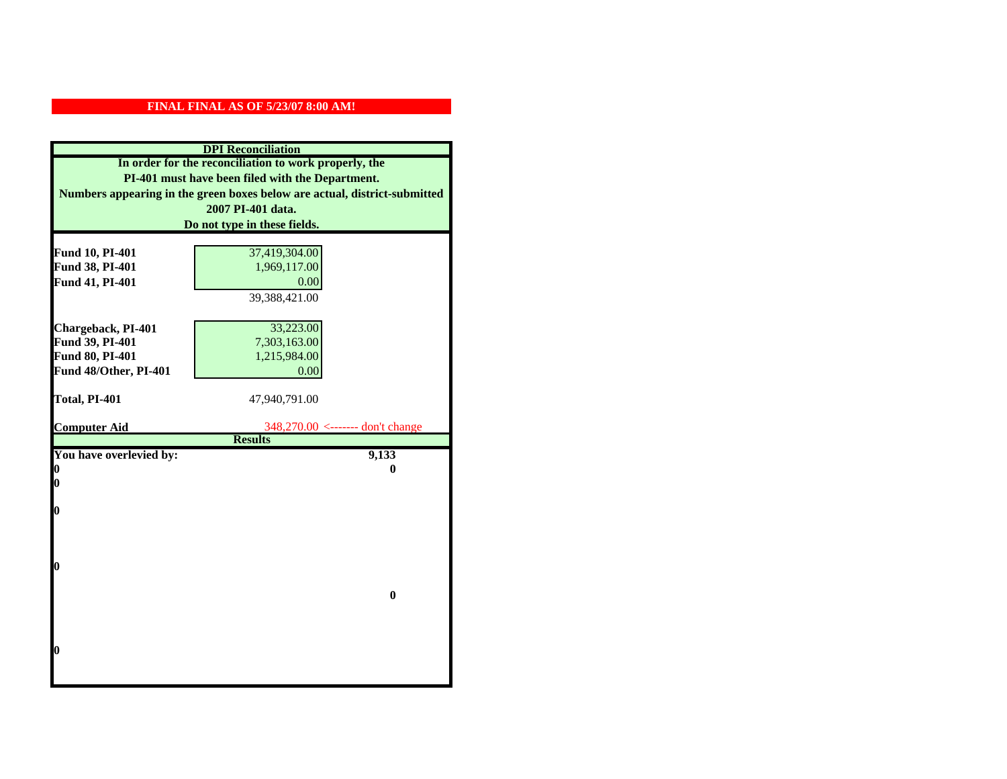| <b>DPI</b> Reconciliation                             |                                                                           |  |
|-------------------------------------------------------|---------------------------------------------------------------------------|--|
| In order for the reconciliation to work properly, the |                                                                           |  |
| PI-401 must have been filed with the Department.      |                                                                           |  |
|                                                       | Numbers appearing in the green boxes below are actual, district-submitted |  |
|                                                       | 2007 PI-401 data.                                                         |  |
|                                                       | Do not type in these fields.                                              |  |
|                                                       |                                                                           |  |
| Fund 10, PI-401                                       | 37,419,304.00                                                             |  |
| Fund 38, PI-401                                       | 1,969,117.00                                                              |  |
| Fund 41, PI-401                                       | 0.00                                                                      |  |
|                                                       | 39,388,421.00                                                             |  |
|                                                       |                                                                           |  |
| Chargeback, PI-401                                    | 33,223.00                                                                 |  |
| Fund 39, PI-401                                       | 7,303,163.00                                                              |  |
| Fund 80, PI-401                                       | 1,215,984.00                                                              |  |
| Fund 48/Other, PI-401                                 | 0.00                                                                      |  |
|                                                       |                                                                           |  |
| Total, PI-401                                         | 47,940,791.00                                                             |  |
| <b>Computer Aid</b>                                   | 348,270.00 <------- don't change                                          |  |
|                                                       | <b>Results</b>                                                            |  |
| You have overlevied by:                               | 9,133                                                                     |  |
| 0                                                     | 0                                                                         |  |
| 0                                                     |                                                                           |  |
|                                                       |                                                                           |  |
| $\boldsymbol{0}$                                      |                                                                           |  |
|                                                       |                                                                           |  |
|                                                       |                                                                           |  |
| 0                                                     |                                                                           |  |
|                                                       |                                                                           |  |
|                                                       | $\bf{0}$                                                                  |  |
|                                                       |                                                                           |  |
|                                                       |                                                                           |  |
|                                                       |                                                                           |  |
| 0                                                     |                                                                           |  |
|                                                       |                                                                           |  |
|                                                       |                                                                           |  |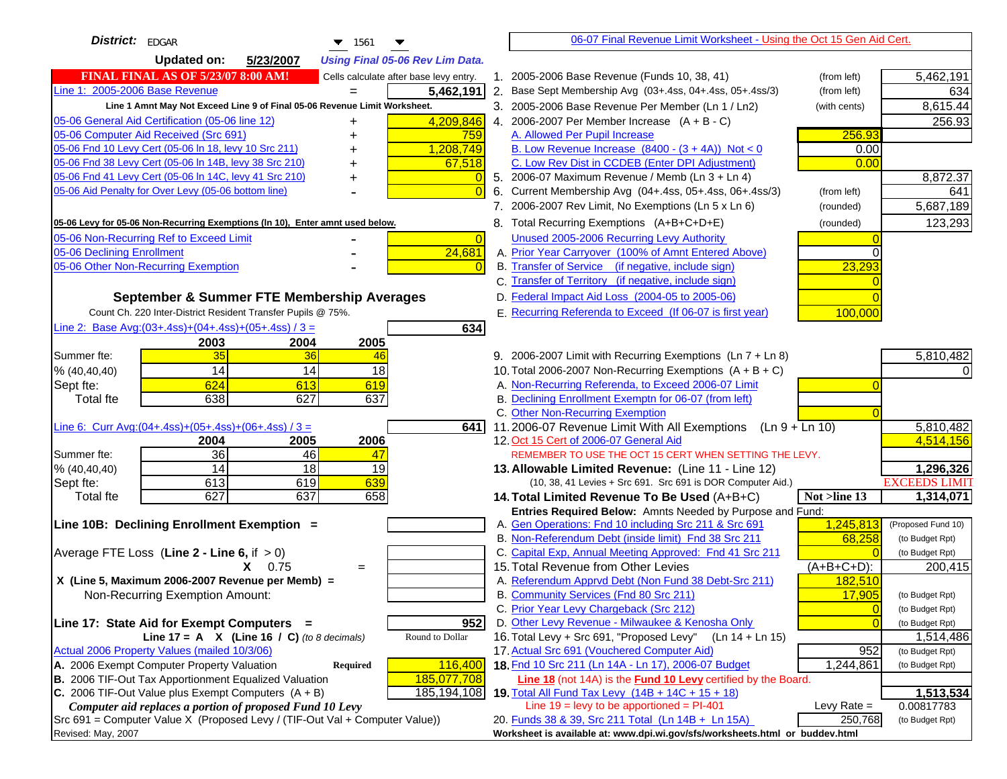| <b>District:</b> EDGAR<br>$\blacktriangledown$ 1561                                 | 06-07 Final Revenue Limit Worksheet - Using the Oct 15 Gen Aid Cert.                                                            |                                   |
|-------------------------------------------------------------------------------------|---------------------------------------------------------------------------------------------------------------------------------|-----------------------------------|
| <b>Updated on:</b><br>5/23/2007<br><b>Using Final 05-06 Rev Lim Data.</b>           |                                                                                                                                 |                                   |
| <b>FINAL FINAL AS OF 5/23/07 8:00 AM!</b><br>Cells calculate after base levy entry. | 1. 2005-2006 Base Revenue (Funds 10, 38, 41)<br>(from left)                                                                     | 5,462,191                         |
| Line 1: 2005-2006 Base Revenue<br>5,462,191<br>$=$                                  | 2. Base Sept Membership Avg (03+.4ss, 04+.4ss, 05+.4ss/3)<br>(from left)                                                        | 634                               |
| Line 1 Amnt May Not Exceed Line 9 of Final 05-06 Revenue Limit Worksheet.           | 3. 2005-2006 Base Revenue Per Member (Ln 1 / Ln2)<br>(with cents)                                                               | 8,615.44                          |
| 4,209,846<br>05-06 General Aid Certification (05-06 line 12)<br>+                   | 4. 2006-2007 Per Member Increase $(A + B - C)$                                                                                  | 256.93                            |
| 05-06 Computer Aid Received (Src 691)<br>759                                        | A. Allowed Per Pupil Increase                                                                                                   | 256.93                            |
| 05-06 Fnd 10 Levy Cert (05-06 In 18, levy 10 Src 211)<br>1,208,749                  | B. Low Revenue Increase $(8400 - (3 + 4A))$ Not < 0                                                                             | 0.00                              |
| 05-06 Fnd 38 Levy Cert (05-06 In 14B, levy 38 Src 210)<br>67,518                    | C. Low Rev Dist in CCDEB (Enter DPI Adjustment)                                                                                 | 0.00                              |
| 05-06 Fnd 41 Levy Cert (05-06 In 14C, levy 41 Src 210)<br>+                         | 5. 2006-07 Maximum Revenue / Memb (Ln 3 + Ln 4)                                                                                 | 8,872.37                          |
| 05-06 Aid Penalty for Over Levy (05-06 bottom line)<br>$\Omega$                     | Current Membership Avg (04+.4ss, 05+.4ss, 06+.4ss/3)<br>6.<br>(from left)                                                       | 641                               |
|                                                                                     | 7. 2006-2007 Rev Limit, No Exemptions (Ln 5 x Ln 6)<br>(rounded)                                                                | 5,687,189                         |
| 05-06 Levy for 05-06 Non-Recurring Exemptions (In 10), Enter amnt used below.       | 8. Total Recurring Exemptions (A+B+C+D+E)<br>(rounded)                                                                          | 123,293                           |
| 05-06 Non-Recurring Ref to Exceed Limit<br>$\overline{0}$                           | Unused 2005-2006 Recurring Levy Authority                                                                                       |                                   |
| 24,681<br>05-06 Declining Enrollment                                                | A. Prior Year Carryover (100% of Amnt Entered Above)                                                                            | $\Omega$                          |
| 05-06 Other Non-Recurring Exemption<br>$\Omega$                                     | B. Transfer of Service (if negative, include sign)                                                                              | 23,293                            |
|                                                                                     | C. Transfer of Territory (if negative, include sign)                                                                            |                                   |
| September & Summer FTE Membership Averages                                          | D. Federal Impact Aid Loss (2004-05 to 2005-06)                                                                                 |                                   |
| Count Ch. 220 Inter-District Resident Transfer Pupils @ 75%.                        | E. Recurring Referenda to Exceed (If 06-07 is first year)<br>100,000                                                            |                                   |
| Line 2: Base Avg: $(03+.4ss)+(04+.4ss)+(05+.4ss)/3 =$<br>634                        |                                                                                                                                 |                                   |
| 2003<br>2004<br>2005                                                                |                                                                                                                                 |                                   |
| 35<br>36<br>Summer fte:<br>46                                                       | 9. 2006-2007 Limit with Recurring Exemptions (Ln 7 + Ln 8)                                                                      | 5,810,482                         |
| 14<br>14<br>18<br>% (40, 40, 40)                                                    | 10. Total 2006-2007 Non-Recurring Exemptions $(A + B + C)$                                                                      |                                   |
| 624<br>613<br>Sept fte:<br>619                                                      | A. Non-Recurring Referenda, to Exceed 2006-07 Limit                                                                             |                                   |
| 638<br>627<br>637<br>Total fte                                                      | B. Declining Enrollment Exemptn for 06-07 (from left)                                                                           |                                   |
|                                                                                     | C. Other Non-Recurring Exemption                                                                                                |                                   |
| Line 6: Curr Avg: $(04+.4ss)+(05+.4ss)+(06+.4ss)/3 =$<br>641 I                      | 11.2006-07 Revenue Limit With All Exemptions $(Ln 9 + Ln 10)$                                                                   | 5,810,482                         |
| 2005<br>2006<br>2004                                                                | 12. Oct 15 Cert of 2006-07 General Aid                                                                                          | 4,514,156                         |
| 36<br>Summer fte:<br>46<br>47                                                       | REMEMBER TO USE THE OCT 15 CERT WHEN SETTING THE LEVY.                                                                          |                                   |
| 14<br>18<br>19<br>% (40, 40, 40)                                                    | 13. Allowable Limited Revenue: (Line 11 - Line 12)                                                                              | 1,296,326                         |
| 613<br>619<br>639<br>Sept fte:                                                      | (10, 38, 41 Levies + Src 691. Src 691 is DOR Computer Aid.)                                                                     | <b>EXCEEDS LIMIT</b>              |
| 627<br>637<br>658<br><b>Total fte</b>                                               | 14. Total Limited Revenue To Be Used (A+B+C)<br>Not >line 13                                                                    | 1,314,071                         |
| Line 10B: Declining Enrollment Exemption =                                          | Entries Required Below: Amnts Needed by Purpose and Fund:<br>1,245,813<br>A. Gen Operations: Fnd 10 including Src 211 & Src 691 | (Proposed Fund 10)                |
|                                                                                     | B. Non-Referendum Debt (inside limit) Fnd 38 Src 211                                                                            | 68,258<br>(to Budget Rpt)         |
| Average FTE Loss (Line $2 -$ Line 6, if $> 0$ )                                     | C. Capital Exp, Annual Meeting Approved: Fnd 41 Src 211                                                                         | (to Budget Rpt)                   |
| $X = 0.75$<br>$\qquad \qquad =$                                                     | 15. Total Revenue from Other Levies<br>$(A+B+C+D)$ :                                                                            | 200,415                           |
| X (Line 5, Maximum 2006-2007 Revenue per Memb) =                                    | A. Referendum Apprvd Debt (Non Fund 38 Debt-Src 211)<br>182,510                                                                 |                                   |
| Non-Recurring Exemption Amount:                                                     | B. Community Services (Fnd 80 Src 211)                                                                                          | 17,905<br>(to Budget Rpt)         |
|                                                                                     | C. Prior Year Levy Chargeback (Src 212)                                                                                         | $\overline{0}$<br>(to Budget Rpt) |
| 952<br>Line 17: State Aid for Exempt Computers =                                    | D. Other Levy Revenue - Milwaukee & Kenosha Only                                                                                | $\Omega$<br>(to Budget Rpt)       |
| Line 17 = A $X$ (Line 16 / C) (to 8 decimals)<br>Round to Dollar                    | 16. Total Levy + Src 691, "Proposed Levy"<br>(Ln 14 + Ln 15)                                                                    | 1,514,486                         |
| Actual 2006 Property Values (mailed 10/3/06)                                        | 17. Actual Src 691 (Vouchered Computer Aid)                                                                                     | 952<br>(to Budget Rpt)            |
| A. 2006 Exempt Computer Property Valuation<br>116,400<br><b>Required</b>            | 18. Fnd 10 Src 211 (Ln 14A - Ln 17), 2006-07 Budget<br>1,244,861                                                                | (to Budget Rpt)                   |
| B. 2006 TIF-Out Tax Apportionment Equalized Valuation<br>185,077,708                | Line 18 (not 14A) is the Fund 10 Levy certified by the Board.                                                                   |                                   |
| C. 2006 TIF-Out Value plus Exempt Computers $(A + B)$<br>185,194,108                | 19. Total All Fund Tax Levy (14B + 14C + 15 + 18)                                                                               | 1,513,534                         |
| Computer aid replaces a portion of proposed Fund 10 Levy                            | Line $19 = \text{levy}$ to be apportioned = PI-401<br>Levy Rate $=$                                                             | 0.00817783                        |
| Src 691 = Computer Value X (Proposed Levy / (TIF-Out Val + Computer Value))         | 20. Funds 38 & 39, Src 211 Total (Ln 14B + Ln 15A)                                                                              | 250,768<br>(to Budget Rpt)        |
| Revised: May, 2007                                                                  | Worksheet is available at: www.dpi.wi.gov/sfs/worksheets.html or buddev.html                                                    |                                   |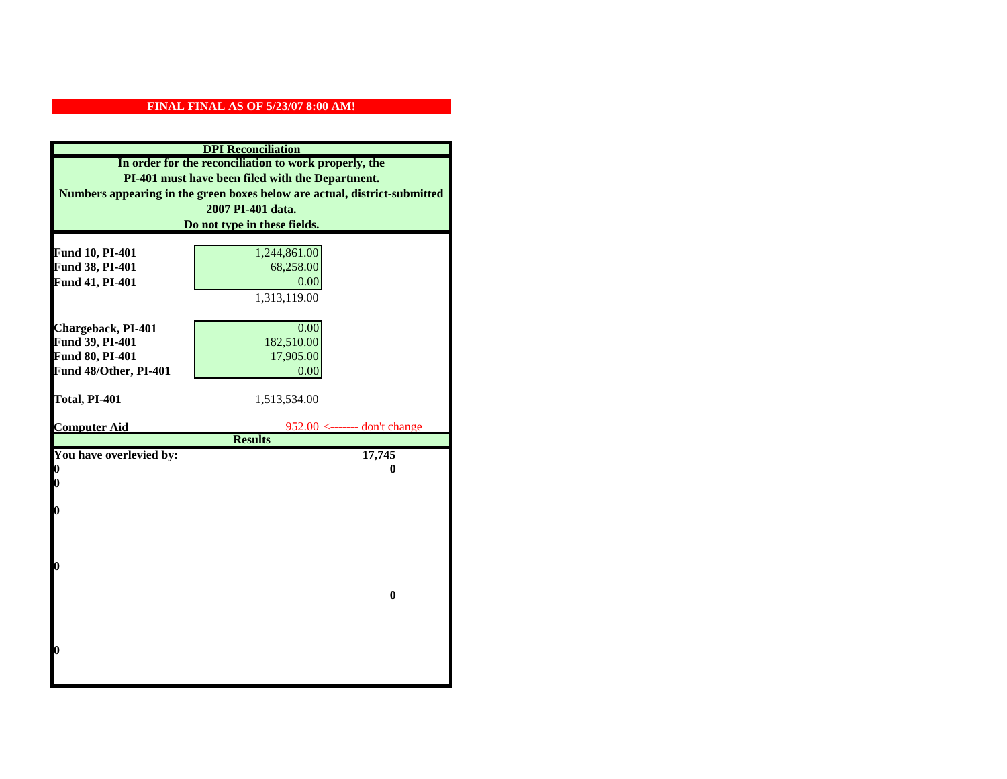| <b>DPI</b> Reconciliation                             |                                                                           |  |
|-------------------------------------------------------|---------------------------------------------------------------------------|--|
| In order for the reconciliation to work properly, the |                                                                           |  |
| PI-401 must have been filed with the Department.      |                                                                           |  |
|                                                       | Numbers appearing in the green boxes below are actual, district-submitted |  |
|                                                       | 2007 PI-401 data.                                                         |  |
|                                                       | Do not type in these fields.                                              |  |
|                                                       |                                                                           |  |
| Fund 10, PI-401                                       | 1,244,861.00                                                              |  |
| Fund 38, PI-401                                       | 68,258.00                                                                 |  |
| Fund 41, PI-401                                       | 0.00                                                                      |  |
|                                                       | 1,313,119.00                                                              |  |
|                                                       |                                                                           |  |
| Chargeback, PI-401                                    | 0.00                                                                      |  |
| Fund 39, PI-401                                       | 182,510.00                                                                |  |
| Fund 80, PI-401                                       | 17,905.00                                                                 |  |
| Fund 48/Other, PI-401                                 | 0.00                                                                      |  |
|                                                       |                                                                           |  |
| Total, PI-401                                         | 1,513,534.00                                                              |  |
|                                                       |                                                                           |  |
| <b>Computer Aid</b>                                   | $952.00$ <------- don't change<br><b>Results</b>                          |  |
| You have overlevied by:                               | 17,745                                                                    |  |
| 0                                                     | 0                                                                         |  |
| $\boldsymbol{0}$                                      |                                                                           |  |
|                                                       |                                                                           |  |
| 0                                                     |                                                                           |  |
|                                                       |                                                                           |  |
|                                                       |                                                                           |  |
|                                                       |                                                                           |  |
| $\boldsymbol{0}$                                      |                                                                           |  |
|                                                       |                                                                           |  |
|                                                       | $\bf{0}$                                                                  |  |
|                                                       |                                                                           |  |
|                                                       |                                                                           |  |
| 0                                                     |                                                                           |  |
|                                                       |                                                                           |  |
|                                                       |                                                                           |  |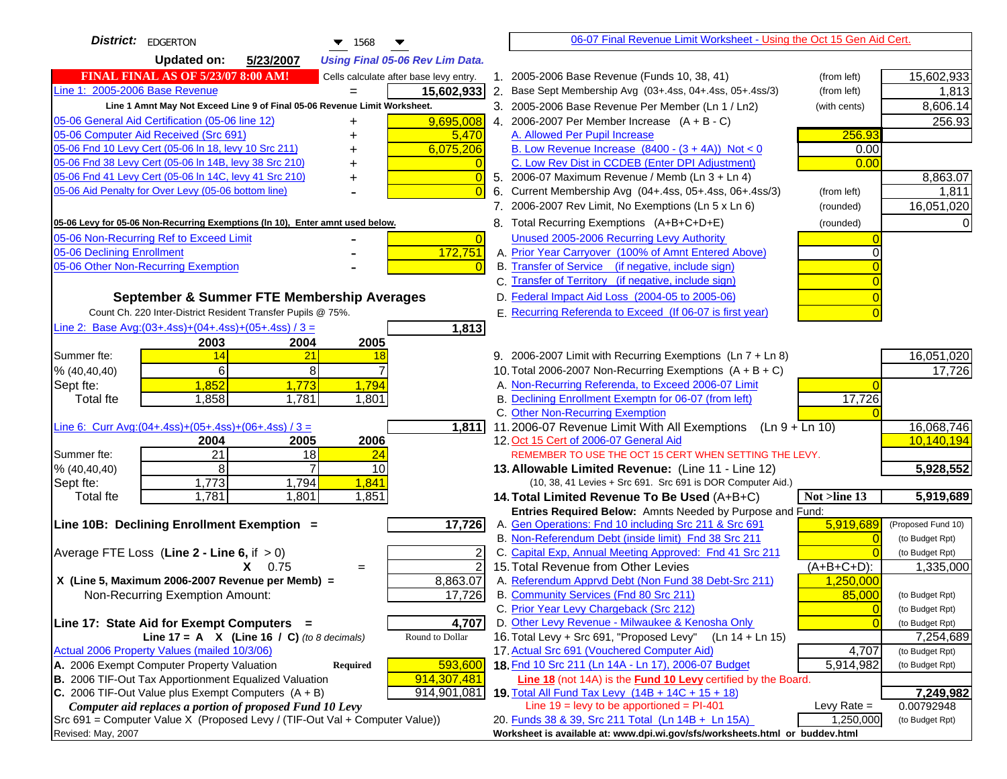| <b>District:</b> EDGERTON<br>$\blacktriangledown$ 1568                              |    | 06-07 Final Revenue Limit Worksheet - Using the Oct 15 Gen Aid Cert.                                 |                            |                                    |
|-------------------------------------------------------------------------------------|----|------------------------------------------------------------------------------------------------------|----------------------------|------------------------------------|
| <b>Updated on:</b><br>5/23/2007<br><b>Using Final 05-06 Rev Lim Data.</b>           |    |                                                                                                      |                            |                                    |
| <b>FINAL FINAL AS OF 5/23/07 8:00 AM!</b><br>Cells calculate after base levy entry. |    | 1. 2005-2006 Base Revenue (Funds 10, 38, 41)                                                         | (from left)                | 15,602,933                         |
| Line 1: 2005-2006 Base Revenue<br>15,602,933<br>$=$                                 |    | 2. Base Sept Membership Avg (03+.4ss, 04+.4ss, 05+.4ss/3)                                            | (from left)                | 1,813                              |
| Line 1 Amnt May Not Exceed Line 9 of Final 05-06 Revenue Limit Worksheet.           |    | 3. 2005-2006 Base Revenue Per Member (Ln 1 / Ln2)                                                    | (with cents)               | 8,606.14                           |
| 9,695,008<br>05-06 General Aid Certification (05-06 line 12)                        |    | 4. 2006-2007 Per Member Increase $(A + B - C)$                                                       |                            | 256.93                             |
| 05-06 Computer Aid Received (Src 691)<br>5,470                                      |    | A. Allowed Per Pupil Increase                                                                        | 256.93                     |                                    |
| 05-06 Fnd 10 Levy Cert (05-06 ln 18, levy 10 Src 211)<br>6,075,206                  |    | B. Low Revenue Increase $(8400 - (3 + 4A))$ Not < 0                                                  | 0.00                       |                                    |
| 05-06 Fnd 38 Levy Cert (05-06 In 14B, levy 38 Src 210)                              |    | C. Low Rev Dist in CCDEB (Enter DPI Adjustment)                                                      | 0.00                       |                                    |
| 05-06 Fnd 41 Levy Cert (05-06 In 14C, levy 41 Src 210)<br>$\overline{0}$<br>+       |    | 5. 2006-07 Maximum Revenue / Memb (Ln 3 + Ln 4)                                                      |                            | 8,863.07                           |
| 05-06 Aid Penalty for Over Levy (05-06 bottom line)<br>$\Omega$                     | 6. | Current Membership Avg (04+.4ss, 05+.4ss, 06+.4ss/3)                                                 | (from left)                | 1,811                              |
|                                                                                     |    | 7. 2006-2007 Rev Limit, No Exemptions (Ln 5 x Ln 6)                                                  | (rounded)                  | 16,051,020                         |
| 05-06 Levy for 05-06 Non-Recurring Exemptions (In 10), Enter amnt used below.       |    | 8. Total Recurring Exemptions (A+B+C+D+E)                                                            | (rounded)                  |                                    |
| 05-06 Non-Recurring Ref to Exceed Limit<br>$\overline{0}$                           |    | Unused 2005-2006 Recurring Levy Authority                                                            |                            |                                    |
| 172,751<br>05-06 Declining Enrollment                                               |    | A. Prior Year Carryover (100% of Amnt Entered Above)                                                 |                            |                                    |
| 05-06 Other Non-Recurring Exemption                                                 |    | B. Transfer of Service (if negative, include sign)                                                   |                            |                                    |
|                                                                                     |    | C. Transfer of Territory (if negative, include sign)                                                 |                            |                                    |
| September & Summer FTE Membership Averages                                          |    | D. Federal Impact Aid Loss (2004-05 to 2005-06)                                                      |                            |                                    |
| Count Ch. 220 Inter-District Resident Transfer Pupils @ 75%.                        |    | E. Recurring Referenda to Exceed (If 06-07 is first year)                                            |                            |                                    |
| Line 2: Base Avg: $(03+.4ss)+(04+.4ss)+(05+.4ss)/3 =$<br>1,813                      |    |                                                                                                      |                            |                                    |
| 2003<br>2004<br>2005                                                                |    |                                                                                                      |                            |                                    |
| 14<br>21<br>Summer fte:<br><b>18</b>                                                |    | 9. 2006-2007 Limit with Recurring Exemptions (Ln 7 + Ln 8)                                           |                            | 16,051,020                         |
| $\overline{7}$<br>6<br>8<br>% (40, 40, 40)                                          |    | 10. Total 2006-2007 Non-Recurring Exemptions $(A + B + C)$                                           |                            | 17,726                             |
| 1,852<br>1,773<br>1,794<br>Sept fte:                                                |    | A. Non-Recurring Referenda, to Exceed 2006-07 Limit                                                  |                            |                                    |
| <b>Total fte</b><br>1,858<br>1,781<br>1,801                                         |    | B. Declining Enrollment Exemptn for 06-07 (from left)                                                | 17,726                     |                                    |
| Line 6: Curr Avg: $(04+.4ss)+(05+.4ss)+(06+.4ss)/3 =$                               |    | C. Other Non-Recurring Exemption<br>11.2006-07 Revenue Limit With All Exemptions<br>$(Ln 9 + Ln 10)$ |                            | 16,068,746                         |
| 1,811<br>2006<br>2004<br>2005                                                       |    | 12. Oct 15 Cert of 2006-07 General Aid                                                               |                            | 10,140,194                         |
| 21<br>18<br>Summer fte:<br>24                                                       |    | REMEMBER TO USE THE OCT 15 CERT WHEN SETTING THE LEVY.                                               |                            |                                    |
| 8<br>% (40, 40, 40)<br>10                                                           |    | 13. Allowable Limited Revenue: (Line 11 - Line 12)                                                   |                            | 5,928,552                          |
| 1,773<br>1,794<br>1,841<br>Sept fte:                                                |    | (10, 38, 41 Levies + Src 691. Src 691 is DOR Computer Aid.)                                          |                            |                                    |
| 1,781<br>1,851<br>1,801<br><b>Total fte</b>                                         |    | 14. Total Limited Revenue To Be Used (A+B+C)                                                         | Not >line 13               | 5,919,689                          |
|                                                                                     |    | Entries Required Below: Amnts Needed by Purpose and Fund:                                            |                            |                                    |
| 17,726<br>Line 10B: Declining Enrollment Exemption =                                |    | A. Gen Operations: Fnd 10 including Src 211 & Src 691                                                | 5,919,689                  | (Proposed Fund 10)                 |
|                                                                                     |    | B. Non-Referendum Debt (inside limit) Fnd 38 Src 211                                                 | $\Omega$                   | (to Budget Rpt)                    |
| Average FTE Loss (Line $2 -$ Line 6, if $> 0$ )                                     |    | C. Capital Exp, Annual Meeting Approved: Fnd 41 Src 211                                              |                            | (to Budget Rpt)                    |
| $\overline{2}$<br>$X = 0.75$<br>$=$                                                 |    | 15. Total Revenue from Other Levies                                                                  | $(A+B+C+D)$ :              | 1,335,000                          |
| X (Line 5, Maximum 2006-2007 Revenue per Memb) =<br>8,863.07                        |    | A. Referendum Apprvd Debt (Non Fund 38 Debt-Src 211)<br>B. Community Services (Fnd 80 Src 211)       | 1,250,000                  |                                    |
| 17,726<br>Non-Recurring Exemption Amount:                                           |    | C. Prior Year Levy Chargeback (Src 212)                                                              | 85,000                     | (to Budget Rpt)<br>(to Budget Rpt) |
| Line 17: State Aid for Exempt Computers =<br>4,707                                  |    | D. Other Levy Revenue - Milwaukee & Kenosha Only                                                     | $\overline{0}$<br>$\Omega$ | (to Budget Rpt)                    |
| Round to Dollar<br>Line 17 = A $X$ (Line 16 / C) (to 8 decimals)                    |    | 16. Total Levy + Src 691, "Proposed Levy"<br>(Ln 14 + Ln 15)                                         |                            | 7,254,689                          |
| Actual 2006 Property Values (mailed 10/3/06)                                        |    | 17. Actual Src 691 (Vouchered Computer Aid)                                                          | 4,707                      | (to Budget Rpt)                    |
| A. 2006 Exempt Computer Property Valuation<br>593,600<br>Required                   |    | 18. Fnd 10 Src 211 (Ln 14A - Ln 17), 2006-07 Budget                                                  | 5,914,982                  | (to Budget Rpt)                    |
| B. 2006 TIF-Out Tax Apportionment Equalized Valuation<br>914,307,481                |    | Line 18 (not 14A) is the Fund 10 Levy certified by the Board.                                        |                            |                                    |
| C. 2006 TIF-Out Value plus Exempt Computers $(A + B)$<br>914,901,081                |    | 19. Total All Fund Tax Levy (14B + 14C + 15 + 18)                                                    |                            | 7,249,982                          |
| Computer aid replaces a portion of proposed Fund 10 Levy                            |    | Line $19 = \text{levy}$ to be apportioned = PI-401                                                   | Levy Rate $=$              | 0.00792948                         |
| Src 691 = Computer Value X (Proposed Levy / (TIF-Out Val + Computer Value))         |    | 20. Funds 38 & 39, Src 211 Total (Ln 14B + Ln 15A)                                                   | 1,250,000                  | (to Budget Rpt)                    |
| Revised: May, 2007                                                                  |    | Worksheet is available at: www.dpi.wi.gov/sfs/worksheets.html or buddev.html                         |                            |                                    |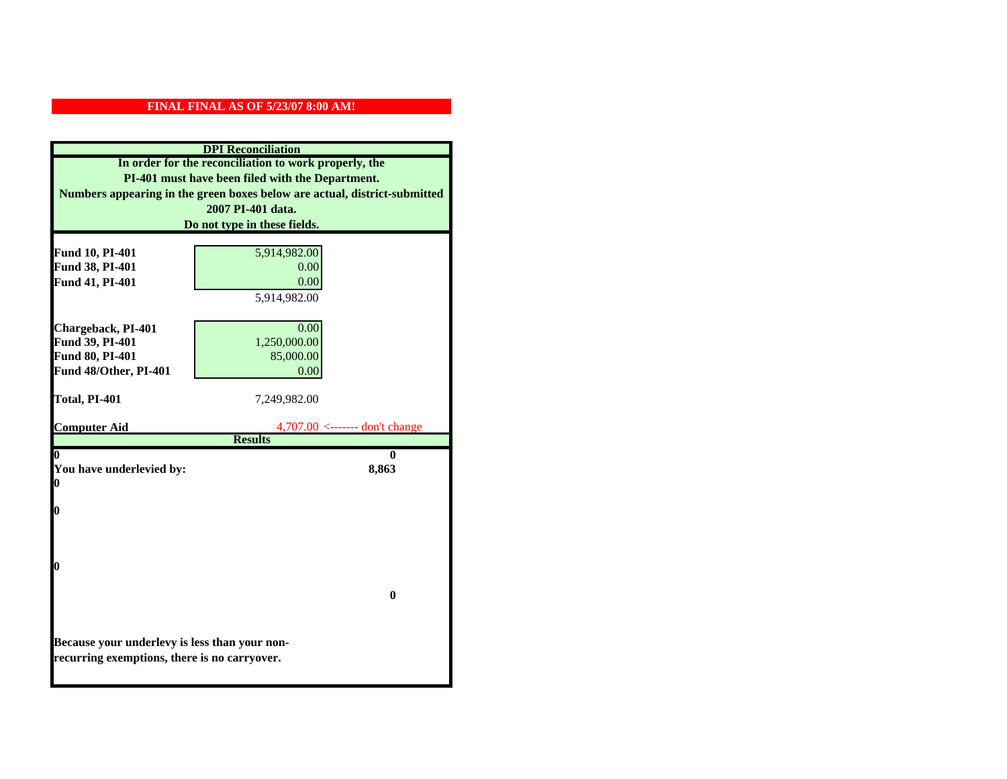|                                                  | <b>DPI</b> Reconciliation                                                 |  |
|--------------------------------------------------|---------------------------------------------------------------------------|--|
|                                                  | In order for the reconciliation to work properly, the                     |  |
| PI-401 must have been filed with the Department. |                                                                           |  |
|                                                  | Numbers appearing in the green boxes below are actual, district-submitted |  |
|                                                  | 2007 PI-401 data.                                                         |  |
|                                                  | Do not type in these fields.                                              |  |
|                                                  |                                                                           |  |
| Fund 10, PI-401                                  | 5,914,982.00                                                              |  |
| Fund 38, PI-401                                  | 0.00                                                                      |  |
| Fund 41, PI-401                                  | 0.00                                                                      |  |
|                                                  | 5,914,982.00                                                              |  |
|                                                  |                                                                           |  |
| Chargeback, PI-401                               | 0.00                                                                      |  |
| Fund 39, PI-401<br>Fund 80, PI-401               | 1,250,000.00<br>85,000.00                                                 |  |
| Fund 48/Other, PI-401                            | 0.00                                                                      |  |
|                                                  |                                                                           |  |
| Total, PI-401                                    | 7,249,982.00                                                              |  |
|                                                  |                                                                           |  |
| <b>Computer Aid</b>                              | $4,707.00 \le$ ------- don't change                                       |  |
|                                                  | <b>Results</b>                                                            |  |
| $\boldsymbol{0}$                                 | 0                                                                         |  |
| You have underlevied by:<br>0                    | 8,863                                                                     |  |
|                                                  |                                                                           |  |
| 0                                                |                                                                           |  |
|                                                  |                                                                           |  |
|                                                  |                                                                           |  |
|                                                  |                                                                           |  |
| 0                                                |                                                                           |  |
|                                                  |                                                                           |  |
|                                                  | $\bf{0}$                                                                  |  |
|                                                  |                                                                           |  |
|                                                  |                                                                           |  |
| Because your underlevy is less than your non-    |                                                                           |  |
| recurring exemptions, there is no carryover.     |                                                                           |  |
|                                                  |                                                                           |  |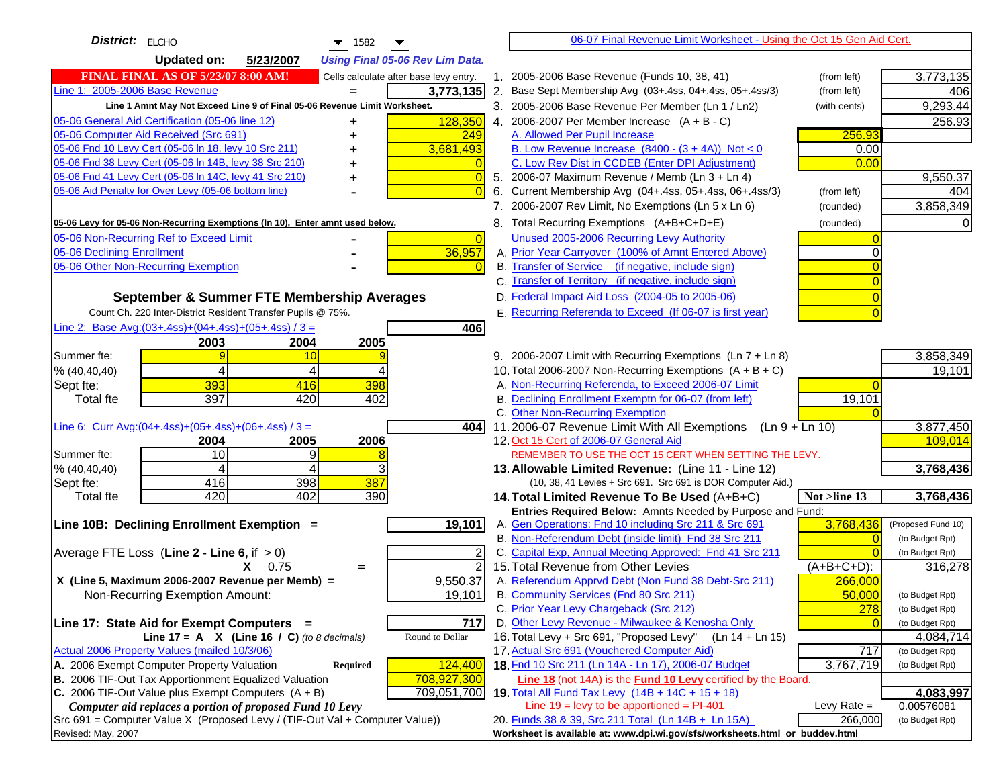| District: $ EICHO$<br>$\blacktriangledown$ 1582                                                                  | 06-07 Final Revenue Limit Worksheet - Using the Oct 15 Gen Aid Cert.                                        |                              |
|------------------------------------------------------------------------------------------------------------------|-------------------------------------------------------------------------------------------------------------|------------------------------|
| <b>Updated on:</b><br>5/23/2007<br><b>Using Final 05-06 Rev Lim Data.</b>                                        |                                                                                                             |                              |
| <b>FINAL FINAL AS OF 5/23/07 8:00 AM!</b><br>Cells calculate after base levy entry.                              | 1. 2005-2006 Base Revenue (Funds 10, 38, 41)<br>(from left)                                                 | 3,773,135                    |
| Line 1: 2005-2006 Base Revenue<br>3,773,135                                                                      | 2. Base Sept Membership Avg (03+.4ss, 04+.4ss, 05+.4ss/3)<br>(from left)                                    | 406                          |
| Line 1 Amnt May Not Exceed Line 9 of Final 05-06 Revenue Limit Worksheet.                                        | 3. 2005-2006 Base Revenue Per Member (Ln 1 / Ln2)<br>(with cents)                                           | 9,293.44                     |
| 128,350<br>05-06 General Aid Certification (05-06 line 12)<br>+                                                  | 4. 2006-2007 Per Member Increase $(A + B - C)$                                                              | 256.93                       |
| 05-06 Computer Aid Received (Src 691)<br>249                                                                     | 256.93<br>A. Allowed Per Pupil Increase                                                                     |                              |
| 05-06 Fnd 10 Levy Cert (05-06 In 18, levy 10 Src 211)<br>3,681,493                                               | B. Low Revenue Increase $(8400 - (3 + 4A))$ Not < 0<br>0.00                                                 |                              |
| 05-06 Fnd 38 Levy Cert (05-06 In 14B, levy 38 Src 210)                                                           | C. Low Rev Dist in CCDEB (Enter DPI Adjustment)<br>0.00                                                     |                              |
| 05-06 Fnd 41 Levy Cert (05-06 In 14C, levy 41 Src 210)<br>$\sqrt{ }$                                             | 5. 2006-07 Maximum Revenue / Memb (Ln 3 + Ln 4)                                                             | 9,550.37                     |
| 05-06 Aid Penalty for Over Levy (05-06 bottom line)                                                              | Current Membership Avg (04+.4ss, 05+.4ss, 06+.4ss/3)<br>(from left)<br>6.                                   | 404                          |
|                                                                                                                  | 7. 2006-2007 Rev Limit, No Exemptions (Ln 5 x Ln 6)<br>(rounded)                                            | 3,858,349                    |
| 05-06 Levy for 05-06 Non-Recurring Exemptions (In 10), Enter amnt used below.                                    | 8. Total Recurring Exemptions (A+B+C+D+E)<br>(rounded)                                                      |                              |
| 05-06 Non-Recurring Ref to Exceed Limit<br>$\overline{0}$                                                        | Unused 2005-2006 Recurring Levy Authority                                                                   |                              |
| 36,957<br>05-06 Declining Enrollment                                                                             | A. Prior Year Carryover (100% of Amnt Entered Above)                                                        |                              |
| 05-06 Other Non-Recurring Exemption                                                                              | B. Transfer of Service (if negative, include sign)                                                          |                              |
|                                                                                                                  | C. Transfer of Territory (if negative, include sign)                                                        |                              |
| September & Summer FTE Membership Averages                                                                       | D. Federal Impact Aid Loss (2004-05 to 2005-06)                                                             |                              |
| Count Ch. 220 Inter-District Resident Transfer Pupils @ 75%.                                                     | E. Recurring Referenda to Exceed (If 06-07 is first year)                                                   |                              |
| Line 2: Base Avg: $(03+.4ss)+(04+.4ss)+(05+.4ss)/3 =$<br>406                                                     |                                                                                                             |                              |
| 2003<br>2004<br>2005                                                                                             |                                                                                                             |                              |
| Summer fte:<br>10<br>9                                                                                           | 9. 2006-2007 Limit with Recurring Exemptions (Ln 7 + Ln 8)                                                  | 3,858,349                    |
| 4<br>% (40, 40, 40)<br>4                                                                                         | 10. Total 2006-2007 Non-Recurring Exemptions (A + B + C)                                                    | 19,101                       |
| 393<br>398<br>Sept fte:<br>416                                                                                   | A. Non-Recurring Referenda, to Exceed 2006-07 Limit                                                         |                              |
| 397<br>420<br>402<br><b>Total fte</b>                                                                            | B. Declining Enrollment Exemptn for 06-07 (from left)<br>19,101                                             |                              |
|                                                                                                                  | C. Other Non-Recurring Exemption                                                                            |                              |
| Line 6: Curr Avg: $(04+.4ss)+(05+.4ss)+(06+.4ss)/3 =$<br>4041<br>2006<br>2005<br>2004                            | 11.2006-07 Revenue Limit With All Exemptions $(Ln 9 + Ln 10)$<br>12. Oct 15 Cert of 2006-07 General Aid     | 3,877,450<br>109,014         |
| 10<br>Summer fte:<br>9                                                                                           | REMEMBER TO USE THE OCT 15 CERT WHEN SETTING THE LEVY.                                                      |                              |
| % (40, 40, 40)<br>4<br>4                                                                                         | 13. Allowable Limited Revenue: (Line 11 - Line 12)                                                          | 3,768,436                    |
| 398<br>387<br>416<br>Sept fte:                                                                                   | (10, 38, 41 Levies + Src 691. Src 691 is DOR Computer Aid.)                                                 |                              |
| 420<br>402<br>390<br><b>Total fte</b>                                                                            | 14. Total Limited Revenue To Be Used (A+B+C)<br>Not >line 13                                                | 3,768,436                    |
|                                                                                                                  | Entries Required Below: Amnts Needed by Purpose and Fund:                                                   |                              |
| 19,101<br>Line 10B: Declining Enrollment Exemption =                                                             | A. Gen Operations: Fnd 10 including Src 211 & Src 691<br>3,768,436                                          | (Proposed Fund 10)           |
|                                                                                                                  | B. Non-Referendum Debt (inside limit) Fnd 38 Src 211                                                        | (to Budget Rpt)              |
| Average FTE Loss (Line $2 -$ Line 6, if $> 0$ )<br>2                                                             | C. Capital Exp, Annual Meeting Approved: Fnd 41 Src 211                                                     | (to Budget Rpt)              |
| $\overline{2}$<br>$X = 0.75$<br>$=$                                                                              | 15. Total Revenue from Other Levies<br>$(A+B+C+D)$ :                                                        | 316,278                      |
| X (Line 5, Maximum 2006-2007 Revenue per Memb) =<br>9,550.37                                                     | A. Referendum Apprvd Debt (Non Fund 38 Debt-Src 211)<br>266,000                                             |                              |
| Non-Recurring Exemption Amount:<br>19,101                                                                        | B. Community Services (Fnd 80 Src 211)<br>50.000                                                            | (to Budget Rpt)              |
|                                                                                                                  | C. Prior Year Levy Chargeback (Src 212)<br>278                                                              | (to Budget Rpt)              |
| 717<br>Line 17: State Aid for Exempt Computers =                                                                 | D. Other Levy Revenue - Milwaukee & Kenosha Only                                                            | (to Budget Rpt)              |
| Line 17 = A $X$ (Line 16 / C) (to 8 decimals)<br>Round to Dollar<br>Actual 2006 Property Values (mailed 10/3/06) | 16. Total Levy + Src 691, "Proposed Levy"<br>(Ln 14 + Ln 15)<br>17. Actual Src 691 (Vouchered Computer Aid) | 4,084,714<br>(to Budget Rpt) |
| A. 2006 Exempt Computer Property Valuation<br>124,400<br>Required                                                | 717<br>18. Fnd 10 Src 211 (Ln 14A - Ln 17), 2006-07 Budget<br>3,767,719                                     | (to Budget Rpt)              |
| B. 2006 TIF-Out Tax Apportionment Equalized Valuation<br>708,927,300                                             | Line 18 (not 14A) is the <b>Fund 10 Levy</b> certified by the Board.                                        |                              |
| C. 2006 TIF-Out Value plus Exempt Computers $(A + B)$<br>709,051,700                                             | 19. Total All Fund Tax Levy (14B + 14C + 15 + 18)                                                           | 4,083,997                    |
| Computer aid replaces a portion of proposed Fund 10 Levy                                                         | Line $19 = \text{levy}$ to be apportioned = PI-401<br>Levy Rate $=$                                         | 0.00576081                   |
| Src 691 = Computer Value X (Proposed Levy / (TIF-Out Val + Computer Value))                                      | 20. Funds 38 & 39, Src 211 Total (Ln 14B + Ln 15A)<br>266,000                                               | (to Budget Rpt)              |
| Revised: May, 2007                                                                                               | Worksheet is available at: www.dpi.wi.gov/sfs/worksheets.html or buddev.html                                |                              |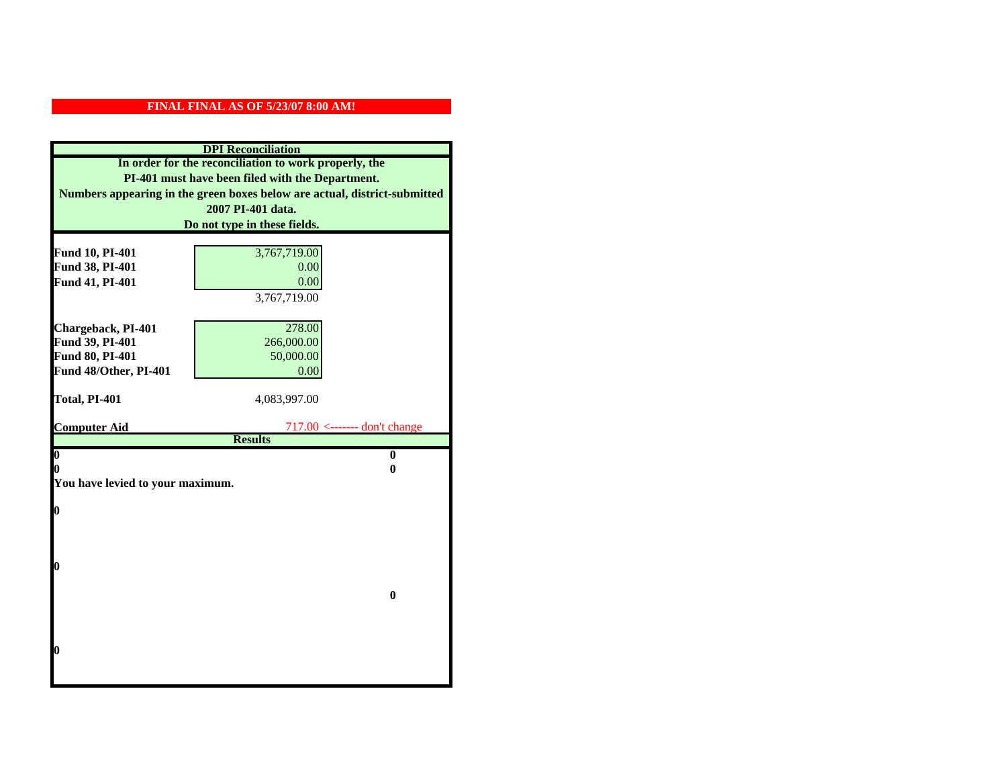| <b>DPI</b> Reconciliation                             |                                                                           |  |  |
|-------------------------------------------------------|---------------------------------------------------------------------------|--|--|
| In order for the reconciliation to work properly, the |                                                                           |  |  |
| PI-401 must have been filed with the Department.      |                                                                           |  |  |
|                                                       | Numbers appearing in the green boxes below are actual, district-submitted |  |  |
|                                                       | 2007 PI-401 data.                                                         |  |  |
|                                                       | Do not type in these fields.                                              |  |  |
|                                                       |                                                                           |  |  |
| Fund 10, PI-401                                       | 3,767,719.00                                                              |  |  |
| Fund 38, PI-401                                       | 0.00                                                                      |  |  |
| Fund 41, PI-401                                       | 0.00                                                                      |  |  |
|                                                       | 3,767,719.00                                                              |  |  |
|                                                       |                                                                           |  |  |
| Chargeback, PI-401                                    | 278.00                                                                    |  |  |
| Fund 39, PI-401                                       | 266,000.00                                                                |  |  |
| Fund 80, PI-401                                       | 50,000.00                                                                 |  |  |
| Fund 48/Other, PI-401                                 | 0.00                                                                      |  |  |
| Total, PI-401                                         | 4,083,997.00                                                              |  |  |
|                                                       |                                                                           |  |  |
| <b>Computer Aid</b>                                   | $717.00$ <------- don't change                                            |  |  |
|                                                       | <b>Results</b>                                                            |  |  |
| $\overline{\mathbf{0}}$                               | $\bf{0}$                                                                  |  |  |
| 0<br>0                                                |                                                                           |  |  |
| You have levied to your maximum.                      |                                                                           |  |  |
| $\bf{0}$                                              |                                                                           |  |  |
|                                                       |                                                                           |  |  |
|                                                       |                                                                           |  |  |
|                                                       |                                                                           |  |  |
| l0                                                    |                                                                           |  |  |
|                                                       |                                                                           |  |  |
|                                                       | $\bf{0}$                                                                  |  |  |
|                                                       |                                                                           |  |  |
|                                                       |                                                                           |  |  |
| $\boldsymbol{0}$                                      |                                                                           |  |  |
|                                                       |                                                                           |  |  |
|                                                       |                                                                           |  |  |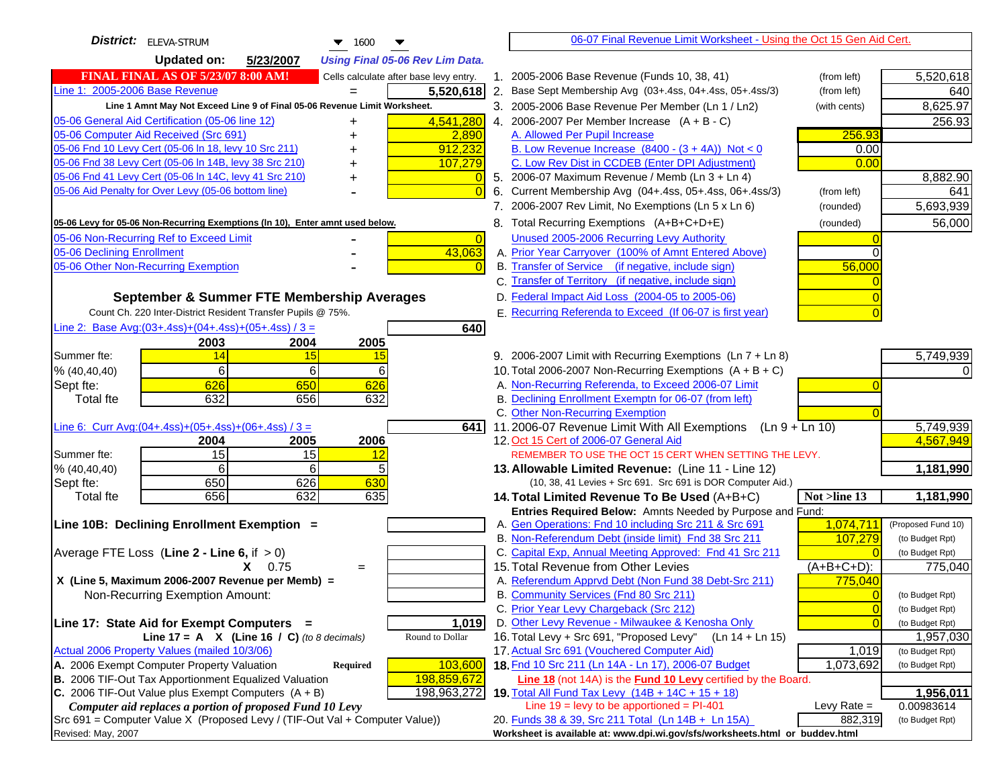| <b>District:</b> ELEVA-STRUM<br>$\blacktriangledown$ 1600                                     | 06-07 Final Revenue Limit Worksheet - Using the Oct 15 Gen Aid Cert.                                                 |                              |
|-----------------------------------------------------------------------------------------------|----------------------------------------------------------------------------------------------------------------------|------------------------------|
| <b>Updated on:</b><br>5/23/2007<br><b>Using Final 05-06 Rev Lim Data.</b>                     |                                                                                                                      |                              |
| <b>FINAL FINAL AS OF 5/23/07 8:00 AM!</b><br>Cells calculate after base levy entry.           | 1. 2005-2006 Base Revenue (Funds 10, 38, 41)<br>(from left)                                                          | 5,520,618                    |
| Line 1: 2005-2006 Base Revenue<br>5,520,618<br>$=$                                            | 2. Base Sept Membership Avg (03+.4ss, 04+.4ss, 05+.4ss/3)<br>(from left)                                             | 640                          |
| Line 1 Amnt May Not Exceed Line 9 of Final 05-06 Revenue Limit Worksheet.                     | 3. 2005-2006 Base Revenue Per Member (Ln 1 / Ln2)<br>(with cents)                                                    | 8,625.97                     |
| 4,541,280<br>05-06 General Aid Certification (05-06 line 12)<br>+                             | 4. 2006-2007 Per Member Increase $(A + B - C)$                                                                       | 256.93                       |
| 05-06 Computer Aid Received (Src 691)<br>2,890                                                | A. Allowed Per Pupil Increase<br>256.93                                                                              |                              |
| 05-06 Fnd 10 Levy Cert (05-06 In 18, levy 10 Src 211)<br>912,232                              | B. Low Revenue Increase $(8400 - (3 + 4A))$ Not < 0<br>0.00                                                          |                              |
| 05-06 Fnd 38 Levy Cert (05-06 In 14B, levy 38 Src 210)<br>107,279                             | C. Low Rev Dist in CCDEB (Enter DPI Adjustment)<br>0.00                                                              |                              |
| 05-06 Fnd 41 Levy Cert (05-06 In 14C, levy 41 Src 210)<br>+                                   | 5. 2006-07 Maximum Revenue / Memb (Ln 3 + Ln 4)                                                                      | 8,882.90                     |
| 05-06 Aid Penalty for Over Levy (05-06 bottom line)                                           | 6. Current Membership Avg (04+.4ss, 05+.4ss, 06+.4ss/3)<br>(from left)                                               | 641                          |
|                                                                                               | 7. 2006-2007 Rev Limit, No Exemptions (Ln 5 x Ln 6)<br>(rounded)                                                     | 5,693,939                    |
| 05-06 Levy for 05-06 Non-Recurring Exemptions (In 10), Enter amnt used below.                 | 8. Total Recurring Exemptions (A+B+C+D+E)<br>(rounded)                                                               | 56,000                       |
| 05-06 Non-Recurring Ref to Exceed Limit<br>$\overline{0}$                                     | Unused 2005-2006 Recurring Levy Authority                                                                            |                              |
| 43,063<br>05-06 Declining Enrollment                                                          | A. Prior Year Carryover (100% of Amnt Entered Above)                                                                 |                              |
| 05-06 Other Non-Recurring Exemption                                                           | B. Transfer of Service (if negative, include sign)<br>56,000                                                         |                              |
|                                                                                               | C. Transfer of Territory (if negative, include sign)                                                                 |                              |
| September & Summer FTE Membership Averages                                                    | D. Federal Impact Aid Loss (2004-05 to 2005-06)                                                                      |                              |
| Count Ch. 220 Inter-District Resident Transfer Pupils @ 75%.                                  | E. Recurring Referenda to Exceed (If 06-07 is first year)                                                            |                              |
| Line 2: Base Avg: $(03+.4ss)+(04+.4ss)+(05+.4ss)/3 =$<br>640                                  |                                                                                                                      |                              |
| 2003<br>2004<br>2005                                                                          |                                                                                                                      |                              |
| 14<br>Summer fte:<br>15<br><u>15</u>                                                          | 9. 2006-2007 Limit with Recurring Exemptions (Ln 7 + Ln 8)                                                           | 5,749,939                    |
| 6<br>6<br>6<br>% (40, 40, 40)                                                                 | 10. Total 2006-2007 Non-Recurring Exemptions $(A + B + C)$                                                           |                              |
| 626<br>650<br>626<br>Sept fte:                                                                | A. Non-Recurring Referenda, to Exceed 2006-07 Limit                                                                  |                              |
| 632<br>632<br><b>Total fte</b><br>656                                                         | B. Declining Enrollment Exemptn for 06-07 (from left)                                                                |                              |
| Line 6: Curr Avg: $(04+.4ss)+(05+.4ss)+(06+.4ss)/3 =$<br>641 I                                | C. Other Non-Recurring Exemption<br>11.2006-07 Revenue Limit With All Exemptions (Ln $9 + \overline{\text{Ln }10}$ ) | 5,749,939                    |
| 2006<br>2004<br>2005                                                                          | 12. Oct 15 Cert of 2006-07 General Aid                                                                               | 4,567,949                    |
| 15<br>15<br>Summer fte:<br><u> 12</u>                                                         | REMEMBER TO USE THE OCT 15 CERT WHEN SETTING THE LEVY.                                                               |                              |
| % (40, 40, 40)<br>6<br>6                                                                      | 13. Allowable Limited Revenue: (Line 11 - Line 12)                                                                   | 1,181,990                    |
| 650<br>626<br>630<br>Sept fte:                                                                | (10, 38, 41 Levies + Src 691. Src 691 is DOR Computer Aid.)                                                          |                              |
| 656<br>632<br>635<br><b>Total fte</b>                                                         | 14. Total Limited Revenue To Be Used (A+B+C)<br>Not >line 13                                                         | 1,181,990                    |
|                                                                                               | Entries Required Below: Amnts Needed by Purpose and Fund:                                                            |                              |
| Line 10B: Declining Enrollment Exemption =                                                    | 1,074,711<br>A. Gen Operations: Fnd 10 including Src 211 & Src 691                                                   | (Proposed Fund 10)           |
|                                                                                               | B. Non-Referendum Debt (inside limit) Fnd 38 Src 211<br>107,279                                                      | (to Budget Rpt)              |
| Average FTE Loss (Line $2 -$ Line 6, if $> 0$ )                                               | C. Capital Exp, Annual Meeting Approved: Fnd 41 Src 211                                                              | (to Budget Rpt)              |
| $X = 0.75$<br>$=$                                                                             | 15. Total Revenue from Other Levies<br>$(A+B+C+D)$ :                                                                 | 775,040                      |
| X (Line 5, Maximum 2006-2007 Revenue per Memb) =                                              | A. Referendum Apprvd Debt (Non Fund 38 Debt-Src 211)<br>775,040                                                      |                              |
| Non-Recurring Exemption Amount:                                                               | B. Community Services (Fnd 80 Src 211)                                                                               | (to Budget Rpt)              |
|                                                                                               | C. Prior Year Levy Chargeback (Src 212)<br>$\overline{0}$                                                            | (to Budget Rpt)              |
| 1,019<br>Line 17: State Aid for Exempt Computers =<br>Round to Dollar                         | D. Other Levy Revenue - Milwaukee & Kenosha Only<br>16. Total Levy + Src 691, "Proposed Levy"<br>(Ln 14 + Ln 15)     | (to Budget Rpt)              |
| Line 17 = A $X$ (Line 16 / C) (to 8 decimals)<br>Actual 2006 Property Values (mailed 10/3/06) | 17. Actual Src 691 (Vouchered Computer Aid)<br>1,019                                                                 | 1,957,030<br>(to Budget Rpt) |
| A. 2006 Exempt Computer Property Valuation<br>103,600<br>Required                             | 18. Fnd 10 Src 211 (Ln 14A - Ln 17), 2006-07 Budget<br>1,073,692                                                     | (to Budget Rpt)              |
| B. 2006 TIF-Out Tax Apportionment Equalized Valuation<br>198,859,672                          | <b>Line 18</b> (not 14A) is the <b>Fund 10 Levy</b> certified by the Board.                                          |                              |
| C. 2006 TIF-Out Value plus Exempt Computers $(A + B)$<br>198,963,272                          | 19. Total All Fund Tax Levy $(14B + 14C + 15 + 18)$                                                                  | 1,956,011                    |
| Computer aid replaces a portion of proposed Fund 10 Levy                                      | Line $19 = \text{levy}$ to be apportioned = PI-401<br>Levy Rate $=$                                                  | 0.00983614                   |
| Src 691 = Computer Value X (Proposed Levy / (TIF-Out Val + Computer Value))                   | 20. Funds 38 & 39, Src 211 Total (Ln 14B + Ln 15A)<br>882,319                                                        | (to Budget Rpt)              |
| Revised: May, 2007                                                                            | Worksheet is available at: www.dpi.wi.gov/sfs/worksheets.html or buddev.html                                         |                              |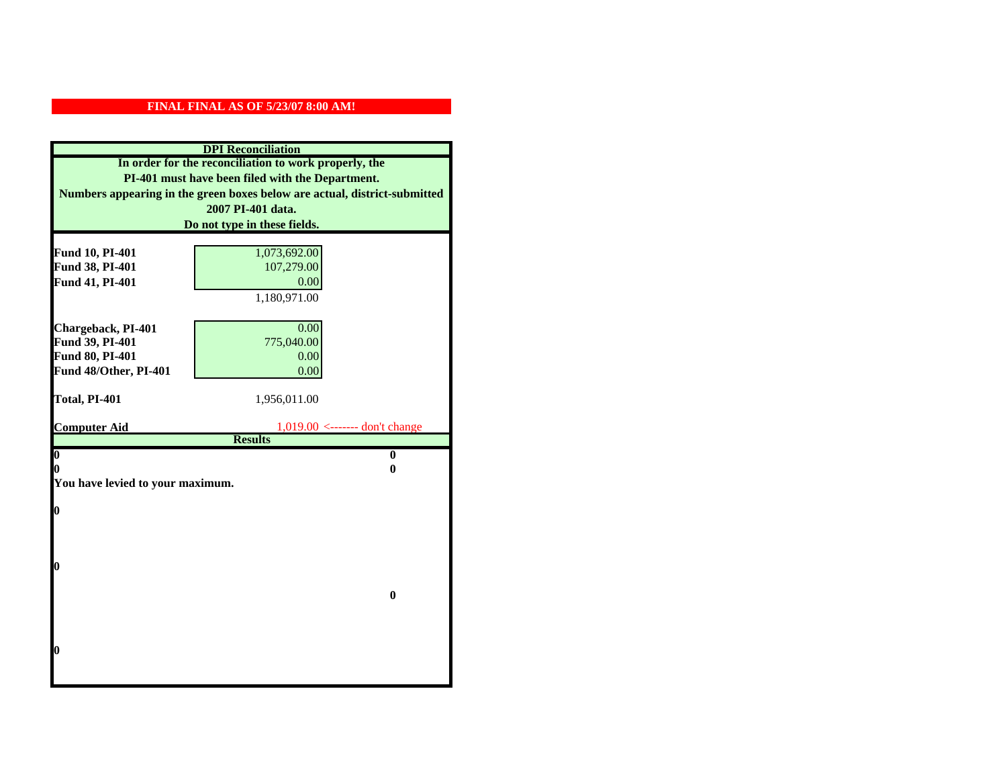| <b>DPI</b> Reconciliation                             |                                                                           |  |
|-------------------------------------------------------|---------------------------------------------------------------------------|--|
| In order for the reconciliation to work properly, the |                                                                           |  |
| PI-401 must have been filed with the Department.      |                                                                           |  |
|                                                       | Numbers appearing in the green boxes below are actual, district-submitted |  |
|                                                       | 2007 PI-401 data.                                                         |  |
|                                                       | Do not type in these fields.                                              |  |
|                                                       |                                                                           |  |
| Fund 10, PI-401                                       | 1,073,692.00                                                              |  |
| Fund 38, PI-401                                       | 107,279.00                                                                |  |
| Fund 41, PI-401                                       | 0.00                                                                      |  |
|                                                       | 1,180,971.00                                                              |  |
| Chargeback, PI-401                                    | 0.00                                                                      |  |
| Fund 39, PI-401                                       | 775,040.00                                                                |  |
| <b>Fund 80, PI-401</b>                                | 0.00                                                                      |  |
| Fund 48/Other, PI-401                                 | 0.00                                                                      |  |
|                                                       |                                                                           |  |
| Total, PI-401                                         | 1,956,011.00                                                              |  |
|                                                       |                                                                           |  |
| <b>Computer Aid</b>                                   | $1,019.00$ <------- don't change<br><b>Results</b>                        |  |
| $\boldsymbol{0}$                                      | $\bf{0}$                                                                  |  |
| 0                                                     | 0                                                                         |  |
| You have levied to your maximum.                      |                                                                           |  |
|                                                       |                                                                           |  |
| 0                                                     |                                                                           |  |
|                                                       |                                                                           |  |
|                                                       |                                                                           |  |
|                                                       |                                                                           |  |
| 0                                                     |                                                                           |  |
| $\bf{0}$                                              |                                                                           |  |
|                                                       |                                                                           |  |
|                                                       |                                                                           |  |
|                                                       |                                                                           |  |
| 0                                                     |                                                                           |  |
|                                                       |                                                                           |  |
|                                                       |                                                                           |  |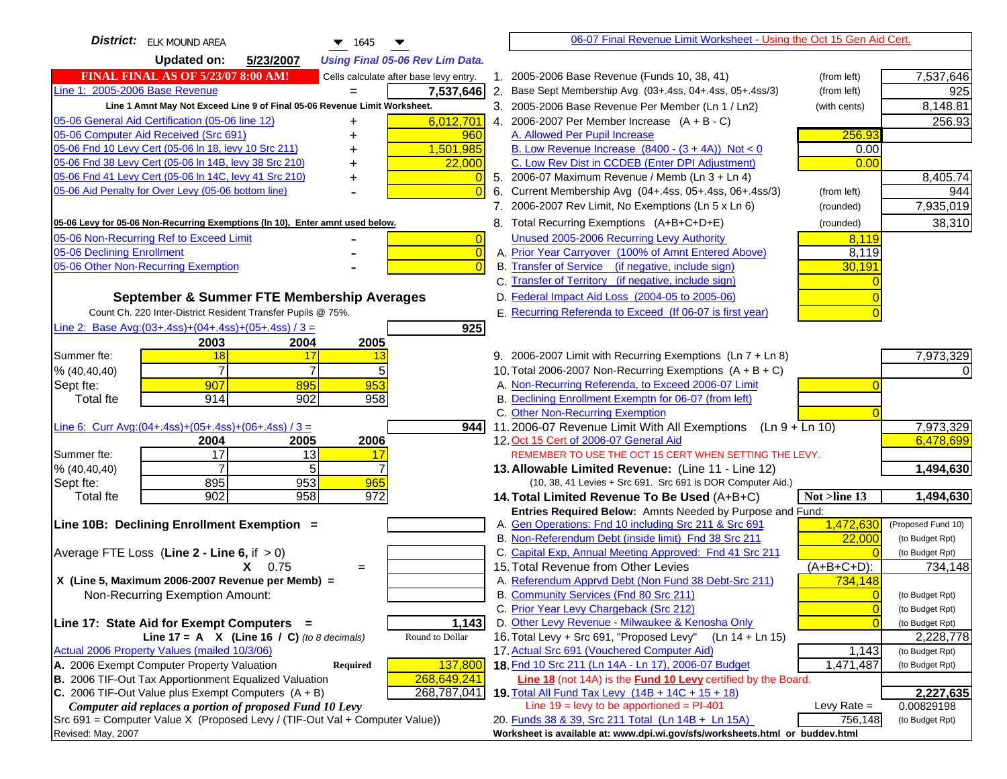| <b>District:</b> ELK MOUND AREA<br>$\blacktriangledown$ 1645                                                           | 06-07 Final Revenue Limit Worksheet - Using the Oct 15 Gen Aid Cert.                                                 |                                    |
|------------------------------------------------------------------------------------------------------------------------|----------------------------------------------------------------------------------------------------------------------|------------------------------------|
| <b>Updated on:</b><br>5/23/2007<br><b>Using Final 05-06 Rev Lim Data.</b>                                              |                                                                                                                      |                                    |
| <b>FINAL FINAL AS OF 5/23/07 8:00 AM!</b><br>Cells calculate after base levy entry.                                    | 1. 2005-2006 Base Revenue (Funds 10, 38, 41)<br>(from left)                                                          | 7,537,646                          |
| Line 1: 2005-2006 Base Revenue<br>7,537,646                                                                            | 2. Base Sept Membership Avg (03+.4ss, 04+.4ss, 05+.4ss/3)<br>(from left)                                             | 925                                |
| Line 1 Amnt May Not Exceed Line 9 of Final 05-06 Revenue Limit Worksheet.                                              | 3. 2005-2006 Base Revenue Per Member (Ln 1 / Ln2)<br>(with cents)                                                    | 8,148.81                           |
| 6,012,701<br>05-06 General Aid Certification (05-06 line 12)<br>+                                                      | 4. 2006-2007 Per Member Increase $(A + B - C)$                                                                       | 256.93                             |
| 05-06 Computer Aid Received (Src 691)<br>960<br>+                                                                      | A. Allowed Per Pupil Increase<br>256.93                                                                              |                                    |
| 05-06 Fnd 10 Levy Cert (05-06 In 18, levy 10 Src 211)<br>1,501,985                                                     | B. Low Revenue Increase $(8400 - (3 + 4A))$ Not < 0<br>0.00                                                          |                                    |
| 05-06 Fnd 38 Levy Cert (05-06 In 14B, levy 38 Src 210)<br>22,000                                                       | C. Low Rev Dist in CCDEB (Enter DPI Adjustment)<br>0.00                                                              |                                    |
| 05-06 Fnd 41 Levy Cert (05-06 In 14C, levy 41 Src 210)<br>+                                                            | 5. 2006-07 Maximum Revenue / Memb (Ln 3 + Ln 4)                                                                      | 8,405.74                           |
| 05-06 Aid Penalty for Over Levy (05-06 bottom line)                                                                    | 6. Current Membership Avg (04+.4ss, 05+.4ss, 06+.4ss/3)<br>(from left)                                               | 944                                |
|                                                                                                                        | 7. 2006-2007 Rev Limit, No Exemptions (Ln 5 x Ln 6)<br>(rounded)                                                     | 7,935,019                          |
| 05-06 Levy for 05-06 Non-Recurring Exemptions (In 10), Enter amnt used below.                                          | 8. Total Recurring Exemptions (A+B+C+D+E)<br>(rounded)                                                               | 38,310                             |
| 05-06 Non-Recurring Ref to Exceed Limit<br>$\overline{0}$                                                              | Unused 2005-2006 Recurring Levy Authority<br>8,119                                                                   |                                    |
| 05-06 Declining Enrollment<br>$\overline{0}$                                                                           | A. Prior Year Carryover (100% of Amnt Entered Above)<br>8,119                                                        |                                    |
| 05-06 Other Non-Recurring Exemption                                                                                    | B. Transfer of Service (if negative, include sign)<br>30,191                                                         |                                    |
|                                                                                                                        | C. Transfer of Territory (if negative, include sign)                                                                 |                                    |
| September & Summer FTE Membership Averages                                                                             | D. Federal Impact Aid Loss (2004-05 to 2005-06)                                                                      |                                    |
| Count Ch. 220 Inter-District Resident Transfer Pupils @ 75%.                                                           | E. Recurring Referenda to Exceed (If 06-07 is first year)                                                            |                                    |
| Line 2: Base Avg: $(03+.4ss)+(04+.4ss)+(05+.4ss)/3 =$<br>925                                                           |                                                                                                                      |                                    |
| 2003<br>2004<br>2005                                                                                                   |                                                                                                                      |                                    |
| Summer fte:<br>18<br>17<br>13                                                                                          | 9. 2006-2007 Limit with Recurring Exemptions (Ln 7 + Ln 8)                                                           | 7,973,329                          |
| $\overline{7}$<br>7<br>5<br>% (40, 40, 40)                                                                             | 10. Total 2006-2007 Non-Recurring Exemptions $(A + B + C)$                                                           |                                    |
| 953<br>907<br>895<br>Sept fte:                                                                                         | A. Non-Recurring Referenda, to Exceed 2006-07 Limit                                                                  |                                    |
| 914<br>902<br>958<br><b>Total fte</b>                                                                                  | B. Declining Enrollment Exemptn for 06-07 (from left)                                                                |                                    |
| 9441                                                                                                                   | C. Other Non-Recurring Exemption<br>11.2006-07 Revenue Limit With All Exemptions (Ln $9 + \overline{\text{Ln }10}$ ) | 7,973,329                          |
| Line 6: Curr Avg: $(04+.4ss)+(05+.4ss)+(06+.4ss)/3 =$<br>2006<br>2004<br>2005                                          | 12. Oct 15 Cert of 2006-07 General Aid                                                                               | 6,478,699                          |
| 17<br>Summer fte:<br>13<br>17                                                                                          | REMEMBER TO USE THE OCT 15 CERT WHEN SETTING THE LEVY.                                                               |                                    |
| 5<br>% (40, 40, 40)                                                                                                    | 13. Allowable Limited Revenue: (Line 11 - Line 12)                                                                   | 1,494,630                          |
| 895<br>953<br>965<br>Sept fte:                                                                                         | (10, 38, 41 Levies + Src 691. Src 691 is DOR Computer Aid.)                                                          |                                    |
| <b>Total fte</b><br>902<br>958<br>972                                                                                  | 14. Total Limited Revenue To Be Used (A+B+C)<br>Not >line 13                                                         | 1,494,630                          |
|                                                                                                                        | Entries Required Below: Amnts Needed by Purpose and Fund:                                                            |                                    |
| Line 10B: Declining Enrollment Exemption =                                                                             | 1,472,630<br>A. Gen Operations: Fnd 10 including Src 211 & Src 691                                                   | (Proposed Fund 10)                 |
|                                                                                                                        | B. Non-Referendum Debt (inside limit) Fnd 38 Src 211<br>22,000                                                       | (to Budget Rpt)                    |
| Average FTE Loss (Line $2 -$ Line 6, if $> 0$ )                                                                        | C. Capital Exp, Annual Meeting Approved: Fnd 41 Src 211                                                              | (to Budget Rpt)                    |
| $X = 0.75$<br>$=$                                                                                                      | 15. Total Revenue from Other Levies<br>(A+B+C+D):                                                                    | 734,148                            |
| X (Line 5, Maximum 2006-2007 Revenue per Memb) =                                                                       | A. Referendum Apprvd Debt (Non Fund 38 Debt-Src 211)<br>734,148                                                      |                                    |
| Non-Recurring Exemption Amount:                                                                                        | B. Community Services (Fnd 80 Src 211)                                                                               | (to Budget Rpt)                    |
|                                                                                                                        | C. Prior Year Levy Chargeback (Src 212)<br>$\overline{0}$<br>D. Other Levy Revenue - Milwaukee & Kenosha Only        | (to Budget Rpt)<br>(to Budget Rpt) |
| Line 17: State Aid for Exempt Computers =<br>1,143<br>Line 17 = A $X$ (Line 16 / C) (to 8 decimals)<br>Round to Dollar | 16. Total Levy + Src 691, "Proposed Levy"<br>(Ln 14 + Ln 15)                                                         | 2,228,778                          |
| Actual 2006 Property Values (mailed 10/3/06)                                                                           | 17. Actual Src 691 (Vouchered Computer Aid)<br>1,143                                                                 | (to Budget Rpt)                    |
| A. 2006 Exempt Computer Property Valuation<br>Required<br>137,800                                                      | 18. Fnd 10 Src 211 (Ln 14A - Ln 17), 2006-07 Budget<br>1,471,487                                                     | (to Budget Rpt)                    |
| B. 2006 TIF-Out Tax Apportionment Equalized Valuation<br>268,649,241                                                   | <b>Line 18</b> (not 14A) is the <b>Fund 10 Levy</b> certified by the Board.                                          |                                    |
| C. 2006 TIF-Out Value plus Exempt Computers $(A + B)$<br>268,787,041                                                   | 19. Total All Fund Tax Levy (14B + 14C + 15 + 18)                                                                    | 2,227,635                          |
| Computer aid replaces a portion of proposed Fund 10 Levy                                                               | Line $19 = \text{levy}$ to be apportioned = PI-401<br>Levy Rate $=$                                                  | 0.00829198                         |
| Src 691 = Computer Value X (Proposed Levy / (TIF-Out Val + Computer Value))                                            | 20. Funds 38 & 39, Src 211 Total (Ln 14B + Ln 15A)<br>756,148                                                        | (to Budget Rpt)                    |
| Revised: May, 2007                                                                                                     | Worksheet is available at: www.dpi.wi.gov/sfs/worksheets.html or buddev.html                                         |                                    |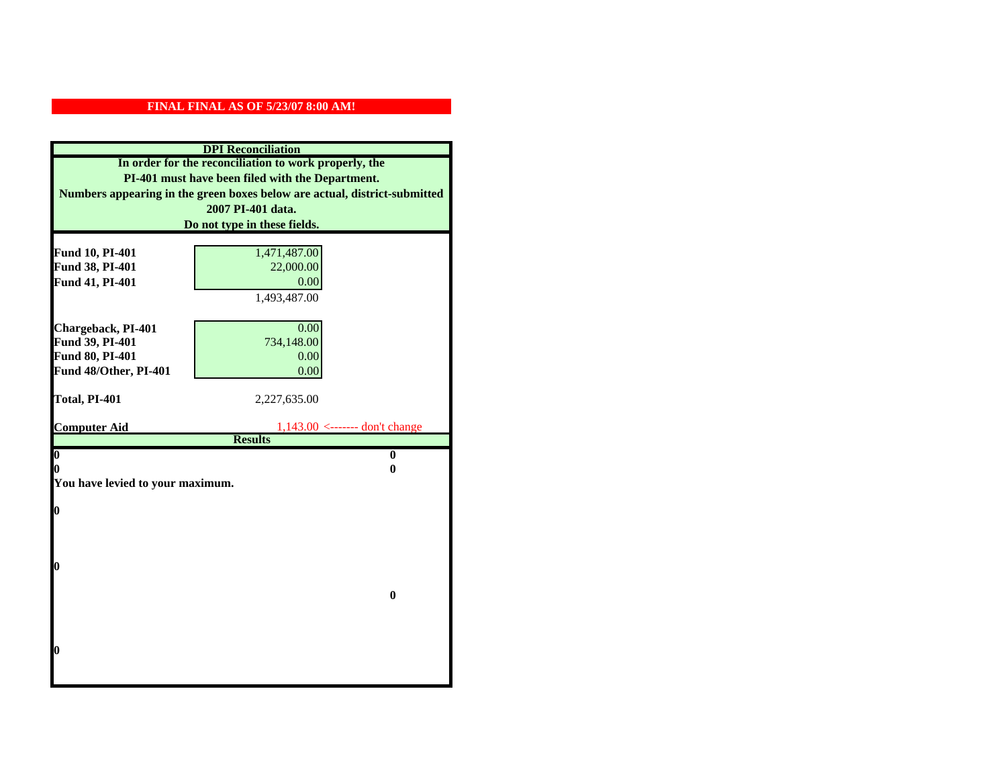| <b>DPI</b> Reconciliation                             |                                                                           |  |
|-------------------------------------------------------|---------------------------------------------------------------------------|--|
| In order for the reconciliation to work properly, the |                                                                           |  |
| PI-401 must have been filed with the Department.      |                                                                           |  |
|                                                       | Numbers appearing in the green boxes below are actual, district-submitted |  |
|                                                       | 2007 PI-401 data.                                                         |  |
|                                                       | Do not type in these fields.                                              |  |
|                                                       |                                                                           |  |
| Fund 10, PI-401                                       | 1,471,487.00                                                              |  |
| Fund 38, PI-401                                       | 22,000.00                                                                 |  |
| Fund 41, PI-401                                       | 0.00                                                                      |  |
|                                                       | 1,493,487.00                                                              |  |
|                                                       |                                                                           |  |
| Chargeback, PI-401                                    | 0.00                                                                      |  |
| Fund 39, PI-401                                       | 734,148.00                                                                |  |
| Fund 80, PI-401                                       | 0.00                                                                      |  |
| Fund 48/Other, PI-401                                 | 0.00                                                                      |  |
| Total, PI-401                                         | 2,227,635.00                                                              |  |
|                                                       |                                                                           |  |
| <b>Computer Aid</b>                                   | $1,143.00$ <------- don't change                                          |  |
|                                                       | <b>Results</b>                                                            |  |
| $\boldsymbol{0}$                                      | $\bf{0}$                                                                  |  |
| 0                                                     | 0                                                                         |  |
| You have levied to your maximum.                      |                                                                           |  |
| $\bf{0}$                                              |                                                                           |  |
|                                                       |                                                                           |  |
|                                                       |                                                                           |  |
|                                                       |                                                                           |  |
| 0                                                     |                                                                           |  |
|                                                       |                                                                           |  |
|                                                       | $\bf{0}$                                                                  |  |
|                                                       |                                                                           |  |
|                                                       |                                                                           |  |
|                                                       |                                                                           |  |
| 0                                                     |                                                                           |  |
|                                                       |                                                                           |  |
|                                                       |                                                                           |  |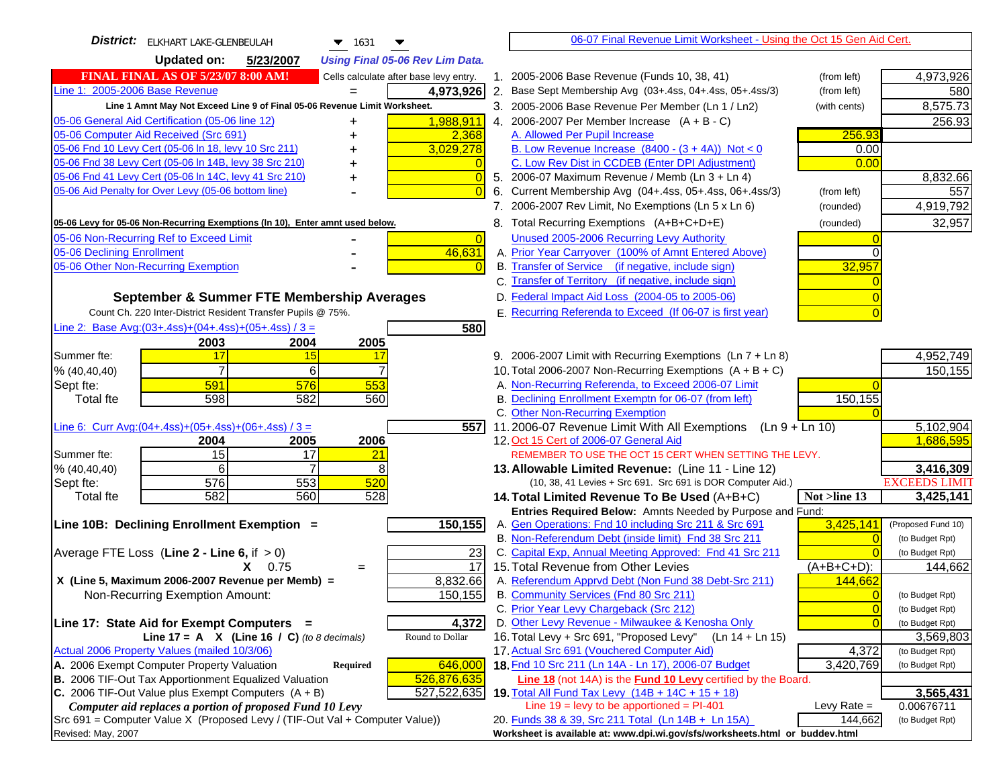| <b>District:</b><br><b>ELKHART LAKE-GLENBEULAH</b><br>$\blacktriangledown$ 1631     | 06-07 Final Revenue Limit Worksheet - Using the Oct 15 Gen Aid Cert.                                      |                      |
|-------------------------------------------------------------------------------------|-----------------------------------------------------------------------------------------------------------|----------------------|
| <b>Updated on:</b><br>5/23/2007<br><b>Using Final 05-06 Rev Lim Data.</b>           |                                                                                                           |                      |
| <b>FINAL FINAL AS OF 5/23/07 8:00 AM!</b><br>Cells calculate after base levy entry. | 1. 2005-2006 Base Revenue (Funds 10, 38, 41)<br>(from left)                                               | 4,973,926            |
| Line 1: 2005-2006 Base Revenue<br>4,973,926                                         | 2. Base Sept Membership Avg (03+.4ss, 04+.4ss, 05+.4ss/3)<br>(from left)                                  | 580                  |
| Line 1 Amnt May Not Exceed Line 9 of Final 05-06 Revenue Limit Worksheet.           | 3. 2005-2006 Base Revenue Per Member (Ln 1 / Ln2)<br>(with cents)                                         | 8,575.73             |
| 1,988,911<br>05-06 General Aid Certification (05-06 line 12)<br>+                   | 4. 2006-2007 Per Member Increase $(A + B - C)$                                                            | 256.93               |
| 05-06 Computer Aid Received (Src 691)<br>2,368<br>+                                 | A. Allowed Per Pupil Increase<br>256.93                                                                   |                      |
| 05-06 Fnd 10 Levy Cert (05-06 In 18, levy 10 Src 211)<br>3,029,278                  | B. Low Revenue Increase $(8400 - (3 + 4A))$ Not < 0<br>0.00                                               |                      |
| 05-06 Fnd 38 Levy Cert (05-06 In 14B, levy 38 Src 210)<br>$\overline{0}$<br>+       | C. Low Rev Dist in CCDEB (Enter DPI Adjustment)<br>0.00                                                   |                      |
| 05-06 Fnd 41 Levy Cert (05-06 In 14C, levy 41 Src 210)<br>$\overline{0}$<br>+       | 5. 2006-07 Maximum Revenue / Memb (Ln 3 + Ln 4)                                                           | 8,832.66             |
| 05-06 Aid Penalty for Over Levy (05-06 bottom line)<br>$\overline{0}$               | 6. Current Membership Avg (04+.4ss, 05+.4ss, 06+.4ss/3)<br>(from left)                                    | 557                  |
|                                                                                     | 7. 2006-2007 Rev Limit, No Exemptions (Ln 5 x Ln 6)<br>(rounded)                                          | 4,919,792            |
| 05-06 Levy for 05-06 Non-Recurring Exemptions (In 10), Enter amnt used below.       | 8. Total Recurring Exemptions (A+B+C+D+E)<br>(rounded)                                                    | 32,957               |
| 05-06 Non-Recurring Ref to Exceed Limit<br>$\overline{0}$                           | Unused 2005-2006 Recurring Levy Authority                                                                 |                      |
| 05-06 Declining Enrollment<br>46,631                                                | A. Prior Year Carryover (100% of Amnt Entered Above)                                                      |                      |
| 05-06 Other Non-Recurring Exemption<br>$\overline{0}$                               | B. Transfer of Service (if negative, include sign)<br>32,957                                              |                      |
|                                                                                     | C. Transfer of Territory (if negative, include sign)                                                      |                      |
| September & Summer FTE Membership Averages                                          | D. Federal Impact Aid Loss (2004-05 to 2005-06)                                                           |                      |
| Count Ch. 220 Inter-District Resident Transfer Pupils @ 75%.                        | E. Recurring Referenda to Exceed (If 06-07 is first year)                                                 |                      |
| Line 2: Base Avg: (03+.4ss) + (04+.4ss) + (05+.4ss) / 3 =<br>580                    |                                                                                                           |                      |
| 2003<br>2004<br>2005                                                                |                                                                                                           |                      |
| Summer fte:<br>17<br>15<br>17                                                       | 9. 2006-2007 Limit with Recurring Exemptions (Ln 7 + Ln 8)                                                | 4,952,749            |
| $\overline{7}$<br>7<br>6<br>% (40, 40, 40)                                          | 10. Total 2006-2007 Non-Recurring Exemptions (A + B + C)                                                  | 150,155              |
| 553<br>591<br>576<br>Sept fte:                                                      | A. Non-Recurring Referenda, to Exceed 2006-07 Limit                                                       |                      |
| 598<br>582<br>560<br><b>Total fte</b>                                               | B. Declining Enrollment Exemptn for 06-07 (from left)<br>150,155<br>C. Other Non-Recurring Exemption      |                      |
| 557<br>Line 6: Curr Avg: $(04+.4ss)+(05+.4ss)+(06+.4ss)/3 =$                        | 11.2006-07 Revenue Limit With All Exemptions<br>$(Ln 9 + Ln 10)$                                          | 5,102,904            |
| 2005<br>2006<br>2004                                                                | 12. Oct 15 Cert of 2006-07 General Aid                                                                    | 1,686,595            |
| 15<br>17<br>Summer fte:<br><u>21</u>                                                | REMEMBER TO USE THE OCT 15 CERT WHEN SETTING THE LEVY.                                                    |                      |
| 6<br>$\overline{7}$<br>8<br>% (40,40,40)                                            | 13. Allowable Limited Revenue: (Line 11 - Line 12)                                                        | 3,416,309            |
| 576<br>553<br>Sept fte:<br>520                                                      | (10, 38, 41 Levies + Src 691. Src 691 is DOR Computer Aid.)                                               | <b>EXCEEDS LIMIT</b> |
| 528<br>582<br>560<br><b>Total fte</b>                                               | 14. Total Limited Revenue To Be Used (A+B+C)<br>Not >line 13                                              | 3,425,141            |
|                                                                                     | Entries Required Below: Amnts Needed by Purpose and Fund:                                                 |                      |
| 150,155<br>Line 10B: Declining Enrollment Exemption =                               | A. Gen Operations: Fnd 10 including Src 211 & Src 691<br>3,425,141                                        | (Proposed Fund 10)   |
|                                                                                     | B. Non-Referendum Debt (inside limit) Fnd 38 Src 211                                                      | (to Budget Rpt)      |
| Average FTE Loss (Line $2 -$ Line 6, if $> 0$ )<br>23                               | C. Capital Exp, Annual Meeting Approved: Fnd 41 Src 211                                                   | (to Budget Rpt)      |
| 17<br>0.75<br>X.<br>$=$                                                             | $(A+B+C+D)$ :<br>15. Total Revenue from Other Levies                                                      | 144,662              |
| 8,832.66<br>X (Line 5, Maximum 2006-2007 Revenue per Memb) =<br>150,155             | A. Referendum Apprvd Debt (Non Fund 38 Debt-Src 211)<br>144,662<br>B. Community Services (Fnd 80 Src 211) | (to Budget Rpt)      |
| Non-Recurring Exemption Amount:                                                     | C. Prior Year Levy Chargeback (Src 212)<br>$\mathbf 0$                                                    | (to Budget Rpt)      |
| Line 17: State Aid for Exempt Computers =<br>4,372                                  | D. Other Levy Revenue - Milwaukee & Kenosha Only                                                          | (to Budget Rpt)      |
| Round to Dollar<br>Line 17 = A $X$ (Line 16 / C) (to 8 decimals)                    | 16. Total Levy + Src 691, "Proposed Levy"<br>(Ln 14 + Ln 15)                                              | 3,569,803            |
| Actual 2006 Property Values (mailed 10/3/06)                                        | 17. Actual Src 691 (Vouchered Computer Aid)<br>4,372                                                      | (to Budget Rpt)      |
| A. 2006 Exempt Computer Property Valuation<br>646,000<br><b>Required</b>            | 18. Fnd 10 Src 211 (Ln 14A - Ln 17), 2006-07 Budget<br>3,420,769                                          | (to Budget Rpt)      |
| B. 2006 TIF-Out Tax Apportionment Equalized Valuation<br>526,876,635                | Line 18 (not 14A) is the <b>Fund 10 Levy</b> certified by the Board.                                      |                      |
| C. 2006 TIF-Out Value plus Exempt Computers $(A + B)$<br>527,522,635                | <b>19. Total All Fund Tax Levy</b> $(14B + 14C + 15 + 18)$                                                | 3,565,431            |
| Computer aid replaces a portion of proposed Fund 10 Levy                            | Line $19 = \text{levy}$ to be apportioned = PI-401<br>Levy Rate $=$                                       | 0.00676711           |
| Src 691 = Computer Value X (Proposed Levy / (TIF-Out Val + Computer Value))         | 20. Funds 38 & 39, Src 211 Total (Ln 14B + Ln 15A)<br>144,662                                             | (to Budget Rpt)      |
| Revised: May, 2007                                                                  | Worksheet is available at: www.dpi.wi.gov/sfs/worksheets.html or buddev.html                              |                      |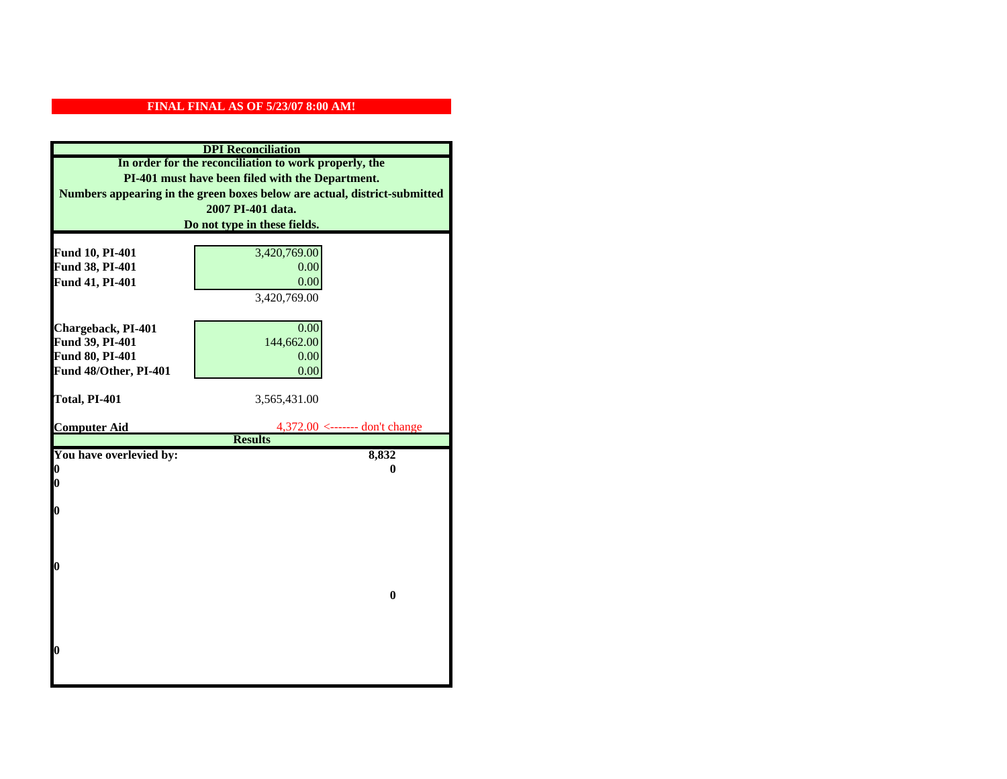| <b>DPI</b> Reconciliation                             |                                                                           |  |
|-------------------------------------------------------|---------------------------------------------------------------------------|--|
| In order for the reconciliation to work properly, the |                                                                           |  |
| PI-401 must have been filed with the Department.      |                                                                           |  |
|                                                       | Numbers appearing in the green boxes below are actual, district-submitted |  |
|                                                       | 2007 PI-401 data.                                                         |  |
|                                                       | Do not type in these fields.                                              |  |
|                                                       |                                                                           |  |
| Fund 10, PI-401                                       | 3,420,769.00                                                              |  |
| Fund 38, PI-401                                       | 0.00                                                                      |  |
| Fund 41, PI-401                                       | 0.00                                                                      |  |
|                                                       | 3,420,769.00                                                              |  |
|                                                       |                                                                           |  |
| Chargeback, PI-401                                    | 0.00                                                                      |  |
| Fund 39, PI-401                                       | 144,662.00                                                                |  |
| Fund 80, PI-401                                       | 0.00                                                                      |  |
| Fund 48/Other, PI-401                                 | 0.00                                                                      |  |
|                                                       |                                                                           |  |
| Total, PI-401                                         | 3,565,431.00                                                              |  |
|                                                       |                                                                           |  |
| <b>Computer Aid</b>                                   | 4,372.00 <------- don't change<br><b>Results</b>                          |  |
| You have overlevied by:                               | 8,832                                                                     |  |
| 0                                                     | 0                                                                         |  |
| $\boldsymbol{0}$                                      |                                                                           |  |
|                                                       |                                                                           |  |
| 0                                                     |                                                                           |  |
|                                                       |                                                                           |  |
|                                                       |                                                                           |  |
|                                                       |                                                                           |  |
| $\boldsymbol{0}$                                      |                                                                           |  |
|                                                       |                                                                           |  |
|                                                       | $\bf{0}$                                                                  |  |
|                                                       |                                                                           |  |
|                                                       |                                                                           |  |
| 0                                                     |                                                                           |  |
|                                                       |                                                                           |  |
|                                                       |                                                                           |  |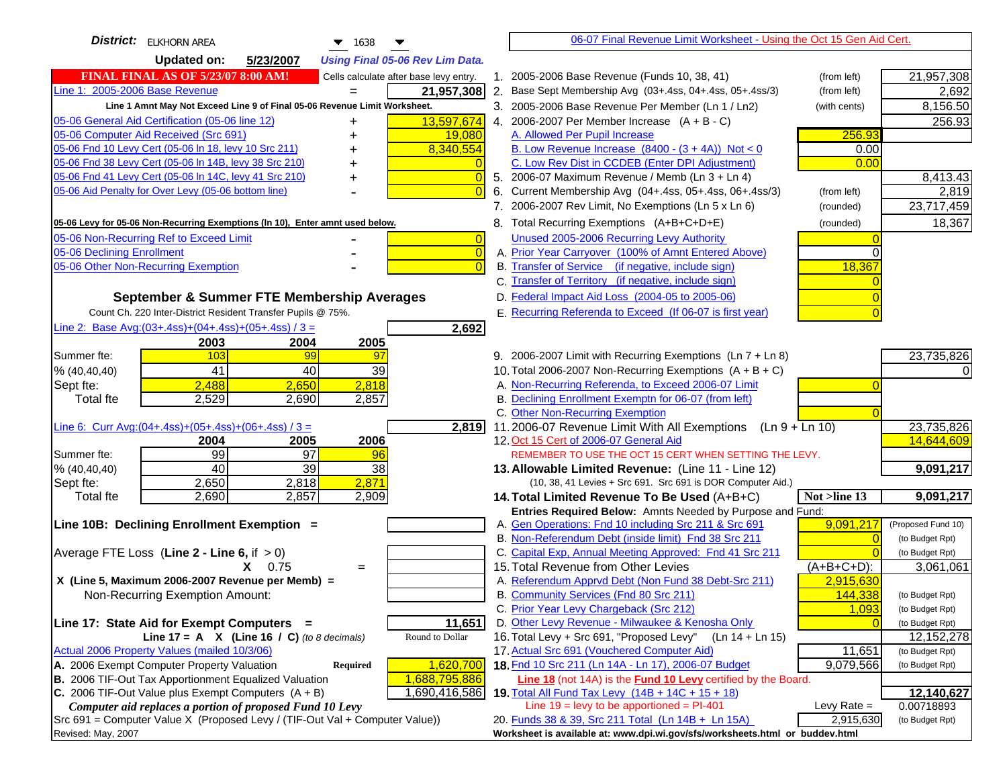| <b>District:</b> ELKHORN AREA<br>$\blacktriangledown$ 1638                          | 06-07 Final Revenue Limit Worksheet - Using the Oct 15 Gen Aid Cert.                                         |                    |
|-------------------------------------------------------------------------------------|--------------------------------------------------------------------------------------------------------------|--------------------|
| <b>Updated on:</b><br>5/23/2007<br><b>Using Final 05-06 Rev Lim Data.</b>           |                                                                                                              |                    |
| <b>FINAL FINAL AS OF 5/23/07 8:00 AM!</b><br>Cells calculate after base levy entry. | 1. 2005-2006 Base Revenue (Funds 10, 38, 41)<br>(from left)                                                  | 21,957,308         |
| Line 1: 2005-2006 Base Revenue<br>21,957,308                                        | 2. Base Sept Membership Avg (03+.4ss, 04+.4ss, 05+.4ss/3)<br>(from left)                                     | 2,692              |
| Line 1 Amnt May Not Exceed Line 9 of Final 05-06 Revenue Limit Worksheet.           | 3. 2005-2006 Base Revenue Per Member (Ln 1 / Ln2)<br>(with cents)                                            | 8,156.50           |
| 05-06 General Aid Certification (05-06 line 12)<br>13,597,674                       | 4. 2006-2007 Per Member Increase $(A + B - C)$                                                               | 256.93             |
| 05-06 Computer Aid Received (Src 691)<br>19,080                                     | A. Allowed Per Pupil Increase<br>256.93                                                                      |                    |
| 05-06 Fnd 10 Levy Cert (05-06 ln 18, levy 10 Src 211)<br>8,340,554                  | B. Low Revenue Increase $(8400 - (3 + 4A))$ Not < 0<br>0.00                                                  |                    |
| 05-06 Fnd 38 Levy Cert (05-06 In 14B, levy 38 Src 210)                              | C. Low Rev Dist in CCDEB (Enter DPI Adjustment)<br>0.00                                                      |                    |
| 05-06 Fnd 41 Levy Cert (05-06 In 14C, levy 41 Src 210)<br>$\overline{0}$<br>+       | 5. 2006-07 Maximum Revenue / Memb (Ln 3 + Ln 4)                                                              | 8,413.43           |
| 05-06 Aid Penalty for Over Levy (05-06 bottom line)<br>$\Omega$                     | Current Membership Avg (04+.4ss, 05+.4ss, 06+.4ss/3)<br>6.<br>(from left)                                    | 2,819              |
|                                                                                     | 7. 2006-2007 Rev Limit, No Exemptions (Ln 5 x Ln 6)<br>(rounded)                                             | 23,717,459         |
| 05-06 Levy for 05-06 Non-Recurring Exemptions (In 10), Enter amnt used below.       | 8. Total Recurring Exemptions (A+B+C+D+E)<br>(rounded)                                                       | 18,367             |
| 05-06 Non-Recurring Ref to Exceed Limit<br>$\overline{0}$                           | Unused 2005-2006 Recurring Levy Authority                                                                    |                    |
| 05-06 Declining Enrollment<br>$\overline{0}$                                        | A. Prior Year Carryover (100% of Amnt Entered Above)                                                         |                    |
| 05-06 Other Non-Recurring Exemption<br>$\Omega$                                     | B. Transfer of Service (if negative, include sign)<br>18,367                                                 |                    |
|                                                                                     | C. Transfer of Territory (if negative, include sign)                                                         |                    |
| September & Summer FTE Membership Averages                                          | D. Federal Impact Aid Loss (2004-05 to 2005-06)                                                              |                    |
| Count Ch. 220 Inter-District Resident Transfer Pupils @ 75%.                        | E. Recurring Referenda to Exceed (If 06-07 is first year)                                                    |                    |
| Line 2: Base Avg: $(03+.4ss)+(04+.4ss)+(05+.4ss)/3 =$<br>2,692                      |                                                                                                              |                    |
| 2003<br>2004<br>2005                                                                |                                                                                                              |                    |
| 103<br>99<br>Summer fte:<br>97                                                      | 9. 2006-2007 Limit with Recurring Exemptions (Ln 7 + Ln 8)                                                   | 23,735,826         |
| 41<br>40<br>39<br>% (40, 40, 40)                                                    | 10. Total 2006-2007 Non-Recurring Exemptions $(A + B + C)$                                                   |                    |
| 2,488<br>2,818<br>2,650<br>Sept fte:                                                | A. Non-Recurring Referenda, to Exceed 2006-07 Limit<br>B. Declining Enrollment Exemptn for 06-07 (from left) |                    |
| <b>Total fte</b><br>2,529<br>2,690<br>2,857                                         | C. Other Non-Recurring Exemption                                                                             |                    |
| Line 6: Curr Avg: $(04+.4ss)+(05+.4ss)+(06+.4ss)/3 =$<br>2,819                      | 11.2006-07 Revenue Limit With All Exemptions<br>$(Ln 9 + Ln 10)$                                             | 23,735,826         |
| 2006<br>2004<br>2005                                                                | 12. Oct 15 Cert of 2006-07 General Aid                                                                       | 14,644,609         |
| 99<br>97<br>Summer fte:<br>96                                                       | REMEMBER TO USE THE OCT 15 CERT WHEN SETTING THE LEVY.                                                       |                    |
| 40<br>39<br>38<br>% (40, 40, 40)                                                    | 13. Allowable Limited Revenue: (Line 11 - Line 12)                                                           | 9,091,217          |
| 2,871<br>2,650<br>2,818<br>Sept fte:                                                | (10, 38, 41 Levies + Src 691. Src 691 is DOR Computer Aid.)                                                  |                    |
| 2,690<br>2,857<br>2,909<br><b>Total fte</b>                                         | Not >line 13<br>14. Total Limited Revenue To Be Used (A+B+C)                                                 | 9,091,217          |
|                                                                                     | Entries Required Below: Amnts Needed by Purpose and Fund:                                                    |                    |
| Line 10B: Declining Enrollment Exemption =                                          | A. Gen Operations: Fnd 10 including Src 211 & Src 691<br>9,091,217                                           | (Proposed Fund 10) |
|                                                                                     | B. Non-Referendum Debt (inside limit) Fnd 38 Src 211<br>$\Omega$                                             | (to Budget Rpt)    |
| Average FTE Loss (Line $2 -$ Line 6, if $> 0$ )                                     | C. Capital Exp, Annual Meeting Approved: Fnd 41 Src 211                                                      | (to Budget Rpt)    |
| $X = 0.75$<br>$=$<br>X (Line 5, Maximum 2006-2007 Revenue per Memb) =               | 15. Total Revenue from Other Levies<br>$(A+B+C+D)$ :<br>A. Referendum Apprvd Debt (Non Fund 38 Debt-Src 211) | 3,061,061          |
| Non-Recurring Exemption Amount:                                                     | 2,915,630<br>B. Community Services (Fnd 80 Src 211)<br>144,338                                               | (to Budget Rpt)    |
|                                                                                     | 1,093<br>C. Prior Year Levy Chargeback (Src 212)                                                             | (to Budget Rpt)    |
| 11,651<br>Line 17: State Aid for Exempt Computers =                                 | D. Other Levy Revenue - Milwaukee & Kenosha Only                                                             | (to Budget Rpt)    |
| Line 17 = A $X$ (Line 16 / C) (to 8 decimals)<br>Round to Dollar                    | 16. Total Levy + Src 691, "Proposed Levy"<br>(Ln 14 + Ln 15)                                                 | 12,152,278         |
| Actual 2006 Property Values (mailed 10/3/06)                                        | 17. Actual Src 691 (Vouchered Computer Aid)<br>11,651                                                        | (to Budget Rpt)    |
| A. 2006 Exempt Computer Property Valuation<br>1,620,700<br>Required                 | 18. Fnd 10 Src 211 (Ln 14A - Ln 17), 2006-07 Budget<br>9,079,566                                             | (to Budget Rpt)    |
| B. 2006 TIF-Out Tax Apportionment Equalized Valuation<br>1,688,795,886              | Line 18 (not 14A) is the Fund 10 Levy certified by the Board.                                                |                    |
| C. 2006 TIF-Out Value plus Exempt Computers $(A + B)$<br>1,690,416,586              | 19. Total All Fund Tax Levy $(14B + 14C + 15 + 18)$                                                          | 12,140,627         |
| Computer aid replaces a portion of proposed Fund 10 Levy                            | Line $19 = \text{levy}$ to be apportioned = PI-401<br>Levy Rate $=$                                          | 0.00718893         |
| Src 691 = Computer Value X (Proposed Levy / (TIF-Out Val + Computer Value))         | 2,915,630<br>20. Funds 38 & 39, Src 211 Total (Ln 14B + Ln 15A)                                              | (to Budget Rpt)    |
| Revised: May, 2007                                                                  | Worksheet is available at: www.dpi.wi.gov/sfs/worksheets.html or buddev.html                                 |                    |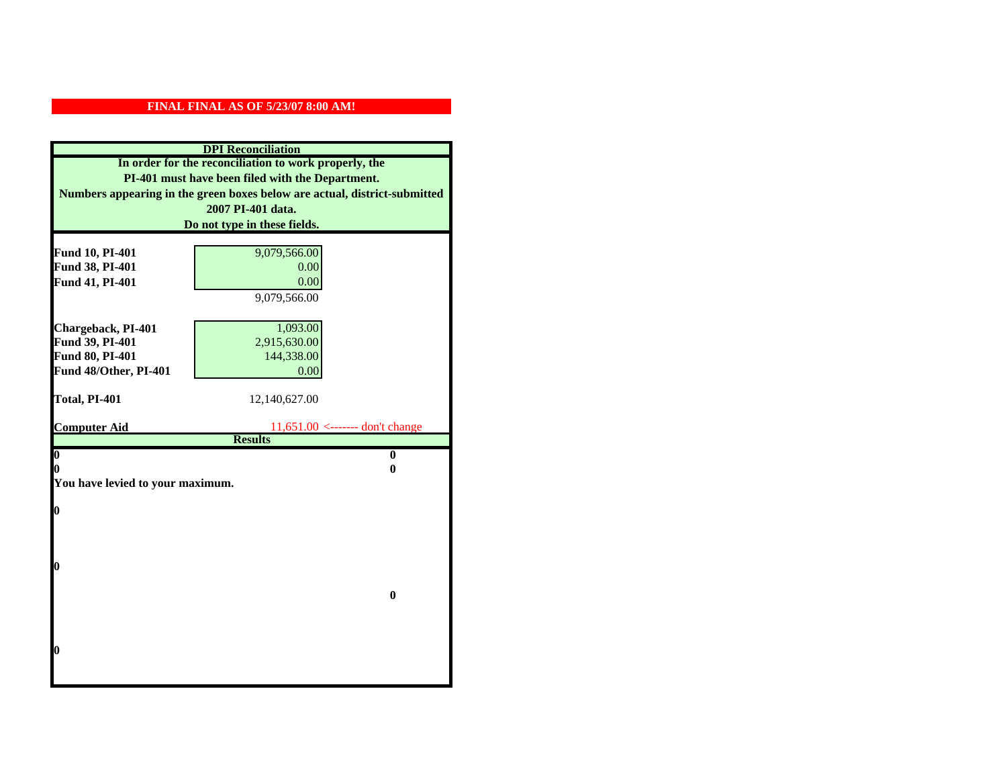| <b>DPI</b> Reconciliation                             |                                                                           |  |
|-------------------------------------------------------|---------------------------------------------------------------------------|--|
| In order for the reconciliation to work properly, the |                                                                           |  |
| PI-401 must have been filed with the Department.      |                                                                           |  |
|                                                       | Numbers appearing in the green boxes below are actual, district-submitted |  |
|                                                       | 2007 PI-401 data.                                                         |  |
|                                                       | Do not type in these fields.                                              |  |
|                                                       |                                                                           |  |
| Fund 10, PI-401                                       | 9,079,566.00                                                              |  |
| Fund 38, PI-401                                       | 0.00                                                                      |  |
| Fund 41, PI-401                                       | 0.00                                                                      |  |
|                                                       | 9,079,566.00                                                              |  |
|                                                       |                                                                           |  |
| Chargeback, PI-401                                    | 1,093.00                                                                  |  |
| Fund 39, PI-401                                       | 2,915,630.00                                                              |  |
| Fund 80, PI-401                                       | 144,338.00                                                                |  |
| Fund 48/Other, PI-401                                 | 0.00                                                                      |  |
| Total, PI-401                                         |                                                                           |  |
|                                                       | 12,140,627.00                                                             |  |
| <b>Computer Aid</b>                                   | $11,651.00$ <------- don't change                                         |  |
|                                                       | <b>Results</b>                                                            |  |
| $\overline{\mathbf{0}}$                               | $\bf{0}$                                                                  |  |
| 0                                                     | 0                                                                         |  |
| You have levied to your maximum.                      |                                                                           |  |
|                                                       |                                                                           |  |
| $\bf{0}$                                              |                                                                           |  |
|                                                       |                                                                           |  |
|                                                       |                                                                           |  |
| l0                                                    |                                                                           |  |
|                                                       |                                                                           |  |
| $\bf{0}$                                              |                                                                           |  |
|                                                       |                                                                           |  |
|                                                       |                                                                           |  |
|                                                       |                                                                           |  |
| l0                                                    |                                                                           |  |
|                                                       |                                                                           |  |
|                                                       |                                                                           |  |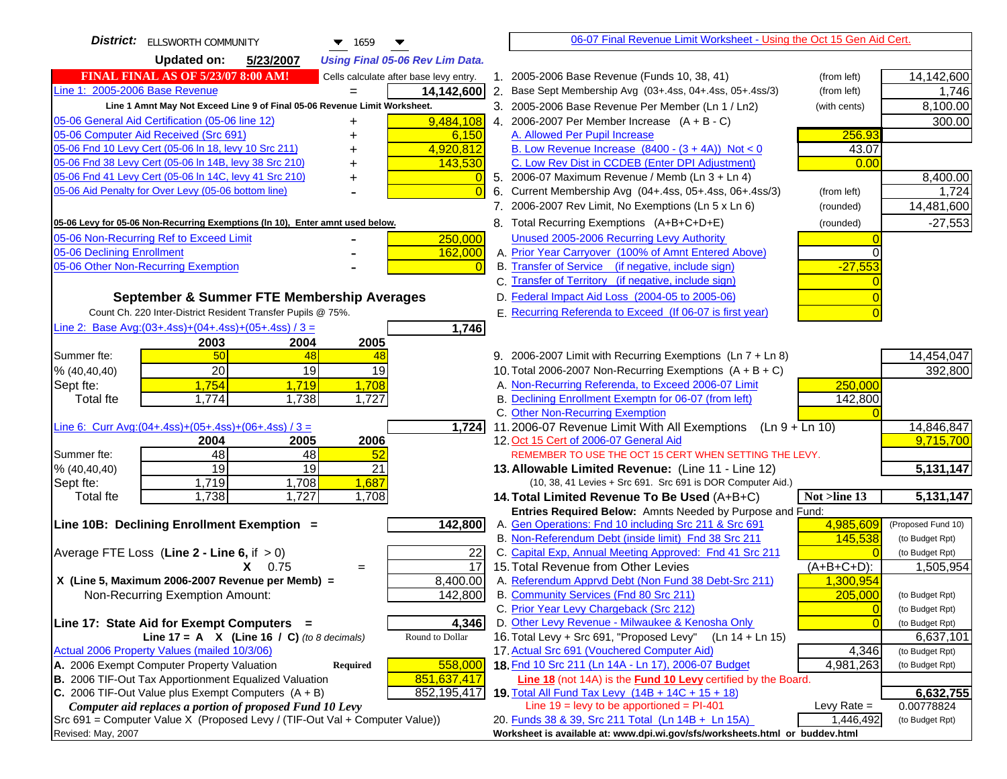| <b>District:</b> ELLSWORTH COMMUNITY<br>$\blacktriangledown$ 1659<br>▼              | 06-07 Final Revenue Limit Worksheet - Using the Oct 15 Gen Aid Cert.                                                      |                    |
|-------------------------------------------------------------------------------------|---------------------------------------------------------------------------------------------------------------------------|--------------------|
| Updated on:<br>5/23/2007<br><b>Using Final 05-06 Rev Lim Data.</b>                  |                                                                                                                           |                    |
| <b>FINAL FINAL AS OF 5/23/07 8:00 AM!</b><br>Cells calculate after base levy entry. | 1. 2005-2006 Base Revenue (Funds 10, 38, 41)<br>(from left)                                                               | 14,142,600         |
| Line 1: 2005-2006 Base Revenue<br>14,142,600                                        | 2. Base Sept Membership Avg (03+.4ss, 04+.4ss, 05+.4ss/3)<br>(from left)                                                  | 1,746              |
| Line 1 Amnt May Not Exceed Line 9 of Final 05-06 Revenue Limit Worksheet.           | 3. 2005-2006 Base Revenue Per Member (Ln 1 / Ln2)<br>(with cents)                                                         | 8,100.00           |
| 9,484,108<br>05-06 General Aid Certification (05-06 line 12)<br>+                   | 4. 2006-2007 Per Member Increase $(A + B - C)$                                                                            | 300.00             |
| 05-06 Computer Aid Received (Src 691)<br>6,150                                      | 256.93<br>A. Allowed Per Pupil Increase                                                                                   |                    |
| 05-06 Fnd 10 Levy Cert (05-06 In 18, levy 10 Src 211)<br>4,920,812                  | B. Low Revenue Increase $(8400 - (3 + 4A))$ Not < 0<br>43.07                                                              |                    |
| 05-06 Fnd 38 Levy Cert (05-06 In 14B, levy 38 Src 210)<br>143,530                   | C. Low Rev Dist in CCDEB (Enter DPI Adjustment)<br>0.00                                                                   |                    |
| 05-06 Fnd 41 Levy Cert (05-06 In 14C, levy 41 Src 210)<br>0<br>+                    | 5. 2006-07 Maximum Revenue / Memb (Ln $3 + \text{Ln } 4$ )                                                                | 8,400.00           |
| 05-06 Aid Penalty for Over Levy (05-06 bottom line)<br>$\overline{0}$               | Current Membership Avg (04+.4ss, 05+.4ss, 06+.4ss/3)<br>6.<br>(from left)                                                 | 1,724              |
|                                                                                     | 7. 2006-2007 Rev Limit, No Exemptions (Ln 5 x Ln 6)<br>(rounded)                                                          | 14,481,600         |
| 05-06 Levy for 05-06 Non-Recurring Exemptions (In 10), Enter amnt used below.       | 8. Total Recurring Exemptions (A+B+C+D+E)<br>(rounded)                                                                    | $-27,553$          |
| 05-06 Non-Recurring Ref to Exceed Limit<br>250,000                                  | Unused 2005-2006 Recurring Levy Authority                                                                                 |                    |
| 05-06 Declining Enrollment<br>162,000                                               | A. Prior Year Carryover (100% of Amnt Entered Above)                                                                      |                    |
| 05-06 Other Non-Recurring Exemption<br>$\overline{0}$                               | B. Transfer of Service (if negative, include sign)<br>$-27,553$                                                           |                    |
|                                                                                     | C. Transfer of Territory (if negative, include sign)                                                                      |                    |
| September & Summer FTE Membership Averages                                          | D. Federal Impact Aid Loss (2004-05 to 2005-06)                                                                           |                    |
| Count Ch. 220 Inter-District Resident Transfer Pupils @ 75%.                        | E. Recurring Referenda to Exceed (If 06-07 is first year)                                                                 |                    |
| Line 2: Base Avg: (03+.4ss) + (04+.4ss) + (05+.4ss) / 3 =<br>1,746                  |                                                                                                                           |                    |
| 2004<br>2003<br>2005                                                                |                                                                                                                           |                    |
| 50<br>Summer fte:<br>48<br>48                                                       | 9. 2006-2007 Limit with Recurring Exemptions (Ln 7 + Ln 8)                                                                | 14,454,047         |
| 20<br>19<br>19<br>% (40, 40, 40)                                                    | 10. Total 2006-2007 Non-Recurring Exemptions (A + B + C)                                                                  | 392,800            |
| 1,754<br>Sept fte:<br>1,719<br>1,708                                                | A. Non-Recurring Referenda, to Exceed 2006-07 Limit<br>250,000                                                            |                    |
| 1,774<br>1,738<br>1,727<br>Total fte                                                | B. Declining Enrollment Exemptn for 06-07 (from left)<br>142,800                                                          |                    |
|                                                                                     | C. Other Non-Recurring Exemption                                                                                          |                    |
| <u>Line 6: Curr Avg: (04+.4ss)+ (05+.4ss)+ (06+.4ss) / 3 =</u><br>1,724             | 11.2006-07 Revenue Limit With All Exemptions<br>$(Ln 9 + Ln 10)$                                                          | 14,846,847         |
| 2005<br>2006<br>2004                                                                | 12. Oct 15 Cert of 2006-07 General Aid                                                                                    | 9,715,700          |
| 48<br>48<br>52<br>Summer fte:                                                       | REMEMBER TO USE THE OCT 15 CERT WHEN SETTING THE LEVY.                                                                    |                    |
| 19<br>19<br>21<br>% (40, 40, 40)                                                    | 13. Allowable Limited Revenue: (Line 11 - Line 12)                                                                        | 5,131,147          |
| 1,719<br>1,708<br>1,687<br>Sept fte:                                                | (10, 38, 41 Levies + Src 691. Src 691 is DOR Computer Aid.)                                                               |                    |
| 1,727<br>1,738<br>1,708<br>Total fte                                                | 14. Total Limited Revenue To Be Used (A+B+C)<br>Not >line 13<br>Entries Required Below: Amnts Needed by Purpose and Fund: | 5,131,147          |
| Line 10B: Declining Enrollment Exemption =<br>142,800                               | 4,985,609<br>A. Gen Operations: Fnd 10 including Src 211 & Src 691                                                        | (Proposed Fund 10) |
|                                                                                     | B. Non-Referendum Debt (inside limit) Fnd 38 Src 211<br>145,538                                                           | (to Budget Rpt)    |
| Average FTE Loss (Line $2 -$ Line 6, if $> 0$ )<br>22                               | C. Capital Exp, Annual Meeting Approved: Fnd 41 Src 211                                                                   | (to Budget Rpt)    |
| 17<br>$X = 0.75$<br>$=$                                                             | 15. Total Revenue from Other Levies<br>$(A+B+C+D)$ :                                                                      | 1,505,954          |
| X (Line 5, Maximum 2006-2007 Revenue per Memb) =<br>8,400.00                        | A. Referendum Apprvd Debt (Non Fund 38 Debt-Src 211)<br>1,300,954                                                         |                    |
| 142,800<br>Non-Recurring Exemption Amount:                                          | B. Community Services (Fnd 80 Src 211)<br>205,000                                                                         | (to Budget Rpt)    |
|                                                                                     | C. Prior Year Levy Chargeback (Src 212)<br>$\overline{0}$                                                                 | (to Budget Rpt)    |
| Line 17: State Aid for Exempt Computers =<br>4,346                                  | D. Other Levy Revenue - Milwaukee & Kenosha Only<br>$\sqrt{ }$                                                            | (to Budget Rpt)    |
| Round to Dollar<br>Line 17 = A $X$ (Line 16 / C) (to 8 decimals)                    | 16. Total Levy + Src 691, "Proposed Levy"<br>$(Ln 14 + Ln 15)$                                                            | 6,637,101          |
| Actual 2006 Property Values (mailed 10/3/06)                                        | 17. Actual Src 691 (Vouchered Computer Aid)<br>4,346                                                                      | (to Budget Rpt)    |
| A. 2006 Exempt Computer Property Valuation<br>558,000<br><b>Required</b>            | 18. Fnd 10 Src 211 (Ln 14A - Ln 17), 2006-07 Budget<br>4,981,263                                                          | (to Budget Rpt)    |
| B. 2006 TIF-Out Tax Apportionment Equalized Valuation<br>851,637,417                | Line 18 (not 14A) is the Fund 10 Levy certified by the Board.                                                             |                    |
| C. 2006 TIF-Out Value plus Exempt Computers $(A + B)$<br>852,195,417                | 19. Total All Fund Tax Levy (14B + 14C + 15 + 18)                                                                         | 6,632,755          |
| Computer aid replaces a portion of proposed Fund 10 Levy                            | Line $19 = \text{levy}$ to be apportioned = PI-401<br>Levy Rate $=$                                                       | 0.00778824         |
| Src 691 = Computer Value X (Proposed Levy / (TIF-Out Val + Computer Value))         | 20. Funds 38 & 39, Src 211 Total (Ln 14B + Ln 15A)<br>1,446,492                                                           | (to Budget Rpt)    |
| Revised: May, 2007                                                                  | Worksheet is available at: www.dpi.wi.gov/sfs/worksheets.html or buddev.html                                              |                    |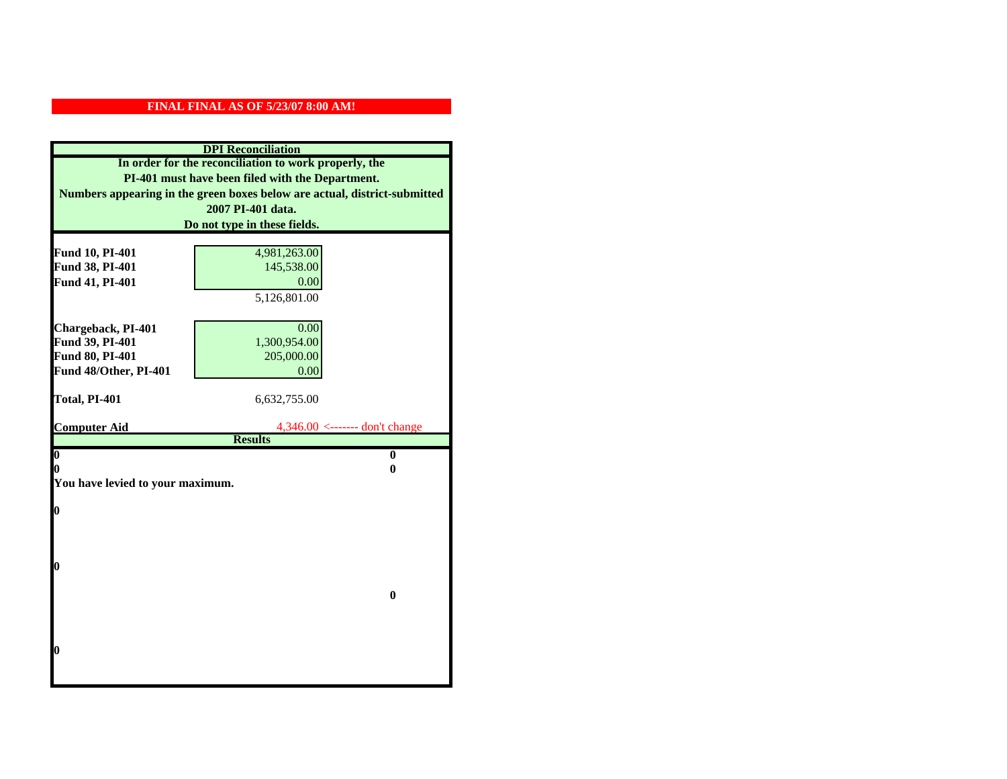| <b>DPI</b> Reconciliation                                                 |  |  |
|---------------------------------------------------------------------------|--|--|
| In order for the reconciliation to work properly, the                     |  |  |
| PI-401 must have been filed with the Department.                          |  |  |
| Numbers appearing in the green boxes below are actual, district-submitted |  |  |
|                                                                           |  |  |
| Do not type in these fields.                                              |  |  |
|                                                                           |  |  |
| 4,981,263.00                                                              |  |  |
| 145,538.00                                                                |  |  |
| 0.00                                                                      |  |  |
| 5,126,801.00                                                              |  |  |
|                                                                           |  |  |
| 0.00                                                                      |  |  |
| 1,300,954.00                                                              |  |  |
| 205,000.00                                                                |  |  |
| 0.00                                                                      |  |  |
| 6,632,755.00                                                              |  |  |
|                                                                           |  |  |
| $4,346.00 \leftarrow \text{---}$ don't change                             |  |  |
|                                                                           |  |  |
| $\bf{0}$                                                                  |  |  |
| 0                                                                         |  |  |
|                                                                           |  |  |
|                                                                           |  |  |
|                                                                           |  |  |
|                                                                           |  |  |
|                                                                           |  |  |
|                                                                           |  |  |
|                                                                           |  |  |
| $\bf{0}$                                                                  |  |  |
|                                                                           |  |  |
|                                                                           |  |  |
|                                                                           |  |  |
|                                                                           |  |  |
|                                                                           |  |  |
|                                                                           |  |  |
|                                                                           |  |  |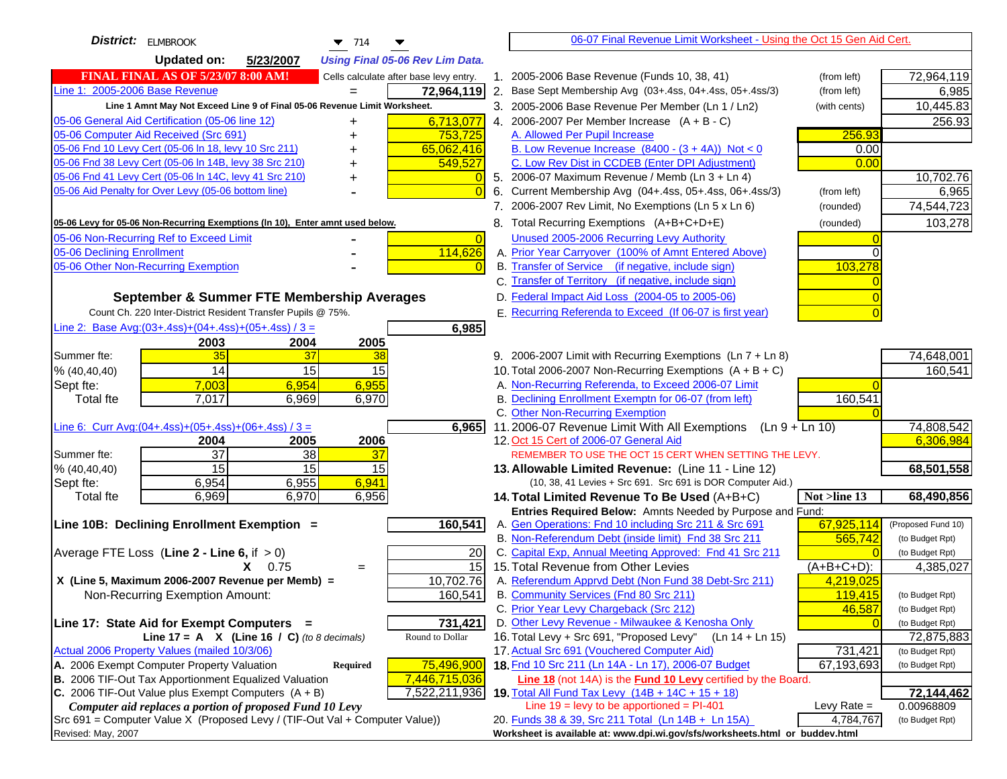| District: ELMBROOK<br>$\blacktriangledown$ 714                                |    | 06-07 Final Revenue Limit Worksheet - Using the Oct 15 Gen Aid Cert.                                         |                          |                              |
|-------------------------------------------------------------------------------|----|--------------------------------------------------------------------------------------------------------------|--------------------------|------------------------------|
| <b>Updated on:</b><br>5/23/2007<br><b>Using Final 05-06 Rev Lim Data.</b>     |    |                                                                                                              |                          |                              |
| FINAL FINAL AS OF 5/23/07 8:00 AM!<br>Cells calculate after base levy entry.  |    | 1. 2005-2006 Base Revenue (Funds 10, 38, 41)                                                                 | (from left)              | 72,964,119                   |
| Line 1: 2005-2006 Base Revenue<br>72,964,119                                  |    | 2. Base Sept Membership Avg (03+.4ss, 04+.4ss, 05+.4ss/3)                                                    | (from left)              | 6,985                        |
| Line 1 Amnt May Not Exceed Line 9 of Final 05-06 Revenue Limit Worksheet.     |    | 3. 2005-2006 Base Revenue Per Member (Ln 1 / Ln2)                                                            | (with cents)             | 10,445.83                    |
| 6,713,077<br>05-06 General Aid Certification (05-06 line 12)<br>+             |    | 4. 2006-2007 Per Member Increase $(A + B - C)$                                                               |                          | 256.93                       |
| 05-06 Computer Aid Received (Src 691)<br>753,725                              |    | A. Allowed Per Pupil Increase                                                                                | 256.93                   |                              |
| 05-06 Fnd 10 Levy Cert (05-06 ln 18, levy 10 Src 211)<br>65,062,416           |    | B. Low Revenue Increase $(8400 - (3 + 4A))$ Not < 0                                                          | 0.00                     |                              |
| 05-06 Fnd 38 Levy Cert (05-06 In 14B, levy 38 Src 210)<br>549,527             |    | C. Low Rev Dist in CCDEB (Enter DPI Adjustment)                                                              | 0.00                     |                              |
| 05-06 Fnd 41 Levy Cert (05-06 In 14C, levy 41 Src 210)<br>$\overline{0}$      |    | 5. 2006-07 Maximum Revenue / Memb (Ln 3 + Ln 4)                                                              |                          | 10,702.76                    |
| 05-06 Aid Penalty for Over Levy (05-06 bottom line)<br>$\Omega$               | 6. | Current Membership Avg (04+.4ss, 05+.4ss, 06+.4ss/3)                                                         | (from left)              | 6,965                        |
|                                                                               |    | 7. 2006-2007 Rev Limit, No Exemptions (Ln 5 x Ln 6)                                                          | (rounded)                | 74,544,723                   |
| 05-06 Levy for 05-06 Non-Recurring Exemptions (In 10), Enter amnt used below. |    | 8. Total Recurring Exemptions (A+B+C+D+E)                                                                    | (rounded)                | 103,278                      |
| 05-06 Non-Recurring Ref to Exceed Limit<br>$\Omega$                           |    | Unused 2005-2006 Recurring Levy Authority                                                                    |                          |                              |
| 05-06 Declining Enrollment<br>114,626                                         |    | A. Prior Year Carryover (100% of Amnt Entered Above)                                                         |                          |                              |
| 05-06 Other Non-Recurring Exemption<br>$\Omega$                               |    | B. Transfer of Service (if negative, include sign)                                                           | 103,278                  |                              |
|                                                                               |    | C. Transfer of Territory (if negative, include sign)                                                         |                          |                              |
| September & Summer FTE Membership Averages                                    |    | D. Federal Impact Aid Loss (2004-05 to 2005-06)                                                              |                          |                              |
| Count Ch. 220 Inter-District Resident Transfer Pupils @ 75%.                  |    | E. Recurring Referenda to Exceed (If 06-07 is first year)                                                    |                          |                              |
| Line 2: Base Avg: $(03+.4ss)+(04+.4ss)+(05+.4ss)/3 =$<br>6,985                |    |                                                                                                              |                          |                              |
| 2003<br>2004<br>2005                                                          |    |                                                                                                              |                          |                              |
| 35<br>Summer fte:<br>37<br>38                                                 |    | 9. 2006-2007 Limit with Recurring Exemptions (Ln 7 + Ln 8)                                                   |                          | 74,648,001                   |
| 14<br>15<br>15<br>% (40, 40, 40)                                              |    | 10. Total 2006-2007 Non-Recurring Exemptions $(A + B + C)$                                                   |                          | 160,541                      |
| 7,003<br>6,954<br>6,955<br>Sept fte:                                          |    | A. Non-Recurring Referenda, to Exceed 2006-07 Limit<br>B. Declining Enrollment Exemptn for 06-07 (from left) |                          |                              |
| 7,017<br>6,970<br><b>Total fte</b><br>6,969                                   |    | C. Other Non-Recurring Exemption                                                                             | 160,541                  |                              |
| Line 6: Curr Avg: $(04+.4ss)+(05+.4ss)+(06+.4ss)/3 =$<br>6,965                |    | 11.2006-07 Revenue Limit With All Exemptions<br>$(Ln 9 + Ln 10)$                                             |                          | 74,808,542                   |
| 2006<br>2004<br>2005                                                          |    | 12. Oct 15 Cert of 2006-07 General Aid                                                                       |                          | 6,306,984                    |
| 37<br>$\overline{38}$<br>37<br>Summer fte:                                    |    | REMEMBER TO USE THE OCT 15 CERT WHEN SETTING THE LEVY.                                                       |                          |                              |
| 15<br>15<br>15<br>% (40, 40, 40)                                              |    | 13. Allowable Limited Revenue: (Line 11 - Line 12)                                                           |                          | 68,501,558                   |
| 6,954<br>6,955<br>6,941<br>Sept fte:                                          |    | (10, 38, 41 Levies + Src 691. Src 691 is DOR Computer Aid.)                                                  |                          |                              |
| 6,970<br>6,956<br>Total fte<br>6,969                                          |    | 14. Total Limited Revenue To Be Used (A+B+C)                                                                 | Not >line 13             | 68,490,856                   |
|                                                                               |    | Entries Required Below: Amnts Needed by Purpose and Fund:                                                    |                          |                              |
| 160,541<br>Line 10B: Declining Enrollment Exemption =                         |    | A. Gen Operations: Fnd 10 including Src 211 & Src 691                                                        | 67,925,114               | (Proposed Fund 10)           |
|                                                                               |    | B. Non-Referendum Debt (inside limit) Fnd 38 Src 211                                                         | 565,742                  | (to Budget Rpt)              |
| 20<br>Average FTE Loss (Line $2 -$ Line 6, if $> 0$ )<br>15<br>$X = 0.75$     |    | C. Capital Exp, Annual Meeting Approved: Fnd 41 Src 211<br>15. Total Revenue from Other Levies               | $(A+B+\overline{C+D})$ : | (to Budget Rpt)<br>4,385,027 |
| $=$<br>X (Line 5, Maximum 2006-2007 Revenue per Memb) =<br>10,702.76          |    | A. Referendum Apprvd Debt (Non Fund 38 Debt-Src 211)                                                         | 4,219,025                |                              |
| 160,541<br>Non-Recurring Exemption Amount:                                    |    | B. Community Services (Fnd 80 Src 211)                                                                       | 119,415                  | (to Budget Rpt)              |
|                                                                               |    | C. Prior Year Levy Chargeback (Src 212)                                                                      | 46,587                   | (to Budget Rpt)              |
| Line 17: State Aid for Exempt Computers =<br>731,421                          |    | D. Other Levy Revenue - Milwaukee & Kenosha Only                                                             |                          | (to Budget Rpt)              |
| Line 17 = A $X$ (Line 16 / C) (to 8 decimals)<br>Round to Dollar              |    | 16. Total Levy + Src 691, "Proposed Levy"<br>(Ln 14 + Ln 15)                                                 |                          | 72,875,883                   |
| Actual 2006 Property Values (mailed 10/3/06)                                  |    | 17. Actual Src 691 (Vouchered Computer Aid)                                                                  | 731,421                  | (to Budget Rpt)              |
| A. 2006 Exempt Computer Property Valuation<br>75,496,900<br>Required          |    | 18. Fnd 10 Src 211 (Ln 14A - Ln 17), 2006-07 Budget                                                          | 67,193,693               | (to Budget Rpt)              |
| B. 2006 TIF-Out Tax Apportionment Equalized Valuation<br>7,446,715,036        |    | Line 18 (not 14A) is the <b>Fund 10 Levy</b> certified by the Board.                                         |                          |                              |
| C. 2006 TIF-Out Value plus Exempt Computers $(A + B)$<br>7,522,211,936        |    | 19. Total All Fund Tax Levy (14B + 14C + 15 + 18)                                                            |                          | 72,144,462                   |
| Computer aid replaces a portion of proposed Fund 10 Levy                      |    | Line $19 = \text{levy}$ to be apportioned = PI-401                                                           | Levy Rate $=$            | 0.00968809                   |
| Src 691 = Computer Value X (Proposed Levy / (TIF-Out Val + Computer Value))   |    | 20. Funds 38 & 39, Src 211 Total (Ln 14B + Ln 15A)                                                           | 4,784,767                | (to Budget Rpt)              |
| Revised: May, 2007                                                            |    | Worksheet is available at: www.dpi.wi.gov/sfs/worksheets.html or buddev.html                                 |                          |                              |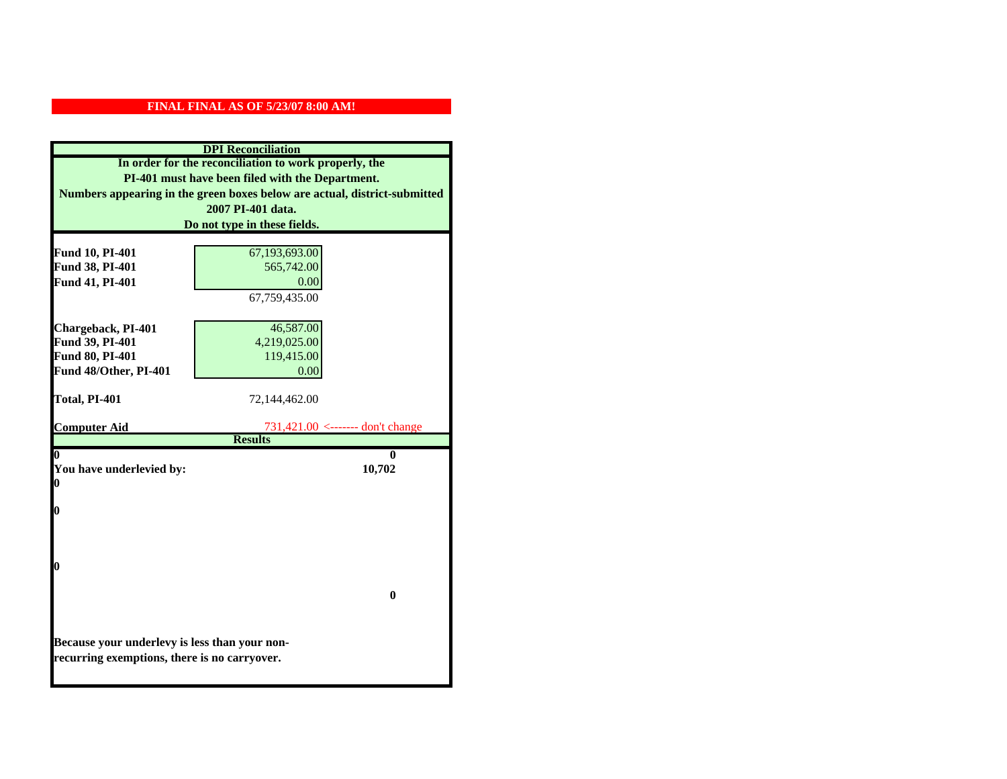| <b>DPI</b> Reconciliation                     |                                                                           |
|-----------------------------------------------|---------------------------------------------------------------------------|
|                                               | In order for the reconciliation to work properly, the                     |
|                                               | PI-401 must have been filed with the Department.                          |
|                                               | Numbers appearing in the green boxes below are actual, district-submitted |
|                                               | 2007 PI-401 data.                                                         |
|                                               | Do not type in these fields.                                              |
|                                               |                                                                           |
| Fund 10, PI-401                               | 67,193,693.00                                                             |
| Fund 38, PI-401                               | 565,742.00                                                                |
| Fund 41, PI-401                               | 0.00                                                                      |
|                                               | 67,759,435.00                                                             |
|                                               |                                                                           |
| Chargeback, PI-401                            | 46,587.00                                                                 |
| Fund 39, PI-401                               | 4,219,025.00                                                              |
| Fund 80, PI-401                               | 119,415.00                                                                |
| Fund 48/Other, PI-401                         | 0.00                                                                      |
|                                               |                                                                           |
| Total, PI-401                                 | 72,144,462.00                                                             |
| <b>Computer Aid</b>                           | 731,421.00 <------- don't change                                          |
|                                               | <b>Results</b>                                                            |
| 0                                             | 0                                                                         |
| You have underlevied by:                      | 10,702                                                                    |
| 0                                             |                                                                           |
|                                               |                                                                           |
| 0                                             |                                                                           |
|                                               |                                                                           |
|                                               |                                                                           |
| 0                                             |                                                                           |
|                                               |                                                                           |
|                                               | $\mathbf{0}$                                                              |
|                                               |                                                                           |
|                                               |                                                                           |
|                                               |                                                                           |
| Because your underlevy is less than your non- |                                                                           |
| recurring exemptions, there is no carryover.  |                                                                           |
|                                               |                                                                           |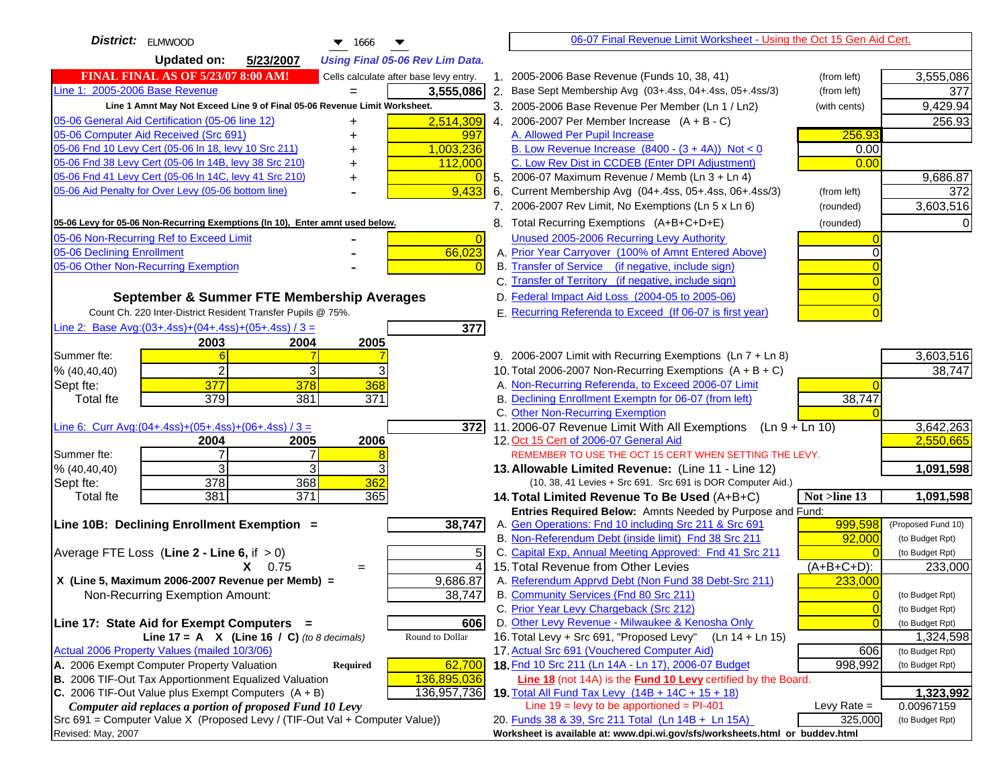| District: ELMWOOD<br>$\blacktriangledown$ 1666                                      |                     | 06-07 Final Revenue Limit Worksheet - Using the Oct 15 Gen Aid Cert.                                            |                                              |
|-------------------------------------------------------------------------------------|---------------------|-----------------------------------------------------------------------------------------------------------------|----------------------------------------------|
| <b>Updated on:</b><br>5/23/2007<br><b>Using Final 05-06 Rev Lim Data.</b>           |                     |                                                                                                                 |                                              |
| <b>FINAL FINAL AS OF 5/23/07 8:00 AM!</b><br>Cells calculate after base levy entry. |                     | 1. 2005-2006 Base Revenue (Funds 10, 38, 41)                                                                    | (from left)<br>3,555,086                     |
| Line 1: 2005-2006 Base Revenue<br>3,555,086                                         |                     | 2. Base Sept Membership Avg (03+.4ss, 04+.4ss, 05+.4ss/3)                                                       | 377<br>(from left)                           |
| Line 1 Amnt May Not Exceed Line 9 of Final 05-06 Revenue Limit Worksheet.           |                     | 3. 2005-2006 Base Revenue Per Member (Ln 1 / Ln2)                                                               | 9,429.94<br>(with cents)                     |
| 2,514,309<br>05-06 General Aid Certification (05-06 line 12)<br>+                   |                     | 4. 2006-2007 Per Member Increase $(A + B - C)$                                                                  | 256.93                                       |
| 05-06 Computer Aid Received (Src 691)                                               | 997                 | A. Allowed Per Pupil Increase                                                                                   | 256.93                                       |
| 05-06 Fnd 10 Levy Cert (05-06 In 18, levy 10 Src 211)<br>1,003,236                  |                     | B. Low Revenue Increase $(8400 - (3 + 4A))$ Not < 0                                                             | 0.00                                         |
| 05-06 Fnd 38 Levy Cert (05-06 In 14B, levy 38 Src 210)<br>112,000                   |                     | C. Low Rev Dist in CCDEB (Enter DPI Adjustment)                                                                 | 0.00                                         |
| 05-06 Fnd 41 Levy Cert (05-06 In 14C, levy 41 Src 210)                              |                     | 5. 2006-07 Maximum Revenue / Memb (Ln 3 + Ln 4)                                                                 | 9,686.87                                     |
| 05-06 Aid Penalty for Over Levy (05-06 bottom line)                                 | 9,433               | 6. Current Membership Avg (04+.4ss, 05+.4ss, 06+.4ss/3)                                                         | (from left)<br>372                           |
|                                                                                     |                     | 7. 2006-2007 Rev Limit, No Exemptions (Ln 5 x Ln 6)                                                             | 3,603,516<br>(rounded)                       |
| 05-06 Levy for 05-06 Non-Recurring Exemptions (In 10), Enter amnt used below.       |                     | 8. Total Recurring Exemptions (A+B+C+D+E)                                                                       | (rounded)                                    |
| 05-06 Non-Recurring Ref to Exceed Limit                                             | $\Omega$            | Unused 2005-2006 Recurring Levy Authority                                                                       |                                              |
| 05-06 Declining Enrollment                                                          | 66,023              | A. Prior Year Carryover (100% of Amnt Entered Above)                                                            |                                              |
| 05-06 Other Non-Recurring Exemption                                                 |                     | B. Transfer of Service (if negative, include sign)                                                              |                                              |
|                                                                                     |                     | C. Transfer of Territory (if negative, include sign)                                                            |                                              |
| September & Summer FTE Membership Averages                                          |                     | D. Federal Impact Aid Loss (2004-05 to 2005-06)                                                                 |                                              |
| Count Ch. 220 Inter-District Resident Transfer Pupils @ 75%.                        |                     | E. Recurring Referenda to Exceed (If 06-07 is first year)                                                       |                                              |
| Line 2: Base Avg: $(03+.4ss)+(04+.4ss)+(05+.4ss)/3 =$                               | 377                 |                                                                                                                 |                                              |
| 2003<br>2004<br>2005                                                                |                     |                                                                                                                 |                                              |
| Summer fte:<br>6                                                                    |                     | 9. 2006-2007 Limit with Recurring Exemptions (Ln 7 + Ln 8)                                                      | 3,603,516                                    |
| $\overline{2}$<br>3<br>% (40, 40, 40)                                               |                     | 10. Total 2006-2007 Non-Recurring Exemptions (A + B + C)<br>A. Non-Recurring Referenda, to Exceed 2006-07 Limit | 38,747                                       |
| Sept fte:<br>377<br>378<br>368<br>379<br>381<br>371<br><b>Total fte</b>             |                     | B. Declining Enrollment Exemptn for 06-07 (from left)                                                           | 38,747                                       |
|                                                                                     |                     | C. Other Non-Recurring Exemption                                                                                |                                              |
| Line 6: Curr Avg: $(04+.4ss)+(05+.4ss)+(06+.4ss)/3 =$                               | 3721                | 11.2006-07 Revenue Limit With All Exemptions $(Ln 9 + Ln 10)$                                                   | 3,642,263                                    |
| 2006<br>2005<br>2004                                                                |                     | 12. Oct 15 Cert of 2006-07 General Aid                                                                          | 2,550,665                                    |
| $\overline{7}$<br>Summer fte:                                                       |                     | REMEMBER TO USE THE OCT 15 CERT WHEN SETTING THE LEVY.                                                          |                                              |
| 3<br>3<br>% (40, 40, 40)                                                            |                     | 13. Allowable Limited Revenue: (Line 11 - Line 12)                                                              | 1,091,598                                    |
| 378<br>368<br>362<br>Sept fte:                                                      |                     | (10, 38, 41 Levies + Src 691. Src 691 is DOR Computer Aid.)                                                     |                                              |
| 371<br>381<br>365<br><b>Total fte</b>                                               |                     | 14. Total Limited Revenue To Be Used (A+B+C)                                                                    | 1,091,598<br>Not >line 13                    |
|                                                                                     |                     | Entries Required Below: Amnts Needed by Purpose and Fund:                                                       |                                              |
| Line 10B: Declining Enrollment Exemption =                                          | 38,747              | A. Gen Operations: Fnd 10 including Src 211 & Src 691                                                           | 999,598<br>(Proposed Fund 10)                |
|                                                                                     |                     | B. Non-Referendum Debt (inside limit) Fnd 38 Src 211<br>C. Capital Exp, Annual Meeting Approved: Fnd 41 Src 211 | 92,000<br>(to Budget Rpt)<br>(to Budget Rpt) |
| Average FTE Loss (Line $2 -$ Line 6, if $> 0$ )<br>$X = 0.75$                       | 5<br>$\overline{A}$ | 15. Total Revenue from Other Levies                                                                             | $(A+B+C+D)$ :<br>233,000                     |
| $=$<br>X (Line 5, Maximum 2006-2007 Revenue per Memb) =<br>9,686.87                 |                     | A. Referendum Apprvd Debt (Non Fund 38 Debt-Src 211)                                                            | 233,000                                      |
| Non-Recurring Exemption Amount:                                                     | 38,747              | B. Community Services (Fnd 80 Src 211)                                                                          | (to Budget Rpt)                              |
|                                                                                     |                     | C. Prior Year Levy Chargeback (Src 212)                                                                         | $\overline{0}$<br>(to Budget Rpt)            |
| Line 17: State Aid for Exempt Computers =                                           | 606                 | D. Other Levy Revenue - Milwaukee & Kenosha Only                                                                | (to Budget Rpt)                              |
| Line 17 = A $X$ (Line 16 / C) (to 8 decimals)<br>Round to Dollar                    |                     | 16. Total Levy + Src 691, "Proposed Levy"<br>(Ln 14 + Ln 15)                                                    | 1,324,598                                    |
| Actual 2006 Property Values (mailed 10/3/06)                                        |                     | 17. Actual Src 691 (Vouchered Computer Aid)                                                                     | 606<br>(to Budget Rpt)                       |
| A. 2006 Exempt Computer Property Valuation<br>Required                              | 62,700              | 18. Fnd 10 Src 211 (Ln 14A - Ln 17), 2006-07 Budget                                                             | 998,992<br>(to Budget Rpt)                   |
| B. 2006 TIF-Out Tax Apportionment Equalized Valuation<br>136,895,036                |                     | Line 18 (not 14A) is the <b>Fund 10 Levy</b> certified by the Board.                                            |                                              |
| C. 2006 TIF-Out Value plus Exempt Computers $(A + B)$<br>136,957,736                |                     | 19. Total All Fund Tax Levy (14B + 14C + 15 + 18)                                                               | 1,323,992                                    |
| Computer aid replaces a portion of proposed Fund 10 Levy                            |                     | Line $19 = \text{levy}$ to be apportioned = PI-401                                                              | Levy Rate $=$<br>0.00967159                  |
| Src 691 = Computer Value X (Proposed Levy / (TIF-Out Val + Computer Value))         |                     | 20. Funds 38 & 39, Src 211 Total (Ln 14B + Ln 15A)                                                              | 325,000<br>(to Budget Rpt)                   |
| Revised: May, 2007                                                                  |                     | Worksheet is available at: www.dpi.wi.gov/sfs/worksheets.html or buddev.html                                    |                                              |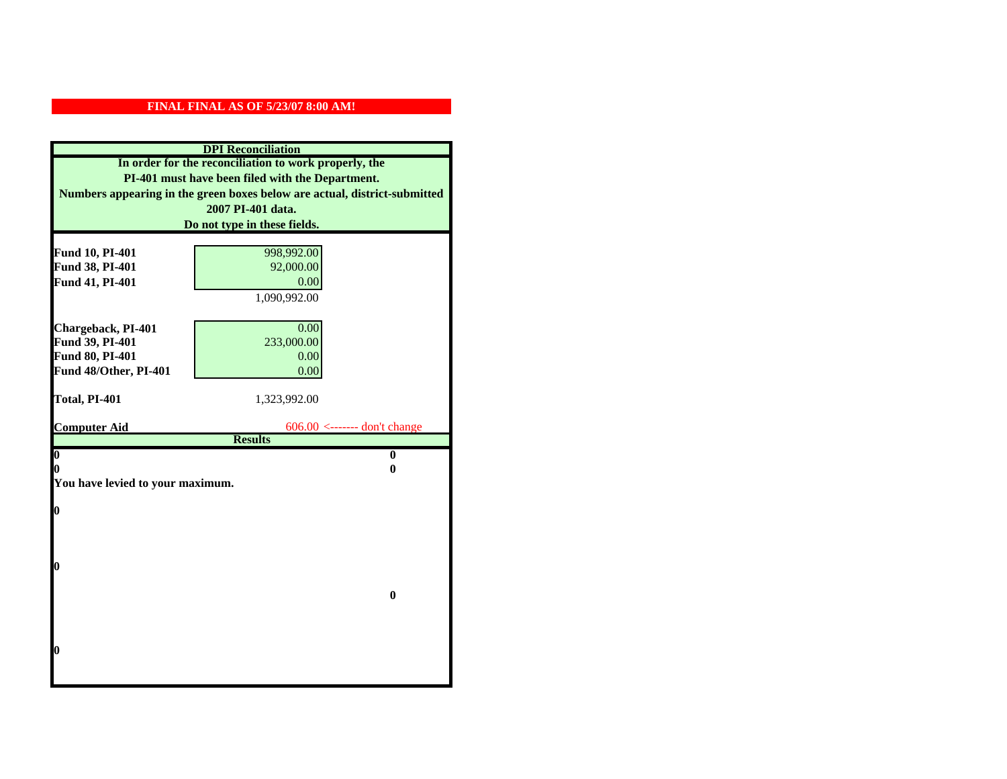| <b>DPI</b> Reconciliation                                                 |                                |  |  |
|---------------------------------------------------------------------------|--------------------------------|--|--|
| In order for the reconciliation to work properly, the                     |                                |  |  |
| PI-401 must have been filed with the Department.                          |                                |  |  |
| Numbers appearing in the green boxes below are actual, district-submitted |                                |  |  |
|                                                                           | 2007 PI-401 data.              |  |  |
|                                                                           | Do not type in these fields.   |  |  |
|                                                                           |                                |  |  |
| Fund 10, PI-401<br>Fund 38, PI-401                                        | 998,992.00<br>92,000.00        |  |  |
| Fund 41, PI-401                                                           | 0.00                           |  |  |
|                                                                           | 1,090,992.00                   |  |  |
|                                                                           |                                |  |  |
| Chargeback, PI-401                                                        | 0.00                           |  |  |
| Fund 39, PI-401                                                           | 233,000.00                     |  |  |
| Fund 80, PI-401                                                           | 0.00                           |  |  |
| Fund 48/Other, PI-401                                                     | 0.00                           |  |  |
|                                                                           |                                |  |  |
| Total, PI-401                                                             | 1,323,992.00                   |  |  |
|                                                                           |                                |  |  |
| <b>Computer Aid</b>                                                       | $606.00$ <------- don't change |  |  |
| $\boldsymbol{0}$                                                          | <b>Results</b><br>$\bf{0}$     |  |  |
| 0                                                                         | 0                              |  |  |
| You have levied to your maximum.                                          |                                |  |  |
|                                                                           |                                |  |  |
| 0                                                                         |                                |  |  |
|                                                                           |                                |  |  |
|                                                                           |                                |  |  |
|                                                                           |                                |  |  |
| 0                                                                         |                                |  |  |
|                                                                           |                                |  |  |
|                                                                           | $\bf{0}$                       |  |  |
|                                                                           |                                |  |  |
|                                                                           |                                |  |  |
| 0                                                                         |                                |  |  |
|                                                                           |                                |  |  |
|                                                                           |                                |  |  |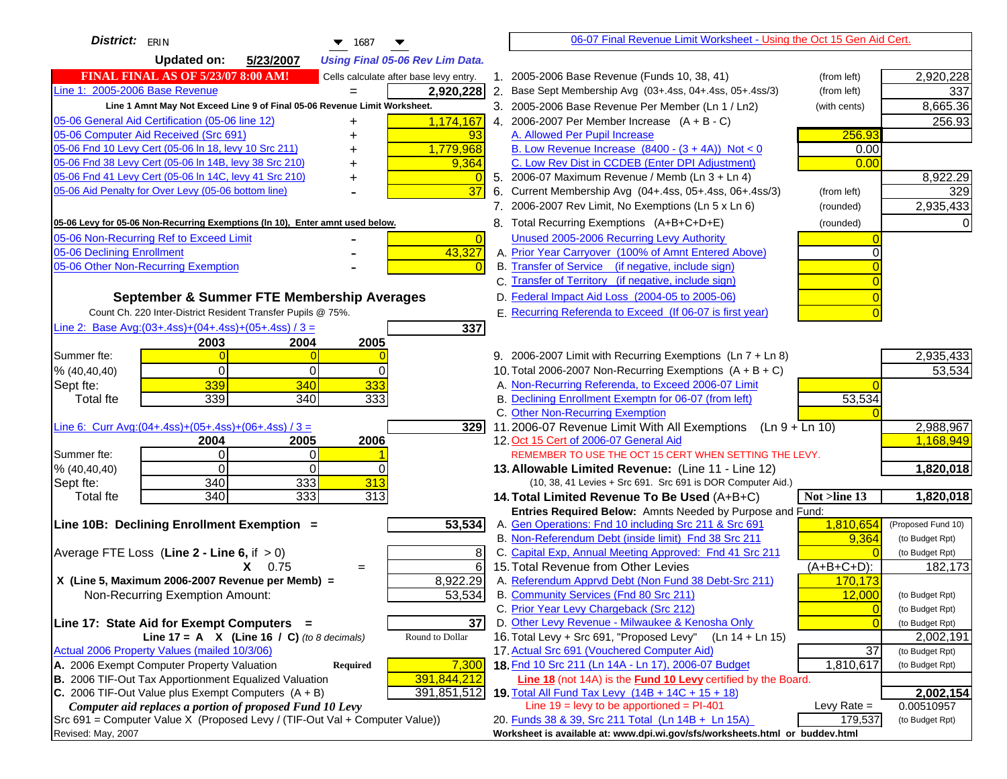| District: $ _{\text{ERIN}}$<br>$\blacktriangledown$ 1687                                                                         |                | 06-07 Final Revenue Limit Worksheet - Using the Oct 15 Gen Aid Cert.                                      |                |                         |
|----------------------------------------------------------------------------------------------------------------------------------|----------------|-----------------------------------------------------------------------------------------------------------|----------------|-------------------------|
| <b>Updated on:</b><br>5/23/2007<br><b>Using Final 05-06 Rev Lim Data.</b>                                                        |                |                                                                                                           |                |                         |
| <b>FINAL FINAL AS OF 5/23/07 8:00 AM!</b><br>Cells calculate after base levy entry.                                              |                | 1. 2005-2006 Base Revenue (Funds 10, 38, 41)                                                              | (from left)    | 2,920,228               |
| Line 1: 2005-2006 Base Revenue<br>2,920,228<br>$=$                                                                               |                | 2. Base Sept Membership Avg (03+.4ss, 04+.4ss, 05+.4ss/3)                                                 | (from left)    | 337                     |
| Line 1 Amnt May Not Exceed Line 9 of Final 05-06 Revenue Limit Worksheet.                                                        |                | 3. 2005-2006 Base Revenue Per Member (Ln 1 / Ln2)                                                         | (with cents)   | 8,665.36                |
| 05-06 General Aid Certification (05-06 line 12)<br>1,174,167                                                                     |                | 4. 2006-2007 Per Member Increase $(A + B - C)$                                                            |                | 256.93                  |
| 05-06 Computer Aid Received (Src 691)<br>93                                                                                      |                | A. Allowed Per Pupil Increase                                                                             | 256.93         |                         |
| 05-06 Fnd 10 Levy Cert (05-06 ln 18, levy 10 Src 211)<br>1,779,968                                                               |                | B. Low Revenue Increase $(8400 - (3 + 4A))$ Not < 0                                                       | 0.00           |                         |
| 05-06 Fnd 38 Levy Cert (05-06 In 14B, levy 38 Src 210)<br>9,364                                                                  |                | C. Low Rev Dist in CCDEB (Enter DPI Adjustment)                                                           | 0.00           |                         |
| 05-06 Fnd 41 Levy Cert (05-06 In 14C, levy 41 Src 210)<br>+                                                                      |                | 5. 2006-07 Maximum Revenue / Memb (Ln 3 + Ln 4)                                                           |                | 8,922.29                |
| 05-06 Aid Penalty for Over Levy (05-06 bottom line)<br>37                                                                        |                | 6. Current Membership Avg (04+.4ss, 05+.4ss, 06+.4ss/3)                                                   | (from left)    | 329                     |
|                                                                                                                                  |                | 7. 2006-2007 Rev Limit, No Exemptions (Ln 5 x Ln 6)                                                       | (rounded)      | 2,935,433               |
| 05-06 Levy for 05-06 Non-Recurring Exemptions (In 10), Enter amnt used below.                                                    |                | 8. Total Recurring Exemptions (A+B+C+D+E)                                                                 | (rounded)      |                         |
| 05-06 Non-Recurring Ref to Exceed Limit                                                                                          | $\overline{0}$ | Unused 2005-2006 Recurring Levy Authority                                                                 |                |                         |
| 43,327<br>05-06 Declining Enrollment                                                                                             |                | A. Prior Year Carryover (100% of Amnt Entered Above)                                                      |                |                         |
| 05-06 Other Non-Recurring Exemption                                                                                              |                | B. Transfer of Service (if negative, include sign)                                                        |                |                         |
|                                                                                                                                  |                | C. Transfer of Territory (if negative, include sign)                                                      |                |                         |
| September & Summer FTE Membership Averages                                                                                       |                | D. Federal Impact Aid Loss (2004-05 to 2005-06)                                                           |                |                         |
| Count Ch. 220 Inter-District Resident Transfer Pupils @ 75%.                                                                     |                | E. Recurring Referenda to Exceed (If 06-07 is first year)                                                 |                |                         |
| Line 2: Base Avg: $(03+.4ss)+(04+.4ss)+(05+.4ss)/3 =$<br>337                                                                     |                |                                                                                                           |                |                         |
| 2003<br>2004<br>2005                                                                                                             |                |                                                                                                           |                |                         |
| Summer fte:<br>$\Omega$                                                                                                          |                | 9. 2006-2007 Limit with Recurring Exemptions (Ln 7 + Ln 8)                                                |                | 2,935,433               |
| $\Omega$<br>0<br>$\Omega$<br>% (40, 40, 40)                                                                                      |                | 10. Total 2006-2007 Non-Recurring Exemptions $(A + B + C)$                                                |                | 53,534                  |
| 339<br>333<br>340<br>Sept fte:                                                                                                   |                | A. Non-Recurring Referenda, to Exceed 2006-07 Limit                                                       |                |                         |
| 339<br>333<br>340<br><b>Total fte</b>                                                                                            |                | B. Declining Enrollment Exemptn for 06-07 (from left)                                                     | 53,534         |                         |
|                                                                                                                                  |                | C. Other Non-Recurring Exemption                                                                          |                |                         |
| Line 6: Curr Avg: $(04+.4ss)+(05+.4ss)+(06+.4ss)/3 =$                                                                            | 329            | 11.2006-07 Revenue Limit With All Exemptions (Ln $9 + \overline{\text{Ln }10}$ )                          |                | 2,988,967               |
| 2006<br>2004<br>2005<br>$\Omega$<br>0<br>Summer fte:                                                                             |                | 12. Oct 15 Cert of 2006-07 General Aid<br>REMEMBER TO USE THE OCT 15 CERT WHEN SETTING THE LEVY.          |                | 1,168,949               |
| % (40, 40, 40)<br>$\Omega$<br>0<br>$\Omega$                                                                                      |                | 13. Allowable Limited Revenue: (Line 11 - Line 12)                                                        |                | 1,820,018               |
| 333<br>313<br>340<br>Sept fte:                                                                                                   |                | (10, 38, 41 Levies + Src 691. Src 691 is DOR Computer Aid.)                                               |                |                         |
| 340<br>333<br>313<br><b>Total fte</b>                                                                                            |                | 14. Total Limited Revenue To Be Used (A+B+C)                                                              | Not >line 13   | 1,820,018               |
|                                                                                                                                  |                | Entries Required Below: Amnts Needed by Purpose and Fund:                                                 |                |                         |
| 53,534<br>Line 10B: Declining Enrollment Exemption =                                                                             |                | A. Gen Operations: Fnd 10 including Src 211 & Src 691                                                     | 1,810,654      | (Proposed Fund 10)      |
|                                                                                                                                  |                | B. Non-Referendum Debt (inside limit) Fnd 38 Src 211                                                      | 9,364          | (to Budget Rpt)         |
| Average FTE Loss (Line $2 -$ Line 6, if $> 0$ )                                                                                  | 8              | C. Capital Exp, Annual Meeting Approved: Fnd 41 Src 211                                                   |                | (to Budget Rpt)         |
| $X = 0.75$<br>$=$                                                                                                                | 6              | 15. Total Revenue from Other Levies                                                                       | $(A+B+C+D)$ :  | 182,173                 |
| X (Line 5, Maximum 2006-2007 Revenue per Memb) =<br>8,922.29                                                                     |                | A. Referendum Apprvd Debt (Non Fund 38 Debt-Src 211)                                                      | 170,173        |                         |
| 53,534<br>Non-Recurring Exemption Amount:                                                                                        |                | B. Community Services (Fnd 80 Src 211)                                                                    | 12,000         | (to Budget Rpt)         |
|                                                                                                                                  |                | C. Prior Year Levy Chargeback (Src 212)                                                                   | $\overline{0}$ | (to Budget Rpt)         |
| Line 17: State Aid for Exempt Computers =                                                                                        | 37             | D. Other Levy Revenue - Milwaukee & Kenosha Only                                                          | $\Omega$       | (to Budget Rpt)         |
| Round to Dollar<br>Line 17 = A $X$ (Line 16 / C) (to 8 decimals)                                                                 |                | 16. Total Levy + Src 691, "Proposed Levy"<br>(Ln 14 + Ln 15)                                              |                | 2,002,191               |
| Actual 2006 Property Values (mailed 10/3/06)                                                                                     |                | 17. Actual Src 691 (Vouchered Computer Aid)                                                               | 37             | (to Budget Rpt)         |
| A. 2006 Exempt Computer Property Valuation<br>7,300<br>Required                                                                  |                | 18. Fnd 10 Src 211 (Ln 14A - Ln 17), 2006-07 Budget                                                       | 1,810,617      | (to Budget Rpt)         |
| B. 2006 TIF-Out Tax Apportionment Equalized Valuation<br>391,844,212                                                             |                | Line 18 (not 14A) is the Fund 10 Levy certified by the Board.                                             |                |                         |
| C. 2006 TIF-Out Value plus Exempt Computers $(A + B)$<br>391,851,512<br>Computer aid replaces a portion of proposed Fund 10 Levy |                | 19. Total All Fund Tax Levy $(14B + 14C + 15 + 18)$<br>Line $19 = \text{levy}$ to be apportioned = PI-401 | Levy Rate $=$  | 2,002,154<br>0.00510957 |
| Src 691 = Computer Value X (Proposed Levy / (TIF-Out Val + Computer Value))                                                      |                | 20. Funds 38 & 39, Src 211 Total (Ln 14B + Ln 15A)                                                        | 179,537        | (to Budget Rpt)         |
| Revised: May, 2007                                                                                                               |                | Worksheet is available at: www.dpi.wi.gov/sfs/worksheets.html or buddev.html                              |                |                         |
|                                                                                                                                  |                |                                                                                                           |                |                         |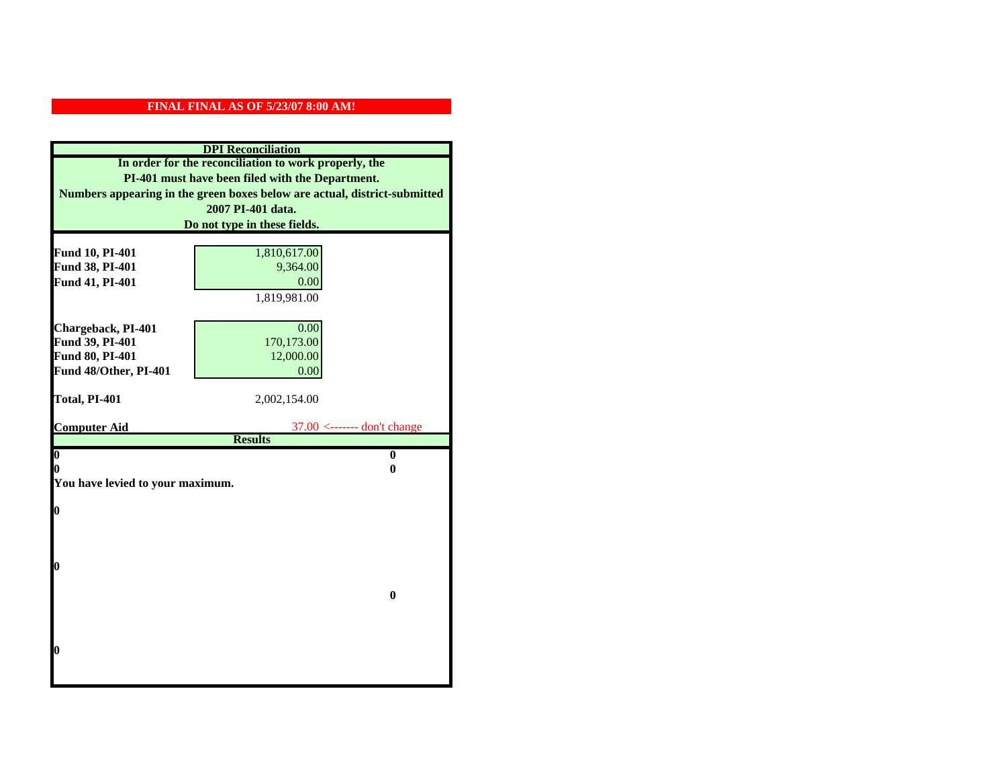| <b>DPI</b> Reconciliation                                                 |                               |  |  |
|---------------------------------------------------------------------------|-------------------------------|--|--|
| In order for the reconciliation to work properly, the                     |                               |  |  |
| PI-401 must have been filed with the Department.                          |                               |  |  |
| Numbers appearing in the green boxes below are actual, district-submitted |                               |  |  |
| 2007 PI-401 data.                                                         |                               |  |  |
|                                                                           | Do not type in these fields.  |  |  |
|                                                                           |                               |  |  |
| Fund 10, PI-401<br>Fund 38, PI-401                                        | 1,810,617.00<br>9,364.00      |  |  |
| Fund 41, PI-401                                                           | 0.00                          |  |  |
|                                                                           | 1,819,981.00                  |  |  |
|                                                                           |                               |  |  |
| Chargeback, PI-401                                                        | 0.00                          |  |  |
| Fund 39, PI-401                                                           | 170,173.00                    |  |  |
| Fund 80, PI-401                                                           | 12,000.00                     |  |  |
| Fund 48/Other, PI-401                                                     | 0.00                          |  |  |
|                                                                           |                               |  |  |
| Total, PI-401                                                             | 2,002,154.00                  |  |  |
|                                                                           |                               |  |  |
| <b>Computer Aid</b>                                                       | $37.00$ <------- don't change |  |  |
| $\boldsymbol{0}$                                                          | <b>Results</b><br>$\bf{0}$    |  |  |
| 0                                                                         | 0                             |  |  |
| You have levied to your maximum.                                          |                               |  |  |
|                                                                           |                               |  |  |
| $\bf{0}$                                                                  |                               |  |  |
|                                                                           |                               |  |  |
|                                                                           |                               |  |  |
|                                                                           |                               |  |  |
| 0                                                                         |                               |  |  |
|                                                                           |                               |  |  |
|                                                                           | $\bf{0}$                      |  |  |
|                                                                           |                               |  |  |
|                                                                           |                               |  |  |
| 0                                                                         |                               |  |  |
|                                                                           |                               |  |  |
|                                                                           |                               |  |  |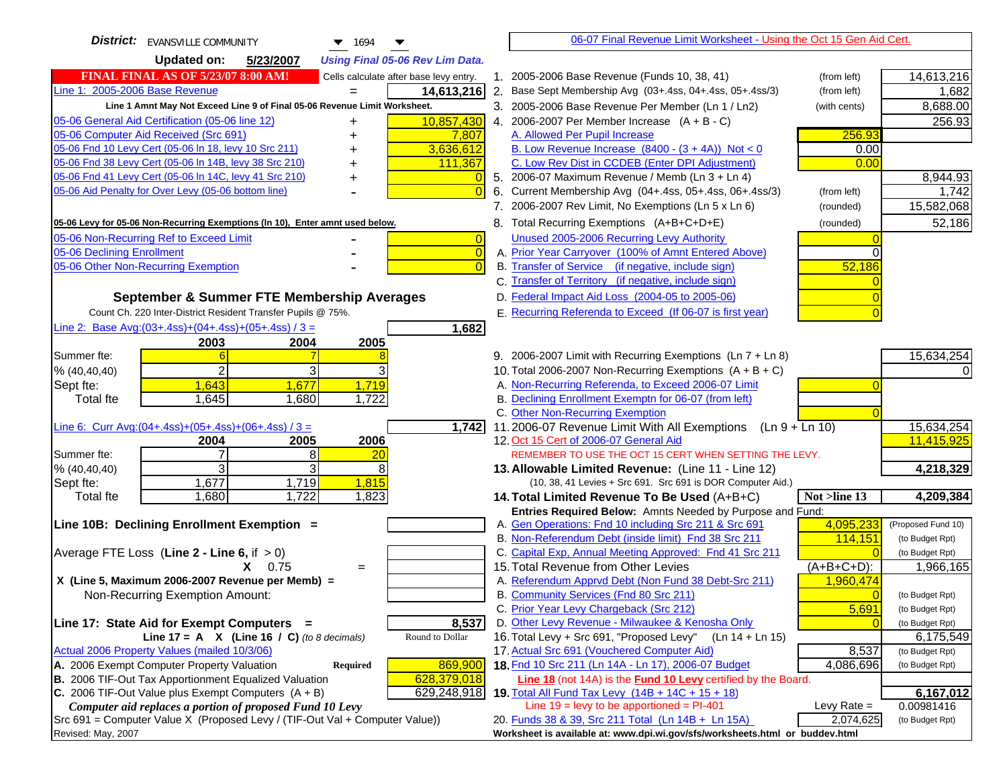| <b>District:</b> EVANSVILLE COMMUNITY<br>$\blacktriangledown$ 1694<br>▼                                                                             | 06-07 Final Revenue Limit Worksheet - Using the Oct 15 Gen Aid Cert.                                                      |                         |
|-----------------------------------------------------------------------------------------------------------------------------------------------------|---------------------------------------------------------------------------------------------------------------------------|-------------------------|
| <b>Updated on:</b><br>5/23/2007<br><b>Using Final 05-06 Rev Lim Data.</b>                                                                           |                                                                                                                           |                         |
| <b>FINAL FINAL AS OF 5/23/07 8:00 AM!</b><br>Cells calculate after base levy entry.                                                                 | 1. 2005-2006 Base Revenue (Funds 10, 38, 41)<br>(from left)                                                               | 14,613,216              |
| Line 1: 2005-2006 Base Revenue<br>14,613,216                                                                                                        | 2. Base Sept Membership Avg (03+.4ss, 04+.4ss, 05+.4ss/3)<br>(from left)                                                  | 1,682                   |
| Line 1 Amnt May Not Exceed Line 9 of Final 05-06 Revenue Limit Worksheet.                                                                           | 3. 2005-2006 Base Revenue Per Member (Ln 1 / Ln2)<br>(with cents)                                                         | 8,688.00                |
| 10,857,430<br>05-06 General Aid Certification (05-06 line 12)                                                                                       | 4. 2006-2007 Per Member Increase $(A + B - C)$                                                                            | 256.93                  |
| 05-06 Computer Aid Received (Src 691)<br>7,807                                                                                                      | 256.93<br>A. Allowed Per Pupil Increase                                                                                   |                         |
| 05-06 Fnd 10 Levy Cert (05-06 ln 18, levy 10 Src 211)<br>3,636,612                                                                                  | B. Low Revenue Increase $(8400 - (3 + 4A))$ Not < 0<br>0.00                                                               |                         |
| 05-06 Fnd 38 Levy Cert (05-06 In 14B, levy 38 Src 210)<br>111,367                                                                                   | C. Low Rev Dist in CCDEB (Enter DPI Adjustment)<br>0.00                                                                   |                         |
| 05-06 Fnd 41 Levy Cert (05-06 In 14C, levy 41 Src 210)                                                                                              | 5. 2006-07 Maximum Revenue / Memb (Ln 3 + Ln 4)                                                                           | 8,944.93                |
| 05-06 Aid Penalty for Over Levy (05-06 bottom line)                                                                                                 | 6. Current Membership Avg (04+.4ss, 05+.4ss, 06+.4ss/3)<br>(from left)                                                    | 1,742                   |
|                                                                                                                                                     | 7. 2006-2007 Rev Limit, No Exemptions (Ln 5 x Ln 6)<br>(rounded)                                                          | 15,582,068              |
| 05-06 Levy for 05-06 Non-Recurring Exemptions (In 10), Enter amnt used below.                                                                       | 8. Total Recurring Exemptions (A+B+C+D+E)<br>(rounded)                                                                    | 52,186                  |
| 05-06 Non-Recurring Ref to Exceed Limit<br>$\overline{0}$                                                                                           | Unused 2005-2006 Recurring Levy Authority                                                                                 |                         |
| 05-06 Declining Enrollment<br>$\overline{0}$                                                                                                        | A. Prior Year Carryover (100% of Amnt Entered Above)                                                                      |                         |
| 05-06 Other Non-Recurring Exemption                                                                                                                 | B. Transfer of Service (if negative, include sign)<br>52,186                                                              |                         |
|                                                                                                                                                     | C. Transfer of Territory (if negative, include sign)                                                                      |                         |
| September & Summer FTE Membership Averages                                                                                                          | D. Federal Impact Aid Loss (2004-05 to 2005-06)                                                                           |                         |
| Count Ch. 220 Inter-District Resident Transfer Pupils @ 75%.                                                                                        | E. Recurring Referenda to Exceed (If 06-07 is first year)                                                                 |                         |
| Line 2: Base Avg: $(03+.4ss)+(04+.4ss)+(05+.4ss)/3 =$<br>1,682                                                                                      |                                                                                                                           |                         |
| 2003<br>2004<br>2005                                                                                                                                |                                                                                                                           |                         |
| Summer fte:                                                                                                                                         | 9. 2006-2007 Limit with Recurring Exemptions (Ln 7 + Ln 8)                                                                | 15,634,254              |
| 2<br>3<br>% (40, 40, 40)                                                                                                                            | 10. Total 2006-2007 Non-Recurring Exemptions $(A + B + C)$                                                                |                         |
| $\overline{1,719}$<br>1,643<br>1,677<br>Sept fte:                                                                                                   | A. Non-Recurring Referenda, to Exceed 2006-07 Limit                                                                       |                         |
| <b>Total fte</b><br>1,645<br>1,680<br>1,722                                                                                                         | B. Declining Enrollment Exemptn for 06-07 (from left)                                                                     |                         |
|                                                                                                                                                     | C. Other Non-Recurring Exemption                                                                                          |                         |
| Line 6: Curr Avg: $(04+.4ss)+(05+.4ss)+(06+.4ss)/3 =$<br>$\overline{1,742}$                                                                         | 11.2006-07 Revenue Limit With All Exemptions $(Ln 9 + Ln 10)$                                                             | 15,634,254              |
| 2006<br>2005<br>2004<br>$\overline{7}$<br>Summer fte:<br>8<br>20                                                                                    | 12. Oct 15 Cert of 2006-07 General Aid<br>REMEMBER TO USE THE OCT 15 CERT WHEN SETTING THE LEVY.                          | 11,415,925              |
| $\overline{3}$<br>3<br>8<br>% (40, 40, 40)                                                                                                          | 13. Allowable Limited Revenue: (Line 11 - Line 12)                                                                        | 4,218,329               |
| 1,677<br>1,719<br>1,815<br>Sept fte:                                                                                                                | (10, 38, 41 Levies + Src 691. Src 691 is DOR Computer Aid.)                                                               |                         |
| 1,680<br>1,722<br>1,823<br><b>Total fte</b>                                                                                                         | Not >line 13<br>14. Total Limited Revenue To Be Used (A+B+C)                                                              | 4,209,384               |
|                                                                                                                                                     | Entries Required Below: Amnts Needed by Purpose and Fund:                                                                 |                         |
| Line 10B: Declining Enrollment Exemption =                                                                                                          | 4,095,233<br>A. Gen Operations: Fnd 10 including Src 211 & Src 691                                                        | (Proposed Fund 10)      |
|                                                                                                                                                     | B. Non-Referendum Debt (inside limit) Fnd 38 Src 211<br>114,151                                                           | (to Budget Rpt)         |
| Average FTE Loss (Line $2 -$ Line 6, if $> 0$ )                                                                                                     | C. Capital Exp, Annual Meeting Approved: Fnd 41 Src 211                                                                   | (to Budget Rpt)         |
| $X = 0.75$<br>$=$                                                                                                                                   | 15. Total Revenue from Other Levies<br>$(A+B+C+D)$ :                                                                      | 1,966,165               |
| X (Line 5, Maximum 2006-2007 Revenue per Memb) =                                                                                                    | A. Referendum Apprvd Debt (Non Fund 38 Debt-Src 211)<br>1,960,474                                                         |                         |
| Non-Recurring Exemption Amount:                                                                                                                     | B. Community Services (Fnd 80 Src 211)<br>0                                                                               | (to Budget Rpt)         |
|                                                                                                                                                     | C. Prior Year Levy Chargeback (Src 212)<br>5,691                                                                          | (to Budget Rpt)         |
| 8,537<br>Line 17: State Aid for Exempt Computers =                                                                                                  | D. Other Levy Revenue - Milwaukee & Kenosha Only                                                                          | (to Budget Rpt)         |
| Line 17 = A $X$ (Line 16 / C) (to 8 decimals)<br>Round to Dollar                                                                                    | 16. Total Levy + Src 691, "Proposed Levy"<br>(Ln 14 + Ln 15)                                                              | 6,175,549               |
| Actual 2006 Property Values (mailed 10/3/06)                                                                                                        | 17. Actual Src 691 (Vouchered Computer Aid)<br>8,537                                                                      | (to Budget Rpt)         |
| A. 2006 Exempt Computer Property Valuation<br>869,900<br>Required                                                                                   | 18 Fnd 10 Src 211 (Ln 14A - Ln 17), 2006-07 Budget<br>4,086,696                                                           | (to Budget Rpt)         |
| <b>B.</b> 2006 TIF-Out Tax Apportionment Equalized Valuation<br>628,379,018<br>C. 2006 TIF-Out Value plus Exempt Computers $(A + B)$<br>629,248,918 | Line 18 (not 14A) is the <b>Fund 10 Levy</b> certified by the Board.<br>19. Total All Fund Tax Levy (14B + 14C + 15 + 18) |                         |
| Computer aid replaces a portion of proposed Fund 10 Levy                                                                                            | Line $19 = \text{levy}$ to be apportioned = PI-401<br>Levy Rate $=$                                                       | 6,167,012<br>0.00981416 |
| Src 691 = Computer Value X (Proposed Levy / (TIF-Out Val + Computer Value))                                                                         | 20. Funds 38 & 39, Src 211 Total (Ln 14B + Ln 15A)<br>2,074,625                                                           | (to Budget Rpt)         |
| Revised: May, 2007                                                                                                                                  | Worksheet is available at: www.dpi.wi.gov/sfs/worksheets.html or buddev.html                                              |                         |
|                                                                                                                                                     |                                                                                                                           |                         |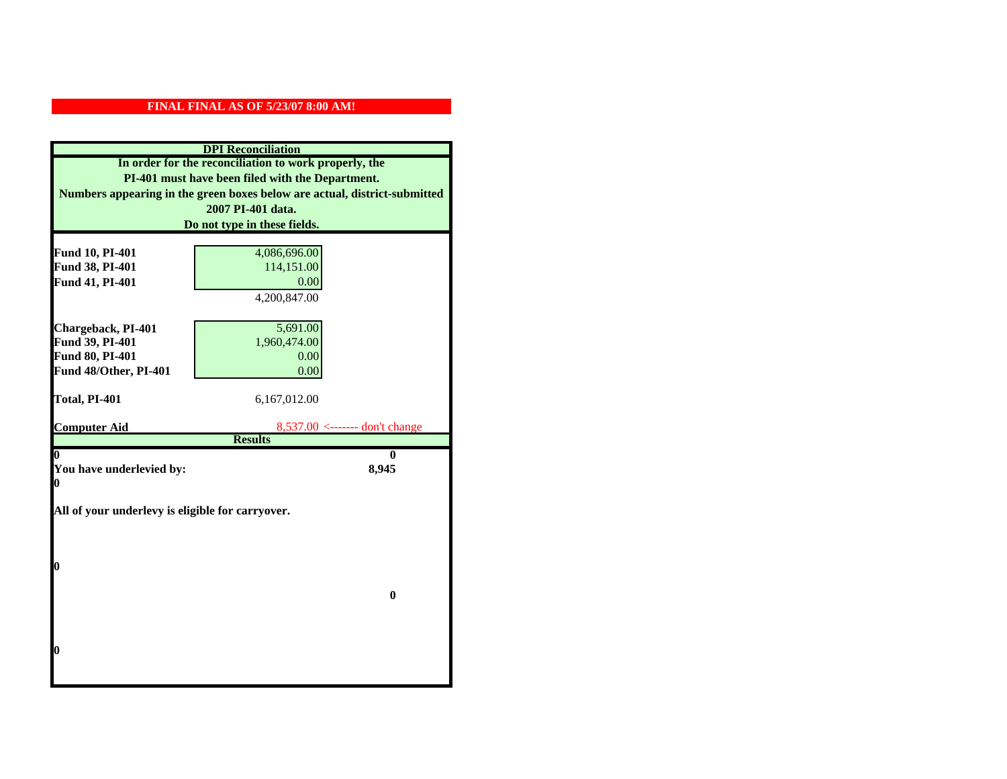| <b>DPI</b> Reconciliation                                                 |                                                    |  |
|---------------------------------------------------------------------------|----------------------------------------------------|--|
| In order for the reconciliation to work properly, the                     |                                                    |  |
| PI-401 must have been filed with the Department.                          |                                                    |  |
| Numbers appearing in the green boxes below are actual, district-submitted |                                                    |  |
|                                                                           | 2007 PI-401 data.                                  |  |
|                                                                           | Do not type in these fields.                       |  |
|                                                                           |                                                    |  |
| Fund 10, PI-401                                                           | 4,086,696.00                                       |  |
| Fund 38, PI-401                                                           | 114,151.00                                         |  |
| Fund 41, PI-401                                                           | 0.00                                               |  |
|                                                                           | 4,200,847.00                                       |  |
|                                                                           |                                                    |  |
| Chargeback, PI-401                                                        | 5,691.00                                           |  |
| Fund 39, PI-401                                                           | 1,960,474.00                                       |  |
| <b>Fund 80, PI-401</b>                                                    | 0.00                                               |  |
| Fund 48/Other, PI-401                                                     | 0.00                                               |  |
| Total, PI-401                                                             | 6,167,012.00                                       |  |
|                                                                           |                                                    |  |
| <b>Computer Aid</b>                                                       | $8,537.00$ <------- don't change<br><b>Results</b> |  |
| 0                                                                         | 0                                                  |  |
| You have underlevied by:                                                  | 8,945                                              |  |
| 0                                                                         |                                                    |  |
|                                                                           |                                                    |  |
| All of your underlevy is eligible for carryover.                          |                                                    |  |
|                                                                           |                                                    |  |
|                                                                           |                                                    |  |
| 0                                                                         |                                                    |  |
|                                                                           |                                                    |  |
|                                                                           | $\bf{0}$                                           |  |
|                                                                           |                                                    |  |
|                                                                           |                                                    |  |
|                                                                           |                                                    |  |
| 0                                                                         |                                                    |  |
|                                                                           |                                                    |  |
|                                                                           |                                                    |  |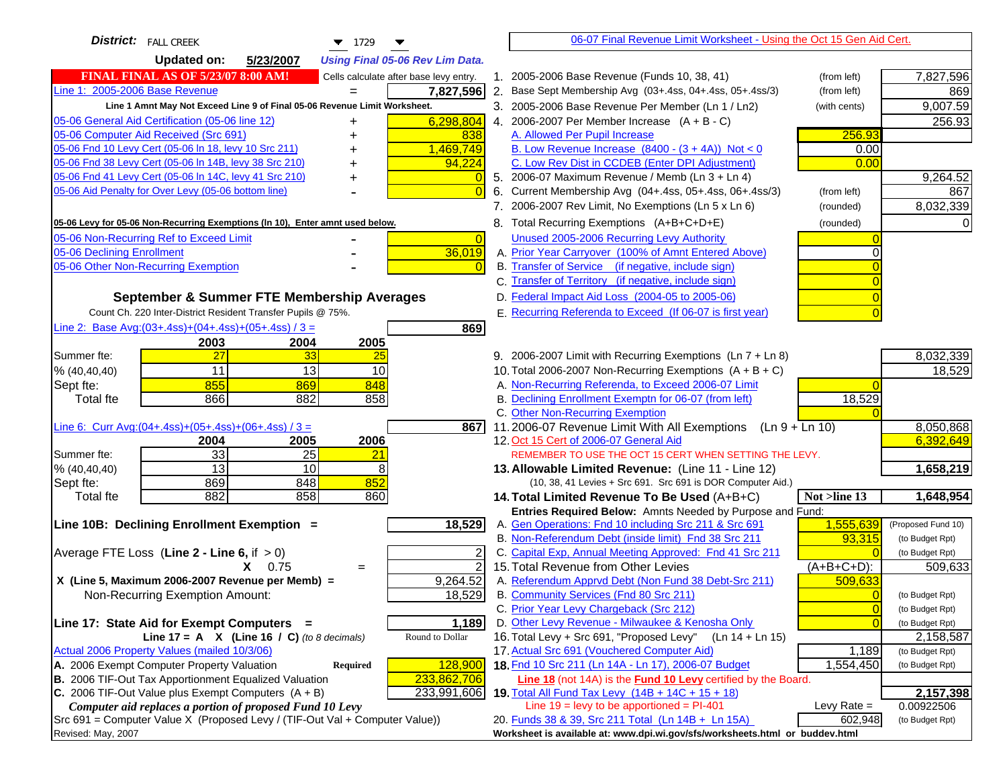| <b>District:</b> FALL CREEK<br>$\blacktriangledown$ 1729<br>▼                       |                | 06-07 Final Revenue Limit Worksheet - Using the Oct 15 Gen Aid Cert.                                                            |                                   |
|-------------------------------------------------------------------------------------|----------------|---------------------------------------------------------------------------------------------------------------------------------|-----------------------------------|
| <b>Updated on:</b><br>5/23/2007<br><b>Using Final 05-06 Rev Lim Data.</b>           |                |                                                                                                                                 |                                   |
| <b>FINAL FINAL AS OF 5/23/07 8:00 AM!</b><br>Cells calculate after base levy entry. |                | 1. 2005-2006 Base Revenue (Funds 10, 38, 41)<br>(from left)                                                                     | 7,827,596                         |
| Line 1: 2005-2006 Base Revenue<br>7,827,596<br>$=$                                  |                | 2. Base Sept Membership Avg (03+.4ss, 04+.4ss, 05+.4ss/3)<br>(from left)                                                        | 869                               |
| Line 1 Amnt May Not Exceed Line 9 of Final 05-06 Revenue Limit Worksheet.           |                | 3. 2005-2006 Base Revenue Per Member (Ln 1 / Ln2)<br>(with cents)                                                               | 9,007.59                          |
| 05-06 General Aid Certification (05-06 line 12)<br>6,298,804<br>+                   |                | 4. 2006-2007 Per Member Increase $(A + B - C)$                                                                                  | 256.93                            |
| 05-06 Computer Aid Received (Src 691)<br>838                                        |                | 256.93<br>A. Allowed Per Pupil Increase                                                                                         |                                   |
| 05-06 Fnd 10 Levy Cert (05-06 In 18, levy 10 Src 211)<br>1,469,749                  |                | B. Low Revenue Increase $(8400 - (3 + 4A))$ Not < 0<br>0.00                                                                     |                                   |
| 05-06 Fnd 38 Levy Cert (05-06 In 14B, levy 38 Src 210)<br>94,224                    |                | C. Low Rev Dist in CCDEB (Enter DPI Adjustment)<br>0.00                                                                         |                                   |
| 05-06 Fnd 41 Levy Cert (05-06 In 14C, levy 41 Src 210)<br>+                         |                | 5. 2006-07 Maximum Revenue / Memb (Ln $3 + \text{Ln } 4$ )                                                                      | 9,264.52                          |
| 05-06 Aid Penalty for Over Levy (05-06 bottom line)                                 |                | 6. Current Membership Avg (04+.4ss, 05+.4ss, 06+.4ss/3)<br>(from left)                                                          | 867                               |
|                                                                                     |                | 7. 2006-2007 Rev Limit, No Exemptions (Ln 5 x Ln 6)<br>(rounded)                                                                | 8,032,339                         |
| 05-06 Levy for 05-06 Non-Recurring Exemptions (In 10), Enter amnt used below.       |                | 8. Total Recurring Exemptions (A+B+C+D+E)<br>(rounded)                                                                          |                                   |
| 05-06 Non-Recurring Ref to Exceed Limit                                             | $\overline{0}$ | Unused 2005-2006 Recurring Levy Authority                                                                                       |                                   |
| 36,019<br>05-06 Declining Enrollment                                                |                | A. Prior Year Carryover (100% of Amnt Entered Above)                                                                            |                                   |
| 05-06 Other Non-Recurring Exemption                                                 |                | B. Transfer of Service (if negative, include sign)                                                                              |                                   |
|                                                                                     |                | C. Transfer of Territory (if negative, include sign)                                                                            |                                   |
| September & Summer FTE Membership Averages                                          |                | D. Federal Impact Aid Loss (2004-05 to 2005-06)                                                                                 |                                   |
| Count Ch. 220 Inter-District Resident Transfer Pupils @ 75%.                        |                | E. Recurring Referenda to Exceed (If 06-07 is first year)                                                                       |                                   |
| Line 2: Base Avg:(03+.4ss)+(04+.4ss)+(05+.4ss) / 3 =<br>869                         |                |                                                                                                                                 |                                   |
| 2003<br>2004<br>2005                                                                |                |                                                                                                                                 |                                   |
| 27<br>33<br>Summer fte:<br>25                                                       |                | 9. 2006-2007 Limit with Recurring Exemptions (Ln 7 + Ln 8)                                                                      | 8,032,339                         |
| 11<br>13<br>% (40, 40, 40)<br>10                                                    |                | 10. Total 2006-2007 Non-Recurring Exemptions (A + B + C)                                                                        | 18,529                            |
| 855<br>869<br>848<br>Sept fte:                                                      |                | A. Non-Recurring Referenda, to Exceed 2006-07 Limit                                                                             |                                   |
| 866<br>882<br>858<br><b>Total fte</b>                                               |                | B. Declining Enrollment Exemptn for 06-07 (from left)<br>18,529                                                                 |                                   |
|                                                                                     |                | C. Other Non-Recurring Exemption                                                                                                |                                   |
| Line 6: Curr Avg: $(04+.4ss)+(05+.4ss)+(06+.4ss)/3 =$<br>867 I                      |                | 11.2006-07 Revenue Limit With All Exemptions (Ln 9 + Ln 10)                                                                     | 8,050,868                         |
| 2005<br>2006<br>2004                                                                |                | 12. Oct 15 Cert of 2006-07 General Aid                                                                                          | 6,392,649                         |
| 33<br>$\overline{25}$<br>21<br>Summer fte:                                          |                | REMEMBER TO USE THE OCT 15 CERT WHEN SETTING THE LEVY.                                                                          |                                   |
| 13<br>10<br>8<br>% (40, 40, 40)                                                     |                | 13. Allowable Limited Revenue: (Line 11 - Line 12)                                                                              | 1,658,219                         |
| 852<br>869<br>848<br>Sept fte:                                                      |                | (10, 38, 41 Levies + Src 691. Src 691 is DOR Computer Aid.)                                                                     |                                   |
| 882<br>858<br>860<br><b>Total fte</b>                                               |                | 14. Total Limited Revenue To Be Used (A+B+C)<br>Not >line 13                                                                    | 1,648,954                         |
| 18,529<br>Line 10B: Declining Enrollment Exemption =                                |                | Entries Required Below: Amnts Needed by Purpose and Fund:<br>1,555,639<br>A. Gen Operations: Fnd 10 including Src 211 & Src 691 | (Proposed Fund 10)                |
|                                                                                     |                | B. Non-Referendum Debt (inside limit) Fnd 38 Src 211<br>93,315                                                                  | (to Budget Rpt)                   |
| Average FTE Loss (Line $2 -$ Line 6, if $> 0$ )                                     |                | C. Capital Exp, Annual Meeting Approved: Fnd 41 Src 211                                                                         | (to Budget Rpt)                   |
| $X = 0.75$<br>$=$                                                                   | $\overline{2}$ | 15. Total Revenue from Other Levies<br>(A+B+C+D):                                                                               | 509,633                           |
| X (Line 5, Maximum 2006-2007 Revenue per Memb) =<br>9,264.52                        |                | A. Referendum Apprvd Debt (Non Fund 38 Debt-Src 211)<br>509,633                                                                 |                                   |
| 18,529<br>Non-Recurring Exemption Amount:                                           |                | B. Community Services (Fnd 80 Src 211)                                                                                          | $\Omega$<br>(to Budget Rpt)       |
|                                                                                     |                | C. Prior Year Levy Chargeback (Src 212)                                                                                         | $\overline{0}$<br>(to Budget Rpt) |
| Line 17: State Aid for Exempt Computers =<br>1,189                                  |                | D. Other Levy Revenue - Milwaukee & Kenosha Only                                                                                | (to Budget Rpt)                   |
| Round to Dollar<br>Line 17 = A $X$ (Line 16 / C) (to 8 decimals)                    |                | 16. Total Levy + Src 691, "Proposed Levy"<br>(Ln 14 + Ln 15)                                                                    | 2,158,587                         |
| Actual 2006 Property Values (mailed 10/3/06)                                        |                | 17. Actual Src 691 (Vouchered Computer Aid)<br>1,189                                                                            | (to Budget Rpt)                   |
| A. 2006 Exempt Computer Property Valuation<br>128,900<br>Required                   |                | 18. Fnd 10 Src 211 (Ln 14A - Ln 17), 2006-07 Budget<br>1,554,450                                                                | (to Budget Rpt)                   |
| B. 2006 TIF-Out Tax Apportionment Equalized Valuation<br>233,862,706                |                | Line 18 (not 14A) is the <b>Fund 10 Levy</b> certified by the Board.                                                            |                                   |
| C. 2006 TIF-Out Value plus Exempt Computers $(A + B)$<br>233,991,606                |                | 19. Total All Fund Tax Levy (14B + 14C + 15 + 18)                                                                               | 2,157,398                         |
| Computer aid replaces a portion of proposed Fund 10 Levy                            |                | Line $19 = \text{levy}$ to be apportioned = PI-401<br>Levy Rate $=$                                                             | 0.00922506                        |
| Src 691 = Computer Value X (Proposed Levy / (TIF-Out Val + Computer Value))         |                | 20. Funds 38 & 39, Src 211 Total (Ln 14B + Ln 15A)<br>602,948                                                                   | (to Budget Rpt)                   |
| Revised: May, 2007                                                                  |                | Worksheet is available at: www.dpi.wi.gov/sfs/worksheets.html or buddev.html                                                    |                                   |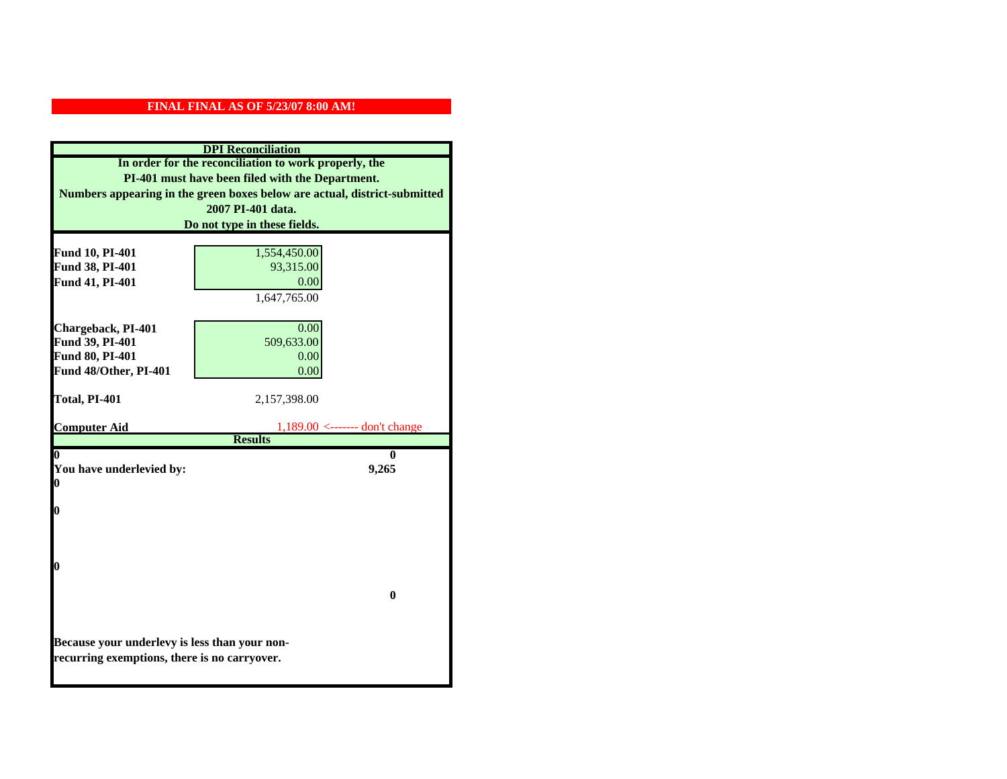|                                                                                               | <b>DPI</b> Reconciliation           |  |
|-----------------------------------------------------------------------------------------------|-------------------------------------|--|
| In order for the reconciliation to work properly, the                                         |                                     |  |
| PI-401 must have been filed with the Department.                                              |                                     |  |
| Numbers appearing in the green boxes below are actual, district-submitted                     |                                     |  |
| 2007 PI-401 data.                                                                             |                                     |  |
|                                                                                               | Do not type in these fields.        |  |
|                                                                                               |                                     |  |
| Fund 10, PI-401                                                                               | 1,554,450.00                        |  |
| Fund 38, PI-401                                                                               | 93,315.00                           |  |
| Fund 41, PI-401                                                                               | 0.00<br>1,647,765.00                |  |
|                                                                                               |                                     |  |
| Chargeback, PI-401                                                                            | 0.00                                |  |
| Fund 39, PI-401                                                                               | 509,633.00                          |  |
| Fund 80, PI-401                                                                               | 0.00                                |  |
| Fund 48/Other, PI-401                                                                         | 0.00                                |  |
|                                                                                               |                                     |  |
| Total, PI-401                                                                                 | 2,157,398.00                        |  |
|                                                                                               |                                     |  |
| <b>Computer Aid</b>                                                                           | $1,189.00 \le$ ------- don't change |  |
|                                                                                               |                                     |  |
|                                                                                               | <b>Results</b>                      |  |
| $\boldsymbol{0}$                                                                              | 0                                   |  |
| You have underlevied by:<br>0                                                                 | 9,265                               |  |
|                                                                                               |                                     |  |
| 0                                                                                             |                                     |  |
|                                                                                               |                                     |  |
|                                                                                               |                                     |  |
|                                                                                               |                                     |  |
| 0                                                                                             |                                     |  |
|                                                                                               |                                     |  |
|                                                                                               | $\mathbf{0}$                        |  |
|                                                                                               |                                     |  |
|                                                                                               |                                     |  |
| Because your underlevy is less than your non-<br>recurring exemptions, there is no carryover. |                                     |  |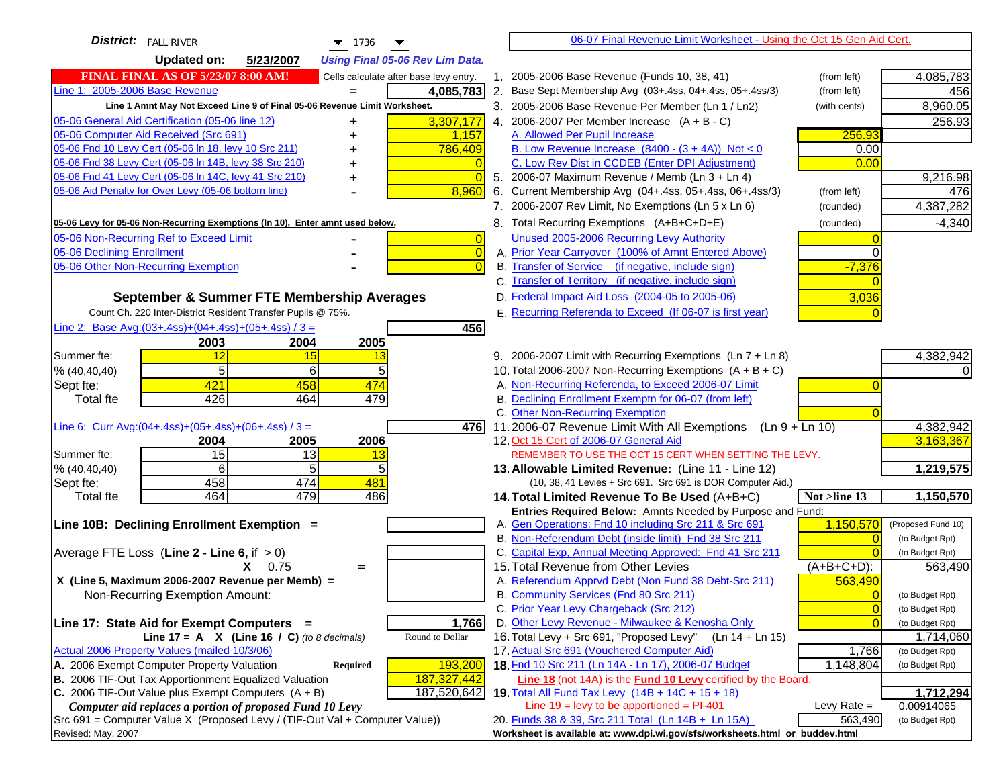| <b>District:</b> FALL RIVER<br>$-1736$                                              | 06-07 Final Revenue Limit Worksheet - Using the Oct 15 Gen Aid Cert.                           |                                    |
|-------------------------------------------------------------------------------------|------------------------------------------------------------------------------------------------|------------------------------------|
| <b>Updated on:</b><br>5/23/2007<br><b>Using Final 05-06 Rev Lim Data.</b>           |                                                                                                |                                    |
| <b>FINAL FINAL AS OF 5/23/07 8:00 AM!</b><br>Cells calculate after base levy entry. | 1. 2005-2006 Base Revenue (Funds 10, 38, 41)<br>(from left)                                    | 4,085,783                          |
| Line 1: 2005-2006 Base Revenue<br>4,085,783                                         | 2. Base Sept Membership Avg (03+.4ss, 04+.4ss, 05+.4ss/3)<br>(from left)                       | 456                                |
| Line 1 Amnt May Not Exceed Line 9 of Final 05-06 Revenue Limit Worksheet.           | 3. 2005-2006 Base Revenue Per Member (Ln 1 / Ln2)<br>(with cents)                              | 8,960.05                           |
| 05-06 General Aid Certification (05-06 line 12)<br>3,307,177                        | 4. 2006-2007 Per Member Increase $(A + B - C)$                                                 | 256.93                             |
| 05-06 Computer Aid Received (Src 691)<br>1,157                                      | 256.93<br>A. Allowed Per Pupil Increase                                                        |                                    |
| 05-06 Fnd 10 Levy Cert (05-06 In 18, levy 10 Src 211)<br>786,409                    | B. Low Revenue Increase $(8400 - (3 + 4A))$ Not < 0<br>0.00                                    |                                    |
| 05-06 Fnd 38 Levy Cert (05-06 In 14B, levy 38 Src 210)                              | C. Low Rev Dist in CCDEB (Enter DPI Adjustment)<br>0.00                                        |                                    |
| 05-06 Fnd 41 Levy Cert (05-06 In 14C, levy 41 Src 210)<br>$\Omega$                  | 5. 2006-07 Maximum Revenue / Memb (Ln $3 + \text{Ln } 4$ )                                     | 9,216.98                           |
| 8,960<br>05-06 Aid Penalty for Over Levy (05-06 bottom line)                        | Current Membership Avg (04+.4ss, 05+.4ss, 06+.4ss/3)<br>(from left)<br>6.                      | 476                                |
|                                                                                     | 7. 2006-2007 Rev Limit, No Exemptions (Ln 5 x Ln 6)<br>(rounded)                               | 4,387,282                          |
| 05-06 Levy for 05-06 Non-Recurring Exemptions (In 10), Enter amnt used below.       | 8. Total Recurring Exemptions (A+B+C+D+E)<br>(rounded)                                         | $-4,340$                           |
| 05-06 Non-Recurring Ref to Exceed Limit<br>$\overline{0}$                           | Unused 2005-2006 Recurring Levy Authority                                                      |                                    |
| $\overline{0}$<br>05-06 Declining Enrollment                                        | A. Prior Year Carryover (100% of Amnt Entered Above)<br>$\Omega$                               |                                    |
| 05-06 Other Non-Recurring Exemption<br>$\Omega$                                     | B. Transfer of Service (if negative, include sign)<br>$-7,376$                                 |                                    |
|                                                                                     | C. Transfer of Territory (if negative, include sign)                                           |                                    |
| September & Summer FTE Membership Averages                                          | D. Federal Impact Aid Loss (2004-05 to 2005-06)<br>3,036                                       |                                    |
| Count Ch. 220 Inter-District Resident Transfer Pupils @ 75%.                        | E. Recurring Referenda to Exceed (If 06-07 is first year)                                      |                                    |
| Line 2: Base Avg: (03+.4ss) + (04+.4ss) + (05+.4ss) / 3 =<br>456                    |                                                                                                |                                    |
| 2003<br>2004<br>2005                                                                |                                                                                                |                                    |
| Summer fte:<br>12<br>15<br>13                                                       | 9. 2006-2007 Limit with Recurring Exemptions (Ln 7 + Ln 8)                                     | 4,382,942                          |
| 5<br>6<br>5<br>% (40, 40, 40)                                                       | 10. Total 2006-2007 Non-Recurring Exemptions $(A + B + C)$                                     |                                    |
| 421<br>458<br>474<br>Sept fte:                                                      | A. Non-Recurring Referenda, to Exceed 2006-07 Limit                                            |                                    |
| 426<br>464<br>479<br>Total fte                                                      | B. Declining Enrollment Exemptn for 06-07 (from left)                                          |                                    |
|                                                                                     | C. Other Non-Recurring Exemption                                                               |                                    |
| Line 6: Curr Avg: $(04+.4ss)+(05+.4ss)+(06+.4ss)/3 =$<br>4761                       | 11.2006-07 Revenue Limit With All Exemptions (Ln $9 + \overline{\text{Ln }10}$ )               | 4,382,942                          |
| 2006<br>2005<br>2004                                                                | 12. Oct 15 Cert of 2006-07 General Aid                                                         | 3,163,367                          |
| 15<br>Summer fte:<br>13<br>13                                                       | REMEMBER TO USE THE OCT 15 CERT WHEN SETTING THE LEVY.                                         |                                    |
| 5<br>6<br>5<br>% (40, 40, 40)                                                       | 13. Allowable Limited Revenue: (Line 11 - Line 12)                                             | 1,219,575                          |
| 458<br>474<br>481<br>Sept fte:                                                      | (10, 38, 41 Levies + Src 691. Src 691 is DOR Computer Aid.)                                    |                                    |
| 479<br>486<br>464<br>Total fte                                                      | 14. Total Limited Revenue To Be Used (A+B+C)<br>Not >line 13                                   | 1,150,570                          |
|                                                                                     | Entries Required Below: Amnts Needed by Purpose and Fund:                                      |                                    |
| Line 10B: Declining Enrollment Exemption =                                          | A. Gen Operations: Fnd 10 including Src 211 & Src 691<br>1,150,570                             | (Proposed Fund 10)                 |
|                                                                                     | B. Non-Referendum Debt (inside limit) Fnd 38 Src 211<br>$\Omega$                               | (to Budget Rpt)                    |
| Average FTE Loss (Line $2 -$ Line 6, if $> 0$ )                                     | C. Capital Exp, Annual Meeting Approved: Fnd 41 Src 211<br>15. Total Revenue from Other Levies | (to Budget Rpt)                    |
| $X = 0.75$<br>$=$                                                                   | $(A+B+C+D)$ :<br>A. Referendum Apprvd Debt (Non Fund 38 Debt-Src 211)                          | 563,490                            |
| X (Line 5, Maximum 2006-2007 Revenue per Memb) =                                    | 563,490<br>B. Community Services (Fnd 80 Src 211)                                              |                                    |
| Non-Recurring Exemption Amount:                                                     | $\overline{0}$<br>C. Prior Year Levy Chargeback (Src 212)<br>$\overline{0}$                    | (to Budget Rpt)<br>(to Budget Rpt) |
| 1,766<br>Line 17: State Aid for Exempt Computers =                                  | D. Other Levy Revenue - Milwaukee & Kenosha Only<br>$\Omega$                                   | (to Budget Rpt)                    |
| Line 17 = A $X$ (Line 16 / C) (to 8 decimals)<br>Round to Dollar                    | 16. Total Levy + Src 691, "Proposed Levy"<br>(Ln 14 + Ln 15)                                   | 1,714,060                          |
| Actual 2006 Property Values (mailed 10/3/06)                                        | 17. Actual Src 691 (Vouchered Computer Aid)<br>1,766                                           | (to Budget Rpt)                    |
| 193,200<br>A. 2006 Exempt Computer Property Valuation<br><b>Required</b>            | 18. Fnd 10 Src 211 (Ln 14A - Ln 17), 2006-07 Budget<br>1,148,804                               | (to Budget Rpt)                    |
| B. 2006 TIF-Out Tax Apportionment Equalized Valuation<br>187,327,442                | Line 18 (not 14A) is the Fund 10 Levy certified by the Board.                                  |                                    |
| C. 2006 TIF-Out Value plus Exempt Computers $(A + B)$<br>187,520,642                | 19. Total All Fund Tax Levy (14B + 14C + 15 + 18)                                              | 1,712,294                          |
| Computer aid replaces a portion of proposed Fund 10 Levy                            | Line $19$ = levy to be apportioned = PI-401<br>Levy Rate $=$                                   | 0.00914065                         |
| Src 691 = Computer Value X (Proposed Levy / (TIF-Out Val + Computer Value))         | 20. Funds 38 & 39, Src 211 Total (Ln 14B + Ln 15A)<br>563,490                                  | (to Budget Rpt)                    |
| Revised: May, 2007                                                                  | Worksheet is available at: www.dpi.wi.gov/sfs/worksheets.html or buddev.html                   |                                    |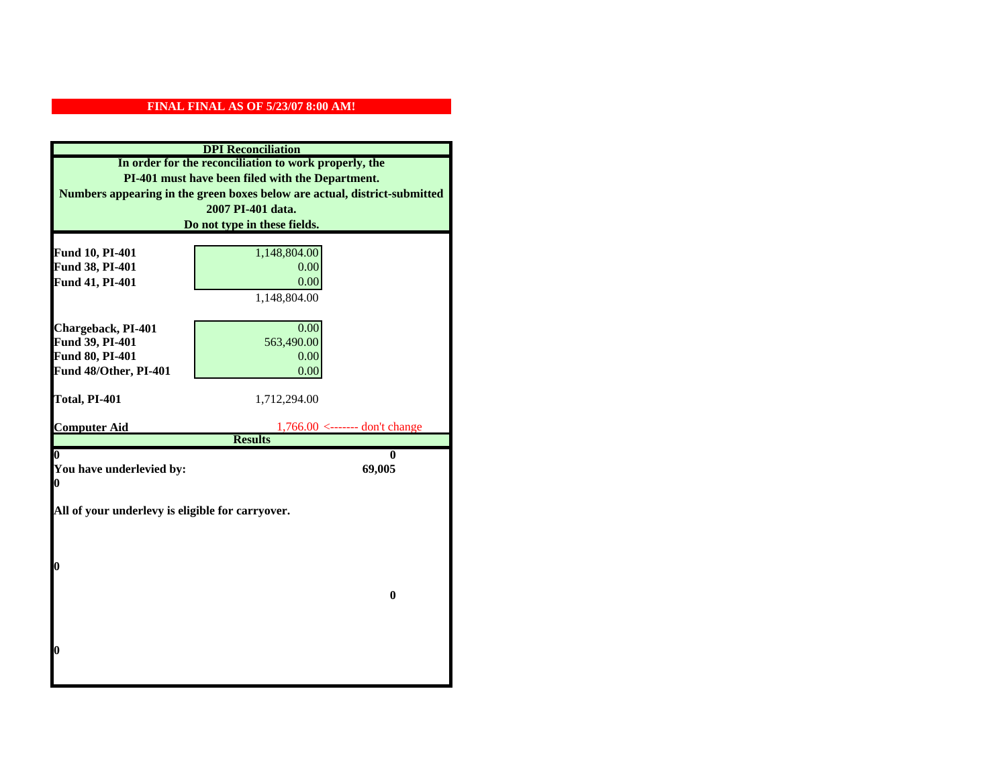| <b>DPI</b> Reconciliation                                                 |                                                       |  |
|---------------------------------------------------------------------------|-------------------------------------------------------|--|
| In order for the reconciliation to work properly, the                     |                                                       |  |
| PI-401 must have been filed with the Department.                          |                                                       |  |
| Numbers appearing in the green boxes below are actual, district-submitted |                                                       |  |
| 2007 PI-401 data.                                                         |                                                       |  |
|                                                                           | Do not type in these fields.                          |  |
|                                                                           |                                                       |  |
| Fund 10, PI-401<br>Fund 38, PI-401                                        | 1,148,804.00<br>0.00                                  |  |
| Fund 41, PI-401                                                           | 0.00                                                  |  |
|                                                                           | 1,148,804.00                                          |  |
|                                                                           |                                                       |  |
| Chargeback, PI-401                                                        | 0.00                                                  |  |
| Fund 39, PI-401                                                           | 563,490.00                                            |  |
| Fund 80, PI-401                                                           | 0.00                                                  |  |
| Fund 48/Other, PI-401                                                     | 0.00                                                  |  |
|                                                                           |                                                       |  |
| Total, PI-401                                                             | 1,712,294.00                                          |  |
|                                                                           |                                                       |  |
| <b>Computer Aid</b>                                                       | $1,766.00 \le$ ------- don't change<br><b>Results</b> |  |
| 0                                                                         | 0                                                     |  |
| You have underlevied by:                                                  | 69,005                                                |  |
| 0                                                                         |                                                       |  |
|                                                                           |                                                       |  |
| All of your underlevy is eligible for carryover.                          |                                                       |  |
|                                                                           |                                                       |  |
|                                                                           |                                                       |  |
| 0                                                                         |                                                       |  |
|                                                                           |                                                       |  |
|                                                                           | $\bf{0}$                                              |  |
|                                                                           |                                                       |  |
|                                                                           |                                                       |  |
|                                                                           |                                                       |  |
| 0                                                                         |                                                       |  |
|                                                                           |                                                       |  |
|                                                                           |                                                       |  |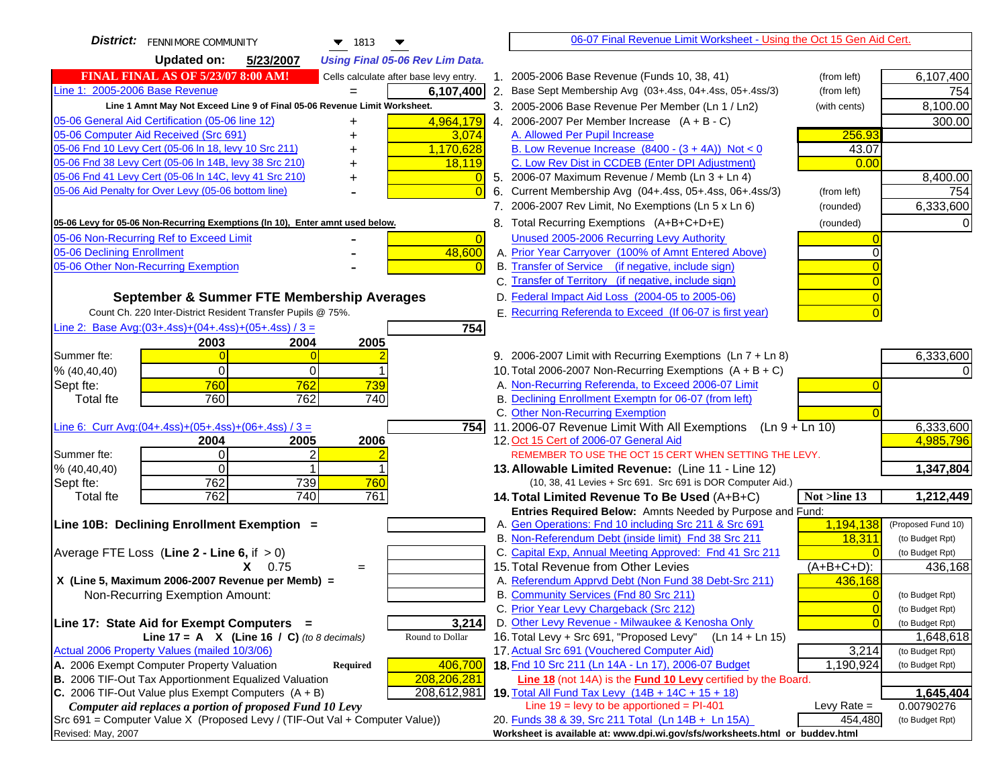| <b>District:</b>   FENNIMORE COMMUNITY<br>$\blacktriangledown$ 1813                                                                              | 06-07 Final Revenue Limit Worksheet - Using the Oct 15 Gen Aid Cert.                               |                |                        |
|--------------------------------------------------------------------------------------------------------------------------------------------------|----------------------------------------------------------------------------------------------------|----------------|------------------------|
| <b>Updated on:</b><br>5/23/2007<br><b>Using Final 05-06 Rev Lim Data.</b>                                                                        |                                                                                                    |                |                        |
| <b>FINAL FINAL AS OF 5/23/07 8:00 AM!</b><br>Cells calculate after base levy entry.                                                              | 1. 2005-2006 Base Revenue (Funds 10, 38, 41)                                                       | (from left)    | 6,107,400              |
| Line 1: 2005-2006 Base Revenue<br>6,107,400                                                                                                      | 2. Base Sept Membership Avg (03+.4ss, 04+.4ss, 05+.4ss/3)                                          | (from left)    | 754                    |
| Line 1 Amnt May Not Exceed Line 9 of Final 05-06 Revenue Limit Worksheet.                                                                        | 3. 2005-2006 Base Revenue Per Member (Ln 1 / Ln2)                                                  | (with cents)   | 8,100.00               |
| 4,964,179<br>05-06 General Aid Certification (05-06 line 12)<br>+                                                                                | 4. 2006-2007 Per Member Increase $(A + B - C)$                                                     |                | 300.00                 |
| 05-06 Computer Aid Received (Src 691)<br>3,074                                                                                                   | A. Allowed Per Pupil Increase                                                                      | 256.93         |                        |
| 05-06 Fnd 10 Levy Cert (05-06 In 18, levy 10 Src 211)<br>1,170,628                                                                               | B. Low Revenue Increase $(8400 - (3 + 4A))$ Not < 0                                                | 43.07          |                        |
| 05-06 Fnd 38 Levy Cert (05-06 In 14B, levy 38 Src 210)<br>18,119                                                                                 | C. Low Rev Dist in CCDEB (Enter DPI Adjustment)                                                    | 0.00           |                        |
| 05-06 Fnd 41 Levy Cert (05-06 In 14C, levy 41 Src 210)<br>$\overline{0}$<br>+                                                                    | 5. 2006-07 Maximum Revenue / Memb (Ln 3 + Ln 4)                                                    |                | 8,400.00               |
| 05-06 Aid Penalty for Over Levy (05-06 bottom line)<br>$\Omega$                                                                                  | 6. Current Membership Avg (04+.4ss, 05+.4ss, 06+.4ss/3)                                            | (from left)    | 754                    |
|                                                                                                                                                  | 7. 2006-2007 Rev Limit, No Exemptions (Ln 5 x Ln 6)                                                | (rounded)      | 6,333,600              |
| 05-06 Levy for 05-06 Non-Recurring Exemptions (In 10), Enter amnt used below.                                                                    | 8. Total Recurring Exemptions (A+B+C+D+E)                                                          | (rounded)      |                        |
| 05-06 Non-Recurring Ref to Exceed Limit<br>$\overline{0}$                                                                                        | Unused 2005-2006 Recurring Levy Authority                                                          |                |                        |
| 48,600<br>05-06 Declining Enrollment                                                                                                             | A. Prior Year Carryover (100% of Amnt Entered Above)                                               |                |                        |
| 05-06 Other Non-Recurring Exemption<br>$\Omega$                                                                                                  | B. Transfer of Service (if negative, include sign)                                                 |                |                        |
|                                                                                                                                                  | C. Transfer of Territory (if negative, include sign)                                               |                |                        |
| September & Summer FTE Membership Averages                                                                                                       | D. Federal Impact Aid Loss (2004-05 to 2005-06)                                                    | $\Omega$       |                        |
| Count Ch. 220 Inter-District Resident Transfer Pupils @ 75%.                                                                                     | E. Recurring Referenda to Exceed (If 06-07 is first year)                                          |                |                        |
| Line 2: Base Avg: (03+.4ss) + (04+.4ss) + (05+.4ss) / 3 =<br>754                                                                                 |                                                                                                    |                |                        |
| 2004<br>2003<br>2005                                                                                                                             |                                                                                                    |                |                        |
| Summer fte:                                                                                                                                      | 9. 2006-2007 Limit with Recurring Exemptions (Ln 7 + Ln 8)                                         |                | 6,333,600              |
| $\mathbf 0$<br>% (40, 40, 40)<br>$\Omega$                                                                                                        | 10. Total 2006-2007 Non-Recurring Exemptions $(A + B + C)$                                         |                |                        |
| 760<br>762<br>739<br>Sept fte:                                                                                                                   | A. Non-Recurring Referenda, to Exceed 2006-07 Limit                                                |                |                        |
| 760<br>762<br>740<br>Total fte                                                                                                                   | B. Declining Enrollment Exemptn for 06-07 (from left)                                              |                |                        |
|                                                                                                                                                  | C. Other Non-Recurring Exemption                                                                   |                |                        |
| Line 6: Curr Avg: $(04+.4ss)+(05+.4ss)+(06+.4ss)/3 =$<br>754 l                                                                                   | 11.2006-07 Revenue Limit With All Exemptions (Ln 9 + Ln 10)                                        |                | 6,333,600<br>4,985,796 |
| 2004<br>2005<br>2006<br>Summer fte:<br>$\Omega$<br>2                                                                                             | 12. Oct 15 Cert of 2006-07 General Aid<br>REMEMBER TO USE THE OCT 15 CERT WHEN SETTING THE LEVY.   |                |                        |
| % (40, 40, 40)<br>$\Omega$                                                                                                                       | 13. Allowable Limited Revenue: (Line 11 - Line 12)                                                 |                | 1,347,804              |
| 762<br>739<br>Sept fte:<br>760                                                                                                                   | (10, 38, 41 Levies + Src 691. Src 691 is DOR Computer Aid.)                                        |                |                        |
| 740<br>762<br>761<br>Total fte                                                                                                                   | 14. Total Limited Revenue To Be Used (A+B+C)                                                       | Not >line 13   | 1,212,449              |
|                                                                                                                                                  | Entries Required Below: Amnts Needed by Purpose and Fund:                                          |                |                        |
| Line 10B: Declining Enrollment Exemption =                                                                                                       | A. Gen Operations: Fnd 10 including Src 211 & Src 691                                              | 1,194,138      | (Proposed Fund 10)     |
|                                                                                                                                                  | B. Non-Referendum Debt (inside limit) Fnd 38 Src 211                                               | 18,311         | (to Budget Rpt)        |
| Average FTE Loss (Line $2 -$ Line 6, if $> 0$ )                                                                                                  | C. Capital Exp, Annual Meeting Approved: Fnd 41 Src 211                                            |                | (to Budget Rpt)        |
| 0.75<br>x.<br>$=$                                                                                                                                | 15. Total Revenue from Other Levies                                                                | $(A+B+C+D)$ :  | 436,168                |
| X (Line 5, Maximum 2006-2007 Revenue per Memb) =                                                                                                 | A. Referendum Apprvd Debt (Non Fund 38 Debt-Src 211)                                               | 436,168        |                        |
| Non-Recurring Exemption Amount:                                                                                                                  | B. Community Services (Fnd 80 Src 211)                                                             | $\Omega$       | (to Budget Rpt)        |
|                                                                                                                                                  | C. Prior Year Levy Chargeback (Src 212)                                                            | $\mathbf{0}$   | (to Budget Rpt)        |
| 3,214<br>Line 17: State Aid for Exempt Computers =                                                                                               | D. Other Levy Revenue - Milwaukee & Kenosha Only                                                   | $\overline{0}$ | (to Budget Rpt)        |
| Line 17 = A $X$ (Line 16 / C) (to 8 decimals)<br>Round to Dollar                                                                                 | 16. Total Levy + Src 691, "Proposed Levy"<br>(Ln 14 + Ln 15)                                       |                | 1,648,618              |
| Actual 2006 Property Values (mailed 10/3/06)                                                                                                     | 17. Actual Src 691 (Vouchered Computer Aid)<br>18. Fnd 10 Src 211 (Ln 14A - Ln 17), 2006-07 Budget | 3,214          | (to Budget Rpt)        |
| A. 2006 Exempt Computer Property Valuation<br>406,700<br><b>Required</b><br>B. 2006 TIF-Out Tax Apportionment Equalized Valuation<br>208,206,281 | Line 18 (not 14A) is the Fund 10 Levy certified by the Board.                                      | 1,190,924      | (to Budget Rpt)        |
| C. 2006 TIF-Out Value plus Exempt Computers $(A + B)$<br>208,612,981                                                                             | 19. Total All Fund Tax Levy (14B + 14C + 15 + 18)                                                  |                | 1,645,404              |
| Computer aid replaces a portion of proposed Fund 10 Levy                                                                                         | Line $19$ = levy to be apportioned = PI-401                                                        | Levy Rate $=$  | 0.00790276             |
| Src 691 = Computer Value X (Proposed Levy / (TIF-Out Val + Computer Value))                                                                      | 20. Funds 38 & 39, Src 211 Total (Ln 14B + Ln 15A)                                                 | 454,480        | (to Budget Rpt)        |
| Revised: May, 2007                                                                                                                               | Worksheet is available at: www.dpi.wi.gov/sfs/worksheets.html or buddev.html                       |                |                        |
|                                                                                                                                                  |                                                                                                    |                |                        |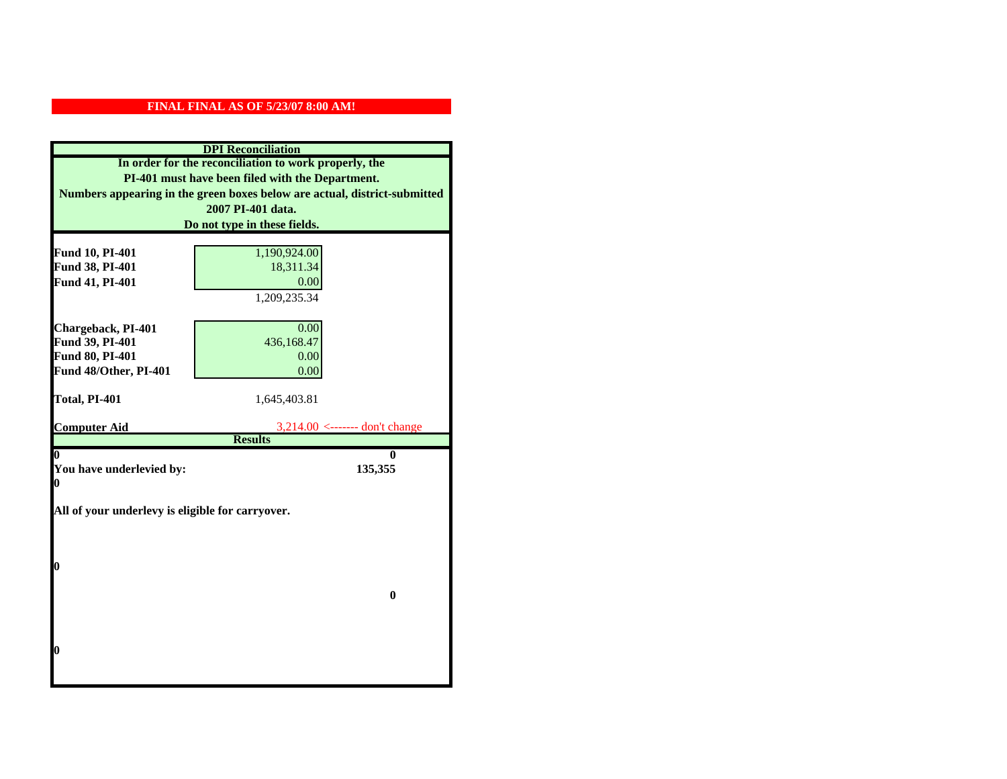| <b>DPI</b> Reconciliation                                                 |                                                    |  |
|---------------------------------------------------------------------------|----------------------------------------------------|--|
| In order for the reconciliation to work properly, the                     |                                                    |  |
| PI-401 must have been filed with the Department.                          |                                                    |  |
| Numbers appearing in the green boxes below are actual, district-submitted |                                                    |  |
|                                                                           | 2007 PI-401 data.                                  |  |
|                                                                           | Do not type in these fields.                       |  |
|                                                                           |                                                    |  |
| Fund 10, PI-401<br>Fund 38, PI-401                                        | 1,190,924.00<br>18,311.34                          |  |
| Fund 41, PI-401                                                           | 0.00                                               |  |
|                                                                           | 1,209,235.34                                       |  |
|                                                                           |                                                    |  |
| Chargeback, PI-401                                                        | 0.00                                               |  |
| Fund 39, PI-401                                                           | 436,168.47                                         |  |
| <b>Fund 80, PI-401</b>                                                    | 0.00                                               |  |
| Fund 48/Other, PI-401                                                     | 0.00                                               |  |
|                                                                           |                                                    |  |
| Total, PI-401                                                             | 1,645,403.81                                       |  |
|                                                                           |                                                    |  |
| <b>Computer Aid</b>                                                       | $3,214.00$ <------- don't change<br><b>Results</b> |  |
| 0                                                                         | 0                                                  |  |
| You have underlevied by:                                                  | 135,355                                            |  |
| 0                                                                         |                                                    |  |
|                                                                           |                                                    |  |
| All of your underlevy is eligible for carryover.                          |                                                    |  |
|                                                                           |                                                    |  |
|                                                                           |                                                    |  |
|                                                                           |                                                    |  |
| 0                                                                         |                                                    |  |
|                                                                           | $\bf{0}$                                           |  |
|                                                                           |                                                    |  |
|                                                                           |                                                    |  |
|                                                                           |                                                    |  |
| 0                                                                         |                                                    |  |
|                                                                           |                                                    |  |
|                                                                           |                                                    |  |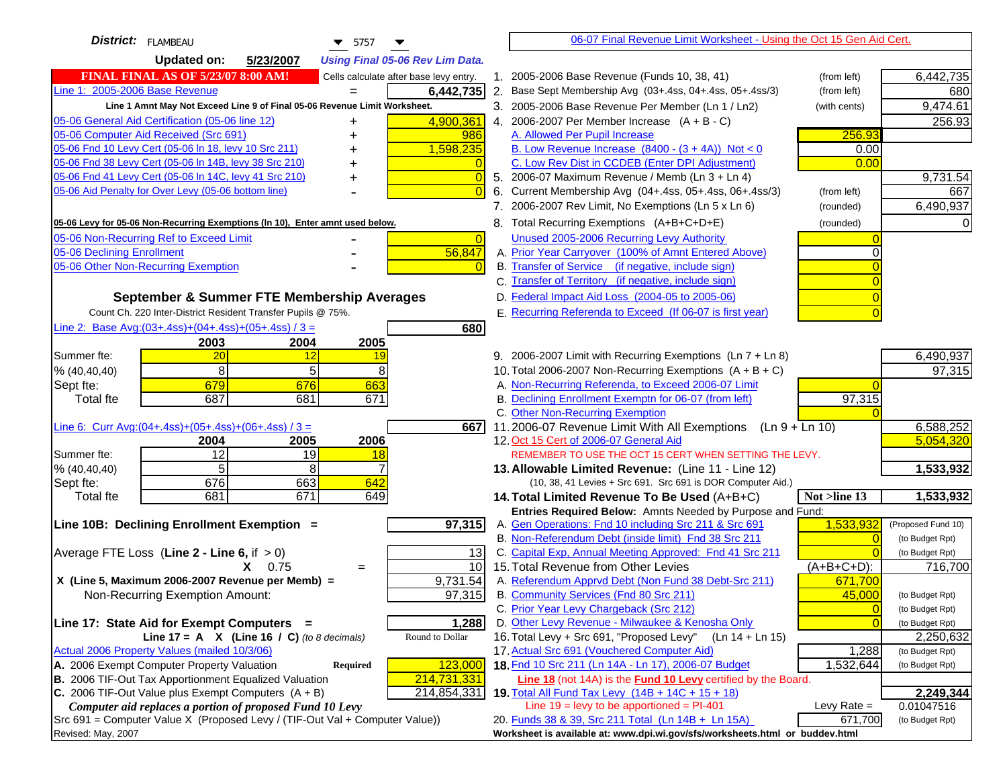| District:   FLAMBEAU<br>$\blacktriangledown$ 5757                                   |                | 06-07 Final Revenue Limit Worksheet - Using the Oct 15 Gen Aid Cert.                                               |                |                    |
|-------------------------------------------------------------------------------------|----------------|--------------------------------------------------------------------------------------------------------------------|----------------|--------------------|
| <b>Updated on:</b><br>5/23/2007<br><b>Using Final 05-06 Rev Lim Data.</b>           |                |                                                                                                                    |                |                    |
| <b>FINAL FINAL AS OF 5/23/07 8:00 AM!</b><br>Cells calculate after base levy entry. |                | 1. 2005-2006 Base Revenue (Funds 10, 38, 41)                                                                       | (from left)    | 6,442,735          |
| Line 1: 2005-2006 Base Revenue<br>6,442,735                                         |                | 2. Base Sept Membership Avg (03+.4ss, 04+.4ss, 05+.4ss/3)                                                          | (from left)    | 680                |
| Line 1 Amnt May Not Exceed Line 9 of Final 05-06 Revenue Limit Worksheet.           |                | 3. 2005-2006 Base Revenue Per Member (Ln 1 / Ln2)                                                                  | (with cents)   | 9,474.61           |
| 4,900,361<br>05-06 General Aid Certification (05-06 line 12)<br>+                   |                | 4. 2006-2007 Per Member Increase $(A + B - C)$                                                                     |                | 256.93             |
| 05-06 Computer Aid Received (Src 691)<br>986<br>+                                   |                | A. Allowed Per Pupil Increase                                                                                      | 256.93         |                    |
| 05-06 Fnd 10 Levy Cert (05-06 In 18, levy 10 Src 211)<br>1,598,235                  |                | B. Low Revenue Increase $(8400 - (3 + 4A))$ Not < 0                                                                | 0.00           |                    |
| 05-06 Fnd 38 Levy Cert (05-06 In 14B, levy 38 Src 210)                              |                | C. Low Rev Dist in CCDEB (Enter DPI Adjustment)                                                                    | 0.00           |                    |
| 05-06 Fnd 41 Levy Cert (05-06 In 14C, levy 41 Src 210)<br>+                         |                | 5. 2006-07 Maximum Revenue / Memb (Ln 3 + Ln 4)                                                                    |                | 9,731.54           |
| 05-06 Aid Penalty for Over Levy (05-06 bottom line)                                 | 6.             | Current Membership Avg (04+.4ss, 05+.4ss, 06+.4ss/3)                                                               | (from left)    | 667                |
|                                                                                     |                | 7. 2006-2007 Rev Limit, No Exemptions (Ln 5 x Ln 6)                                                                | (rounded)      | 6,490,937          |
| 05-06 Levy for 05-06 Non-Recurring Exemptions (In 10), Enter amnt used below.       |                | 8. Total Recurring Exemptions (A+B+C+D+E)                                                                          | (rounded)      |                    |
| 05-06 Non-Recurring Ref to Exceed Limit                                             | $\overline{0}$ | Unused 2005-2006 Recurring Levy Authority                                                                          |                |                    |
| 05-06 Declining Enrollment<br>56,847                                                |                | A. Prior Year Carryover (100% of Amnt Entered Above)                                                               |                |                    |
| 05-06 Other Non-Recurring Exemption                                                 |                | B. Transfer of Service (if negative, include sign)                                                                 |                |                    |
|                                                                                     |                | C. Transfer of Territory (if negative, include sign)                                                               |                |                    |
| September & Summer FTE Membership Averages                                          |                | D. Federal Impact Aid Loss (2004-05 to 2005-06)                                                                    |                |                    |
| Count Ch. 220 Inter-District Resident Transfer Pupils @ 75%.                        |                | E. Recurring Referenda to Exceed (If 06-07 is first year)                                                          |                |                    |
| Line 2: Base Avg: $(03+.4ss)+(04+.4ss)+(05+.4ss)/3 =$<br>680                        |                |                                                                                                                    |                |                    |
| 2003<br>2004<br>2005                                                                |                |                                                                                                                    |                |                    |
| Summer fte:<br>20<br>12<br>19                                                       |                | 9. 2006-2007 Limit with Recurring Exemptions (Ln 7 + Ln 8)                                                         |                | 6,490,937          |
| 8<br>5<br>8<br>% (40, 40, 40)                                                       |                | 10. Total 2006-2007 Non-Recurring Exemptions $(A + B + C)$                                                         |                | 97,315             |
| 679<br>676<br>663<br>Sept fte:                                                      |                | A. Non-Recurring Referenda, to Exceed 2006-07 Limit                                                                |                |                    |
| 687<br>681<br>671<br><b>Total fte</b>                                               |                | B. Declining Enrollment Exemptn for 06-07 (from left)                                                              | 97,315         |                    |
|                                                                                     |                | C. Other Non-Recurring Exemption                                                                                   |                |                    |
| Line 6: Curr Avg: $(04+.4ss)+(05+.4ss)+(06+.4ss)/3 =$                               | 6671           | 11.2006-07 Revenue Limit With All Exemptions (Ln $9 + \overline{\text{Ln }10}$ )                                   |                | 6,588,252          |
| 2006<br>2004<br>2005                                                                |                | 12. Oct 15 Cert of 2006-07 General Aid                                                                             |                | 5,054,320          |
| 12<br>Summer fte:<br>19<br>18                                                       |                | REMEMBER TO USE THE OCT 15 CERT WHEN SETTING THE LEVY.                                                             |                |                    |
| 5<br>8<br>% (40, 40, 40)                                                            |                | 13. Allowable Limited Revenue: (Line 11 - Line 12)                                                                 |                | 1,533,932          |
| 676<br>663<br>642<br>Sept fte:                                                      |                | (10, 38, 41 Levies + Src 691. Src 691 is DOR Computer Aid.)                                                        |                |                    |
| 681<br>649<br><b>Total fte</b><br>671                                               |                | 14. Total Limited Revenue To Be Used (A+B+C)                                                                       | Not >line 13   | 1,533,932          |
| 97,315<br>Line 10B: Declining Enrollment Exemption =                                |                | Entries Required Below: Amnts Needed by Purpose and Fund:<br>A. Gen Operations: Fnd 10 including Src 211 & Src 691 | 1,533,932      | (Proposed Fund 10) |
|                                                                                     |                | B. Non-Referendum Debt (inside limit) Fnd 38 Src 211                                                               | $\sqrt{ }$     | (to Budget Rpt)    |
| Average FTE Loss (Line $2 -$ Line 6, if $> 0$ )                                     | 13             | C. Capital Exp, Annual Meeting Approved: Fnd 41 Src 211                                                            |                | (to Budget Rpt)    |
| $X = 0.75$<br>$=$                                                                   | 10             | 15. Total Revenue from Other Levies                                                                                | $(A+B+C+D)$ :  | 716,700            |
| X (Line 5, Maximum 2006-2007 Revenue per Memb) =<br>9,731.54                        |                | A. Referendum Apprvd Debt (Non Fund 38 Debt-Src 211)                                                               | 671,700        |                    |
| Non-Recurring Exemption Amount:<br>97,315                                           |                | B. Community Services (Fnd 80 Src 211)                                                                             | 45,000         | (to Budget Rpt)    |
|                                                                                     |                | C. Prior Year Levy Chargeback (Src 212)                                                                            | $\overline{0}$ | (to Budget Rpt)    |
| 1,288<br>Line 17: State Aid for Exempt Computers =                                  |                | D. Other Levy Revenue - Milwaukee & Kenosha Only                                                                   |                | (to Budget Rpt)    |
| Line 17 = A $X$ (Line 16 / C) (to 8 decimals)<br>Round to Dollar                    |                | 16. Total Levy + Src 691, "Proposed Levy"<br>(Ln 14 + Ln 15)                                                       |                | 2,250,632          |
| Actual 2006 Property Values (mailed 10/3/06)                                        |                | 17. Actual Src 691 (Vouchered Computer Aid)                                                                        | 1,288          | (to Budget Rpt)    |
| A. 2006 Exempt Computer Property Valuation<br>123,000<br>Required                   |                | 18. Fnd 10 Src 211 (Ln 14A - Ln 17), 2006-07 Budget                                                                | 1,532,644      | (to Budget Rpt)    |
| B. 2006 TIF-Out Tax Apportionment Equalized Valuation<br>214,731,331                |                | <b>Line 18</b> (not 14A) is the <b>Fund 10 Levy</b> certified by the Board.                                        |                |                    |
| C. 2006 TIF-Out Value plus Exempt Computers $(A + B)$<br>214,854,331                |                | 19. Total All Fund Tax Levy (14B + 14C + 15 + 18)                                                                  |                | 2,249,344          |
| Computer aid replaces a portion of proposed Fund 10 Levy                            |                | Line $19 = \text{levy}$ to be apportioned = PI-401                                                                 | Levy Rate $=$  | 0.01047516         |
| Src 691 = Computer Value X (Proposed Levy / (TIF-Out Val + Computer Value))         |                | 20. Funds 38 & 39, Src 211 Total (Ln 14B + Ln 15A)                                                                 | 671,700        | (to Budget Rpt)    |
| Revised: May, 2007                                                                  |                | Worksheet is available at: www.dpi.wi.gov/sfs/worksheets.html or buddev.html                                       |                |                    |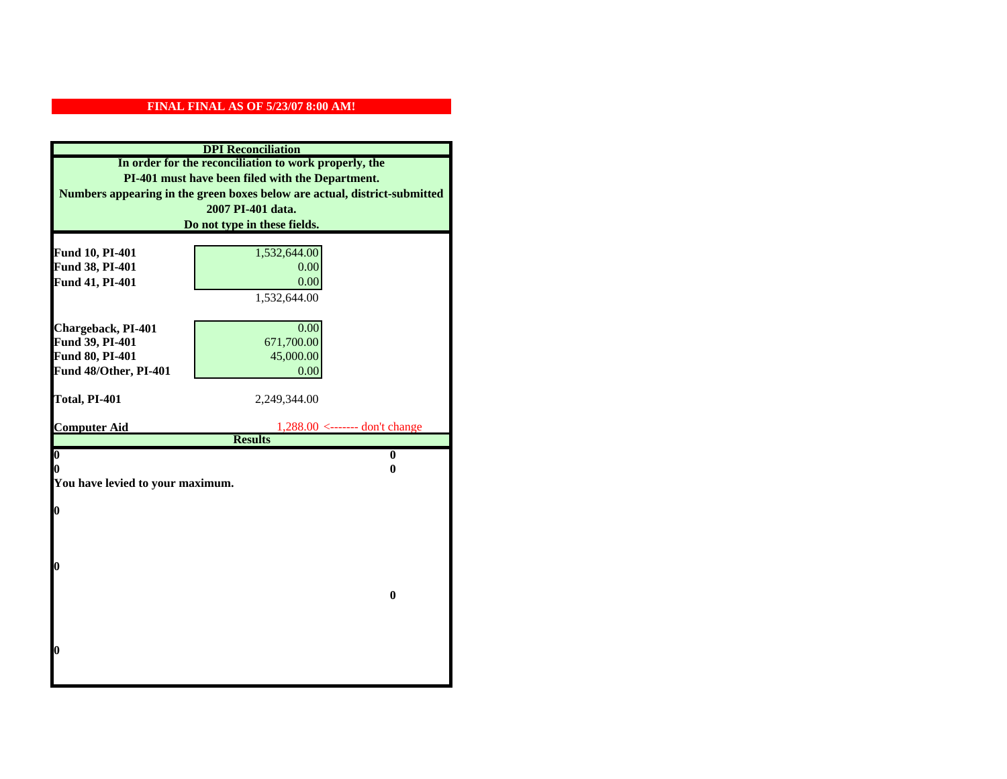| Numbers appearing in the green boxes below are actual, district-submitted | In order for the reconciliation to work properly, the<br>PI-401 must have been filed with the Department. |
|---------------------------------------------------------------------------|-----------------------------------------------------------------------------------------------------------|
|                                                                           |                                                                                                           |
|                                                                           |                                                                                                           |
|                                                                           |                                                                                                           |
|                                                                           | 2007 PI-401 data.                                                                                         |
|                                                                           | Do not type in these fields.                                                                              |
|                                                                           |                                                                                                           |
| Fund 10, PI-401                                                           | 1,532,644.00                                                                                              |
| Fund 38, PI-401                                                           | 0.00                                                                                                      |
| Fund 41, PI-401                                                           | 0.00                                                                                                      |
|                                                                           | 1,532,644.00                                                                                              |
|                                                                           |                                                                                                           |
| Chargeback, PI-401                                                        | 0.00                                                                                                      |
| Fund 39, PI-401                                                           | 671,700.00                                                                                                |
| Fund 80, PI-401                                                           | 45,000.00                                                                                                 |
| Fund 48/Other, PI-401                                                     | 0.00                                                                                                      |
| Total, PI-401                                                             | 2,249,344.00                                                                                              |
|                                                                           |                                                                                                           |
| <b>Computer Aid</b>                                                       | $1,288.00 \le$ ------- don't change                                                                       |
|                                                                           | <b>Results</b>                                                                                            |
| $\overline{\mathbf{0}}$                                                   | $\mathbf{0}$                                                                                              |
| 0                                                                         | 0                                                                                                         |
| You have levied to your maximum.                                          |                                                                                                           |
| $\bf{0}$                                                                  |                                                                                                           |
|                                                                           |                                                                                                           |
|                                                                           |                                                                                                           |
|                                                                           |                                                                                                           |
| 0                                                                         |                                                                                                           |
|                                                                           |                                                                                                           |
|                                                                           |                                                                                                           |
|                                                                           |                                                                                                           |
|                                                                           |                                                                                                           |
|                                                                           |                                                                                                           |
|                                                                           |                                                                                                           |
| 0                                                                         |                                                                                                           |
|                                                                           | $\bf{0}$                                                                                                  |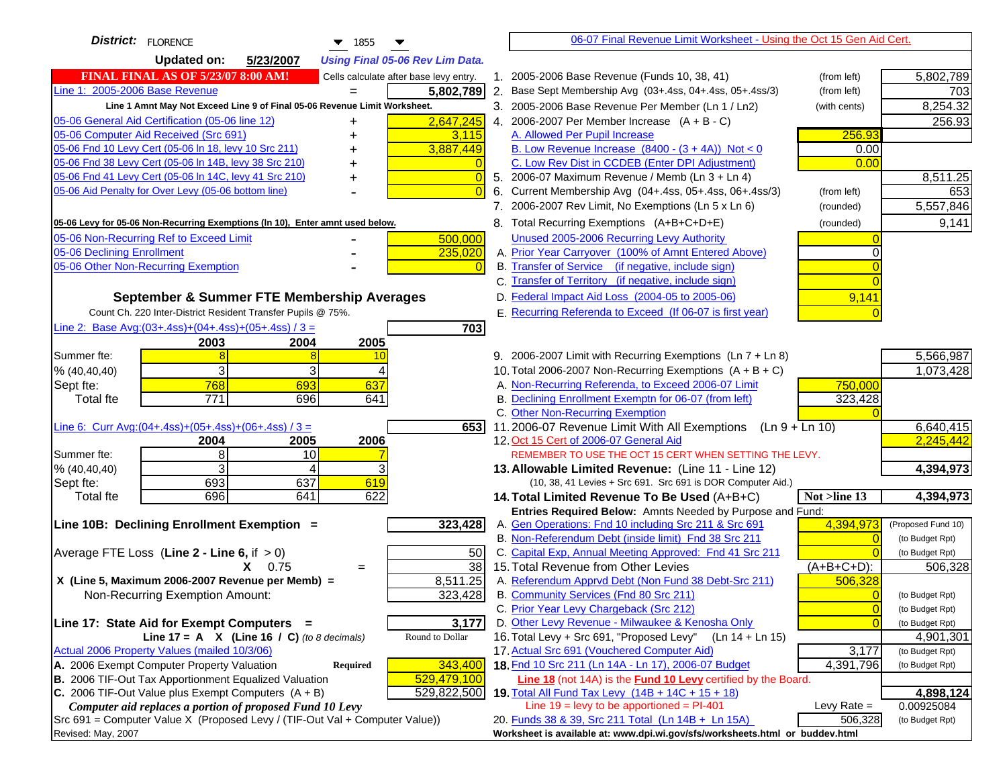| District: FLORENCE<br>$\blacktriangledown$ 1855<br>▼                                                             | 06-07 Final Revenue Limit Worksheet - Using the Oct 15 Gen Aid Cert.                                                       |                                    |
|------------------------------------------------------------------------------------------------------------------|----------------------------------------------------------------------------------------------------------------------------|------------------------------------|
| <b>Updated on:</b><br>5/23/2007<br><b>Using Final 05-06 Rev Lim Data.</b>                                        |                                                                                                                            |                                    |
| <b>FINAL FINAL AS OF 5/23/07 8:00 AM!</b><br>Cells calculate after base levy entry.                              | 1. 2005-2006 Base Revenue (Funds 10, 38, 41)<br>(from left)                                                                | 5,802,789                          |
| Line 1: 2005-2006 Base Revenue<br>5,802,789<br>$=$                                                               | 2. Base Sept Membership Avg (03+.4ss, 04+.4ss, 05+.4ss/3)<br>(from left)                                                   | 703                                |
| Line 1 Amnt May Not Exceed Line 9 of Final 05-06 Revenue Limit Worksheet.                                        | 3. 2005-2006 Base Revenue Per Member (Ln 1 / Ln2)<br>(with cents)                                                          | 8,254.32                           |
| 05-06 General Aid Certification (05-06 line 12)<br>2,647,245<br>+                                                | 4. 2006-2007 Per Member Increase $(A + B - C)$                                                                             | 256.93                             |
| 05-06 Computer Aid Received (Src 691)<br>3,115                                                                   | 256.93<br>A. Allowed Per Pupil Increase                                                                                    |                                    |
| 3,887,449<br>05-06 Fnd 10 Levy Cert (05-06 In 18, levy 10 Src 211)                                               | B. Low Revenue Increase $(8400 - (3 + 4A))$ Not < 0<br>0.00                                                                |                                    |
| 05-06 Fnd 38 Levy Cert (05-06 In 14B, levy 38 Src 210)                                                           | C. Low Rev Dist in CCDEB (Enter DPI Adjustment)<br>0.00                                                                    |                                    |
| 05-06 Fnd 41 Levy Cert (05-06 In 14C, levy 41 Src 210)                                                           | 5. 2006-07 Maximum Revenue / Memb (Ln $3 + \text{Ln } 4$ )                                                                 | 8,511.25                           |
| 05-06 Aid Penalty for Over Levy (05-06 bottom line)                                                              | 6. Current Membership Avg (04+.4ss, 05+.4ss, 06+.4ss/3)<br>(from left)                                                     | 653                                |
|                                                                                                                  | 7. 2006-2007 Rev Limit, No Exemptions (Ln 5 x Ln 6)<br>(rounded)                                                           | 5,557,846                          |
| 05-06 Levy for 05-06 Non-Recurring Exemptions (In 10), Enter amnt used below.                                    | 8. Total Recurring Exemptions (A+B+C+D+E)<br>(rounded)                                                                     | 9,141                              |
| 05-06 Non-Recurring Ref to Exceed Limit<br>500,000                                                               | Unused 2005-2006 Recurring Levy Authority                                                                                  |                                    |
| 05-06 Declining Enrollment<br>235,020                                                                            | A. Prior Year Carryover (100% of Amnt Entered Above)                                                                       |                                    |
| 05-06 Other Non-Recurring Exemption                                                                              | B. Transfer of Service (if negative, include sign)                                                                         |                                    |
|                                                                                                                  | C. Transfer of Territory (if negative, include sign)                                                                       |                                    |
| September & Summer FTE Membership Averages                                                                       | D. Federal Impact Aid Loss (2004-05 to 2005-06)<br>9,141                                                                   |                                    |
| Count Ch. 220 Inter-District Resident Transfer Pupils @ 75%.                                                     | E. Recurring Referenda to Exceed (If 06-07 is first year)                                                                  |                                    |
| Line 2: Base Avg:(03+.4ss)+(04+.4ss)+(05+.4ss) / 3 =<br>703                                                      |                                                                                                                            |                                    |
| 2003<br>2004<br>2005                                                                                             |                                                                                                                            |                                    |
| Summer fte:<br>8<br>10                                                                                           | 9. 2006-2007 Limit with Recurring Exemptions (Ln 7 + Ln 8)                                                                 | 5,566,987                          |
| 3<br>3<br>% (40, 40, 40)                                                                                         | 10. Total 2006-2007 Non-Recurring Exemptions $(A + B + C)$                                                                 | 1,073,428                          |
| 768<br>Sept fte:<br>693<br>637                                                                                   | A. Non-Recurring Referenda, to Exceed 2006-07 Limit<br>750,000                                                             |                                    |
| 771<br>696<br>641<br><b>Total fte</b>                                                                            | B. Declining Enrollment Exemptn for 06-07 (from left)<br>323,428                                                           |                                    |
|                                                                                                                  | C. Other Non-Recurring Exemption                                                                                           |                                    |
| <u>Line 6: Curr Avg: (04+.4ss)+ (05+.4ss)+ (06+.4ss) / 3 =</u><br>6531                                           | 11.2006-07 Revenue Limit With All Exemptions (Ln $9 + \overline{\text{Ln }10}$ )<br>12. Oct 15 Cert of 2006-07 General Aid | 6,640,415<br>2,245,442             |
| 2005<br>2006<br>2004<br>8 <sup>1</sup><br>10<br>Summer fte:                                                      | REMEMBER TO USE THE OCT 15 CERT WHEN SETTING THE LEVY.                                                                     |                                    |
| 3<br>% (40, 40, 40)<br>4                                                                                         | 13. Allowable Limited Revenue: (Line 11 - Line 12)                                                                         | 4,394,973                          |
| 619<br>693<br>637<br>Sept fte:                                                                                   | (10, 38, 41 Levies + Src 691. Src 691 is DOR Computer Aid.)                                                                |                                    |
| 641<br>622<br>696<br><b>Total fte</b>                                                                            | 14. Total Limited Revenue To Be Used (A+B+C)<br>Not >line 13                                                               | 4,394,973                          |
|                                                                                                                  | Entries Required Below: Amnts Needed by Purpose and Fund:                                                                  |                                    |
| Line 10B: Declining Enrollment Exemption =<br>323,428                                                            | 4,394,973<br>A. Gen Operations: Fnd 10 including Src 211 & Src 691                                                         | (Proposed Fund 10)                 |
|                                                                                                                  | B. Non-Referendum Debt (inside limit) Fnd 38 Src 211<br>$\Omega$                                                           | (to Budget Rpt)                    |
| Average FTE Loss (Line $2 -$ Line 6, if $> 0$ )<br>50                                                            | C. Capital Exp, Annual Meeting Approved: Fnd 41 Src 211                                                                    | (to Budget Rpt)                    |
| 38<br>$X = 0.75$<br>$=$                                                                                          | 15. Total Revenue from Other Levies<br>(A+B+C+D):                                                                          | 506,328                            |
| X (Line 5, Maximum 2006-2007 Revenue per Memb) =<br>8,511.25                                                     | A. Referendum Apprvd Debt (Non Fund 38 Debt-Src 211)<br>506,328                                                            |                                    |
| 323,428<br>Non-Recurring Exemption Amount:                                                                       | B. Community Services (Fnd 80 Src 211)<br>$\Omega$                                                                         | (to Budget Rpt)                    |
|                                                                                                                  | C. Prior Year Levy Chargeback (Src 212)<br>$\overline{0}$                                                                  | (to Budget Rpt)                    |
| 3,177<br>Line 17: State Aid for Exempt Computers =                                                               | D. Other Levy Revenue - Milwaukee & Kenosha Only<br>16. Total Levy + Src 691, "Proposed Levy"                              | (to Budget Rpt)                    |
| Round to Dollar<br>Line 17 = A $X$ (Line 16 / C) (to 8 decimals)<br>Actual 2006 Property Values (mailed 10/3/06) | $(Ln 14 + Ln 15)$<br>17. Actual Src 691 (Vouchered Computer Aid)                                                           | 4,901,301                          |
| A. 2006 Exempt Computer Property Valuation<br>343,400<br>Required                                                | 3,177<br>18. Fnd 10 Src 211 (Ln 14A - Ln 17), 2006-07 Budget<br>4,391,796                                                  | (to Budget Rpt)<br>(to Budget Rpt) |
| B. 2006 TIF-Out Tax Apportionment Equalized Valuation<br>529,479,100                                             | Line 18 (not 14A) is the <b>Fund 10 Levy</b> certified by the Board.                                                       |                                    |
| C. 2006 TIF-Out Value plus Exempt Computers $(A + B)$<br>529,822,500                                             | 19. Total All Fund Tax Levy (14B + 14C + 15 + 18)                                                                          | 4,898,124                          |
| Computer aid replaces a portion of proposed Fund 10 Levy                                                         | Line $19 = \text{levy}$ to be apportioned = PI-401<br>Levy Rate $=$                                                        | 0.00925084                         |
| Src 691 = Computer Value X (Proposed Levy / (TIF-Out Val + Computer Value))                                      | 20. Funds 38 & 39, Src 211 Total (Ln 14B + Ln 15A)<br>506,328                                                              | (to Budget Rpt)                    |
| Revised: May, 2007                                                                                               | Worksheet is available at: www.dpi.wi.gov/sfs/worksheets.html or buddev.html                                               |                                    |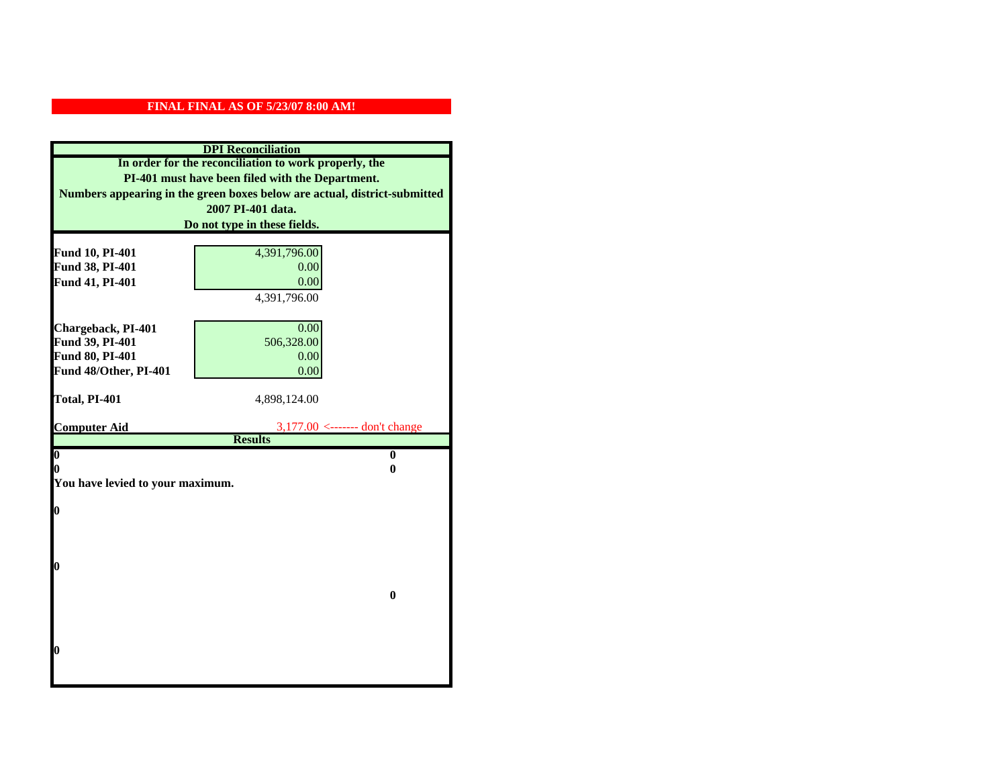|                                    | <b>DPI</b> Reconciliation                                                 |
|------------------------------------|---------------------------------------------------------------------------|
|                                    | In order for the reconciliation to work properly, the                     |
|                                    | PI-401 must have been filed with the Department.                          |
|                                    | Numbers appearing in the green boxes below are actual, district-submitted |
|                                    | 2007 PI-401 data.                                                         |
|                                    | Do not type in these fields.                                              |
|                                    |                                                                           |
| Fund 10, PI-401<br>Fund 38, PI-401 | 4,391,796.00<br>0.00                                                      |
| Fund 41, PI-401                    | 0.00                                                                      |
|                                    | 4,391,796.00                                                              |
|                                    |                                                                           |
| Chargeback, PI-401                 | 0.00                                                                      |
| Fund 39, PI-401                    | 506,328.00                                                                |
| Fund 80, PI-401                    | 0.00                                                                      |
| Fund 48/Other, PI-401              | 0.00                                                                      |
|                                    |                                                                           |
| Total, PI-401                      | 4,898,124.00                                                              |
|                                    |                                                                           |
| <b>Computer Aid</b>                | $3,177.00$ <------- don't change<br><b>Results</b>                        |
| $\boldsymbol{0}$                   | $\bf{0}$                                                                  |
| 0                                  | 0                                                                         |
| You have levied to your maximum.   |                                                                           |
|                                    |                                                                           |
| 0                                  |                                                                           |
|                                    |                                                                           |
|                                    |                                                                           |
| 0                                  |                                                                           |
|                                    |                                                                           |
|                                    | $\bf{0}$                                                                  |
|                                    |                                                                           |
|                                    |                                                                           |
|                                    |                                                                           |
| 0                                  |                                                                           |
|                                    |                                                                           |
|                                    |                                                                           |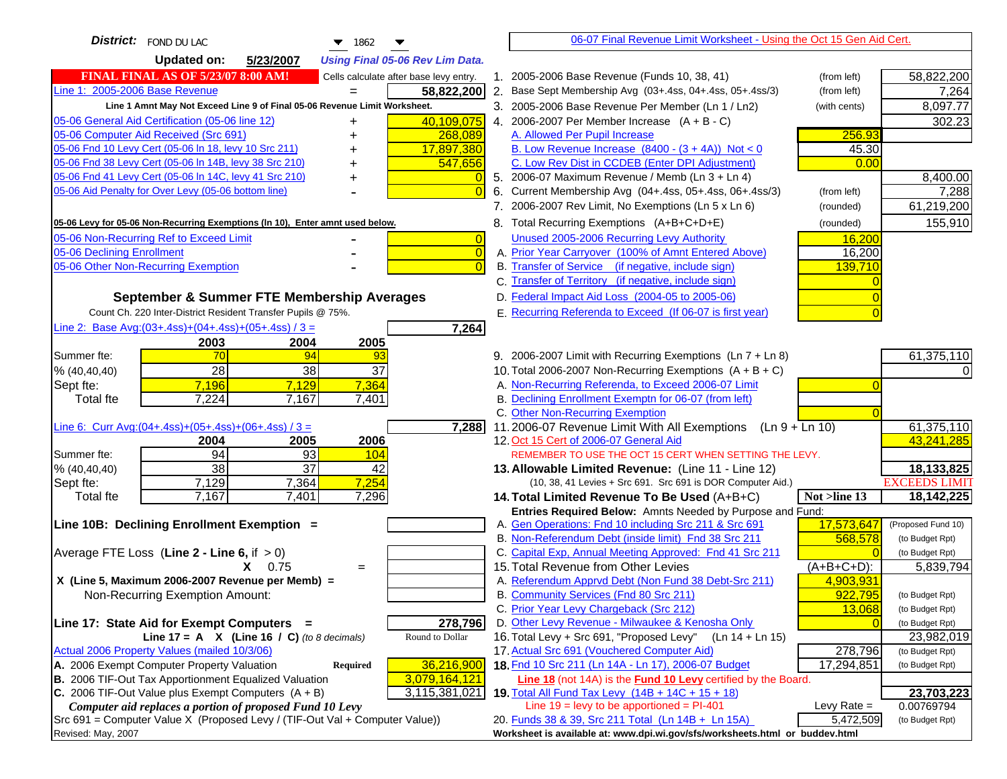| <b>District:</b> FOND DU LAC<br>▼<br>1862                                                     | 06-07 Final Revenue Limit Worksheet - Using the Oct 15 Gen Aid Cert.                                               |                                              |
|-----------------------------------------------------------------------------------------------|--------------------------------------------------------------------------------------------------------------------|----------------------------------------------|
| <b>Updated on:</b><br>5/23/2007<br><b>Using Final 05-06 Rev Lim Data.</b>                     |                                                                                                                    |                                              |
| <b>FINAL FINAL AS OF 5/23/07 8:00 AM!</b><br>Cells calculate after base levy entry.           | 1. 2005-2006 Base Revenue (Funds 10, 38, 41)                                                                       | 58,822,200<br>(from left)                    |
| Line 1: 2005-2006 Base Revenue<br>58,822,200                                                  | 2. Base Sept Membership Avg (03+.4ss, 04+.4ss, 05+.4ss/3)                                                          | (from left)<br>7,264                         |
| Line 1 Amnt May Not Exceed Line 9 of Final 05-06 Revenue Limit Worksheet.                     | 3. 2005-2006 Base Revenue Per Member (Ln 1 / Ln2)                                                                  | 8,097.77<br>(with cents)                     |
| 05-06 General Aid Certification (05-06 line 12)<br>40,109,075<br>+                            | 4. 2006-2007 Per Member Increase $(A + B - C)$                                                                     | 302.23                                       |
| 05-06 Computer Aid Received (Src 691)<br>268,089                                              | A. Allowed Per Pupil Increase                                                                                      | 256.93                                       |
| 05-06 Fnd 10 Levy Cert (05-06 ln 18, levy 10 Src 211)<br>17,897,380                           | B. Low Revenue Increase $(8400 - (3 + 4A))$ Not < 0                                                                | 45.30                                        |
| 05-06 Fnd 38 Levy Cert (05-06 In 14B, levy 38 Src 210)<br>547,656                             | C. Low Rev Dist in CCDEB (Enter DPI Adjustment)                                                                    | 0.00                                         |
| 05-06 Fnd 41 Levy Cert (05-06 In 14C, levy 41 Src 210)                                        | 5. 2006-07 Maximum Revenue / Memb (Ln 3 + Ln 4)                                                                    | 8,400.00                                     |
| 05-06 Aid Penalty for Over Levy (05-06 bottom line)<br>$\Omega$                               | Current Membership Avg (04+.4ss, 05+.4ss, 06+.4ss/3)<br>6.                                                         | 7,288<br>(from left)                         |
|                                                                                               | 7. 2006-2007 Rev Limit, No Exemptions (Ln 5 x Ln 6)                                                                | 61,219,200<br>(rounded)                      |
| 05-06 Levy for 05-06 Non-Recurring Exemptions (In 10), Enter amnt used below.                 | 8. Total Recurring Exemptions (A+B+C+D+E)                                                                          | 155,910<br>(rounded)                         |
| 05-06 Non-Recurring Ref to Exceed Limit<br>$\overline{0}$                                     | Unused 2005-2006 Recurring Levy Authority                                                                          | 16,200                                       |
| 05-06 Declining Enrollment<br>$\overline{0}$                                                  | A. Prior Year Carryover (100% of Amnt Entered Above)                                                               | 16,200                                       |
| 05-06 Other Non-Recurring Exemption<br>$\Omega$                                               | B. Transfer of Service (if negative, include sign)                                                                 | 139,710                                      |
|                                                                                               | C. Transfer of Territory (if negative, include sign)                                                               |                                              |
| September & Summer FTE Membership Averages                                                    | D. Federal Impact Aid Loss (2004-05 to 2005-06)                                                                    |                                              |
| Count Ch. 220 Inter-District Resident Transfer Pupils @ 75%.                                  | E. Recurring Referenda to Exceed (If 06-07 is first year)                                                          |                                              |
| Line 2: Base Avg:(03+.4ss)+(04+.4ss)+(05+.4ss) / 3 =<br>7,264                                 |                                                                                                                    |                                              |
| 2003<br>2004<br>2005                                                                          |                                                                                                                    |                                              |
| 70<br>94<br>Summer fte:<br>93                                                                 | 9. 2006-2007 Limit with Recurring Exemptions (Ln 7 + Ln 8)                                                         | 61,375,110                                   |
| 28<br>38<br>37<br>% (40, 40, 40)                                                              | 10. Total 2006-2007 Non-Recurring Exemptions (A + B + C)                                                           |                                              |
| 7,364<br>7,196<br>7,129<br>Sept fte:                                                          | A. Non-Recurring Referenda, to Exceed 2006-07 Limit                                                                |                                              |
| 7,224<br>7,167<br>7,401<br><b>Total fte</b>                                                   | B. Declining Enrollment Exemptn for 06-07 (from left)                                                              |                                              |
|                                                                                               | C. Other Non-Recurring Exemption                                                                                   |                                              |
| Line 6: Curr Avg: $(04+.4ss)+(05+.4ss)+(06+.4ss)/3=$<br>7,288<br>2005<br>2006<br>2004         | 11.2006-07 Revenue Limit With All Exemptions<br>12. Oct 15 Cert of 2006-07 General Aid                             | 61,375,110<br>$(Ln 9 + Ln 10)$<br>43,241,285 |
| 94<br>93<br>104<br>Summer fte:                                                                | REMEMBER TO USE THE OCT 15 CERT WHEN SETTING THE LEVY.                                                             |                                              |
| $\overline{38}$<br>$\overline{37}$<br>42<br>% (40, 40, 40)                                    | 13. Allowable Limited Revenue: (Line 11 - Line 12)                                                                 | 18,133,825                                   |
| 7,254<br>7,129<br>7,364<br>Sept fte:                                                          | (10, 38, 41 Levies + Src 691. Src 691 is DOR Computer Aid.)                                                        | <b>EXCEEDS LIMIT</b>                         |
| 7,167<br>7,296<br>7,401<br><b>Total fte</b>                                                   | 14. Total Limited Revenue To Be Used (A+B+C)                                                                       | 18,142,225<br>Not >line 13                   |
|                                                                                               | Entries Required Below: Amnts Needed by Purpose and Fund:                                                          |                                              |
| Line 10B: Declining Enrollment Exemption =                                                    | A. Gen Operations: Fnd 10 including Src 211 & Src 691                                                              | 17,573,647<br>(Proposed Fund 10)             |
|                                                                                               | B. Non-Referendum Debt (inside limit) Fnd 38 Src 211                                                               | 568,578<br>(to Budget Rpt)                   |
| Average FTE Loss (Line $2 -$ Line 6, if $> 0$ )                                               | C. Capital Exp, Annual Meeting Approved: Fnd 41 Src 211                                                            | (to Budget Rpt)                              |
| $X = 0.75$<br>$=$                                                                             | 15. Total Revenue from Other Levies                                                                                | $(A+B+C+D)$ :<br>5,839,794                   |
| X (Line 5, Maximum 2006-2007 Revenue per Memb) =                                              | A. Referendum Apprvd Debt (Non Fund 38 Debt-Src 211)                                                               | 4,903,931                                    |
| Non-Recurring Exemption Amount:                                                               | B. Community Services (Fnd 80 Src 211)                                                                             | 922,795<br>(to Budget Rpt)                   |
|                                                                                               | C. Prior Year Levy Chargeback (Src 212)                                                                            | 13,068<br>(to Budget Rpt)                    |
| 278,796<br>Line 17: State Aid for Exempt Computers =<br>Round to Dollar                       | D. Other Levy Revenue - Milwaukee & Kenosha Only<br>16. Total Levy + Src 691, "Proposed Levy"<br>$(Ln 14 + Ln 15)$ | (to Budget Rpt)                              |
| Line 17 = A $X$ (Line 16 / C) (to 8 decimals)<br>Actual 2006 Property Values (mailed 10/3/06) | 17. Actual Src 691 (Vouchered Computer Aid)                                                                        | 23,982,019<br>278,796<br>(to Budget Rpt)     |
| A. 2006 Exempt Computer Property Valuation<br>36,216,900<br><b>Required</b>                   | 18. Fnd 10 Src 211 (Ln 14A - Ln 17), 2006-07 Budget                                                                | 17,294,851<br>(to Budget Rpt)                |
| B. 2006 TIF-Out Tax Apportionment Equalized Valuation<br>3,079,164,121                        | Line 18 (not 14A) is the <b>Fund 10 Levy</b> certified by the Board.                                               |                                              |
| C. 2006 TIF-Out Value plus Exempt Computers $(A + B)$<br>3,115,381,021                        | 19. Total All Fund Tax Levy (14B + 14C + 15 + 18)                                                                  | 23,703,223                                   |
| Computer aid replaces a portion of proposed Fund 10 Levy                                      | Line $19 = \text{levy}$ to be apportioned = PI-401                                                                 | Levy Rate $=$<br>0.00769794                  |
| Src 691 = Computer Value X (Proposed Levy / (TIF-Out Val + Computer Value))                   | 20. Funds 38 & 39, Src 211 Total (Ln 14B + Ln 15A)                                                                 | 5,472,509<br>(to Budget Rpt)                 |
| Revised: May, 2007                                                                            | Worksheet is available at: www.dpi.wi.gov/sfs/worksheets.html or buddev.html                                       |                                              |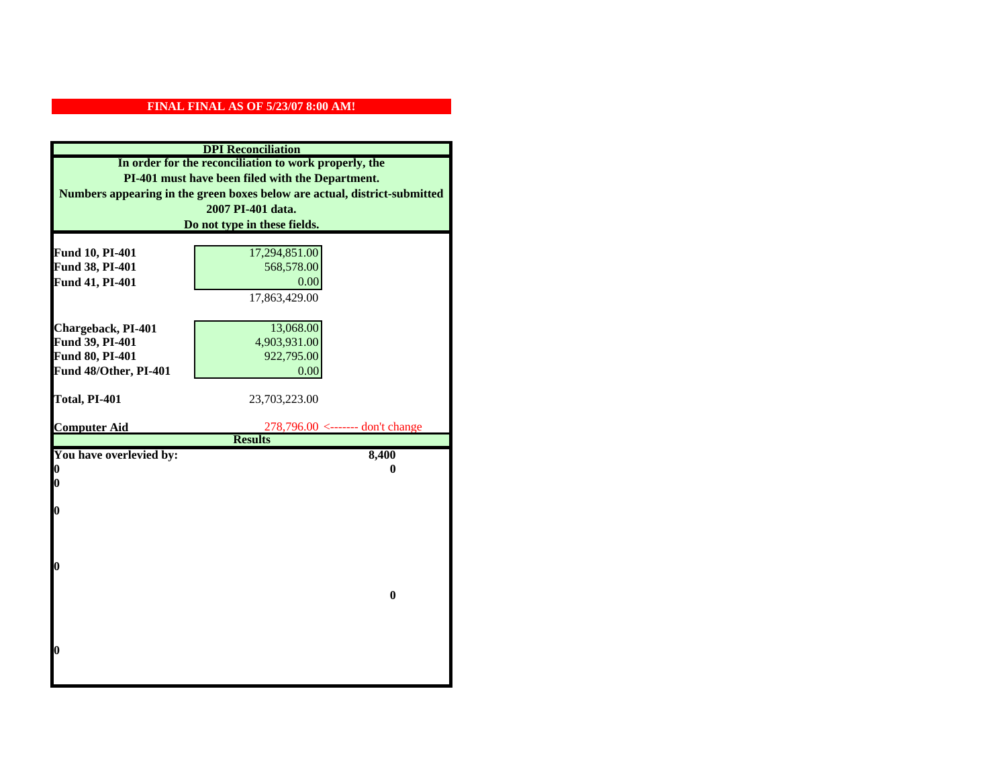|                         | <b>DPI</b> Reconciliation                                                 |
|-------------------------|---------------------------------------------------------------------------|
|                         | In order for the reconciliation to work properly, the                     |
|                         | PI-401 must have been filed with the Department.                          |
|                         | Numbers appearing in the green boxes below are actual, district-submitted |
|                         | 2007 PI-401 data.                                                         |
|                         | Do not type in these fields.                                              |
|                         |                                                                           |
| Fund 10, PI-401         | 17,294,851.00                                                             |
| Fund 38, PI-401         | 568,578.00                                                                |
| Fund 41, PI-401         | 0.00                                                                      |
|                         | 17,863,429.00                                                             |
|                         |                                                                           |
| Chargeback, PI-401      | 13,068.00                                                                 |
| Fund 39, PI-401         | 4,903,931.00                                                              |
| Fund 80, PI-401         | 922,795.00                                                                |
| Fund 48/Other, PI-401   | 0.00                                                                      |
|                         |                                                                           |
| Total, PI-401           | 23,703,223.00                                                             |
| <b>Computer Aid</b>     | $278,796.00 \le$ ------- don't change                                     |
|                         | <b>Results</b>                                                            |
| You have overlevied by: | 8,400                                                                     |
| 0                       | 0                                                                         |
| 0                       |                                                                           |
|                         |                                                                           |
| $\boldsymbol{0}$        |                                                                           |
|                         |                                                                           |
|                         |                                                                           |
| 0                       |                                                                           |
|                         |                                                                           |
|                         | $\bf{0}$                                                                  |
|                         |                                                                           |
|                         |                                                                           |
|                         |                                                                           |
| 0                       |                                                                           |
|                         |                                                                           |
|                         |                                                                           |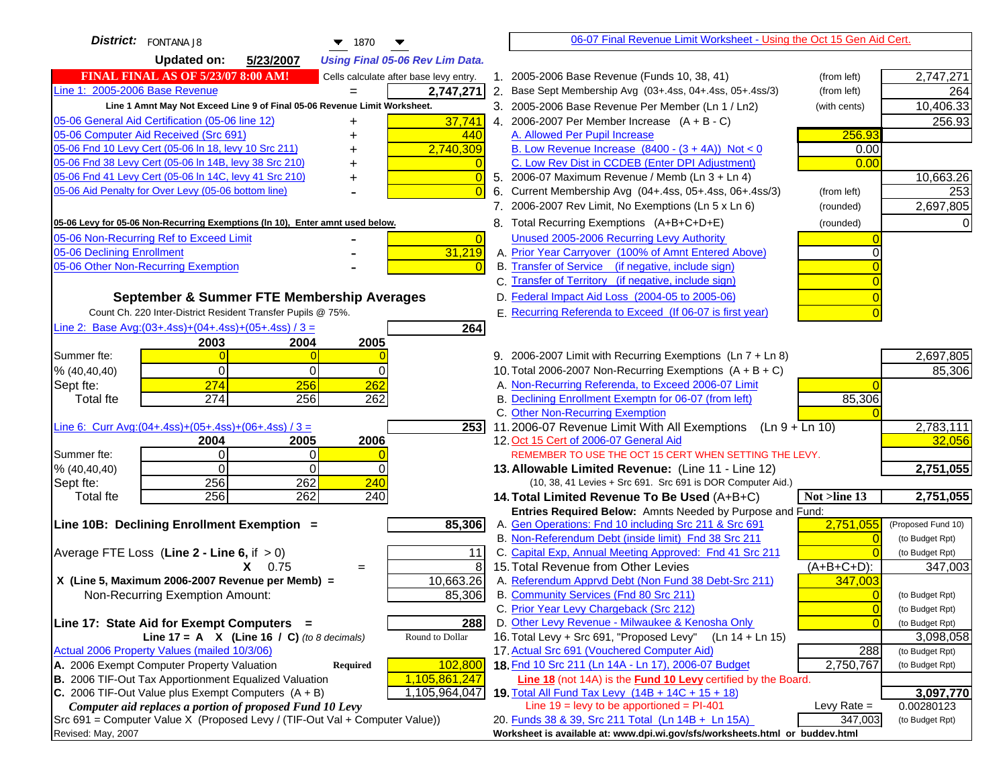| District: FONTANA J8<br>$\blacktriangledown$ 1870                                                                    |                | 06-07 Final Revenue Limit Worksheet - Using the Oct 15 Gen Aid Cert.                                                 |                            |                              |
|----------------------------------------------------------------------------------------------------------------------|----------------|----------------------------------------------------------------------------------------------------------------------|----------------------------|------------------------------|
| <b>Updated on:</b><br>5/23/2007<br><b>Using Final 05-06 Rev Lim Data.</b>                                            |                |                                                                                                                      |                            |                              |
| <b>FINAL FINAL AS OF 5/23/07 8:00 AM!</b><br>Cells calculate after base levy entry.                                  |                | 1. 2005-2006 Base Revenue (Funds 10, 38, 41)                                                                         | (from left)                | 2,747,271                    |
| Line 1: 2005-2006 Base Revenue<br>2,747,271                                                                          |                | 2. Base Sept Membership Avg (03+.4ss, 04+.4ss, 05+.4ss/3)                                                            | (from left)                | 264                          |
| Line 1 Amnt May Not Exceed Line 9 of Final 05-06 Revenue Limit Worksheet.                                            |                | 3. 2005-2006 Base Revenue Per Member (Ln 1 / Ln2)                                                                    | (with cents)               | 10,406.33                    |
| 37,741<br>05-06 General Aid Certification (05-06 line 12)                                                            |                | 4. 2006-2007 Per Member Increase $(A + B - C)$                                                                       |                            | 256.93                       |
| 05-06 Computer Aid Received (Src 691)<br>440                                                                         |                | A. Allowed Per Pupil Increase                                                                                        | 256.93                     |                              |
| 05-06 Fnd 10 Levy Cert (05-06 ln 18, levy 10 Src 211)<br>2,740,309                                                   |                | B. Low Revenue Increase $(8400 - (3 + 4A))$ Not < 0                                                                  | 0.00                       |                              |
| 05-06 Fnd 38 Levy Cert (05-06 In 14B, levy 38 Src 210)                                                               |                | C. Low Rev Dist in CCDEB (Enter DPI Adjustment)                                                                      | 0.00                       |                              |
| 05-06 Fnd 41 Levy Cert (05-06 In 14C, levy 41 Src 210)<br>+                                                          | $\Omega$       | 5. 2006-07 Maximum Revenue / Memb (Ln 3 + Ln 4)                                                                      |                            | 10,663.26                    |
| 05-06 Aid Penalty for Over Levy (05-06 bottom line)                                                                  | 6.             | Current Membership Avg (04+.4ss, 05+.4ss, 06+.4ss/3)                                                                 | (from left)                | 253                          |
|                                                                                                                      |                | 7. 2006-2007 Rev Limit, No Exemptions (Ln 5 x Ln 6)                                                                  | (rounded)                  | 2,697,805                    |
| 05-06 Levy for 05-06 Non-Recurring Exemptions (In 10), Enter amnt used below.                                        |                | 8. Total Recurring Exemptions (A+B+C+D+E)                                                                            | (rounded)                  |                              |
| 05-06 Non-Recurring Ref to Exceed Limit                                                                              | $\overline{0}$ | Unused 2005-2006 Recurring Levy Authority                                                                            |                            |                              |
| 31,219<br>05-06 Declining Enrollment                                                                                 |                | A. Prior Year Carryover (100% of Amnt Entered Above)                                                                 |                            |                              |
| 05-06 Other Non-Recurring Exemption                                                                                  |                | B. Transfer of Service (if negative, include sign)                                                                   |                            |                              |
|                                                                                                                      |                | C. Transfer of Territory (if negative, include sign)                                                                 |                            |                              |
| September & Summer FTE Membership Averages                                                                           |                | D. Federal Impact Aid Loss (2004-05 to 2005-06)                                                                      |                            |                              |
| Count Ch. 220 Inter-District Resident Transfer Pupils @ 75%.                                                         |                | E. Recurring Referenda to Exceed (If 06-07 is first year)                                                            |                            |                              |
| Line 2: Base Avg: $(03+.4ss)+(04+.4ss)+(05+.4ss)/3 =$<br>264                                                         |                |                                                                                                                      |                            |                              |
| 2003<br>2004<br>2005                                                                                                 |                |                                                                                                                      |                            |                              |
| Summer fte:<br>$\Omega$                                                                                              |                | 9. 2006-2007 Limit with Recurring Exemptions (Ln 7 + Ln 8)                                                           |                            | 2,697,805                    |
| $\Omega$<br>0<br>$\Omega$<br>% (40, 40, 40)                                                                          |                | 10. Total 2006-2007 Non-Recurring Exemptions $(A + B + C)$                                                           |                            | 85,306                       |
| 274<br>256<br>262<br>Sept fte:                                                                                       |                | A. Non-Recurring Referenda, to Exceed 2006-07 Limit                                                                  |                            |                              |
| 274<br><b>Total fte</b><br>256<br>262                                                                                |                | B. Declining Enrollment Exemptn for 06-07 (from left)                                                                | 85,306                     |                              |
| Line 6: Curr Avg: $(04+.4ss)+(05+.4ss)+(06+.4ss)/3 =$<br>2531                                                        |                | C. Other Non-Recurring Exemption<br>11.2006-07 Revenue Limit With All Exemptions (Ln $9 + \overline{\text{Ln }10}$ ) |                            | 2,783,111                    |
| 2006<br>2004<br>2005                                                                                                 |                | 12. Oct 15 Cert of 2006-07 General Aid                                                                               |                            | 32,056                       |
| $\Omega$<br>0<br>Summer fte:                                                                                         |                | REMEMBER TO USE THE OCT 15 CERT WHEN SETTING THE LEVY.                                                               |                            |                              |
| % (40, 40, 40)<br>$\Omega$<br>0<br>$\Omega$                                                                          |                | 13. Allowable Limited Revenue: (Line 11 - Line 12)                                                                   |                            | 2,751,055                    |
| 262<br>256<br>240<br>Sept fte:                                                                                       |                | (10, 38, 41 Levies + Src 691. Src 691 is DOR Computer Aid.)                                                          |                            |                              |
| 256<br>262<br>240<br><b>Total fte</b>                                                                                |                | 14. Total Limited Revenue To Be Used (A+B+C)                                                                         | Not >line 13               | 2,751,055                    |
|                                                                                                                      |                | Entries Required Below: Amnts Needed by Purpose and Fund:                                                            |                            |                              |
| 85,306<br>Line 10B: Declining Enrollment Exemption =                                                                 |                | A. Gen Operations: Fnd 10 including Src 211 & Src 691                                                                | 2,751,055                  | (Proposed Fund 10)           |
|                                                                                                                      |                | B. Non-Referendum Debt (inside limit) Fnd 38 Src 211                                                                 | $\Omega$                   | (to Budget Rpt)              |
| Average FTE Loss (Line $2 -$ Line 6, if $> 0$ )<br>11                                                                |                | C. Capital Exp, Annual Meeting Approved: Fnd 41 Src 211                                                              |                            | (to Budget Rpt)              |
| $X = 0.75$<br>$=$                                                                                                    | 8              | 15. Total Revenue from Other Levies                                                                                  | $(A+B+C+D)$ :              | 347,003                      |
| X (Line 5, Maximum 2006-2007 Revenue per Memb) =<br>10,663.26                                                        |                | A. Referendum Apprvd Debt (Non Fund 38 Debt-Src 211)                                                                 | 347,003                    |                              |
| 85,306<br>Non-Recurring Exemption Amount:                                                                            |                | B. Community Services (Fnd 80 Src 211)                                                                               | $\Omega$                   | (to Budget Rpt)              |
|                                                                                                                      |                | C. Prior Year Levy Chargeback (Src 212)<br>D. Other Levy Revenue - Milwaukee & Kenosha Only                          | $\overline{0}$<br>$\Omega$ | (to Budget Rpt)              |
| Line 17: State Aid for Exempt Computers =<br>288<br>Round to Dollar<br>Line 17 = A $X$ (Line 16 / C) (to 8 decimals) |                | 16. Total Levy + Src 691, "Proposed Levy"<br>(Ln 14 + Ln 15)                                                         |                            | (to Budget Rpt)<br>3,098,058 |
| Actual 2006 Property Values (mailed 10/3/06)                                                                         |                | 17. Actual Src 691 (Vouchered Computer Aid)                                                                          | 288                        | (to Budget Rpt)              |
| A. 2006 Exempt Computer Property Valuation<br>102,800<br>Required                                                    |                | 18. Fnd 10 Src 211 (Ln 14A - Ln 17), 2006-07 Budget                                                                  | 2,750,767                  | (to Budget Rpt)              |
| B. 2006 TIF-Out Tax Apportionment Equalized Valuation<br>1,105,861,247                                               |                | <b>Line 18</b> (not 14A) is the <b>Fund 10 Levy</b> certified by the Board.                                          |                            |                              |
| C. 2006 TIF-Out Value plus Exempt Computers $(A + B)$<br>1,105,964,047                                               |                | 19. Total All Fund Tax Levy $(14B + 14C + 15 + 18)$                                                                  |                            | 3,097,770                    |
| Computer aid replaces a portion of proposed Fund 10 Levy                                                             |                | Line $19 = \text{levy}$ to be apportioned = PI-401                                                                   | Levy Rate $=$              | 0.00280123                   |
| Src 691 = Computer Value X (Proposed Levy / (TIF-Out Val + Computer Value))                                          |                | 20. Funds 38 & 39, Src 211 Total (Ln 14B + Ln 15A)                                                                   | 347,003                    | (to Budget Rpt)              |
| Revised: May, 2007                                                                                                   |                | Worksheet is available at: www.dpi.wi.gov/sfs/worksheets.html or buddev.html                                         |                            |                              |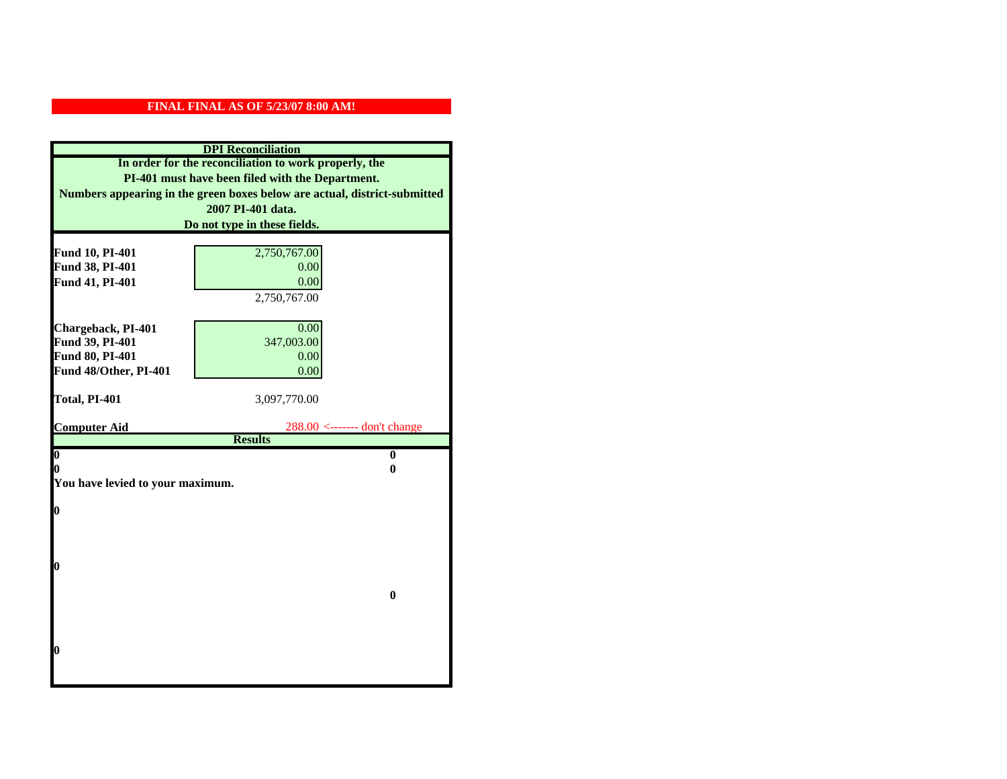|                                  | <b>DPI</b> Reconciliation                                                 |
|----------------------------------|---------------------------------------------------------------------------|
|                                  | In order for the reconciliation to work properly, the                     |
|                                  | PI-401 must have been filed with the Department.                          |
|                                  | Numbers appearing in the green boxes below are actual, district-submitted |
|                                  | 2007 PI-401 data.                                                         |
|                                  | Do not type in these fields.                                              |
|                                  |                                                                           |
| Fund 10, PI-401                  | 2,750,767.00                                                              |
| Fund 38, PI-401                  | 0.00<br>0.00                                                              |
| Fund 41, PI-401                  | 2,750,767.00                                                              |
|                                  |                                                                           |
| Chargeback, PI-401               | 0.00                                                                      |
| Fund 39, PI-401                  | 347,003.00                                                                |
| Fund 80, PI-401                  | 0.00                                                                      |
| Fund 48/Other, PI-401            | 0.00                                                                      |
|                                  |                                                                           |
| Total, PI-401                    | 3,097,770.00                                                              |
|                                  |                                                                           |
| <b>Computer Aid</b>              | 288.00 <------- don't change<br><b>Results</b>                            |
| $\boldsymbol{0}$                 | $\bf{0}$                                                                  |
| 0                                | 0                                                                         |
| You have levied to your maximum. |                                                                           |
|                                  |                                                                           |
| $\bf{0}$                         |                                                                           |
|                                  |                                                                           |
|                                  |                                                                           |
|                                  |                                                                           |
| 0                                |                                                                           |
|                                  | $\bf{0}$                                                                  |
|                                  |                                                                           |
|                                  |                                                                           |
|                                  |                                                                           |
| 0                                |                                                                           |
|                                  |                                                                           |
|                                  |                                                                           |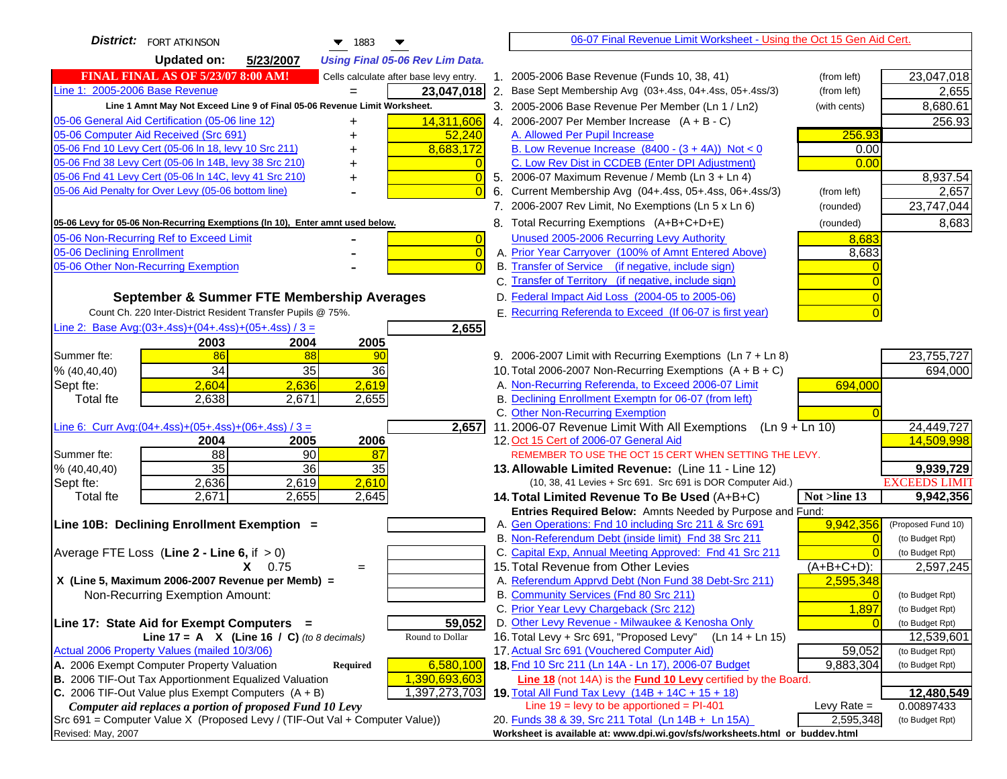| <b>District:</b> FORT ATKINSON<br>$\blacktriangledown$ 1883<br>▼                                                                                     | 06-07 Final Revenue Limit Worksheet - Using the Oct 15 Gen Aid Cert.                                                              |                          |
|------------------------------------------------------------------------------------------------------------------------------------------------------|-----------------------------------------------------------------------------------------------------------------------------------|--------------------------|
| <b>Updated on:</b><br>5/23/2007<br><b>Using Final 05-06 Rev Lim Data.</b>                                                                            |                                                                                                                                   |                          |
| <b>FINAL FINAL AS OF 5/23/07 8:00 AM!</b><br>Cells calculate after base levy entry.                                                                  | 1. 2005-2006 Base Revenue (Funds 10, 38, 41)<br>(from left)                                                                       | 23,047,018               |
| Line 1: 2005-2006 Base Revenue<br>23,047,018                                                                                                         | 2.<br>Base Sept Membership Avg (03+.4ss, 04+.4ss, 05+.4ss/3)<br>(from left)                                                       | 2,655                    |
| Line 1 Amnt May Not Exceed Line 9 of Final 05-06 Revenue Limit Worksheet.                                                                            | 3. 2005-2006 Base Revenue Per Member (Ln 1 / Ln2)<br>(with cents)                                                                 | 8,680.61                 |
| 05-06 General Aid Certification (05-06 line 12)<br>14,311,606                                                                                        | 4. 2006-2007 Per Member Increase $(A + B - C)$                                                                                    | 256.93                   |
| 05-06 Computer Aid Received (Src 691)<br>52,240                                                                                                      | A. Allowed Per Pupil Increase<br>256.93                                                                                           |                          |
| 05-06 Fnd 10 Levy Cert (05-06 ln 18, levy 10 Src 211)<br>8,683,172                                                                                   | B. Low Revenue Increase $(8400 - (3 + 4A))$ Not < 0<br>0.00                                                                       |                          |
| 05-06 Fnd 38 Levy Cert (05-06 In 14B, levy 38 Src 210)                                                                                               | C. Low Rev Dist in CCDEB (Enter DPI Adjustment)<br>0.00                                                                           |                          |
| 05-06 Fnd 41 Levy Cert (05-06 In 14C, levy 41 Src 210)<br>$\overline{0}$<br>+                                                                        | 5. 2006-07 Maximum Revenue / Memb (Ln 3 + Ln 4)                                                                                   | 8,937.54                 |
| 05-06 Aid Penalty for Over Levy (05-06 bottom line)<br>$\Omega$                                                                                      | Current Membership Avg (04+.4ss, 05+.4ss, 06+.4ss/3)<br>6.<br>(from left)                                                         | 2,657                    |
|                                                                                                                                                      | 7. 2006-2007 Rev Limit, No Exemptions (Ln 5 x Ln 6)<br>(rounded)                                                                  | 23,747,044               |
| 05-06 Levy for 05-06 Non-Recurring Exemptions (In 10), Enter amnt used below.                                                                        | 8. Total Recurring Exemptions (A+B+C+D+E)<br>(rounded)                                                                            | 8,683                    |
| 05-06 Non-Recurring Ref to Exceed Limit<br>$\overline{0}$                                                                                            | Unused 2005-2006 Recurring Levy Authority<br>8,683                                                                                |                          |
| 05-06 Declining Enrollment<br>$\overline{0}$                                                                                                         | A. Prior Year Carryover (100% of Amnt Entered Above)<br>8,683                                                                     |                          |
| 05-06 Other Non-Recurring Exemption<br>$\Omega$                                                                                                      | B. Transfer of Service (if negative, include sign)                                                                                |                          |
|                                                                                                                                                      | C. Transfer of Territory (if negative, include sign)                                                                              |                          |
| September & Summer FTE Membership Averages                                                                                                           | D. Federal Impact Aid Loss (2004-05 to 2005-06)                                                                                   |                          |
| Count Ch. 220 Inter-District Resident Transfer Pupils @ 75%.                                                                                         | E. Recurring Referenda to Exceed (If 06-07 is first year)                                                                         |                          |
| Line 2: Base Avg: $(03+.4ss)+(04+.4ss)+(05+.4ss)/3 =$<br>2,655                                                                                       |                                                                                                                                   |                          |
| 2003<br>2004<br>2005                                                                                                                                 |                                                                                                                                   |                          |
| 86<br>Summer fte:<br>88<br>90                                                                                                                        | 9. 2006-2007 Limit with Recurring Exemptions (Ln 7 + Ln 8)                                                                        | 23,755,727               |
| 34<br>35<br>36<br>% (40, 40, 40)                                                                                                                     | 10. Total 2006-2007 Non-Recurring Exemptions $(A + B + C)$                                                                        | 694,000                  |
| 2,604<br>2,619<br>2,636<br>Sept fte:                                                                                                                 | A. Non-Recurring Referenda, to Exceed 2006-07 Limit<br>694,000                                                                    |                          |
| 2,638<br>2,671<br>2,655<br>Total fte                                                                                                                 | B. Declining Enrollment Exemptn for 06-07 (from left)                                                                             |                          |
|                                                                                                                                                      | C. Other Non-Recurring Exemption                                                                                                  |                          |
| Line 6: Curr Avg: $(04+.4ss)+(05+.4ss)+(06+.4ss)/3 =$<br>2,657                                                                                       | 11.2006-07 Revenue Limit With All Exemptions (Ln $9 + \overline{\text{Ln }10}$ )                                                  | 24,449,727<br>14,509,998 |
| 2006<br>2004<br>2005<br>88<br>90<br>Summer fte:<br>87                                                                                                | 12. Oct 15 Cert of 2006-07 General Aid<br>REMEMBER TO USE THE OCT 15 CERT WHEN SETTING THE LEVY.                                  |                          |
| 35<br>36<br>35<br>% (40, 40, 40)                                                                                                                     | 13. Allowable Limited Revenue: (Line 11 - Line 12)                                                                                | 9,939,729                |
| 2,610<br>2,636<br>2,619<br>Sept fte:                                                                                                                 | (10, 38, 41 Levies + Src 691. Src 691 is DOR Computer Aid.)                                                                       | <b>EXCEEDS LIMIT</b>     |
| 2,671<br>2,655<br>2,645<br>Total fte                                                                                                                 | Not >line 13<br>14. Total Limited Revenue To Be Used (A+B+C)                                                                      | 9,942,356                |
|                                                                                                                                                      | Entries Required Below: Amnts Needed by Purpose and Fund:                                                                         |                          |
| Line 10B: Declining Enrollment Exemption =                                                                                                           | 9,942,356<br>A. Gen Operations: Fnd 10 including Src 211 & Src 691                                                                | (Proposed Fund 10)       |
|                                                                                                                                                      | B. Non-Referendum Debt (inside limit) Fnd 38 Src 211                                                                              | (to Budget Rpt)          |
| Average FTE Loss (Line $2 -$ Line 6, if $> 0$ )                                                                                                      | C. Capital Exp, Annual Meeting Approved: Fnd 41 Src 211                                                                           | (to Budget Rpt)          |
| $X = 0.75$<br>$=$                                                                                                                                    | 15. Total Revenue from Other Levies<br>$(A+B+C+D)$ :                                                                              | 2,597,245                |
| X (Line 5, Maximum 2006-2007 Revenue per Memb) =                                                                                                     | A. Referendum Apprvd Debt (Non Fund 38 Debt-Src 211)<br>2,595,348                                                                 |                          |
| Non-Recurring Exemption Amount:                                                                                                                      | B. Community Services (Fnd 80 Src 211)                                                                                            | (to Budget Rpt)          |
|                                                                                                                                                      | C. Prior Year Levy Chargeback (Src 212)<br>1,897                                                                                  | (to Budget Rpt)          |
| 59,052<br>Line 17: State Aid for Exempt Computers =                                                                                                  | D. Other Levy Revenue - Milwaukee & Kenosha Only                                                                                  | (to Budget Rpt)          |
| Round to Dollar<br>Line 17 = A $X$ (Line 16 / C) (to 8 decimals)                                                                                     | 16. Total Levy + Src 691, "Proposed Levy" (Ln 14 + Ln 15)<br>17. Actual Src 691 (Vouchered Computer Aid)                          | 12,539,601               |
| Actual 2006 Property Values (mailed 10/3/06)                                                                                                         | 59,052                                                                                                                            | (to Budget Rpt)          |
| A. 2006 Exempt Computer Property Valuation<br>6,580,100<br><b>Required</b><br>B. 2006 TIF-Out Tax Apportionment Equalized Valuation<br>1,390,693,603 | 18. Fnd 10 Src 211 (Ln 14A - Ln 17), 2006-07 Budget<br>9,883,304<br>Line 18 (not 14A) is the Fund 10 Levy certified by the Board. | (to Budget Rpt)          |
| C. 2006 TIF-Out Value plus Exempt Computers $(A + B)$<br>1,397,273,703                                                                               | 19. Total All Fund Tax Levy $(14B + 14C + 15 + 18)$                                                                               | 12,480,549               |
| Computer aid replaces a portion of proposed Fund 10 Levy                                                                                             | Line $19 = \text{levy}$ to be apportioned = PI-401<br>Levy Rate $=$                                                               | 0.00897433               |
| Src 691 = Computer Value X (Proposed Levy / (TIF-Out Val + Computer Value))                                                                          | 2,595,348<br>20. Funds 38 & 39, Src 211 Total (Ln 14B + Ln 15A)                                                                   | (to Budget Rpt)          |
| Revised: May, 2007                                                                                                                                   | Worksheet is available at: www.dpi.wi.gov/sfs/worksheets.html or buddev.html                                                      |                          |
|                                                                                                                                                      |                                                                                                                                   |                          |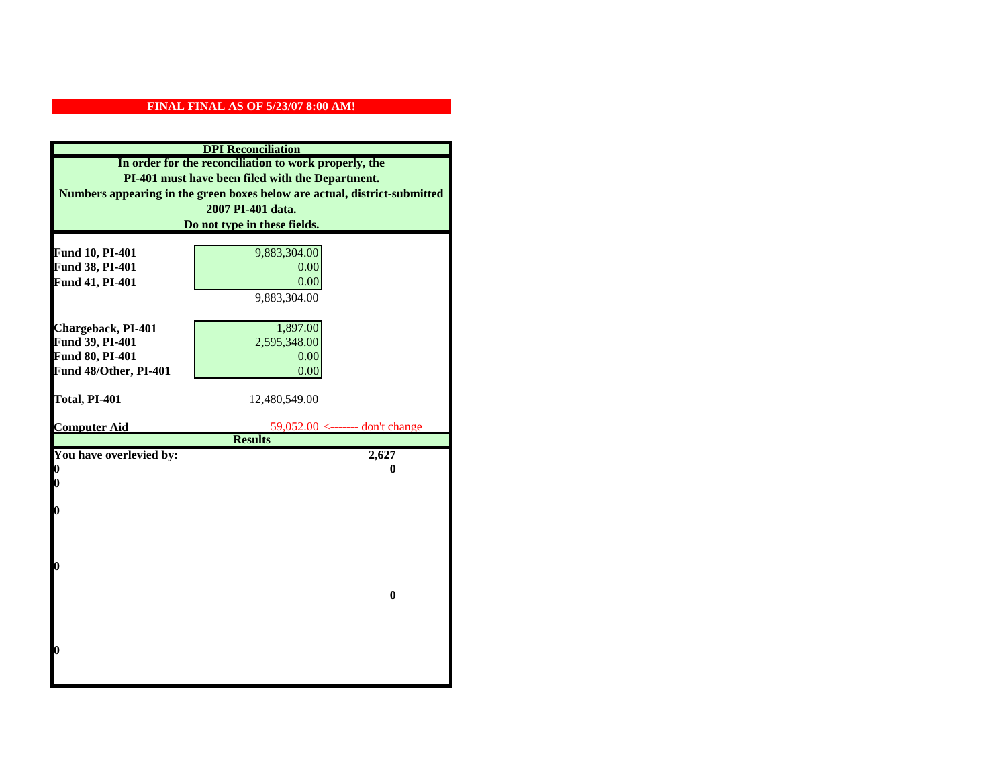|                         | <b>DPI</b> Reconciliation                                                 |
|-------------------------|---------------------------------------------------------------------------|
|                         | In order for the reconciliation to work properly, the                     |
|                         | PI-401 must have been filed with the Department.                          |
|                         | Numbers appearing in the green boxes below are actual, district-submitted |
|                         | 2007 PI-401 data.                                                         |
|                         | Do not type in these fields.                                              |
|                         |                                                                           |
| Fund 10, PI-401         | 9,883,304.00                                                              |
| Fund 38, PI-401         | 0.00                                                                      |
| Fund 41, PI-401         | 0.00                                                                      |
|                         | 9,883,304.00                                                              |
|                         |                                                                           |
| Chargeback, PI-401      | 1,897.00                                                                  |
| Fund 39, PI-401         | 2,595,348.00                                                              |
| Fund 80, PI-401         | 0.00                                                                      |
| Fund 48/Other, PI-401   | 0.00                                                                      |
|                         |                                                                           |
| Total, PI-401           | 12,480,549.00                                                             |
|                         |                                                                           |
| <b>Computer Aid</b>     | 59,052.00 <------- don't change                                           |
|                         | <b>Results</b>                                                            |
| You have overlevied by: | 2,627                                                                     |
| 0<br>0                  | 0                                                                         |
|                         |                                                                           |
| $\boldsymbol{0}$        |                                                                           |
|                         |                                                                           |
|                         |                                                                           |
|                         |                                                                           |
| 0                       |                                                                           |
|                         |                                                                           |
|                         | $\bf{0}$                                                                  |
|                         |                                                                           |
|                         |                                                                           |
|                         |                                                                           |
| 0                       |                                                                           |
|                         |                                                                           |
|                         |                                                                           |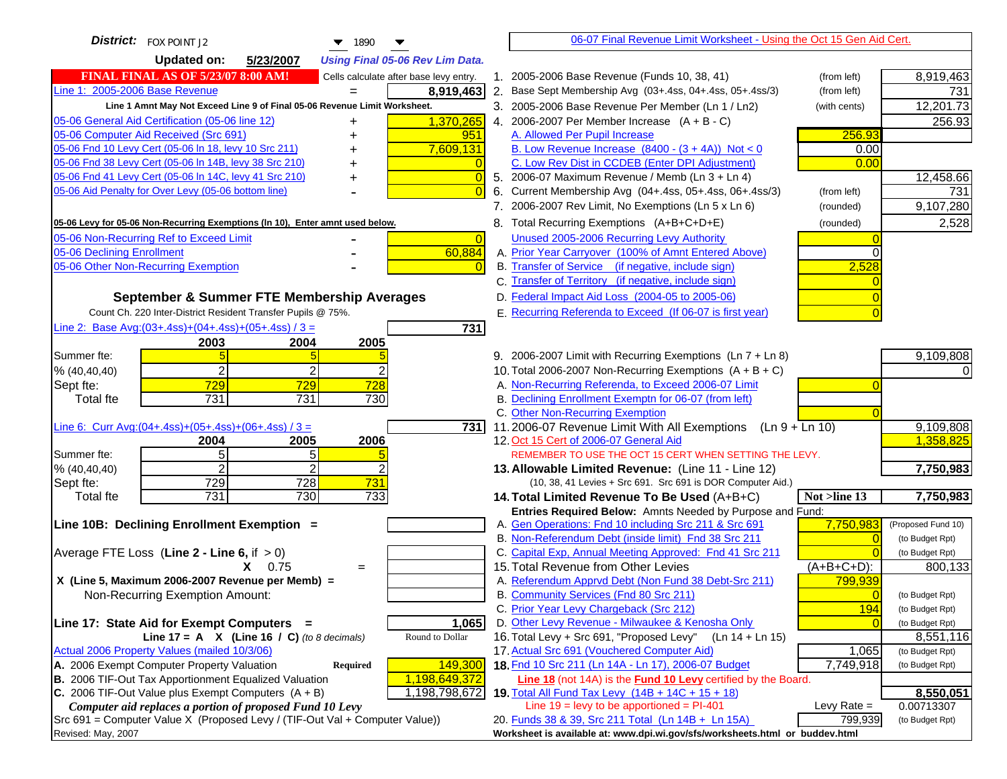| <b>District:</b> FOX POINT J2<br>$\blacktriangledown$ 1890                                                                                  | 06-07 Final Revenue Limit Worksheet - Using the Oct 15 Gen Aid Cert.                                                              |                    |
|---------------------------------------------------------------------------------------------------------------------------------------------|-----------------------------------------------------------------------------------------------------------------------------------|--------------------|
| <b>Updated on:</b><br>5/23/2007<br><b>Using Final 05-06 Rev Lim Data.</b>                                                                   |                                                                                                                                   |                    |
| <b>FINAL FINAL AS OF 5/23/07 8:00 AM!</b><br>Cells calculate after base levy entry.                                                         | 1. 2005-2006 Base Revenue (Funds 10, 38, 41)<br>(from left)                                                                       | 8,919,463          |
| Line 1: 2005-2006 Base Revenue<br>8,919,463                                                                                                 | 2. Base Sept Membership Avg (03+.4ss, 04+.4ss, 05+.4ss/3)<br>(from left)                                                          | 731                |
| Line 1 Amnt May Not Exceed Line 9 of Final 05-06 Revenue Limit Worksheet.                                                                   | 3. 2005-2006 Base Revenue Per Member (Ln 1 / Ln2)<br>(with cents)                                                                 | 12,201.73          |
| 05-06 General Aid Certification (05-06 line 12)<br>1,370,265                                                                                | 4. 2006-2007 Per Member Increase $(A + B - C)$                                                                                    | 256.93             |
| 05-06 Computer Aid Received (Src 691)<br>951                                                                                                | A. Allowed Per Pupil Increase<br>256.93                                                                                           |                    |
| 05-06 Fnd 10 Levy Cert (05-06 In 18, levy 10 Src 211)<br>7,609,131                                                                          | B. Low Revenue Increase $(8400 - (3 + 4A))$ Not < 0<br>0.00                                                                       |                    |
| 05-06 Fnd 38 Levy Cert (05-06 In 14B, levy 38 Src 210)                                                                                      | C. Low Rev Dist in CCDEB (Enter DPI Adjustment)<br>0.00                                                                           |                    |
| 05-06 Fnd 41 Levy Cert (05-06 In 14C, levy 41 Src 210)<br>0<br>+                                                                            | 5. 2006-07 Maximum Revenue / Memb (Ln 3 + Ln 4)                                                                                   | 12,458.66          |
| 05-06 Aid Penalty for Over Levy (05-06 bottom line)                                                                                         | 6. Current Membership Avg (04+.4ss, 05+.4ss, 06+.4ss/3)<br>(from left)                                                            | 731                |
|                                                                                                                                             | 7. 2006-2007 Rev Limit, No Exemptions (Ln 5 x Ln 6)<br>(rounded)                                                                  | 9,107,280          |
| 05-06 Levy for 05-06 Non-Recurring Exemptions (In 10), Enter amnt used below.                                                               | 8. Total Recurring Exemptions (A+B+C+D+E)<br>(rounded)                                                                            | 2,528              |
| 05-06 Non-Recurring Ref to Exceed Limit<br>$\overline{0}$                                                                                   | Unused 2005-2006 Recurring Levy Authority                                                                                         |                    |
| 60,884<br>05-06 Declining Enrollment                                                                                                        | A. Prior Year Carryover (100% of Amnt Entered Above)                                                                              |                    |
| 05-06 Other Non-Recurring Exemption                                                                                                         | B. Transfer of Service (if negative, include sign)<br>2,528                                                                       |                    |
|                                                                                                                                             | C. Transfer of Territory (if negative, include sign)                                                                              |                    |
| September & Summer FTE Membership Averages                                                                                                  | D. Federal Impact Aid Loss (2004-05 to 2005-06)                                                                                   |                    |
| Count Ch. 220 Inter-District Resident Transfer Pupils @ 75%.                                                                                | E. Recurring Referenda to Exceed (If 06-07 is first year)                                                                         |                    |
| Line 2: Base Avg: (03+.4ss) + (04+.4ss) + (05+.4ss) / 3 =<br>731                                                                            |                                                                                                                                   |                    |
| 2003<br>2004<br>2005                                                                                                                        |                                                                                                                                   |                    |
| Summer fte:                                                                                                                                 | 9. 2006-2007 Limit with Recurring Exemptions (Ln 7 + Ln 8)                                                                        | 9,109,808          |
| $\overline{2}$<br>2<br>% (40, 40, 40)                                                                                                       | 10. Total 2006-2007 Non-Recurring Exemptions $(A + B + C)$                                                                        |                    |
| 729<br>729<br>728<br>Sept fte:                                                                                                              | A. Non-Recurring Referenda, to Exceed 2006-07 Limit                                                                               |                    |
| 731<br>731<br>730<br><b>Total fte</b>                                                                                                       | B. Declining Enrollment Exemptn for 06-07 (from left)                                                                             |                    |
|                                                                                                                                             | C. Other Non-Recurring Exemption                                                                                                  |                    |
| Line 6: Curr Avg: $(04+.4ss)+(05+.4ss)+(06+.4ss)/3 =$                                                                                       | 731 11.2006-07 Revenue Limit With All Exemptions $( \ln 9 + \ln 10)$                                                              | 9,109,808          |
| 2005<br>2006<br>2004<br>5<br>5<br>Summer fte:                                                                                               | 12. Oct 15 Cert of 2006-07 General Aid<br>REMEMBER TO USE THE OCT 15 CERT WHEN SETTING THE LEVY.                                  | 1,358,825          |
| $\overline{2}$<br>2<br>% (40, 40, 40)                                                                                                       | 13. Allowable Limited Revenue: (Line 11 - Line 12)                                                                                | 7,750,983          |
| 729<br>728<br>731<br>Sept fte:                                                                                                              | (10, 38, 41 Levies + Src 691. Src 691 is DOR Computer Aid.)                                                                       |                    |
| 731<br>730<br>733<br><b>Total fte</b>                                                                                                       | 14. Total Limited Revenue To Be Used (A+B+C)<br>Not >line 13                                                                      | 7,750,983          |
|                                                                                                                                             | Entries Required Below: Amnts Needed by Purpose and Fund:                                                                         |                    |
| Line 10B: Declining Enrollment Exemption =                                                                                                  | A. Gen Operations: Fnd 10 including Src 211 & Src 691<br>7,750,983                                                                | (Proposed Fund 10) |
|                                                                                                                                             | B. Non-Referendum Debt (inside limit) Fnd 38 Src 211<br>$\Omega$                                                                  | (to Budget Rpt)    |
| Average FTE Loss (Line $2 -$ Line 6, if $> 0$ )                                                                                             | C. Capital Exp, Annual Meeting Approved: Fnd 41 Src 211                                                                           | (to Budget Rpt)    |
| $X = 0.75$<br>$=$                                                                                                                           | 15. Total Revenue from Other Levies<br>(A+B+C+D):                                                                                 | 800,133            |
| X (Line 5, Maximum 2006-2007 Revenue per Memb) =                                                                                            | A. Referendum Apprvd Debt (Non Fund 38 Debt-Src 211)<br>799,939                                                                   |                    |
| Non-Recurring Exemption Amount:                                                                                                             | B. Community Services (Fnd 80 Src 211)<br>$\Omega$                                                                                | (to Budget Rpt)    |
|                                                                                                                                             | C. Prior Year Levy Chargeback (Src 212)<br>194                                                                                    | (to Budget Rpt)    |
| 1,065<br>Line 17: State Aid for Exempt Computers =                                                                                          | D. Other Levy Revenue - Milwaukee & Kenosha Only                                                                                  | (to Budget Rpt)    |
| Round to Dollar<br>Line 17 = A $X$ (Line 16 / C) (to 8 decimals)                                                                            | 16. Total Levy + Src 691, "Proposed Levy"<br>(Ln 14 + Ln 15)                                                                      | 8,551,116          |
| Actual 2006 Property Values (mailed 10/3/06)                                                                                                | 17. Actual Src 691 (Vouchered Computer Aid)<br>1,065                                                                              | (to Budget Rpt)    |
| A. 2006 Exempt Computer Property Valuation<br>149,300<br>Required<br>B. 2006 TIF-Out Tax Apportionment Equalized Valuation<br>1,198,649,372 | 18. Fnd 10 Src 211 (Ln 14A - Ln 17), 2006-07 Budget<br>7,749,918<br>Line 18 (not 14A) is the Fund 10 Levy certified by the Board. | (to Budget Rpt)    |
| C. 2006 TIF-Out Value plus Exempt Computers $(A + B)$<br>1,198,798,672                                                                      | 19. Total All Fund Tax Levy (14B + 14C + 15 + 18)                                                                                 | 8,550,051          |
| Computer aid replaces a portion of proposed Fund 10 Levy                                                                                    | Line $19 = \text{levy}$ to be apportioned = PI-401<br>Levy Rate $=$                                                               | 0.00713307         |
| $Src691$ = Computer Value X (Proposed Levy / (TIF-Out Val + Computer Value))                                                                | 20. Funds 38 & 39, Src 211 Total (Ln 14B + Ln 15A)<br>799,939                                                                     | (to Budget Rpt)    |
| Revised: May, 2007                                                                                                                          | Worksheet is available at: www.dpi.wi.gov/sfs/worksheets.html or buddev.html                                                      |                    |
|                                                                                                                                             |                                                                                                                                   |                    |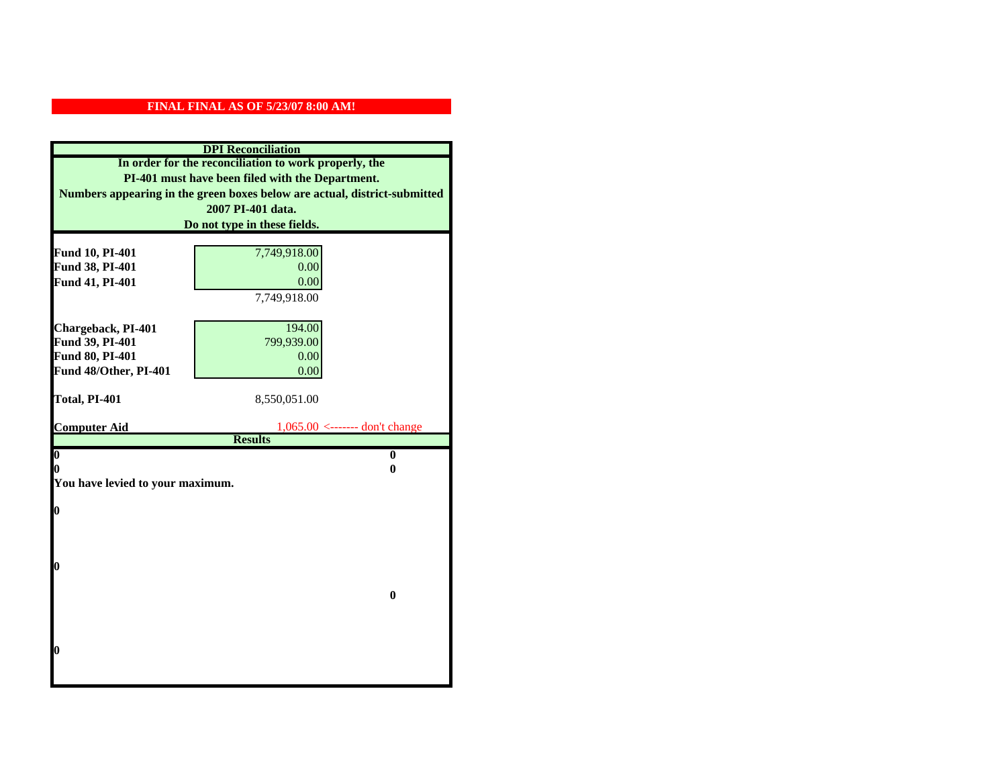|                                  | <b>DPI</b> Reconciliation                                                 |
|----------------------------------|---------------------------------------------------------------------------|
|                                  | In order for the reconciliation to work properly, the                     |
|                                  | PI-401 must have been filed with the Department.                          |
|                                  | Numbers appearing in the green boxes below are actual, district-submitted |
|                                  | 2007 PI-401 data.                                                         |
|                                  | Do not type in these fields.                                              |
|                                  |                                                                           |
| Fund 10, PI-401                  | 7,749,918.00                                                              |
| Fund 38, PI-401                  | 0.00                                                                      |
| Fund 41, PI-401                  | 0.00                                                                      |
|                                  | 7,749,918.00                                                              |
|                                  |                                                                           |
| Chargeback, PI-401               | 194.00                                                                    |
| Fund 39, PI-401                  | 799,939.00                                                                |
| Fund 80, PI-401                  | 0.00                                                                      |
| Fund 48/Other, PI-401            | 0.00                                                                      |
| Total, PI-401                    | 8,550,051.00                                                              |
|                                  |                                                                           |
|                                  |                                                                           |
| <b>Computer Aid</b>              | $1,065.00$ <------- don't change                                          |
|                                  | <b>Results</b>                                                            |
| $\overline{\mathbf{0}}$          | $\mathbf{0}$                                                              |
| 0                                | 0                                                                         |
| You have levied to your maximum. |                                                                           |
|                                  |                                                                           |
| $\bf{0}$                         |                                                                           |
|                                  |                                                                           |
|                                  |                                                                           |
| 0                                |                                                                           |
|                                  |                                                                           |
|                                  | $\bf{0}$                                                                  |
|                                  |                                                                           |
|                                  |                                                                           |
|                                  |                                                                           |
| 0                                |                                                                           |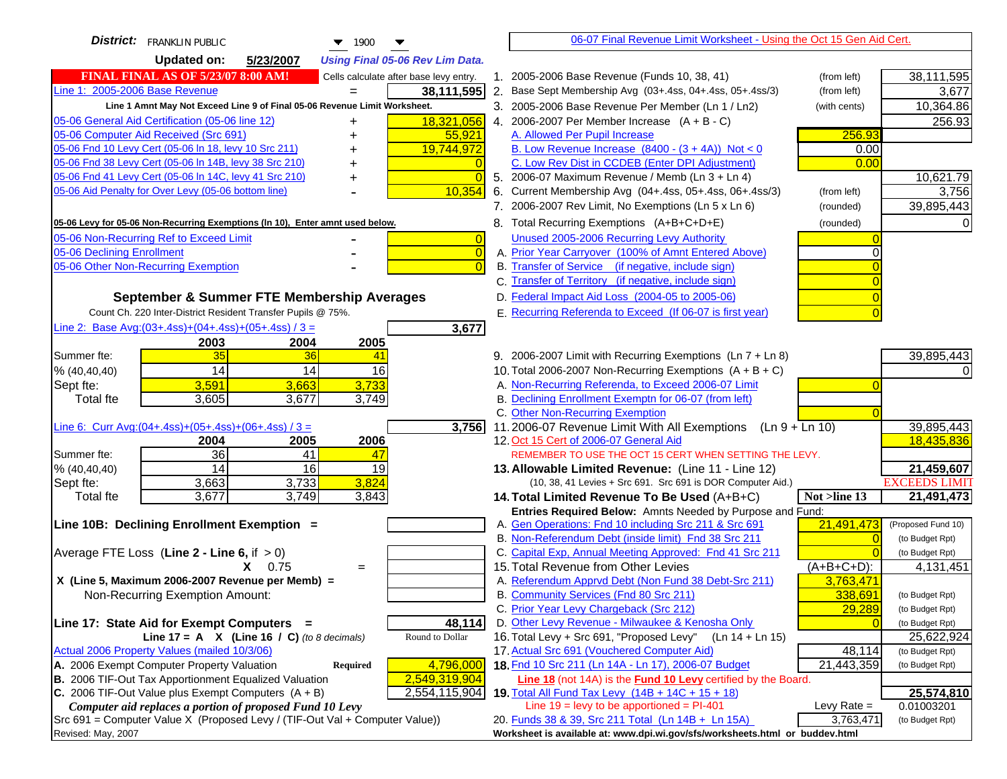| <b>District:</b> FRANKLIN PUBLIC<br>$\blacktriangledown$ 1900<br>▼                                                      |    | 06-07 Final Revenue Limit Worksheet - Using the Oct 15 Gen Aid Cert.                                                       |               |                               |
|-------------------------------------------------------------------------------------------------------------------------|----|----------------------------------------------------------------------------------------------------------------------------|---------------|-------------------------------|
| <b>Updated on:</b><br>5/23/2007<br><b>Using Final 05-06 Rev Lim Data.</b>                                               |    |                                                                                                                            |               |                               |
| <b>FINAL FINAL AS OF 5/23/07 8:00 AM!</b><br>Cells calculate after base levy entry.                                     |    | 1. 2005-2006 Base Revenue (Funds 10, 38, 41)                                                                               | (from left)   | 38,111,595                    |
| Line 1: 2005-2006 Base Revenue<br>38,111,595                                                                            | 2. | Base Sept Membership Avg (03+.4ss, 04+.4ss, 05+.4ss/3)                                                                     | (from left)   | 3,677                         |
| Line 1 Amnt May Not Exceed Line 9 of Final 05-06 Revenue Limit Worksheet.                                               |    | 3. 2005-2006 Base Revenue Per Member (Ln 1 / Ln2)                                                                          | (with cents)  | 10,364.86                     |
| 18,321,056<br>05-06 General Aid Certification (05-06 line 12)                                                           |    | 4. 2006-2007 Per Member Increase $(A + B - C)$                                                                             |               | 256.93                        |
| 05-06 Computer Aid Received (Src 691)<br>55,921                                                                         |    | A. Allowed Per Pupil Increase                                                                                              | 256.93        |                               |
| 05-06 Fnd 10 Levy Cert (05-06 ln 18, levy 10 Src 211)<br>19,744,972                                                     |    | B. Low Revenue Increase $(8400 - (3 + 4A))$ Not < 0                                                                        | 0.00          |                               |
| 05-06 Fnd 38 Levy Cert (05-06 In 14B, levy 38 Src 210)                                                                  |    | C. Low Rev Dist in CCDEB (Enter DPI Adjustment)                                                                            | 0.00          |                               |
| 05-06 Fnd 41 Levy Cert (05-06 In 14C, levy 41 Src 210)<br>$\overline{0}$<br>+                                           |    | 5. 2006-07 Maximum Revenue / Memb (Ln 3 + Ln 4)                                                                            |               | 10,621.79                     |
| 05-06 Aid Penalty for Over Levy (05-06 bottom line)<br>10,354                                                           | 6. | Current Membership Avg (04+.4ss, 05+.4ss, 06+.4ss/3)                                                                       | (from left)   | 3,756                         |
|                                                                                                                         |    | 7. 2006-2007 Rev Limit, No Exemptions (Ln 5 x Ln 6)                                                                        | (rounded)     | 39,895,443                    |
| 05-06 Levy for 05-06 Non-Recurring Exemptions (In 10), Enter amnt used below.                                           |    | 8. Total Recurring Exemptions (A+B+C+D+E)                                                                                  | (rounded)     |                               |
| 05-06 Non-Recurring Ref to Exceed Limit<br>$\overline{0}$                                                               |    | Unused 2005-2006 Recurring Levy Authority                                                                                  |               |                               |
| 05-06 Declining Enrollment<br>$\overline{0}$                                                                            |    | A. Prior Year Carryover (100% of Amnt Entered Above)                                                                       |               |                               |
| 05-06 Other Non-Recurring Exemption                                                                                     |    | B. Transfer of Service (if negative, include sign)                                                                         |               |                               |
|                                                                                                                         |    | C. Transfer of Territory (if negative, include sign)                                                                       |               |                               |
| September & Summer FTE Membership Averages                                                                              |    | D. Federal Impact Aid Loss (2004-05 to 2005-06)                                                                            |               |                               |
| Count Ch. 220 Inter-District Resident Transfer Pupils @ 75%.                                                            |    | E. Recurring Referenda to Exceed (If 06-07 is first year)                                                                  |               |                               |
| Line 2: Base Avg: $(03+.4ss)+(04+.4ss)+(05+.4ss)/3 =$<br>3,677                                                          |    |                                                                                                                            |               |                               |
| 2003<br>2004<br>2005                                                                                                    |    |                                                                                                                            |               |                               |
| 35<br>Summer fte:<br>36<br>41                                                                                           |    | 9. 2006-2007 Limit with Recurring Exemptions (Ln 7 + Ln 8)                                                                 |               | 39,895,443                    |
| 14<br>14<br>16<br>% (40, 40, 40)                                                                                        |    | 10. Total 2006-2007 Non-Recurring Exemptions $(A + B + C)$                                                                 |               |                               |
| 3,591<br>3,733<br>3,663<br>Sept fte:                                                                                    |    | A. Non-Recurring Referenda, to Exceed 2006-07 Limit                                                                        |               |                               |
| 3,605<br>3,677<br>3,749<br>Total fte                                                                                    |    | B. Declining Enrollment Exemptn for 06-07 (from left)                                                                      |               |                               |
| Line 6: Curr Avg: $(04+.4ss)+(05+.4ss)+(06+.4ss)/3 =$                                                                   |    | C. Other Non-Recurring Exemption                                                                                           |               |                               |
| 3,756<br>2006<br>2004<br>2005                                                                                           |    | 11.2006-07 Revenue Limit With All Exemptions (Ln $9 + \overline{\text{Ln }10}$ )<br>12. Oct 15 Cert of 2006-07 General Aid |               | 39,895,443<br>18,435,836      |
| 36<br>41<br>Summer fte:<br>47                                                                                           |    | REMEMBER TO USE THE OCT 15 CERT WHEN SETTING THE LEVY.                                                                     |               |                               |
| 14<br>16<br>19<br>% (40, 40, 40)                                                                                        |    | 13. Allowable Limited Revenue: (Line 11 - Line 12)                                                                         |               | 21,459,607                    |
| 3,663<br>3,733<br>3,824<br>Sept fte:                                                                                    |    | (10, 38, 41 Levies + Src 691. Src 691 is DOR Computer Aid.)                                                                |               | <b>EXCEEDS LIMIT</b>          |
| 3,677<br>3,749<br>3,843<br>Total fte                                                                                    |    | 14. Total Limited Revenue To Be Used (A+B+C)                                                                               | Not >line 13  | 21,491,473                    |
|                                                                                                                         |    | Entries Required Below: Amnts Needed by Purpose and Fund:                                                                  |               |                               |
| Line 10B: Declining Enrollment Exemption =                                                                              |    | A. Gen Operations: Fnd 10 including Src 211 & Src 691                                                                      | 21,491,473    | (Proposed Fund 10)            |
|                                                                                                                         |    | B. Non-Referendum Debt (inside limit) Fnd 38 Src 211                                                                       |               | (to Budget Rpt)               |
| Average FTE Loss (Line $2 -$ Line 6, if $> 0$ )                                                                         |    | C. Capital Exp, Annual Meeting Approved: Fnd 41 Src 211                                                                    |               | (to Budget Rpt)               |
| $X = 0.75$<br>$=$                                                                                                       |    | 15. Total Revenue from Other Levies                                                                                        | $(A+B+C+D)$ : | 4,131,451                     |
| X (Line 5, Maximum 2006-2007 Revenue per Memb) =                                                                        |    | A. Referendum Apprvd Debt (Non Fund 38 Debt-Src 211)                                                                       | 3,763,471     |                               |
| Non-Recurring Exemption Amount:                                                                                         |    | B. Community Services (Fnd 80 Src 211)                                                                                     | 338,691       | (to Budget Rpt)               |
|                                                                                                                         |    | C. Prior Year Levy Chargeback (Src 212)                                                                                    | 29,289        | (to Budget Rpt)               |
| 48,114<br>Line 17: State Aid for Exempt Computers =<br>Round to Dollar<br>Line 17 = A $X$ (Line 16 / C) (to 8 decimals) |    | D. Other Levy Revenue - Milwaukee & Kenosha Only<br>16. Total Levy + Src 691, "Proposed Levy" (Ln 14 + Ln 15)              |               | (to Budget Rpt)<br>25,622,924 |
| Actual 2006 Property Values (mailed 10/3/06)                                                                            |    | 17. Actual Src 691 (Vouchered Computer Aid)                                                                                | 48,114        | (to Budget Rpt)               |
| A. 2006 Exempt Computer Property Valuation<br>4,796,000<br><b>Required</b>                                              |    | 18. Fnd 10 Src 211 (Ln 14A - Ln 17), 2006-07 Budget                                                                        | 21,443,359    | (to Budget Rpt)               |
| B. 2006 TIF-Out Tax Apportionment Equalized Valuation<br>2,549,319,904                                                  |    | Line 18 (not 14A) is the Fund 10 Levy certified by the Board.                                                              |               |                               |
| C. 2006 TIF-Out Value plus Exempt Computers $(A + B)$<br>2,554,115,904                                                  |    | 19. Total All Fund Tax Levy $(14B + 14C + 15 + 18)$                                                                        |               | 25,574,810                    |
| Computer aid replaces a portion of proposed Fund 10 Levy                                                                |    | Line $19 = \text{levy}$ to be apportioned = PI-401                                                                         | Levy Rate $=$ | 0.01003201                    |
| Src 691 = Computer Value X (Proposed Levy / (TIF-Out Val + Computer Value))                                             |    | 20. Funds 38 & 39, Src 211 Total (Ln 14B + Ln 15A)                                                                         | 3,763,471     | (to Budget Rpt)               |
| Revised: May, 2007                                                                                                      |    | Worksheet is available at: www.dpi.wi.gov/sfs/worksheets.html or buddev.html                                               |               |                               |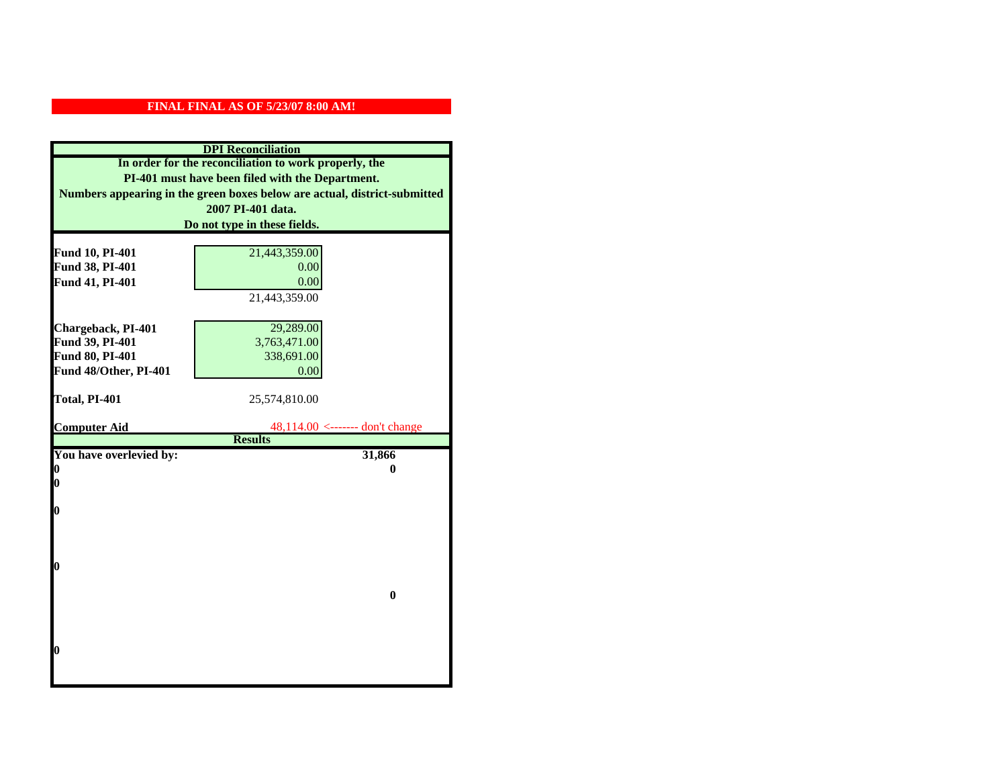|                         | <b>DPI</b> Reconciliation                                                 |
|-------------------------|---------------------------------------------------------------------------|
|                         | In order for the reconciliation to work properly, the                     |
|                         | PI-401 must have been filed with the Department.                          |
|                         | Numbers appearing in the green boxes below are actual, district-submitted |
|                         | 2007 PI-401 data.                                                         |
|                         | Do not type in these fields.                                              |
|                         |                                                                           |
| Fund 10, PI-401         | 21,443,359.00                                                             |
| Fund 38, PI-401         | 0.00                                                                      |
| Fund 41, PI-401         | 0.00                                                                      |
|                         | 21,443,359.00                                                             |
|                         |                                                                           |
| Chargeback, PI-401      | 29,289.00                                                                 |
| Fund 39, PI-401         | 3,763,471.00                                                              |
| Fund 80, PI-401         | 338,691.00                                                                |
| Fund 48/Other, PI-401   | 0.00                                                                      |
| Total, PI-401           | 25,574,810.00                                                             |
|                         |                                                                           |
| <b>Computer Aid</b>     | $48,114.00$ <------- don't change                                         |
|                         | <b>Results</b>                                                            |
| You have overlevied by: | 31,866                                                                    |
| 0                       | 0                                                                         |
| 0                       |                                                                           |
|                         |                                                                           |
| $\boldsymbol{0}$        |                                                                           |
|                         |                                                                           |
|                         |                                                                           |
| 0                       |                                                                           |
|                         |                                                                           |
|                         | $\bf{0}$                                                                  |
|                         |                                                                           |
|                         |                                                                           |
|                         |                                                                           |
| 0                       |                                                                           |
|                         |                                                                           |
|                         |                                                                           |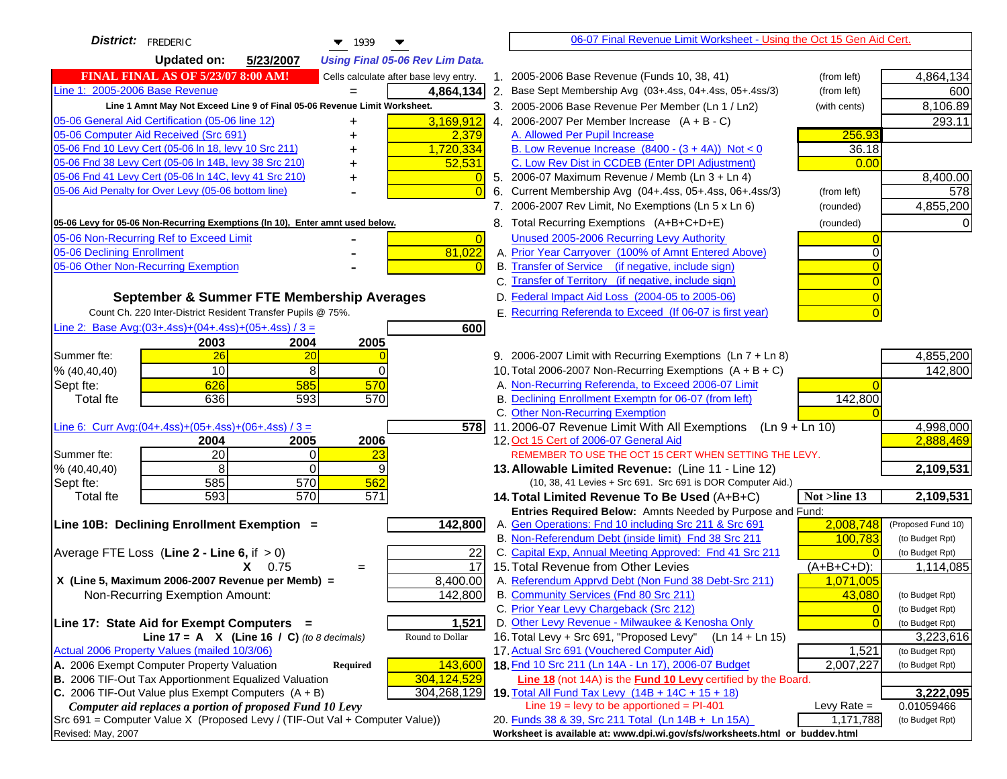| <b>District:</b> FREDERIC<br>$\blacktriangledown$ 1939                                                                                       |                | 06-07 Final Revenue Limit Worksheet - Using the Oct 15 Gen Aid Cert.                                                     |                                   |
|----------------------------------------------------------------------------------------------------------------------------------------------|----------------|--------------------------------------------------------------------------------------------------------------------------|-----------------------------------|
| <b>Updated on:</b><br>5/23/2007<br><b>Using Final 05-06 Rev Lim Data.</b>                                                                    |                |                                                                                                                          |                                   |
| <b>FINAL FINAL AS OF 5/23/07 8:00 AM!</b><br>Cells calculate after base levy entry.                                                          |                | 1. 2005-2006 Base Revenue (Funds 10, 38, 41)<br>(from left)                                                              | 4,864,134                         |
| Line 1: 2005-2006 Base Revenue<br>4,864,134                                                                                                  |                | 2. Base Sept Membership Avg (03+.4ss, 04+.4ss, 05+.4ss/3)<br>(from left)                                                 | 600                               |
| Line 1 Amnt May Not Exceed Line 9 of Final 05-06 Revenue Limit Worksheet.                                                                    |                | 3. 2005-2006 Base Revenue Per Member (Ln 1 / Ln2)<br>(with cents)                                                        | 8,106.89                          |
| 3,169,912<br>05-06 General Aid Certification (05-06 line 12)<br>+                                                                            |                | 4. 2006-2007 Per Member Increase $(A + B - C)$                                                                           | 293.11                            |
| 05-06 Computer Aid Received (Src 691)<br>2,379                                                                                               |                | 256.93<br>A. Allowed Per Pupil Increase                                                                                  |                                   |
| 05-06 Fnd 10 Levy Cert (05-06 In 18, levy 10 Src 211)<br>1,720,334                                                                           |                | B. Low Revenue Increase $(8400 - (3 + 4A))$ Not < 0                                                                      | 36.18                             |
| 05-06 Fnd 38 Levy Cert (05-06 In 14B, levy 38 Src 210)<br>52,531                                                                             |                | C. Low Rev Dist in CCDEB (Enter DPI Adjustment)                                                                          | 0.00                              |
| 05-06 Fnd 41 Levy Cert (05-06 In 14C, levy 41 Src 210)<br>+                                                                                  |                | 5. 2006-07 Maximum Revenue / Memb (Ln 3 + Ln 4)                                                                          | 8,400.00                          |
| 05-06 Aid Penalty for Over Levy (05-06 bottom line)                                                                                          |                | 6. Current Membership Avg (04+.4ss, 05+.4ss, 06+.4ss/3)<br>(from left)                                                   | 578                               |
|                                                                                                                                              |                | 7. 2006-2007 Rev Limit, No Exemptions (Ln 5 x Ln 6)<br>(rounded)                                                         | 4,855,200                         |
| 05-06 Levy for 05-06 Non-Recurring Exemptions (In 10), Enter amnt used below.                                                                |                | 8. Total Recurring Exemptions (A+B+C+D+E)<br>(rounded)                                                                   |                                   |
| 05-06 Non-Recurring Ref to Exceed Limit                                                                                                      | $\overline{0}$ | Unused 2005-2006 Recurring Levy Authority                                                                                |                                   |
| 81,022<br>05-06 Declining Enrollment                                                                                                         |                | A. Prior Year Carryover (100% of Amnt Entered Above)                                                                     |                                   |
| 05-06 Other Non-Recurring Exemption                                                                                                          |                | B. Transfer of Service (if negative, include sign)                                                                       |                                   |
|                                                                                                                                              |                | C. Transfer of Territory (if negative, include sign)                                                                     |                                   |
| September & Summer FTE Membership Averages                                                                                                   |                | D. Federal Impact Aid Loss (2004-05 to 2005-06)                                                                          |                                   |
| Count Ch. 220 Inter-District Resident Transfer Pupils @ 75%.                                                                                 |                | E. Recurring Referenda to Exceed (If 06-07 is first year)                                                                |                                   |
| Line 2: Base Avg: $(03+.4ss)+(04+.4ss)+(05+.4ss)/3 =$                                                                                        | 600            |                                                                                                                          |                                   |
| 2003<br>2004<br>2005                                                                                                                         |                |                                                                                                                          |                                   |
| 26<br>Summer fte:<br>20                                                                                                                      |                | 9. 2006-2007 Limit with Recurring Exemptions (Ln 7 + Ln 8)                                                               | 4,855,200                         |
| 10<br>8<br>% (40, 40, 40)<br>$\Omega$                                                                                                        |                | 10. Total 2006-2007 Non-Recurring Exemptions (A + B + C)                                                                 | 142,800                           |
| 626<br>585<br>570<br>Sept fte:                                                                                                               |                | A. Non-Recurring Referenda, to Exceed 2006-07 Limit                                                                      |                                   |
| 636<br>593<br>570<br><b>Total fte</b>                                                                                                        |                | B. Declining Enrollment Exemptn for 06-07 (from left)<br>142,800                                                         |                                   |
|                                                                                                                                              |                | C. Other Non-Recurring Exemption                                                                                         |                                   |
| Line 6: Curr Avg: $(04+.4ss)+(05+.4ss)+(06+.4ss)/3 =$                                                                                        | 578I           | 11.2006-07 Revenue Limit With All Exemptions $(Ln 9 + Ln 10)$                                                            | 4,998,000<br>2,888,469            |
| 2006<br>2005<br>2004<br>20<br>Summer fte:<br>0<br>23                                                                                         |                | 12. Oct 15 Cert of 2006-07 General Aid<br>REMEMBER TO USE THE OCT 15 CERT WHEN SETTING THE LEVY.                         |                                   |
| 8<br>$\Omega$<br>9<br>% (40, 40, 40)                                                                                                         |                | 13. Allowable Limited Revenue: (Line 11 - Line 12)                                                                       | 2,109,531                         |
| 585<br>570<br>562<br>Sept fte:                                                                                                               |                | (10, 38, 41 Levies + Src 691. Src 691 is DOR Computer Aid.)                                                              |                                   |
| 570<br>571<br>593<br><b>Total fte</b>                                                                                                        |                | 14. Total Limited Revenue To Be Used (A+B+C)<br>Not >line 13                                                             | 2,109,531                         |
|                                                                                                                                              |                | Entries Required Below: Amnts Needed by Purpose and Fund:                                                                |                                   |
| 142,800<br>Line 10B: Declining Enrollment Exemption =                                                                                        |                | 2,008,748<br>A. Gen Operations: Fnd 10 including Src 211 & Src 691                                                       | (Proposed Fund 10)                |
|                                                                                                                                              |                | B. Non-Referendum Debt (inside limit) Fnd 38 Src 211<br>100,783                                                          | (to Budget Rpt)                   |
| Average FTE Loss (Line $2 -$ Line 6, if $> 0$ )                                                                                              | 22             | C. Capital Exp, Annual Meeting Approved: Fnd 41 Src 211                                                                  | (to Budget Rpt)                   |
| $X = 0.75$<br>$=$                                                                                                                            | 17             | 15. Total Revenue from Other Levies<br>$(A+B+C+D)$ :                                                                     | 1,114,085                         |
| X (Line 5, Maximum 2006-2007 Revenue per Memb) =<br>8,400.00                                                                                 |                | A. Referendum Apprvd Debt (Non Fund 38 Debt-Src 211)<br>1,071,005                                                        |                                   |
| 142,800<br>Non-Recurring Exemption Amount:                                                                                                   |                | B. Community Services (Fnd 80 Src 211)<br>43,080                                                                         | (to Budget Rpt)                   |
|                                                                                                                                              |                | C. Prior Year Levy Chargeback (Src 212)                                                                                  | $\overline{0}$<br>(to Budget Rpt) |
| 1,521<br>Line 17: State Aid for Exempt Computers =                                                                                           |                | D. Other Levy Revenue - Milwaukee & Kenosha Only                                                                         | (to Budget Rpt)                   |
| Round to Dollar<br>Line 17 = A $X$ (Line 16 / C) (to 8 decimals)                                                                             |                | 16. Total Levy + Src 691, "Proposed Levy"<br>(Ln 14 + Ln 15)                                                             | 3,223,616                         |
| Actual 2006 Property Values (mailed 10/3/06)                                                                                                 |                | 17. Actual Src 691 (Vouchered Computer Aid)                                                                              | 1,521<br>(to Budget Rpt)          |
| A. 2006 Exempt Computer Property Valuation<br>143,600<br>Required                                                                            |                | 18. Fnd 10 Src 211 (Ln 14A - Ln 17), 2006-07 Budget<br>2,007,227                                                         | (to Budget Rpt)                   |
| B. 2006 TIF-Out Tax Apportionment Equalized Valuation<br>304,124,529<br>C. 2006 TIF-Out Value plus Exempt Computers $(A + B)$<br>304,268,129 |                | Line 18 (not 14A) is the <b>Fund 10 Levy</b> certified by the Board.                                                     |                                   |
| Computer aid replaces a portion of proposed Fund 10 Levy                                                                                     |                | 19. Total All Fund Tax Levy (14B + 14C + 15 + 18)<br>Line $19 = \text{levy}$ to be apportioned = PI-401<br>Levy Rate $=$ | 3,222,095<br>0.01059466           |
| Src 691 = Computer Value X (Proposed Levy / (TIF-Out Val + Computer Value))                                                                  |                | 20. Funds 38 & 39, Src 211 Total (Ln 14B + Ln 15A)<br>1,171,788                                                          | (to Budget Rpt)                   |
| Revised: May, 2007                                                                                                                           |                | Worksheet is available at: www.dpi.wi.gov/sfs/worksheets.html or buddev.html                                             |                                   |
|                                                                                                                                              |                |                                                                                                                          |                                   |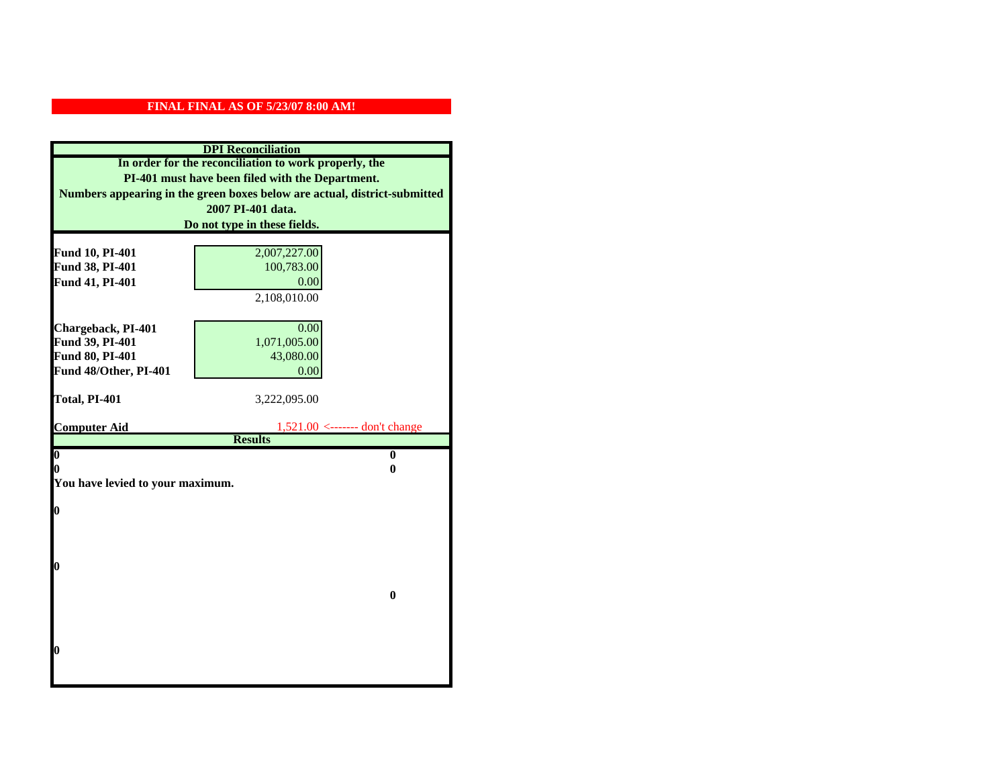|                                  | <b>DPI</b> Reconciliation                                                 |
|----------------------------------|---------------------------------------------------------------------------|
|                                  | In order for the reconciliation to work properly, the                     |
|                                  | PI-401 must have been filed with the Department.                          |
|                                  | Numbers appearing in the green boxes below are actual, district-submitted |
|                                  | 2007 PI-401 data.                                                         |
|                                  | Do not type in these fields.                                              |
|                                  |                                                                           |
| Fund 10, PI-401                  | 2,007,227.00                                                              |
| Fund 38, PI-401                  | 100,783.00                                                                |
| Fund 41, PI-401                  | 0.00                                                                      |
|                                  | 2,108,010.00                                                              |
|                                  |                                                                           |
| Chargeback, PI-401               | 0.00                                                                      |
| Fund 39, PI-401                  | 1,071,005.00                                                              |
| Fund 80, PI-401                  | 43,080.00                                                                 |
| Fund 48/Other, PI-401            | 0.00                                                                      |
| Total, PI-401                    | 3,222,095.00                                                              |
|                                  |                                                                           |
| <b>Computer Aid</b>              | $1,521.00$ <------- don't change                                          |
|                                  | <b>Results</b>                                                            |
| $\overline{\mathbf{0}}$          | $\bf{0}$                                                                  |
| 0                                | 0                                                                         |
| You have levied to your maximum. |                                                                           |
| $\bf{0}$                         |                                                                           |
|                                  |                                                                           |
|                                  |                                                                           |
|                                  |                                                                           |
| l0                               |                                                                           |
|                                  |                                                                           |
|                                  | $\bf{0}$                                                                  |
|                                  |                                                                           |
|                                  |                                                                           |
|                                  |                                                                           |
| $\boldsymbol{0}$                 |                                                                           |
|                                  |                                                                           |
|                                  |                                                                           |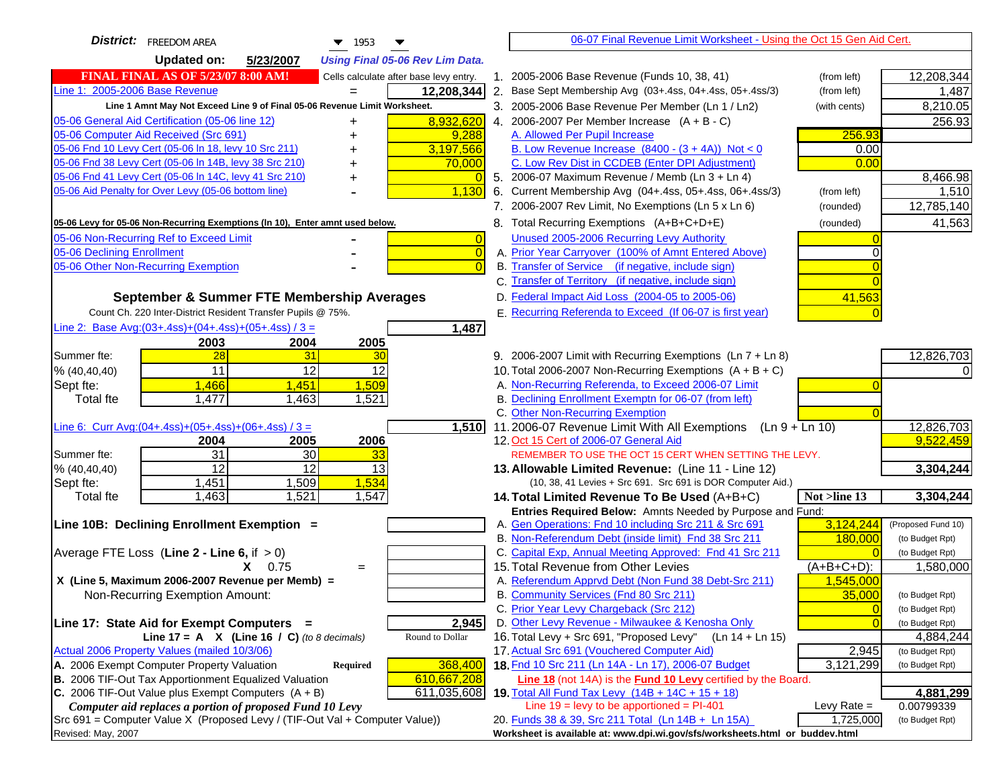| 5/23/2007<br>Updated on:<br><b>Using Final 05-06 Rev Lim Data.</b><br><b>FINAL FINAL AS OF 5/23/07 8:00 AM!</b><br>1. 2005-2006 Base Revenue (Funds 10, 38, 41)<br>12,208,344<br>Cells calculate after base levy entry.<br>(from left)<br>2. Base Sept Membership Avg (03+.4ss, 04+.4ss, 05+.4ss/3)<br>12,208,344<br>(from left)<br>1,487<br>Line 1 Amnt May Not Exceed Line 9 of Final 05-06 Revenue Limit Worksheet.<br>3. 2005-2006 Base Revenue Per Member (Ln 1 / Ln2)<br>(with cents)<br>8,210.05<br>8,932,620<br>4. 2006-2007 Per Member Increase $(A + B - C)$<br>256.93<br>+<br>9,288<br>A. Allowed Per Pupil Increase<br>256.93<br>05-06 Fnd 10 Levy Cert (05-06 In 18, levy 10 Src 211)<br>3,197,566<br>B. Low Revenue Increase $(8400 - (3 + 4A))$ Not < 0<br>0.00<br>C. Low Rev Dist in CCDEB (Enter DPI Adjustment)<br>05-06 Fnd 38 Levy Cert (05-06 In 14B, levy 38 Src 210)<br>0.00<br>70,000<br>05-06 Fnd 41 Levy Cert (05-06 In 14C, levy 41 Src 210)<br>5. 2006-07 Maximum Revenue / Memb (Ln 3 + Ln 4)<br>8,466.98<br>05-06 Aid Penalty for Over Levy (05-06 bottom line)<br>1,130<br>6. Current Membership Avg (04+.4ss, 05+.4ss, 06+.4ss/3)<br>1,510<br>(from left)<br>7. 2006-2007 Rev Limit, No Exemptions (Ln 5 x Ln 6)<br>12,785,140<br>(rounded)<br>8. Total Recurring Exemptions (A+B+C+D+E)<br>41,563<br>05-06 Levy for 05-06 Non-Recurring Exemptions (In 10), Enter amnt used below.<br>(rounded)<br>Unused 2005-2006 Recurring Levy Authority<br>05-06 Non-Recurring Ref to Exceed Limit<br>$\vert 0 \vert$<br>A. Prior Year Carryover (100% of Amnt Entered Above)<br>05-06 Declining Enrollment<br>$\overline{0}$<br>$\Omega$<br>05-06 Other Non-Recurring Exemption<br>B. Transfer of Service (if negative, include sign)<br>$\overline{0}$<br>C. Transfer of Territory (if negative, include sign)<br>$\Omega$<br>D. Federal Impact Aid Loss (2004-05 to 2005-06)<br>41,563<br>September & Summer FTE Membership Averages<br>E. Recurring Referenda to Exceed (If 06-07 is first year)<br>Count Ch. 220 Inter-District Resident Transfer Pupils @ 75%.<br>Line 2: Base Avg: (03+.4ss) + (04+.4ss) + (05+.4ss) / 3 =<br>1,487<br>2003<br>2004<br>2005<br>12,826,703<br>Summer fte:<br>28<br>31<br>30<br>9. 2006-2007 Limit with Recurring Exemptions (Ln 7 + Ln 8)<br>11<br>12<br>12<br>10. Total 2006-2007 Non-Recurring Exemptions $(A + B + C)$<br>% (40, 40, 40)<br>A. Non-Recurring Referenda, to Exceed 2006-07 Limit<br>1,466<br>1,451<br>1,509<br>Sept fte:<br>B. Declining Enrollment Exemptn for 06-07 (from left)<br>1,477<br>1,463<br>1,521<br><b>Total fte</b><br>C. Other Non-Recurring Exemption<br>11.2006-07 Revenue Limit With All Exemptions<br>12,826,703<br>Line 6: Curr Avg: $(04+.4ss)+(05+.4ss)+(06+.4ss)/3 =$<br>1,510<br>$(Ln 9 + Ln 10)$<br>9,522,459<br>12. Oct 15 Cert of 2006-07 General Aid<br>2004<br>2005<br>2006<br>$\overline{31}$<br>30<br>33<br>REMEMBER TO USE THE OCT 15 CERT WHEN SETTING THE LEVY.<br>Summer fte:<br>$\overline{12}$<br>$\overline{12}$<br>13<br>3,304,244<br>% (40, 40, 40)<br>13. Allowable Limited Revenue: (Line 11 - Line 12)<br>1,451<br>1,509<br>1,534<br>(10, 38, 41 Levies + Src 691. Src 691 is DOR Computer Aid.)<br>Sept fte:<br>1,521<br>1,463<br>1,547<br>3,304,244<br><b>Total fte</b><br>Not $>$ line 13<br>14. Total Limited Revenue To Be Used $(A+B+C)$<br>Entries Required Below: Amnts Needed by Purpose and Fund:<br>3,124,244<br>A. Gen Operations: Fnd 10 including Src 211 & Src 691<br>(Proposed Fund 10)<br>B. Non-Referendum Debt (inside limit) Fnd 38 Src 211<br>180,000<br>(to Budget Rpt)<br>C. Capital Exp, Annual Meeting Approved: Fnd 41 Src 211<br>Average FTE Loss (Line $2 -$ Line 6, if $> 0$ )<br>(to Budget Rpt)<br>15. Total Revenue from Other Levies<br>$(A+B+C+D)$ :<br>1,580,000<br>$X = 0.75$<br>$=$<br>X (Line 5, Maximum 2006-2007 Revenue per Memb) =<br>A. Referendum Apprvd Debt (Non Fund 38 Debt-Src 211)<br>1,545,000<br>B. Community Services (Fnd 80 Src 211)<br>35,000<br>Non-Recurring Exemption Amount:<br>(to Budget Rpt)<br>C. Prior Year Levy Chargeback (Src 212)<br>$\overline{0}$<br>(to Budget Rpt)<br>D. Other Levy Revenue - Milwaukee & Kenosha Only<br>Line 17: State Aid for Exempt Computers =<br>2,945<br>(to Budget Rpt)<br>16. Total Levy + Src 691, "Proposed Levy"<br>Round to Dollar<br>Line 17 = A $X$ (Line 16 / C) (to 8 decimals)<br>(Ln 14 + Ln 15)<br>4,884,244<br>Actual 2006 Property Values (mailed 10/3/06)<br>17. Actual Src 691 (Vouchered Computer Aid)<br>2,945<br>(to Budget Rpt)<br>A. 2006 Exempt Computer Property Valuation<br>18. Fnd 10 Src 211 (Ln 14A - Ln 17), 2006-07 Budget<br>3,121,299<br>368,400<br><b>Required</b><br>(to Budget Rpt)<br>B. 2006 TIF-Out Tax Apportionment Equalized Valuation<br>610,667,208<br>Line 18 (not 14A) is the <b>Fund 10 Levy</b> certified by the Board.<br>C. 2006 TIF-Out Value plus Exempt Computers $(A + B)$<br>611,035,608<br>19. Total All Fund Tax Levy (14B + 14C + 15 + 18)<br>4,881,299<br>Line $19 = \text{levy}$ to be apportioned = PI-401<br>Computer aid replaces a portion of proposed Fund 10 Levy<br>Levy Rate $=$<br>0.00799339<br>1,725,000<br>20. Funds 38 & 39, Src 211 Total (Ln 14B + Ln 15A)<br>(to Budget Rpt)<br>Worksheet is available at: www.dpi.wi.gov/sfs/worksheets.html or buddev.html | <b>District:</b> FREEDOM AREA<br>$\blacktriangledown$ 1953                  | 06-07 Final Revenue Limit Worksheet - Using the Oct 15 Gen Aid Cert. |  |
|------------------------------------------------------------------------------------------------------------------------------------------------------------------------------------------------------------------------------------------------------------------------------------------------------------------------------------------------------------------------------------------------------------------------------------------------------------------------------------------------------------------------------------------------------------------------------------------------------------------------------------------------------------------------------------------------------------------------------------------------------------------------------------------------------------------------------------------------------------------------------------------------------------------------------------------------------------------------------------------------------------------------------------------------------------------------------------------------------------------------------------------------------------------------------------------------------------------------------------------------------------------------------------------------------------------------------------------------------------------------------------------------------------------------------------------------------------------------------------------------------------------------------------------------------------------------------------------------------------------------------------------------------------------------------------------------------------------------------------------------------------------------------------------------------------------------------------------------------------------------------------------------------------------------------------------------------------------------------------------------------------------------------------------------------------------------------------------------------------------------------------------------------------------------------------------------------------------------------------------------------------------------------------------------------------------------------------------------------------------------------------------------------------------------------------------------------------------------------------------------------------------------------------------------------------------------------------------------------------------------------------------------------------------------------------------------------------------------------------------------------------------------------------------------------------------------------------------------------------------------------------------------------------------------------------------------------------------------------------------------------------------------------------------------------------------------------------------------------------------------------------------------------------------------------------------------------------------------------------------------------------------------------------------------------------------------------------------------------------------------------------------------------------------------------------------------------------------------------------------------------------------------------------------------------------------------------------------------------------------------------------------------------------------------------------------------------------------------------------------------------------------------------------------------------------------------------------------------------------------------------------------------------------------------------------------------------------------------------------------------------------------------------------------------------------------------------------------------------------------------------------------------------------------------------------------------------------------------------------------------------------------------------------------------------------------------------------------------------------------------------------------------------------------------------------------------------------------------------------------------------------------------------------------------------------------------------------------------------------------------------------------------------------------------------------------------------------------------------------------------------------------------------------------------------------------------------------------------------------------------------------------------------------------------------------------------------------------------------------------------------------------------------------------------------------------------------------------------------------------------------------------------------------------------------------------------------------------------------------------------------------------------------------------------------------------------------------------------------------------|-----------------------------------------------------------------------------|----------------------------------------------------------------------|--|
|                                                                                                                                                                                                                                                                                                                                                                                                                                                                                                                                                                                                                                                                                                                                                                                                                                                                                                                                                                                                                                                                                                                                                                                                                                                                                                                                                                                                                                                                                                                                                                                                                                                                                                                                                                                                                                                                                                                                                                                                                                                                                                                                                                                                                                                                                                                                                                                                                                                                                                                                                                                                                                                                                                                                                                                                                                                                                                                                                                                                                                                                                                                                                                                                                                                                                                                                                                                                                                                                                                                                                                                                                                                                                                                                                                                                                                                                                                                                                                                                                                                                                                                                                                                                                                                                                                                                                                                                                                                                                                                                                                                                                                                                                                                                                                                                                                                                                                                                                                                                                                                                                                                                                                                                                                                                                                                                                                  |                                                                             |                                                                      |  |
|                                                                                                                                                                                                                                                                                                                                                                                                                                                                                                                                                                                                                                                                                                                                                                                                                                                                                                                                                                                                                                                                                                                                                                                                                                                                                                                                                                                                                                                                                                                                                                                                                                                                                                                                                                                                                                                                                                                                                                                                                                                                                                                                                                                                                                                                                                                                                                                                                                                                                                                                                                                                                                                                                                                                                                                                                                                                                                                                                                                                                                                                                                                                                                                                                                                                                                                                                                                                                                                                                                                                                                                                                                                                                                                                                                                                                                                                                                                                                                                                                                                                                                                                                                                                                                                                                                                                                                                                                                                                                                                                                                                                                                                                                                                                                                                                                                                                                                                                                                                                                                                                                                                                                                                                                                                                                                                                                                  |                                                                             |                                                                      |  |
|                                                                                                                                                                                                                                                                                                                                                                                                                                                                                                                                                                                                                                                                                                                                                                                                                                                                                                                                                                                                                                                                                                                                                                                                                                                                                                                                                                                                                                                                                                                                                                                                                                                                                                                                                                                                                                                                                                                                                                                                                                                                                                                                                                                                                                                                                                                                                                                                                                                                                                                                                                                                                                                                                                                                                                                                                                                                                                                                                                                                                                                                                                                                                                                                                                                                                                                                                                                                                                                                                                                                                                                                                                                                                                                                                                                                                                                                                                                                                                                                                                                                                                                                                                                                                                                                                                                                                                                                                                                                                                                                                                                                                                                                                                                                                                                                                                                                                                                                                                                                                                                                                                                                                                                                                                                                                                                                                                  | Line 1: 2005-2006 Base Revenue                                              |                                                                      |  |
|                                                                                                                                                                                                                                                                                                                                                                                                                                                                                                                                                                                                                                                                                                                                                                                                                                                                                                                                                                                                                                                                                                                                                                                                                                                                                                                                                                                                                                                                                                                                                                                                                                                                                                                                                                                                                                                                                                                                                                                                                                                                                                                                                                                                                                                                                                                                                                                                                                                                                                                                                                                                                                                                                                                                                                                                                                                                                                                                                                                                                                                                                                                                                                                                                                                                                                                                                                                                                                                                                                                                                                                                                                                                                                                                                                                                                                                                                                                                                                                                                                                                                                                                                                                                                                                                                                                                                                                                                                                                                                                                                                                                                                                                                                                                                                                                                                                                                                                                                                                                                                                                                                                                                                                                                                                                                                                                                                  |                                                                             |                                                                      |  |
|                                                                                                                                                                                                                                                                                                                                                                                                                                                                                                                                                                                                                                                                                                                                                                                                                                                                                                                                                                                                                                                                                                                                                                                                                                                                                                                                                                                                                                                                                                                                                                                                                                                                                                                                                                                                                                                                                                                                                                                                                                                                                                                                                                                                                                                                                                                                                                                                                                                                                                                                                                                                                                                                                                                                                                                                                                                                                                                                                                                                                                                                                                                                                                                                                                                                                                                                                                                                                                                                                                                                                                                                                                                                                                                                                                                                                                                                                                                                                                                                                                                                                                                                                                                                                                                                                                                                                                                                                                                                                                                                                                                                                                                                                                                                                                                                                                                                                                                                                                                                                                                                                                                                                                                                                                                                                                                                                                  | 05-06 General Aid Certification (05-06 line 12)                             |                                                                      |  |
|                                                                                                                                                                                                                                                                                                                                                                                                                                                                                                                                                                                                                                                                                                                                                                                                                                                                                                                                                                                                                                                                                                                                                                                                                                                                                                                                                                                                                                                                                                                                                                                                                                                                                                                                                                                                                                                                                                                                                                                                                                                                                                                                                                                                                                                                                                                                                                                                                                                                                                                                                                                                                                                                                                                                                                                                                                                                                                                                                                                                                                                                                                                                                                                                                                                                                                                                                                                                                                                                                                                                                                                                                                                                                                                                                                                                                                                                                                                                                                                                                                                                                                                                                                                                                                                                                                                                                                                                                                                                                                                                                                                                                                                                                                                                                                                                                                                                                                                                                                                                                                                                                                                                                                                                                                                                                                                                                                  | 05-06 Computer Aid Received (Src 691)                                       |                                                                      |  |
|                                                                                                                                                                                                                                                                                                                                                                                                                                                                                                                                                                                                                                                                                                                                                                                                                                                                                                                                                                                                                                                                                                                                                                                                                                                                                                                                                                                                                                                                                                                                                                                                                                                                                                                                                                                                                                                                                                                                                                                                                                                                                                                                                                                                                                                                                                                                                                                                                                                                                                                                                                                                                                                                                                                                                                                                                                                                                                                                                                                                                                                                                                                                                                                                                                                                                                                                                                                                                                                                                                                                                                                                                                                                                                                                                                                                                                                                                                                                                                                                                                                                                                                                                                                                                                                                                                                                                                                                                                                                                                                                                                                                                                                                                                                                                                                                                                                                                                                                                                                                                                                                                                                                                                                                                                                                                                                                                                  |                                                                             |                                                                      |  |
|                                                                                                                                                                                                                                                                                                                                                                                                                                                                                                                                                                                                                                                                                                                                                                                                                                                                                                                                                                                                                                                                                                                                                                                                                                                                                                                                                                                                                                                                                                                                                                                                                                                                                                                                                                                                                                                                                                                                                                                                                                                                                                                                                                                                                                                                                                                                                                                                                                                                                                                                                                                                                                                                                                                                                                                                                                                                                                                                                                                                                                                                                                                                                                                                                                                                                                                                                                                                                                                                                                                                                                                                                                                                                                                                                                                                                                                                                                                                                                                                                                                                                                                                                                                                                                                                                                                                                                                                                                                                                                                                                                                                                                                                                                                                                                                                                                                                                                                                                                                                                                                                                                                                                                                                                                                                                                                                                                  |                                                                             |                                                                      |  |
|                                                                                                                                                                                                                                                                                                                                                                                                                                                                                                                                                                                                                                                                                                                                                                                                                                                                                                                                                                                                                                                                                                                                                                                                                                                                                                                                                                                                                                                                                                                                                                                                                                                                                                                                                                                                                                                                                                                                                                                                                                                                                                                                                                                                                                                                                                                                                                                                                                                                                                                                                                                                                                                                                                                                                                                                                                                                                                                                                                                                                                                                                                                                                                                                                                                                                                                                                                                                                                                                                                                                                                                                                                                                                                                                                                                                                                                                                                                                                                                                                                                                                                                                                                                                                                                                                                                                                                                                                                                                                                                                                                                                                                                                                                                                                                                                                                                                                                                                                                                                                                                                                                                                                                                                                                                                                                                                                                  |                                                                             |                                                                      |  |
|                                                                                                                                                                                                                                                                                                                                                                                                                                                                                                                                                                                                                                                                                                                                                                                                                                                                                                                                                                                                                                                                                                                                                                                                                                                                                                                                                                                                                                                                                                                                                                                                                                                                                                                                                                                                                                                                                                                                                                                                                                                                                                                                                                                                                                                                                                                                                                                                                                                                                                                                                                                                                                                                                                                                                                                                                                                                                                                                                                                                                                                                                                                                                                                                                                                                                                                                                                                                                                                                                                                                                                                                                                                                                                                                                                                                                                                                                                                                                                                                                                                                                                                                                                                                                                                                                                                                                                                                                                                                                                                                                                                                                                                                                                                                                                                                                                                                                                                                                                                                                                                                                                                                                                                                                                                                                                                                                                  |                                                                             |                                                                      |  |
|                                                                                                                                                                                                                                                                                                                                                                                                                                                                                                                                                                                                                                                                                                                                                                                                                                                                                                                                                                                                                                                                                                                                                                                                                                                                                                                                                                                                                                                                                                                                                                                                                                                                                                                                                                                                                                                                                                                                                                                                                                                                                                                                                                                                                                                                                                                                                                                                                                                                                                                                                                                                                                                                                                                                                                                                                                                                                                                                                                                                                                                                                                                                                                                                                                                                                                                                                                                                                                                                                                                                                                                                                                                                                                                                                                                                                                                                                                                                                                                                                                                                                                                                                                                                                                                                                                                                                                                                                                                                                                                                                                                                                                                                                                                                                                                                                                                                                                                                                                                                                                                                                                                                                                                                                                                                                                                                                                  |                                                                             |                                                                      |  |
|                                                                                                                                                                                                                                                                                                                                                                                                                                                                                                                                                                                                                                                                                                                                                                                                                                                                                                                                                                                                                                                                                                                                                                                                                                                                                                                                                                                                                                                                                                                                                                                                                                                                                                                                                                                                                                                                                                                                                                                                                                                                                                                                                                                                                                                                                                                                                                                                                                                                                                                                                                                                                                                                                                                                                                                                                                                                                                                                                                                                                                                                                                                                                                                                                                                                                                                                                                                                                                                                                                                                                                                                                                                                                                                                                                                                                                                                                                                                                                                                                                                                                                                                                                                                                                                                                                                                                                                                                                                                                                                                                                                                                                                                                                                                                                                                                                                                                                                                                                                                                                                                                                                                                                                                                                                                                                                                                                  |                                                                             |                                                                      |  |
|                                                                                                                                                                                                                                                                                                                                                                                                                                                                                                                                                                                                                                                                                                                                                                                                                                                                                                                                                                                                                                                                                                                                                                                                                                                                                                                                                                                                                                                                                                                                                                                                                                                                                                                                                                                                                                                                                                                                                                                                                                                                                                                                                                                                                                                                                                                                                                                                                                                                                                                                                                                                                                                                                                                                                                                                                                                                                                                                                                                                                                                                                                                                                                                                                                                                                                                                                                                                                                                                                                                                                                                                                                                                                                                                                                                                                                                                                                                                                                                                                                                                                                                                                                                                                                                                                                                                                                                                                                                                                                                                                                                                                                                                                                                                                                                                                                                                                                                                                                                                                                                                                                                                                                                                                                                                                                                                                                  |                                                                             |                                                                      |  |
|                                                                                                                                                                                                                                                                                                                                                                                                                                                                                                                                                                                                                                                                                                                                                                                                                                                                                                                                                                                                                                                                                                                                                                                                                                                                                                                                                                                                                                                                                                                                                                                                                                                                                                                                                                                                                                                                                                                                                                                                                                                                                                                                                                                                                                                                                                                                                                                                                                                                                                                                                                                                                                                                                                                                                                                                                                                                                                                                                                                                                                                                                                                                                                                                                                                                                                                                                                                                                                                                                                                                                                                                                                                                                                                                                                                                                                                                                                                                                                                                                                                                                                                                                                                                                                                                                                                                                                                                                                                                                                                                                                                                                                                                                                                                                                                                                                                                                                                                                                                                                                                                                                                                                                                                                                                                                                                                                                  |                                                                             |                                                                      |  |
|                                                                                                                                                                                                                                                                                                                                                                                                                                                                                                                                                                                                                                                                                                                                                                                                                                                                                                                                                                                                                                                                                                                                                                                                                                                                                                                                                                                                                                                                                                                                                                                                                                                                                                                                                                                                                                                                                                                                                                                                                                                                                                                                                                                                                                                                                                                                                                                                                                                                                                                                                                                                                                                                                                                                                                                                                                                                                                                                                                                                                                                                                                                                                                                                                                                                                                                                                                                                                                                                                                                                                                                                                                                                                                                                                                                                                                                                                                                                                                                                                                                                                                                                                                                                                                                                                                                                                                                                                                                                                                                                                                                                                                                                                                                                                                                                                                                                                                                                                                                                                                                                                                                                                                                                                                                                                                                                                                  |                                                                             |                                                                      |  |
|                                                                                                                                                                                                                                                                                                                                                                                                                                                                                                                                                                                                                                                                                                                                                                                                                                                                                                                                                                                                                                                                                                                                                                                                                                                                                                                                                                                                                                                                                                                                                                                                                                                                                                                                                                                                                                                                                                                                                                                                                                                                                                                                                                                                                                                                                                                                                                                                                                                                                                                                                                                                                                                                                                                                                                                                                                                                                                                                                                                                                                                                                                                                                                                                                                                                                                                                                                                                                                                                                                                                                                                                                                                                                                                                                                                                                                                                                                                                                                                                                                                                                                                                                                                                                                                                                                                                                                                                                                                                                                                                                                                                                                                                                                                                                                                                                                                                                                                                                                                                                                                                                                                                                                                                                                                                                                                                                                  |                                                                             |                                                                      |  |
|                                                                                                                                                                                                                                                                                                                                                                                                                                                                                                                                                                                                                                                                                                                                                                                                                                                                                                                                                                                                                                                                                                                                                                                                                                                                                                                                                                                                                                                                                                                                                                                                                                                                                                                                                                                                                                                                                                                                                                                                                                                                                                                                                                                                                                                                                                                                                                                                                                                                                                                                                                                                                                                                                                                                                                                                                                                                                                                                                                                                                                                                                                                                                                                                                                                                                                                                                                                                                                                                                                                                                                                                                                                                                                                                                                                                                                                                                                                                                                                                                                                                                                                                                                                                                                                                                                                                                                                                                                                                                                                                                                                                                                                                                                                                                                                                                                                                                                                                                                                                                                                                                                                                                                                                                                                                                                                                                                  |                                                                             |                                                                      |  |
|                                                                                                                                                                                                                                                                                                                                                                                                                                                                                                                                                                                                                                                                                                                                                                                                                                                                                                                                                                                                                                                                                                                                                                                                                                                                                                                                                                                                                                                                                                                                                                                                                                                                                                                                                                                                                                                                                                                                                                                                                                                                                                                                                                                                                                                                                                                                                                                                                                                                                                                                                                                                                                                                                                                                                                                                                                                                                                                                                                                                                                                                                                                                                                                                                                                                                                                                                                                                                                                                                                                                                                                                                                                                                                                                                                                                                                                                                                                                                                                                                                                                                                                                                                                                                                                                                                                                                                                                                                                                                                                                                                                                                                                                                                                                                                                                                                                                                                                                                                                                                                                                                                                                                                                                                                                                                                                                                                  |                                                                             |                                                                      |  |
|                                                                                                                                                                                                                                                                                                                                                                                                                                                                                                                                                                                                                                                                                                                                                                                                                                                                                                                                                                                                                                                                                                                                                                                                                                                                                                                                                                                                                                                                                                                                                                                                                                                                                                                                                                                                                                                                                                                                                                                                                                                                                                                                                                                                                                                                                                                                                                                                                                                                                                                                                                                                                                                                                                                                                                                                                                                                                                                                                                                                                                                                                                                                                                                                                                                                                                                                                                                                                                                                                                                                                                                                                                                                                                                                                                                                                                                                                                                                                                                                                                                                                                                                                                                                                                                                                                                                                                                                                                                                                                                                                                                                                                                                                                                                                                                                                                                                                                                                                                                                                                                                                                                                                                                                                                                                                                                                                                  |                                                                             |                                                                      |  |
|                                                                                                                                                                                                                                                                                                                                                                                                                                                                                                                                                                                                                                                                                                                                                                                                                                                                                                                                                                                                                                                                                                                                                                                                                                                                                                                                                                                                                                                                                                                                                                                                                                                                                                                                                                                                                                                                                                                                                                                                                                                                                                                                                                                                                                                                                                                                                                                                                                                                                                                                                                                                                                                                                                                                                                                                                                                                                                                                                                                                                                                                                                                                                                                                                                                                                                                                                                                                                                                                                                                                                                                                                                                                                                                                                                                                                                                                                                                                                                                                                                                                                                                                                                                                                                                                                                                                                                                                                                                                                                                                                                                                                                                                                                                                                                                                                                                                                                                                                                                                                                                                                                                                                                                                                                                                                                                                                                  |                                                                             |                                                                      |  |
|                                                                                                                                                                                                                                                                                                                                                                                                                                                                                                                                                                                                                                                                                                                                                                                                                                                                                                                                                                                                                                                                                                                                                                                                                                                                                                                                                                                                                                                                                                                                                                                                                                                                                                                                                                                                                                                                                                                                                                                                                                                                                                                                                                                                                                                                                                                                                                                                                                                                                                                                                                                                                                                                                                                                                                                                                                                                                                                                                                                                                                                                                                                                                                                                                                                                                                                                                                                                                                                                                                                                                                                                                                                                                                                                                                                                                                                                                                                                                                                                                                                                                                                                                                                                                                                                                                                                                                                                                                                                                                                                                                                                                                                                                                                                                                                                                                                                                                                                                                                                                                                                                                                                                                                                                                                                                                                                                                  |                                                                             |                                                                      |  |
|                                                                                                                                                                                                                                                                                                                                                                                                                                                                                                                                                                                                                                                                                                                                                                                                                                                                                                                                                                                                                                                                                                                                                                                                                                                                                                                                                                                                                                                                                                                                                                                                                                                                                                                                                                                                                                                                                                                                                                                                                                                                                                                                                                                                                                                                                                                                                                                                                                                                                                                                                                                                                                                                                                                                                                                                                                                                                                                                                                                                                                                                                                                                                                                                                                                                                                                                                                                                                                                                                                                                                                                                                                                                                                                                                                                                                                                                                                                                                                                                                                                                                                                                                                                                                                                                                                                                                                                                                                                                                                                                                                                                                                                                                                                                                                                                                                                                                                                                                                                                                                                                                                                                                                                                                                                                                                                                                                  |                                                                             |                                                                      |  |
|                                                                                                                                                                                                                                                                                                                                                                                                                                                                                                                                                                                                                                                                                                                                                                                                                                                                                                                                                                                                                                                                                                                                                                                                                                                                                                                                                                                                                                                                                                                                                                                                                                                                                                                                                                                                                                                                                                                                                                                                                                                                                                                                                                                                                                                                                                                                                                                                                                                                                                                                                                                                                                                                                                                                                                                                                                                                                                                                                                                                                                                                                                                                                                                                                                                                                                                                                                                                                                                                                                                                                                                                                                                                                                                                                                                                                                                                                                                                                                                                                                                                                                                                                                                                                                                                                                                                                                                                                                                                                                                                                                                                                                                                                                                                                                                                                                                                                                                                                                                                                                                                                                                                                                                                                                                                                                                                                                  |                                                                             |                                                                      |  |
|                                                                                                                                                                                                                                                                                                                                                                                                                                                                                                                                                                                                                                                                                                                                                                                                                                                                                                                                                                                                                                                                                                                                                                                                                                                                                                                                                                                                                                                                                                                                                                                                                                                                                                                                                                                                                                                                                                                                                                                                                                                                                                                                                                                                                                                                                                                                                                                                                                                                                                                                                                                                                                                                                                                                                                                                                                                                                                                                                                                                                                                                                                                                                                                                                                                                                                                                                                                                                                                                                                                                                                                                                                                                                                                                                                                                                                                                                                                                                                                                                                                                                                                                                                                                                                                                                                                                                                                                                                                                                                                                                                                                                                                                                                                                                                                                                                                                                                                                                                                                                                                                                                                                                                                                                                                                                                                                                                  |                                                                             |                                                                      |  |
|                                                                                                                                                                                                                                                                                                                                                                                                                                                                                                                                                                                                                                                                                                                                                                                                                                                                                                                                                                                                                                                                                                                                                                                                                                                                                                                                                                                                                                                                                                                                                                                                                                                                                                                                                                                                                                                                                                                                                                                                                                                                                                                                                                                                                                                                                                                                                                                                                                                                                                                                                                                                                                                                                                                                                                                                                                                                                                                                                                                                                                                                                                                                                                                                                                                                                                                                                                                                                                                                                                                                                                                                                                                                                                                                                                                                                                                                                                                                                                                                                                                                                                                                                                                                                                                                                                                                                                                                                                                                                                                                                                                                                                                                                                                                                                                                                                                                                                                                                                                                                                                                                                                                                                                                                                                                                                                                                                  |                                                                             |                                                                      |  |
|                                                                                                                                                                                                                                                                                                                                                                                                                                                                                                                                                                                                                                                                                                                                                                                                                                                                                                                                                                                                                                                                                                                                                                                                                                                                                                                                                                                                                                                                                                                                                                                                                                                                                                                                                                                                                                                                                                                                                                                                                                                                                                                                                                                                                                                                                                                                                                                                                                                                                                                                                                                                                                                                                                                                                                                                                                                                                                                                                                                                                                                                                                                                                                                                                                                                                                                                                                                                                                                                                                                                                                                                                                                                                                                                                                                                                                                                                                                                                                                                                                                                                                                                                                                                                                                                                                                                                                                                                                                                                                                                                                                                                                                                                                                                                                                                                                                                                                                                                                                                                                                                                                                                                                                                                                                                                                                                                                  |                                                                             |                                                                      |  |
|                                                                                                                                                                                                                                                                                                                                                                                                                                                                                                                                                                                                                                                                                                                                                                                                                                                                                                                                                                                                                                                                                                                                                                                                                                                                                                                                                                                                                                                                                                                                                                                                                                                                                                                                                                                                                                                                                                                                                                                                                                                                                                                                                                                                                                                                                                                                                                                                                                                                                                                                                                                                                                                                                                                                                                                                                                                                                                                                                                                                                                                                                                                                                                                                                                                                                                                                                                                                                                                                                                                                                                                                                                                                                                                                                                                                                                                                                                                                                                                                                                                                                                                                                                                                                                                                                                                                                                                                                                                                                                                                                                                                                                                                                                                                                                                                                                                                                                                                                                                                                                                                                                                                                                                                                                                                                                                                                                  |                                                                             |                                                                      |  |
|                                                                                                                                                                                                                                                                                                                                                                                                                                                                                                                                                                                                                                                                                                                                                                                                                                                                                                                                                                                                                                                                                                                                                                                                                                                                                                                                                                                                                                                                                                                                                                                                                                                                                                                                                                                                                                                                                                                                                                                                                                                                                                                                                                                                                                                                                                                                                                                                                                                                                                                                                                                                                                                                                                                                                                                                                                                                                                                                                                                                                                                                                                                                                                                                                                                                                                                                                                                                                                                                                                                                                                                                                                                                                                                                                                                                                                                                                                                                                                                                                                                                                                                                                                                                                                                                                                                                                                                                                                                                                                                                                                                                                                                                                                                                                                                                                                                                                                                                                                                                                                                                                                                                                                                                                                                                                                                                                                  |                                                                             |                                                                      |  |
|                                                                                                                                                                                                                                                                                                                                                                                                                                                                                                                                                                                                                                                                                                                                                                                                                                                                                                                                                                                                                                                                                                                                                                                                                                                                                                                                                                                                                                                                                                                                                                                                                                                                                                                                                                                                                                                                                                                                                                                                                                                                                                                                                                                                                                                                                                                                                                                                                                                                                                                                                                                                                                                                                                                                                                                                                                                                                                                                                                                                                                                                                                                                                                                                                                                                                                                                                                                                                                                                                                                                                                                                                                                                                                                                                                                                                                                                                                                                                                                                                                                                                                                                                                                                                                                                                                                                                                                                                                                                                                                                                                                                                                                                                                                                                                                                                                                                                                                                                                                                                                                                                                                                                                                                                                                                                                                                                                  |                                                                             |                                                                      |  |
|                                                                                                                                                                                                                                                                                                                                                                                                                                                                                                                                                                                                                                                                                                                                                                                                                                                                                                                                                                                                                                                                                                                                                                                                                                                                                                                                                                                                                                                                                                                                                                                                                                                                                                                                                                                                                                                                                                                                                                                                                                                                                                                                                                                                                                                                                                                                                                                                                                                                                                                                                                                                                                                                                                                                                                                                                                                                                                                                                                                                                                                                                                                                                                                                                                                                                                                                                                                                                                                                                                                                                                                                                                                                                                                                                                                                                                                                                                                                                                                                                                                                                                                                                                                                                                                                                                                                                                                                                                                                                                                                                                                                                                                                                                                                                                                                                                                                                                                                                                                                                                                                                                                                                                                                                                                                                                                                                                  |                                                                             |                                                                      |  |
|                                                                                                                                                                                                                                                                                                                                                                                                                                                                                                                                                                                                                                                                                                                                                                                                                                                                                                                                                                                                                                                                                                                                                                                                                                                                                                                                                                                                                                                                                                                                                                                                                                                                                                                                                                                                                                                                                                                                                                                                                                                                                                                                                                                                                                                                                                                                                                                                                                                                                                                                                                                                                                                                                                                                                                                                                                                                                                                                                                                                                                                                                                                                                                                                                                                                                                                                                                                                                                                                                                                                                                                                                                                                                                                                                                                                                                                                                                                                                                                                                                                                                                                                                                                                                                                                                                                                                                                                                                                                                                                                                                                                                                                                                                                                                                                                                                                                                                                                                                                                                                                                                                                                                                                                                                                                                                                                                                  |                                                                             |                                                                      |  |
|                                                                                                                                                                                                                                                                                                                                                                                                                                                                                                                                                                                                                                                                                                                                                                                                                                                                                                                                                                                                                                                                                                                                                                                                                                                                                                                                                                                                                                                                                                                                                                                                                                                                                                                                                                                                                                                                                                                                                                                                                                                                                                                                                                                                                                                                                                                                                                                                                                                                                                                                                                                                                                                                                                                                                                                                                                                                                                                                                                                                                                                                                                                                                                                                                                                                                                                                                                                                                                                                                                                                                                                                                                                                                                                                                                                                                                                                                                                                                                                                                                                                                                                                                                                                                                                                                                                                                                                                                                                                                                                                                                                                                                                                                                                                                                                                                                                                                                                                                                                                                                                                                                                                                                                                                                                                                                                                                                  | Line 10B: Declining Enrollment Exemption =                                  |                                                                      |  |
|                                                                                                                                                                                                                                                                                                                                                                                                                                                                                                                                                                                                                                                                                                                                                                                                                                                                                                                                                                                                                                                                                                                                                                                                                                                                                                                                                                                                                                                                                                                                                                                                                                                                                                                                                                                                                                                                                                                                                                                                                                                                                                                                                                                                                                                                                                                                                                                                                                                                                                                                                                                                                                                                                                                                                                                                                                                                                                                                                                                                                                                                                                                                                                                                                                                                                                                                                                                                                                                                                                                                                                                                                                                                                                                                                                                                                                                                                                                                                                                                                                                                                                                                                                                                                                                                                                                                                                                                                                                                                                                                                                                                                                                                                                                                                                                                                                                                                                                                                                                                                                                                                                                                                                                                                                                                                                                                                                  |                                                                             |                                                                      |  |
|                                                                                                                                                                                                                                                                                                                                                                                                                                                                                                                                                                                                                                                                                                                                                                                                                                                                                                                                                                                                                                                                                                                                                                                                                                                                                                                                                                                                                                                                                                                                                                                                                                                                                                                                                                                                                                                                                                                                                                                                                                                                                                                                                                                                                                                                                                                                                                                                                                                                                                                                                                                                                                                                                                                                                                                                                                                                                                                                                                                                                                                                                                                                                                                                                                                                                                                                                                                                                                                                                                                                                                                                                                                                                                                                                                                                                                                                                                                                                                                                                                                                                                                                                                                                                                                                                                                                                                                                                                                                                                                                                                                                                                                                                                                                                                                                                                                                                                                                                                                                                                                                                                                                                                                                                                                                                                                                                                  |                                                                             |                                                                      |  |
|                                                                                                                                                                                                                                                                                                                                                                                                                                                                                                                                                                                                                                                                                                                                                                                                                                                                                                                                                                                                                                                                                                                                                                                                                                                                                                                                                                                                                                                                                                                                                                                                                                                                                                                                                                                                                                                                                                                                                                                                                                                                                                                                                                                                                                                                                                                                                                                                                                                                                                                                                                                                                                                                                                                                                                                                                                                                                                                                                                                                                                                                                                                                                                                                                                                                                                                                                                                                                                                                                                                                                                                                                                                                                                                                                                                                                                                                                                                                                                                                                                                                                                                                                                                                                                                                                                                                                                                                                                                                                                                                                                                                                                                                                                                                                                                                                                                                                                                                                                                                                                                                                                                                                                                                                                                                                                                                                                  |                                                                             |                                                                      |  |
|                                                                                                                                                                                                                                                                                                                                                                                                                                                                                                                                                                                                                                                                                                                                                                                                                                                                                                                                                                                                                                                                                                                                                                                                                                                                                                                                                                                                                                                                                                                                                                                                                                                                                                                                                                                                                                                                                                                                                                                                                                                                                                                                                                                                                                                                                                                                                                                                                                                                                                                                                                                                                                                                                                                                                                                                                                                                                                                                                                                                                                                                                                                                                                                                                                                                                                                                                                                                                                                                                                                                                                                                                                                                                                                                                                                                                                                                                                                                                                                                                                                                                                                                                                                                                                                                                                                                                                                                                                                                                                                                                                                                                                                                                                                                                                                                                                                                                                                                                                                                                                                                                                                                                                                                                                                                                                                                                                  |                                                                             |                                                                      |  |
|                                                                                                                                                                                                                                                                                                                                                                                                                                                                                                                                                                                                                                                                                                                                                                                                                                                                                                                                                                                                                                                                                                                                                                                                                                                                                                                                                                                                                                                                                                                                                                                                                                                                                                                                                                                                                                                                                                                                                                                                                                                                                                                                                                                                                                                                                                                                                                                                                                                                                                                                                                                                                                                                                                                                                                                                                                                                                                                                                                                                                                                                                                                                                                                                                                                                                                                                                                                                                                                                                                                                                                                                                                                                                                                                                                                                                                                                                                                                                                                                                                                                                                                                                                                                                                                                                                                                                                                                                                                                                                                                                                                                                                                                                                                                                                                                                                                                                                                                                                                                                                                                                                                                                                                                                                                                                                                                                                  |                                                                             |                                                                      |  |
|                                                                                                                                                                                                                                                                                                                                                                                                                                                                                                                                                                                                                                                                                                                                                                                                                                                                                                                                                                                                                                                                                                                                                                                                                                                                                                                                                                                                                                                                                                                                                                                                                                                                                                                                                                                                                                                                                                                                                                                                                                                                                                                                                                                                                                                                                                                                                                                                                                                                                                                                                                                                                                                                                                                                                                                                                                                                                                                                                                                                                                                                                                                                                                                                                                                                                                                                                                                                                                                                                                                                                                                                                                                                                                                                                                                                                                                                                                                                                                                                                                                                                                                                                                                                                                                                                                                                                                                                                                                                                                                                                                                                                                                                                                                                                                                                                                                                                                                                                                                                                                                                                                                                                                                                                                                                                                                                                                  |                                                                             |                                                                      |  |
|                                                                                                                                                                                                                                                                                                                                                                                                                                                                                                                                                                                                                                                                                                                                                                                                                                                                                                                                                                                                                                                                                                                                                                                                                                                                                                                                                                                                                                                                                                                                                                                                                                                                                                                                                                                                                                                                                                                                                                                                                                                                                                                                                                                                                                                                                                                                                                                                                                                                                                                                                                                                                                                                                                                                                                                                                                                                                                                                                                                                                                                                                                                                                                                                                                                                                                                                                                                                                                                                                                                                                                                                                                                                                                                                                                                                                                                                                                                                                                                                                                                                                                                                                                                                                                                                                                                                                                                                                                                                                                                                                                                                                                                                                                                                                                                                                                                                                                                                                                                                                                                                                                                                                                                                                                                                                                                                                                  |                                                                             |                                                                      |  |
|                                                                                                                                                                                                                                                                                                                                                                                                                                                                                                                                                                                                                                                                                                                                                                                                                                                                                                                                                                                                                                                                                                                                                                                                                                                                                                                                                                                                                                                                                                                                                                                                                                                                                                                                                                                                                                                                                                                                                                                                                                                                                                                                                                                                                                                                                                                                                                                                                                                                                                                                                                                                                                                                                                                                                                                                                                                                                                                                                                                                                                                                                                                                                                                                                                                                                                                                                                                                                                                                                                                                                                                                                                                                                                                                                                                                                                                                                                                                                                                                                                                                                                                                                                                                                                                                                                                                                                                                                                                                                                                                                                                                                                                                                                                                                                                                                                                                                                                                                                                                                                                                                                                                                                                                                                                                                                                                                                  |                                                                             |                                                                      |  |
|                                                                                                                                                                                                                                                                                                                                                                                                                                                                                                                                                                                                                                                                                                                                                                                                                                                                                                                                                                                                                                                                                                                                                                                                                                                                                                                                                                                                                                                                                                                                                                                                                                                                                                                                                                                                                                                                                                                                                                                                                                                                                                                                                                                                                                                                                                                                                                                                                                                                                                                                                                                                                                                                                                                                                                                                                                                                                                                                                                                                                                                                                                                                                                                                                                                                                                                                                                                                                                                                                                                                                                                                                                                                                                                                                                                                                                                                                                                                                                                                                                                                                                                                                                                                                                                                                                                                                                                                                                                                                                                                                                                                                                                                                                                                                                                                                                                                                                                                                                                                                                                                                                                                                                                                                                                                                                                                                                  |                                                                             |                                                                      |  |
|                                                                                                                                                                                                                                                                                                                                                                                                                                                                                                                                                                                                                                                                                                                                                                                                                                                                                                                                                                                                                                                                                                                                                                                                                                                                                                                                                                                                                                                                                                                                                                                                                                                                                                                                                                                                                                                                                                                                                                                                                                                                                                                                                                                                                                                                                                                                                                                                                                                                                                                                                                                                                                                                                                                                                                                                                                                                                                                                                                                                                                                                                                                                                                                                                                                                                                                                                                                                                                                                                                                                                                                                                                                                                                                                                                                                                                                                                                                                                                                                                                                                                                                                                                                                                                                                                                                                                                                                                                                                                                                                                                                                                                                                                                                                                                                                                                                                                                                                                                                                                                                                                                                                                                                                                                                                                                                                                                  |                                                                             |                                                                      |  |
|                                                                                                                                                                                                                                                                                                                                                                                                                                                                                                                                                                                                                                                                                                                                                                                                                                                                                                                                                                                                                                                                                                                                                                                                                                                                                                                                                                                                                                                                                                                                                                                                                                                                                                                                                                                                                                                                                                                                                                                                                                                                                                                                                                                                                                                                                                                                                                                                                                                                                                                                                                                                                                                                                                                                                                                                                                                                                                                                                                                                                                                                                                                                                                                                                                                                                                                                                                                                                                                                                                                                                                                                                                                                                                                                                                                                                                                                                                                                                                                                                                                                                                                                                                                                                                                                                                                                                                                                                                                                                                                                                                                                                                                                                                                                                                                                                                                                                                                                                                                                                                                                                                                                                                                                                                                                                                                                                                  |                                                                             |                                                                      |  |
|                                                                                                                                                                                                                                                                                                                                                                                                                                                                                                                                                                                                                                                                                                                                                                                                                                                                                                                                                                                                                                                                                                                                                                                                                                                                                                                                                                                                                                                                                                                                                                                                                                                                                                                                                                                                                                                                                                                                                                                                                                                                                                                                                                                                                                                                                                                                                                                                                                                                                                                                                                                                                                                                                                                                                                                                                                                                                                                                                                                                                                                                                                                                                                                                                                                                                                                                                                                                                                                                                                                                                                                                                                                                                                                                                                                                                                                                                                                                                                                                                                                                                                                                                                                                                                                                                                                                                                                                                                                                                                                                                                                                                                                                                                                                                                                                                                                                                                                                                                                                                                                                                                                                                                                                                                                                                                                                                                  |                                                                             |                                                                      |  |
|                                                                                                                                                                                                                                                                                                                                                                                                                                                                                                                                                                                                                                                                                                                                                                                                                                                                                                                                                                                                                                                                                                                                                                                                                                                                                                                                                                                                                                                                                                                                                                                                                                                                                                                                                                                                                                                                                                                                                                                                                                                                                                                                                                                                                                                                                                                                                                                                                                                                                                                                                                                                                                                                                                                                                                                                                                                                                                                                                                                                                                                                                                                                                                                                                                                                                                                                                                                                                                                                                                                                                                                                                                                                                                                                                                                                                                                                                                                                                                                                                                                                                                                                                                                                                                                                                                                                                                                                                                                                                                                                                                                                                                                                                                                                                                                                                                                                                                                                                                                                                                                                                                                                                                                                                                                                                                                                                                  | Src 691 = Computer Value X (Proposed Levy / (TIF-Out Val + Computer Value)) |                                                                      |  |
|                                                                                                                                                                                                                                                                                                                                                                                                                                                                                                                                                                                                                                                                                                                                                                                                                                                                                                                                                                                                                                                                                                                                                                                                                                                                                                                                                                                                                                                                                                                                                                                                                                                                                                                                                                                                                                                                                                                                                                                                                                                                                                                                                                                                                                                                                                                                                                                                                                                                                                                                                                                                                                                                                                                                                                                                                                                                                                                                                                                                                                                                                                                                                                                                                                                                                                                                                                                                                                                                                                                                                                                                                                                                                                                                                                                                                                                                                                                                                                                                                                                                                                                                                                                                                                                                                                                                                                                                                                                                                                                                                                                                                                                                                                                                                                                                                                                                                                                                                                                                                                                                                                                                                                                                                                                                                                                                                                  | Revised: May, 2007                                                          |                                                                      |  |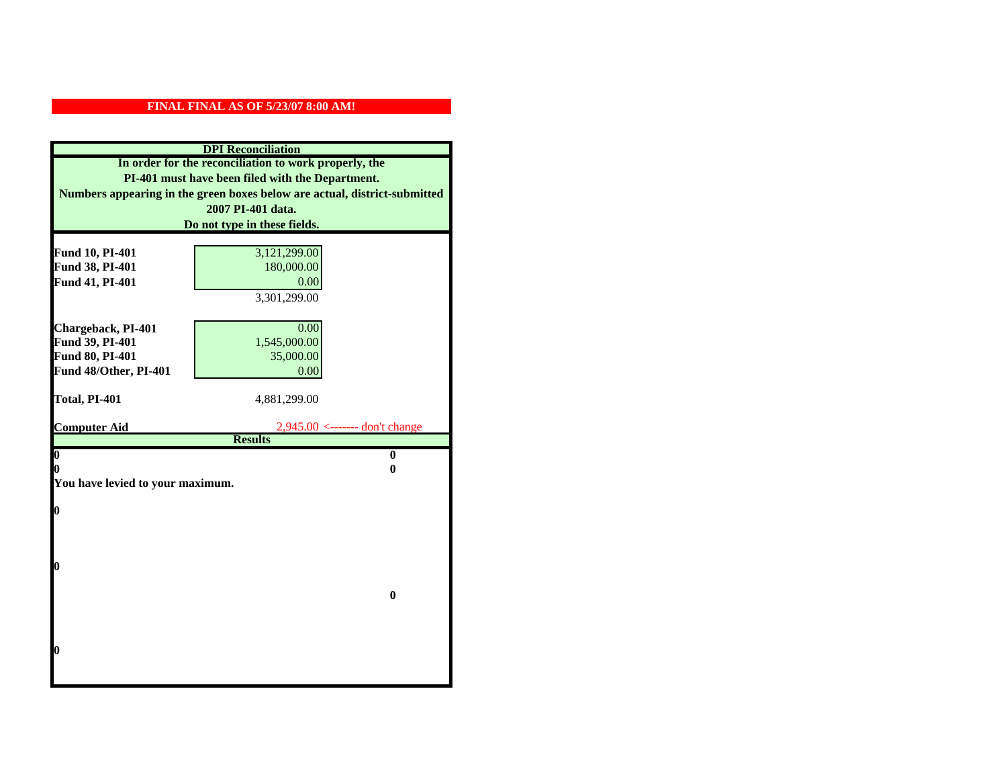|                                    | <b>DPI</b> Reconciliation                                                 |
|------------------------------------|---------------------------------------------------------------------------|
|                                    | In order for the reconciliation to work properly, the                     |
|                                    | PI-401 must have been filed with the Department.                          |
|                                    | Numbers appearing in the green boxes below are actual, district-submitted |
|                                    | 2007 PI-401 data.                                                         |
|                                    | Do not type in these fields.                                              |
|                                    |                                                                           |
| Fund 10, PI-401                    | 3,121,299.00                                                              |
| Fund 38, PI-401                    | 180,000.00                                                                |
| Fund 41, PI-401                    | 0.00                                                                      |
|                                    | 3,301,299.00                                                              |
|                                    |                                                                           |
| Chargeback, PI-401                 | 0.00<br>1,545,000.00                                                      |
| Fund 39, PI-401<br>Fund 80, PI-401 | 35,000.00                                                                 |
| Fund 48/Other, PI-401              | 0.00                                                                      |
|                                    |                                                                           |
| Total, PI-401                      | 4,881,299.00                                                              |
|                                    |                                                                           |
| <b>Computer Aid</b>                | $2,945.00 \le$ ------- don't change                                       |
|                                    | <b>Results</b>                                                            |
| $\overline{\mathbf{0}}$<br>0       | $\bf{0}$<br>0                                                             |
| You have levied to your maximum.   |                                                                           |
|                                    |                                                                           |
| $\bf{0}$                           |                                                                           |
|                                    |                                                                           |
|                                    |                                                                           |
|                                    |                                                                           |
| l0                                 |                                                                           |
|                                    |                                                                           |
|                                    | $\bf{0}$                                                                  |
|                                    |                                                                           |
|                                    |                                                                           |
| $\boldsymbol{0}$                   |                                                                           |
|                                    |                                                                           |
|                                    |                                                                           |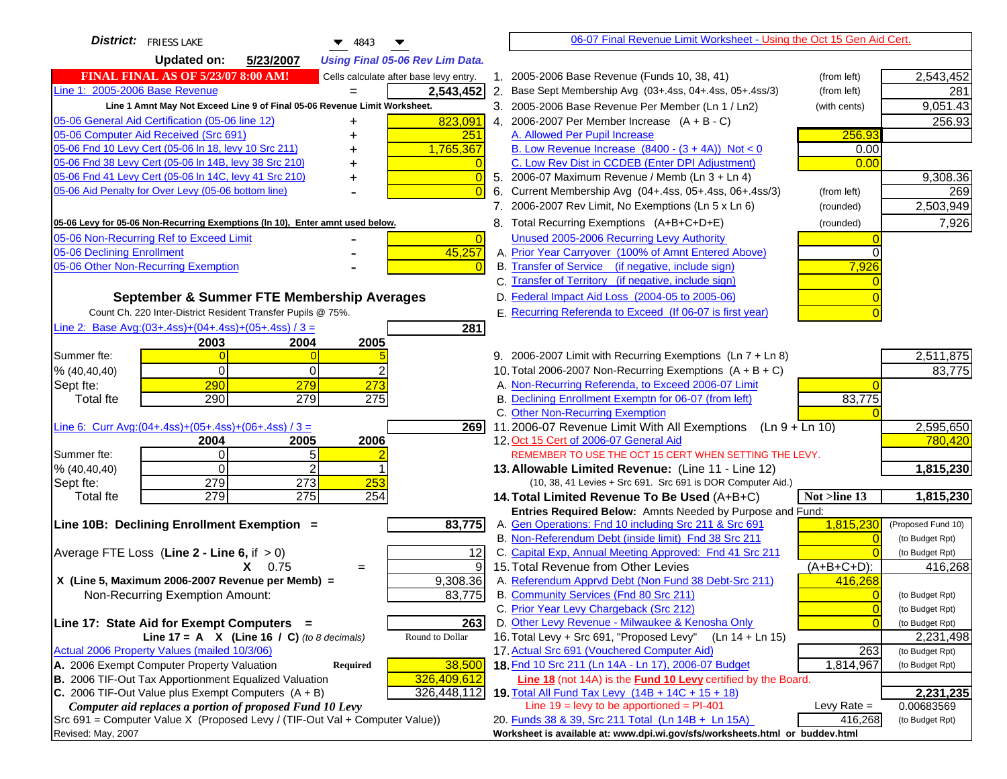| <b>District:</b> FRIESS LAKE<br>4843                                                                              |                | 06-07 Final Revenue Limit Worksheet - Using the Oct 15 Gen Aid Cert.                                              |                |                         |
|-------------------------------------------------------------------------------------------------------------------|----------------|-------------------------------------------------------------------------------------------------------------------|----------------|-------------------------|
| <b>Updated on:</b><br>5/23/2007<br><b>Using Final 05-06 Rev Lim Data.</b>                                         |                |                                                                                                                   |                |                         |
| <b>FINAL FINAL AS OF 5/23/07 8:00 AM!</b><br>Cells calculate after base levy entry.                               |                | 1. 2005-2006 Base Revenue (Funds 10, 38, 41)                                                                      | (from left)    | 2,543,452               |
| Line 1: 2005-2006 Base Revenue<br>2,543,452                                                                       |                | 2. Base Sept Membership Avg (03+.4ss, 04+.4ss, 05+.4ss/3)                                                         | (from left)    | 281                     |
| Line 1 Amnt May Not Exceed Line 9 of Final 05-06 Revenue Limit Worksheet.                                         |                | 3. 2005-2006 Base Revenue Per Member (Ln 1 / Ln2)                                                                 | (with cents)   | 9,051.43                |
| 823,091<br>05-06 General Aid Certification (05-06 line 12)                                                        |                | 4. 2006-2007 Per Member Increase $(A + B - C)$                                                                    |                | 256.93                  |
| 05-06 Computer Aid Received (Src 691)<br>251                                                                      |                | A. Allowed Per Pupil Increase                                                                                     | 256.93         |                         |
| 05-06 Fnd 10 Levy Cert (05-06 In 18, levy 10 Src 211)<br>1,765,367                                                |                | B. Low Revenue Increase $(8400 - (3 + 4A))$ Not < 0                                                               | 0.00           |                         |
| 05-06 Fnd 38 Levy Cert (05-06 In 14B, levy 38 Src 210)                                                            |                | C. Low Rev Dist in CCDEB (Enter DPI Adjustment)                                                                   | 0.00           |                         |
| 05-06 Fnd 41 Levy Cert (05-06 In 14C, levy 41 Src 210)<br>+                                                       | $\Omega$       | 5. 2006-07 Maximum Revenue / Memb (Ln 3 + Ln 4)                                                                   |                | 9,308.36                |
| 05-06 Aid Penalty for Over Levy (05-06 bottom line)                                                               |                | 6. Current Membership Avg (04+.4ss, 05+.4ss, 06+.4ss/3)                                                           | (from left)    | 269                     |
|                                                                                                                   |                | 7. 2006-2007 Rev Limit, No Exemptions (Ln 5 x Ln 6)                                                               | (rounded)      | 2,503,949               |
| 05-06 Levy for 05-06 Non-Recurring Exemptions (In 10), Enter amnt used below.                                     |                | 8. Total Recurring Exemptions (A+B+C+D+E)                                                                         | (rounded)      | 7,926                   |
| 05-06 Non-Recurring Ref to Exceed Limit                                                                           | $\overline{0}$ | Unused 2005-2006 Recurring Levy Authority                                                                         |                |                         |
| 45,257<br>05-06 Declining Enrollment                                                                              |                | A. Prior Year Carryover (100% of Amnt Entered Above)                                                              | 0              |                         |
| 05-06 Other Non-Recurring Exemption                                                                               |                | B. Transfer of Service (if negative, include sign)                                                                | 7,926          |                         |
|                                                                                                                   |                | C. Transfer of Territory (if negative, include sign)                                                              |                |                         |
| September & Summer FTE Membership Averages                                                                        |                | D. Federal Impact Aid Loss (2004-05 to 2005-06)                                                                   |                |                         |
| Count Ch. 220 Inter-District Resident Transfer Pupils @ 75%.                                                      |                | E. Recurring Referenda to Exceed (If 06-07 is first year)                                                         |                |                         |
| Line 2: Base Avg: (03+.4ss) + (04+.4ss) + (05+.4ss) / 3 =<br>281                                                  |                |                                                                                                                   |                |                         |
| 2003<br>2004<br>2005                                                                                              |                |                                                                                                                   |                |                         |
| Summer fte:                                                                                                       |                | 9. 2006-2007 Limit with Recurring Exemptions (Ln 7 + Ln 8)                                                        |                | 2,511,875               |
| $\Omega$<br>2<br>% (40, 40, 40)<br>0                                                                              |                | 10. Total 2006-2007 Non-Recurring Exemptions $(A + B + C)$                                                        |                | 83,775                  |
| 290<br>279<br>273<br>Sept fte:                                                                                    |                | A. Non-Recurring Referenda, to Exceed 2006-07 Limit                                                               |                |                         |
| 290<br>279<br>275<br><b>Total fte</b>                                                                             |                | B. Declining Enrollment Exemptn for 06-07 (from left)                                                             | 83,775         |                         |
|                                                                                                                   |                | C. Other Non-Recurring Exemption                                                                                  |                |                         |
| Line 6: Curr Avg: $(04+.4ss)+(05+.4ss)+(06+.4ss)/3 =$                                                             | 2691           | 11.2006-07 Revenue Limit With All Exemptions (Ln 9 + Ln 10)                                                       |                | 2,595,650               |
| 2005<br>2006<br>2004                                                                                              |                | 12. Oct 15 Cert of 2006-07 General Aid                                                                            |                | 780,420                 |
| $\Omega$<br>5<br>Summer fte:<br>2<br>$\Omega$                                                                     |                | REMEMBER TO USE THE OCT 15 CERT WHEN SETTING THE LEVY.                                                            |                |                         |
| % (40, 40, 40)<br>279<br>273<br>253<br>Sept fte:                                                                  |                | 13. Allowable Limited Revenue: (Line 11 - Line 12)<br>(10, 38, 41 Levies + Src 691. Src 691 is DOR Computer Aid.) |                | 1,815,230               |
| 279<br>275<br>254<br><b>Total fte</b>                                                                             |                | 14. Total Limited Revenue To Be Used (A+B+C)                                                                      | Not >line 13   | 1,815,230               |
|                                                                                                                   |                | Entries Required Below: Amnts Needed by Purpose and Fund:                                                         |                |                         |
| 83,775<br>Line 10B: Declining Enrollment Exemption =                                                              |                | A. Gen Operations: Fnd 10 including Src 211 & Src 691                                                             | 1,815,230      | (Proposed Fund 10)      |
|                                                                                                                   |                | B. Non-Referendum Debt (inside limit) Fnd 38 Src 211                                                              |                | (to Budget Rpt)         |
| Average FTE Loss (Line $2 -$ Line 6, if $> 0$ )                                                                   | 12             | C. Capital Exp, Annual Meeting Approved: Fnd 41 Src 211                                                           |                | (to Budget Rpt)         |
| $X = 0.75$<br>$=$                                                                                                 | 9              | 15. Total Revenue from Other Levies                                                                               | (A+B+C+D):     | 416,268                 |
| X (Line 5, Maximum 2006-2007 Revenue per Memb) =<br>9,308.36                                                      |                | A. Referendum Apprvd Debt (Non Fund 38 Debt-Src 211)                                                              | 416,268        |                         |
| 83,775<br>Non-Recurring Exemption Amount:                                                                         |                | B. Community Services (Fnd 80 Src 211)                                                                            | $\Omega$       | (to Budget Rpt)         |
|                                                                                                                   |                | C. Prior Year Levy Chargeback (Src 212)                                                                           | $\overline{0}$ | (to Budget Rpt)         |
| 263<br>Line 17: State Aid for Exempt Computers =                                                                  |                | D. Other Levy Revenue - Milwaukee & Kenosha Only                                                                  | $\overline{0}$ | (to Budget Rpt)         |
| Round to Dollar<br>Line 17 = A $X$ (Line 16 / C) (to 8 decimals)                                                  |                | 16. Total Levy + Src 691, "Proposed Levy"<br>(Ln 14 + Ln 15)                                                      |                | 2,231,498               |
| Actual 2006 Property Values (mailed 10/3/06)                                                                      |                | 17. Actual Src 691 (Vouchered Computer Aid)                                                                       | 263            | (to Budget Rpt)         |
| A. 2006 Exempt Computer Property Valuation<br>38,500<br>Required                                                  |                | 18. Fnd 10 Src 211 (Ln 14A - Ln 17), 2006-07 Budget                                                               | 1,814,967      | (to Budget Rpt)         |
| B. 2006 TIF-Out Tax Apportionment Equalized Valuation<br>326,409,612<br>326,448,112                               |                | Line 18 (not 14A) is the <b>Fund 10 Levy</b> certified by the Board.                                              |                |                         |
| C. 2006 TIF-Out Value plus Exempt Computers $(A + B)$<br>Computer aid replaces a portion of proposed Fund 10 Levy |                | 19. Total All Fund Tax Levy (14B + 14C + 15 + 18)<br>Line $19 = \text{levy}$ to be apportioned = PI-401           | Levy Rate $=$  | 2,231,235<br>0.00683569 |
| $Src691$ = Computer Value X (Proposed Levy / (TIF-Out Val + Computer Value))                                      |                | 20. Funds 38 & 39, Src 211 Total (Ln 14B + Ln 15A)                                                                | 416,268        | (to Budget Rpt)         |
| Revised: May, 2007                                                                                                |                | Worksheet is available at: www.dpi.wi.gov/sfs/worksheets.html or buddev.html                                      |                |                         |
|                                                                                                                   |                |                                                                                                                   |                |                         |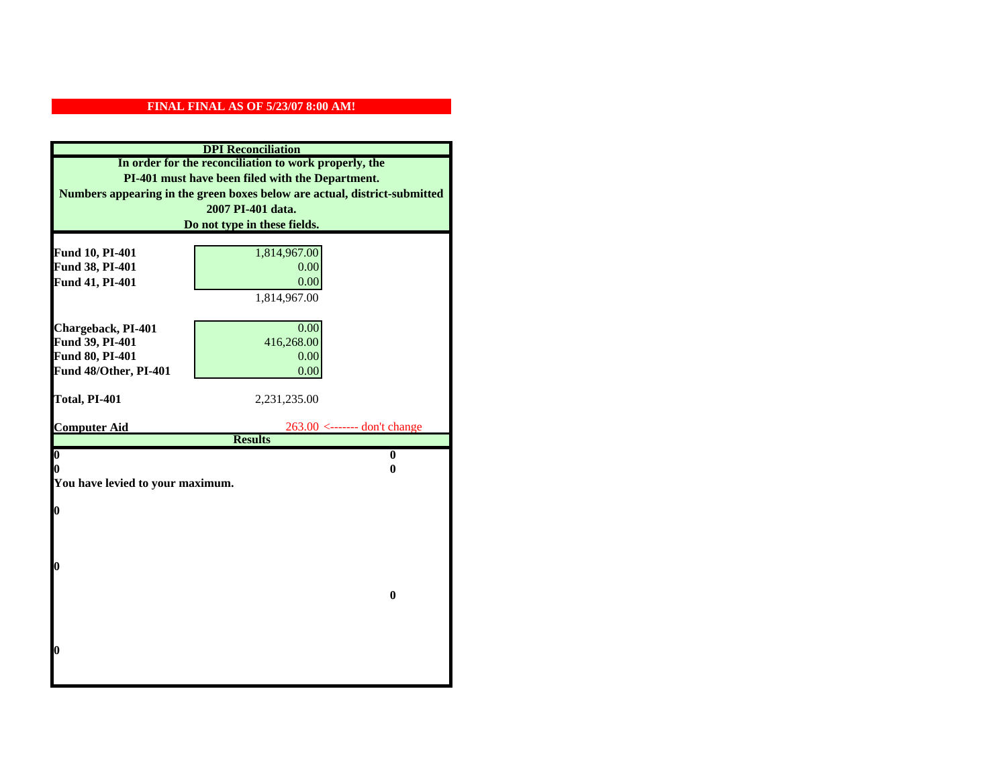|                                    | <b>DPI</b> Reconciliation                                                 |
|------------------------------------|---------------------------------------------------------------------------|
|                                    | In order for the reconciliation to work properly, the                     |
|                                    | PI-401 must have been filed with the Department.                          |
|                                    | Numbers appearing in the green boxes below are actual, district-submitted |
|                                    | 2007 PI-401 data.                                                         |
|                                    | Do not type in these fields.                                              |
|                                    |                                                                           |
| Fund 10, PI-401<br>Fund 38, PI-401 | 1,814,967.00<br>0.00                                                      |
| Fund 41, PI-401                    | 0.00                                                                      |
|                                    | 1,814,967.00                                                              |
|                                    |                                                                           |
| Chargeback, PI-401                 | 0.00                                                                      |
| Fund 39, PI-401                    | 416,268.00                                                                |
| Fund 80, PI-401                    | 0.00                                                                      |
| Fund 48/Other, PI-401              | 0.00                                                                      |
|                                    |                                                                           |
| Total, PI-401                      | 2,231,235.00                                                              |
| <b>Computer Aid</b>                | $263.00$ <------- don't change                                            |
|                                    | <b>Results</b>                                                            |
| $\boldsymbol{0}$                   | $\bf{0}$                                                                  |
| 0                                  | 0                                                                         |
| You have levied to your maximum.   |                                                                           |
| $\bf{0}$                           |                                                                           |
|                                    |                                                                           |
|                                    |                                                                           |
|                                    |                                                                           |
| 0                                  |                                                                           |
|                                    |                                                                           |
|                                    | $\bf{0}$                                                                  |
|                                    |                                                                           |
|                                    |                                                                           |
| 0                                  |                                                                           |
|                                    |                                                                           |
|                                    |                                                                           |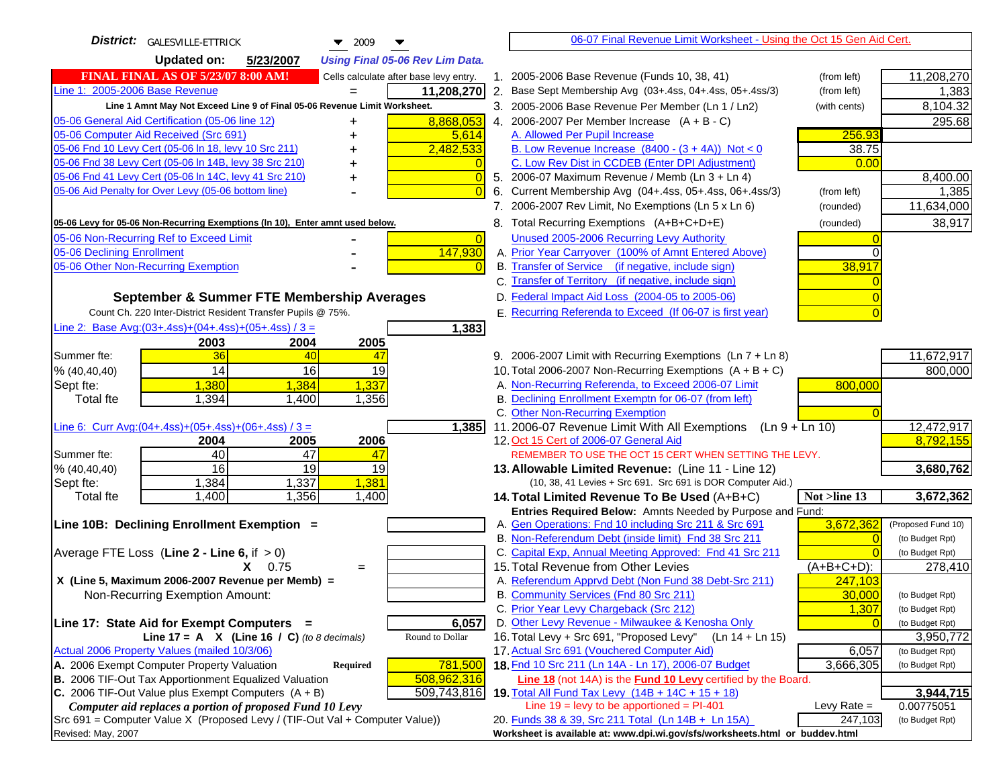| <b>Updated on:</b><br>5/23/2007<br><b>Using Final 05-06 Rev Lim Data.</b><br><b>FINAL FINAL AS OF 5/23/07 8:00 AM!</b><br>1. 2005-2006 Base Revenue (Funds 10, 38, 41)<br>11,208,270<br>Cells calculate after base levy entry.<br>(from left)<br>11,208,270<br>2. Base Sept Membership Avg (03+.4ss, 04+.4ss, 05+.4ss/3)<br>1,383<br>(from left)<br>$=$<br>Line 1 Amnt May Not Exceed Line 9 of Final 05-06 Revenue Limit Worksheet.<br>3. 2005-2006 Base Revenue Per Member (Ln 1 / Ln2)<br>8,104.32<br>(with cents)<br>8,868,053<br>4. 2006-2007 Per Member Increase $(A + B - C)$<br>295.68<br>A. Allowed Per Pupil Increase<br>256.93<br>5,614<br>2,482,533<br>B. Low Revenue Increase $(8400 - (3 + 4A))$ Not < 0<br>38.75<br>C. Low Rev Dist in CCDEB (Enter DPI Adjustment)<br>0.00<br>5. 2006-07 Maximum Revenue / Memb (Ln 3 + Ln 4)<br>$\overline{0}$<br>+<br>05-06 Aid Penalty for Over Levy (05-06 bottom line)<br>$\Omega$<br>Current Membership Avg (04+.4ss, 05+.4ss, 06+.4ss/3)<br>6.<br>(from left)<br>7. 2006-2007 Rev Limit, No Exemptions (Ln 5 x Ln 6)<br>11,634,000<br>(rounded)<br>38,917<br>8. Total Recurring Exemptions (A+B+C+D+E)<br>(rounded)<br>Unused 2005-2006 Recurring Levy Authority<br>$\overline{0}$<br>147,930<br>A. Prior Year Carryover (100% of Amnt Entered Above)<br>$\Omega$<br>B. Transfer of Service (if negative, include sign)<br>05-06 Other Non-Recurring Exemption<br>38,917<br>C. Transfer of Territory (if negative, include sign)<br>D. Federal Impact Aid Loss (2004-05 to 2005-06)<br>September & Summer FTE Membership Averages<br>E. Recurring Referenda to Exceed (If 06-07 is first year)<br>Count Ch. 220 Inter-District Resident Transfer Pupils @ 75%.<br>Line 2: Base Avg: (03+.4ss) + (04+.4ss) + (05+.4ss) / 3 =<br>1,383<br>2003<br>2004<br>2005<br>11,672,917<br>36<br>9. 2006-2007 Limit with Recurring Exemptions (Ln 7 + Ln 8)<br>Summer fte:<br>40<br>47<br>14<br>16<br>19<br>10. Total 2006-2007 Non-Recurring Exemptions $(A + B + C)$<br>800,000<br>% (40, 40, 40)<br>1,337<br>A. Non-Recurring Referenda, to Exceed 2006-07 Limit<br>1,380<br>1,384<br>800,000<br>Sept fte:<br>B. Declining Enrollment Exemptn for 06-07 (from left)<br>Total fte<br>1,394<br>1,356<br>1,400<br>C. Other Non-Recurring Exemption<br>Line 6: Curr Avg: $(04+.4ss)+(05+.4ss)+(06+.4ss)$ / 3 =<br>11.2006-07 Revenue Limit With All Exemptions $(Ln 9 + Ln 10)$<br>12,472,917<br>1,385<br>8,792,155<br>2006<br>12. Oct 15 Cert of 2006-07 General Aid<br>2004<br>2005<br>40<br>47<br>Summer fte:<br>47<br>REMEMBER TO USE THE OCT 15 CERT WHEN SETTING THE LEVY.<br>16<br>19<br>19<br>% (40, 40, 40)<br>3,680,762<br>13. Allowable Limited Revenue: (Line 11 - Line 12)<br>1,384<br>1,337<br>1,381<br>Sept fte:<br>(10, 38, 41 Levies + Src 691. Src 691 is DOR Computer Aid.)<br>1,400<br>1,356<br>3,672,362<br>1,400<br>Not >line 13<br><b>Total fte</b><br>14. Total Limited Revenue To Be Used (A+B+C)<br>Entries Required Below: Amnts Needed by Purpose and Fund:<br>3,672,362<br>A. Gen Operations: Fnd 10 including Src 211 & Src 691<br>(Proposed Fund 10)<br>B. Non-Referendum Debt (inside limit) Fnd 38 Src 211<br>(to Budget Rpt)<br>$\Omega$<br>C. Capital Exp, Annual Meeting Approved: Fnd 41 Src 211<br>(to Budget Rpt)<br>15. Total Revenue from Other Levies<br>$(A+B+C+D)$ :<br>$X = 0.75$<br>278,410<br>$=$<br>A. Referendum Apprvd Debt (Non Fund 38 Debt-Src 211)<br>X (Line 5, Maximum 2006-2007 Revenue per Memb) =<br>247,103<br>B. Community Services (Fnd 80 Src 211)<br>30,000<br>Non-Recurring Exemption Amount:<br>(to Budget Rpt)<br>C. Prior Year Levy Chargeback (Src 212)<br>1,307<br>(to Budget Rpt)<br>D. Other Levy Revenue - Milwaukee & Kenosha Only<br>Line 17: State Aid for Exempt Computers =<br>6,057<br>(to Budget Rpt)<br>16. Total Levy + Src 691, "Proposed Levy"<br>Round to Dollar<br>(Ln 14 + Ln 15)<br>Line 17 = A $X$ (Line 16 / C) (to 8 decimals)<br>3,950,772<br>17. Actual Src 691 (Vouchered Computer Aid)<br>Actual 2006 Property Values (mailed 10/3/06)<br>6,057<br>(to Budget Rpt)<br>A. 2006 Exempt Computer Property Valuation<br>781,500<br>18. Fnd 10 Src 211 (Ln 14A - Ln 17), 2006-07 Budget<br>3,666,305<br>Required<br>(to Budget Rpt)<br>B. 2006 TIF-Out Tax Apportionment Equalized Valuation<br>508,962,316<br>Line 18 (not 14A) is the Fund 10 Levy certified by the Board.<br>C. 2006 TIF-Out Value plus Exempt Computers $(A + B)$<br>509,743,816<br>3,944,715<br>19. Total All Fund Tax Levy $(14B + 14C + 15 + 18)$<br>Line $19 = \text{levy}$ to be apportioned = PI-401<br>Computer aid replaces a portion of proposed Fund 10 Levy<br>Levy Rate $=$<br>0.00775051<br>20. Funds 38 & 39, Src 211 Total (Ln 14B + Ln 15A)<br>247,103<br>(to Budget Rpt)<br>Worksheet is available at: www.dpi.wi.gov/sfs/worksheets.html or buddev.html | District: GALESVILLE-ETTRICK<br>$\blacktriangledown$ 2009<br>▼                | 06-07 Final Revenue Limit Worksheet - Using the Oct 15 Gen Aid Cert. |          |
|----------------------------------------------------------------------------------------------------------------------------------------------------------------------------------------------------------------------------------------------------------------------------------------------------------------------------------------------------------------------------------------------------------------------------------------------------------------------------------------------------------------------------------------------------------------------------------------------------------------------------------------------------------------------------------------------------------------------------------------------------------------------------------------------------------------------------------------------------------------------------------------------------------------------------------------------------------------------------------------------------------------------------------------------------------------------------------------------------------------------------------------------------------------------------------------------------------------------------------------------------------------------------------------------------------------------------------------------------------------------------------------------------------------------------------------------------------------------------------------------------------------------------------------------------------------------------------------------------------------------------------------------------------------------------------------------------------------------------------------------------------------------------------------------------------------------------------------------------------------------------------------------------------------------------------------------------------------------------------------------------------------------------------------------------------------------------------------------------------------------------------------------------------------------------------------------------------------------------------------------------------------------------------------------------------------------------------------------------------------------------------------------------------------------------------------------------------------------------------------------------------------------------------------------------------------------------------------------------------------------------------------------------------------------------------------------------------------------------------------------------------------------------------------------------------------------------------------------------------------------------------------------------------------------------------------------------------------------------------------------------------------------------------------------------------------------------------------------------------------------------------------------------------------------------------------------------------------------------------------------------------------------------------------------------------------------------------------------------------------------------------------------------------------------------------------------------------------------------------------------------------------------------------------------------------------------------------------------------------------------------------------------------------------------------------------------------------------------------------------------------------------------------------------------------------------------------------------------------------------------------------------------------------------------------------------------------------------------------------------------------------------------------------------------------------------------------------------------------------------------------------------------------------------------------------------------------------------------------------------------------------------------------------------------------------------------------------------------------------------------------------------------------------------------------------------------------------------------------------------------------------------------------------------------------------------------------------------------------------------------------------------------------------------------------------------------------------------------------------------------------------------------------------------------------------------------------------------------------------------------------------|-------------------------------------------------------------------------------|----------------------------------------------------------------------|----------|
|                                                                                                                                                                                                                                                                                                                                                                                                                                                                                                                                                                                                                                                                                                                                                                                                                                                                                                                                                                                                                                                                                                                                                                                                                                                                                                                                                                                                                                                                                                                                                                                                                                                                                                                                                                                                                                                                                                                                                                                                                                                                                                                                                                                                                                                                                                                                                                                                                                                                                                                                                                                                                                                                                                                                                                                                                                                                                                                                                                                                                                                                                                                                                                                                                                                                                                                                                                                                                                                                                                                                                                                                                                                                                                                                                                                                                                                                                                                                                                                                                                                                                                                                                                                                                                                                                                                                                                                                                                                                                                                                                                                                                                                                                                                                                                                                                                                                                  |                                                                               |                                                                      |          |
|                                                                                                                                                                                                                                                                                                                                                                                                                                                                                                                                                                                                                                                                                                                                                                                                                                                                                                                                                                                                                                                                                                                                                                                                                                                                                                                                                                                                                                                                                                                                                                                                                                                                                                                                                                                                                                                                                                                                                                                                                                                                                                                                                                                                                                                                                                                                                                                                                                                                                                                                                                                                                                                                                                                                                                                                                                                                                                                                                                                                                                                                                                                                                                                                                                                                                                                                                                                                                                                                                                                                                                                                                                                                                                                                                                                                                                                                                                                                                                                                                                                                                                                                                                                                                                                                                                                                                                                                                                                                                                                                                                                                                                                                                                                                                                                                                                                                                  |                                                                               |                                                                      |          |
|                                                                                                                                                                                                                                                                                                                                                                                                                                                                                                                                                                                                                                                                                                                                                                                                                                                                                                                                                                                                                                                                                                                                                                                                                                                                                                                                                                                                                                                                                                                                                                                                                                                                                                                                                                                                                                                                                                                                                                                                                                                                                                                                                                                                                                                                                                                                                                                                                                                                                                                                                                                                                                                                                                                                                                                                                                                                                                                                                                                                                                                                                                                                                                                                                                                                                                                                                                                                                                                                                                                                                                                                                                                                                                                                                                                                                                                                                                                                                                                                                                                                                                                                                                                                                                                                                                                                                                                                                                                                                                                                                                                                                                                                                                                                                                                                                                                                                  | Line 1: 2005-2006 Base Revenue                                                |                                                                      |          |
|                                                                                                                                                                                                                                                                                                                                                                                                                                                                                                                                                                                                                                                                                                                                                                                                                                                                                                                                                                                                                                                                                                                                                                                                                                                                                                                                                                                                                                                                                                                                                                                                                                                                                                                                                                                                                                                                                                                                                                                                                                                                                                                                                                                                                                                                                                                                                                                                                                                                                                                                                                                                                                                                                                                                                                                                                                                                                                                                                                                                                                                                                                                                                                                                                                                                                                                                                                                                                                                                                                                                                                                                                                                                                                                                                                                                                                                                                                                                                                                                                                                                                                                                                                                                                                                                                                                                                                                                                                                                                                                                                                                                                                                                                                                                                                                                                                                                                  |                                                                               |                                                                      |          |
|                                                                                                                                                                                                                                                                                                                                                                                                                                                                                                                                                                                                                                                                                                                                                                                                                                                                                                                                                                                                                                                                                                                                                                                                                                                                                                                                                                                                                                                                                                                                                                                                                                                                                                                                                                                                                                                                                                                                                                                                                                                                                                                                                                                                                                                                                                                                                                                                                                                                                                                                                                                                                                                                                                                                                                                                                                                                                                                                                                                                                                                                                                                                                                                                                                                                                                                                                                                                                                                                                                                                                                                                                                                                                                                                                                                                                                                                                                                                                                                                                                                                                                                                                                                                                                                                                                                                                                                                                                                                                                                                                                                                                                                                                                                                                                                                                                                                                  | 05-06 General Aid Certification (05-06 line 12)                               |                                                                      |          |
|                                                                                                                                                                                                                                                                                                                                                                                                                                                                                                                                                                                                                                                                                                                                                                                                                                                                                                                                                                                                                                                                                                                                                                                                                                                                                                                                                                                                                                                                                                                                                                                                                                                                                                                                                                                                                                                                                                                                                                                                                                                                                                                                                                                                                                                                                                                                                                                                                                                                                                                                                                                                                                                                                                                                                                                                                                                                                                                                                                                                                                                                                                                                                                                                                                                                                                                                                                                                                                                                                                                                                                                                                                                                                                                                                                                                                                                                                                                                                                                                                                                                                                                                                                                                                                                                                                                                                                                                                                                                                                                                                                                                                                                                                                                                                                                                                                                                                  | 05-06 Computer Aid Received (Src 691)                                         |                                                                      |          |
|                                                                                                                                                                                                                                                                                                                                                                                                                                                                                                                                                                                                                                                                                                                                                                                                                                                                                                                                                                                                                                                                                                                                                                                                                                                                                                                                                                                                                                                                                                                                                                                                                                                                                                                                                                                                                                                                                                                                                                                                                                                                                                                                                                                                                                                                                                                                                                                                                                                                                                                                                                                                                                                                                                                                                                                                                                                                                                                                                                                                                                                                                                                                                                                                                                                                                                                                                                                                                                                                                                                                                                                                                                                                                                                                                                                                                                                                                                                                                                                                                                                                                                                                                                                                                                                                                                                                                                                                                                                                                                                                                                                                                                                                                                                                                                                                                                                                                  | 05-06 Fnd 10 Levy Cert (05-06 In 18, levy 10 Src 211)                         |                                                                      |          |
|                                                                                                                                                                                                                                                                                                                                                                                                                                                                                                                                                                                                                                                                                                                                                                                                                                                                                                                                                                                                                                                                                                                                                                                                                                                                                                                                                                                                                                                                                                                                                                                                                                                                                                                                                                                                                                                                                                                                                                                                                                                                                                                                                                                                                                                                                                                                                                                                                                                                                                                                                                                                                                                                                                                                                                                                                                                                                                                                                                                                                                                                                                                                                                                                                                                                                                                                                                                                                                                                                                                                                                                                                                                                                                                                                                                                                                                                                                                                                                                                                                                                                                                                                                                                                                                                                                                                                                                                                                                                                                                                                                                                                                                                                                                                                                                                                                                                                  | 05-06 Fnd 38 Levy Cert (05-06 In 14B, levy 38 Src 210)                        |                                                                      |          |
|                                                                                                                                                                                                                                                                                                                                                                                                                                                                                                                                                                                                                                                                                                                                                                                                                                                                                                                                                                                                                                                                                                                                                                                                                                                                                                                                                                                                                                                                                                                                                                                                                                                                                                                                                                                                                                                                                                                                                                                                                                                                                                                                                                                                                                                                                                                                                                                                                                                                                                                                                                                                                                                                                                                                                                                                                                                                                                                                                                                                                                                                                                                                                                                                                                                                                                                                                                                                                                                                                                                                                                                                                                                                                                                                                                                                                                                                                                                                                                                                                                                                                                                                                                                                                                                                                                                                                                                                                                                                                                                                                                                                                                                                                                                                                                                                                                                                                  | 05-06 Fnd 41 Levy Cert (05-06 In 14C, levy 41 Src 210)                        |                                                                      | 8,400.00 |
|                                                                                                                                                                                                                                                                                                                                                                                                                                                                                                                                                                                                                                                                                                                                                                                                                                                                                                                                                                                                                                                                                                                                                                                                                                                                                                                                                                                                                                                                                                                                                                                                                                                                                                                                                                                                                                                                                                                                                                                                                                                                                                                                                                                                                                                                                                                                                                                                                                                                                                                                                                                                                                                                                                                                                                                                                                                                                                                                                                                                                                                                                                                                                                                                                                                                                                                                                                                                                                                                                                                                                                                                                                                                                                                                                                                                                                                                                                                                                                                                                                                                                                                                                                                                                                                                                                                                                                                                                                                                                                                                                                                                                                                                                                                                                                                                                                                                                  |                                                                               |                                                                      | 1,385    |
|                                                                                                                                                                                                                                                                                                                                                                                                                                                                                                                                                                                                                                                                                                                                                                                                                                                                                                                                                                                                                                                                                                                                                                                                                                                                                                                                                                                                                                                                                                                                                                                                                                                                                                                                                                                                                                                                                                                                                                                                                                                                                                                                                                                                                                                                                                                                                                                                                                                                                                                                                                                                                                                                                                                                                                                                                                                                                                                                                                                                                                                                                                                                                                                                                                                                                                                                                                                                                                                                                                                                                                                                                                                                                                                                                                                                                                                                                                                                                                                                                                                                                                                                                                                                                                                                                                                                                                                                                                                                                                                                                                                                                                                                                                                                                                                                                                                                                  |                                                                               |                                                                      |          |
|                                                                                                                                                                                                                                                                                                                                                                                                                                                                                                                                                                                                                                                                                                                                                                                                                                                                                                                                                                                                                                                                                                                                                                                                                                                                                                                                                                                                                                                                                                                                                                                                                                                                                                                                                                                                                                                                                                                                                                                                                                                                                                                                                                                                                                                                                                                                                                                                                                                                                                                                                                                                                                                                                                                                                                                                                                                                                                                                                                                                                                                                                                                                                                                                                                                                                                                                                                                                                                                                                                                                                                                                                                                                                                                                                                                                                                                                                                                                                                                                                                                                                                                                                                                                                                                                                                                                                                                                                                                                                                                                                                                                                                                                                                                                                                                                                                                                                  | 05-06 Levy for 05-06 Non-Recurring Exemptions (In 10), Enter amnt used below. |                                                                      |          |
|                                                                                                                                                                                                                                                                                                                                                                                                                                                                                                                                                                                                                                                                                                                                                                                                                                                                                                                                                                                                                                                                                                                                                                                                                                                                                                                                                                                                                                                                                                                                                                                                                                                                                                                                                                                                                                                                                                                                                                                                                                                                                                                                                                                                                                                                                                                                                                                                                                                                                                                                                                                                                                                                                                                                                                                                                                                                                                                                                                                                                                                                                                                                                                                                                                                                                                                                                                                                                                                                                                                                                                                                                                                                                                                                                                                                                                                                                                                                                                                                                                                                                                                                                                                                                                                                                                                                                                                                                                                                                                                                                                                                                                                                                                                                                                                                                                                                                  | 05-06 Non-Recurring Ref to Exceed Limit                                       |                                                                      |          |
|                                                                                                                                                                                                                                                                                                                                                                                                                                                                                                                                                                                                                                                                                                                                                                                                                                                                                                                                                                                                                                                                                                                                                                                                                                                                                                                                                                                                                                                                                                                                                                                                                                                                                                                                                                                                                                                                                                                                                                                                                                                                                                                                                                                                                                                                                                                                                                                                                                                                                                                                                                                                                                                                                                                                                                                                                                                                                                                                                                                                                                                                                                                                                                                                                                                                                                                                                                                                                                                                                                                                                                                                                                                                                                                                                                                                                                                                                                                                                                                                                                                                                                                                                                                                                                                                                                                                                                                                                                                                                                                                                                                                                                                                                                                                                                                                                                                                                  | 05-06 Declining Enrollment                                                    |                                                                      |          |
|                                                                                                                                                                                                                                                                                                                                                                                                                                                                                                                                                                                                                                                                                                                                                                                                                                                                                                                                                                                                                                                                                                                                                                                                                                                                                                                                                                                                                                                                                                                                                                                                                                                                                                                                                                                                                                                                                                                                                                                                                                                                                                                                                                                                                                                                                                                                                                                                                                                                                                                                                                                                                                                                                                                                                                                                                                                                                                                                                                                                                                                                                                                                                                                                                                                                                                                                                                                                                                                                                                                                                                                                                                                                                                                                                                                                                                                                                                                                                                                                                                                                                                                                                                                                                                                                                                                                                                                                                                                                                                                                                                                                                                                                                                                                                                                                                                                                                  |                                                                               |                                                                      |          |
|                                                                                                                                                                                                                                                                                                                                                                                                                                                                                                                                                                                                                                                                                                                                                                                                                                                                                                                                                                                                                                                                                                                                                                                                                                                                                                                                                                                                                                                                                                                                                                                                                                                                                                                                                                                                                                                                                                                                                                                                                                                                                                                                                                                                                                                                                                                                                                                                                                                                                                                                                                                                                                                                                                                                                                                                                                                                                                                                                                                                                                                                                                                                                                                                                                                                                                                                                                                                                                                                                                                                                                                                                                                                                                                                                                                                                                                                                                                                                                                                                                                                                                                                                                                                                                                                                                                                                                                                                                                                                                                                                                                                                                                                                                                                                                                                                                                                                  |                                                                               |                                                                      |          |
|                                                                                                                                                                                                                                                                                                                                                                                                                                                                                                                                                                                                                                                                                                                                                                                                                                                                                                                                                                                                                                                                                                                                                                                                                                                                                                                                                                                                                                                                                                                                                                                                                                                                                                                                                                                                                                                                                                                                                                                                                                                                                                                                                                                                                                                                                                                                                                                                                                                                                                                                                                                                                                                                                                                                                                                                                                                                                                                                                                                                                                                                                                                                                                                                                                                                                                                                                                                                                                                                                                                                                                                                                                                                                                                                                                                                                                                                                                                                                                                                                                                                                                                                                                                                                                                                                                                                                                                                                                                                                                                                                                                                                                                                                                                                                                                                                                                                                  |                                                                               |                                                                      |          |
|                                                                                                                                                                                                                                                                                                                                                                                                                                                                                                                                                                                                                                                                                                                                                                                                                                                                                                                                                                                                                                                                                                                                                                                                                                                                                                                                                                                                                                                                                                                                                                                                                                                                                                                                                                                                                                                                                                                                                                                                                                                                                                                                                                                                                                                                                                                                                                                                                                                                                                                                                                                                                                                                                                                                                                                                                                                                                                                                                                                                                                                                                                                                                                                                                                                                                                                                                                                                                                                                                                                                                                                                                                                                                                                                                                                                                                                                                                                                                                                                                                                                                                                                                                                                                                                                                                                                                                                                                                                                                                                                                                                                                                                                                                                                                                                                                                                                                  |                                                                               |                                                                      |          |
|                                                                                                                                                                                                                                                                                                                                                                                                                                                                                                                                                                                                                                                                                                                                                                                                                                                                                                                                                                                                                                                                                                                                                                                                                                                                                                                                                                                                                                                                                                                                                                                                                                                                                                                                                                                                                                                                                                                                                                                                                                                                                                                                                                                                                                                                                                                                                                                                                                                                                                                                                                                                                                                                                                                                                                                                                                                                                                                                                                                                                                                                                                                                                                                                                                                                                                                                                                                                                                                                                                                                                                                                                                                                                                                                                                                                                                                                                                                                                                                                                                                                                                                                                                                                                                                                                                                                                                                                                                                                                                                                                                                                                                                                                                                                                                                                                                                                                  |                                                                               |                                                                      |          |
|                                                                                                                                                                                                                                                                                                                                                                                                                                                                                                                                                                                                                                                                                                                                                                                                                                                                                                                                                                                                                                                                                                                                                                                                                                                                                                                                                                                                                                                                                                                                                                                                                                                                                                                                                                                                                                                                                                                                                                                                                                                                                                                                                                                                                                                                                                                                                                                                                                                                                                                                                                                                                                                                                                                                                                                                                                                                                                                                                                                                                                                                                                                                                                                                                                                                                                                                                                                                                                                                                                                                                                                                                                                                                                                                                                                                                                                                                                                                                                                                                                                                                                                                                                                                                                                                                                                                                                                                                                                                                                                                                                                                                                                                                                                                                                                                                                                                                  |                                                                               |                                                                      |          |
|                                                                                                                                                                                                                                                                                                                                                                                                                                                                                                                                                                                                                                                                                                                                                                                                                                                                                                                                                                                                                                                                                                                                                                                                                                                                                                                                                                                                                                                                                                                                                                                                                                                                                                                                                                                                                                                                                                                                                                                                                                                                                                                                                                                                                                                                                                                                                                                                                                                                                                                                                                                                                                                                                                                                                                                                                                                                                                                                                                                                                                                                                                                                                                                                                                                                                                                                                                                                                                                                                                                                                                                                                                                                                                                                                                                                                                                                                                                                                                                                                                                                                                                                                                                                                                                                                                                                                                                                                                                                                                                                                                                                                                                                                                                                                                                                                                                                                  |                                                                               |                                                                      |          |
|                                                                                                                                                                                                                                                                                                                                                                                                                                                                                                                                                                                                                                                                                                                                                                                                                                                                                                                                                                                                                                                                                                                                                                                                                                                                                                                                                                                                                                                                                                                                                                                                                                                                                                                                                                                                                                                                                                                                                                                                                                                                                                                                                                                                                                                                                                                                                                                                                                                                                                                                                                                                                                                                                                                                                                                                                                                                                                                                                                                                                                                                                                                                                                                                                                                                                                                                                                                                                                                                                                                                                                                                                                                                                                                                                                                                                                                                                                                                                                                                                                                                                                                                                                                                                                                                                                                                                                                                                                                                                                                                                                                                                                                                                                                                                                                                                                                                                  |                                                                               |                                                                      |          |
|                                                                                                                                                                                                                                                                                                                                                                                                                                                                                                                                                                                                                                                                                                                                                                                                                                                                                                                                                                                                                                                                                                                                                                                                                                                                                                                                                                                                                                                                                                                                                                                                                                                                                                                                                                                                                                                                                                                                                                                                                                                                                                                                                                                                                                                                                                                                                                                                                                                                                                                                                                                                                                                                                                                                                                                                                                                                                                                                                                                                                                                                                                                                                                                                                                                                                                                                                                                                                                                                                                                                                                                                                                                                                                                                                                                                                                                                                                                                                                                                                                                                                                                                                                                                                                                                                                                                                                                                                                                                                                                                                                                                                                                                                                                                                                                                                                                                                  |                                                                               |                                                                      |          |
|                                                                                                                                                                                                                                                                                                                                                                                                                                                                                                                                                                                                                                                                                                                                                                                                                                                                                                                                                                                                                                                                                                                                                                                                                                                                                                                                                                                                                                                                                                                                                                                                                                                                                                                                                                                                                                                                                                                                                                                                                                                                                                                                                                                                                                                                                                                                                                                                                                                                                                                                                                                                                                                                                                                                                                                                                                                                                                                                                                                                                                                                                                                                                                                                                                                                                                                                                                                                                                                                                                                                                                                                                                                                                                                                                                                                                                                                                                                                                                                                                                                                                                                                                                                                                                                                                                                                                                                                                                                                                                                                                                                                                                                                                                                                                                                                                                                                                  |                                                                               |                                                                      |          |
|                                                                                                                                                                                                                                                                                                                                                                                                                                                                                                                                                                                                                                                                                                                                                                                                                                                                                                                                                                                                                                                                                                                                                                                                                                                                                                                                                                                                                                                                                                                                                                                                                                                                                                                                                                                                                                                                                                                                                                                                                                                                                                                                                                                                                                                                                                                                                                                                                                                                                                                                                                                                                                                                                                                                                                                                                                                                                                                                                                                                                                                                                                                                                                                                                                                                                                                                                                                                                                                                                                                                                                                                                                                                                                                                                                                                                                                                                                                                                                                                                                                                                                                                                                                                                                                                                                                                                                                                                                                                                                                                                                                                                                                                                                                                                                                                                                                                                  |                                                                               |                                                                      |          |
|                                                                                                                                                                                                                                                                                                                                                                                                                                                                                                                                                                                                                                                                                                                                                                                                                                                                                                                                                                                                                                                                                                                                                                                                                                                                                                                                                                                                                                                                                                                                                                                                                                                                                                                                                                                                                                                                                                                                                                                                                                                                                                                                                                                                                                                                                                                                                                                                                                                                                                                                                                                                                                                                                                                                                                                                                                                                                                                                                                                                                                                                                                                                                                                                                                                                                                                                                                                                                                                                                                                                                                                                                                                                                                                                                                                                                                                                                                                                                                                                                                                                                                                                                                                                                                                                                                                                                                                                                                                                                                                                                                                                                                                                                                                                                                                                                                                                                  |                                                                               |                                                                      |          |
|                                                                                                                                                                                                                                                                                                                                                                                                                                                                                                                                                                                                                                                                                                                                                                                                                                                                                                                                                                                                                                                                                                                                                                                                                                                                                                                                                                                                                                                                                                                                                                                                                                                                                                                                                                                                                                                                                                                                                                                                                                                                                                                                                                                                                                                                                                                                                                                                                                                                                                                                                                                                                                                                                                                                                                                                                                                                                                                                                                                                                                                                                                                                                                                                                                                                                                                                                                                                                                                                                                                                                                                                                                                                                                                                                                                                                                                                                                                                                                                                                                                                                                                                                                                                                                                                                                                                                                                                                                                                                                                                                                                                                                                                                                                                                                                                                                                                                  |                                                                               |                                                                      |          |
|                                                                                                                                                                                                                                                                                                                                                                                                                                                                                                                                                                                                                                                                                                                                                                                                                                                                                                                                                                                                                                                                                                                                                                                                                                                                                                                                                                                                                                                                                                                                                                                                                                                                                                                                                                                                                                                                                                                                                                                                                                                                                                                                                                                                                                                                                                                                                                                                                                                                                                                                                                                                                                                                                                                                                                                                                                                                                                                                                                                                                                                                                                                                                                                                                                                                                                                                                                                                                                                                                                                                                                                                                                                                                                                                                                                                                                                                                                                                                                                                                                                                                                                                                                                                                                                                                                                                                                                                                                                                                                                                                                                                                                                                                                                                                                                                                                                                                  |                                                                               |                                                                      |          |
|                                                                                                                                                                                                                                                                                                                                                                                                                                                                                                                                                                                                                                                                                                                                                                                                                                                                                                                                                                                                                                                                                                                                                                                                                                                                                                                                                                                                                                                                                                                                                                                                                                                                                                                                                                                                                                                                                                                                                                                                                                                                                                                                                                                                                                                                                                                                                                                                                                                                                                                                                                                                                                                                                                                                                                                                                                                                                                                                                                                                                                                                                                                                                                                                                                                                                                                                                                                                                                                                                                                                                                                                                                                                                                                                                                                                                                                                                                                                                                                                                                                                                                                                                                                                                                                                                                                                                                                                                                                                                                                                                                                                                                                                                                                                                                                                                                                                                  |                                                                               |                                                                      |          |
|                                                                                                                                                                                                                                                                                                                                                                                                                                                                                                                                                                                                                                                                                                                                                                                                                                                                                                                                                                                                                                                                                                                                                                                                                                                                                                                                                                                                                                                                                                                                                                                                                                                                                                                                                                                                                                                                                                                                                                                                                                                                                                                                                                                                                                                                                                                                                                                                                                                                                                                                                                                                                                                                                                                                                                                                                                                                                                                                                                                                                                                                                                                                                                                                                                                                                                                                                                                                                                                                                                                                                                                                                                                                                                                                                                                                                                                                                                                                                                                                                                                                                                                                                                                                                                                                                                                                                                                                                                                                                                                                                                                                                                                                                                                                                                                                                                                                                  |                                                                               |                                                                      |          |
|                                                                                                                                                                                                                                                                                                                                                                                                                                                                                                                                                                                                                                                                                                                                                                                                                                                                                                                                                                                                                                                                                                                                                                                                                                                                                                                                                                                                                                                                                                                                                                                                                                                                                                                                                                                                                                                                                                                                                                                                                                                                                                                                                                                                                                                                                                                                                                                                                                                                                                                                                                                                                                                                                                                                                                                                                                                                                                                                                                                                                                                                                                                                                                                                                                                                                                                                                                                                                                                                                                                                                                                                                                                                                                                                                                                                                                                                                                                                                                                                                                                                                                                                                                                                                                                                                                                                                                                                                                                                                                                                                                                                                                                                                                                                                                                                                                                                                  |                                                                               |                                                                      |          |
|                                                                                                                                                                                                                                                                                                                                                                                                                                                                                                                                                                                                                                                                                                                                                                                                                                                                                                                                                                                                                                                                                                                                                                                                                                                                                                                                                                                                                                                                                                                                                                                                                                                                                                                                                                                                                                                                                                                                                                                                                                                                                                                                                                                                                                                                                                                                                                                                                                                                                                                                                                                                                                                                                                                                                                                                                                                                                                                                                                                                                                                                                                                                                                                                                                                                                                                                                                                                                                                                                                                                                                                                                                                                                                                                                                                                                                                                                                                                                                                                                                                                                                                                                                                                                                                                                                                                                                                                                                                                                                                                                                                                                                                                                                                                                                                                                                                                                  | Line 10B: Declining Enrollment Exemption =                                    |                                                                      |          |
|                                                                                                                                                                                                                                                                                                                                                                                                                                                                                                                                                                                                                                                                                                                                                                                                                                                                                                                                                                                                                                                                                                                                                                                                                                                                                                                                                                                                                                                                                                                                                                                                                                                                                                                                                                                                                                                                                                                                                                                                                                                                                                                                                                                                                                                                                                                                                                                                                                                                                                                                                                                                                                                                                                                                                                                                                                                                                                                                                                                                                                                                                                                                                                                                                                                                                                                                                                                                                                                                                                                                                                                                                                                                                                                                                                                                                                                                                                                                                                                                                                                                                                                                                                                                                                                                                                                                                                                                                                                                                                                                                                                                                                                                                                                                                                                                                                                                                  |                                                                               |                                                                      |          |
|                                                                                                                                                                                                                                                                                                                                                                                                                                                                                                                                                                                                                                                                                                                                                                                                                                                                                                                                                                                                                                                                                                                                                                                                                                                                                                                                                                                                                                                                                                                                                                                                                                                                                                                                                                                                                                                                                                                                                                                                                                                                                                                                                                                                                                                                                                                                                                                                                                                                                                                                                                                                                                                                                                                                                                                                                                                                                                                                                                                                                                                                                                                                                                                                                                                                                                                                                                                                                                                                                                                                                                                                                                                                                                                                                                                                                                                                                                                                                                                                                                                                                                                                                                                                                                                                                                                                                                                                                                                                                                                                                                                                                                                                                                                                                                                                                                                                                  | Average FTE Loss (Line $2 -$ Line 6, if $> 0$ )                               |                                                                      |          |
|                                                                                                                                                                                                                                                                                                                                                                                                                                                                                                                                                                                                                                                                                                                                                                                                                                                                                                                                                                                                                                                                                                                                                                                                                                                                                                                                                                                                                                                                                                                                                                                                                                                                                                                                                                                                                                                                                                                                                                                                                                                                                                                                                                                                                                                                                                                                                                                                                                                                                                                                                                                                                                                                                                                                                                                                                                                                                                                                                                                                                                                                                                                                                                                                                                                                                                                                                                                                                                                                                                                                                                                                                                                                                                                                                                                                                                                                                                                                                                                                                                                                                                                                                                                                                                                                                                                                                                                                                                                                                                                                                                                                                                                                                                                                                                                                                                                                                  |                                                                               |                                                                      |          |
|                                                                                                                                                                                                                                                                                                                                                                                                                                                                                                                                                                                                                                                                                                                                                                                                                                                                                                                                                                                                                                                                                                                                                                                                                                                                                                                                                                                                                                                                                                                                                                                                                                                                                                                                                                                                                                                                                                                                                                                                                                                                                                                                                                                                                                                                                                                                                                                                                                                                                                                                                                                                                                                                                                                                                                                                                                                                                                                                                                                                                                                                                                                                                                                                                                                                                                                                                                                                                                                                                                                                                                                                                                                                                                                                                                                                                                                                                                                                                                                                                                                                                                                                                                                                                                                                                                                                                                                                                                                                                                                                                                                                                                                                                                                                                                                                                                                                                  |                                                                               |                                                                      |          |
|                                                                                                                                                                                                                                                                                                                                                                                                                                                                                                                                                                                                                                                                                                                                                                                                                                                                                                                                                                                                                                                                                                                                                                                                                                                                                                                                                                                                                                                                                                                                                                                                                                                                                                                                                                                                                                                                                                                                                                                                                                                                                                                                                                                                                                                                                                                                                                                                                                                                                                                                                                                                                                                                                                                                                                                                                                                                                                                                                                                                                                                                                                                                                                                                                                                                                                                                                                                                                                                                                                                                                                                                                                                                                                                                                                                                                                                                                                                                                                                                                                                                                                                                                                                                                                                                                                                                                                                                                                                                                                                                                                                                                                                                                                                                                                                                                                                                                  |                                                                               |                                                                      |          |
|                                                                                                                                                                                                                                                                                                                                                                                                                                                                                                                                                                                                                                                                                                                                                                                                                                                                                                                                                                                                                                                                                                                                                                                                                                                                                                                                                                                                                                                                                                                                                                                                                                                                                                                                                                                                                                                                                                                                                                                                                                                                                                                                                                                                                                                                                                                                                                                                                                                                                                                                                                                                                                                                                                                                                                                                                                                                                                                                                                                                                                                                                                                                                                                                                                                                                                                                                                                                                                                                                                                                                                                                                                                                                                                                                                                                                                                                                                                                                                                                                                                                                                                                                                                                                                                                                                                                                                                                                                                                                                                                                                                                                                                                                                                                                                                                                                                                                  |                                                                               |                                                                      |          |
|                                                                                                                                                                                                                                                                                                                                                                                                                                                                                                                                                                                                                                                                                                                                                                                                                                                                                                                                                                                                                                                                                                                                                                                                                                                                                                                                                                                                                                                                                                                                                                                                                                                                                                                                                                                                                                                                                                                                                                                                                                                                                                                                                                                                                                                                                                                                                                                                                                                                                                                                                                                                                                                                                                                                                                                                                                                                                                                                                                                                                                                                                                                                                                                                                                                                                                                                                                                                                                                                                                                                                                                                                                                                                                                                                                                                                                                                                                                                                                                                                                                                                                                                                                                                                                                                                                                                                                                                                                                                                                                                                                                                                                                                                                                                                                                                                                                                                  |                                                                               |                                                                      |          |
|                                                                                                                                                                                                                                                                                                                                                                                                                                                                                                                                                                                                                                                                                                                                                                                                                                                                                                                                                                                                                                                                                                                                                                                                                                                                                                                                                                                                                                                                                                                                                                                                                                                                                                                                                                                                                                                                                                                                                                                                                                                                                                                                                                                                                                                                                                                                                                                                                                                                                                                                                                                                                                                                                                                                                                                                                                                                                                                                                                                                                                                                                                                                                                                                                                                                                                                                                                                                                                                                                                                                                                                                                                                                                                                                                                                                                                                                                                                                                                                                                                                                                                                                                                                                                                                                                                                                                                                                                                                                                                                                                                                                                                                                                                                                                                                                                                                                                  |                                                                               |                                                                      |          |
|                                                                                                                                                                                                                                                                                                                                                                                                                                                                                                                                                                                                                                                                                                                                                                                                                                                                                                                                                                                                                                                                                                                                                                                                                                                                                                                                                                                                                                                                                                                                                                                                                                                                                                                                                                                                                                                                                                                                                                                                                                                                                                                                                                                                                                                                                                                                                                                                                                                                                                                                                                                                                                                                                                                                                                                                                                                                                                                                                                                                                                                                                                                                                                                                                                                                                                                                                                                                                                                                                                                                                                                                                                                                                                                                                                                                                                                                                                                                                                                                                                                                                                                                                                                                                                                                                                                                                                                                                                                                                                                                                                                                                                                                                                                                                                                                                                                                                  |                                                                               |                                                                      |          |
|                                                                                                                                                                                                                                                                                                                                                                                                                                                                                                                                                                                                                                                                                                                                                                                                                                                                                                                                                                                                                                                                                                                                                                                                                                                                                                                                                                                                                                                                                                                                                                                                                                                                                                                                                                                                                                                                                                                                                                                                                                                                                                                                                                                                                                                                                                                                                                                                                                                                                                                                                                                                                                                                                                                                                                                                                                                                                                                                                                                                                                                                                                                                                                                                                                                                                                                                                                                                                                                                                                                                                                                                                                                                                                                                                                                                                                                                                                                                                                                                                                                                                                                                                                                                                                                                                                                                                                                                                                                                                                                                                                                                                                                                                                                                                                                                                                                                                  |                                                                               |                                                                      |          |
|                                                                                                                                                                                                                                                                                                                                                                                                                                                                                                                                                                                                                                                                                                                                                                                                                                                                                                                                                                                                                                                                                                                                                                                                                                                                                                                                                                                                                                                                                                                                                                                                                                                                                                                                                                                                                                                                                                                                                                                                                                                                                                                                                                                                                                                                                                                                                                                                                                                                                                                                                                                                                                                                                                                                                                                                                                                                                                                                                                                                                                                                                                                                                                                                                                                                                                                                                                                                                                                                                                                                                                                                                                                                                                                                                                                                                                                                                                                                                                                                                                                                                                                                                                                                                                                                                                                                                                                                                                                                                                                                                                                                                                                                                                                                                                                                                                                                                  |                                                                               |                                                                      |          |
|                                                                                                                                                                                                                                                                                                                                                                                                                                                                                                                                                                                                                                                                                                                                                                                                                                                                                                                                                                                                                                                                                                                                                                                                                                                                                                                                                                                                                                                                                                                                                                                                                                                                                                                                                                                                                                                                                                                                                                                                                                                                                                                                                                                                                                                                                                                                                                                                                                                                                                                                                                                                                                                                                                                                                                                                                                                                                                                                                                                                                                                                                                                                                                                                                                                                                                                                                                                                                                                                                                                                                                                                                                                                                                                                                                                                                                                                                                                                                                                                                                                                                                                                                                                                                                                                                                                                                                                                                                                                                                                                                                                                                                                                                                                                                                                                                                                                                  |                                                                               |                                                                      |          |
|                                                                                                                                                                                                                                                                                                                                                                                                                                                                                                                                                                                                                                                                                                                                                                                                                                                                                                                                                                                                                                                                                                                                                                                                                                                                                                                                                                                                                                                                                                                                                                                                                                                                                                                                                                                                                                                                                                                                                                                                                                                                                                                                                                                                                                                                                                                                                                                                                                                                                                                                                                                                                                                                                                                                                                                                                                                                                                                                                                                                                                                                                                                                                                                                                                                                                                                                                                                                                                                                                                                                                                                                                                                                                                                                                                                                                                                                                                                                                                                                                                                                                                                                                                                                                                                                                                                                                                                                                                                                                                                                                                                                                                                                                                                                                                                                                                                                                  | Src 691 = Computer Value X (Proposed Levy / (TIF-Out Val + Computer Value))   |                                                                      |          |
|                                                                                                                                                                                                                                                                                                                                                                                                                                                                                                                                                                                                                                                                                                                                                                                                                                                                                                                                                                                                                                                                                                                                                                                                                                                                                                                                                                                                                                                                                                                                                                                                                                                                                                                                                                                                                                                                                                                                                                                                                                                                                                                                                                                                                                                                                                                                                                                                                                                                                                                                                                                                                                                                                                                                                                                                                                                                                                                                                                                                                                                                                                                                                                                                                                                                                                                                                                                                                                                                                                                                                                                                                                                                                                                                                                                                                                                                                                                                                                                                                                                                                                                                                                                                                                                                                                                                                                                                                                                                                                                                                                                                                                                                                                                                                                                                                                                                                  | Revised: May, 2007                                                            |                                                                      |          |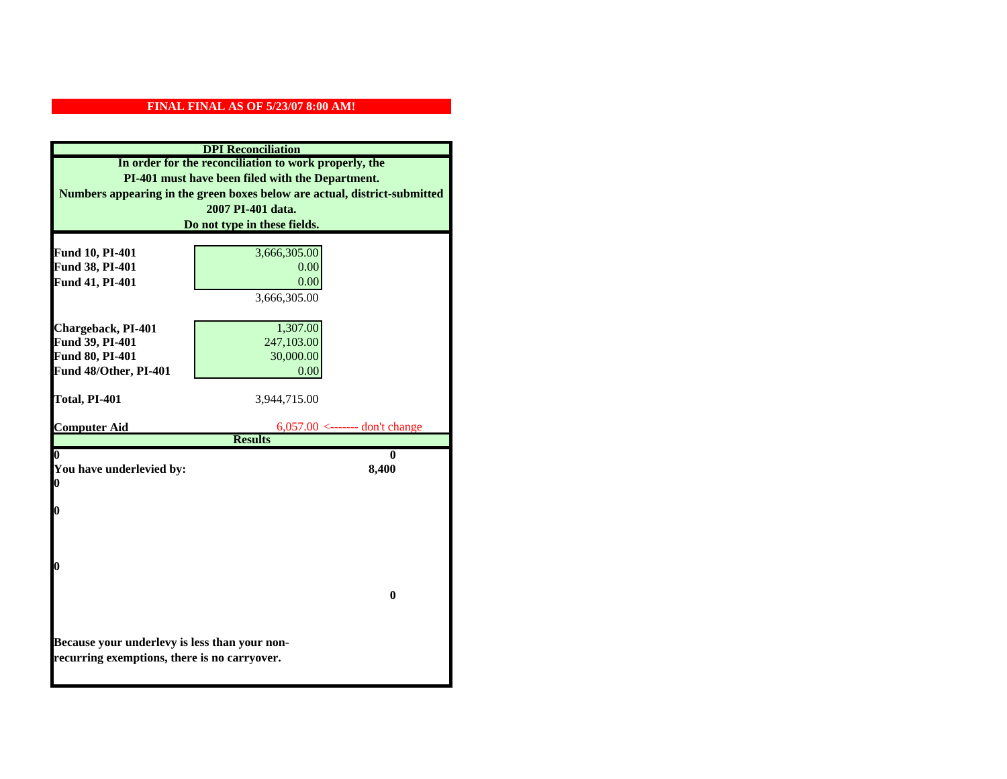|                                               | <b>DPI</b> Reconciliation                                                 |
|-----------------------------------------------|---------------------------------------------------------------------------|
|                                               | In order for the reconciliation to work properly, the                     |
|                                               | PI-401 must have been filed with the Department.                          |
|                                               | Numbers appearing in the green boxes below are actual, district-submitted |
|                                               | 2007 PI-401 data.                                                         |
|                                               | Do not type in these fields.                                              |
|                                               |                                                                           |
| Fund 10, PI-401                               | 3,666,305.00                                                              |
| Fund 38, PI-401                               | 0.00                                                                      |
| Fund 41, PI-401                               | 0.00                                                                      |
|                                               | 3,666,305.00                                                              |
|                                               |                                                                           |
| Chargeback, PI-401                            | 1,307.00                                                                  |
| Fund 39, PI-401                               | 247,103.00                                                                |
| Fund 80, PI-401                               | 30,000.00                                                                 |
| Fund 48/Other, PI-401                         | 0.00                                                                      |
| Total, PI-401                                 | 3,944,715.00                                                              |
|                                               |                                                                           |
| <b>Computer Aid</b>                           | $6,057.00$ <------- don't change                                          |
|                                               | <b>Results</b>                                                            |
|                                               | 0                                                                         |
| You have underlevied by:                      | 8,400                                                                     |
| 0                                             |                                                                           |
|                                               |                                                                           |
| 0                                             |                                                                           |
|                                               |                                                                           |
|                                               |                                                                           |
| 0                                             |                                                                           |
|                                               |                                                                           |
|                                               | $\bf{0}$                                                                  |
|                                               |                                                                           |
|                                               |                                                                           |
| Because your underlevy is less than your non- |                                                                           |
| recurring exemptions, there is no carryover.  |                                                                           |
|                                               |                                                                           |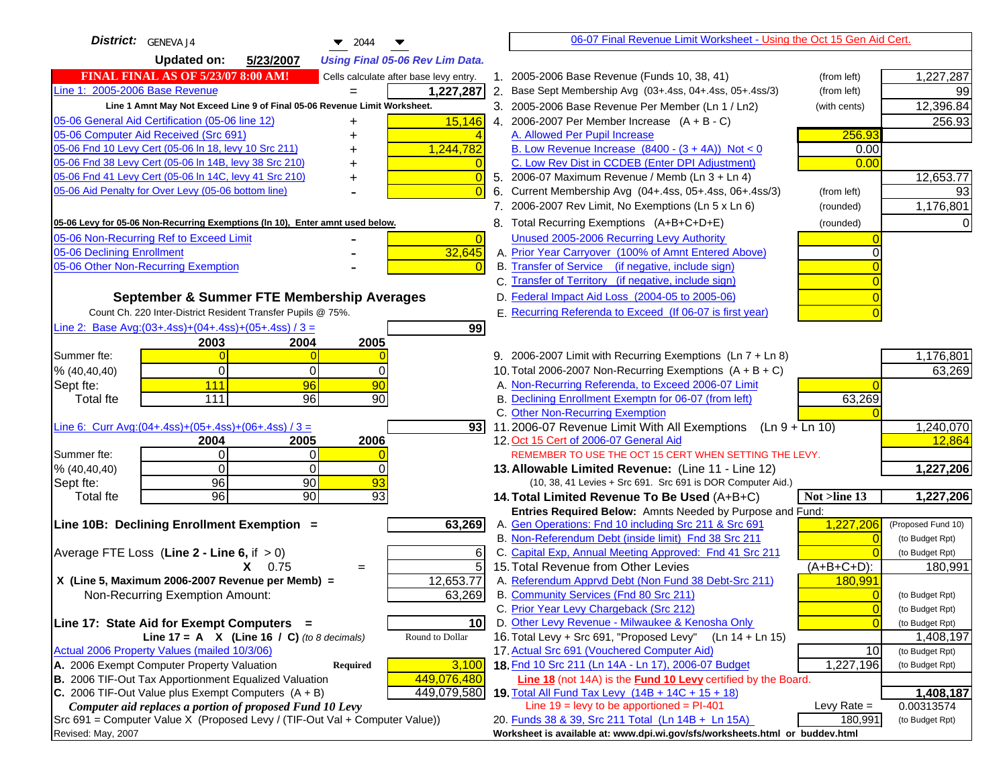| District:   GENEVA J4<br>$\blacktriangledown$ 2044                                      | 06-07 Final Revenue Limit Worksheet - Using the Oct 15 Gen Aid Cert.                                                    |                                   |
|-----------------------------------------------------------------------------------------|-------------------------------------------------------------------------------------------------------------------------|-----------------------------------|
| <b>Updated on:</b><br>5/23/2007<br><b>Using Final 05-06 Rev Lim Data.</b>               |                                                                                                                         |                                   |
| <b>FINAL FINAL AS OF 5/23/07 8:00 AM!</b><br>Cells calculate after base levy entry.     | 1. 2005-2006 Base Revenue (Funds 10, 38, 41)<br>(from left)                                                             | 1,227,287                         |
| Line 1: 2005-2006 Base Revenue<br>1,227,287                                             | 2. Base Sept Membership Avg (03+.4ss, 04+.4ss, 05+.4ss/3)<br>(from left)                                                | 99                                |
| Line 1 Amnt May Not Exceed Line 9 of Final 05-06 Revenue Limit Worksheet.               | 3. 2005-2006 Base Revenue Per Member (Ln 1 / Ln2)<br>(with cents)                                                       | 12,396.84                         |
| 15,146<br>05-06 General Aid Certification (05-06 line 12)<br>+                          | 4. 2006-2007 Per Member Increase $(A + B - C)$                                                                          | 256.93                            |
| 05-06 Computer Aid Received (Src 691)                                                   | 256.93<br>A. Allowed Per Pupil Increase                                                                                 |                                   |
| 05-06 Fnd 10 Levy Cert (05-06 In 18, levy 10 Src 211)<br>1,244,782                      | B. Low Revenue Increase $(8400 - (3 + 4A))$ Not < 0                                                                     | 0.00                              |
| 05-06 Fnd 38 Levy Cert (05-06 In 14B, levy 38 Src 210)                                  | C. Low Rev Dist in CCDEB (Enter DPI Adjustment)                                                                         | 0.00                              |
| 05-06 Fnd 41 Levy Cert (05-06 In 14C, levy 41 Src 210)<br>$\Omega$<br>+                 | 5. 2006-07 Maximum Revenue / Memb (Ln 3 + Ln 4)                                                                         | 12,653.77                         |
| 05-06 Aid Penalty for Over Levy (05-06 bottom line)                                     | 6. Current Membership Avg (04+.4ss, 05+.4ss, 06+.4ss/3)<br>(from left)                                                  | 93                                |
|                                                                                         | 7. 2006-2007 Rev Limit, No Exemptions (Ln 5 x Ln 6)<br>(rounded)                                                        | 1,176,801                         |
| 05-06 Levy for 05-06 Non-Recurring Exemptions (In 10), Enter amnt used below.           | 8. Total Recurring Exemptions (A+B+C+D+E)<br>(rounded)                                                                  |                                   |
| 05-06 Non-Recurring Ref to Exceed Limit<br>$\overline{0}$                               | Unused 2005-2006 Recurring Levy Authority                                                                               |                                   |
| 32,645<br>05-06 Declining Enrollment                                                    | A. Prior Year Carryover (100% of Amnt Entered Above)                                                                    |                                   |
| 05-06 Other Non-Recurring Exemption                                                     | B. Transfer of Service (if negative, include sign)                                                                      |                                   |
|                                                                                         | C. Transfer of Territory (if negative, include sign)                                                                    |                                   |
| September & Summer FTE Membership Averages                                              | D. Federal Impact Aid Loss (2004-05 to 2005-06)                                                                         |                                   |
| Count Ch. 220 Inter-District Resident Transfer Pupils @ 75%.                            | E. Recurring Referenda to Exceed (If 06-07 is first year)                                                               |                                   |
| Line 2: Base Avg: $(03+.4ss)+(04+.4ss)+(05+.4ss)/3 =$<br>99                             |                                                                                                                         |                                   |
| 2004<br>2005<br>2003                                                                    |                                                                                                                         |                                   |
| Summer fte:                                                                             | 9. 2006-2007 Limit with Recurring Exemptions (Ln 7 + Ln 8)                                                              | 1,176,801                         |
| $\Omega$<br>% (40, 40, 40)<br>0<br>0                                                    | 10. Total 2006-2007 Non-Recurring Exemptions $(A + B + C)$                                                              | 63,269                            |
| 111<br>90<br>96<br>Sept fte:<br>90<br>111<br>96                                         | A. Non-Recurring Referenda, to Exceed 2006-07 Limit<br>B. Declining Enrollment Exemptn for 06-07 (from left)            |                                   |
| <b>Total fte</b>                                                                        | 63,269<br>C. Other Non-Recurring Exemption                                                                              |                                   |
| Line 6: Curr Avg: $(04+.4ss)+(05+.4ss)+(06+.4ss)/3 =$                                   | 93 11.2006-07 Revenue Limit With All Exemptions $( \ln 9 + \ln 10)$                                                     | 1,240,070                         |
| 2004<br>2005<br>2006                                                                    | 12. Oct 15 Cert of 2006-07 General Aid                                                                                  | 12,864                            |
| Summer fte:<br>$\Omega$<br>$\Omega$                                                     | REMEMBER TO USE THE OCT 15 CERT WHEN SETTING THE LEVY.                                                                  |                                   |
| $\Omega$<br>$\Omega$<br>% (40, 40, 40)<br>0                                             | 13. Allowable Limited Revenue: (Line 11 - Line 12)                                                                      | 1,227,206                         |
| $\overline{93}$<br>96<br>90<br>Sept fte:                                                | (10, 38, 41 Levies + Src 691. Src 691 is DOR Computer Aid.)                                                             |                                   |
| 96<br>90<br>$\overline{93}$<br><b>Total fte</b>                                         | 14. Total Limited Revenue To Be Used (A+B+C)<br>Not >line 13                                                            | 1,227,206                         |
|                                                                                         | Entries Required Below: Amnts Needed by Purpose and Fund:                                                               |                                   |
| 63,269<br>Line 10B: Declining Enrollment Exemption =                                    | A. Gen Operations: Fnd 10 including Src 211 & Src 691<br>1,227,206                                                      | (Proposed Fund 10)                |
|                                                                                         | B. Non-Referendum Debt (inside limit) Fnd 38 Src 211                                                                    | $\sqrt{ }$<br>(to Budget Rpt)     |
| Average FTE Loss (Line $2 -$ Line 6, if $> 0$ )<br>6                                    | C. Capital Exp, Annual Meeting Approved: Fnd 41 Src 211                                                                 | (to Budget Rpt)                   |
| 5<br>$X = 0.75$<br>$=$<br>X (Line 5, Maximum 2006-2007 Revenue per Memb) =<br>12,653.77 | 15. Total Revenue from Other Levies<br>$(A+B+C+D)$ :<br>A. Referendum Apprvd Debt (Non Fund 38 Debt-Src 211)<br>180,991 | 180,991                           |
| Non-Recurring Exemption Amount:<br>63,269                                               | B. Community Services (Fnd 80 Src 211)                                                                                  | (to Budget Rpt)                   |
|                                                                                         | C. Prior Year Levy Chargeback (Src 212)                                                                                 | $\overline{0}$<br>(to Budget Rpt) |
| 10 <sup>1</sup><br>Line 17: State Aid for Exempt Computers =                            | D. Other Levy Revenue - Milwaukee & Kenosha Only                                                                        | $\sqrt{ }$<br>(to Budget Rpt)     |
| Line 17 = A $X$ (Line 16 / C) (to 8 decimals)<br>Round to Dollar                        | 16. Total Levy + Src 691, "Proposed Levy"<br>$(Ln 14 + Ln 15)$                                                          | 1,408,197                         |
| Actual 2006 Property Values (mailed 10/3/06)                                            | 17. Actual Src 691 (Vouchered Computer Aid)                                                                             | 10<br>(to Budget Rpt)             |
| A. 2006 Exempt Computer Property Valuation<br>Required<br>3,100                         | 18. Fnd 10 Src 211 (Ln 14A - Ln 17), 2006-07 Budget<br>1,227,196                                                        | (to Budget Rpt)                   |
| B. 2006 TIF-Out Tax Apportionment Equalized Valuation<br>449,076,480                    | Line 18 (not 14A) is the <b>Fund 10 Levy</b> certified by the Board.                                                    |                                   |
| C. 2006 TIF-Out Value plus Exempt Computers $(A + B)$<br>449,079,580                    | 19. Total All Fund Tax Levy (14B + 14C + 15 + 18)                                                                       | 1,408,187                         |
| Computer aid replaces a portion of proposed Fund 10 Levy                                | Line $19 = \text{levy}$ to be apportioned = PI-401<br>Levy Rate $=$                                                     | 0.00313574                        |
| Src 691 = Computer Value X (Proposed Levy / (TIF-Out Val + Computer Value))             | 20. Funds 38 & 39, Src 211 Total (Ln 14B + Ln 15A)<br>180,991                                                           | (to Budget Rpt)                   |
| Revised: May, 2007                                                                      | Worksheet is available at: www.dpi.wi.gov/sfs/worksheets.html or buddev.html                                            |                                   |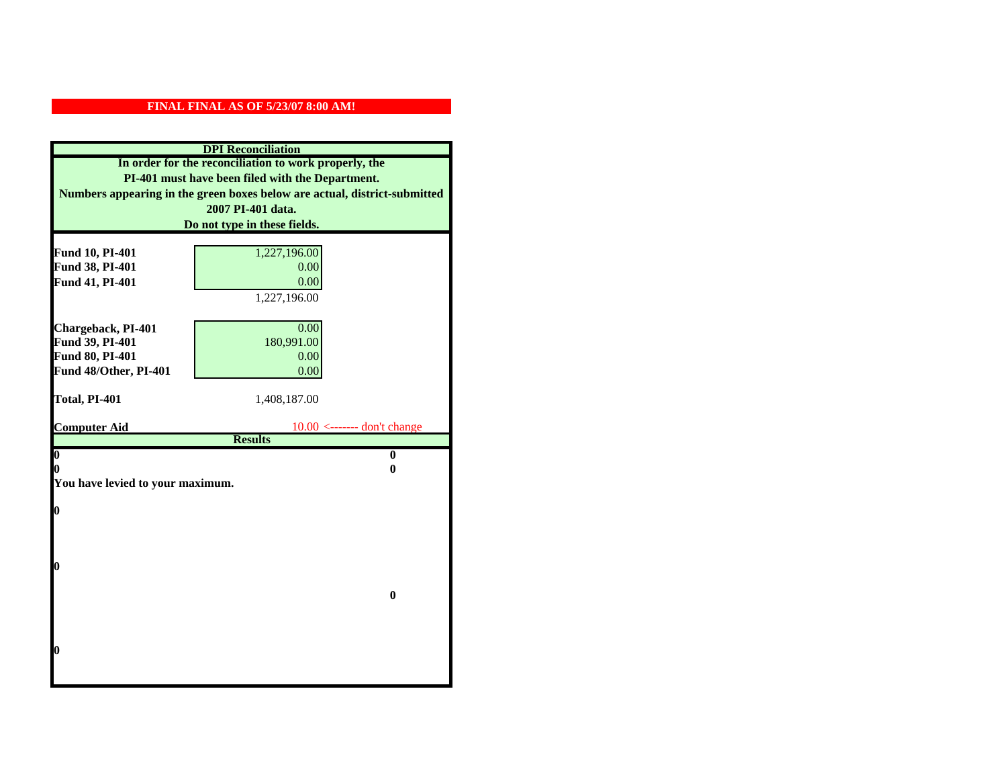|                                  | <b>DPI</b> Reconciliation                                                 |
|----------------------------------|---------------------------------------------------------------------------|
|                                  | In order for the reconciliation to work properly, the                     |
|                                  | PI-401 must have been filed with the Department.                          |
|                                  | Numbers appearing in the green boxes below are actual, district-submitted |
|                                  | 2007 PI-401 data.                                                         |
|                                  | Do not type in these fields.                                              |
|                                  |                                                                           |
| Fund 10, PI-401                  | 1,227,196.00                                                              |
| Fund 38, PI-401                  | 0.00<br>0.00                                                              |
| Fund 41, PI-401                  | 1,227,196.00                                                              |
|                                  |                                                                           |
| Chargeback, PI-401               | 0.00                                                                      |
| Fund 39, PI-401                  | 180,991.00                                                                |
| Fund 80, PI-401                  | 0.00                                                                      |
| Fund 48/Other, PI-401            | 0.00                                                                      |
|                                  |                                                                           |
| Total, PI-401                    | 1,408,187.00                                                              |
|                                  | $10.00 \leftarrow$ ------- don't change                                   |
| <b>Computer Aid</b>              |                                                                           |
|                                  |                                                                           |
| $\boldsymbol{0}$                 | <b>Results</b><br>$\bf{0}$                                                |
| 0                                | 0                                                                         |
| You have levied to your maximum. |                                                                           |
|                                  |                                                                           |
| $\bf{0}$                         |                                                                           |
|                                  |                                                                           |
|                                  |                                                                           |
| 0                                |                                                                           |
|                                  |                                                                           |
|                                  | $\bf{0}$                                                                  |
|                                  |                                                                           |
|                                  |                                                                           |
|                                  |                                                                           |
| 0                                |                                                                           |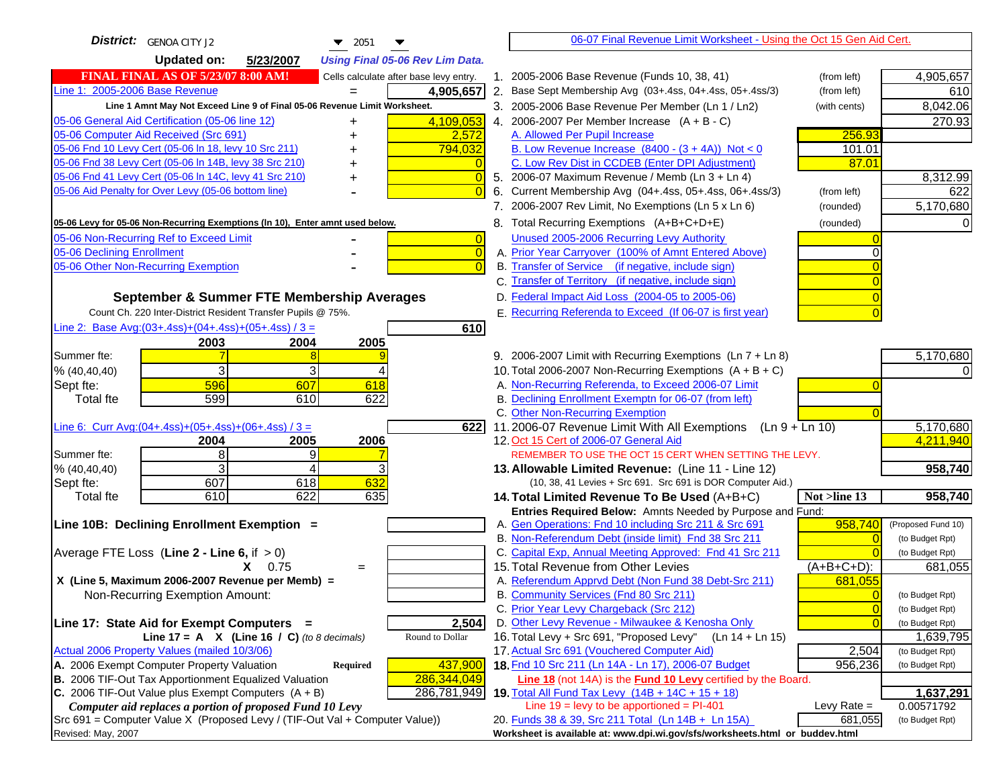| <b>District:</b> GENOA CITY J2<br>$\blacktriangledown$ 2051                         | 06-07 Final Revenue Limit Worksheet - Using the Oct 15 Gen Aid Cert.                            |                                    |
|-------------------------------------------------------------------------------------|-------------------------------------------------------------------------------------------------|------------------------------------|
| <b>Updated on:</b><br>5/23/2007<br><b>Using Final 05-06 Rev Lim Data.</b>           |                                                                                                 |                                    |
| <b>FINAL FINAL AS OF 5/23/07 8:00 AM!</b><br>Cells calculate after base levy entry. | 1. 2005-2006 Base Revenue (Funds 10, 38, 41)<br>(from left)                                     | 4,905,657                          |
| Line 1: 2005-2006 Base Revenue<br>4,905,657                                         | 2. Base Sept Membership Avg (03+.4ss, 04+.4ss, 05+.4ss/3)<br>(from left)                        | 610                                |
| Line 1 Amnt May Not Exceed Line 9 of Final 05-06 Revenue Limit Worksheet.           | 3. 2005-2006 Base Revenue Per Member (Ln 1 / Ln2)<br>(with cents)                               | 8,042.06                           |
| 05-06 General Aid Certification (05-06 line 12)<br>4,109,053<br>+                   | 4. 2006-2007 Per Member Increase $(A + B - C)$                                                  | 270.93                             |
| 05-06 Computer Aid Received (Src 691)<br>2,572                                      | 256.93<br>A. Allowed Per Pupil Increase                                                         |                                    |
| 05-06 Fnd 10 Levy Cert (05-06 In 18, levy 10 Src 211)<br>794,032                    | B. Low Revenue Increase $(8400 - (3 + 4A))$ Not < 0<br>101.01                                   |                                    |
| 05-06 Fnd 38 Levy Cert (05-06 In 14B, levy 38 Src 210)                              | C. Low Rev Dist in CCDEB (Enter DPI Adjustment)<br>87.01                                        |                                    |
| 05-06 Fnd 41 Levy Cert (05-06 In 14C, levy 41 Src 210)<br>+                         | 5. 2006-07 Maximum Revenue / Memb (Ln 3 + Ln 4)                                                 | 8,312.99                           |
| 05-06 Aid Penalty for Over Levy (05-06 bottom line)                                 | 6. Current Membership Avg (04+.4ss, 05+.4ss, 06+.4ss/3)<br>(from left)                          | 622                                |
|                                                                                     | 7. 2006-2007 Rev Limit, No Exemptions (Ln 5 x Ln 6)<br>(rounded)                                | 5,170,680                          |
| 05-06 Levy for 05-06 Non-Recurring Exemptions (In 10), Enter amnt used below.       | 8. Total Recurring Exemptions (A+B+C+D+E)<br>(rounded)                                          |                                    |
| 05-06 Non-Recurring Ref to Exceed Limit<br>$\overline{0}$                           | Unused 2005-2006 Recurring Levy Authority                                                       |                                    |
| 05-06 Declining Enrollment<br>$\overline{0}$                                        | A. Prior Year Carryover (100% of Amnt Entered Above)                                            |                                    |
| 05-06 Other Non-Recurring Exemption                                                 | B. Transfer of Service (if negative, include sign)                                              |                                    |
|                                                                                     | C. Transfer of Territory (if negative, include sign)                                            |                                    |
| September & Summer FTE Membership Averages                                          | D. Federal Impact Aid Loss (2004-05 to 2005-06)                                                 |                                    |
| Count Ch. 220 Inter-District Resident Transfer Pupils @ 75%.                        | E. Recurring Referenda to Exceed (If 06-07 is first year)                                       |                                    |
| Line 2: Base Avg: $(03+.4ss)+(04+.4ss)+(05+.4ss)/3 =$<br>610                        |                                                                                                 |                                    |
| 2004<br>2005<br>2003                                                                |                                                                                                 |                                    |
| Summer fte:                                                                         | 9. 2006-2007 Limit with Recurring Exemptions (Ln 7 + Ln 8)                                      | 5,170,680                          |
| 3<br>% (40, 40, 40)                                                                 | 10. Total 2006-2007 Non-Recurring Exemptions $(A + B + C)$                                      |                                    |
| 596<br>607<br>618<br>Sept fte:                                                      | A. Non-Recurring Referenda, to Exceed 2006-07 Limit                                             |                                    |
| 622<br>599<br>610<br><b>Total fte</b>                                               | B. Declining Enrollment Exemptn for 06-07 (from left)                                           |                                    |
| Line 6: Curr Avg: $(04+.4ss)+(05+.4ss)+(06+.4ss)/3 =$<br>6221                       | C. Other Non-Recurring Exemption<br>11.2006-07 Revenue Limit With All Exemptions (Ln 9 + Ln 10) | 5,170,680                          |
| 2004<br>2005<br>2006                                                                | 12. Oct 15 Cert of 2006-07 General Aid                                                          | 4,211,940                          |
| 8<br>Summer fte:<br>9                                                               | REMEMBER TO USE THE OCT 15 CERT WHEN SETTING THE LEVY.                                          |                                    |
| 3<br>% (40, 40, 40)<br>4                                                            | 13. Allowable Limited Revenue: (Line 11 - Line 12)                                              | 958,740                            |
| 607<br>632<br>618<br>Sept fte:                                                      | (10, 38, 41 Levies + Src 691. Src 691 is DOR Computer Aid.)                                     |                                    |
| 610<br>622<br>635<br><b>Total fte</b>                                               | 14. Total Limited Revenue To Be Used (A+B+C)<br>Not >line 13                                    | 958,740                            |
|                                                                                     | Entries Required Below: Amnts Needed by Purpose and Fund:                                       |                                    |
| Line 10B: Declining Enrollment Exemption =                                          | A. Gen Operations: Fnd 10 including Src 211 & Src 691<br>958,740                                | (Proposed Fund 10)                 |
|                                                                                     | B. Non-Referendum Debt (inside limit) Fnd 38 Src 211                                            | (to Budget Rpt)                    |
| Average FTE Loss (Line $2 -$ Line 6, if $> 0$ )                                     | C. Capital Exp, Annual Meeting Approved: Fnd 41 Src 211                                         | (to Budget Rpt)                    |
| $X = 0.75$<br>$=$                                                                   | 15. Total Revenue from Other Levies<br>(A+B+C+D):                                               | 681,055                            |
| X (Line 5, Maximum 2006-2007 Revenue per Memb) =                                    | A. Referendum Apprvd Debt (Non Fund 38 Debt-Src 211)<br>681,055                                 |                                    |
| Non-Recurring Exemption Amount:                                                     | B. Community Services (Fnd 80 Src 211)<br>C. Prior Year Levy Chargeback (Src 212)               | (to Budget Rpt)                    |
| 2,504<br>Line 17: State Aid for Exempt Computers =                                  | $\overline{0}$<br>D. Other Levy Revenue - Milwaukee & Kenosha Only<br>$\sqrt{ }$                | (to Budget Rpt)<br>(to Budget Rpt) |
| Line 17 = A $X$ (Line 16 / C) (to 8 decimals)<br>Round to Dollar                    | 16. Total Levy + Src 691, "Proposed Levy"<br>$(Ln 14 + Ln 15)$                                  | 1,639,795                          |
| Actual 2006 Property Values (mailed 10/3/06)                                        | 17. Actual Src 691 (Vouchered Computer Aid)<br>2,504                                            | (to Budget Rpt)                    |
| A. 2006 Exempt Computer Property Valuation<br>Required<br>437,900                   | 18. Fnd 10 Src 211 (Ln 14A - Ln 17), 2006-07 Budget<br>956,236                                  | (to Budget Rpt)                    |
| B. 2006 TIF-Out Tax Apportionment Equalized Valuation<br>286,344,049                | <b>Line 18</b> (not 14A) is the <b>Fund 10 Levy</b> certified by the Board.                     |                                    |
| C. 2006 TIF-Out Value plus Exempt Computers $(A + B)$<br>286,781,949                | 19. Total All Fund Tax Levy (14B + 14C + 15 + 18)                                               | 1,637,291                          |
| Computer aid replaces a portion of proposed Fund 10 Levy                            | Line $19 = \text{levy}$ to be apportioned = PI-401<br>Levy Rate $=$                             | 0.00571792                         |
| Src 691 = Computer Value X (Proposed Levy / (TIF-Out Val + Computer Value))         | 20. Funds 38 & 39, Src 211 Total (Ln 14B + Ln 15A)<br>681,055                                   | (to Budget Rpt)                    |
| Revised: May, 2007                                                                  | Worksheet is available at: www.dpi.wi.gov/sfs/worksheets.html or buddev.html                    |                                    |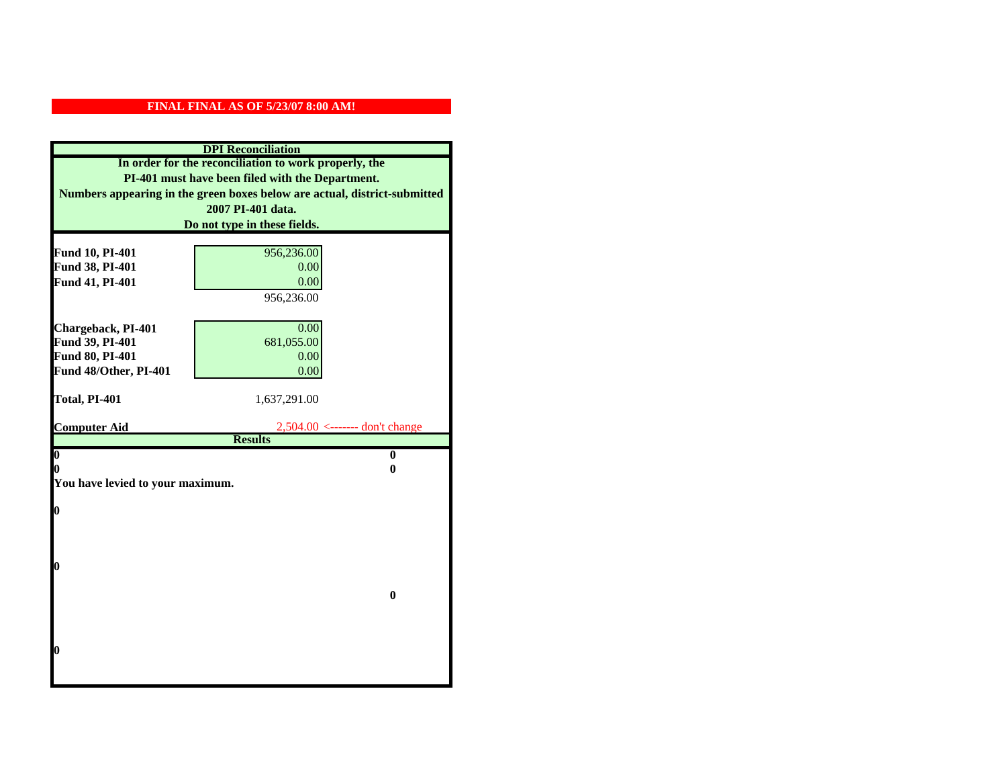|                                  | <b>DPI</b> Reconciliation                                                 |
|----------------------------------|---------------------------------------------------------------------------|
|                                  | In order for the reconciliation to work properly, the                     |
|                                  | PI-401 must have been filed with the Department.                          |
|                                  | Numbers appearing in the green boxes below are actual, district-submitted |
|                                  | 2007 PI-401 data.                                                         |
|                                  | Do not type in these fields.                                              |
| Fund 10, PI-401                  | 956,236.00                                                                |
| Fund 38, PI-401                  | 0.00                                                                      |
| Fund 41, PI-401                  | 0.00                                                                      |
|                                  | 956,236.00                                                                |
|                                  |                                                                           |
| Chargeback, PI-401               | 0.00                                                                      |
| Fund 39, PI-401                  | 681,055.00                                                                |
| Fund 80, PI-401                  | 0.00                                                                      |
| Fund 48/Other, PI-401            | 0.00                                                                      |
|                                  |                                                                           |
| Total, PI-401                    | 1,637,291.00                                                              |
| <b>Computer Aid</b>              | $2,504.00 \le$ ------- don't change                                       |
|                                  | <b>Results</b>                                                            |
| $\boldsymbol{0}$                 | $\mathbf{0}$                                                              |
| 0                                | 0                                                                         |
| You have levied to your maximum. |                                                                           |
| $\bf{0}$                         |                                                                           |
|                                  |                                                                           |
|                                  |                                                                           |
|                                  |                                                                           |
| 0                                |                                                                           |
|                                  |                                                                           |
|                                  | $\bf{0}$                                                                  |
|                                  |                                                                           |
|                                  |                                                                           |
| 0                                |                                                                           |
|                                  |                                                                           |
|                                  |                                                                           |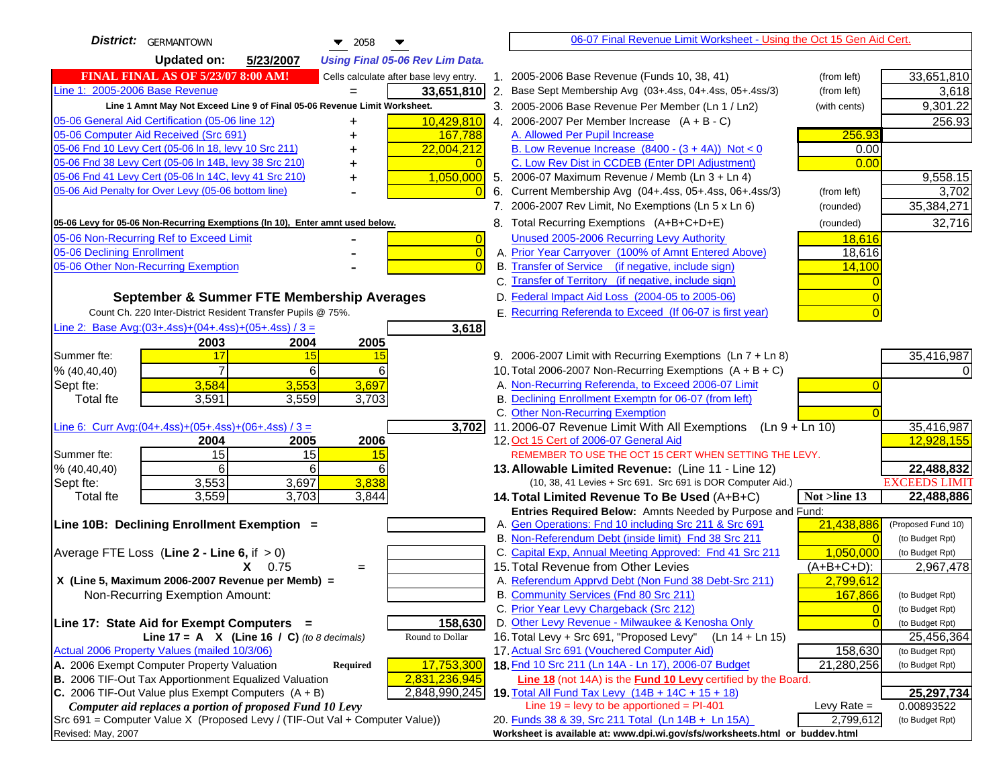| <b>District:</b> GERMANTOWN<br>$\blacktriangledown$ 2058                            | 06-07 Final Revenue Limit Worksheet - Using the Oct 15 Gen Aid Cert.                                                      |                                   |
|-------------------------------------------------------------------------------------|---------------------------------------------------------------------------------------------------------------------------|-----------------------------------|
| <b>Updated on:</b><br>5/23/2007<br><b>Using Final 05-06 Rev Lim Data.</b>           |                                                                                                                           |                                   |
| <b>FINAL FINAL AS OF 5/23/07 8:00 AM!</b><br>Cells calculate after base levy entry. | 1. 2005-2006 Base Revenue (Funds 10, 38, 41)<br>(from left)                                                               | 33,651,810                        |
| Line 1: 2005-2006 Base Revenue<br>33,651,810                                        | 2.<br>Base Sept Membership Avg (03+.4ss, 04+.4ss, 05+.4ss/3)<br>(from left)                                               | 3,618                             |
| Line 1 Amnt May Not Exceed Line 9 of Final 05-06 Revenue Limit Worksheet.           | 3. 2005-2006 Base Revenue Per Member (Ln 1 / Ln2)<br>(with cents)                                                         | 9,301.22                          |
| 05-06 General Aid Certification (05-06 line 12)<br>10,429,810<br>+                  | 4. 2006-2007 Per Member Increase $(A + B - C)$                                                                            | 256.93                            |
| 05-06 Computer Aid Received (Src 691)<br>167,788                                    | 256.93<br>A. Allowed Per Pupil Increase                                                                                   |                                   |
| 05-06 Fnd 10 Levy Cert (05-06 ln 18, levy 10 Src 211)<br>22,004,212                 | B. Low Revenue Increase $(8400 - (3 + 4A))$ Not < 0<br>0.00                                                               |                                   |
| 05-06 Fnd 38 Levy Cert (05-06 In 14B, levy 38 Src 210)                              | C. Low Rev Dist in CCDEB (Enter DPI Adjustment)<br>0.00                                                                   |                                   |
| 05-06 Fnd 41 Levy Cert (05-06 In 14C, levy 41 Src 210)<br>1,050,000<br>+            | 5. 2006-07 Maximum Revenue / Memb (Ln 3 + Ln 4)                                                                           | 9,558.15                          |
| 05-06 Aid Penalty for Over Levy (05-06 bottom line)                                 | 6. Current Membership Avg (04+.4ss, 05+.4ss, 06+.4ss/3)<br>(from left)                                                    | 3,702                             |
|                                                                                     | 7. 2006-2007 Rev Limit, No Exemptions (Ln 5 x Ln 6)<br>(rounded)                                                          | 35,384,271                        |
| 05-06 Levy for 05-06 Non-Recurring Exemptions (In 10), Enter amnt used below.       | 8. Total Recurring Exemptions (A+B+C+D+E)<br>(rounded)                                                                    | 32,716                            |
| 05-06 Non-Recurring Ref to Exceed Limit<br>$\vert 0 \vert$                          | Unused 2005-2006 Recurring Levy Authority<br>18,616                                                                       |                                   |
| 05-06 Declining Enrollment<br>$\vert 0 \vert$                                       | A. Prior Year Carryover (100% of Amnt Entered Above)<br>18,616                                                            |                                   |
| 05-06 Other Non-Recurring Exemption<br>$\Omega$                                     | B. Transfer of Service (if negative, include sign)<br>14,100                                                              |                                   |
|                                                                                     | C. Transfer of Territory (if negative, include sign)                                                                      |                                   |
| September & Summer FTE Membership Averages                                          | D. Federal Impact Aid Loss (2004-05 to 2005-06)                                                                           |                                   |
| Count Ch. 220 Inter-District Resident Transfer Pupils @ 75%.                        | E. Recurring Referenda to Exceed (If 06-07 is first year)                                                                 |                                   |
| Line 2: Base Avg: $(03+.4ss)+(04+.4ss)+(05+.4ss)/3 =$<br>3,618                      |                                                                                                                           |                                   |
| 2003<br>2004<br>2005                                                                |                                                                                                                           |                                   |
| Summer fte:<br>17<br>15<br>15                                                       | 9. 2006-2007 Limit with Recurring Exemptions (Ln 7 + Ln 8)                                                                | 35,416,987                        |
| 6<br>% (40, 40, 40)<br>6                                                            | 10. Total 2006-2007 Non-Recurring Exemptions $(A + B + C)$                                                                |                                   |
| 3,697<br>3,584<br>3,553<br>Sept fte:                                                | A. Non-Recurring Referenda, to Exceed 2006-07 Limit                                                                       |                                   |
| 3,591<br>3,559<br>3,703<br><b>Total fte</b>                                         | B. Declining Enrollment Exemptn for 06-07 (from left)<br>C. Other Non-Recurring Exemption                                 |                                   |
| Line 6: Curr Avg: $(04+.4ss)+(05+.4ss)+(06+.4ss)/3 =$<br>3,702                      | 11.2006-07 Revenue Limit With All Exemptions (Ln $9 + \overline{\text{Ln }10}$ )                                          | 35,416,987                        |
| 2004<br>2005<br>2006                                                                | 12. Oct 15 Cert of 2006-07 General Aid                                                                                    | 12,928,155                        |
| 15<br>15<br>Summer fte:<br>15                                                       | REMEMBER TO USE THE OCT 15 CERT WHEN SETTING THE LEVY.                                                                    |                                   |
| 6<br>6<br>6<br>% (40, 40, 40)                                                       | 13. Allowable Limited Revenue: (Line 11 - Line 12)                                                                        | 22,488,832                        |
| 3,553<br>3,838<br>3,697<br>Sept fte:                                                | (10, 38, 41 Levies + Src 691. Src 691 is DOR Computer Aid.)                                                               | <b>EXCEEDS LIMIT</b>              |
| 3,559<br>3,703<br><b>Total fte</b><br>3,844                                         | Not >line 13<br>14. Total Limited Revenue To Be Used (A+B+C)                                                              | 22,488,886                        |
|                                                                                     | Entries Required Below: Amnts Needed by Purpose and Fund:                                                                 |                                   |
| Line 10B: Declining Enrollment Exemption =                                          | 21,438,886<br>A. Gen Operations: Fnd 10 including Src 211 & Src 691                                                       | (Proposed Fund 10)                |
|                                                                                     | B. Non-Referendum Debt (inside limit) Fnd 38 Src 211                                                                      | $\Omega$<br>(to Budget Rpt)       |
| Average FTE Loss (Line $2 -$ Line 6, if $> 0$ )                                     | C. Capital Exp, Annual Meeting Approved: Fnd 41 Src 211<br>1,050,000                                                      | (to Budget Rpt)                   |
| $X = 0.75$<br>$=$<br>X (Line 5, Maximum 2006-2007 Revenue per Memb) =               | 15. Total Revenue from Other Levies<br>$(A+B+C+D)$ :<br>A. Referendum Apprvd Debt (Non Fund 38 Debt-Src 211)<br>2,799,612 | 2,967,478                         |
| Non-Recurring Exemption Amount:                                                     | B. Community Services (Fnd 80 Src 211)<br>167,866                                                                         | (to Budget Rpt)                   |
|                                                                                     | C. Prior Year Levy Chargeback (Src 212)                                                                                   | $\overline{0}$<br>(to Budget Rpt) |
| Line 17: State Aid for Exempt Computers =<br>158,630                                | D. Other Levy Revenue - Milwaukee & Kenosha Only                                                                          | $\Omega$<br>(to Budget Rpt)       |
| Line $17 = A \times (Line 16 / C)$ (to 8 decimals)<br>Round to Dollar               | 16. Total Levy + Src 691, "Proposed Levy"<br>$(Ln 14 + Ln 15)$                                                            | 25,456,364                        |
| Actual 2006 Property Values (mailed 10/3/06)                                        | 17. Actual Src 691 (Vouchered Computer Aid)<br>158,630                                                                    | (to Budget Rpt)                   |
| A. 2006 Exempt Computer Property Valuation<br>Required<br>17,753,300                | 18. Fnd 10 Src 211 (Ln 14A - Ln 17), 2006-07 Budget<br>21,280,256                                                         | (to Budget Rpt)                   |
| B. 2006 TIF-Out Tax Apportionment Equalized Valuation<br>2,831,236,945              | <b>Line 18</b> (not 14A) is the <b>Fund 10 Levy</b> certified by the Board.                                               |                                   |
| C. 2006 TIF-Out Value plus Exempt Computers $(A + B)$<br>2,848,990,245              | 19. Total All Fund Tax Levy (14B + 14C + 15 + 18)                                                                         | 25,297,734                        |
| Computer aid replaces a portion of proposed Fund 10 Levy                            | Line $19$ = levy to be apportioned = PI-401<br>Levy Rate $=$                                                              | 0.00893522                        |
| Src 691 = Computer Value X (Proposed Levy / (TIF-Out Val + Computer Value))         | 20. Funds 38 & 39, Src 211 Total (Ln 14B + Ln 15A)<br>2,799,612                                                           | (to Budget Rpt)                   |
| Revised: May, 2007                                                                  | Worksheet is available at: www.dpi.wi.gov/sfs/worksheets.html or buddev.html                                              |                                   |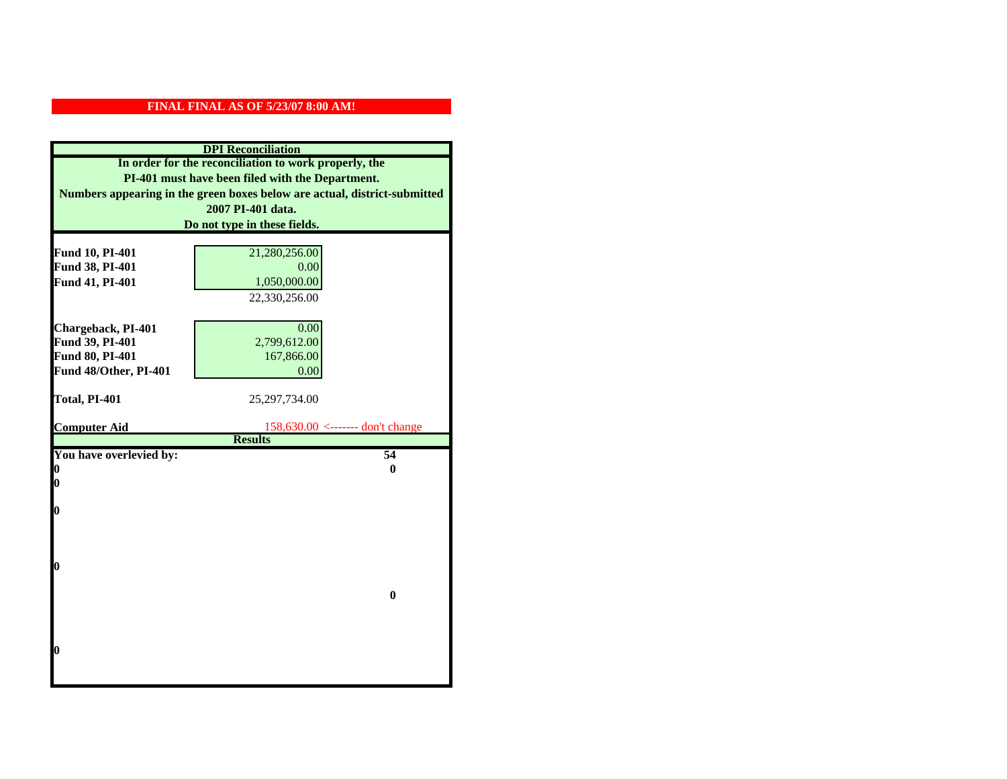|                         | <b>DPI</b> Reconciliation                                                 |
|-------------------------|---------------------------------------------------------------------------|
|                         | In order for the reconciliation to work properly, the                     |
|                         | PI-401 must have been filed with the Department.                          |
|                         | Numbers appearing in the green boxes below are actual, district-submitted |
|                         | 2007 PI-401 data.                                                         |
|                         | Do not type in these fields.                                              |
|                         |                                                                           |
| Fund 10, PI-401         | 21,280,256.00                                                             |
| Fund 38, PI-401         | 0.00                                                                      |
| Fund 41, PI-401         | 1,050,000.00                                                              |
|                         | 22,330,256.00                                                             |
|                         |                                                                           |
| Chargeback, PI-401      | 0.00                                                                      |
| Fund 39, PI-401         | 2,799,612.00                                                              |
| Fund 80, PI-401         | 167,866.00                                                                |
| Fund 48/Other, PI-401   | 0.00                                                                      |
|                         |                                                                           |
| Total, PI-401           | 25,297,734.00                                                             |
| <b>Computer Aid</b>     |                                                                           |
|                         | $158,630.00$ <------- don't change<br><b>Results</b>                      |
| You have overlevied by: | 54                                                                        |
| N                       | 0                                                                         |
| 0                       |                                                                           |
|                         |                                                                           |
| 0                       |                                                                           |
|                         |                                                                           |
|                         |                                                                           |
|                         |                                                                           |
| O                       |                                                                           |
|                         | $\bf{0}$                                                                  |
|                         |                                                                           |
|                         |                                                                           |
|                         |                                                                           |
|                         |                                                                           |
| 0                       |                                                                           |
|                         |                                                                           |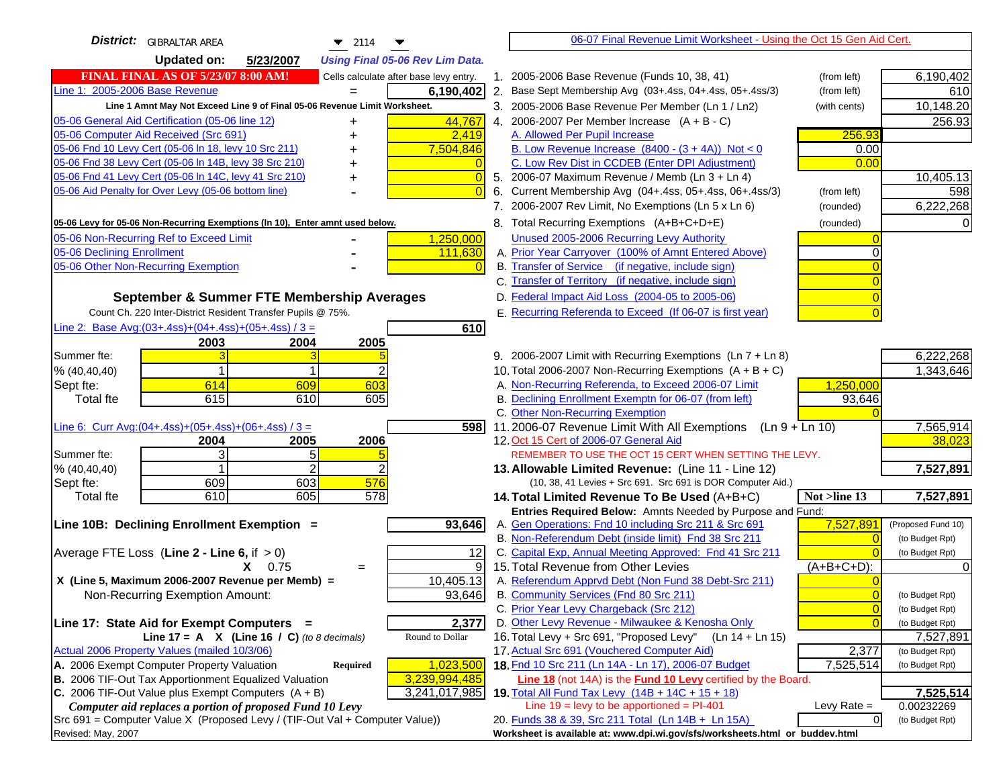| <b>District:</b> GIBRALTAR AREA<br>$\blacktriangledown$ 2114                                    |                                                                                                    | 06-07 Final Revenue Limit Worksheet - Using the Oct 15 Gen Aid Cert.             |                |                    |
|-------------------------------------------------------------------------------------------------|----------------------------------------------------------------------------------------------------|----------------------------------------------------------------------------------|----------------|--------------------|
| <b>Updated on:</b><br>5/23/2007<br><b>Using Final 05-06 Rev Lim Data.</b>                       |                                                                                                    |                                                                                  |                |                    |
| <b>FINAL FINAL AS OF 5/23/07 8:00 AM!</b><br>Cells calculate after base levy entry.             | 1. 2005-2006 Base Revenue (Funds 10, 38, 41)                                                       |                                                                                  | (from left)    | 6,190,402          |
| Line 1: 2005-2006 Base Revenue<br>6,190,402                                                     | 2. Base Sept Membership Avg (03+.4ss, 04+.4ss, 05+.4ss/3)                                          |                                                                                  | (from left)    | 610                |
| Line 1 Amnt May Not Exceed Line 9 of Final 05-06 Revenue Limit Worksheet.                       | 3. 2005-2006 Base Revenue Per Member (Ln 1 / Ln2)                                                  |                                                                                  | (with cents)   | 10,148.20          |
| 44,767<br>05-06 General Aid Certification (05-06 line 12)                                       | 4. 2006-2007 Per Member Increase $(A + B - C)$                                                     |                                                                                  |                | 256.93             |
| 05-06 Computer Aid Received (Src 691)<br>2,419                                                  | A. Allowed Per Pupil Increase                                                                      |                                                                                  | 256.93         |                    |
| 05-06 Fnd 10 Levy Cert (05-06 In 18, levy 10 Src 211)<br>7,504,846                              | B. Low Revenue Increase $(8400 - (3 + 4A))$ Not < 0                                                |                                                                                  | 0.00           |                    |
| 05-06 Fnd 38 Levy Cert (05-06 In 14B, levy 38 Src 210)                                          | C. Low Rev Dist in CCDEB (Enter DPI Adjustment)                                                    |                                                                                  | 0.00           |                    |
| 05-06 Fnd 41 Levy Cert (05-06 In 14C, levy 41 Src 210)<br>0<br>+                                | 5. 2006-07 Maximum Revenue / Memb (Ln 3 + Ln 4)                                                    |                                                                                  |                | 10,405.13          |
| 05-06 Aid Penalty for Over Levy (05-06 bottom line)                                             | 6. Current Membership Avg (04+.4ss, 05+.4ss, 06+.4ss/3)                                            |                                                                                  | (from left)    | 598                |
|                                                                                                 | 7. 2006-2007 Rev Limit, No Exemptions (Ln 5 x Ln 6)                                                |                                                                                  | (rounded)      | 6,222,268          |
| 05-06 Levy for 05-06 Non-Recurring Exemptions (In 10), Enter amnt used below.                   | 8. Total Recurring Exemptions (A+B+C+D+E)                                                          |                                                                                  | (rounded)      |                    |
| 05-06 Non-Recurring Ref to Exceed Limit<br>1,250,000                                            | Unused 2005-2006 Recurring Levy Authority                                                          |                                                                                  |                |                    |
| 05-06 Declining Enrollment<br>111,630                                                           | A. Prior Year Carryover (100% of Amnt Entered Above)                                               |                                                                                  |                |                    |
| 05-06 Other Non-Recurring Exemption                                                             | B. Transfer of Service (if negative, include sign)                                                 |                                                                                  |                |                    |
|                                                                                                 | C. Transfer of Territory (if negative, include sign)                                               |                                                                                  |                |                    |
| September & Summer FTE Membership Averages                                                      | D. Federal Impact Aid Loss (2004-05 to 2005-06)                                                    |                                                                                  |                |                    |
| Count Ch. 220 Inter-District Resident Transfer Pupils @ 75%.                                    | E. Recurring Referenda to Exceed (If 06-07 is first year)                                          |                                                                                  |                |                    |
| Line 2: Base Avg: $(03+.4ss)+(04+.4ss)+(05+.4ss)/3 =$<br>610                                    |                                                                                                    |                                                                                  |                |                    |
| 2003<br>2004<br>2005                                                                            |                                                                                                    |                                                                                  |                |                    |
| Summer fte:                                                                                     |                                                                                                    | 9. 2006-2007 Limit with Recurring Exemptions (Ln 7 + Ln 8)                       |                | 6,222,268          |
| % (40, 40, 40)                                                                                  | 10. Total 2006-2007 Non-Recurring Exemptions $(A + B + C)$                                         |                                                                                  |                | 1,343,646          |
| 603<br>614<br>609<br>Sept fte:                                                                  | A. Non-Recurring Referenda, to Exceed 2006-07 Limit                                                |                                                                                  | 1,250,000      |                    |
| 615<br><b>Total fte</b><br>610<br>605                                                           | B. Declining Enrollment Exemptn for 06-07 (from left)                                              |                                                                                  | 93,646         |                    |
|                                                                                                 | C. Other Non-Recurring Exemption                                                                   |                                                                                  |                |                    |
| Line 6: Curr Avg: $(04+.4ss)+(05+.4ss)+(06+.4ss)/3 =$<br>598                                    |                                                                                                    | 11.2006-07 Revenue Limit With All Exemptions (Ln $9 + \overline{\text{Ln }10}$ ) |                | 7,565,914          |
| 2006<br>2004<br>2005<br>3<br>5<br>Summer fte:                                                   | 12. Oct 15 Cert of 2006-07 General Aid                                                             | REMEMBER TO USE THE OCT 15 CERT WHEN SETTING THE LEVY.                           |                | 38,023             |
| 2<br>% (40, 40, 40)                                                                             | 13. Allowable Limited Revenue: (Line 11 - Line 12)                                                 |                                                                                  |                | 7,527,891          |
| 609<br>603<br>576<br>Sept fte:                                                                  |                                                                                                    | (10, 38, 41 Levies + Src 691. Src 691 is DOR Computer Aid.)                      |                |                    |
| 610<br>605<br>578<br><b>Total fte</b>                                                           | 14. Total Limited Revenue To Be Used (A+B+C)                                                       |                                                                                  | Not >line 13   | 7,527,891          |
|                                                                                                 |                                                                                                    | Entries Required Below: Amnts Needed by Purpose and Fund:                        |                |                    |
| 93,646<br>Line 10B: Declining Enrollment Exemption =                                            | A. Gen Operations: Fnd 10 including Src 211 & Src 691                                              |                                                                                  | 7,527,891      | (Proposed Fund 10) |
|                                                                                                 | B. Non-Referendum Debt (inside limit) Fnd 38 Src 211                                               |                                                                                  |                | (to Budget Rpt)    |
| Average FTE Loss (Line $2 -$ Line 6, if $> 0$ )<br>12                                           | C. Capital Exp, Annual Meeting Approved: Fnd 41 Src 211                                            |                                                                                  |                | (to Budget Rpt)    |
| 9<br>$X = 0.75$<br>$=$                                                                          | 15. Total Revenue from Other Levies                                                                |                                                                                  | (A+B+C+D):     |                    |
| X (Line 5, Maximum 2006-2007 Revenue per Memb) =<br>10,405.13                                   | A. Referendum Apprvd Debt (Non Fund 38 Debt-Src 211)                                               |                                                                                  |                |                    |
| 93,646<br>Non-Recurring Exemption Amount:                                                       | B. Community Services (Fnd 80 Src 211)                                                             |                                                                                  |                | (to Budget Rpt)    |
|                                                                                                 | C. Prior Year Levy Chargeback (Src 212)                                                            |                                                                                  | $\overline{0}$ | (to Budget Rpt)    |
| 2,377<br>Line 17: State Aid for Exempt Computers =                                              | D. Other Levy Revenue - Milwaukee & Kenosha Only                                                   |                                                                                  |                | (to Budget Rpt)    |
| Round to Dollar<br>Line 17 = A $X$ (Line 16 / C) (to 8 decimals)                                | 16. Total Levy + Src 691, "Proposed Levy"                                                          | $(Ln 14 + Ln 15)$                                                                |                | 7,527,891          |
| Actual 2006 Property Values (mailed 10/3/06)<br>A. 2006 Exempt Computer Property Valuation      | 17. Actual Src 691 (Vouchered Computer Aid)<br>18. Fnd 10 Src 211 (Ln 14A - Ln 17), 2006-07 Budget |                                                                                  | 2,377          | (to Budget Rpt)    |
| 1,023,500<br>Required<br>B. 2006 TIF-Out Tax Apportionment Equalized Valuation<br>3,239,994,485 |                                                                                                    |                                                                                  | 7,525,514      | (to Budget Rpt)    |
| C. 2006 TIF-Out Value plus Exempt Computers $(A + B)$<br>3,241,017,985                          | 19. Total All Fund Tax Levy $(14B + 14C + 15 + 18)$                                                | <b>Line 18</b> (not 14A) is the <b>Fund 10 Levy</b> certified by the Board.      |                | 7,525,514          |
| Computer aid replaces a portion of proposed Fund 10 Levy                                        | Line $19 = \text{levy}$ to be apportioned = PI-401                                                 |                                                                                  | Levy Rate $=$  | 0.00232269         |
| Src 691 = Computer Value X (Proposed Levy / (TIF-Out Val + Computer Value))                     | 20. Funds 38 & 39, Src 211 Total (Ln 14B + Ln 15A)                                                 |                                                                                  | $\overline{0}$ | (to Budget Rpt)    |
| Revised: May, 2007                                                                              |                                                                                                    | Worksheet is available at: www.dpi.wi.gov/sfs/worksheets.html or buddev.html     |                |                    |
|                                                                                                 |                                                                                                    |                                                                                  |                |                    |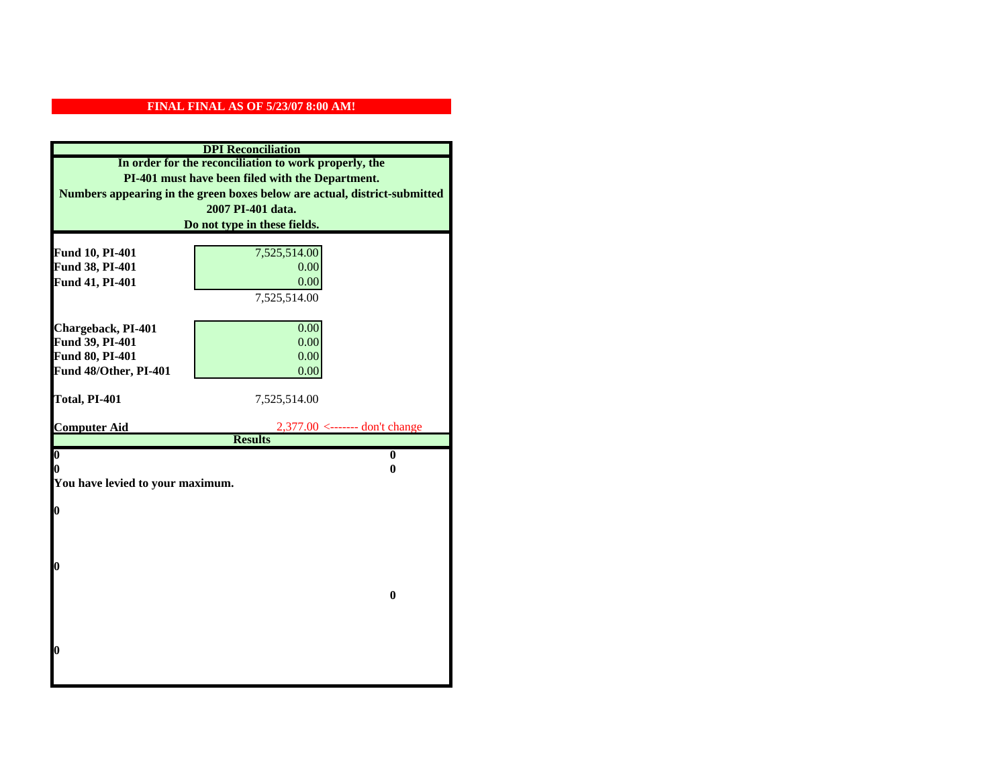|                                    | <b>DPI</b> Reconciliation                                                 |
|------------------------------------|---------------------------------------------------------------------------|
|                                    | In order for the reconciliation to work properly, the                     |
|                                    | PI-401 must have been filed with the Department.                          |
|                                    | Numbers appearing in the green boxes below are actual, district-submitted |
|                                    | 2007 PI-401 data.                                                         |
|                                    | Do not type in these fields.                                              |
|                                    |                                                                           |
| Fund 10, PI-401                    | 7,525,514.00<br>0.00                                                      |
| Fund 38, PI-401<br>Fund 41, PI-401 | 0.00                                                                      |
|                                    | 7,525,514.00                                                              |
|                                    |                                                                           |
| Chargeback, PI-401                 | 0.00                                                                      |
| Fund 39, PI-401                    | 0.00                                                                      |
| Fund 80, PI-401                    | 0.00                                                                      |
| Fund 48/Other, PI-401              | 0.00                                                                      |
|                                    |                                                                           |
| Total, PI-401                      | 7,525,514.00                                                              |
| <b>Computer Aid</b>                | $2,377.00$ <------- don't change                                          |
|                                    | <b>Results</b>                                                            |
|                                    |                                                                           |
| $\boldsymbol{0}$                   | $\bf{0}$                                                                  |
| 0                                  | 0                                                                         |
| You have levied to your maximum.   |                                                                           |
|                                    |                                                                           |
| $\bf{0}$                           |                                                                           |
|                                    |                                                                           |
|                                    |                                                                           |
| 0                                  |                                                                           |
|                                    |                                                                           |
|                                    | $\bf{0}$                                                                  |
|                                    |                                                                           |
|                                    |                                                                           |
|                                    |                                                                           |
| 0                                  |                                                                           |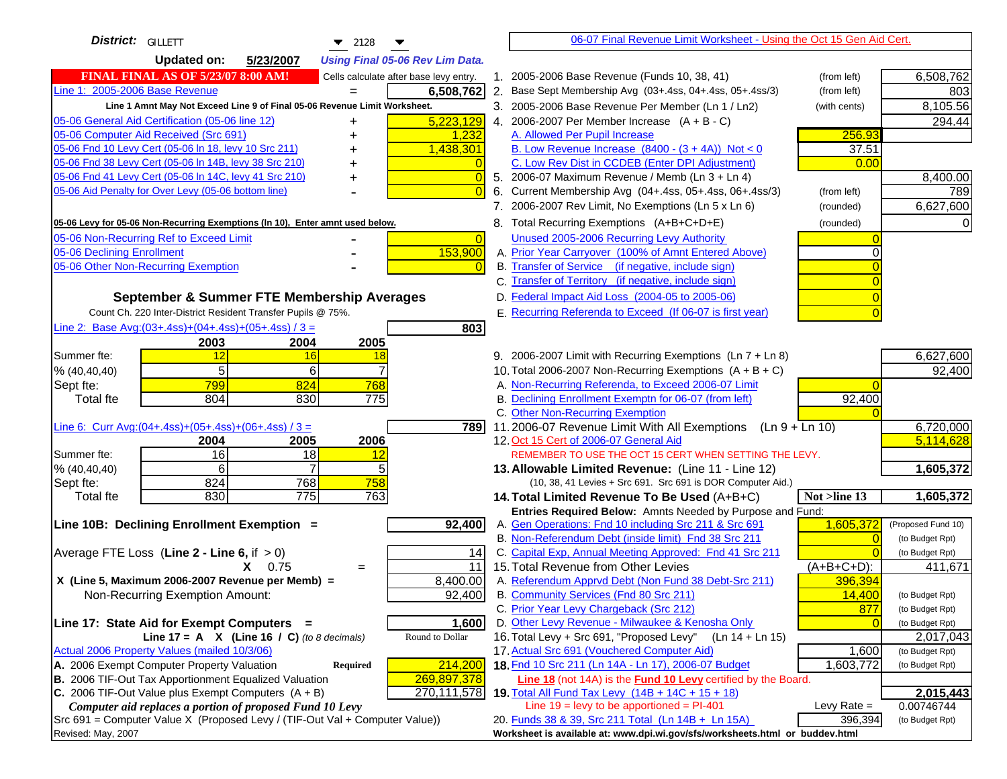| District:   GILLETT<br>$\blacktriangledown$ 2128                                                                           | 06-07 Final Revenue Limit Worksheet - Using the Oct 15 Gen Aid Cert.                                                      |                    |
|----------------------------------------------------------------------------------------------------------------------------|---------------------------------------------------------------------------------------------------------------------------|--------------------|
| <b>Updated on:</b><br>5/23/2007<br><b>Using Final 05-06 Rev Lim Data.</b>                                                  |                                                                                                                           |                    |
| <b>FINAL FINAL AS OF 5/23/07 8:00 AM!</b><br>Cells calculate after base levy entry.                                        | 1. 2005-2006 Base Revenue (Funds 10, 38, 41)<br>(from left)                                                               | 6,508,762          |
| Line 1: 2005-2006 Base Revenue<br>6,508,762                                                                                | 2. Base Sept Membership Avg (03+.4ss, 04+.4ss, 05+.4ss/3)<br>(from left)                                                  | 803                |
| Line 1 Amnt May Not Exceed Line 9 of Final 05-06 Revenue Limit Worksheet.                                                  | 3. 2005-2006 Base Revenue Per Member (Ln 1 / Ln2)<br>(with cents)                                                         | 8,105.56           |
| 5,223,129<br>05-06 General Aid Certification (05-06 line 12)<br>+                                                          | 4. 2006-2007 Per Member Increase $(A + B - C)$                                                                            | 294.44             |
| 05-06 Computer Aid Received (Src 691)<br>1,232                                                                             | 256.93<br>A. Allowed Per Pupil Increase                                                                                   |                    |
| 05-06 Fnd 10 Levy Cert (05-06 In 18, levy 10 Src 211)<br>1,438,301                                                         | B. Low Revenue Increase $(8400 - (3 + 4A))$ Not < 0<br>37.51                                                              |                    |
| 05-06 Fnd 38 Levy Cert (05-06 In 14B, levy 38 Src 210)                                                                     | C. Low Rev Dist in CCDEB (Enter DPI Adjustment)<br>0.00                                                                   |                    |
| 05-06 Fnd 41 Levy Cert (05-06 In 14C, levy 41 Src 210)<br>$\bigcap$                                                        | 5. 2006-07 Maximum Revenue / Memb (Ln 3 + Ln 4)                                                                           | 8,400.00           |
| 05-06 Aid Penalty for Over Levy (05-06 bottom line)                                                                        | Current Membership Avg (04+.4ss, 05+.4ss, 06+.4ss/3)<br>(from left)<br>6.                                                 | 789                |
|                                                                                                                            | 7. 2006-2007 Rev Limit, No Exemptions (Ln 5 x Ln 6)<br>(rounded)                                                          | 6,627,600          |
| 05-06 Levy for 05-06 Non-Recurring Exemptions (In 10), Enter amnt used below.                                              | 8. Total Recurring Exemptions (A+B+C+D+E)<br>(rounded)                                                                    |                    |
| 05-06 Non-Recurring Ref to Exceed Limit<br>$\Omega$                                                                        | Unused 2005-2006 Recurring Levy Authority                                                                                 |                    |
| 153,900<br>05-06 Declining Enrollment                                                                                      | A. Prior Year Carryover (100% of Amnt Entered Above)                                                                      |                    |
| 05-06 Other Non-Recurring Exemption                                                                                        | B. Transfer of Service (if negative, include sign)                                                                        |                    |
|                                                                                                                            | C. Transfer of Territory (if negative, include sign)                                                                      |                    |
| September & Summer FTE Membership Averages                                                                                 | D. Federal Impact Aid Loss (2004-05 to 2005-06)                                                                           |                    |
| Count Ch. 220 Inter-District Resident Transfer Pupils @ 75%.                                                               | E. Recurring Referenda to Exceed (If 06-07 is first year)                                                                 |                    |
| Line 2: Base Avg: $(03+.4ss)+(04+.4ss)+(05+.4ss)/3 =$<br>803                                                               |                                                                                                                           |                    |
| 2003<br>2004<br>2005                                                                                                       |                                                                                                                           |                    |
| Summer fte:<br>12<br>16<br>18                                                                                              | 9. 2006-2007 Limit with Recurring Exemptions (Ln 7 + Ln 8)                                                                | 6,627,600          |
| 5<br>6<br>% (40, 40, 40)                                                                                                   | 10. Total 2006-2007 Non-Recurring Exemptions (A + B + C)                                                                  | 92,400             |
| Sept fte:<br>799<br>824<br>768                                                                                             | A. Non-Recurring Referenda, to Exceed 2006-07 Limit                                                                       |                    |
| 804<br><b>Total fte</b><br>830<br>775                                                                                      | B. Declining Enrollment Exemptn for 06-07 (from left)<br>92,400                                                           |                    |
|                                                                                                                            | C. Other Non-Recurring Exemption                                                                                          |                    |
| Line 6: Curr Avg: $(04+.4ss)+(05+.4ss)+(06+.4ss)/3 =$<br>7891                                                              | 11.2006-07 Revenue Limit With All Exemptions $(Ln 9 + Ln 10)$                                                             | 6,720,000          |
| 2006<br>2005<br>2004<br>16<br>Summer fte:                                                                                  | 12. Oct 15 Cert of 2006-07 General Aid<br>REMEMBER TO USE THE OCT 15 CERT WHEN SETTING THE LEVY.                          | 5,114,628          |
| 18<br>12<br>6<br>5<br>% (40, 40, 40)                                                                                       | 13. Allowable Limited Revenue: (Line 11 - Line 12)                                                                        | 1,605,372          |
| 824<br>768<br>758<br>Sept fte:                                                                                             | (10, 38, 41 Levies + Src 691. Src 691 is DOR Computer Aid.)                                                               |                    |
| $\overline{775}$<br>830<br>763<br><b>Total fte</b>                                                                         | 14. Total Limited Revenue To Be Used (A+B+C)<br>Not >line 13                                                              | 1,605,372          |
|                                                                                                                            | Entries Required Below: Amnts Needed by Purpose and Fund:                                                                 |                    |
| 92,400<br>Line 10B: Declining Enrollment Exemption =                                                                       | A. Gen Operations: Fnd 10 including Src 211 & Src 691<br>1,605,372                                                        | (Proposed Fund 10) |
|                                                                                                                            | B. Non-Referendum Debt (inside limit) Fnd 38 Src 211                                                                      | (to Budget Rpt)    |
| Average FTE Loss (Line $2 -$ Line 6, if $> 0$ )<br>14                                                                      | C. Capital Exp, Annual Meeting Approved: Fnd 41 Src 211                                                                   | (to Budget Rpt)    |
| 11<br>$X = 0.75$<br>$=$                                                                                                    | 15. Total Revenue from Other Levies<br>$(A+B+C+D)$ :                                                                      | 411,671            |
| X (Line 5, Maximum 2006-2007 Revenue per Memb) =<br>8,400.00                                                               | A. Referendum Apprvd Debt (Non Fund 38 Debt-Src 211)<br>396,394                                                           |                    |
| 92,400<br>Non-Recurring Exemption Amount:                                                                                  | B. Community Services (Fnd 80 Src 211)<br>14.400                                                                          | (to Budget Rpt)    |
|                                                                                                                            | C. Prior Year Levy Chargeback (Src 212)<br>877                                                                            | (to Budget Rpt)    |
| 1,600<br>Line 17: State Aid for Exempt Computers =                                                                         | D. Other Levy Revenue - Milwaukee & Kenosha Only                                                                          | (to Budget Rpt)    |
| Round to Dollar<br>Line 17 = A $X$ (Line 16 / C) (to 8 decimals)                                                           | 16. Total Levy + Src 691, "Proposed Levy"<br>(Ln 14 + Ln 15)                                                              | 2,017,043          |
| Actual 2006 Property Values (mailed 10/3/06)                                                                               | 17. Actual Src 691 (Vouchered Computer Aid)<br>1,600                                                                      | (to Budget Rpt)    |
| A. 2006 Exempt Computer Property Valuation<br>214,200<br>Required<br>B. 2006 TIF-Out Tax Apportionment Equalized Valuation | 18. Fnd 10 Src 211 (Ln 14A - Ln 17), 2006-07 Budget<br>1,603,772                                                          | (to Budget Rpt)    |
| 269,897,378<br>C. 2006 TIF-Out Value plus Exempt Computers $(A + B)$<br>270,111,578                                        | Line 18 (not 14A) is the <b>Fund 10 Levy</b> certified by the Board.<br>19. Total All Fund Tax Levy (14B + 14C + 15 + 18) | 2,015,443          |
| Computer aid replaces a portion of proposed Fund 10 Levy                                                                   | Line $19 = \text{levy}$ to be apportioned = PI-401<br>Levy Rate $=$                                                       | 0.00746744         |
| Src 691 = Computer Value X (Proposed Levy / (TIF-Out Val + Computer Value))                                                | 20. Funds 38 & 39, Src 211 Total (Ln 14B + Ln 15A)<br>396,394                                                             | (to Budget Rpt)    |
| Revised: May, 2007                                                                                                         | Worksheet is available at: www.dpi.wi.gov/sfs/worksheets.html or buddev.html                                              |                    |
|                                                                                                                            |                                                                                                                           |                    |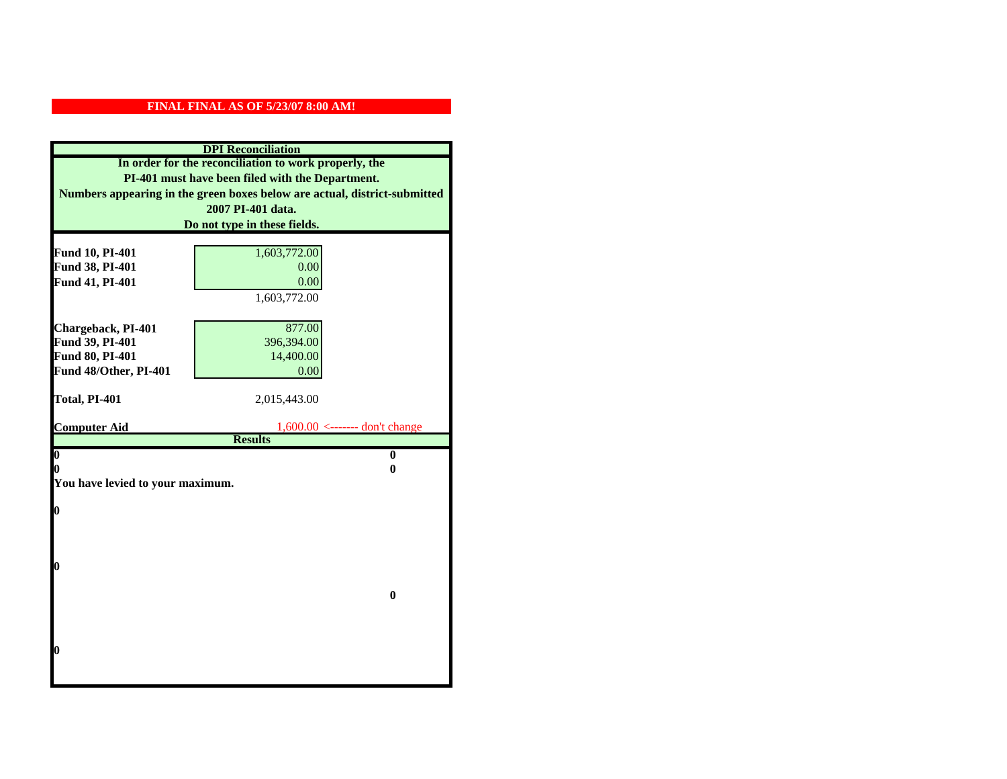|                                    | <b>DPI</b> Reconciliation                                                 |
|------------------------------------|---------------------------------------------------------------------------|
|                                    | In order for the reconciliation to work properly, the                     |
|                                    | PI-401 must have been filed with the Department.                          |
|                                    | Numbers appearing in the green boxes below are actual, district-submitted |
|                                    | 2007 PI-401 data.                                                         |
|                                    | Do not type in these fields.                                              |
|                                    |                                                                           |
| Fund 10, PI-401<br>Fund 38, PI-401 | 1,603,772.00<br>0.00                                                      |
| Fund 41, PI-401                    | 0.00                                                                      |
|                                    | 1,603,772.00                                                              |
|                                    |                                                                           |
| Chargeback, PI-401                 | 877.00                                                                    |
| Fund 39, PI-401                    | 396,394.00                                                                |
| Fund 80, PI-401                    | 14,400.00                                                                 |
| Fund 48/Other, PI-401              | 0.00                                                                      |
|                                    |                                                                           |
| Total, PI-401                      | 2,015,443.00                                                              |
|                                    |                                                                           |
| <b>Computer Aid</b>                | $1,600.00$ <------- don't change<br><b>Results</b>                        |
| $\boldsymbol{0}$                   | $\bf{0}$                                                                  |
| 0                                  | 0                                                                         |
| You have levied to your maximum.   |                                                                           |
|                                    |                                                                           |
| $\bf{0}$                           |                                                                           |
|                                    |                                                                           |
|                                    |                                                                           |
|                                    |                                                                           |
| 0                                  |                                                                           |
|                                    | $\bf{0}$                                                                  |
|                                    |                                                                           |
|                                    |                                                                           |
|                                    |                                                                           |
| 0                                  |                                                                           |
|                                    |                                                                           |
|                                    |                                                                           |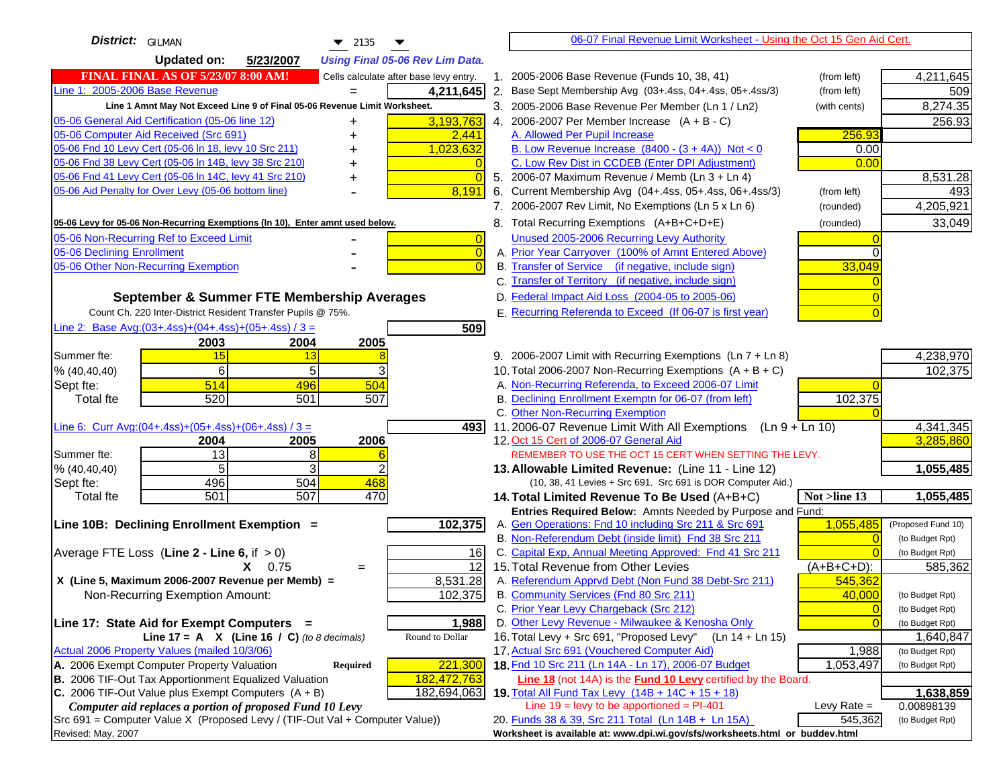| District: GILMAN<br>$\blacktriangledown$ 2135                                               | 06-07 Final Revenue Limit Worksheet - Using the Oct 15 Gen Aid Cert.                                        |                    |
|---------------------------------------------------------------------------------------------|-------------------------------------------------------------------------------------------------------------|--------------------|
| <b>Updated on:</b><br>5/23/2007<br><b>Using Final 05-06 Rev Lim Data.</b>                   |                                                                                                             |                    |
| <b>FINAL FINAL AS OF 5/23/07 8:00 AM!</b><br>Cells calculate after base levy entry.         | 1. 2005-2006 Base Revenue (Funds 10, 38, 41)<br>(from left)                                                 | 4,211,645          |
| Line 1: 2005-2006 Base Revenue<br>4,211,645<br>$=$                                          | 2. Base Sept Membership Avg (03+.4ss, 04+.4ss, 05+.4ss/3)<br>(from left)                                    | 509                |
| Line 1 Amnt May Not Exceed Line 9 of Final 05-06 Revenue Limit Worksheet.                   | 3. 2005-2006 Base Revenue Per Member (Ln 1 / Ln2)<br>(with cents)                                           | 8,274.35           |
| 3,193,763<br>05-06 General Aid Certification (05-06 line 12)<br>+                           | 4. 2006-2007 Per Member Increase $(A + B - C)$                                                              | 256.93             |
| 05-06 Computer Aid Received (Src 691)<br>2,441                                              | A. Allowed Per Pupil Increase<br>256.93                                                                     |                    |
| 05-06 Fnd 10 Levy Cert (05-06 In 18, levy 10 Src 211)<br>1,023,632                          | B. Low Revenue Increase $(8400 - (3 + 4A))$ Not < 0<br>0.00                                                 |                    |
| 05-06 Fnd 38 Levy Cert (05-06 In 14B, levy 38 Src 210)                                      | C. Low Rev Dist in CCDEB (Enter DPI Adjustment)<br>0.00                                                     |                    |
| 05-06 Fnd 41 Levy Cert (05-06 In 14C, levy 41 Src 210)<br>$\Omega$<br>+                     | 5. 2006-07 Maximum Revenue / Memb (Ln 3 + Ln 4)                                                             | 8,531.28           |
| 05-06 Aid Penalty for Over Levy (05-06 bottom line)<br>8,191                                | 6. Current Membership Avg (04+.4ss, 05+.4ss, 06+.4ss/3)<br>(from left)                                      | 493                |
|                                                                                             | 7. 2006-2007 Rev Limit, No Exemptions (Ln 5 x Ln 6)<br>(rounded)                                            | 4,205,921          |
| 05-06 Levy for 05-06 Non-Recurring Exemptions (In 10), Enter amnt used below.               | 8. Total Recurring Exemptions (A+B+C+D+E)<br>(rounded)                                                      | 33,049             |
| 05-06 Non-Recurring Ref to Exceed Limit<br>$\overline{0}$                                   | Unused 2005-2006 Recurring Levy Authority                                                                   |                    |
| 05-06 Declining Enrollment<br>$\overline{0}$                                                | A. Prior Year Carryover (100% of Amnt Entered Above)                                                        |                    |
| 05-06 Other Non-Recurring Exemption<br>$\sqrt{ }$                                           | B. Transfer of Service (if negative, include sign)<br>33,049                                                |                    |
|                                                                                             | C. Transfer of Territory (if negative, include sign)                                                        |                    |
| September & Summer FTE Membership Averages                                                  | D. Federal Impact Aid Loss (2004-05 to 2005-06)                                                             |                    |
| Count Ch. 220 Inter-District Resident Transfer Pupils @ 75%.                                | E. Recurring Referenda to Exceed (If 06-07 is first year)                                                   |                    |
| Line 2: Base Avg: $(03+.4ss)+(04+.4ss)+(05+.4ss)/3 =$<br>509                                |                                                                                                             |                    |
| 2003<br>2004<br>2005                                                                        |                                                                                                             |                    |
| 15<br>Summer fte:<br>13                                                                     | 9. 2006-2007 Limit with Recurring Exemptions (Ln 7 + Ln 8)                                                  | 4,238,970          |
| 6<br>5<br>% (40, 40, 40)                                                                    | 10. Total 2006-2007 Non-Recurring Exemptions $(A + B + C)$                                                  | 102,375            |
| 514<br>496<br>504<br>Sept fte:                                                              | A. Non-Recurring Referenda, to Exceed 2006-07 Limit                                                         |                    |
| 520<br>507<br><b>Total fte</b><br>501                                                       | B. Declining Enrollment Exemptn for 06-07 (from left)<br>102,375                                            |                    |
|                                                                                             | C. Other Non-Recurring Exemption                                                                            |                    |
| Line 6: Curr Avg: $(04+.4ss)+(05+.4ss)+(06+.4ss)/3 =$<br>4931                               | 11.2006-07 Revenue Limit With All Exemptions (Ln 9 + Ln 10)                                                 | 4,341,345          |
| 2005<br>2006<br>2004<br>13<br>8<br>Summer fte:                                              | 12. Oct 15 Cert of 2006-07 General Aid<br>REMEMBER TO USE THE OCT 15 CERT WHEN SETTING THE LEVY.            | 3,285,860          |
| 5<br>3<br>% (40, 40, 40)                                                                    | 13. Allowable Limited Revenue: (Line 11 - Line 12)                                                          | 1,055,485          |
| 496<br>504<br>468<br>Sept fte:                                                              | (10, 38, 41 Levies + Src 691. Src 691 is DOR Computer Aid.)                                                 |                    |
| 501<br>507<br>470<br><b>Total fte</b>                                                       | 14. Total Limited Revenue To Be Used (A+B+C)<br>Not >line 13                                                | 1,055,485          |
|                                                                                             | Entries Required Below: Amnts Needed by Purpose and Fund:                                                   |                    |
| 102,375<br>Line 10B: Declining Enrollment Exemption =                                       | A. Gen Operations: Fnd 10 including Src 211 & Src 691<br>1,055,485                                          | (Proposed Fund 10) |
|                                                                                             | B. Non-Referendum Debt (inside limit) Fnd 38 Src 211                                                        | (to Budget Rpt)    |
| Average FTE Loss (Line $2 -$ Line 6, if $> 0$ )<br>16                                       | C. Capital Exp, Annual Meeting Approved: Fnd 41 Src 211                                                     | (to Budget Rpt)    |
| $\overline{12}$<br>$X = 0.75$<br>$=$                                                        | 15. Total Revenue from Other Levies<br>(A+B+C+D):                                                           | 585,362            |
| X (Line 5, Maximum 2006-2007 Revenue per Memb) =<br>8,531.28                                | A. Referendum Apprvd Debt (Non Fund 38 Debt-Src 211)<br>545,362                                             |                    |
| 102,375<br>Non-Recurring Exemption Amount:                                                  | B. Community Services (Fnd 80 Src 211)<br>40,000                                                            | (to Budget Rpt)    |
|                                                                                             | C. Prior Year Levy Chargeback (Src 212)<br>$\overline{0}$                                                   | (to Budget Rpt)    |
| 1,988<br>Line 17: State Aid for Exempt Computers =                                          | D. Other Levy Revenue - Milwaukee & Kenosha Only                                                            | (to Budget Rpt)    |
| Round to Dollar<br>Line 17 = A $X$ (Line 16 / C) (to 8 decimals)                            | 16. Total Levy + Src 691, "Proposed Levy"<br>(Ln 14 + Ln 15)                                                | 1,640,847          |
| Actual 2006 Property Values (mailed 10/3/06)<br>A. 2006 Exempt Computer Property Valuation  | 17. Actual Src 691 (Vouchered Computer Aid)<br>1,988<br>18. Fnd 10 Src 211 (Ln 14A - Ln 17), 2006-07 Budget | (to Budget Rpt)    |
| 221,300<br>Required<br>B. 2006 TIF-Out Tax Apportionment Equalized Valuation<br>182,472,763 | 1,053,497<br><b>Line 18</b> (not 14A) is the <b>Fund 10 Levy</b> certified by the Board.                    | (to Budget Rpt)    |
| C. 2006 TIF-Out Value plus Exempt Computers $(A + B)$<br>182,694,063                        | 19. Total All Fund Tax Levy $(14B + 14C + 15 + 18)$                                                         | 1,638,859          |
| Computer aid replaces a portion of proposed Fund 10 Levy                                    | Line $19 = \text{levy}$ to be apportioned = PI-401<br>Levy Rate $=$                                         | 0.00898139         |
| Src 691 = Computer Value X (Proposed Levy / (TIF-Out Val + Computer Value))                 | 20. Funds 38 & 39, Src 211 Total (Ln 14B + Ln 15A)<br>545,362                                               | (to Budget Rpt)    |
| Revised: May, 2007                                                                          | Worksheet is available at: www.dpi.wi.gov/sfs/worksheets.html or buddev.html                                |                    |
|                                                                                             |                                                                                                             |                    |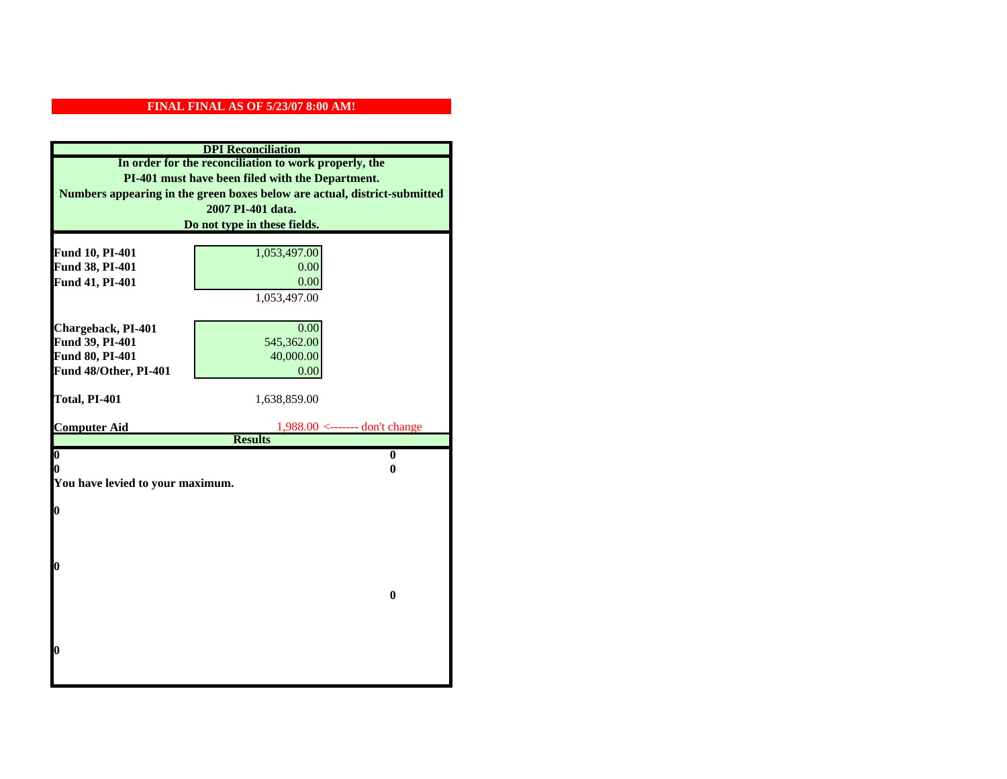|                                  | <b>DPI</b> Reconciliation                                                 |
|----------------------------------|---------------------------------------------------------------------------|
|                                  | In order for the reconciliation to work properly, the                     |
|                                  | PI-401 must have been filed with the Department.                          |
|                                  | Numbers appearing in the green boxes below are actual, district-submitted |
|                                  | 2007 PI-401 data.                                                         |
|                                  | Do not type in these fields.                                              |
|                                  |                                                                           |
| Fund 10, PI-401                  | 1,053,497.00                                                              |
| Fund 38, PI-401                  | 0.00                                                                      |
| Fund 41, PI-401                  | 0.00                                                                      |
|                                  | 1,053,497.00                                                              |
| Chargeback, PI-401               | 0.00                                                                      |
| Fund 39, PI-401                  | 545,362.00                                                                |
| Fund 80, PI-401                  | 40,000.00                                                                 |
| Fund 48/Other, PI-401            | 0.00                                                                      |
|                                  |                                                                           |
| Total, PI-401                    | 1,638,859.00                                                              |
|                                  |                                                                           |
| <b>Computer Aid</b>              | $1,988.00 \le$ ------- don't change<br><b>Results</b>                     |
| $\boldsymbol{0}$                 | $\bf{0}$                                                                  |
| 0                                | 0                                                                         |
| You have levied to your maximum. |                                                                           |
|                                  |                                                                           |
| $\bf{0}$                         |                                                                           |
|                                  |                                                                           |
|                                  |                                                                           |
|                                  |                                                                           |
| 0                                |                                                                           |
|                                  | $\bf{0}$                                                                  |
|                                  |                                                                           |
|                                  |                                                                           |
|                                  |                                                                           |
| 0                                |                                                                           |
|                                  |                                                                           |
|                                  |                                                                           |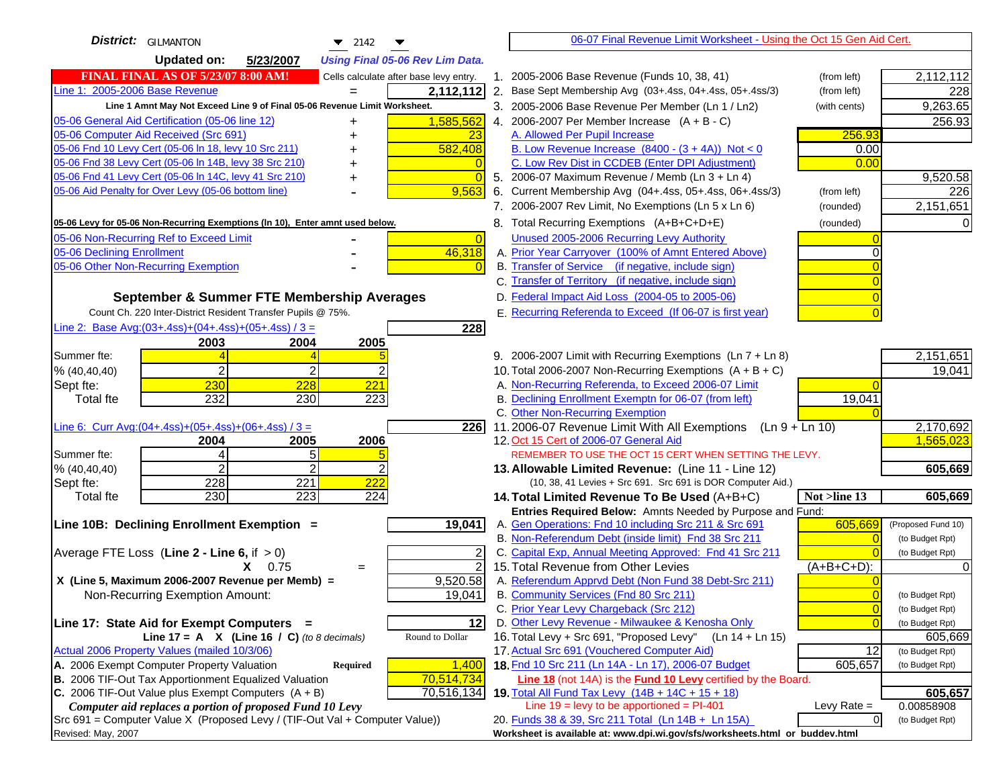| <b>District:</b> GILMANTON<br>$\bullet$ 2142                                        |                | 06-07 Final Revenue Limit Worksheet - Using the Oct 15 Gen Aid Cert.                                              |                                   |
|-------------------------------------------------------------------------------------|----------------|-------------------------------------------------------------------------------------------------------------------|-----------------------------------|
| <b>Updated on:</b><br>5/23/2007<br><b>Using Final 05-06 Rev Lim Data.</b>           |                |                                                                                                                   |                                   |
| <b>FINAL FINAL AS OF 5/23/07 8:00 AM!</b><br>Cells calculate after base levy entry. |                | 1. 2005-2006 Base Revenue (Funds 10, 38, 41)<br>(from left)                                                       | 2,112,112                         |
| Line 1: 2005-2006 Base Revenue<br>2,112,112                                         |                | 2. Base Sept Membership Avg (03+.4ss, 04+.4ss, 05+.4ss/3)<br>(from left)                                          | 228                               |
| Line 1 Amnt May Not Exceed Line 9 of Final 05-06 Revenue Limit Worksheet.           |                | 3. 2005-2006 Base Revenue Per Member (Ln 1 / Ln2)<br>(with cents)                                                 | 9,263.65                          |
| 1,585,562<br>05-06 General Aid Certification (05-06 line 12)                        |                | 4. 2006-2007 Per Member Increase $(A + B - C)$                                                                    | 256.93                            |
| 05-06 Computer Aid Received (Src 691)<br>23                                         |                | A. Allowed Per Pupil Increase<br>256.93                                                                           |                                   |
| 05-06 Fnd 10 Levy Cert (05-06 In 18, levy 10 Src 211)<br>582,408                    |                | B. Low Revenue Increase $(8400 - (3 + 4A))$ Not < 0<br>0.00                                                       |                                   |
| 05-06 Fnd 38 Levy Cert (05-06 In 14B, levy 38 Src 210)                              |                | C. Low Rev Dist in CCDEB (Enter DPI Adjustment)<br>0.00                                                           |                                   |
| 05-06 Fnd 41 Levy Cert (05-06 In 14C, levy 41 Src 210)<br>+                         | $\Omega$       | 5. 2006-07 Maximum Revenue / Memb (Ln 3 + Ln 4)                                                                   | 9,520.58                          |
| 05-06 Aid Penalty for Over Levy (05-06 bottom line)<br>9,563                        |                | 6. Current Membership Avg (04+.4ss, 05+.4ss, 06+.4ss/3)<br>(from left)                                            | 226                               |
|                                                                                     |                | 7. 2006-2007 Rev Limit, No Exemptions (Ln 5 x Ln 6)<br>(rounded)                                                  | 2,151,651                         |
| 05-06 Levy for 05-06 Non-Recurring Exemptions (In 10), Enter amnt used below.       |                | 8. Total Recurring Exemptions (A+B+C+D+E)<br>(rounded)                                                            |                                   |
| 05-06 Non-Recurring Ref to Exceed Limit                                             | $\overline{0}$ | Unused 2005-2006 Recurring Levy Authority                                                                         |                                   |
| 46,318<br>05-06 Declining Enrollment                                                |                | A. Prior Year Carryover (100% of Amnt Entered Above)                                                              |                                   |
| 05-06 Other Non-Recurring Exemption                                                 |                | B. Transfer of Service (if negative, include sign)                                                                |                                   |
|                                                                                     |                | C. Transfer of Territory (if negative, include sign)                                                              |                                   |
| September & Summer FTE Membership Averages                                          |                | D. Federal Impact Aid Loss (2004-05 to 2005-06)                                                                   |                                   |
| Count Ch. 220 Inter-District Resident Transfer Pupils @ 75%.                        |                | E. Recurring Referenda to Exceed (If 06-07 is first year)                                                         |                                   |
| Line 2: Base Avg: (03+.4ss) + (04+.4ss) + (05+.4ss) / 3 =<br>228                    |                |                                                                                                                   |                                   |
| 2003<br>2004<br>2005                                                                |                |                                                                                                                   |                                   |
| Summer fte:                                                                         |                | 9. 2006-2007 Limit with Recurring Exemptions (Ln 7 + Ln 8)                                                        | 2,151,651                         |
| 2<br>$\overline{2}$<br>% (40, 40, 40)                                               |                | 10. Total 2006-2007 Non-Recurring Exemptions $(A + B + C)$                                                        | 19,041                            |
| 230<br>228<br>221<br>Sept fte:                                                      |                | A. Non-Recurring Referenda, to Exceed 2006-07 Limit                                                               |                                   |
| 232<br>223<br>230<br><b>Total fte</b>                                               |                | B. Declining Enrollment Exemptn for 06-07 (from left)<br>19,041                                                   |                                   |
|                                                                                     |                | C. Other Non-Recurring Exemption                                                                                  |                                   |
| Line 6: Curr Avg: $(04+.4ss)+(05+.4ss)+(06+.4ss)/3 =$<br>226I                       |                | 11.2006-07 Revenue Limit With All Exemptions (Ln 9 + Ln 10)                                                       | 2,170,692                         |
| 2005<br>2006<br>2004                                                                |                | 12. Oct 15 Cert of 2006-07 General Aid                                                                            | 1,565,023                         |
| 5<br>Summer fte:<br>4                                                               |                | REMEMBER TO USE THE OCT 15 CERT WHEN SETTING THE LEVY.                                                            |                                   |
| $\overline{2}$<br>2<br>% (40, 40, 40)<br>228<br>$\overline{221}$<br>222             |                | 13. Allowable Limited Revenue: (Line 11 - Line 12)<br>(10, 38, 41 Levies + Src 691. Src 691 is DOR Computer Aid.) | 605,669                           |
| Sept fte:<br>230<br>223<br>224<br><b>Total fte</b>                                  |                | 14. Total Limited Revenue To Be Used (A+B+C)<br>Not >line 13                                                      | 605,669                           |
|                                                                                     |                | Entries Required Below: Amnts Needed by Purpose and Fund:                                                         |                                   |
| 19,041<br>Line 10B: Declining Enrollment Exemption =                                |                | A. Gen Operations: Fnd 10 including Src 211 & Src 691<br>605,669                                                  | (Proposed Fund 10)                |
|                                                                                     |                | B. Non-Referendum Debt (inside limit) Fnd 38 Src 211                                                              | $\Omega$<br>(to Budget Rpt)       |
| Average FTE Loss (Line $2 -$ Line 6, if $> 0$ )                                     |                | C. Capital Exp, Annual Meeting Approved: Fnd 41 Src 211                                                           | (to Budget Rpt)                   |
| $X = 0.75$<br>$=$                                                                   | $\overline{2}$ | 15. Total Revenue from Other Levies<br>(A+B+C+D):                                                                 |                                   |
| X (Line 5, Maximum 2006-2007 Revenue per Memb) =<br>9,520.58                        |                | A. Referendum Apprvd Debt (Non Fund 38 Debt-Src 211)                                                              |                                   |
| 19,041<br>Non-Recurring Exemption Amount:                                           |                | B. Community Services (Fnd 80 Src 211)                                                                            | $\overline{0}$<br>(to Budget Rpt) |
|                                                                                     |                | C. Prior Year Levy Chargeback (Src 212)                                                                           | $\overline{0}$<br>(to Budget Rpt) |
| 12<br>Line 17: State Aid for Exempt Computers =                                     |                | D. Other Levy Revenue - Milwaukee & Kenosha Only                                                                  | $\sqrt{ }$<br>(to Budget Rpt)     |
| Round to Dollar<br>Line 17 = A $X$ (Line 16 / C) (to 8 decimals)                    |                | 16. Total Levy + Src 691, "Proposed Levy"<br>(Ln 14 + Ln 15)                                                      | 605,669                           |
| Actual 2006 Property Values (mailed 10/3/06)                                        |                | 17. Actual Src 691 (Vouchered Computer Aid)                                                                       | 12<br>(to Budget Rpt)             |
| A. 2006 Exempt Computer Property Valuation<br>1,400<br>Required                     |                | 18. Fnd 10 Src 211 (Ln 14A - Ln 17), 2006-07 Budget<br>605,657                                                    | (to Budget Rpt)                   |
| B. 2006 TIF-Out Tax Apportionment Equalized Valuation<br>70,514,734                 |                | Line 18 (not 14A) is the <b>Fund 10 Levy</b> certified by the Board.                                              |                                   |
| C. 2006 TIF-Out Value plus Exempt Computers $(A + B)$<br>70,516,134                 |                | 19. Total All Fund Tax Levy (14B + 14C + 15 + 18)                                                                 | 605,657                           |
| Computer aid replaces a portion of proposed Fund 10 Levy                            |                | Line $19 = \text{levy}$ to be apportioned = PI-401<br>Levy Rate $=$                                               | 0.00858908                        |
| $Src691$ = Computer Value X (Proposed Levy / (TIF-Out Val + Computer Value))        |                | 20. Funds 38 & 39, Src 211 Total (Ln 14B + Ln 15A)                                                                | $\overline{0}$<br>(to Budget Rpt) |
| Revised: May, 2007                                                                  |                | Worksheet is available at: www.dpi.wi.gov/sfs/worksheets.html or buddev.html                                      |                                   |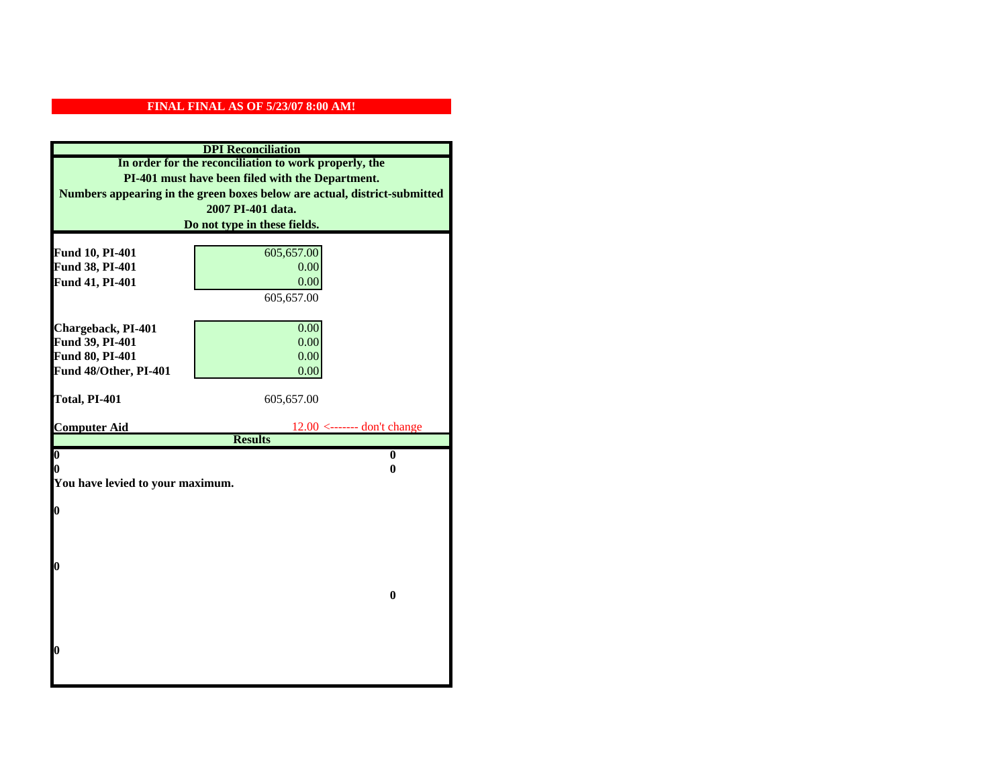|                                    | <b>DPI</b> Reconciliation                                                 |
|------------------------------------|---------------------------------------------------------------------------|
|                                    | In order for the reconciliation to work properly, the                     |
|                                    | PI-401 must have been filed with the Department.                          |
|                                    | Numbers appearing in the green boxes below are actual, district-submitted |
|                                    | 2007 PI-401 data.                                                         |
|                                    | Do not type in these fields.                                              |
|                                    |                                                                           |
| Fund 10, PI-401<br>Fund 38, PI-401 | 605,657.00<br>0.00                                                        |
| Fund 41, PI-401                    | 0.00                                                                      |
|                                    | 605,657.00                                                                |
|                                    |                                                                           |
| Chargeback, PI-401                 | 0.00                                                                      |
| Fund 39, PI-401                    | 0.00                                                                      |
| Fund 80, PI-401                    | 0.00                                                                      |
| Fund 48/Other, PI-401              | 0.00                                                                      |
|                                    |                                                                           |
| Total, PI-401                      | 605,657.00                                                                |
|                                    |                                                                           |
|                                    |                                                                           |
| <b>Computer Aid</b>                | $12.00 \leftarrow$ ------- don't change                                   |
| $\overline{\mathbf{0}}$            | <b>Results</b><br>$\bf{0}$                                                |
| 0                                  | 0                                                                         |
| You have levied to your maximum.   |                                                                           |
|                                    |                                                                           |
| $\bf{0}$                           |                                                                           |
|                                    |                                                                           |
|                                    |                                                                           |
|                                    |                                                                           |
| 0                                  |                                                                           |
|                                    | $\bf{0}$                                                                  |
|                                    |                                                                           |
|                                    |                                                                           |
|                                    |                                                                           |
| 0                                  |                                                                           |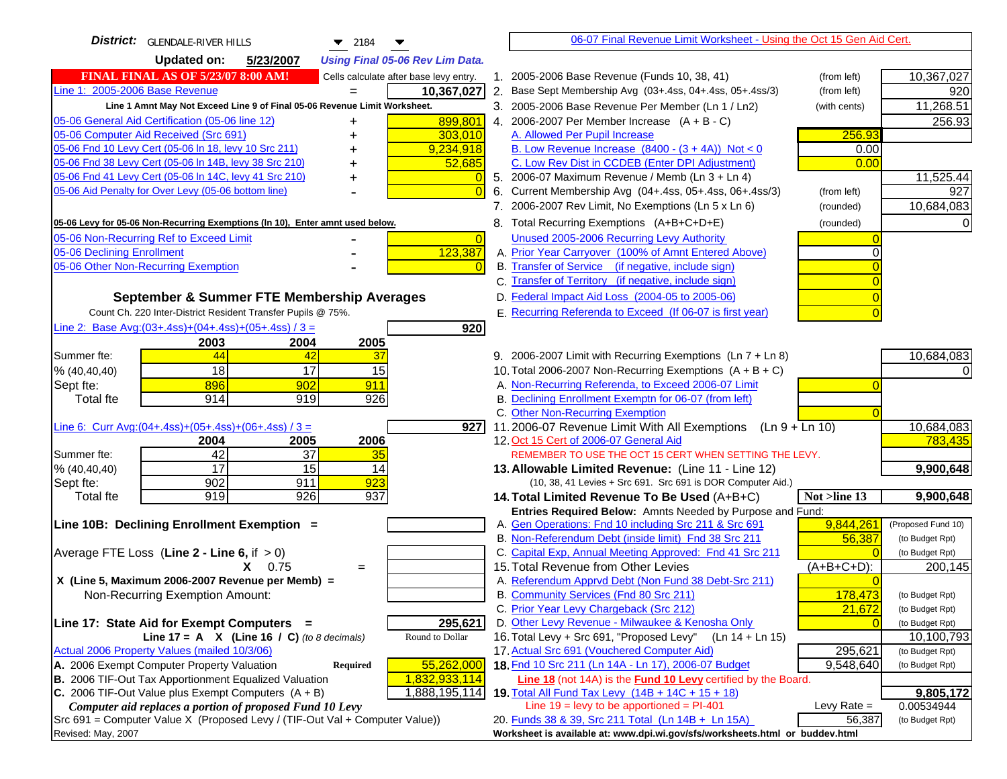| District:   GLENDALE-RIVER HILLS<br>$\blacktriangledown$ 2184<br>▼                  | 06-07 Final Revenue Limit Worksheet - Using the Oct 15 Gen Aid Cert.                                                            |                    |
|-------------------------------------------------------------------------------------|---------------------------------------------------------------------------------------------------------------------------------|--------------------|
| <b>Updated on:</b><br>5/23/2007<br><b>Using Final 05-06 Rev Lim Data.</b>           |                                                                                                                                 |                    |
| <b>FINAL FINAL AS OF 5/23/07 8:00 AM!</b><br>Cells calculate after base levy entry. | 1. 2005-2006 Base Revenue (Funds 10, 38, 41)<br>(from left)                                                                     | 10,367,027         |
| Line 1: 2005-2006 Base Revenue<br>10,367,027                                        | 2. Base Sept Membership Avg (03+.4ss, 04+.4ss, 05+.4ss/3)<br>(from left)                                                        | 920                |
| Line 1 Amnt May Not Exceed Line 9 of Final 05-06 Revenue Limit Worksheet.           | 3. 2005-2006 Base Revenue Per Member (Ln 1 / Ln2)<br>(with cents)                                                               | 11,268.51          |
| 899,801<br>05-06 General Aid Certification (05-06 line 12)                          | 4. 2006-2007 Per Member Increase $(A + B - C)$                                                                                  | 256.93             |
| 05-06 Computer Aid Received (Src 691)<br>303,010                                    | 256.93<br>A. Allowed Per Pupil Increase                                                                                         |                    |
| 05-06 Fnd 10 Levy Cert (05-06 In 18, levy 10 Src 211)<br>9,234,918                  | B. Low Revenue Increase $(8400 - (3 + 4A))$ Not < 0<br>0.00                                                                     |                    |
| 05-06 Fnd 38 Levy Cert (05-06 In 14B, levy 38 Src 210)<br>52,685                    | C. Low Rev Dist in CCDEB (Enter DPI Adjustment)<br>0.00                                                                         |                    |
| 05-06 Fnd 41 Levy Cert (05-06 In 14C, levy 41 Src 210)                              | 5. 2006-07 Maximum Revenue / Memb (Ln 3 + Ln 4)                                                                                 | 11,525.44          |
| 05-06 Aid Penalty for Over Levy (05-06 bottom line)                                 | 6. Current Membership Avg (04+.4ss, 05+.4ss, 06+.4ss/3)<br>(from left)                                                          | 927                |
|                                                                                     | 7. 2006-2007 Rev Limit, No Exemptions (Ln 5 x Ln 6)<br>(rounded)                                                                | 10,684,083         |
| 05-06 Levy for 05-06 Non-Recurring Exemptions (In 10), Enter amnt used below.       | 8. Total Recurring Exemptions (A+B+C+D+E)<br>(rounded)                                                                          |                    |
| 05-06 Non-Recurring Ref to Exceed Limit<br>$\overline{0}$                           | Unused 2005-2006 Recurring Levy Authority                                                                                       |                    |
| 123,387<br>05-06 Declining Enrollment                                               | A. Prior Year Carryover (100% of Amnt Entered Above)                                                                            |                    |
| 05-06 Other Non-Recurring Exemption                                                 | B. Transfer of Service (if negative, include sign)                                                                              |                    |
|                                                                                     | C. Transfer of Territory (if negative, include sign)                                                                            |                    |
| September & Summer FTE Membership Averages                                          | D. Federal Impact Aid Loss (2004-05 to 2005-06)                                                                                 |                    |
| Count Ch. 220 Inter-District Resident Transfer Pupils @ 75%.                        | E. Recurring Referenda to Exceed (If 06-07 is first year)                                                                       |                    |
| Line 2: Base Avg: $(03+.4ss)+(04+.4ss)+(05+.4ss)/3 =$<br>920                        |                                                                                                                                 |                    |
| 2003<br>2004<br>2005                                                                |                                                                                                                                 |                    |
| 44<br>Summer fte:<br>37<br>42                                                       | 9. 2006-2007 Limit with Recurring Exemptions (Ln 7 + Ln 8)                                                                      | 10,684,083         |
| 18<br>17<br>15<br>% (40, 40, 40)                                                    | 10. Total 2006-2007 Non-Recurring Exemptions $(A + B + C)$                                                                      |                    |
| 896<br>902<br>911<br>Sept fte:                                                      | A. Non-Recurring Referenda, to Exceed 2006-07 Limit                                                                             |                    |
| 914<br>919<br><b>Total fte</b><br>926                                               | B. Declining Enrollment Exemptn for 06-07 (from left)                                                                           |                    |
|                                                                                     | C. Other Non-Recurring Exemption                                                                                                |                    |
| Line 6: Curr Avg: $(04+.4ss)+(05+.4ss)+(06+.4ss)/3 =$<br>$\overline{9}27$           | 11.2006-07 Revenue Limit With All Exemptions $(Ln 9 + Ln 10)$                                                                   | 10,684,083         |
| 2006<br>2005<br>2004                                                                | 12. Oct 15 Cert of 2006-07 General Aid                                                                                          | 783,435            |
| 42<br>Summer fte:<br>37<br>35                                                       | REMEMBER TO USE THE OCT 15 CERT WHEN SETTING THE LEVY.                                                                          |                    |
| $\overline{17}$<br>$\overline{15}$<br>14<br>% (40, 40, 40)                          | 13. Allowable Limited Revenue: (Line 11 - Line 12)                                                                              | 9,900,648          |
| 902<br>923<br>911<br>Sept fte:                                                      | (10, 38, 41 Levies + Src 691. Src 691 is DOR Computer Aid.)                                                                     |                    |
| 926<br>919<br>937<br><b>Total fte</b>                                               | Not >line 13<br>14. Total Limited Revenue To Be Used (A+B+C)                                                                    | 9,900,648          |
| Line 10B: Declining Enrollment Exemption =                                          | Entries Required Below: Amnts Needed by Purpose and Fund:<br>A. Gen Operations: Fnd 10 including Src 211 & Src 691<br>9,844,261 | (Proposed Fund 10) |
|                                                                                     | B. Non-Referendum Debt (inside limit) Fnd 38 Src 211<br>56,387                                                                  | (to Budget Rpt)    |
| Average FTE Loss (Line $2 -$ Line 6, if $> 0$ )                                     | C. Capital Exp, Annual Meeting Approved: Fnd 41 Src 211                                                                         | (to Budget Rpt)    |
| $X = 0.75$<br>$=$                                                                   | 15. Total Revenue from Other Levies<br>$(A+B+C+D)$ :                                                                            | 200,145            |
| X (Line 5, Maximum 2006-2007 Revenue per Memb) =                                    | A. Referendum Apprvd Debt (Non Fund 38 Debt-Src 211)                                                                            |                    |
| Non-Recurring Exemption Amount:                                                     | B. Community Services (Fnd 80 Src 211)<br>178,473                                                                               | (to Budget Rpt)    |
|                                                                                     | C. Prior Year Levy Chargeback (Src 212)<br>21,672                                                                               | (to Budget Rpt)    |
| 295,621<br>Line 17: State Aid for Exempt Computers =                                | D. Other Levy Revenue - Milwaukee & Kenosha Only                                                                                | (to Budget Rpt)    |
| Round to Dollar<br>Line 17 = A $X$ (Line 16 / C) (to 8 decimals)                    | 16. Total Levy + Src 691, "Proposed Levy"<br>(Ln 14 + Ln 15)                                                                    | 10,100,793         |
| Actual 2006 Property Values (mailed 10/3/06)                                        | 17. Actual Src 691 (Vouchered Computer Aid)<br>295,621                                                                          | (to Budget Rpt)    |
| 55,262,000<br>A. 2006 Exempt Computer Property Valuation<br>Required                | 18 Fnd 10 Src 211 (Ln 14A - Ln 17), 2006-07 Budget<br>9,548,640                                                                 | (to Budget Rpt)    |
| <b>B.</b> 2006 TIF-Out Tax Apportionment Equalized Valuation<br>1,832,933,114       | Line 18 (not 14A) is the <b>Fund 10 Levy</b> certified by the Board.                                                            |                    |
| C. 2006 TIF-Out Value plus Exempt Computers $(A + B)$<br>1,888,195,114              | 19. Total All Fund Tax Levy (14B + 14C + 15 + 18)                                                                               | 9,805,172          |
| Computer aid replaces a portion of proposed Fund 10 Levy                            | Line $19 = \text{levy}$ to be apportioned = PI-401<br>Levy Rate $=$                                                             | 0.00534944         |
| Src 691 = Computer Value X (Proposed Levy / (TIF-Out Val + Computer Value))         | 20. Funds 38 & 39, Src 211 Total (Ln 14B + Ln 15A)<br>56,387                                                                    | (to Budget Rpt)    |
| Revised: May, 2007                                                                  | Worksheet is available at: www.dpi.wi.gov/sfs/worksheets.html or buddev.html                                                    |                    |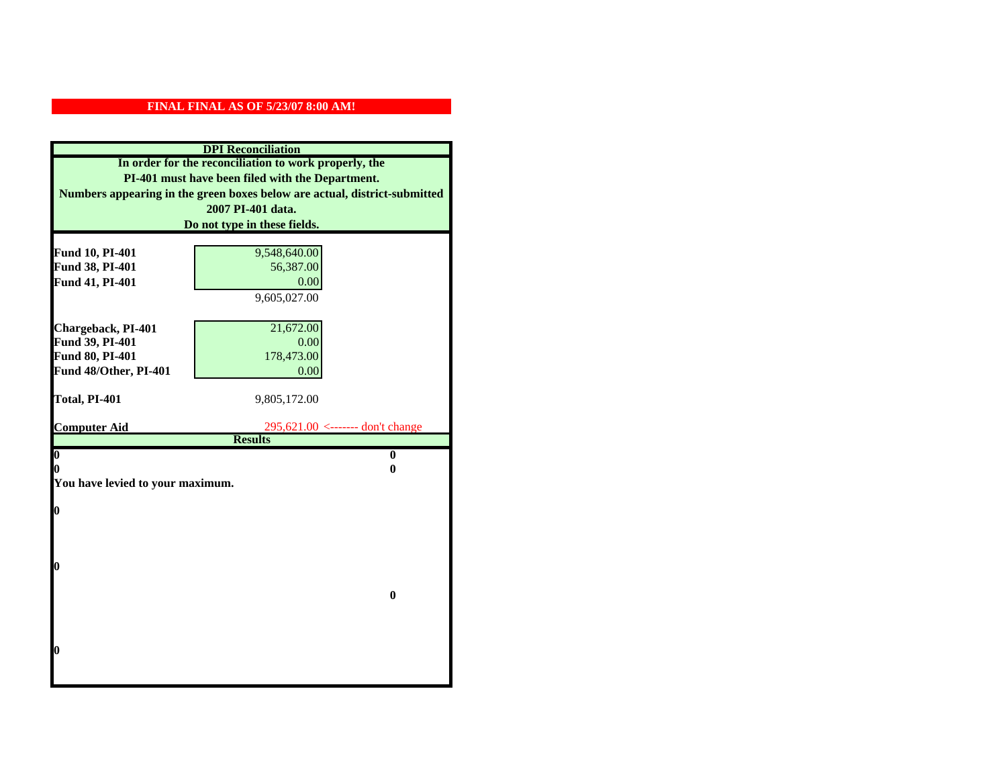|                                  | <b>DPI</b> Reconciliation                                                 |
|----------------------------------|---------------------------------------------------------------------------|
|                                  | In order for the reconciliation to work properly, the                     |
|                                  | PI-401 must have been filed with the Department.                          |
|                                  | Numbers appearing in the green boxes below are actual, district-submitted |
|                                  | 2007 PI-401 data.                                                         |
| Do not type in these fields.     |                                                                           |
|                                  |                                                                           |
| Fund 10, PI-401                  | 9,548,640.00                                                              |
| Fund 38, PI-401                  | 56,387.00                                                                 |
| Fund 41, PI-401                  | 0.00                                                                      |
|                                  | 9,605,027.00                                                              |
|                                  |                                                                           |
| Chargeback, PI-401               | 21,672.00                                                                 |
| Fund 39, PI-401                  | 0.00                                                                      |
| Fund 80, PI-401                  | 178,473.00                                                                |
| Fund 48/Other, PI-401            | 0.00                                                                      |
| Total, PI-401                    | 9,805,172.00                                                              |
|                                  |                                                                           |
| <b>Computer Aid</b>              | 295,621.00 <------- don't change                                          |
|                                  | <b>Results</b>                                                            |
| $\overline{\mathbf{0}}$          | $\bf{0}$                                                                  |
| 0                                | 0                                                                         |
| You have levied to your maximum. |                                                                           |
| $\bf{0}$                         |                                                                           |
|                                  |                                                                           |
|                                  |                                                                           |
|                                  |                                                                           |
| l0                               |                                                                           |
|                                  |                                                                           |
|                                  | $\bf{0}$                                                                  |
|                                  |                                                                           |
|                                  |                                                                           |
|                                  |                                                                           |
| l0                               |                                                                           |
|                                  |                                                                           |
|                                  |                                                                           |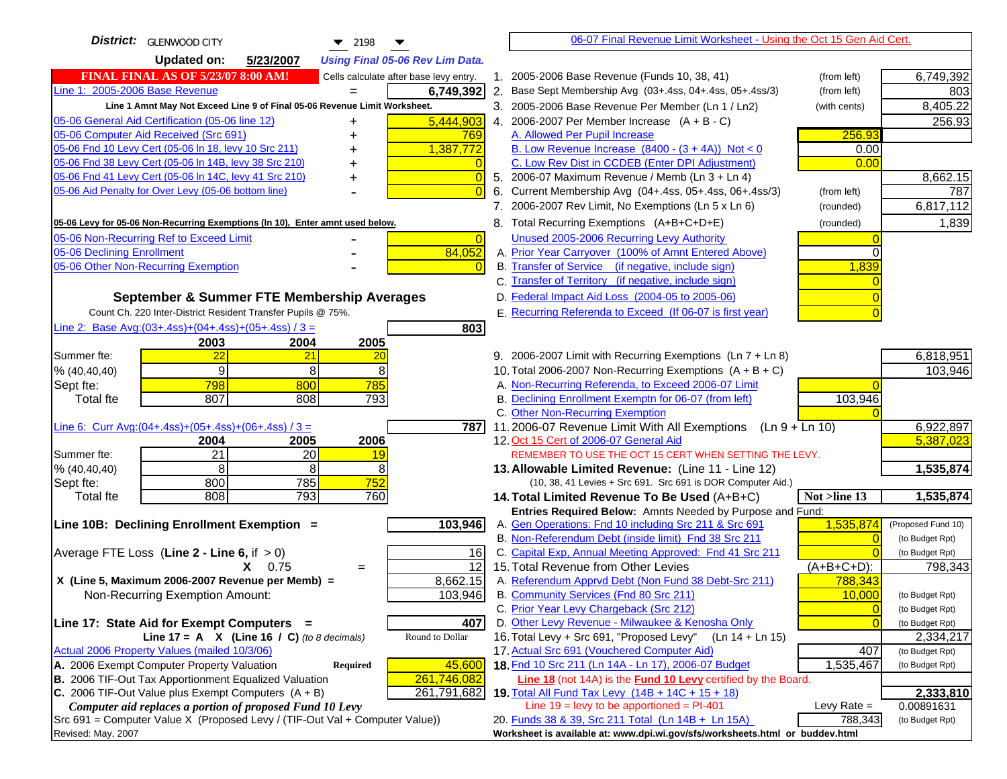| District:   GLENWOOD CITY<br>$\blacktriangledown$ 2198                                                               |                | 06-07 Final Revenue Limit Worksheet - Using the Oct 15 Gen Aid Cert.                                                       |                |                                    |
|----------------------------------------------------------------------------------------------------------------------|----------------|----------------------------------------------------------------------------------------------------------------------------|----------------|------------------------------------|
| <b>Updated on:</b><br>5/23/2007<br><b>Using Final 05-06 Rev Lim Data.</b>                                            |                |                                                                                                                            |                |                                    |
| <b>FINAL FINAL AS OF 5/23/07 8:00 AM!</b><br>Cells calculate after base levy entry.                                  |                | 1. 2005-2006 Base Revenue (Funds 10, 38, 41)                                                                               | (from left)    | 6,749,392                          |
| Line 1: 2005-2006 Base Revenue<br>6,749,392                                                                          |                | 2. Base Sept Membership Avg (03+.4ss, 04+.4ss, 05+.4ss/3)                                                                  | (from left)    | 803                                |
| Line 1 Amnt May Not Exceed Line 9 of Final 05-06 Revenue Limit Worksheet.                                            |                | 3. 2005-2006 Base Revenue Per Member (Ln 1 / Ln2)                                                                          | (with cents)   | 8,405.22                           |
| 5,444,903<br>05-06 General Aid Certification (05-06 line 12)<br>+                                                    |                | 4. 2006-2007 Per Member Increase $(A + B - C)$                                                                             |                | 256.93                             |
| 05-06 Computer Aid Received (Src 691)<br>769<br>+                                                                    |                | A. Allowed Per Pupil Increase                                                                                              | 256.93         |                                    |
| 05-06 Fnd 10 Levy Cert (05-06 In 18, levy 10 Src 211)<br>1,387,772                                                   |                | B. Low Revenue Increase $(8400 - (3 + 4A))$ Not < 0                                                                        | 0.00           |                                    |
| 05-06 Fnd 38 Levy Cert (05-06 In 14B, levy 38 Src 210)                                                               |                | C. Low Rev Dist in CCDEB (Enter DPI Adjustment)                                                                            | 0.00           |                                    |
| 05-06 Fnd 41 Levy Cert (05-06 In 14C, levy 41 Src 210)<br>+                                                          | $\overline{0}$ | 5. 2006-07 Maximum Revenue / Memb (Ln 3 + Ln 4)                                                                            |                | 8,662.15                           |
| 05-06 Aid Penalty for Over Levy (05-06 bottom line)                                                                  | 6.             | Current Membership Avg (04+.4ss, 05+.4ss, 06+.4ss/3)                                                                       | (from left)    | 787                                |
|                                                                                                                      |                | 7. 2006-2007 Rev Limit, No Exemptions (Ln 5 x Ln 6)                                                                        | (rounded)      | 6,817,112                          |
| 05-06 Levy for 05-06 Non-Recurring Exemptions (In 10), Enter amnt used below.                                        |                | 8. Total Recurring Exemptions (A+B+C+D+E)                                                                                  | (rounded)      | 1,839                              |
| 05-06 Non-Recurring Ref to Exceed Limit                                                                              | $\Omega$       | Unused 2005-2006 Recurring Levy Authority                                                                                  |                |                                    |
| 05-06 Declining Enrollment<br>84,052                                                                                 |                | A. Prior Year Carryover (100% of Amnt Entered Above)                                                                       | ∩              |                                    |
| 05-06 Other Non-Recurring Exemption                                                                                  |                | B. Transfer of Service (if negative, include sign)                                                                         | 1,839          |                                    |
|                                                                                                                      |                | C. Transfer of Territory (if negative, include sign)                                                                       |                |                                    |
| September & Summer FTE Membership Averages                                                                           |                | D. Federal Impact Aid Loss (2004-05 to 2005-06)                                                                            |                |                                    |
| Count Ch. 220 Inter-District Resident Transfer Pupils @ 75%.                                                         |                | E. Recurring Referenda to Exceed (If 06-07 is first year)                                                                  |                |                                    |
| Line 2: Base Avg: $(03+.4ss)+(04+.4ss)+(05+.4ss)/3 =$<br>803                                                         |                |                                                                                                                            |                |                                    |
| 2003<br>2004<br>2005                                                                                                 |                |                                                                                                                            |                |                                    |
| 22<br>Summer fte:<br>21<br>20                                                                                        |                | 9. 2006-2007 Limit with Recurring Exemptions (Ln 7 + Ln 8)                                                                 |                | 6,818,951                          |
| 9<br>8<br>8<br>% (40, 40, 40)                                                                                        |                | 10. Total 2006-2007 Non-Recurring Exemptions $(A + B + C)$                                                                 |                | 103,946                            |
| 798<br>800<br>785<br>Sept fte:                                                                                       |                | A. Non-Recurring Referenda, to Exceed 2006-07 Limit                                                                        |                |                                    |
| 807<br>808<br>793<br><b>Total fte</b>                                                                                |                | B. Declining Enrollment Exemptn for 06-07 (from left)                                                                      | 103,946        |                                    |
|                                                                                                                      |                | C. Other Non-Recurring Exemption                                                                                           |                |                                    |
| Line 6: Curr Avg: $(04+.4ss)+(05+.4ss)+(06+.4ss)/3 =$<br>7871<br>2006                                                |                | 11.2006-07 Revenue Limit With All Exemptions (Ln $9 + \overline{\text{Ln }10}$ )<br>12. Oct 15 Cert of 2006-07 General Aid |                | 6,922,897<br>5,387,023             |
| 2004<br>2005<br>21<br>Summer fte:<br>20<br>19                                                                        |                | REMEMBER TO USE THE OCT 15 CERT WHEN SETTING THE LEVY.                                                                     |                |                                    |
| 8<br>8<br>8<br>% (40, 40, 40)                                                                                        |                | 13. Allowable Limited Revenue: (Line 11 - Line 12)                                                                         |                | 1,535,874                          |
| 800<br>752<br>785<br>Sept fte:                                                                                       |                | (10, 38, 41 Levies + Src 691. Src 691 is DOR Computer Aid.)                                                                |                |                                    |
| 793<br>760<br><b>Total fte</b><br>808                                                                                |                | 14. Total Limited Revenue To Be Used (A+B+C)                                                                               | Not >line 13   | 1,535,874                          |
|                                                                                                                      |                | Entries Required Below: Amnts Needed by Purpose and Fund:                                                                  |                |                                    |
| 103,946<br>Line 10B: Declining Enrollment Exemption =                                                                |                | A. Gen Operations: Fnd 10 including Src 211 & Src 691                                                                      | 1,535,874      | (Proposed Fund 10)                 |
|                                                                                                                      |                | B. Non-Referendum Debt (inside limit) Fnd 38 Src 211                                                                       |                | (to Budget Rpt)                    |
| Average FTE Loss (Line $2 -$ Line 6, if $> 0$ )<br>16                                                                |                | C. Capital Exp, Annual Meeting Approved: Fnd 41 Src 211                                                                    |                | (to Budget Rpt)                    |
| $\overline{12}$<br>$X = 0.75$<br>$=$                                                                                 |                | 15. Total Revenue from Other Levies                                                                                        | (A+B+C+D):     | 798,343                            |
| 8,662.15<br>X (Line 5, Maximum 2006-2007 Revenue per Memb) =                                                         |                | A. Referendum Apprvd Debt (Non Fund 38 Debt-Src 211)                                                                       | 788,343        |                                    |
| Non-Recurring Exemption Amount:<br>103,946                                                                           |                | B. Community Services (Fnd 80 Src 211)                                                                                     | 10,000         | (to Budget Rpt)                    |
|                                                                                                                      |                | C. Prior Year Levy Chargeback (Src 212)<br>D. Other Levy Revenue - Milwaukee & Kenosha Only                                | $\overline{0}$ | (to Budget Rpt)<br>(to Budget Rpt) |
| Line 17: State Aid for Exempt Computers =<br>407<br>Line 17 = A $X$ (Line 16 / C) (to 8 decimals)<br>Round to Dollar |                | 16. Total Levy + Src 691, "Proposed Levy"<br>(Ln 14 + Ln 15)                                                               |                | 2,334,217                          |
| Actual 2006 Property Values (mailed 10/3/06)                                                                         |                | 17. Actual Src 691 (Vouchered Computer Aid)                                                                                | 407            | (to Budget Rpt)                    |
| A. 2006 Exempt Computer Property Valuation<br>45,600<br>Required                                                     |                | 18. Fnd 10 Src 211 (Ln 14A - Ln 17), 2006-07 Budget                                                                        | 1,535,467      | (to Budget Rpt)                    |
| B. 2006 TIF-Out Tax Apportionment Equalized Valuation<br>261,746,082                                                 |                | <b>Line 18</b> (not 14A) is the <b>Fund 10 Levy</b> certified by the Board.                                                |                |                                    |
| C. 2006 TIF-Out Value plus Exempt Computers $(A + B)$<br>261,791,682                                                 |                | 19. Total All Fund Tax Levy (14B + 14C + 15 + 18)                                                                          |                | 2,333,810                          |
| Computer aid replaces a portion of proposed Fund 10 Levy                                                             |                | Line $19 = \text{levy}$ to be apportioned = PI-401                                                                         | Levy Rate $=$  | 0.00891631                         |
| Src 691 = Computer Value X (Proposed Levy / (TIF-Out Val + Computer Value))                                          |                | 20. Funds 38 & 39, Src 211 Total (Ln 14B + Ln 15A)                                                                         | 788,343        | (to Budget Rpt)                    |
| Revised: May, 2007                                                                                                   |                | Worksheet is available at: www.dpi.wi.gov/sfs/worksheets.html or buddev.html                                               |                |                                    |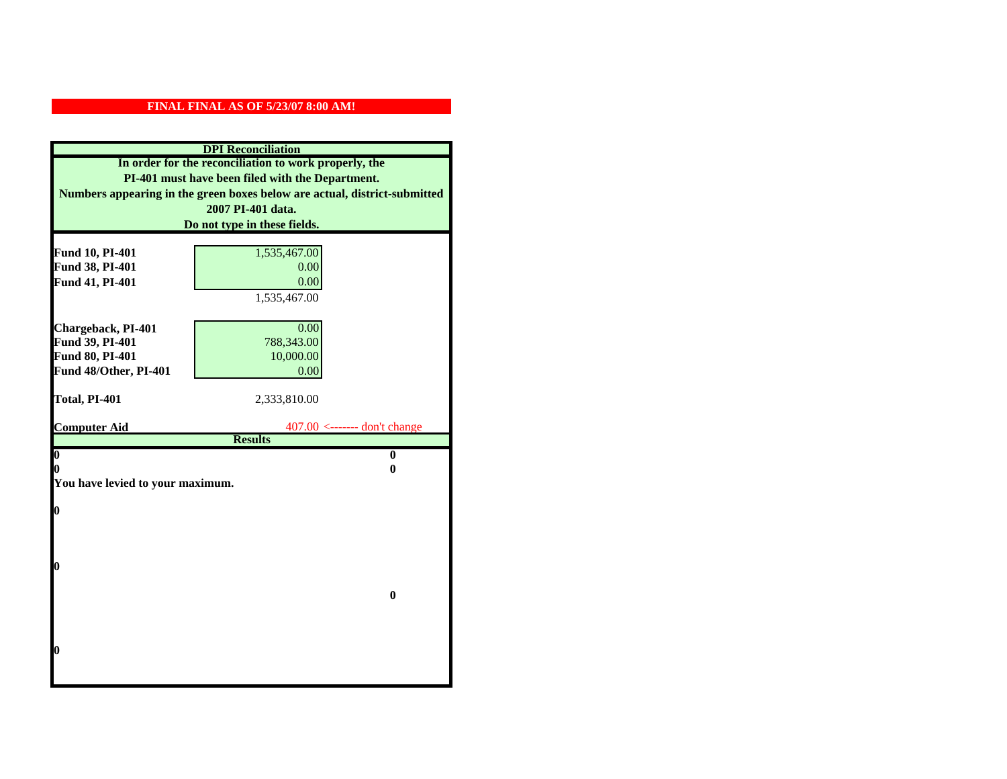|                                  | <b>DPI</b> Reconciliation                                                 |  |
|----------------------------------|---------------------------------------------------------------------------|--|
|                                  | In order for the reconciliation to work properly, the                     |  |
|                                  | PI-401 must have been filed with the Department.                          |  |
|                                  | Numbers appearing in the green boxes below are actual, district-submitted |  |
|                                  | 2007 PI-401 data.                                                         |  |
| Do not type in these fields.     |                                                                           |  |
|                                  |                                                                           |  |
| Fund 10, PI-401                  | 1,535,467.00                                                              |  |
| Fund 38, PI-401                  | 0.00                                                                      |  |
| Fund 41, PI-401                  | 0.00                                                                      |  |
|                                  | 1,535,467.00                                                              |  |
|                                  |                                                                           |  |
| Chargeback, PI-401               | 0.00                                                                      |  |
| Fund 39, PI-401                  | 788,343.00                                                                |  |
| Fund 80, PI-401                  | 10,000.00                                                                 |  |
| Fund 48/Other, PI-401            | 0.00                                                                      |  |
| Total, PI-401                    | 2,333,810.00                                                              |  |
|                                  |                                                                           |  |
| <b>Computer Aid</b>              | $407.00$ <------- don't change                                            |  |
|                                  | <b>Results</b>                                                            |  |
| $\boldsymbol{0}$                 | $\mathbf{0}$                                                              |  |
| 0                                | 0                                                                         |  |
| You have levied to your maximum. |                                                                           |  |
| $\bf{0}$                         |                                                                           |  |
|                                  |                                                                           |  |
|                                  |                                                                           |  |
|                                  |                                                                           |  |
| 0                                |                                                                           |  |
|                                  |                                                                           |  |
|                                  | $\bf{0}$                                                                  |  |
|                                  |                                                                           |  |
|                                  |                                                                           |  |
|                                  |                                                                           |  |
| 0                                |                                                                           |  |
|                                  |                                                                           |  |
|                                  |                                                                           |  |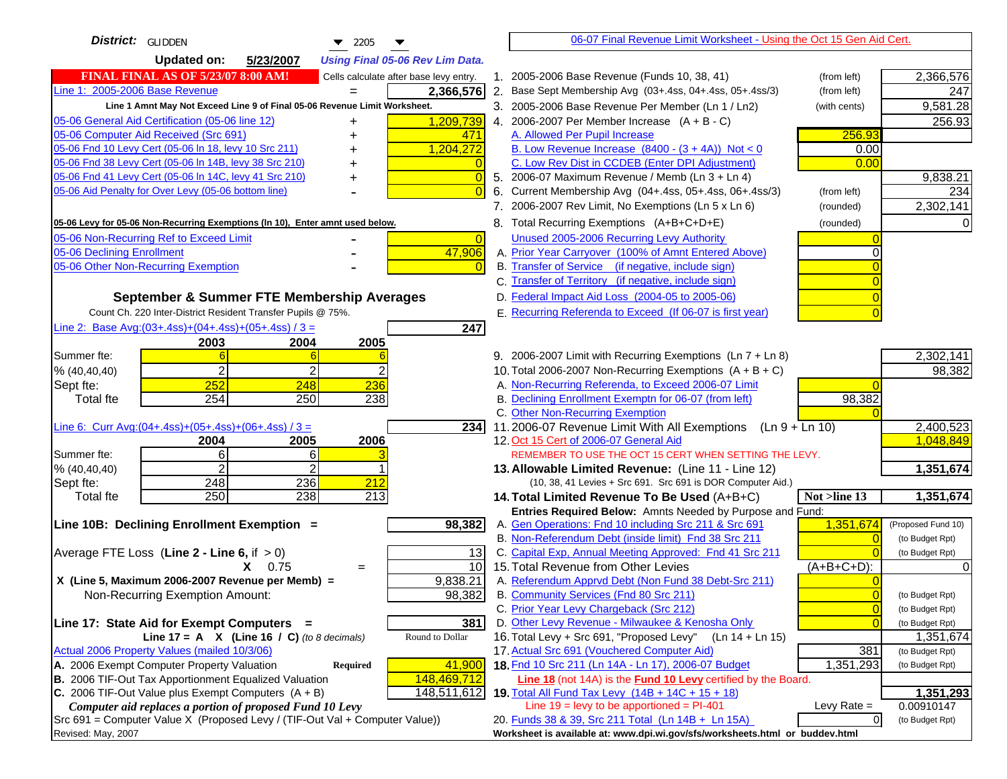| District:   GLIDDEN<br>$\blacktriangledown$ 2205                                                                 | 06-07 Final Revenue Limit Worksheet - Using the Oct 15 Gen Aid Cert.                                               |                              |
|------------------------------------------------------------------------------------------------------------------|--------------------------------------------------------------------------------------------------------------------|------------------------------|
| <b>Updated on:</b><br>5/23/2007<br><b>Using Final 05-06 Rev Lim Data.</b>                                        |                                                                                                                    |                              |
| <b>FINAL FINAL AS OF 5/23/07 8:00 AM!</b><br>Cells calculate after base levy entry.                              | 1. 2005-2006 Base Revenue (Funds 10, 38, 41)<br>(from left)                                                        | 2,366,576                    |
| Line 1: 2005-2006 Base Revenue<br>2,366,576                                                                      | 2. Base Sept Membership Avg (03+.4ss, 04+.4ss, 05+.4ss/3)<br>(from left)                                           | 247                          |
| Line 1 Amnt May Not Exceed Line 9 of Final 05-06 Revenue Limit Worksheet.                                        | 3. 2005-2006 Base Revenue Per Member (Ln 1 / Ln2)<br>(with cents)                                                  | 9,581.28                     |
| 1,209,739<br>05-06 General Aid Certification (05-06 line 12)<br>+                                                | 4. 2006-2007 Per Member Increase $(A + B - C)$                                                                     | 256.93                       |
| 05-06 Computer Aid Received (Src 691)<br>471<br>+                                                                | A. Allowed Per Pupil Increase<br>256.93                                                                            |                              |
| 05-06 Fnd 10 Levy Cert (05-06 In 18, levy 10 Src 211)<br>1,204,272                                               | B. Low Revenue Increase $(8400 - (3 + 4A))$ Not < 0<br>0.00                                                        |                              |
| 05-06 Fnd 38 Levy Cert (05-06 In 14B, levy 38 Src 210)                                                           | C. Low Rev Dist in CCDEB (Enter DPI Adjustment)<br>0.00                                                            |                              |
| 05-06 Fnd 41 Levy Cert (05-06 In 14C, levy 41 Src 210)<br>+                                                      | 5. 2006-07 Maximum Revenue / Memb (Ln 3 + Ln 4)                                                                    | 9,838.21                     |
| 05-06 Aid Penalty for Over Levy (05-06 bottom line)                                                              | Current Membership Avg (04+.4ss, 05+.4ss, 06+.4ss/3)<br>6.<br>(from left)                                          | 234                          |
|                                                                                                                  | 7. 2006-2007 Rev Limit, No Exemptions (Ln 5 x Ln 6)<br>(rounded)                                                   | 2,302,141                    |
| 05-06 Levy for 05-06 Non-Recurring Exemptions (In 10), Enter amnt used below.                                    | 8. Total Recurring Exemptions (A+B+C+D+E)<br>(rounded)                                                             |                              |
| 05-06 Non-Recurring Ref to Exceed Limit<br>$\overline{0}$                                                        | Unused 2005-2006 Recurring Levy Authority                                                                          |                              |
| 05-06 Declining Enrollment<br>47,906                                                                             | A. Prior Year Carryover (100% of Amnt Entered Above)                                                               |                              |
| 05-06 Other Non-Recurring Exemption                                                                              | B. Transfer of Service (if negative, include sign)                                                                 |                              |
|                                                                                                                  | C. Transfer of Territory (if negative, include sign)                                                               |                              |
| September & Summer FTE Membership Averages                                                                       | D. Federal Impact Aid Loss (2004-05 to 2005-06)                                                                    |                              |
| Count Ch. 220 Inter-District Resident Transfer Pupils @ 75%.                                                     | E. Recurring Referenda to Exceed (If 06-07 is first year)                                                          |                              |
| Line 2: Base Avg: $(03+.4ss)+(04+.4ss)+(05+.4ss)/3 =$<br>247                                                     |                                                                                                                    |                              |
| 2003<br>2004<br>2005                                                                                             |                                                                                                                    |                              |
| Summer fte:                                                                                                      | 9. 2006-2007 Limit with Recurring Exemptions (Ln 7 + Ln 8)                                                         | 2,302,141                    |
| $\overline{2}$<br>2<br>% (40, 40, 40)                                                                            | 10. Total 2006-2007 Non-Recurring Exemptions $(A + B + C)$                                                         | 98,382                       |
| 252<br>248<br>236<br>Sept fte:                                                                                   | A. Non-Recurring Referenda, to Exceed 2006-07 Limit                                                                |                              |
| 254<br>250<br>238<br><b>Total fte</b>                                                                            | B. Declining Enrollment Exemptn for 06-07 (from left)<br>98,382                                                    |                              |
|                                                                                                                  | C. Other Non-Recurring Exemption                                                                                   |                              |
| Line 6: Curr Avg: $(04+.4ss)+(05+.4ss)+(06+.4ss)/3 =$<br>234                                                     | 11.2006-07 Revenue Limit With All Exemptions (Ln $9 + \overline{\text{Ln }10}$ )                                   | 2,400,523                    |
| 2005<br>2006<br>2004<br>Summer fte:<br>6<br>6                                                                    | 12. Oct 15 Cert of 2006-07 General Aid<br>REMEMBER TO USE THE OCT 15 CERT WHEN SETTING THE LEVY.                   | 1,048,849                    |
| $\overline{2}$<br>$\mathfrak{p}$<br>% (40, 40, 40)                                                               | 13. Allowable Limited Revenue: (Line 11 - Line 12)                                                                 | 1,351,674                    |
| 248<br>212<br>236<br>Sept fte:                                                                                   | (10, 38, 41 Levies + Src 691. Src 691 is DOR Computer Aid.)                                                        |                              |
| 250<br>238<br>$\overline{213}$<br><b>Total fte</b>                                                               | 14. Total Limited Revenue To Be Used (A+B+C)<br>Not >line 13                                                       | 1,351,674                    |
|                                                                                                                  | Entries Required Below: Amnts Needed by Purpose and Fund:                                                          |                              |
| 98,382<br>Line 10B: Declining Enrollment Exemption =                                                             | A. Gen Operations: Fnd 10 including Src 211 & Src 691<br>1,351,674                                                 | (Proposed Fund 10)           |
|                                                                                                                  | B. Non-Referendum Debt (inside limit) Fnd 38 Src 211                                                               | (to Budget Rpt)              |
| Average FTE Loss (Line $2 -$ Line 6, if $> 0$ )<br>13                                                            | C. Capital Exp, Annual Meeting Approved: Fnd 41 Src 211                                                            | (to Budget Rpt)              |
| 10<br>$X = 0.75$<br>$=$                                                                                          | 15. Total Revenue from Other Levies<br>(A+B+C+D):                                                                  |                              |
| X (Line 5, Maximum 2006-2007 Revenue per Memb) =<br>9,838.21                                                     | A. Referendum Apprvd Debt (Non Fund 38 Debt-Src 211)                                                               |                              |
| Non-Recurring Exemption Amount:<br>98,382                                                                        | B. Community Services (Fnd 80 Src 211)                                                                             | (to Budget Rpt)              |
|                                                                                                                  | C. Prior Year Levy Chargeback (Src 212)<br>$\overline{0}$                                                          | (to Budget Rpt)              |
| 381<br>Line 17: State Aid for Exempt Computers =                                                                 | D. Other Levy Revenue - Milwaukee & Kenosha Only                                                                   | (to Budget Rpt)              |
| Line 17 = A $X$ (Line 16 / C) (to 8 decimals)<br>Round to Dollar<br>Actual 2006 Property Values (mailed 10/3/06) | 16. Total Levy + Src 691, "Proposed Levy"<br>(Ln 14 + Ln 15)<br>17. Actual Src 691 (Vouchered Computer Aid)<br>381 | 1,351,674<br>(to Budget Rpt) |
| A. 2006 Exempt Computer Property Valuation<br>Required<br>41,900                                                 | 18. Fnd 10 Src 211 (Ln 14A - Ln 17), 2006-07 Budget<br>1,351,293                                                   | (to Budget Rpt)              |
| B. 2006 TIF-Out Tax Apportionment Equalized Valuation<br>148,469,712                                             | <b>Line 18</b> (not 14A) is the <b>Fund 10 Levy</b> certified by the Board.                                        |                              |
| C. 2006 TIF-Out Value plus Exempt Computers $(A + B)$<br>148,511,612                                             | 19. Total All Fund Tax Levy (14B + 14C + 15 + 18)                                                                  | 1,351,293                    |
| Computer aid replaces a portion of proposed Fund 10 Levy                                                         | Line $19 = \text{levy}$ to be apportioned = PI-401<br>Levy Rate $=$                                                | 0.00910147                   |
| Src 691 = Computer Value X (Proposed Levy / (TIF-Out Val + Computer Value))                                      | $\overline{0}$<br>20. Funds 38 & 39, Src 211 Total (Ln 14B + Ln 15A)                                               | (to Budget Rpt)              |
| Revised: May, 2007                                                                                               | Worksheet is available at: www.dpi.wi.gov/sfs/worksheets.html or buddev.html                                       |                              |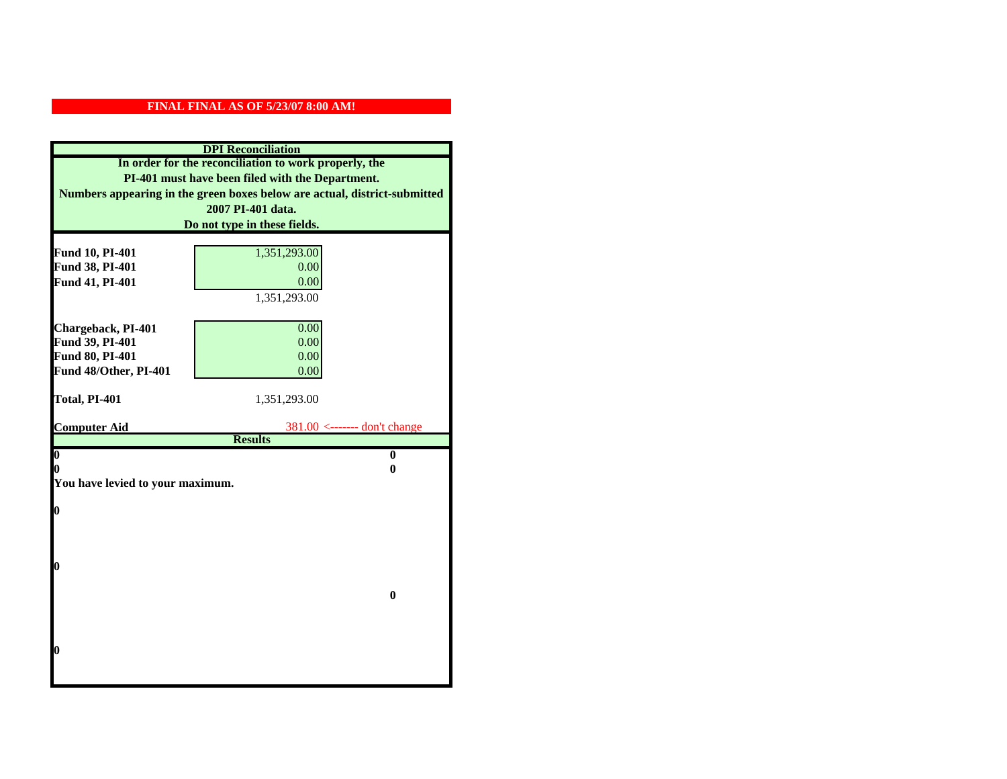|                                    | <b>DPI</b> Reconciliation                                                 |
|------------------------------------|---------------------------------------------------------------------------|
|                                    | In order for the reconciliation to work properly, the                     |
|                                    | PI-401 must have been filed with the Department.                          |
|                                    | Numbers appearing in the green boxes below are actual, district-submitted |
| 2007 PI-401 data.                  |                                                                           |
| Do not type in these fields.       |                                                                           |
|                                    |                                                                           |
| Fund 10, PI-401<br>Fund 38, PI-401 | 1,351,293.00<br>0.00                                                      |
| Fund 41, PI-401                    | 0.00                                                                      |
|                                    | 1,351,293.00                                                              |
|                                    |                                                                           |
| Chargeback, PI-401                 | 0.00                                                                      |
| Fund 39, PI-401                    | 0.00                                                                      |
| Fund 80, PI-401                    | 0.00                                                                      |
| Fund 48/Other, PI-401              | 0.00                                                                      |
|                                    |                                                                           |
|                                    |                                                                           |
| Total, PI-401                      | 1,351,293.00                                                              |
|                                    |                                                                           |
| <b>Computer Aid</b>                | $381.00$ <------- don't change                                            |
| $\boldsymbol{0}$                   | <b>Results</b><br>$\bf{0}$                                                |
| 0                                  | 0                                                                         |
| You have levied to your maximum.   |                                                                           |
|                                    |                                                                           |
| $\bf{0}$                           |                                                                           |
|                                    |                                                                           |
|                                    |                                                                           |
|                                    |                                                                           |
| 0                                  |                                                                           |
|                                    | $\bf{0}$                                                                  |
|                                    |                                                                           |
|                                    |                                                                           |
|                                    |                                                                           |
| 0                                  |                                                                           |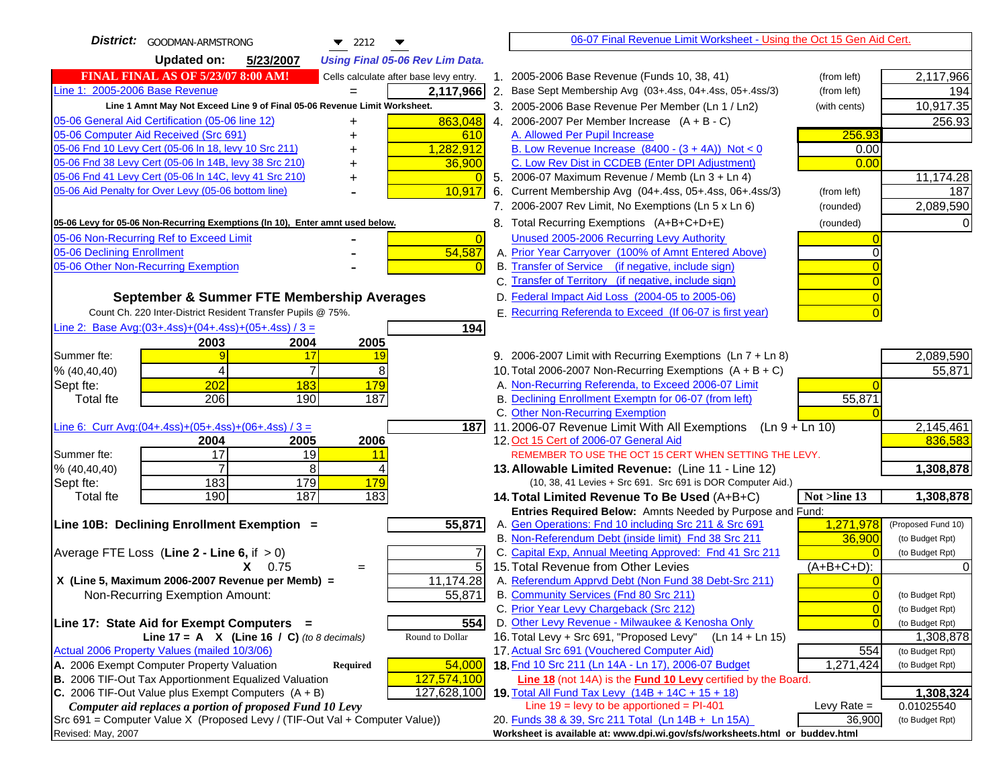| District: GOODMAN-ARMSTRONG<br>$\blacktriangledown$ 2212<br>▼                       |                 | 06-07 Final Revenue Limit Worksheet - Using the Oct 15 Gen Aid Cert.                                                       |                            |                                    |
|-------------------------------------------------------------------------------------|-----------------|----------------------------------------------------------------------------------------------------------------------------|----------------------------|------------------------------------|
| <b>Updated on:</b><br>5/23/2007<br><b>Using Final 05-06 Rev Lim Data.</b>           |                 |                                                                                                                            |                            |                                    |
| <b>FINAL FINAL AS OF 5/23/07 8:00 AM!</b><br>Cells calculate after base levy entry. |                 | 1. 2005-2006 Base Revenue (Funds 10, 38, 41)                                                                               | (from left)                | 2,117,966                          |
| Line 1: 2005-2006 Base Revenue<br>2,117,966                                         |                 | 2. Base Sept Membership Avg (03+.4ss, 04+.4ss, 05+.4ss/3)                                                                  | (from left)                | 194                                |
| Line 1 Amnt May Not Exceed Line 9 of Final 05-06 Revenue Limit Worksheet.           |                 | 3. 2005-2006 Base Revenue Per Member (Ln 1 / Ln2)                                                                          | (with cents)               | 10,917.35                          |
| 863,048<br>05-06 General Aid Certification (05-06 line 12)<br>+                     |                 | 4. 2006-2007 Per Member Increase $(A + B - C)$                                                                             |                            | 256.93                             |
| 05-06 Computer Aid Received (Src 691)<br>610                                        |                 | A. Allowed Per Pupil Increase                                                                                              | 256.93                     |                                    |
| 05-06 Fnd 10 Levy Cert (05-06 In 18, levy 10 Src 211)<br>1,282,912                  |                 | B. Low Revenue Increase $(8400 - (3 + 4A))$ Not < 0                                                                        | 0.00                       |                                    |
| 05-06 Fnd 38 Levy Cert (05-06 In 14B, levy 38 Src 210)<br>36,900                    |                 | C. Low Rev Dist in CCDEB (Enter DPI Adjustment)                                                                            | 0.00                       |                                    |
| 05-06 Fnd 41 Levy Cert (05-06 In 14C, levy 41 Src 210)<br>+                         | $\overline{0}$  | 5. 2006-07 Maximum Revenue / Memb (Ln 3 + Ln 4)                                                                            |                            | 11,174.28                          |
| 05-06 Aid Penalty for Over Levy (05-06 bottom line)<br>10,917                       |                 | 6. Current Membership Avg (04+.4ss, 05+.4ss, 06+.4ss/3)                                                                    | (from left)                | 187                                |
|                                                                                     |                 | 7. 2006-2007 Rev Limit, No Exemptions (Ln 5 x Ln 6)                                                                        | (rounded)                  | 2,089,590                          |
| 05-06 Levy for 05-06 Non-Recurring Exemptions (In 10), Enter amnt used below.       |                 | 8. Total Recurring Exemptions (A+B+C+D+E)                                                                                  | (rounded)                  |                                    |
| 05-06 Non-Recurring Ref to Exceed Limit                                             | $\vert 0 \vert$ | Unused 2005-2006 Recurring Levy Authority                                                                                  |                            |                                    |
| 54,587<br>05-06 Declining Enrollment                                                |                 | A. Prior Year Carryover (100% of Amnt Entered Above)                                                                       |                            |                                    |
| 05-06 Other Non-Recurring Exemption                                                 |                 | B. Transfer of Service (if negative, include sign)                                                                         |                            |                                    |
|                                                                                     |                 | C. Transfer of Territory (if negative, include sign)                                                                       |                            |                                    |
| September & Summer FTE Membership Averages                                          |                 | D. Federal Impact Aid Loss (2004-05 to 2005-06)                                                                            |                            |                                    |
| Count Ch. 220 Inter-District Resident Transfer Pupils @ 75%.                        |                 | E. Recurring Referenda to Exceed (If 06-07 is first year)                                                                  | $\overline{0}$             |                                    |
| Line 2: Base Avg:(03+.4ss)+(04+.4ss)+(05+.4ss) / 3 =<br>194                         |                 |                                                                                                                            |                            |                                    |
| 2003<br>2004<br>2005                                                                |                 |                                                                                                                            |                            |                                    |
| Summer fte:<br>9<br>17<br>19                                                        |                 | 9. 2006-2007 Limit with Recurring Exemptions (Ln 7 + Ln 8)                                                                 |                            | 2,089,590                          |
| $\overline{7}$<br>$\overline{4}$<br>8<br>% (40, 40, 40)                             |                 | 10. Total 2006-2007 Non-Recurring Exemptions $(A + B + C)$                                                                 |                            | 55,871                             |
| 202<br>Sept fte:<br>183<br>179                                                      |                 | A. Non-Recurring Referenda, to Exceed 2006-07 Limit                                                                        |                            |                                    |
| 206<br>187<br>190<br><b>Total fte</b>                                               |                 | B. Declining Enrollment Exemptn for 06-07 (from left)                                                                      | 55,871                     |                                    |
| Line 6: Curr Avg: $(04+.4ss)+(05+.4ss)+(06+.4ss)/3 =$                               |                 | C. Other Non-Recurring Exemption                                                                                           |                            | 2,145,461                          |
| 187I<br>2006<br>2004<br>2005                                                        |                 | 11.2006-07 Revenue Limit With All Exemptions (Ln $9 + \overline{\text{Ln }10}$ )<br>12. Oct 15 Cert of 2006-07 General Aid |                            | 836,583                            |
| 17<br>19<br>Summer fte:<br><u> 11</u>                                               |                 | REMEMBER TO USE THE OCT 15 CERT WHEN SETTING THE LEVY.                                                                     |                            |                                    |
| 8<br>% (40, 40, 40)<br>4                                                            |                 | 13. Allowable Limited Revenue: (Line 11 - Line 12)                                                                         |                            | 1,308,878                          |
| 179<br>183<br>179<br>Sept fte:                                                      |                 | (10, 38, 41 Levies + Src 691. Src 691 is DOR Computer Aid.)                                                                |                            |                                    |
| 183<br>190<br>187<br><b>Total fte</b>                                               |                 | 14. Total Limited Revenue To Be Used (A+B+C)                                                                               | Not >line 13               | 1,308,878                          |
|                                                                                     |                 | Entries Required Below: Amnts Needed by Purpose and Fund:                                                                  |                            |                                    |
| 55,871<br>Line 10B: Declining Enrollment Exemption =                                |                 | A. Gen Operations: Fnd 10 including Src 211 & Src 691                                                                      | 1,271,978                  | (Proposed Fund 10)                 |
|                                                                                     |                 | B. Non-Referendum Debt (inside limit) Fnd 38 Src 211                                                                       | 36,900                     | (to Budget Rpt)                    |
| Average FTE Loss (Line $2 -$ Line 6, if $> 0$ )                                     |                 | C. Capital Exp, Annual Meeting Approved: Fnd 41 Src 211                                                                    |                            | (to Budget Rpt)                    |
| $X = 0.75$<br>$=$                                                                   | 5               | 15. Total Revenue from Other Levies                                                                                        | (A+B+C+D):                 |                                    |
| X (Line 5, Maximum 2006-2007 Revenue per Memb) =<br>11,174.28                       |                 | A. Referendum Apprvd Debt (Non Fund 38 Debt-Src 211)                                                                       |                            |                                    |
| 55,871<br>Non-Recurring Exemption Amount:                                           |                 | B. Community Services (Fnd 80 Src 211)<br>C. Prior Year Levy Chargeback (Src 212)                                          | $\overline{0}$             | (to Budget Rpt)                    |
| 554<br>Line 17: State Aid for Exempt Computers =                                    |                 | D. Other Levy Revenue - Milwaukee & Kenosha Only                                                                           | $\overline{0}$<br>$\Omega$ | (to Budget Rpt)<br>(to Budget Rpt) |
| Round to Dollar<br>Line 17 = A $X$ (Line 16 / C) (to 8 decimals)                    |                 | 16. Total Levy + Src 691, "Proposed Levy" (Ln 14 + Ln 15)                                                                  |                            | 1,308,878                          |
| Actual 2006 Property Values (mailed 10/3/06)                                        |                 | 17. Actual Src 691 (Vouchered Computer Aid)                                                                                | 554                        | (to Budget Rpt)                    |
| A. 2006 Exempt Computer Property Valuation<br>54,000<br>Required                    |                 | 18. Fnd 10 Src 211 (Ln 14A - Ln 17), 2006-07 Budget                                                                        | 1,271,424                  | (to Budget Rpt)                    |
| B. 2006 TIF-Out Tax Apportionment Equalized Valuation<br>127,574,100                |                 | Line 18 (not 14A) is the Fund 10 Levy certified by the Board.                                                              |                            |                                    |
| C. 2006 TIF-Out Value plus Exempt Computers $(A + B)$<br>127,628,100                |                 | <b>19.</b> Total All Fund Tax Levy $(14B + 14C + 15 + 18)$                                                                 |                            | 1,308,324                          |
| Computer aid replaces a portion of proposed Fund 10 Levy                            |                 | Line $19 = \text{levy}$ to be apportioned = PI-401                                                                         | Levy Rate $=$              | 0.01025540                         |
| Src 691 = Computer Value X (Proposed Levy / (TIF-Out Val + Computer Value))         |                 | 20. Funds 38 & 39, Src 211 Total (Ln 14B + Ln 15A)                                                                         | 36,900                     | (to Budget Rpt)                    |
| Revised: May, 2007                                                                  |                 | Worksheet is available at: www.dpi.wi.gov/sfs/worksheets.html or buddev.html                                               |                            |                                    |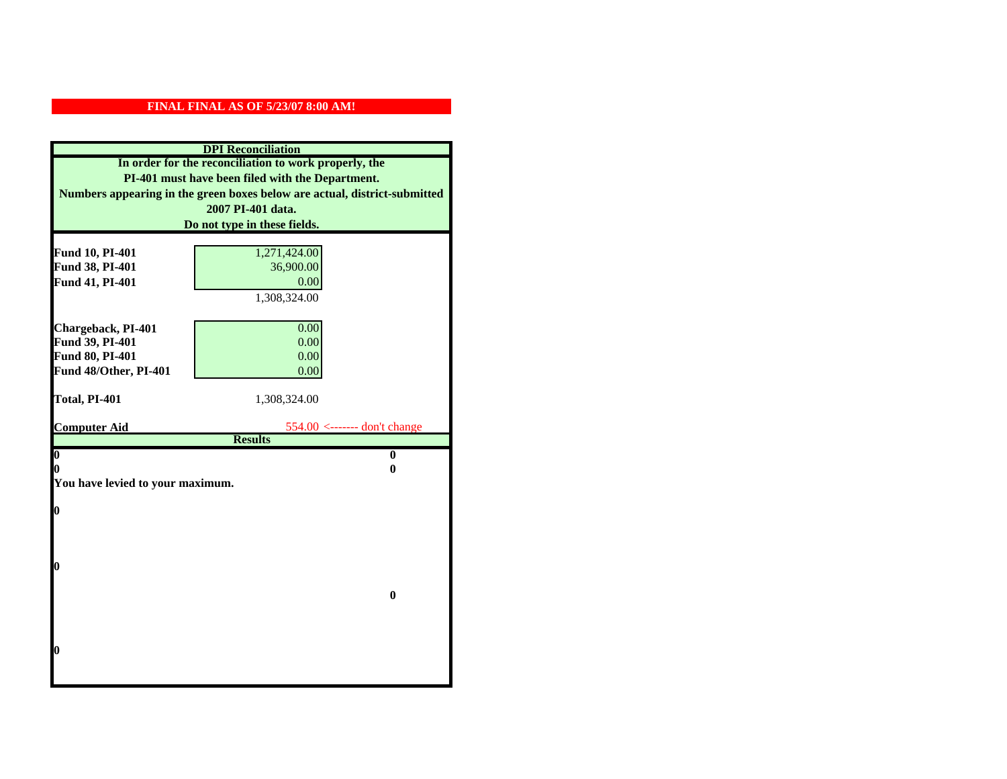|                                  | <b>DPI</b> Reconciliation                                                 |
|----------------------------------|---------------------------------------------------------------------------|
|                                  | In order for the reconciliation to work properly, the                     |
|                                  | PI-401 must have been filed with the Department.                          |
|                                  | Numbers appearing in the green boxes below are actual, district-submitted |
|                                  | 2007 PI-401 data.                                                         |
| Do not type in these fields.     |                                                                           |
|                                  |                                                                           |
| Fund 10, PI-401                  | 1,271,424.00                                                              |
| Fund 38, PI-401                  | 36,900.00                                                                 |
| Fund 41, PI-401                  | 0.00                                                                      |
|                                  | 1,308,324.00                                                              |
| Chargeback, PI-401               | 0.00                                                                      |
| Fund 39, PI-401                  | 0.00                                                                      |
| Fund 80, PI-401                  | 0.00                                                                      |
| Fund 48/Other, PI-401            | 0.00                                                                      |
|                                  |                                                                           |
| Total, PI-401                    | 1,308,324.00                                                              |
|                                  |                                                                           |
| <b>Computer Aid</b>              | $554.00$ <------- don't change<br><b>Results</b>                          |
| $\boldsymbol{0}$                 | $\bf{0}$                                                                  |
| 0                                | 0                                                                         |
| You have levied to your maximum. |                                                                           |
|                                  |                                                                           |
| $\bf{0}$                         |                                                                           |
|                                  |                                                                           |
|                                  |                                                                           |
|                                  |                                                                           |
| 0                                |                                                                           |
|                                  | $\bf{0}$                                                                  |
|                                  |                                                                           |
|                                  |                                                                           |
|                                  |                                                                           |
| 0                                |                                                                           |
|                                  |                                                                           |
|                                  |                                                                           |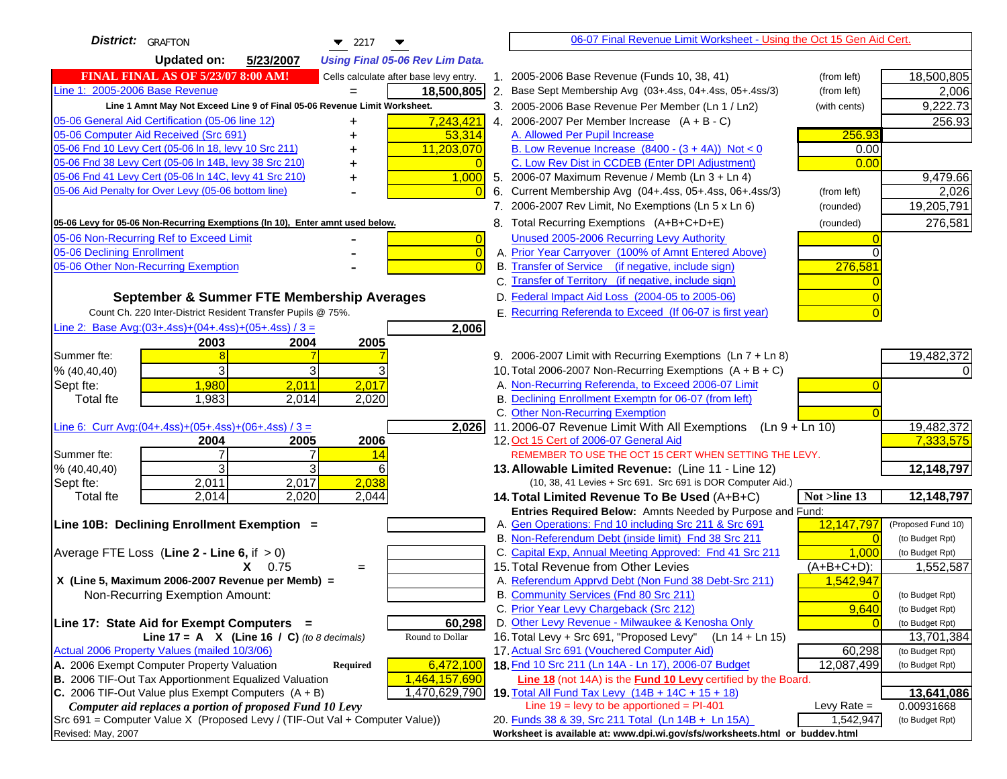| <b>District:</b> GRAFTON<br>$\blacktriangledown$ 2217                               |    | 06-07 Final Revenue Limit Worksheet - Using the Oct 15 Gen Aid Cert.                                        |                                    |
|-------------------------------------------------------------------------------------|----|-------------------------------------------------------------------------------------------------------------|------------------------------------|
| <b>Updated on:</b><br>5/23/2007<br><b>Using Final 05-06 Rev Lim Data.</b>           |    |                                                                                                             |                                    |
| FINAL FINAL AS OF 5/23/07 8:00 AM!<br>Cells calculate after base levy entry.        |    | 1. 2005-2006 Base Revenue (Funds 10, 38, 41)<br>(from left)                                                 | 18,500,805                         |
| Line 1: 2005-2006 Base Revenue<br>18,500,805                                        |    | 2. Base Sept Membership Avg (03+.4ss, 04+.4ss, 05+.4ss/3)<br>(from left)                                    | 2,006                              |
| Line 1 Amnt May Not Exceed Line 9 of Final 05-06 Revenue Limit Worksheet.           |    | 3. 2005-2006 Base Revenue Per Member (Ln 1 / Ln2)<br>(with cents)                                           | 9,222.73                           |
| 7,243,421<br>05-06 General Aid Certification (05-06 line 12)<br>+                   |    | 4. 2006-2007 Per Member Increase $(A + B - C)$                                                              | 256.93                             |
| 05-06 Computer Aid Received (Src 691)<br>53,314                                     |    | A. Allowed Per Pupil Increase<br>256.93                                                                     |                                    |
| 05-06 Fnd 10 Levy Cert (05-06 ln 18, levy 10 Src 211)<br>11,203,070                 |    | B. Low Revenue Increase $(8400 - (3 + 4A))$ Not < 0<br>0.00                                                 |                                    |
| 05-06 Fnd 38 Levy Cert (05-06 In 14B, levy 38 Src 210)                              |    | C. Low Rev Dist in CCDEB (Enter DPI Adjustment)<br>0.00                                                     |                                    |
| 05-06 Fnd 41 Levy Cert (05-06 In 14C, levy 41 Src 210)<br>1,000                     |    | 5. 2006-07 Maximum Revenue / Memb (Ln 3 + Ln 4)                                                             | 9,479.66                           |
| 05-06 Aid Penalty for Over Levy (05-06 bottom line)                                 | 6. | Current Membership Avg (04+.4ss, 05+.4ss, 06+.4ss/3)<br>(from left)                                         | 2,026                              |
|                                                                                     |    | 7. 2006-2007 Rev Limit, No Exemptions (Ln 5 x Ln 6)<br>(rounded)                                            | 19,205,791                         |
| 05-06 Levy for 05-06 Non-Recurring Exemptions (In 10), Enter amnt used below.       |    | 8. Total Recurring Exemptions (A+B+C+D+E)<br>(rounded)                                                      | 276,581                            |
| 05-06 Non-Recurring Ref to Exceed Limit<br>$\overline{0}$                           |    | Unused 2005-2006 Recurring Levy Authority                                                                   |                                    |
| 05-06 Declining Enrollment<br>$\overline{0}$                                        |    | A. Prior Year Carryover (100% of Amnt Entered Above)                                                        |                                    |
| 05-06 Other Non-Recurring Exemption<br>$\overline{0}$                               |    | B. Transfer of Service (if negative, include sign)<br>276,581                                               |                                    |
|                                                                                     |    | C. Transfer of Territory (if negative, include sign)                                                        |                                    |
| September & Summer FTE Membership Averages                                          |    | D. Federal Impact Aid Loss (2004-05 to 2005-06)                                                             |                                    |
| Count Ch. 220 Inter-District Resident Transfer Pupils @ 75%.                        |    | E. Recurring Referenda to Exceed (If 06-07 is first year)                                                   |                                    |
| Line 2: Base Avg: $(03+.4ss)+(04+.4ss)+(05+.4ss)/3 =$<br>2,006                      |    |                                                                                                             |                                    |
| 2003<br>2004<br>2005                                                                |    |                                                                                                             |                                    |
| Summer fte:                                                                         |    | 9. 2006-2007 Limit with Recurring Exemptions (Ln 7 + Ln 8)                                                  | 19,482,372                         |
| 3<br>3<br>% (40, 40, 40)                                                            |    | 10. Total 2006-2007 Non-Recurring Exemptions $(A + B + C)$                                                  |                                    |
| 1,980<br>2,011<br>2,017<br>Sept fte:                                                |    | A. Non-Recurring Referenda, to Exceed 2006-07 Limit                                                         |                                    |
| 1,983<br>2,014<br>2,020<br><b>Total fte</b>                                         |    | B. Declining Enrollment Exemptn for 06-07 (from left)<br>C. Other Non-Recurring Exemption                   |                                    |
| Line 6: Curr Avg: $(04+.4ss)+(05+.4ss)+(06+.4ss)/3 =$<br>2,026                      |    | 11.2006-07 Revenue Limit With All Exemptions<br>$(Ln 9 + Ln 10)$                                            | 19,482,372                         |
| 2006<br>2004<br>2005                                                                |    | 12. Oct 15 Cert of 2006-07 General Aid                                                                      | 7,333,575                          |
| 7<br>Summer fte:<br>14                                                              |    | REMEMBER TO USE THE OCT 15 CERT WHEN SETTING THE LEVY.                                                      |                                    |
| 3<br>3<br>% (40, 40, 40)<br>6                                                       |    | 13. Allowable Limited Revenue: (Line 11 - Line 12)                                                          | 12,148,797                         |
| 2,011<br>2,017<br>2,038<br>Sept fte:                                                |    | (10, 38, 41 Levies + Src 691. Src 691 is DOR Computer Aid.)                                                 |                                    |
| 2,014<br>2,020<br>Total fte<br>2,044                                                |    | Not >line 13<br>14. Total Limited Revenue To Be Used (A+B+C)                                                | 12,148,797                         |
|                                                                                     |    | Entries Required Below: Amnts Needed by Purpose and Fund:                                                   |                                    |
| Line 10B: Declining Enrollment Exemption =                                          |    | A. Gen Operations: Fnd 10 including Src 211 & Src 691<br>12,147,797                                         | (Proposed Fund 10)                 |
|                                                                                     |    | B. Non-Referendum Debt (inside limit) Fnd 38 Src 211                                                        | (to Budget Rpt)<br>$\Omega$        |
| Average FTE Loss (Line $2 -$ Line 6, if $> 0$ )                                     |    | C. Capital Exp, Annual Meeting Approved: Fnd 41 Src 211<br>1,000                                            | (to Budget Rpt)                    |
| $X = 0.75$<br>$=$                                                                   |    | 15. Total Revenue from Other Levies<br>$(A + B + C + D)$ :                                                  | 1,552,587                          |
| X (Line 5, Maximum 2006-2007 Revenue per Memb) =<br>Non-Recurring Exemption Amount: |    | A. Referendum Apprvd Debt (Non Fund 38 Debt-Src 211)<br>1,542,947<br>B. Community Services (Fnd 80 Src 211) |                                    |
|                                                                                     |    | C. Prior Year Levy Chargeback (Src 212)<br>9,640                                                            | (to Budget Rpt)<br>(to Budget Rpt) |
| 60,298<br>Line 17: State Aid for Exempt Computers =                                 |    | D. Other Levy Revenue - Milwaukee & Kenosha Only                                                            | (to Budget Rpt)                    |
| Line 17 = A $X$ (Line 16 / C) (to 8 decimals)<br>Round to Dollar                    |    | 16. Total Levy + Src 691, "Proposed Levy"<br>(Ln 14 + Ln 15)                                                | 13,701,384                         |
| Actual 2006 Property Values (mailed 10/3/06)                                        |    | 17. Actual Src 691 (Vouchered Computer Aid)<br>60,298                                                       | (to Budget Rpt)                    |
| A. 2006 Exempt Computer Property Valuation<br>6,472,100<br>Required                 |    | 18. Fnd 10 Src 211 (Ln 14A - Ln 17), 2006-07 Budget<br>12,087,499                                           | (to Budget Rpt)                    |
| B. 2006 TIF-Out Tax Apportionment Equalized Valuation<br>1,464,157,690              |    | Line 18 (not 14A) is the <b>Fund 10 Levy</b> certified by the Board.                                        |                                    |
| C. 2006 TIF-Out Value plus Exempt Computers $(A + B)$<br>1,470,629,790              |    | 19. Total All Fund Tax Levy (14B + 14C + 15 + 18)                                                           | 13,641,086                         |
| Computer aid replaces a portion of proposed Fund 10 Levy                            |    | Line $19 = \text{levy}$ to be apportioned = PI-401<br>Levy Rate $=$                                         | 0.00931668                         |
| Src 691 = Computer Value X (Proposed Levy / (TIF-Out Val + Computer Value))         |    | 1,542,947<br>20. Funds 38 & 39, Src 211 Total (Ln 14B + Ln 15A)                                             | (to Budget Rpt)                    |
| Revised: May, 2007                                                                  |    | Worksheet is available at: www.dpi.wi.gov/sfs/worksheets.html or buddev.html                                |                                    |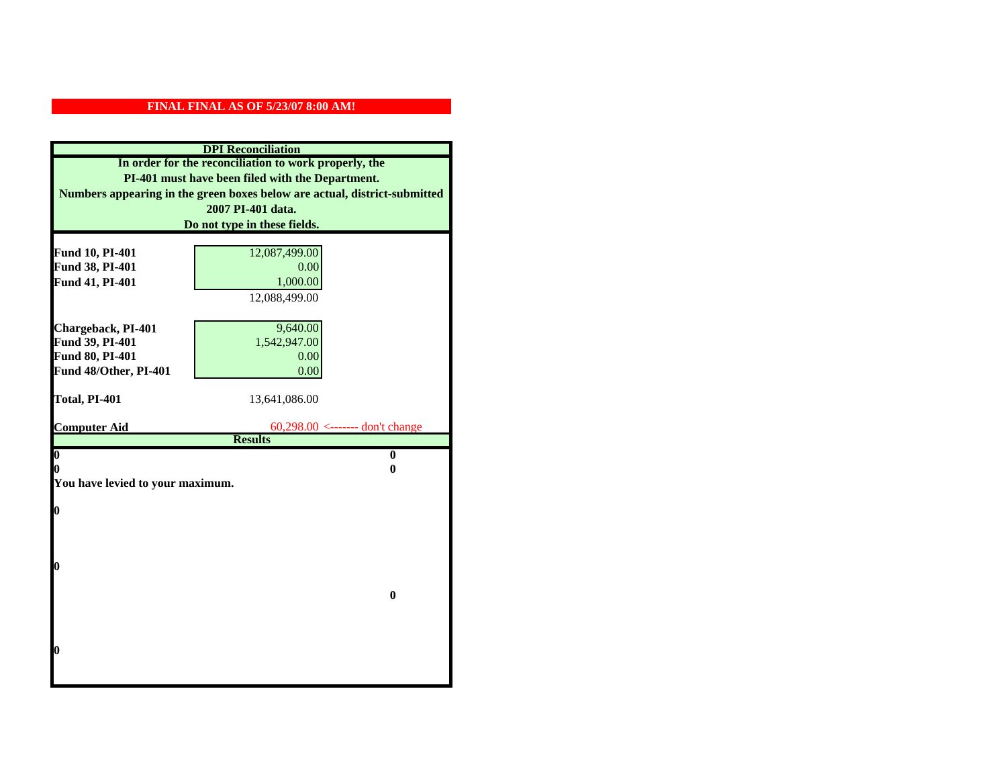|                                  | <b>DPI</b> Reconciliation                                                 |
|----------------------------------|---------------------------------------------------------------------------|
|                                  | In order for the reconciliation to work properly, the                     |
|                                  | PI-401 must have been filed with the Department.                          |
|                                  | Numbers appearing in the green boxes below are actual, district-submitted |
|                                  | 2007 PI-401 data.                                                         |
|                                  | Do not type in these fields.                                              |
|                                  |                                                                           |
| Fund 10, PI-401                  | 12,087,499.00                                                             |
| Fund 38, PI-401                  | 0.00                                                                      |
| Fund 41, PI-401                  | 1,000.00                                                                  |
|                                  | 12,088,499.00                                                             |
|                                  |                                                                           |
| Chargeback, PI-401               | 9,640.00                                                                  |
| Fund 39, PI-401                  | 1,542,947.00                                                              |
| Fund 80, PI-401                  | 0.00                                                                      |
| Fund 48/Other, PI-401            | 0.00                                                                      |
|                                  |                                                                           |
| Total, PI-401                    | 13,641,086.00                                                             |
| <b>Computer Aid</b>              | $60,298.00 \le$ ------- don't change                                      |
|                                  | <b>Results</b>                                                            |
| $\overline{\mathbf{0}}$          | $\bf{0}$                                                                  |
| 0                                | 0                                                                         |
| You have levied to your maximum. |                                                                           |
|                                  |                                                                           |
| $\bf{0}$                         |                                                                           |
|                                  |                                                                           |
|                                  |                                                                           |
| l0                               |                                                                           |
|                                  |                                                                           |
|                                  | $\bf{0}$                                                                  |
|                                  |                                                                           |
|                                  |                                                                           |
|                                  |                                                                           |
| $\boldsymbol{0}$                 |                                                                           |
|                                  |                                                                           |
|                                  |                                                                           |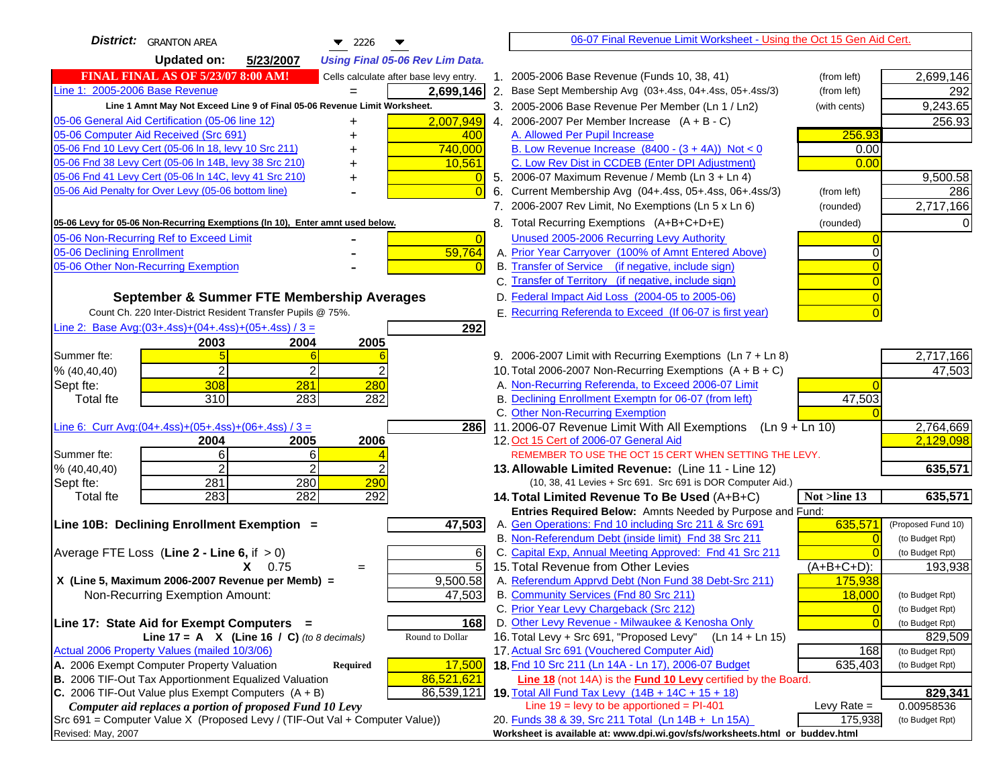| <b>District:</b> GRANTON AREA<br>$\blacktriangledown$ 2226                           | 06-07 Final Revenue Limit Worksheet - Using the Oct 15 Gen Aid Cert.                                         |                            |
|--------------------------------------------------------------------------------------|--------------------------------------------------------------------------------------------------------------|----------------------------|
| <b>Updated on:</b><br>5/23/2007<br><b>Using Final 05-06 Rev Lim Data.</b>            |                                                                                                              |                            |
| <b>FINAL FINAL AS OF 5/23/07 8:00 AM!</b><br>Cells calculate after base levy entry.  | 1. 2005-2006 Base Revenue (Funds 10, 38, 41)<br>(from left)                                                  | 2,699,146                  |
| Line 1: 2005-2006 Base Revenue<br>2,699,146                                          | 2. Base Sept Membership Avg (03+.4ss, 04+.4ss, 05+.4ss/3)<br>(from left)                                     | 292                        |
| Line 1 Amnt May Not Exceed Line 9 of Final 05-06 Revenue Limit Worksheet.            | 3. 2005-2006 Base Revenue Per Member (Ln 1 / Ln2)<br>(with cents)                                            | 9,243.65                   |
| 2,007,949<br>05-06 General Aid Certification (05-06 line 12)<br>+                    | 4. 2006-2007 Per Member Increase $(A + B - C)$                                                               | 256.93                     |
| 05-06 Computer Aid Received (Src 691)<br>400                                         | A. Allowed Per Pupil Increase<br>256.93                                                                      |                            |
| 05-06 Fnd 10 Levy Cert (05-06 In 18, levy 10 Src 211)<br>740,000                     | B. Low Revenue Increase $(8400 - (3 + 4A))$ Not < 0<br>0.00                                                  |                            |
| 05-06 Fnd 38 Levy Cert (05-06 In 14B, levy 38 Src 210)<br>10,561                     | C. Low Rev Dist in CCDEB (Enter DPI Adjustment)<br>0.00                                                      |                            |
| 05-06 Fnd 41 Levy Cert (05-06 In 14C, levy 41 Src 210)<br>+                          | 5. 2006-07 Maximum Revenue / Memb (Ln 3 + Ln 4)                                                              | 9,500.58                   |
| 05-06 Aid Penalty for Over Levy (05-06 bottom line)                                  | 6. Current Membership Avg (04+.4ss, 05+.4ss, 06+.4ss/3)<br>(from left)                                       | 286                        |
|                                                                                      | 7. 2006-2007 Rev Limit, No Exemptions (Ln 5 x Ln 6)<br>(rounded)                                             | 2,717,166                  |
| 05-06 Levy for 05-06 Non-Recurring Exemptions (In 10), Enter amnt used below.        | 8. Total Recurring Exemptions (A+B+C+D+E)<br>(rounded)                                                       |                            |
| 05-06 Non-Recurring Ref to Exceed Limit<br>$\overline{0}$                            | Unused 2005-2006 Recurring Levy Authority                                                                    |                            |
| 05-06 Declining Enrollment<br>59,764                                                 | A. Prior Year Carryover (100% of Amnt Entered Above)                                                         |                            |
| 05-06 Other Non-Recurring Exemption                                                  | B. Transfer of Service (if negative, include sign)                                                           |                            |
|                                                                                      | C. Transfer of Territory (if negative, include sign)                                                         |                            |
| September & Summer FTE Membership Averages                                           | D. Federal Impact Aid Loss (2004-05 to 2005-06)                                                              |                            |
| Count Ch. 220 Inter-District Resident Transfer Pupils @ 75%.                         | E. Recurring Referenda to Exceed (If 06-07 is first year)                                                    |                            |
| Line 2: Base Avg: (03+.4ss) + (04+.4ss) + (05+.4ss) / 3 =<br>292                     |                                                                                                              |                            |
| 2003<br>2004<br>2005                                                                 |                                                                                                              |                            |
| Summer fte:                                                                          | 9. 2006-2007 Limit with Recurring Exemptions (Ln 7 + Ln 8)                                                   | 2,717,166                  |
| 2<br>2<br>% (40, 40, 40)                                                             | 10. Total 2006-2007 Non-Recurring Exemptions $(A + B + C)$                                                   | 47,503                     |
| 308<br>281<br>280<br>Sept fte:                                                       | A. Non-Recurring Referenda, to Exceed 2006-07 Limit                                                          |                            |
| 310<br>283<br>282<br>Total fte                                                       | B. Declining Enrollment Exemptn for 06-07 (from left)<br>47,503                                              |                            |
|                                                                                      | C. Other Non-Recurring Exemption                                                                             |                            |
| Line 6: Curr Avg: $(04+.4ss)+(05+.4ss)+(06+.4ss)$ / 3 =<br><b>286</b>                | 11.2006-07 Revenue Limit With All Exemptions (Ln $9 + \overline{\text{Ln }10}$ )                             | 2,764,669                  |
| 2006<br>2004<br>2005                                                                 | 12. Oct 15 Cert of 2006-07 General Aid                                                                       | 2,129,098                  |
| Summer fte:<br>6<br>6                                                                | REMEMBER TO USE THE OCT 15 CERT WHEN SETTING THE LEVY.                                                       |                            |
| $\overline{2}$<br>$\mathfrak{p}$<br>% (40, 40, 40)                                   | 13. Allowable Limited Revenue: (Line 11 - Line 12)                                                           | 635,571                    |
| 281<br>280<br>290<br>Sept fte:                                                       | (10, 38, 41 Levies + Src 691. Src 691 is DOR Computer Aid.)                                                  |                            |
| 283<br>282<br>292<br><b>Total fte</b>                                                | 14. Total Limited Revenue To Be Used (A+B+C)<br>Not >line 13                                                 | 635,571                    |
|                                                                                      | Entries Required Below: Amnts Needed by Purpose and Fund:                                                    |                            |
| 47,503<br>Line 10B: Declining Enrollment Exemption =                                 | 635,571<br>A. Gen Operations: Fnd 10 including Src 211 & Src 691                                             | (Proposed Fund 10)         |
|                                                                                      | B. Non-Referendum Debt (inside limit) Fnd 38 Src 211<br>$\sqrt{ }$                                           | (to Budget Rpt)            |
| Average FTE Loss (Line $2 -$ Line 6, if $> 0$ )<br>6<br>$\overline{5}$<br>$X = 0.75$ | C. Capital Exp, Annual Meeting Approved: Fnd 41 Src 211<br>15. Total Revenue from Other Levies<br>(A+B+C+D): | (to Budget Rpt)<br>193,938 |
| $=$<br>X (Line 5, Maximum 2006-2007 Revenue per Memb) =<br>9,500.58                  | A. Referendum Apprvd Debt (Non Fund 38 Debt-Src 211)<br>175,938                                              |                            |
| Non-Recurring Exemption Amount:<br>47,503                                            | B. Community Services (Fnd 80 Src 211)<br>18,000                                                             | (to Budget Rpt)            |
|                                                                                      | C. Prior Year Levy Chargeback (Src 212)<br>$\mathbf{0}$                                                      | (to Budget Rpt)            |
| Line 17: State Aid for Exempt Computers =<br>168                                     | D. Other Levy Revenue - Milwaukee & Kenosha Only<br>$\overline{0}$                                           | (to Budget Rpt)            |
| Round to Dollar<br>Line 17 = A $X$ (Line 16 / C) (to 8 decimals)                     | 16. Total Levy + Src 691, "Proposed Levy"<br>(Ln 14 + Ln 15)                                                 | 829,509                    |
| Actual 2006 Property Values (mailed 10/3/06)                                         | 17. Actual Src 691 (Vouchered Computer Aid)<br>168                                                           | (to Budget Rpt)            |
| A. 2006 Exempt Computer Property Valuation<br>Required<br>17,500                     | 18. Fnd 10 Src 211 (Ln 14A - Ln 17), 2006-07 Budget<br>635,403                                               | (to Budget Rpt)            |
| B. 2006 TIF-Out Tax Apportionment Equalized Valuation<br>86,521,621                  | <b>Line 18</b> (not 14A) is the <b>Fund 10 Levy</b> certified by the Board.                                  |                            |
| C. 2006 TIF-Out Value plus Exempt Computers $(A + B)$<br>86,539,121                  | 19. Total All Fund Tax Levy (14B + 14C + 15 + 18)                                                            | 829,341                    |
| Computer aid replaces a portion of proposed Fund 10 Levy                             | Line $19 = \text{levy}$ to be apportioned = PI-401<br>Levy Rate $=$                                          | 0.00958536                 |
| Src 691 = Computer Value X (Proposed Levy / (TIF-Out Val + Computer Value))          | 20. Funds 38 & 39, Src 211 Total (Ln 14B + Ln 15A)<br>175,938                                                | (to Budget Rpt)            |
| Revised: May, 2007                                                                   | Worksheet is available at: www.dpi.wi.gov/sfs/worksheets.html or buddev.html                                 |                            |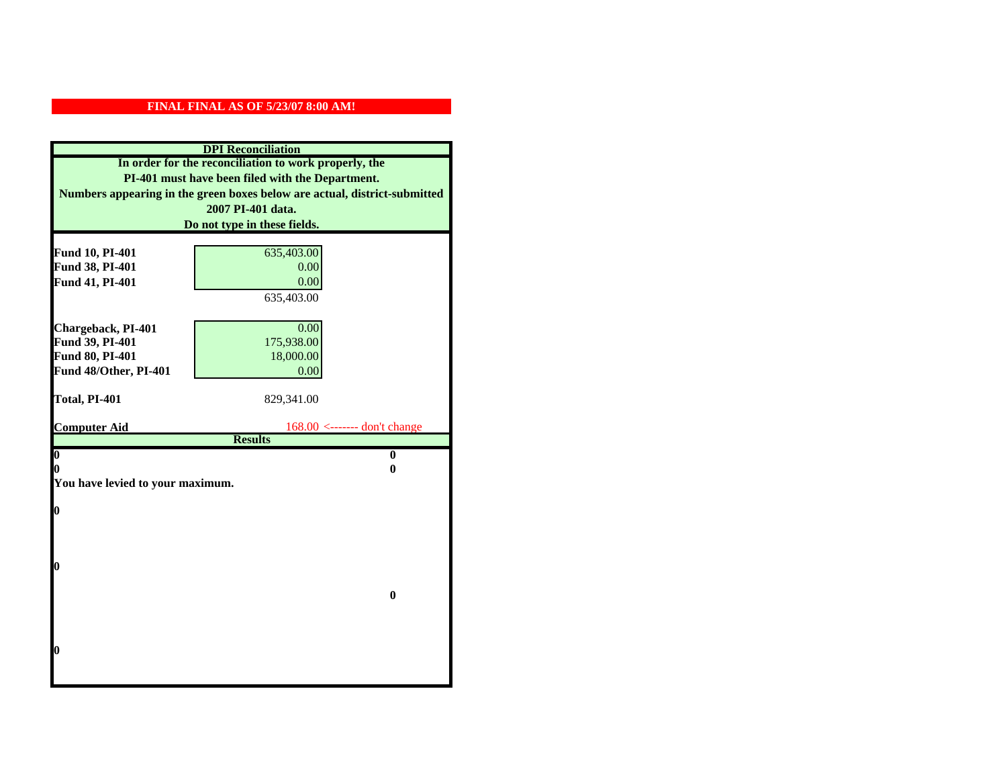|                                  | <b>DPI</b> Reconciliation                                                 |
|----------------------------------|---------------------------------------------------------------------------|
|                                  | In order for the reconciliation to work properly, the                     |
|                                  | PI-401 must have been filed with the Department.                          |
|                                  | Numbers appearing in the green boxes below are actual, district-submitted |
|                                  | 2007 PI-401 data.                                                         |
|                                  | Do not type in these fields.                                              |
|                                  |                                                                           |
| Fund 10, PI-401                  | 635,403.00                                                                |
| Fund 38, PI-401                  | 0.00                                                                      |
| Fund 41, PI-401                  | 0.00                                                                      |
|                                  | 635,403.00                                                                |
|                                  |                                                                           |
| Chargeback, PI-401               | 0.00                                                                      |
| Fund 39, PI-401                  | 175,938.00                                                                |
| Fund 80, PI-401                  | 18,000.00                                                                 |
| Fund 48/Other, PI-401            | 0.00                                                                      |
| Total, PI-401                    | 829,341.00                                                                |
|                                  |                                                                           |
|                                  |                                                                           |
| <b>Computer Aid</b>              | $168.00$ <------- don't change                                            |
|                                  | <b>Results</b>                                                            |
| $\boldsymbol{0}$                 | $\mathbf{0}$                                                              |
| 0                                | 0                                                                         |
| You have levied to your maximum. |                                                                           |
|                                  |                                                                           |
| $\bf{0}$                         |                                                                           |
|                                  |                                                                           |
|                                  |                                                                           |
| 0                                |                                                                           |
|                                  |                                                                           |
|                                  | $\bf{0}$                                                                  |
|                                  |                                                                           |
|                                  |                                                                           |
|                                  |                                                                           |
| 0                                |                                                                           |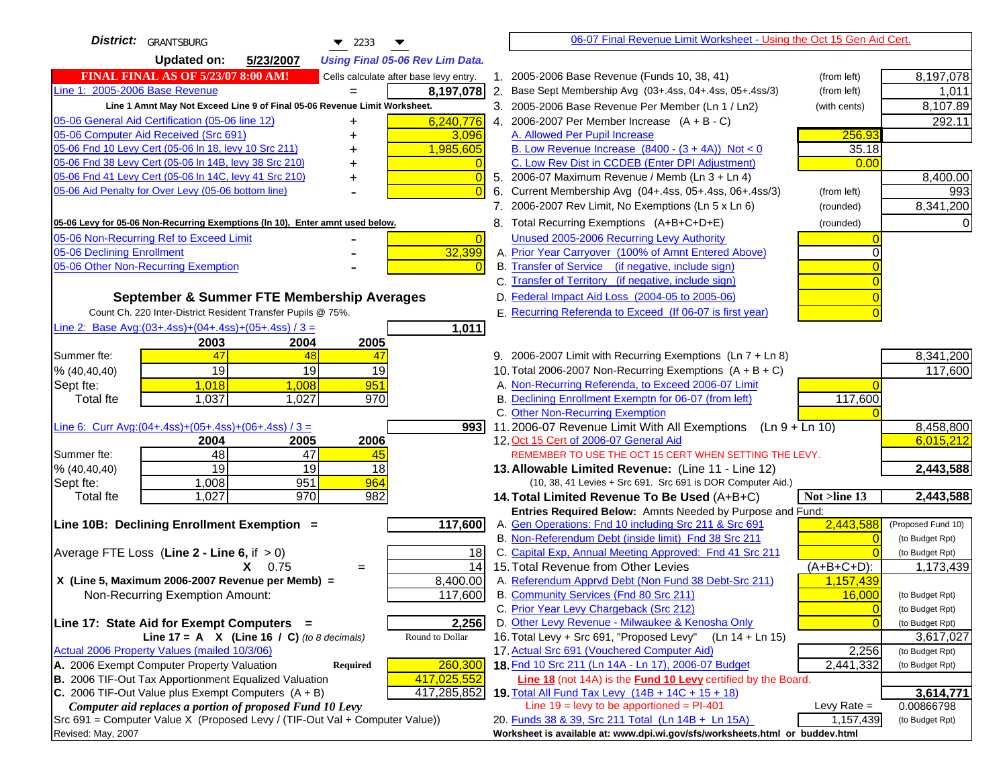| <b>District:</b> GRANTSBURG<br>$\blacktriangledown$ 2233                                                                         | 06-07 Final Revenue Limit Worksheet - Using the Oct 15 Gen Aid Cert.                                                                   |                                       |
|----------------------------------------------------------------------------------------------------------------------------------|----------------------------------------------------------------------------------------------------------------------------------------|---------------------------------------|
| <b>Updated on:</b><br>5/23/2007<br><b>Using Final 05-06 Rev Lim Data.</b>                                                        |                                                                                                                                        |                                       |
| <b>FINAL FINAL AS OF 5/23/07 8:00 AM!</b><br>Cells calculate after base levy entry.                                              | 1. 2005-2006 Base Revenue (Funds 10, 38, 41)<br>(from left)                                                                            | 8,197,078                             |
| Line 1: 2005-2006 Base Revenue<br>8,197,078                                                                                      | 2. Base Sept Membership Avg (03+.4ss, 04+.4ss, 05+.4ss/3)<br>(from left)                                                               | 1,011                                 |
| Line 1 Amnt May Not Exceed Line 9 of Final 05-06 Revenue Limit Worksheet.                                                        | 3. 2005-2006 Base Revenue Per Member (Ln 1 / Ln2)<br>(with cents)                                                                      | 8,107.89                              |
| 05-06 General Aid Certification (05-06 line 12)<br>6,240,776                                                                     | 4. 2006-2007 Per Member Increase $(A + B - C)$                                                                                         | 292.11                                |
| 05-06 Computer Aid Received (Src 691)<br>3,096                                                                                   | 256.93<br>A. Allowed Per Pupil Increase                                                                                                |                                       |
| 05-06 Fnd 10 Levy Cert (05-06 ln 18, levy 10 Src 211)<br>1,985,605                                                               | B. Low Revenue Increase $(8400 - (3 + 4A))$ Not < 0<br>35.18                                                                           |                                       |
| 05-06 Fnd 38 Levy Cert (05-06 In 14B, levy 38 Src 210)                                                                           | C. Low Rev Dist in CCDEB (Enter DPI Adjustment)<br>0.00                                                                                |                                       |
| 05-06 Fnd 41 Levy Cert (05-06 In 14C, levy 41 Src 210)<br>$\sqrt{ }$                                                             | 5. 2006-07 Maximum Revenue / Memb (Ln $3 + \text{Ln } 4$ )                                                                             | 8,400.00                              |
| 05-06 Aid Penalty for Over Levy (05-06 bottom line)                                                                              | Current Membership Avg (04+.4ss, 05+.4ss, 06+.4ss/3)<br>6.<br>(from left)                                                              | 993                                   |
|                                                                                                                                  | 7. 2006-2007 Rev Limit, No Exemptions (Ln 5 x Ln 6)<br>(rounded)                                                                       | 8,341,200                             |
| 05-06 Levy for 05-06 Non-Recurring Exemptions (In 10), Enter amnt used below.                                                    | 8. Total Recurring Exemptions (A+B+C+D+E)<br>(rounded)                                                                                 | 0                                     |
| 05-06 Non-Recurring Ref to Exceed Limit<br>$\overline{0}$                                                                        | Unused 2005-2006 Recurring Levy Authority                                                                                              |                                       |
| 32,399<br>05-06 Declining Enrollment                                                                                             | A. Prior Year Carryover (100% of Amnt Entered Above)<br>0                                                                              |                                       |
| 05-06 Other Non-Recurring Exemption                                                                                              | B. Transfer of Service (if negative, include sign)                                                                                     |                                       |
|                                                                                                                                  | C. Transfer of Territory (if negative, include sign)                                                                                   |                                       |
| September & Summer FTE Membership Averages                                                                                       | D. Federal Impact Aid Loss (2004-05 to 2005-06)                                                                                        |                                       |
| Count Ch. 220 Inter-District Resident Transfer Pupils @ 75%.                                                                     | E. Recurring Referenda to Exceed (If 06-07 is first year)                                                                              |                                       |
| Line 2: Base Avg: $(03+.4ss)+(04+.4ss)+(05+.4ss)/3 =$<br>1,011                                                                   |                                                                                                                                        |                                       |
| 2003<br>2004<br>2005                                                                                                             |                                                                                                                                        |                                       |
| 47<br>Summer fte:<br>48<br>47<br>19                                                                                              | 9. 2006-2007 Limit with Recurring Exemptions (Ln 7 + Ln 8)                                                                             | 8,341,200<br>117,600                  |
| 19<br>19<br>% (40, 40, 40)<br>1,018<br>1.008                                                                                     | 10. Total 2006-2007 Non-Recurring Exemptions $(A + B + C)$<br>A. Non-Recurring Referenda, to Exceed 2006-07 Limit                      |                                       |
| Sept fte:<br>951<br>970<br><b>Total fte</b><br>1,037<br>1,027                                                                    | B. Declining Enrollment Exemptn for 06-07 (from left)<br>117,600                                                                       |                                       |
|                                                                                                                                  | C. Other Non-Recurring Exemption                                                                                                       |                                       |
| Line 6: Curr Avg: $(04+.4ss)+(05+.4ss)+(06+.4ss)/3 =$<br>9931                                                                    | 11.2006-07 Revenue Limit With All Exemptions<br>(Ln 9 + Ln 10)                                                                         | 8,458,800                             |
| 2006<br>2005<br>2004                                                                                                             | 12. Oct 15 Cert of 2006-07 General Aid                                                                                                 | 6,015,212                             |
| 48<br>Summer fte:<br>47<br>45                                                                                                    | REMEMBER TO USE THE OCT 15 CERT WHEN SETTING THE LEVY.                                                                                 |                                       |
| 19<br>$\overline{19}$<br>18<br>% (40, 40, 40)                                                                                    | 13. Allowable Limited Revenue: (Line 11 - Line 12)                                                                                     | 2,443,588                             |
| 951<br>964<br>1,008<br>Sept fte:                                                                                                 | (10, 38, 41 Levies + Src 691. Src 691 is DOR Computer Aid.)                                                                            |                                       |
| 970<br>1,027<br>982<br><b>Total fte</b>                                                                                          | 14. Total Limited Revenue To Be Used (A+B+C)<br>Not >line 13                                                                           | 2,443,588                             |
|                                                                                                                                  | Entries Required Below: Amnts Needed by Purpose and Fund:                                                                              |                                       |
| 117,600<br>Line 10B: Declining Enrollment Exemption =                                                                            | 2,443,588<br>A. Gen Operations: Fnd 10 including Src 211 & Src 691<br>B. Non-Referendum Debt (inside limit) Fnd 38 Src 211<br>$\Omega$ | (Proposed Fund 10)<br>(to Budget Rpt) |
| Average FTE Loss (Line $2 -$ Line 6, if $> 0$ )<br>18                                                                            | C. Capital Exp, Annual Meeting Approved: Fnd 41 Src 211                                                                                | (to Budget Rpt)                       |
| 14<br>$X = 0.75$<br>$=$                                                                                                          | 15. Total Revenue from Other Levies<br>$(A+B+C+D)$ :                                                                                   | 1,173,439                             |
| X (Line 5, Maximum 2006-2007 Revenue per Memb) =<br>8,400.00                                                                     | A. Referendum Apprvd Debt (Non Fund 38 Debt-Src 211)<br>1,157,439                                                                      |                                       |
| 117,600<br>Non-Recurring Exemption Amount:                                                                                       | B. Community Services (Fnd 80 Src 211)<br>16,000                                                                                       | (to Budget Rpt)                       |
|                                                                                                                                  | C. Prior Year Levy Chargeback (Src 212)<br>$\overline{0}$                                                                              | (to Budget Rpt)                       |
| 2,256<br>Line 17: State Aid for Exempt Computers =                                                                               | D. Other Levy Revenue - Milwaukee & Kenosha Only<br>$\Omega$                                                                           | (to Budget Rpt)                       |
| Line 17 = A $X$ (Line 16 / C) (to 8 decimals)<br>Round to Dollar                                                                 | 16. Total Levy + Src 691, "Proposed Levy"<br>(Ln 14 + Ln 15)                                                                           | 3,617,027                             |
| Actual 2006 Property Values (mailed 10/3/06)                                                                                     | 17. Actual Src 691 (Vouchered Computer Aid)<br>2,256                                                                                   | (to Budget Rpt)                       |
| A. 2006 Exempt Computer Property Valuation<br>260,300<br>Required                                                                | 18. Fnd 10 Src 211 (Ln 14A - Ln 17), 2006-07 Budget<br>2,441,332                                                                       | (to Budget Rpt)                       |
| B. 2006 TIF-Out Tax Apportionment Equalized Valuation<br>417,025,552                                                             | Line 18 (not 14A) is the Fund 10 Levy certified by the Board.                                                                          |                                       |
| C. 2006 TIF-Out Value plus Exempt Computers $(A + B)$<br>417,285,852<br>Computer aid replaces a portion of proposed Fund 10 Levy | 19. Total All Fund Tax Levy (14B + 14C + 15 + 18)<br>Line $19 = \text{levy}$ to be apportioned = PI-401<br>Levy Rate $=$               | 3,614,771<br>0.00866798               |
| Src 691 = Computer Value X (Proposed Levy / (TIF-Out Val + Computer Value))                                                      | 20. Funds 38 & 39, Src 211 Total (Ln 14B + Ln 15A)<br>1,157,439                                                                        | (to Budget Rpt)                       |
| Revised: May, 2007                                                                                                               | Worksheet is available at: www.dpi.wi.gov/sfs/worksheets.html or buddev.html                                                           |                                       |
|                                                                                                                                  |                                                                                                                                        |                                       |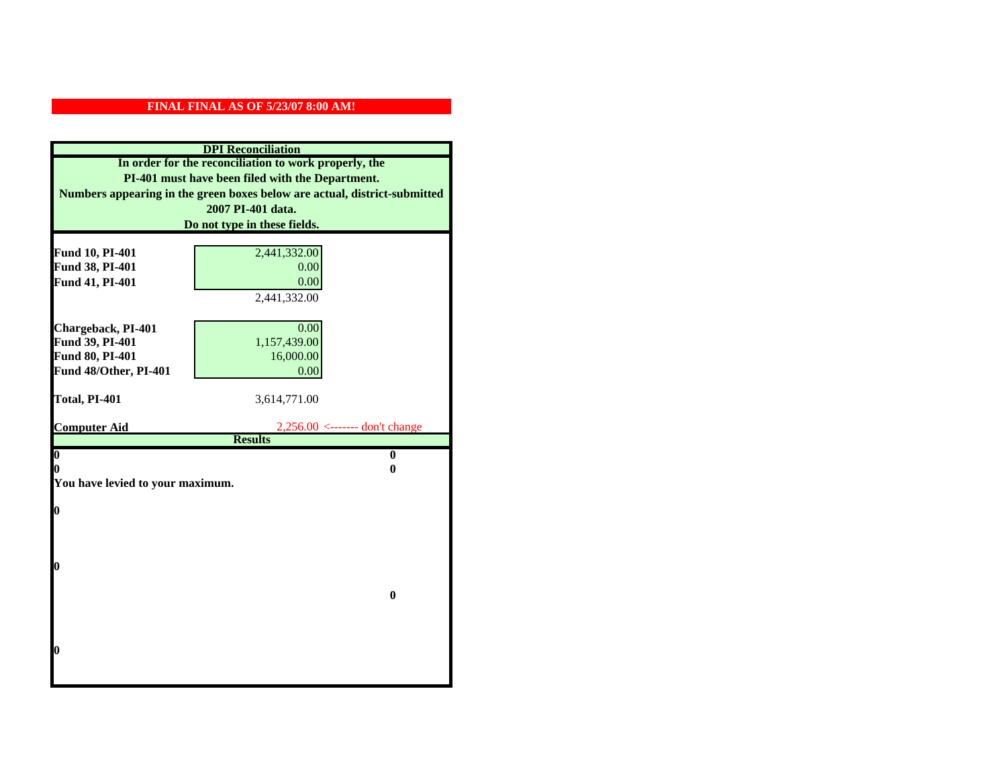| <b>DPI</b> Reconciliation                                                                                 |                                               |  |
|-----------------------------------------------------------------------------------------------------------|-----------------------------------------------|--|
| In order for the reconciliation to work properly, the<br>PI-401 must have been filed with the Department. |                                               |  |
|                                                                                                           |                                               |  |
|                                                                                                           | 2007 PI-401 data.                             |  |
|                                                                                                           | Do not type in these fields.                  |  |
|                                                                                                           |                                               |  |
| Fund 10, PI-401                                                                                           | 2,441,332.00                                  |  |
| Fund 38, PI-401                                                                                           | 0.00                                          |  |
| Fund 41, PI-401                                                                                           | 0.00                                          |  |
|                                                                                                           | 2,441,332.00                                  |  |
|                                                                                                           |                                               |  |
| Chargeback, PI-401                                                                                        | 0.00                                          |  |
| Fund 39, PI-401                                                                                           | 1,157,439.00                                  |  |
| Fund 80, PI-401                                                                                           | 16,000.00                                     |  |
| Fund 48/Other, PI-401                                                                                     | 0.00                                          |  |
| Total, PI-401                                                                                             | 3,614,771.00                                  |  |
|                                                                                                           |                                               |  |
|                                                                                                           |                                               |  |
| <b>Computer Aid</b>                                                                                       | $2,256.00 \leftarrow \text{---}$ don't change |  |
|                                                                                                           | <b>Results</b>                                |  |
| $\overline{\mathbf{0}}$                                                                                   | $\mathbf{0}$                                  |  |
| 0                                                                                                         | 0                                             |  |
| You have levied to your maximum.                                                                          |                                               |  |
|                                                                                                           |                                               |  |
| $\bf{0}$                                                                                                  |                                               |  |
|                                                                                                           |                                               |  |
|                                                                                                           |                                               |  |
| 0                                                                                                         |                                               |  |
|                                                                                                           |                                               |  |
|                                                                                                           | $\bf{0}$                                      |  |
|                                                                                                           |                                               |  |
|                                                                                                           |                                               |  |
|                                                                                                           |                                               |  |
| 0                                                                                                         |                                               |  |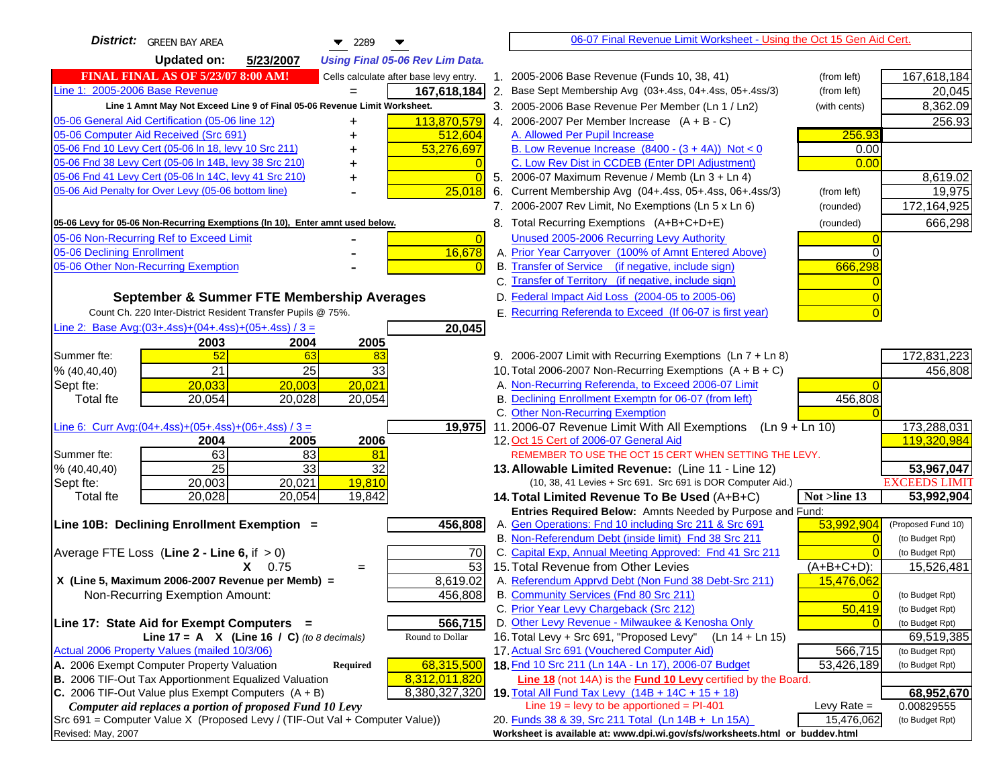| <b>District:</b> GREEN BAY AREA<br>$\blacktriangledown$ 2289                        | 06-07 Final Revenue Limit Worksheet - Using the Oct 15 Gen Aid Cert.                                         |                                    |
|-------------------------------------------------------------------------------------|--------------------------------------------------------------------------------------------------------------|------------------------------------|
| <b>Updated on:</b><br>5/23/2007<br><b>Using Final 05-06 Rev Lim Data.</b>           |                                                                                                              |                                    |
| <b>FINAL FINAL AS OF 5/23/07 8:00 AM!</b><br>Cells calculate after base levy entry. | 1. 2005-2006 Base Revenue (Funds 10, 38, 41)<br>(from left)                                                  | 167,618,184                        |
| Line 1: 2005-2006 Base Revenue<br>167,618,184<br>$=$                                | 2. Base Sept Membership Avg (03+.4ss, 04+.4ss, 05+.4ss/3)<br>(from left)                                     | 20,045                             |
| Line 1 Amnt May Not Exceed Line 9 of Final 05-06 Revenue Limit Worksheet.           | 3. 2005-2006 Base Revenue Per Member (Ln 1 / Ln2)<br>(with cents)                                            | 8,362.09                           |
| 113,870,579<br>05-06 General Aid Certification (05-06 line 12)                      | 4. 2006-2007 Per Member Increase $(A + B - C)$                                                               | 256.93                             |
| 05-06 Computer Aid Received (Src 691)<br>512,604                                    | A. Allowed Per Pupil Increase<br>256.93                                                                      |                                    |
| 05-06 Fnd 10 Levy Cert (05-06 ln 18, levy 10 Src 211)<br>53,276,697                 | B. Low Revenue Increase $(8400 - (3 + 4A))$ Not < 0<br>0.00                                                  |                                    |
| 05-06 Fnd 38 Levy Cert (05-06 In 14B, levy 38 Src 210)                              | C. Low Rev Dist in CCDEB (Enter DPI Adjustment)<br>0.00                                                      |                                    |
| 05-06 Fnd 41 Levy Cert (05-06 In 14C, levy 41 Src 210)<br>$\Omega$<br>+             | 5. 2006-07 Maximum Revenue / Memb (Ln 3 + Ln 4)                                                              | 8,619.02                           |
| 05-06 Aid Penalty for Over Levy (05-06 bottom line)<br>25,018                       | Current Membership Avg (04+.4ss, 05+.4ss, 06+.4ss/3)<br>6.<br>(from left)                                    | 19,975                             |
|                                                                                     | 7. 2006-2007 Rev Limit, No Exemptions (Ln 5 x Ln 6)<br>(rounded)                                             | 172,164,925                        |
| 05-06 Levy for 05-06 Non-Recurring Exemptions (In 10), Enter amnt used below.       | 8. Total Recurring Exemptions (A+B+C+D+E)<br>(rounded)                                                       | 666,298                            |
| 05-06 Non-Recurring Ref to Exceed Limit<br>$\overline{0}$                           | Unused 2005-2006 Recurring Levy Authority                                                                    |                                    |
| 16,678<br>05-06 Declining Enrollment                                                | A. Prior Year Carryover (100% of Amnt Entered Above)                                                         |                                    |
| 05-06 Other Non-Recurring Exemption                                                 | B. Transfer of Service (if negative, include sign)<br>666,298                                                |                                    |
|                                                                                     | C. Transfer of Territory (if negative, include sign)                                                         |                                    |
| September & Summer FTE Membership Averages                                          | D. Federal Impact Aid Loss (2004-05 to 2005-06)                                                              |                                    |
| Count Ch. 220 Inter-District Resident Transfer Pupils @ 75%.                        | E. Recurring Referenda to Exceed (If 06-07 is first year)                                                    |                                    |
| Line 2: Base Avg: $(03+.4ss)+(04+.4ss)+(05+.4ss)/3 =$<br>20,045                     |                                                                                                              |                                    |
| 2003<br>2004<br>2005                                                                |                                                                                                              |                                    |
| 52<br>Summer fte:<br>63<br>83                                                       | 9. 2006-2007 Limit with Recurring Exemptions (Ln 7 + Ln 8)                                                   | 172,831,223                        |
| 21<br>25<br>33<br>% (40, 40, 40)                                                    | 10. Total 2006-2007 Non-Recurring Exemptions $(A + B + C)$                                                   | 456,808                            |
| 20,033<br>20,003<br>20,021<br>Sept fte:                                             | A. Non-Recurring Referenda, to Exceed 2006-07 Limit                                                          |                                    |
| <b>Total fte</b><br>20,054<br>20,028<br>20,054                                      | B. Declining Enrollment Exemptn for 06-07 (from left)<br>456,808                                             |                                    |
| Line 6: Curr Avg: $(04+.4ss)+(05+.4ss)+(06+.4ss)/3 =$<br>19,975                     | C. Other Non-Recurring Exemption<br>11.2006-07 Revenue Limit With All Exemptions<br>$(Ln 9 + Ln 10)$         | 173,288,031                        |
| 2006<br>2004<br>2005                                                                | 12. Oct 15 Cert of 2006-07 General Aid                                                                       | 119,320,984                        |
| 63<br>83<br>Summer fte:<br>81                                                       | REMEMBER TO USE THE OCT 15 CERT WHEN SETTING THE LEVY.                                                       |                                    |
| $\overline{25}$<br>33<br>32<br>% (40, 40, 40)                                       | 13. Allowable Limited Revenue: (Line 11 - Line 12)                                                           | 53,967,047                         |
| 19,810<br>20,021<br>20,003<br>Sept fte:                                             | (10, 38, 41 Levies + Src 691. Src 691 is DOR Computer Aid.)                                                  | <b>EXCEEDS LIMIT</b>               |
| 20,028<br>20,054<br>19,842<br><b>Total fte</b>                                      | Not >line 13<br>14. Total Limited Revenue To Be Used (A+B+C)                                                 | 53,992,904                         |
|                                                                                     | Entries Required Below: Amnts Needed by Purpose and Fund:                                                    |                                    |
| Line 10B: Declining Enrollment Exemption =<br>456,808                               | 53,992,904<br>A. Gen Operations: Fnd 10 including Src 211 & Src 691                                          | (Proposed Fund 10)                 |
|                                                                                     | B. Non-Referendum Debt (inside limit) Fnd 38 Src 211<br>$\Omega$                                             | (to Budget Rpt)                    |
| Average FTE Loss (Line $2 -$ Line 6, if $> 0$ )<br>70                               | C. Capital Exp, Annual Meeting Approved: Fnd 41 Src 211                                                      | (to Budget Rpt)                    |
| 53<br>$X = 0.75$<br>$=$                                                             | 15. Total Revenue from Other Levies<br>$(A+B+C+D)$ :                                                         | 15,526,481                         |
| X (Line 5, Maximum 2006-2007 Revenue per Memb) =<br>8,619.02<br>456,808             | A. Referendum Apprvd Debt (Non Fund 38 Debt-Src 211)<br>15,476,062<br>B. Community Services (Fnd 80 Src 211) |                                    |
| Non-Recurring Exemption Amount:                                                     | 0<br>C. Prior Year Levy Chargeback (Src 212)<br>50,419                                                       | (to Budget Rpt)<br>(to Budget Rpt) |
| 566,715<br>Line 17: State Aid for Exempt Computers =                                | D. Other Levy Revenue - Milwaukee & Kenosha Only                                                             | (to Budget Rpt)                    |
| Round to Dollar<br>Line 17 = A $X$ (Line 16 / C) (to 8 decimals)                    | 16. Total Levy + Src 691, "Proposed Levy"<br>$(Ln 14 + Ln 15)$                                               | 69,519,385                         |
| Actual 2006 Property Values (mailed 10/3/06)                                        | 17. Actual Src 691 (Vouchered Computer Aid)<br>566,715                                                       | (to Budget Rpt)                    |
| A. 2006 Exempt Computer Property Valuation<br>68,315,500<br>Required                | 18. Fnd 10 Src 211 (Ln 14A - Ln 17), 2006-07 Budget<br>53,426,189                                            | (to Budget Rpt)                    |
| B. 2006 TIF-Out Tax Apportionment Equalized Valuation<br>8,312,011,820              | Line 18 (not 14A) is the Fund 10 Levy certified by the Board.                                                |                                    |
| C. 2006 TIF-Out Value plus Exempt Computers $(A + B)$<br>8,380,327,320              | 19. Total All Fund Tax Levy $(14B + 14C + 15 + 18)$                                                          | 68,952,670                         |
| Computer aid replaces a portion of proposed Fund 10 Levy                            | Line $19 = \text{levy}$ to be apportioned = PI-401<br>Levy Rate $=$                                          | 0.00829555                         |
| Src 691 = Computer Value X (Proposed Levy / (TIF-Out Val + Computer Value))         | 20. Funds 38 & 39, Src 211 Total (Ln 14B + Ln 15A)<br>15,476,062                                             | (to Budget Rpt)                    |
| Revised: May, 2007                                                                  | Worksheet is available at: www.dpi.wi.gov/sfs/worksheets.html or buddev.html                                 |                                    |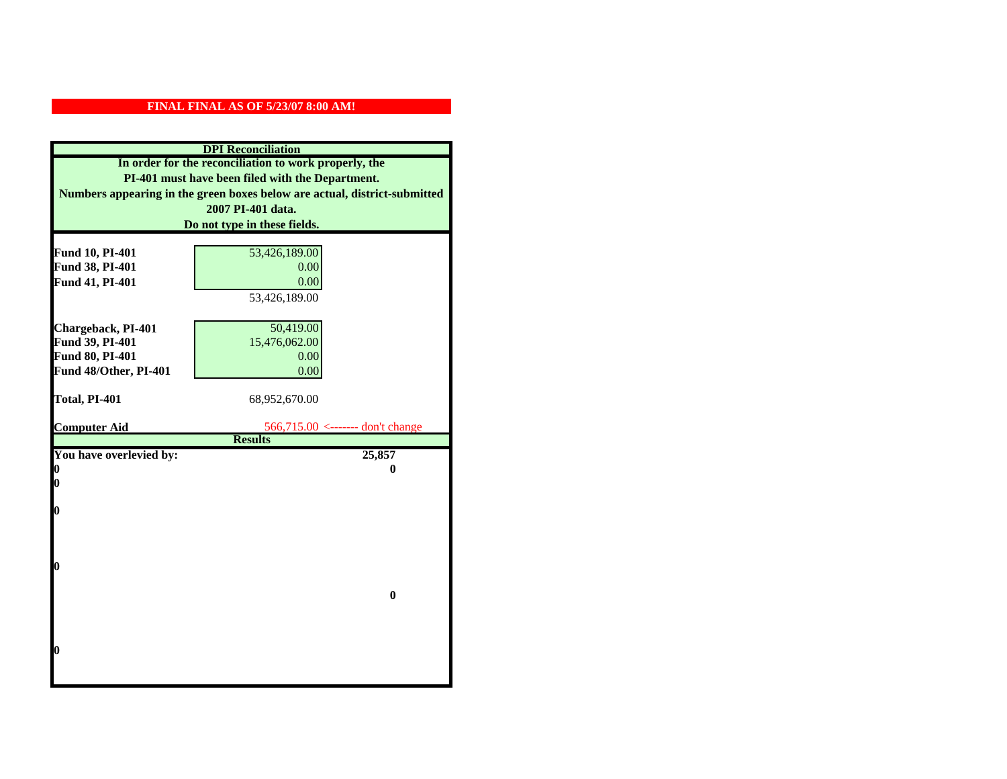| <b>DPI</b> Reconciliation                                                                                 |                                                    |
|-----------------------------------------------------------------------------------------------------------|----------------------------------------------------|
| In order for the reconciliation to work properly, the<br>PI-401 must have been filed with the Department. |                                                    |
|                                                                                                           |                                                    |
|                                                                                                           | 2007 PI-401 data.                                  |
|                                                                                                           | Do not type in these fields.                       |
|                                                                                                           |                                                    |
| Fund 10, PI-401                                                                                           | 53,426,189.00                                      |
| Fund 38, PI-401                                                                                           | 0.00                                               |
| Fund 41, PI-401                                                                                           | 0.00                                               |
|                                                                                                           | 53,426,189.00                                      |
|                                                                                                           |                                                    |
| Chargeback, PI-401                                                                                        | 50,419.00                                          |
| Fund 39, PI-401                                                                                           | 15,476,062.00                                      |
| Fund 80, PI-401                                                                                           | 0.00                                               |
| Fund 48/Other, PI-401                                                                                     | 0.00                                               |
|                                                                                                           |                                                    |
| Total, PI-401                                                                                             | 68,952,670.00                                      |
|                                                                                                           |                                                    |
| <b>Computer Aid</b>                                                                                       | 566,715.00 <------- don't change<br><b>Results</b> |
| You have overlevied by:                                                                                   | 25,857                                             |
| N                                                                                                         | 0                                                  |
| 0                                                                                                         |                                                    |
|                                                                                                           |                                                    |
| 0                                                                                                         |                                                    |
|                                                                                                           |                                                    |
|                                                                                                           |                                                    |
|                                                                                                           |                                                    |
| 0                                                                                                         |                                                    |
|                                                                                                           |                                                    |
|                                                                                                           | $\bf{0}$                                           |
|                                                                                                           |                                                    |
|                                                                                                           |                                                    |
|                                                                                                           |                                                    |
|                                                                                                           |                                                    |
| O                                                                                                         |                                                    |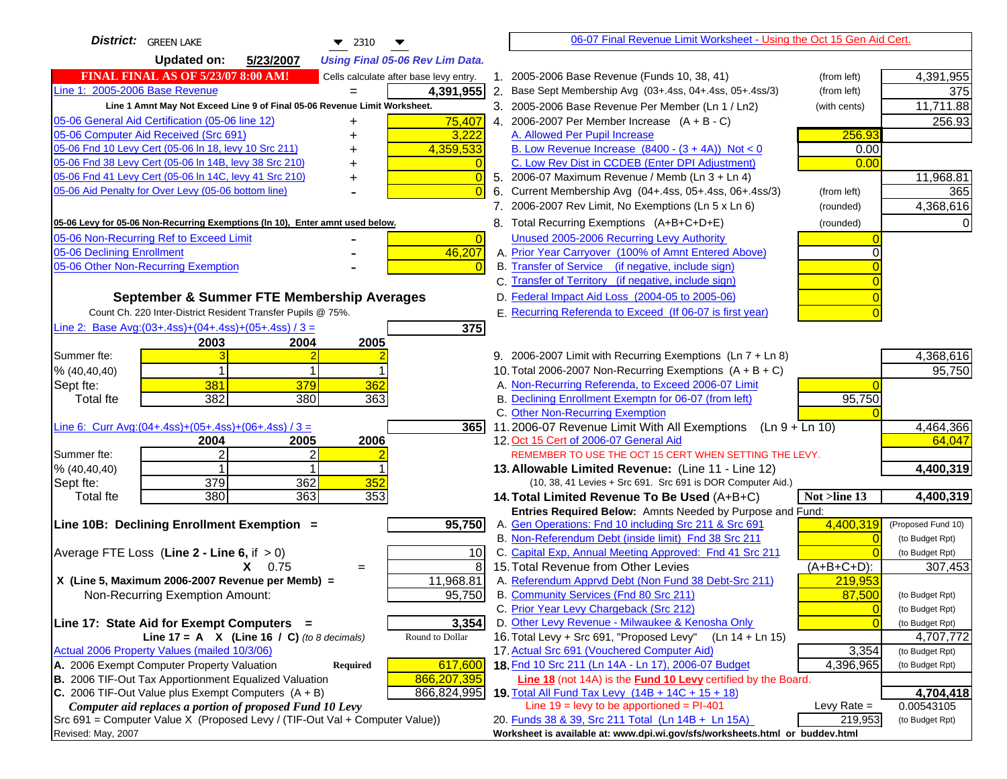| District: GREEN LAKE<br>$\blacktriangledown$ 2310                                   |                | 06-07 Final Revenue Limit Worksheet - Using the Oct 15 Gen Aid Cert.                                              |                |                                    |
|-------------------------------------------------------------------------------------|----------------|-------------------------------------------------------------------------------------------------------------------|----------------|------------------------------------|
| <b>Updated on:</b><br>5/23/2007<br><b>Using Final 05-06 Rev Lim Data.</b>           |                |                                                                                                                   |                |                                    |
| <b>FINAL FINAL AS OF 5/23/07 8:00 AM!</b><br>Cells calculate after base levy entry. |                | 1. 2005-2006 Base Revenue (Funds 10, 38, 41)                                                                      | (from left)    | 4,391,955                          |
| Line 1: 2005-2006 Base Revenue<br>4,391,955<br>$=$                                  |                | 2. Base Sept Membership Avg (03+.4ss, 04+.4ss, 05+.4ss/3)                                                         | (from left)    | 375                                |
| Line 1 Amnt May Not Exceed Line 9 of Final 05-06 Revenue Limit Worksheet.           |                | 3. 2005-2006 Base Revenue Per Member (Ln 1 / Ln2)                                                                 | (with cents)   | 11,711.88                          |
| 05-06 General Aid Certification (05-06 line 12)<br>75,407                           |                | 4. 2006-2007 Per Member Increase $(A + B - C)$                                                                    |                | 256.93                             |
| 05-06 Computer Aid Received (Src 691)<br>3,222                                      |                | A. Allowed Per Pupil Increase                                                                                     | 256.93         |                                    |
| 05-06 Fnd 10 Levy Cert (05-06 In 18, levy 10 Src 211)<br>4,359,533                  |                | B. Low Revenue Increase $(8400 - (3 + 4A))$ Not < 0                                                               | 0.00           |                                    |
| 05-06 Fnd 38 Levy Cert (05-06 In 14B, levy 38 Src 210)                              |                | C. Low Rev Dist in CCDEB (Enter DPI Adjustment)                                                                   | 0.00           |                                    |
| 05-06 Fnd 41 Levy Cert (05-06 In 14C, levy 41 Src 210)<br>+                         | 0              | 5. 2006-07 Maximum Revenue / Memb (Ln 3 + Ln 4)                                                                   |                | 11,968.81                          |
| 05-06 Aid Penalty for Over Levy (05-06 bottom line)                                 |                | 6. Current Membership Avg (04+.4ss, 05+.4ss, 06+.4ss/3)                                                           | (from left)    | 365                                |
|                                                                                     |                | 7. 2006-2007 Rev Limit, No Exemptions (Ln 5 x Ln 6)                                                               | (rounded)      | 4,368,616                          |
| 05-06 Levy for 05-06 Non-Recurring Exemptions (In 10), Enter amnt used below.       |                | 8. Total Recurring Exemptions (A+B+C+D+E)                                                                         | (rounded)      |                                    |
| 05-06 Non-Recurring Ref to Exceed Limit                                             | $\overline{0}$ | Unused 2005-2006 Recurring Levy Authority                                                                         |                |                                    |
| 46,207<br>05-06 Declining Enrollment                                                |                | A. Prior Year Carryover (100% of Amnt Entered Above)                                                              |                |                                    |
| 05-06 Other Non-Recurring Exemption                                                 |                | B. Transfer of Service (if negative, include sign)                                                                |                |                                    |
|                                                                                     |                | C. Transfer of Territory (if negative, include sign)                                                              |                |                                    |
| September & Summer FTE Membership Averages                                          |                | D. Federal Impact Aid Loss (2004-05 to 2005-06)                                                                   |                |                                    |
| Count Ch. 220 Inter-District Resident Transfer Pupils @ 75%.                        |                | E. Recurring Referenda to Exceed (If 06-07 is first year)                                                         |                |                                    |
| Line 2: Base Avg: $(03+.4ss)+(04+.4ss)+(05+.4ss)/3 =$<br>375                        |                |                                                                                                                   |                |                                    |
| 2003<br>2004<br>2005                                                                |                |                                                                                                                   |                |                                    |
| Summer fte:                                                                         |                | 9. 2006-2007 Limit with Recurring Exemptions (Ln 7 + Ln 8)                                                        |                | 4,368,616                          |
| % (40, 40, 40)<br>381                                                               |                | 10. Total 2006-2007 Non-Recurring Exemptions $(A + B + C)$<br>A. Non-Recurring Referenda, to Exceed 2006-07 Limit |                | 95,750                             |
| 379<br>362<br>Sept fte:<br>382<br>363<br><b>Total fte</b><br>380                    |                | B. Declining Enrollment Exemptn for 06-07 (from left)                                                             | 95,750         |                                    |
|                                                                                     |                | C. Other Non-Recurring Exemption                                                                                  |                |                                    |
| Line 6: Curr Avg: $(04+.4ss)+(05+.4ss)+(06+.4ss)/3 =$<br>365                        |                | 11.2006-07 Revenue Limit With All Exemptions (Ln 9 + Ln 10)                                                       |                | 4,464,366                          |
| 2005<br>2006<br>2004                                                                |                | 12. Oct 15 Cert of 2006-07 General Aid                                                                            |                | 64,047                             |
| 2<br>Summer fte:                                                                    |                | REMEMBER TO USE THE OCT 15 CERT WHEN SETTING THE LEVY.                                                            |                |                                    |
| % (40, 40, 40)                                                                      |                | 13. Allowable Limited Revenue: (Line 11 - Line 12)                                                                |                | 4,400,319                          |
| 379<br>362<br>352<br>Sept fte:                                                      |                | (10, 38, 41 Levies + Src 691. Src 691 is DOR Computer Aid.)                                                       |                |                                    |
| 380<br>363<br>353<br><b>Total fte</b>                                               |                | 14. Total Limited Revenue To Be Used (A+B+C)                                                                      | Not >line 13   | 4,400,319                          |
|                                                                                     |                | Entries Required Below: Amnts Needed by Purpose and Fund:                                                         |                |                                    |
| 95,750<br>Line 10B: Declining Enrollment Exemption =                                |                | A. Gen Operations: Fnd 10 including Src 211 & Src 691<br>B. Non-Referendum Debt (inside limit) Fnd 38 Src 211     | 4,400,319      | (Proposed Fund 10)                 |
| Average FTE Loss (Line $2 -$ Line 6, if $> 0$ )<br>10                               |                | C. Capital Exp, Annual Meeting Approved: Fnd 41 Src 211                                                           |                | (to Budget Rpt)<br>(to Budget Rpt) |
| $X = 0.75$<br>$=$                                                                   | 8              | 15. Total Revenue from Other Levies                                                                               | (A+B+C+D):     | 307,453                            |
| X (Line 5, Maximum 2006-2007 Revenue per Memb) =<br>11,968.81                       |                | A. Referendum Apprvd Debt (Non Fund 38 Debt-Src 211)                                                              | 219,953        |                                    |
| 95,750<br>Non-Recurring Exemption Amount:                                           |                | B. Community Services (Fnd 80 Src 211)                                                                            | 87,500         | (to Budget Rpt)                    |
|                                                                                     |                | C. Prior Year Levy Chargeback (Src 212)                                                                           | $\overline{0}$ | (to Budget Rpt)                    |
| 3,354<br>Line 17: State Aid for Exempt Computers =                                  |                | D. Other Levy Revenue - Milwaukee & Kenosha Only                                                                  |                | (to Budget Rpt)                    |
| Round to Dollar<br>Line 17 = A $X$ (Line 16 / C) (to 8 decimals)                    |                | 16. Total Levy + Src 691, "Proposed Levy"<br>$(Ln 14 + Ln 15)$                                                    |                | 4,707,772                          |
| Actual 2006 Property Values (mailed 10/3/06)                                        |                | 17. Actual Src 691 (Vouchered Computer Aid)                                                                       | 3,354          | (to Budget Rpt)                    |
| A. 2006 Exempt Computer Property Valuation<br>617,600<br>Required                   |                | 18. Fnd 10 Src 211 (Ln 14A - Ln 17), 2006-07 Budget                                                               | 4,396,965      | (to Budget Rpt)                    |
| B. 2006 TIF-Out Tax Apportionment Equalized Valuation<br>866,207,395                |                | <b>Line 18</b> (not 14A) is the <b>Fund 10 Levy</b> certified by the Board.                                       |                |                                    |
| C. 2006 TIF-Out Value plus Exempt Computers $(A + B)$<br>866,824,995                |                | 19. Total All Fund Tax Levy $(14B + 14C + 15 + 18)$                                                               |                | 4,704,418                          |
| Computer aid replaces a portion of proposed Fund 10 Levy                            |                | Line $19 = \text{levy}$ to be apportioned = PI-401                                                                | Levy Rate $=$  | 0.00543105                         |
| Src 691 = Computer Value X (Proposed Levy / (TIF-Out Val + Computer Value))         |                | 20. Funds 38 & 39, Src 211 Total (Ln 14B + Ln 15A)                                                                | 219,953        | (to Budget Rpt)                    |
| Revised: May, 2007                                                                  |                | Worksheet is available at: www.dpi.wi.gov/sfs/worksheets.html or buddev.html                                      |                |                                    |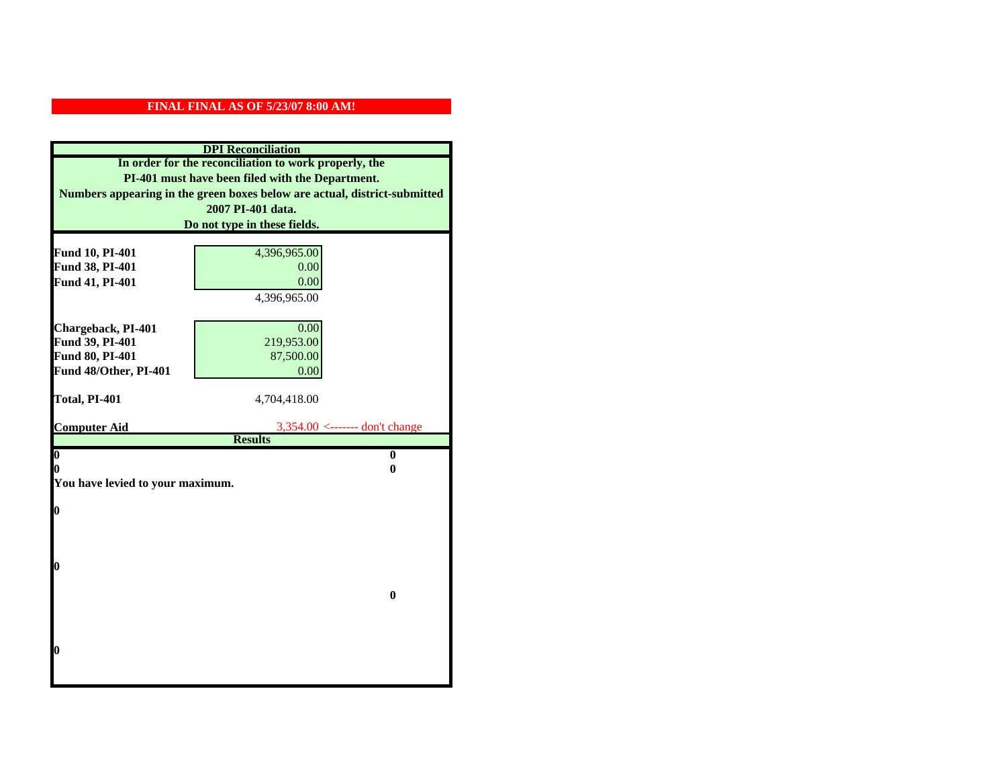| <b>DPI</b> Reconciliation                                                                                 |                                                    |  |
|-----------------------------------------------------------------------------------------------------------|----------------------------------------------------|--|
| In order for the reconciliation to work properly, the<br>PI-401 must have been filed with the Department. |                                                    |  |
|                                                                                                           |                                                    |  |
|                                                                                                           | 2007 PI-401 data.                                  |  |
|                                                                                                           | Do not type in these fields.                       |  |
|                                                                                                           |                                                    |  |
| Fund 10, PI-401<br>Fund 38, PI-401                                                                        | 4,396,965.00<br>0.00                               |  |
| Fund 41, PI-401                                                                                           | 0.00                                               |  |
|                                                                                                           | 4,396,965.00                                       |  |
|                                                                                                           |                                                    |  |
| Chargeback, PI-401                                                                                        | 0.00                                               |  |
| Fund 39, PI-401                                                                                           | 219,953.00                                         |  |
| Fund 80, PI-401                                                                                           | 87,500.00                                          |  |
| Fund 48/Other, PI-401                                                                                     | 0.00                                               |  |
|                                                                                                           |                                                    |  |
| Total, PI-401                                                                                             | 4,704,418.00                                       |  |
|                                                                                                           |                                                    |  |
| <b>Computer Aid</b>                                                                                       | $3,354.00$ <------- don't change<br><b>Results</b> |  |
| $\boldsymbol{0}$                                                                                          | $\bf{0}$                                           |  |
| 0                                                                                                         | 0                                                  |  |
| You have levied to your maximum.                                                                          |                                                    |  |
|                                                                                                           |                                                    |  |
| 0                                                                                                         |                                                    |  |
|                                                                                                           |                                                    |  |
|                                                                                                           |                                                    |  |
| 0                                                                                                         |                                                    |  |
|                                                                                                           |                                                    |  |
|                                                                                                           | $\bf{0}$                                           |  |
|                                                                                                           |                                                    |  |
|                                                                                                           |                                                    |  |
|                                                                                                           |                                                    |  |
| 0                                                                                                         |                                                    |  |
|                                                                                                           |                                                    |  |
|                                                                                                           |                                                    |  |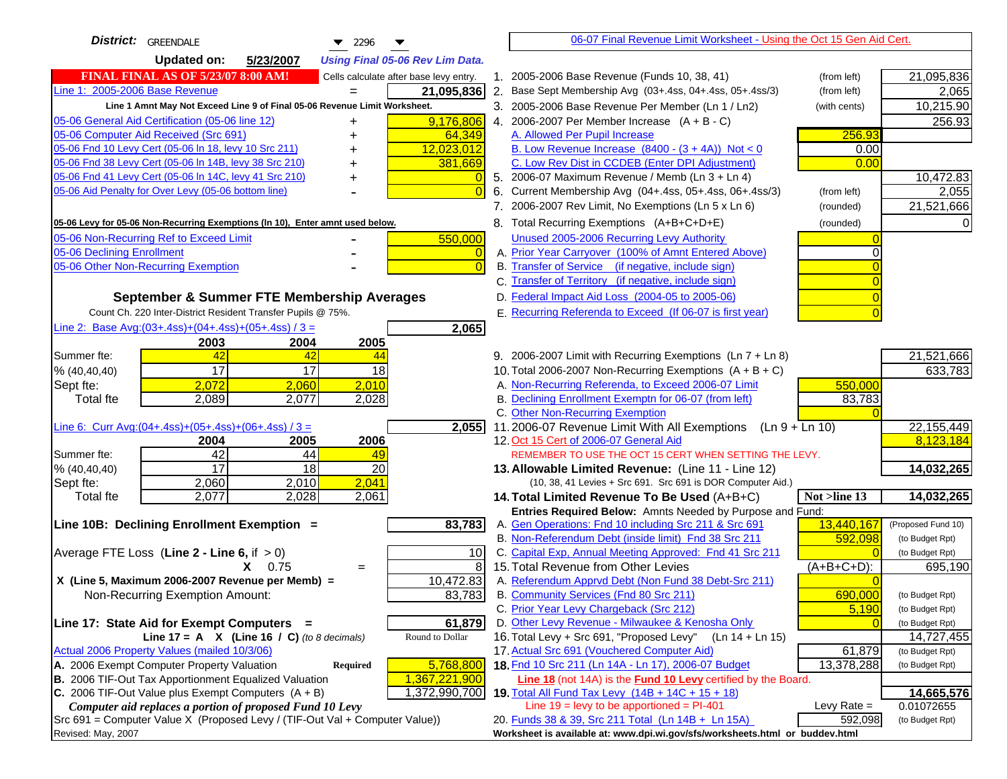| <b>District:</b> GREENDALE<br>$\blacktriangledown$ 2296                                                                                          | 06-07 Final Revenue Limit Worksheet - Using the Oct 15 Gen Aid Cert.                                               |                          |
|--------------------------------------------------------------------------------------------------------------------------------------------------|--------------------------------------------------------------------------------------------------------------------|--------------------------|
| <b>Updated on:</b><br>5/23/2007<br><b>Using Final 05-06 Rev Lim Data.</b>                                                                        |                                                                                                                    |                          |
| <b>FINAL FINAL AS OF 5/23/07 8:00 AM!</b><br>Cells calculate after base levy entry.                                                              | 1. 2005-2006 Base Revenue (Funds 10, 38, 41)<br>(from left)                                                        | 21,095,836               |
| Line 1: 2005-2006 Base Revenue<br>21,095,836                                                                                                     | 2.<br>Base Sept Membership Avg (03+.4ss, 04+.4ss, 05+.4ss/3)<br>(from left)                                        | 2,065                    |
| Line 1 Amnt May Not Exceed Line 9 of Final 05-06 Revenue Limit Worksheet.                                                                        | 3. 2005-2006 Base Revenue Per Member (Ln 1 / Ln2)<br>(with cents)                                                  | 10,215.90                |
| 9,176,806<br>05-06 General Aid Certification (05-06 line 12)                                                                                     | 4. 2006-2007 Per Member Increase $(A + B - C)$                                                                     | 256.93                   |
| 05-06 Computer Aid Received (Src 691)<br>64,349                                                                                                  | 256.93<br>A. Allowed Per Pupil Increase                                                                            |                          |
| 05-06 Fnd 10 Levy Cert (05-06 ln 18, levy 10 Src 211)<br>12,023,012                                                                              | B. Low Revenue Increase $(8400 - (3 + 4A))$ Not < 0<br>0.00                                                        |                          |
| 05-06 Fnd 38 Levy Cert (05-06 In 14B, levy 38 Src 210)<br>381,669                                                                                | C. Low Rev Dist in CCDEB (Enter DPI Adjustment)<br>0.00                                                            |                          |
| 05-06 Fnd 41 Levy Cert (05-06 In 14C, levy 41 Src 210)<br>+                                                                                      | 5. 2006-07 Maximum Revenue / Memb (Ln $3 + \text{Ln } 4$ )                                                         | 10,472.83                |
| 05-06 Aid Penalty for Over Levy (05-06 bottom line)<br>$\Omega$                                                                                  | Current Membership Avg (04+.4ss, 05+.4ss, 06+.4ss/3)<br>6.<br>(from left)                                          | 2,055                    |
|                                                                                                                                                  | 7. 2006-2007 Rev Limit, No Exemptions (Ln 5 x Ln 6)<br>(rounded)                                                   | 21,521,666               |
| 05-06 Levy for 05-06 Non-Recurring Exemptions (In 10), Enter amnt used below.                                                                    | 8. Total Recurring Exemptions (A+B+C+D+E)<br>(rounded)                                                             |                          |
| 05-06 Non-Recurring Ref to Exceed Limit<br>550,000                                                                                               | Unused 2005-2006 Recurring Levy Authority                                                                          |                          |
| 05-06 Declining Enrollment<br>$\overline{0}$                                                                                                     | A. Prior Year Carryover (100% of Amnt Entered Above)                                                               |                          |
| 05-06 Other Non-Recurring Exemption<br>$\Omega$                                                                                                  | B. Transfer of Service (if negative, include sign)                                                                 |                          |
|                                                                                                                                                  | C. Transfer of Territory (if negative, include sign)                                                               |                          |
| September & Summer FTE Membership Averages                                                                                                       | D. Federal Impact Aid Loss (2004-05 to 2005-06)                                                                    |                          |
| Count Ch. 220 Inter-District Resident Transfer Pupils @ 75%.                                                                                     | E. Recurring Referenda to Exceed (If 06-07 is first year)                                                          |                          |
| Line 2: Base Avg:(03+.4ss)+(04+.4ss)+(05+.4ss) / 3 =<br>2,065                                                                                    |                                                                                                                    |                          |
| 2003<br>2004<br>2005                                                                                                                             |                                                                                                                    |                          |
| 42<br>Summer fte:<br>42<br>44                                                                                                                    | 9. 2006-2007 Limit with Recurring Exemptions (Ln 7 + Ln 8)                                                         | 21,521,666               |
| 17<br>17<br>18<br>% (40, 40, 40)                                                                                                                 | 10. Total 2006-2007 Non-Recurring Exemptions $(A + B + C)$                                                         | 633,783                  |
| 2,010<br>2,072<br>Sept fte:<br>2.060                                                                                                             | A. Non-Recurring Referenda, to Exceed 2006-07 Limit<br>550,000                                                     |                          |
| <b>Total fte</b><br>2,089<br>2,077<br>2,028                                                                                                      | B. Declining Enrollment Exemptn for 06-07 (from left)<br>83,783                                                    |                          |
|                                                                                                                                                  | C. Other Non-Recurring Exemption                                                                                   |                          |
| 2,055<br>Line 6: Curr Avg: $(04+.4ss)+(05+.4ss)+(06+.4ss)/3 =$                                                                                   | 11.2006-07 Revenue Limit With All Exemptions (Ln $9 + \overline{\text{Ln }10}$ )                                   | 22, 155, 449             |
| 2006<br>2005<br>2004                                                                                                                             | 12. Oct 15 Cert of 2006-07 General Aid                                                                             | 8,123,184                |
| 42<br>Summer fte:<br>44<br>49<br>$\overline{17}$<br>$\overline{18}$<br>20<br>% (40, 40, 40)                                                      | REMEMBER TO USE THE OCT 15 CERT WHEN SETTING THE LEVY.<br>13. Allowable Limited Revenue: (Line 11 - Line 12)       | 14,032,265               |
| 2,041<br>2,060<br>2,010<br>Sept fte:                                                                                                             | (10, 38, 41 Levies + Src 691. Src 691 is DOR Computer Aid.)                                                        |                          |
| 2,077<br>2,028<br>2,061<br><b>Total fte</b>                                                                                                      | Not >line 13<br>14. Total Limited Revenue To Be Used (A+B+C)                                                       | 14,032,265               |
|                                                                                                                                                  | Entries Required Below: Amnts Needed by Purpose and Fund:                                                          |                          |
| 83,783<br>Line 10B: Declining Enrollment Exemption =                                                                                             | 13,440,167<br>A. Gen Operations: Fnd 10 including Src 211 & Src 691                                                | (Proposed Fund 10)       |
|                                                                                                                                                  | B. Non-Referendum Debt (inside limit) Fnd 38 Src 211<br>592,098                                                    | (to Budget Rpt)          |
| Average FTE Loss (Line $2 -$ Line 6, if $> 0$ )<br>10                                                                                            | C. Capital Exp, Annual Meeting Approved: Fnd 41 Src 211                                                            | (to Budget Rpt)          |
| 8<br>$X = 0.75$<br>$=$                                                                                                                           | 15. Total Revenue from Other Levies<br>$(A+B+C+D)$ :                                                               | 695,190                  |
| 10,472.83<br>X (Line 5, Maximum 2006-2007 Revenue per Memb) =                                                                                    | A. Referendum Apprvd Debt (Non Fund 38 Debt-Src 211)                                                               |                          |
| 83,783<br>Non-Recurring Exemption Amount:                                                                                                        | B. Community Services (Fnd 80 Src 211)<br>690,000                                                                  | (to Budget Rpt)          |
|                                                                                                                                                  | C. Prior Year Levy Chargeback (Src 212)<br>5,190                                                                   | (to Budget Rpt)          |
| 61,879<br>Line 17: State Aid for Exempt Computers =                                                                                              | D. Other Levy Revenue - Milwaukee & Kenosha Only                                                                   | (to Budget Rpt)          |
| Round to Dollar<br>Line 17 = A $X$ (Line 16 / C) (to 8 decimals)                                                                                 | 16. Total Levy + Src 691, "Proposed Levy" (Ln 14 + Ln 15)                                                          | 14,727,455               |
| Actual 2006 Property Values (mailed 10/3/06)                                                                                                     | 17. Actual Src 691 (Vouchered Computer Aid)<br>61,879                                                              | (to Budget Rpt)          |
| 5,768,800<br>A. 2006 Exempt Computer Property Valuation<br><b>Required</b>                                                                       | 18. Fnd 10 Src 211 (Ln 14A - Ln 17), 2006-07 Budget<br>13,378,288                                                  | (to Budget Rpt)          |
| B. 2006 TIF-Out Tax Apportionment Equalized Valuation<br>1,367,221,900<br>C. 2006 TIF-Out Value plus Exempt Computers $(A + B)$<br>1,372,990,700 | Line 18 (not 14A) is the Fund 10 Levy certified by the Board.<br>19. Total All Fund Tax Levy (14B + 14C + 15 + 18) |                          |
| Computer aid replaces a portion of proposed Fund 10 Levy                                                                                         | Line $19 = \text{levy}$ to be apportioned = PI-401<br>Levy Rate $=$                                                | 14,665,576<br>0.01072655 |
| Src 691 = Computer Value X (Proposed Levy / (TIF-Out Val + Computer Value))                                                                      | 20. Funds 38 & 39, Src 211 Total (Ln 14B + Ln 15A)<br>592,098                                                      | (to Budget Rpt)          |
| Revised: May, 2007                                                                                                                               | Worksheet is available at: www.dpi.wi.gov/sfs/worksheets.html or buddev.html                                       |                          |
|                                                                                                                                                  |                                                                                                                    |                          |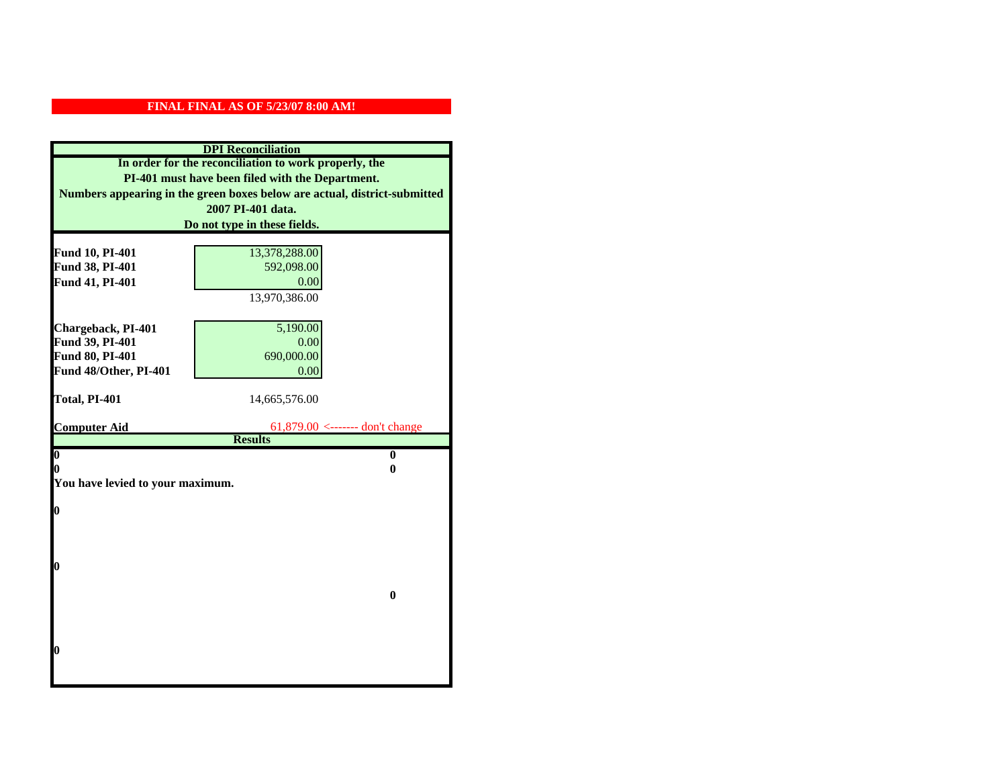| <b>DPI</b> Reconciliation                                                                                 |                                 |  |
|-----------------------------------------------------------------------------------------------------------|---------------------------------|--|
| In order for the reconciliation to work properly, the<br>PI-401 must have been filed with the Department. |                                 |  |
|                                                                                                           |                                 |  |
|                                                                                                           | 2007 PI-401 data.               |  |
|                                                                                                           | Do not type in these fields.    |  |
|                                                                                                           |                                 |  |
| Fund 10, PI-401                                                                                           | 13,378,288.00                   |  |
| Fund 38, PI-401                                                                                           | 592,098.00                      |  |
| Fund 41, PI-401                                                                                           | 0.00                            |  |
|                                                                                                           | 13,970,386.00                   |  |
|                                                                                                           |                                 |  |
| Chargeback, PI-401                                                                                        | 5,190.00                        |  |
| Fund 39, PI-401                                                                                           | 0.00                            |  |
| Fund 80, PI-401                                                                                           | 690,000.00                      |  |
| Fund 48/Other, PI-401                                                                                     | 0.00                            |  |
| Total, PI-401                                                                                             | 14,665,576.00                   |  |
|                                                                                                           |                                 |  |
| <b>Computer Aid</b>                                                                                       | 61,879.00 <------- don't change |  |
|                                                                                                           | <b>Results</b>                  |  |
| $\overline{\mathbf{0}}$                                                                                   | $\bf{0}$                        |  |
| 0                                                                                                         | 0                               |  |
| You have levied to your maximum.                                                                          |                                 |  |
| $\bf{0}$                                                                                                  |                                 |  |
|                                                                                                           |                                 |  |
|                                                                                                           |                                 |  |
|                                                                                                           |                                 |  |
| l0                                                                                                        |                                 |  |
|                                                                                                           |                                 |  |
|                                                                                                           | $\bf{0}$                        |  |
|                                                                                                           |                                 |  |
|                                                                                                           |                                 |  |
|                                                                                                           |                                 |  |
| l0                                                                                                        |                                 |  |
|                                                                                                           |                                 |  |
|                                                                                                           |                                 |  |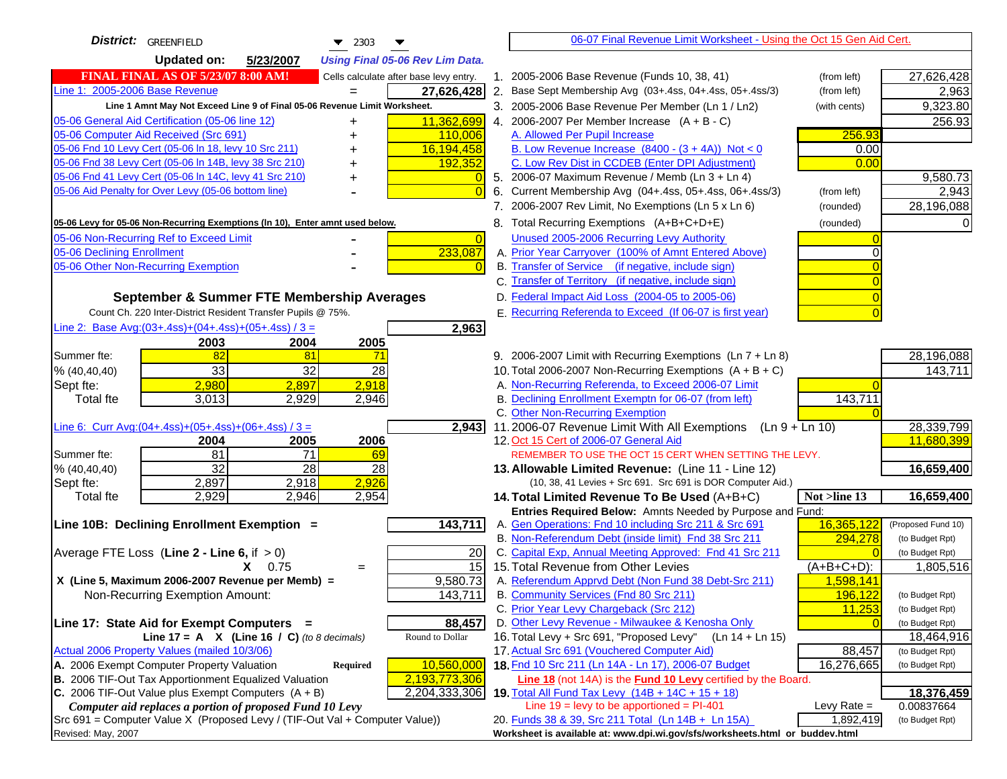| District: GREENFIELD<br>$\blacktriangledown$ 2303<br>▼                              | 06-07 Final Revenue Limit Worksheet - Using the Oct 15 Gen Aid Cert.                                                       |                                    |
|-------------------------------------------------------------------------------------|----------------------------------------------------------------------------------------------------------------------------|------------------------------------|
| <b>Updated on:</b><br>5/23/2007<br><b>Using Final 05-06 Rev Lim Data.</b>           |                                                                                                                            |                                    |
| <b>FINAL FINAL AS OF 5/23/07 8:00 AM!</b><br>Cells calculate after base levy entry. | 1. 2005-2006 Base Revenue (Funds 10, 38, 41)<br>(from left)                                                                | 27,626,428                         |
| Line 1: 2005-2006 Base Revenue<br>27,626,428                                        | 2. Base Sept Membership Avg (03+.4ss, 04+.4ss, 05+.4ss/3)<br>(from left)                                                   | 2,963                              |
| Line 1 Amnt May Not Exceed Line 9 of Final 05-06 Revenue Limit Worksheet.           | 3. 2005-2006 Base Revenue Per Member (Ln 1 / Ln2)<br>(with cents)                                                          | 9,323.80                           |
| 05-06 General Aid Certification (05-06 line 12)<br>11,362,699<br>+                  | 4. 2006-2007 Per Member Increase $(A + B - C)$                                                                             | 256.93                             |
| 05-06 Computer Aid Received (Src 691)<br>110,006                                    | 256.93<br>A. Allowed Per Pupil Increase                                                                                    |                                    |
| 05-06 Fnd 10 Levy Cert (05-06 In 18, levy 10 Src 211)<br>16,194,458                 | B. Low Revenue Increase $(8400 - (3 + 4A))$ Not < 0<br>0.00                                                                |                                    |
| 05-06 Fnd 38 Levy Cert (05-06 In 14B, levy 38 Src 210)<br>192,352                   | C. Low Rev Dist in CCDEB (Enter DPI Adjustment)<br>0.00                                                                    |                                    |
| 05-06 Fnd 41 Levy Cert (05-06 In 14C, levy 41 Src 210)                              | 5. 2006-07 Maximum Revenue / Memb (Ln 3 + Ln 4)                                                                            | 9,580.73                           |
| 05-06 Aid Penalty for Over Levy (05-06 bottom line)<br>$\Omega$                     | Current Membership Avg (04+.4ss, 05+.4ss, 06+.4ss/3)<br>6.<br>(from left)                                                  | 2,943                              |
|                                                                                     | 7. 2006-2007 Rev Limit, No Exemptions (Ln 5 x Ln 6)<br>(rounded)                                                           | 28,196,088                         |
| 05-06 Levy for 05-06 Non-Recurring Exemptions (In 10), Enter amnt used below.       | 8. Total Recurring Exemptions (A+B+C+D+E)<br>(rounded)                                                                     |                                    |
| 05-06 Non-Recurring Ref to Exceed Limit<br>$\overline{0}$                           | Unused 2005-2006 Recurring Levy Authority                                                                                  |                                    |
| 233,087<br>05-06 Declining Enrollment                                               | A. Prior Year Carryover (100% of Amnt Entered Above)<br>0                                                                  |                                    |
| 05-06 Other Non-Recurring Exemption<br>$\Omega$                                     | B. Transfer of Service (if negative, include sign)                                                                         |                                    |
|                                                                                     | C. Transfer of Territory (if negative, include sign)                                                                       |                                    |
| September & Summer FTE Membership Averages                                          | D. Federal Impact Aid Loss (2004-05 to 2005-06)                                                                            |                                    |
| Count Ch. 220 Inter-District Resident Transfer Pupils @ 75%.                        | E. Recurring Referenda to Exceed (If 06-07 is first year)                                                                  |                                    |
| Line 2: Base Avg:(03+.4ss)+(04+.4ss)+(05+.4ss) / 3 =<br>2,963                       |                                                                                                                            |                                    |
| 2003<br>2004<br>2005                                                                |                                                                                                                            |                                    |
| 82<br>81<br>Summer fte:<br>71                                                       | 9. 2006-2007 Limit with Recurring Exemptions (Ln 7 + Ln 8)                                                                 | 28,196,088                         |
| 33<br>32<br>28<br>% (40, 40, 40)                                                    | 10. Total 2006-2007 Non-Recurring Exemptions $(A + B + C)$                                                                 | 143,711                            |
| 2,980<br>2,918<br>2,897<br>Sept fte:                                                | A. Non-Recurring Referenda, to Exceed 2006-07 Limit                                                                        |                                    |
| 3,013<br>2,946<br><b>Total fte</b><br>2,929                                         | B. Declining Enrollment Exemptn for 06-07 (from left)<br>143,711                                                           |                                    |
|                                                                                     | C. Other Non-Recurring Exemption                                                                                           |                                    |
| Line 6: Curr Avg: $(04+.4ss)+(05+.4ss)+(06+.4ss)/3=$<br>$\overline{2,}943$          | 11.2006-07 Revenue Limit With All Exemptions<br>$(Ln 9 + Ln 10)$                                                           | 28,339,799                         |
| 2005<br>2006<br>2004                                                                | 12. Oct 15 Cert of 2006-07 General Aid                                                                                     | 11,680,399                         |
| 81<br>$\overline{71}$<br>Summer fte:<br>69                                          | REMEMBER TO USE THE OCT 15 CERT WHEN SETTING THE LEVY.                                                                     |                                    |
| $\overline{32}$<br>28<br>28<br>% (40, 40, 40)                                       | 13. Allowable Limited Revenue: (Line 11 - Line 12)                                                                         | 16,659,400                         |
| 2,926<br>2,897<br>2,918<br>Sept fte:                                                | (10, 38, 41 Levies + Src 691. Src 691 is DOR Computer Aid.)                                                                |                                    |
| 2,929<br>2,946<br>2,954<br><b>Total fte</b>                                         | 14. Total Limited Revenue To Be Used (A+B+C)<br>Not >line 13                                                               | 16,659,400                         |
|                                                                                     | Entries Required Below: Amnts Needed by Purpose and Fund:                                                                  |                                    |
| 143,711<br>Line 10B: Declining Enrollment Exemption =                               | 16,365,122<br>A. Gen Operations: Fnd 10 including Src 211 & Src 691                                                        | (Proposed Fund 10)                 |
|                                                                                     | B. Non-Referendum Debt (inside limit) Fnd 38 Src 211<br>294,278<br>C. Capital Exp, Annual Meeting Approved: Fnd 41 Src 211 | (to Budget Rpt)<br>(to Budget Rpt) |
| Average FTE Loss (Line $2 -$ Line 6, if $> 0$ )<br>20<br>15<br>$X = 0.75$           | 15. Total Revenue from Other Levies<br>$(A+B+C+D)$ :                                                                       | 1,805,516                          |
| $=$<br>X (Line 5, Maximum 2006-2007 Revenue per Memb) =<br>9,580.73                 | A. Referendum Apprvd Debt (Non Fund 38 Debt-Src 211)<br>1,598,141                                                          |                                    |
| 143,711<br>Non-Recurring Exemption Amount:                                          | B. Community Services (Fnd 80 Src 211)<br>196,122                                                                          | (to Budget Rpt)                    |
|                                                                                     | 11,253<br>C. Prior Year Levy Chargeback (Src 212)                                                                          | (to Budget Rpt)                    |
| 88,457<br>Line 17: State Aid for Exempt Computers =                                 | D. Other Levy Revenue - Milwaukee & Kenosha Only                                                                           | (to Budget Rpt)                    |
| Round to Dollar<br>Line 17 = A $X$ (Line 16 / C) (to 8 decimals)                    | 16. Total Levy + Src 691, "Proposed Levy"<br>$(Ln 14 + Ln 15)$                                                             | 18,464,916                         |
| Actual 2006 Property Values (mailed 10/3/06)                                        | 17. Actual Src 691 (Vouchered Computer Aid)<br>88,457                                                                      | (to Budget Rpt)                    |
| A. 2006 Exempt Computer Property Valuation<br>10,560,000<br><b>Required</b>         | 18. Fnd 10 Src 211 (Ln 14A - Ln 17), 2006-07 Budget<br>16,276,665                                                          | (to Budget Rpt)                    |
| B. 2006 TIF-Out Tax Apportionment Equalized Valuation<br>2,193,773,306              | Line 18 (not 14A) is the <b>Fund 10 Levy</b> certified by the Board.                                                       |                                    |
| C. 2006 TIF-Out Value plus Exempt Computers $(A + B)$<br>2,204,333,306              | 19. Total All Fund Tax Levy (14B + 14C + 15 + 18)                                                                          | 18,376,459                         |
| Computer aid replaces a portion of proposed Fund 10 Levy                            | Line $19 = \text{levy}$ to be apportioned = PI-401<br>Levy Rate $=$                                                        | 0.00837664                         |
| Src 691 = Computer Value X (Proposed Levy / (TIF-Out Val + Computer Value))         | 20. Funds 38 & 39, Src 211 Total (Ln 14B + Ln 15A)<br>1,892,419                                                            | (to Budget Rpt)                    |
| Revised: May, 2007                                                                  | Worksheet is available at: www.dpi.wi.gov/sfs/worksheets.html or buddev.html                                               |                                    |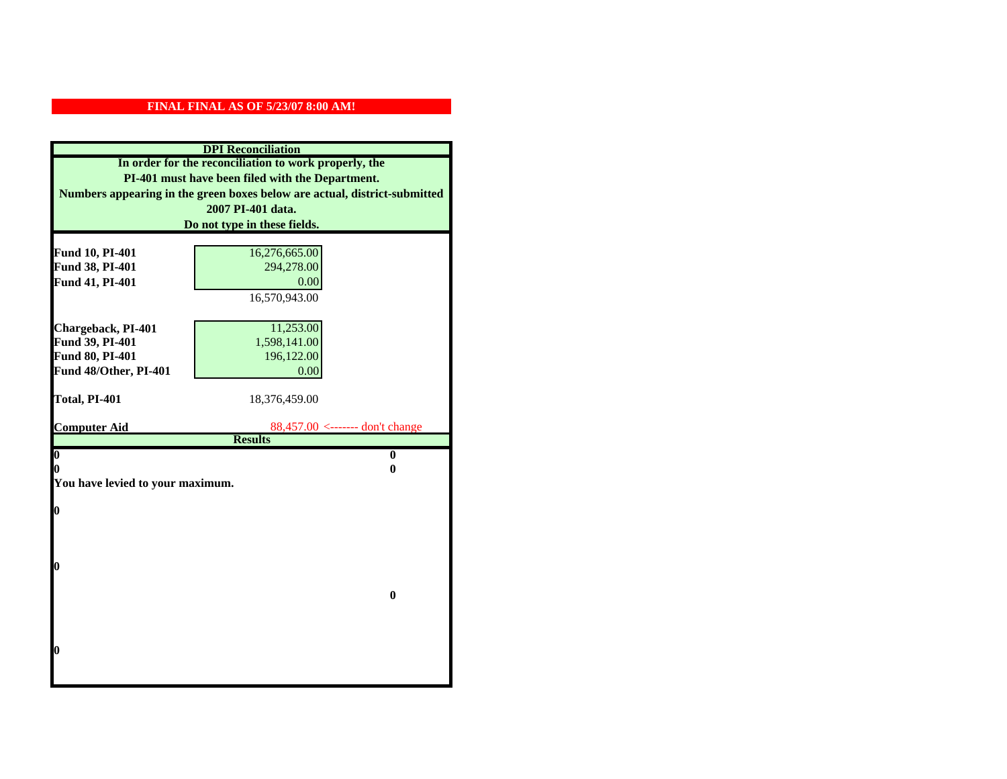| <b>DPI</b> Reconciliation                                                                                 |                                 |  |
|-----------------------------------------------------------------------------------------------------------|---------------------------------|--|
| In order for the reconciliation to work properly, the<br>PI-401 must have been filed with the Department. |                                 |  |
|                                                                                                           |                                 |  |
|                                                                                                           | 2007 PI-401 data.               |  |
|                                                                                                           | Do not type in these fields.    |  |
|                                                                                                           |                                 |  |
| Fund 10, PI-401                                                                                           | 16,276,665.00                   |  |
| Fund 38, PI-401                                                                                           | 294,278.00                      |  |
| Fund 41, PI-401                                                                                           | 0.00                            |  |
|                                                                                                           | 16,570,943.00                   |  |
|                                                                                                           |                                 |  |
| Chargeback, PI-401                                                                                        | 11,253.00                       |  |
| Fund 39, PI-401                                                                                           | 1,598,141.00                    |  |
| Fund 80, PI-401                                                                                           | 196,122.00                      |  |
| Fund 48/Other, PI-401                                                                                     | 0.00                            |  |
|                                                                                                           |                                 |  |
| Total, PI-401                                                                                             | 18,376,459.00                   |  |
| <b>Computer Aid</b>                                                                                       | 88,457.00 <------- don't change |  |
|                                                                                                           | <b>Results</b>                  |  |
| $\overline{\mathbf{0}}$                                                                                   | $\bf{0}$                        |  |
| 0                                                                                                         | 0                               |  |
| You have levied to your maximum.                                                                          |                                 |  |
|                                                                                                           |                                 |  |
| $\bf{0}$                                                                                                  |                                 |  |
|                                                                                                           |                                 |  |
|                                                                                                           |                                 |  |
| l0                                                                                                        |                                 |  |
|                                                                                                           |                                 |  |
|                                                                                                           | $\bf{0}$                        |  |
|                                                                                                           |                                 |  |
|                                                                                                           |                                 |  |
|                                                                                                           |                                 |  |
| l0                                                                                                        |                                 |  |
|                                                                                                           |                                 |  |
|                                                                                                           |                                 |  |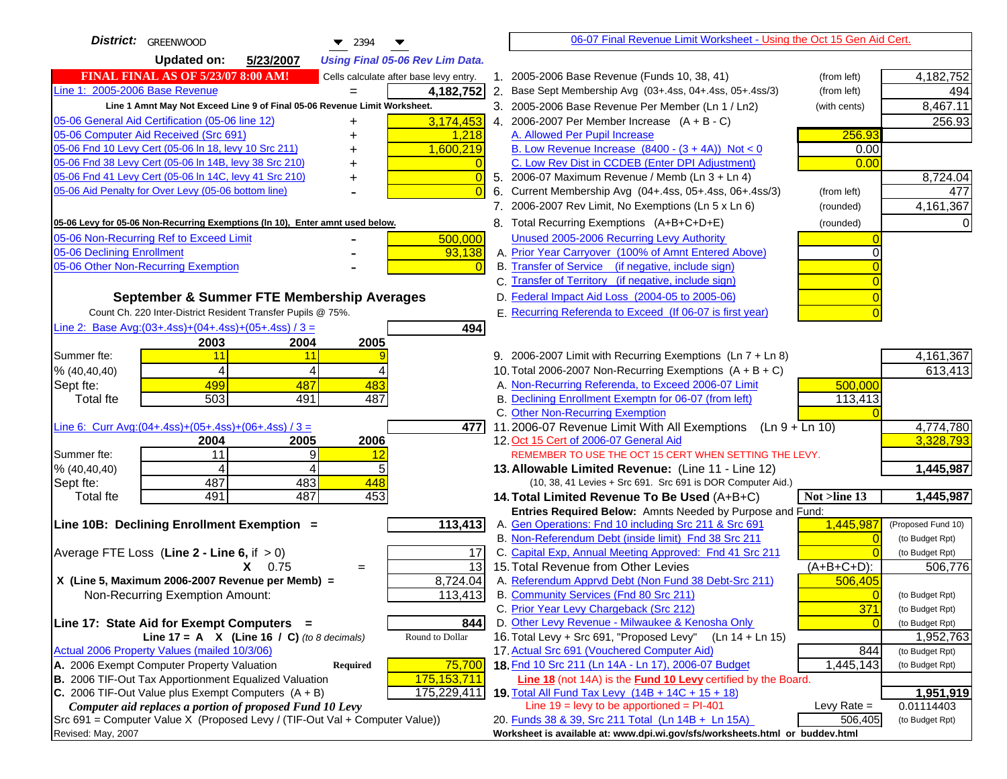| <b>District:</b> GREENWOOD<br>$\bullet$ 2394                                                               |       | 06-07 Final Revenue Limit Worksheet - Using the Oct 15 Gen Aid Cert.                           |               |                    |
|------------------------------------------------------------------------------------------------------------|-------|------------------------------------------------------------------------------------------------|---------------|--------------------|
| <b>Updated on:</b><br>5/23/2007<br><b>Using Final 05-06 Rev Lim Data.</b>                                  |       |                                                                                                |               |                    |
| <b>FINAL FINAL AS OF 5/23/07 8:00 AM!</b><br>Cells calculate after base levy entry.                        |       | 1. 2005-2006 Base Revenue (Funds 10, 38, 41)                                                   | (from left)   | 4,182,752          |
| Line 1: 2005-2006 Base Revenue<br>4,182,752<br>$=$                                                         |       | 2. Base Sept Membership Avg (03+.4ss, 04+.4ss, 05+.4ss/3)                                      | (from left)   | 494                |
| Line 1 Amnt May Not Exceed Line 9 of Final 05-06 Revenue Limit Worksheet.                                  |       | 3. 2005-2006 Base Revenue Per Member (Ln 1 / Ln2)                                              | (with cents)  | 8,467.11           |
| 05-06 General Aid Certification (05-06 line 12)<br>3,174,453<br>+                                          |       | 4. 2006-2007 Per Member Increase $(A + B - C)$                                                 |               | 256.93             |
| 05-06 Computer Aid Received (Src 691)<br>1,218                                                             |       | A. Allowed Per Pupil Increase                                                                  | 256.93        |                    |
| 05-06 Fnd 10 Levy Cert (05-06 In 18, levy 10 Src 211)<br>1,600,219                                         |       | B. Low Revenue Increase $(8400 - (3 + 4A))$ Not < 0                                            | 0.00          |                    |
| 05-06 Fnd 38 Levy Cert (05-06 In 14B, levy 38 Src 210)                                                     |       | C. Low Rev Dist in CCDEB (Enter DPI Adjustment)                                                | 0.00          |                    |
| 05-06 Fnd 41 Levy Cert (05-06 In 14C, levy 41 Src 210)<br>+                                                | 0     | 5. 2006-07 Maximum Revenue / Memb (Ln 3 + Ln 4)                                                |               | 8,724.04           |
| 05-06 Aid Penalty for Over Levy (05-06 bottom line)                                                        |       | 6. Current Membership Avg (04+.4ss, 05+.4ss, 06+.4ss/3)                                        | (from left)   | 477                |
|                                                                                                            |       | 7. 2006-2007 Rev Limit, No Exemptions (Ln 5 x Ln 6)                                            | (rounded)     | 4,161,367          |
| 05-06 Levy for 05-06 Non-Recurring Exemptions (In 10), Enter amnt used below.                              |       | 8. Total Recurring Exemptions (A+B+C+D+E)                                                      | (rounded)     |                    |
| 05-06 Non-Recurring Ref to Exceed Limit<br>500,000                                                         |       | Unused 2005-2006 Recurring Levy Authority                                                      |               |                    |
| 05-06 Declining Enrollment<br>93,138                                                                       |       | A. Prior Year Carryover (100% of Amnt Entered Above)                                           |               |                    |
| 05-06 Other Non-Recurring Exemption                                                                        |       | B. Transfer of Service (if negative, include sign)                                             |               |                    |
|                                                                                                            |       | C. Transfer of Territory (if negative, include sign)                                           |               |                    |
| September & Summer FTE Membership Averages                                                                 |       | D. Federal Impact Aid Loss (2004-05 to 2005-06)                                                |               |                    |
| Count Ch. 220 Inter-District Resident Transfer Pupils @ 75%.                                               |       | E. Recurring Referenda to Exceed (If 06-07 is first year)                                      |               |                    |
| Line 2: Base Avg: $(03+.4ss)+(04+.4ss)+(05+.4ss)/3 =$<br>494                                               |       |                                                                                                |               |                    |
| 2003<br>2004<br>2005                                                                                       |       |                                                                                                |               |                    |
| Summer fte:<br>11<br>11                                                                                    |       | 9. 2006-2007 Limit with Recurring Exemptions (Ln 7 + Ln 8)                                     |               | 4,161,367          |
| 4<br>4<br>% (40, 40, 40)                                                                                   |       | 10. Total 2006-2007 Non-Recurring Exemptions $(A + B + C)$                                     |               | 613,413            |
| 499<br>487<br>483<br>Sept fte:                                                                             |       | A. Non-Recurring Referenda, to Exceed 2006-07 Limit                                            | 500,000       |                    |
| 503<br>487<br><b>Total fte</b><br>491                                                                      |       | B. Declining Enrollment Exemptn for 06-07 (from left)<br>C. Other Non-Recurring Exemption      | 113,413       |                    |
| Line 6: Curr Avg: $(04+.4ss)+(05+.4ss)+(06+.4ss)/3 =$                                                      | 477 I | 11.2006-07 Revenue Limit With All Exemptions (Ln $9 + \overline{\text{Ln }10}$ )               |               | 4,774,780          |
| 2005<br>2006<br>2004                                                                                       |       | 12. Oct 15 Cert of 2006-07 General Aid                                                         |               | 3,328,793          |
| 11<br>9<br>Summer fte:<br><u> 12</u>                                                                       |       | REMEMBER TO USE THE OCT 15 CERT WHEN SETTING THE LEVY.                                         |               |                    |
| % (40, 40, 40)<br>4<br>4                                                                                   |       | 13. Allowable Limited Revenue: (Line 11 - Line 12)                                             |               | 1,445,987          |
| 487<br>483<br>448<br>Sept fte:                                                                             |       | (10, 38, 41 Levies + Src 691. Src 691 is DOR Computer Aid.)                                    |               |                    |
| 491<br>487<br>453<br><b>Total fte</b>                                                                      |       | 14. Total Limited Revenue To Be Used (A+B+C)                                                   | Not >line 13  | 1,445,987          |
|                                                                                                            |       | Entries Required Below: Amnts Needed by Purpose and Fund:                                      |               |                    |
| 113,413<br>Line 10B: Declining Enrollment Exemption =                                                      |       | A. Gen Operations: Fnd 10 including Src 211 & Src 691                                          | 1,445,987     | (Proposed Fund 10) |
|                                                                                                            |       | B. Non-Referendum Debt (inside limit) Fnd 38 Src 211                                           |               | (to Budget Rpt)    |
| Average FTE Loss (Line $2 -$ Line 6, if $> 0$ )                                                            | 17    | C. Capital Exp, Annual Meeting Approved: Fnd 41 Src 211                                        |               | (to Budget Rpt)    |
| $X = 0.75$<br>$=$                                                                                          | 13    | 15. Total Revenue from Other Levies                                                            | (A+B+C+D):    | 506,776            |
| X (Line 5, Maximum 2006-2007 Revenue per Memb) =<br>8,724.04<br>113,413<br>Non-Recurring Exemption Amount: |       | A. Referendum Apprvd Debt (Non Fund 38 Debt-Src 211)<br>B. Community Services (Fnd 80 Src 211) | 506,405       | (to Budget Rpt)    |
|                                                                                                            |       | C. Prior Year Levy Chargeback (Src 212)                                                        | 371           | (to Budget Rpt)    |
| Line 17: State Aid for Exempt Computers =<br>844                                                           |       | D. Other Levy Revenue - Milwaukee & Kenosha Only                                               |               | (to Budget Rpt)    |
| Round to Dollar<br>Line 17 = A $X$ (Line 16 / C) (to 8 decimals)                                           |       | 16. Total Levy + Src 691, "Proposed Levy"<br>(Ln 14 + Ln 15)                                   |               | 1,952,763          |
| Actual 2006 Property Values (mailed 10/3/06)                                                               |       | 17. Actual Src 691 (Vouchered Computer Aid)                                                    | 844           | (to Budget Rpt)    |
| A. 2006 Exempt Computer Property Valuation<br>75,700<br>Required                                           |       | 18. Fnd 10 Src 211 (Ln 14A - Ln 17), 2006-07 Budget                                            | 1,445,143     | (to Budget Rpt)    |
| B. 2006 TIF-Out Tax Apportionment Equalized Valuation<br>175,153,711                                       |       | <b>Line 18</b> (not 14A) is the <b>Fund 10 Levy</b> certified by the Board.                    |               |                    |
| C. 2006 TIF-Out Value plus Exempt Computers $(A + B)$<br>175,229,411                                       |       | 19. Total All Fund Tax Levy $(14B + 14C + 15 + 18)$                                            |               | 1,951,919          |
| Computer aid replaces a portion of proposed Fund 10 Levy                                                   |       | Line $19 = \text{levy}$ to be apportioned = PI-401                                             | Levy Rate $=$ | 0.01114403         |
| Src 691 = Computer Value X (Proposed Levy / (TIF-Out Val + Computer Value))                                |       | 20. Funds 38 & 39, Src 211 Total (Ln 14B + Ln 15A)                                             | 506,405       | (to Budget Rpt)    |
| Revised: May, 2007                                                                                         |       | Worksheet is available at: www.dpi.wi.gov/sfs/worksheets.html or buddev.html                   |               |                    |